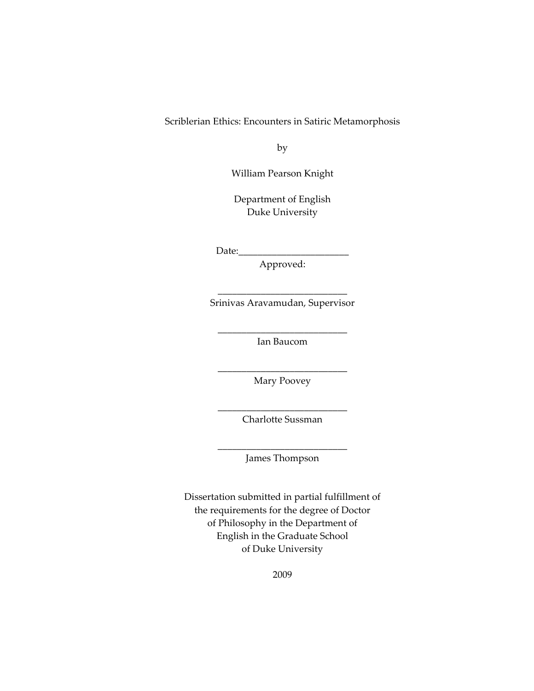Scriblerian Ethics: Encounters in Satiric Metamorphosis

by

William Pearson Knight

Department of English Duke University

 $Date:$ 

Approved:

\_\_\_\_\_\_\_\_\_\_\_\_\_\_\_\_\_\_\_\_\_\_\_\_\_\_\_ Srinivas Aravamudan, Supervisor

\_\_\_\_\_\_\_\_\_\_\_\_\_\_\_\_\_\_\_\_\_\_\_\_\_\_\_ Ian Baucom

\_\_\_\_\_\_\_\_\_\_\_\_\_\_\_\_\_\_\_\_\_\_\_\_\_\_\_ Mary Poovey

\_\_\_\_\_\_\_\_\_\_\_\_\_\_\_\_\_\_\_\_\_\_\_\_\_\_\_ Charlotte Sussman

\_\_\_\_\_\_\_\_\_\_\_\_\_\_\_\_\_\_\_\_\_\_\_\_\_\_\_ James Thompson

Dissertation submitted in partial fulfillment of the requirements for the degree of Doctor of Philosophy in the Department of English in the Graduate School of Duke University

2009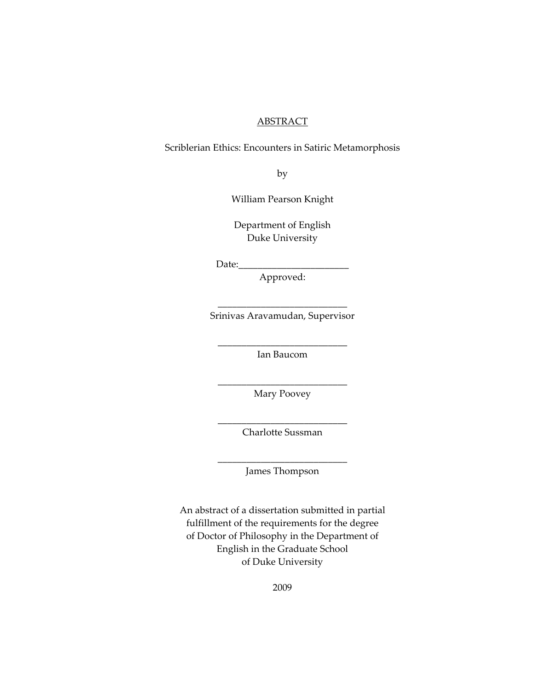#### **ABSTRACT**

Scriblerian Ethics: Encounters in Satiric Metamorphosis

by

William Pearson Knight

Department of English Duke University

Date:

Approved:

\_\_\_\_\_\_\_\_\_\_\_\_\_\_\_\_\_\_\_\_\_\_\_\_\_\_\_ Srinivas Aravamudan, Supervisor

\_\_\_\_\_\_\_\_\_\_\_\_\_\_\_\_\_\_\_\_\_\_\_\_\_\_\_ Ian Baucom

\_\_\_\_\_\_\_\_\_\_\_\_\_\_\_\_\_\_\_\_\_\_\_\_\_\_\_ Mary Poovey

\_\_\_\_\_\_\_\_\_\_\_\_\_\_\_\_\_\_\_\_\_\_\_\_\_\_\_ Charlotte Sussman

\_\_\_\_\_\_\_\_\_\_\_\_\_\_\_\_\_\_\_\_\_\_\_\_\_\_\_ James Thompson

An abstract of a dissertation submitted in partial fulfillment of the requirements for the degree of Doctor of Philosophy in the Department of English in the Graduate School of Duke University

2009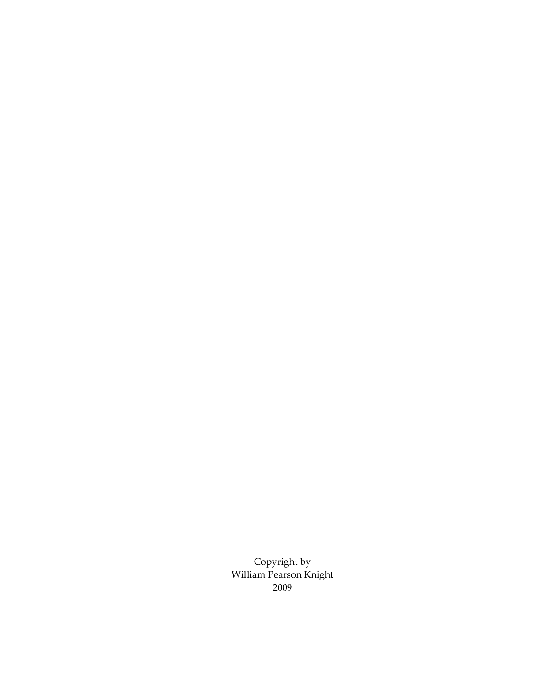Copyright by William Pearson Knight 2009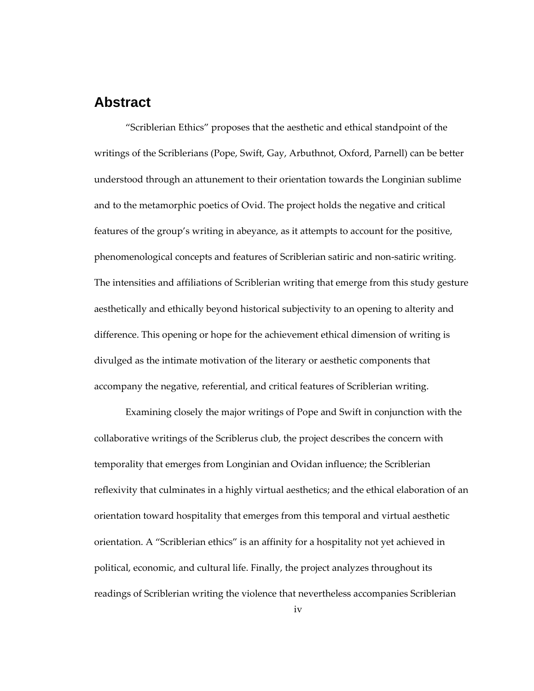### <span id="page-3-0"></span>**Abstract**

"Scriblerian Ethics" proposes that the aesthetic and ethical standpoint of the writings of the Scriblerians (Pope, Swift, Gay, Arbuthnot, Oxford, Parnell) can be better understood through an attunement to their orientation towards the Longinian sublime and to the metamorphic poetics of Ovid. The project holds the negative and critical features of the group's writing in abeyance, as it attempts to account for the positive, phenomenological concepts and features of Scriblerian satiric and non-satiric writing. The intensities and affiliations of Scriblerian writing that emerge from this study gesture aesthetically and ethically beyond historical subjectivity to an opening to alterity and difference. This opening or hope for the achievement ethical dimension of writing is divulged as the intimate motivation of the literary or aesthetic components that accompany the negative, referential, and critical features of Scriblerian writing.

Examining closely the major writings of Pope and Swift in conjunction with the collaborative writings of the Scriblerus club, the project describes the concern with temporality that emerges from Longinian and Ovidan influence; the Scriblerian reflexivity that culminates in a highly virtual aesthetics; and the ethical elaboration of an orientation toward hospitality that emerges from this temporal and virtual aesthetic orientation. A "Scriblerian ethics" is an affinity for a hospitality not yet achieved in political, economic, and cultural life. Finally, the project analyzes throughout its readings of Scriblerian writing the violence that nevertheless accompanies Scriblerian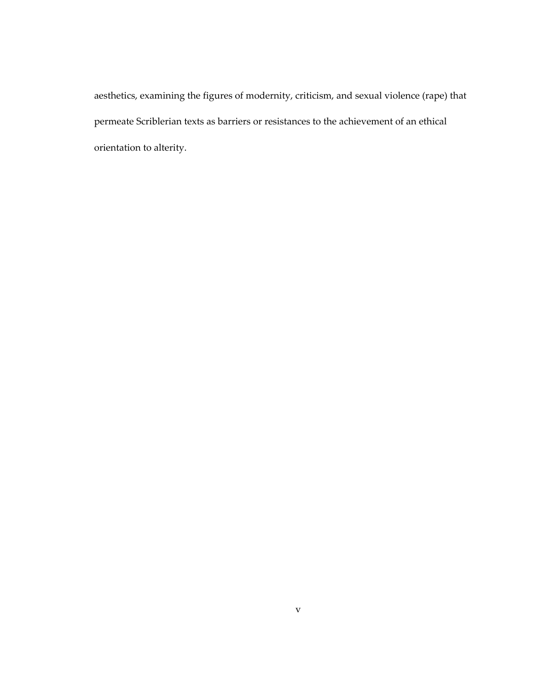aesthetics, examining the figures of modernity, criticism, and sexual violence (rape) that permeate Scriblerian texts as barriers or resistances to the achievement of an ethical orientation to alterity.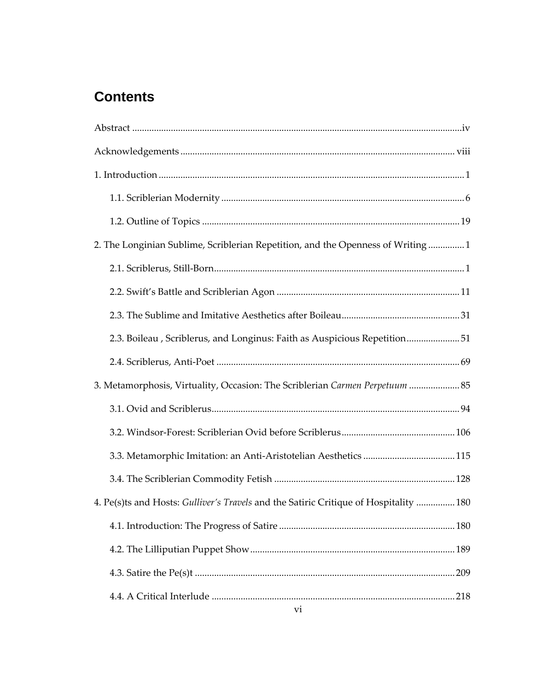# **Contents**

| 2. The Longinian Sublime, Scriblerian Repetition, and the Openness of Writing1       |
|--------------------------------------------------------------------------------------|
|                                                                                      |
|                                                                                      |
|                                                                                      |
| 2.3. Boileau, Scriblerus, and Longinus: Faith as Auspicious Repetition51             |
|                                                                                      |
| 3. Metamorphosis, Virtuality, Occasion: The Scriblerian Carmen Perpetuum 85          |
|                                                                                      |
|                                                                                      |
|                                                                                      |
|                                                                                      |
| 4. Pe(s)ts and Hosts: Gulliver's Travels and the Satiric Critique of Hospitality 180 |
|                                                                                      |
|                                                                                      |
| 209                                                                                  |
| 218                                                                                  |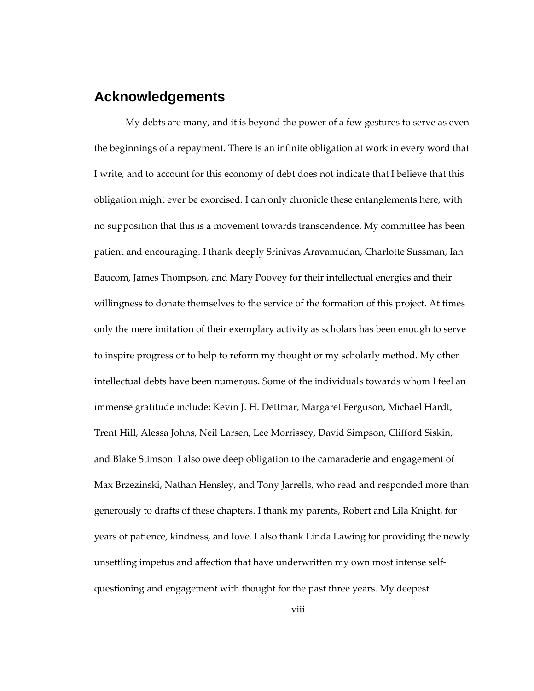# <span id="page-7-0"></span>**Acknowledgements**

My debts are many, and it is beyond the power of a few gestures to serve as even the beginnings of a repayment. There is an infinite obligation at work in every word that I write, and to account for this economy of debt does not indicate that I believe that this obligation might ever be exorcised. I can only chronicle these entanglements here, with no supposition that this is a movement towards transcendence. My committee has been patient and encouraging. I thank deeply Srinivas Aravamudan, Charlotte Sussman, Ian Baucom, James Thompson, and Mary Poovey for their intellectual energies and their willingness to donate themselves to the service of the formation of this project. At times only the mere imitation of their exemplary activity as scholars has been enough to serve to inspire progress or to help to reform my thought or my scholarly method. My other intellectual debts have been numerous. Some of the individuals towards whom I feel an immense gratitude include: Kevin J. H. Dettmar, Margaret Ferguson, Michael Hardt, Trent Hill, Alessa Johns, Neil Larsen, Lee Morrissey, David Simpson, Clifford Siskin, and Blake Stimson. I also owe deep obligation to the camaraderie and engagement of Max Brzezinski, Nathan Hensley, and Tony Jarrells, who read and responded more than generously to drafts of these chapters. I thank my parents, Robert and Lila Knight, for years of patience, kindness, and love. I also thank Linda Lawing for providing the newly unsettling impetus and affection that have underwritten my own most intense selfquestioning and engagement with thought for the past three years. My deepest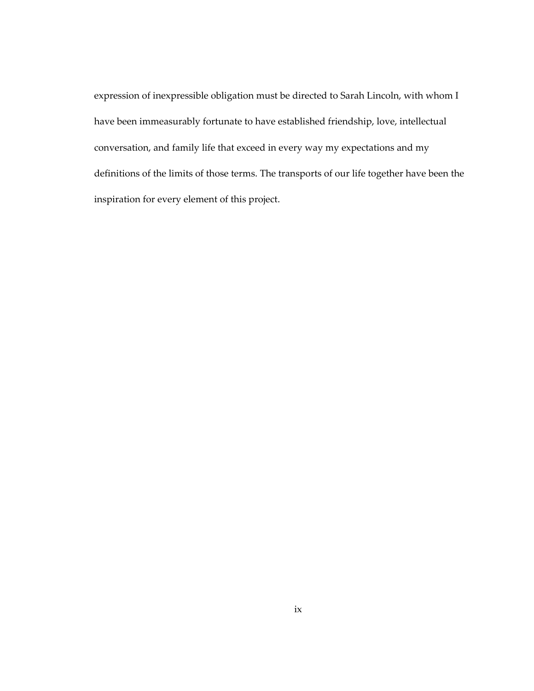expression of inexpressible obligation must be directed to Sarah Lincoln, with whom I have been immeasurably fortunate to have established friendship, love, intellectual conversation, and family life that exceed in every way my expectations and my definitions of the limits of those terms. The transports of our life together have been the inspiration for every element of this project.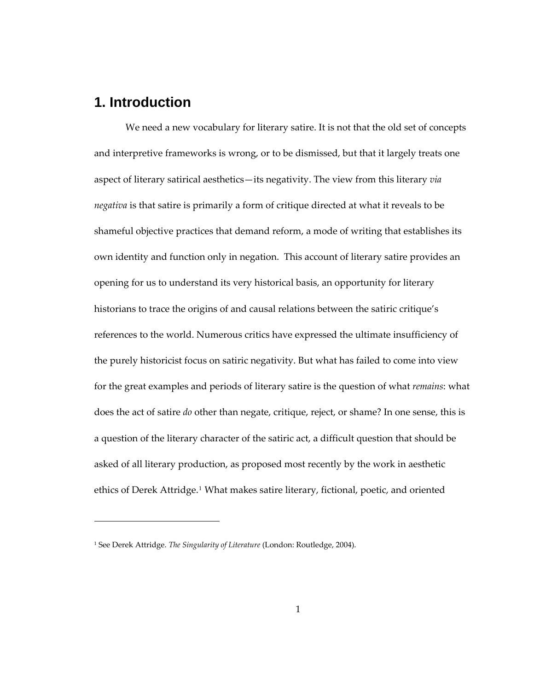## <span id="page-9-0"></span>**1. Introduction**

1

We need a new vocabulary for literary satire. It is not that the old set of concepts and interpretive frameworks is wrong, or to be dismissed, but that it largely treats one aspect of literary satirical aesthetics—its negativity. The view from this literary *via negativa* is that satire is primarily a form of critique directed at what it reveals to be shameful objective practices that demand reform, a mode of writing that establishes its own identity and function only in negation. This account of literary satire provides an opening for us to understand its very historical basis, an opportunity for literary historians to trace the origins of and causal relations between the satiric critique's references to the world. Numerous critics have expressed the ultimate insufficiency of the purely historicist focus on satiric negativity. But what has failed to come into view for the great examples and periods of literary satire is the question of what *remains*: what does the act of satire *do* other than negate, critique, reject, or shame? In one sense, this is a question of the literary character of the satiric act, a difficult question that should be asked of all literary production, as proposed most recently by the work in aesthetic ethics of Derek Attridge.[1](#page-9-1) What makes satire literary, fictional, poetic, and oriented

<span id="page-9-1"></span><sup>1</sup> See Derek Attridge. *The Singularity of Literature* (London: Routledge, 2004).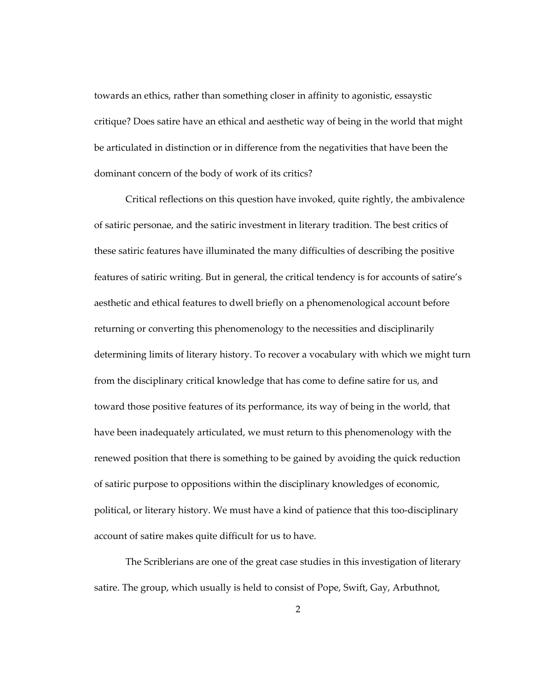towards an ethics, rather than something closer in affinity to agonistic, essaystic critique? Does satire have an ethical and aesthetic way of being in the world that might be articulated in distinction or in difference from the negativities that have been the dominant concern of the body of work of its critics?

Critical reflections on this question have invoked, quite rightly, the ambivalence of satiric personae, and the satiric investment in literary tradition. The best critics of these satiric features have illuminated the many difficulties of describing the positive features of satiric writing. But in general, the critical tendency is for accounts of satire's aesthetic and ethical features to dwell briefly on a phenomenological account before returning or converting this phenomenology to the necessities and disciplinarily determining limits of literary history. To recover a vocabulary with which we might turn from the disciplinary critical knowledge that has come to define satire for us, and toward those positive features of its performance, its way of being in the world, that have been inadequately articulated, we must return to this phenomenology with the renewed position that there is something to be gained by avoiding the quick reduction of satiric purpose to oppositions within the disciplinary knowledges of economic, political, or literary history. We must have a kind of patience that this too-disciplinary account of satire makes quite difficult for us to have.

The Scriblerians are one of the great case studies in this investigation of literary satire. The group, which usually is held to consist of Pope, Swift, Gay, Arbuthnot,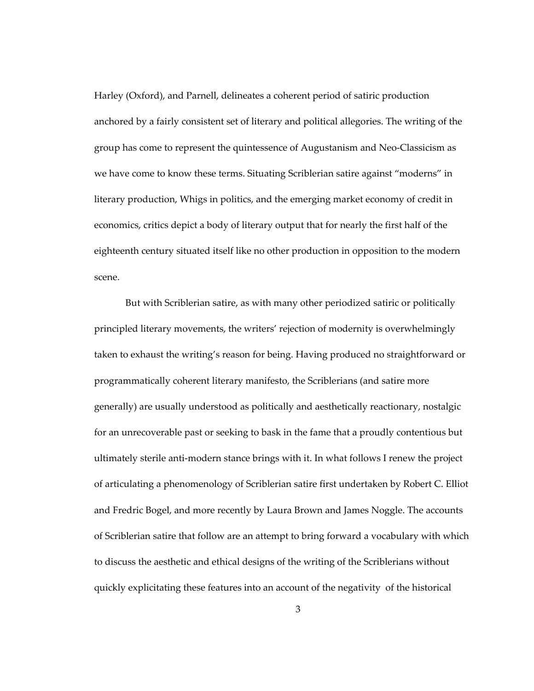Harley (Oxford), and Parnell, delineates a coherent period of satiric production anchored by a fairly consistent set of literary and political allegories. The writing of the group has come to represent the quintessence of Augustanism and Neo-Classicism as we have come to know these terms. Situating Scriblerian satire against "moderns" in literary production, Whigs in politics, and the emerging market economy of credit in economics, critics depict a body of literary output that for nearly the first half of the eighteenth century situated itself like no other production in opposition to the modern scene.

But with Scriblerian satire, as with many other periodized satiric or politically principled literary movements, the writers' rejection of modernity is overwhelmingly taken to exhaust the writing's reason for being. Having produced no straightforward or programmatically coherent literary manifesto, the Scriblerians (and satire more generally) are usually understood as politically and aesthetically reactionary, nostalgic for an unrecoverable past or seeking to bask in the fame that a proudly contentious but ultimately sterile anti-modern stance brings with it. In what follows I renew the project of articulating a phenomenology of Scriblerian satire first undertaken by Robert C. Elliot and Fredric Bogel, and more recently by Laura Brown and James Noggle. The accounts of Scriblerian satire that follow are an attempt to bring forward a vocabulary with which to discuss the aesthetic and ethical designs of the writing of the Scriblerians without quickly explicitating these features into an account of the negativity of the historical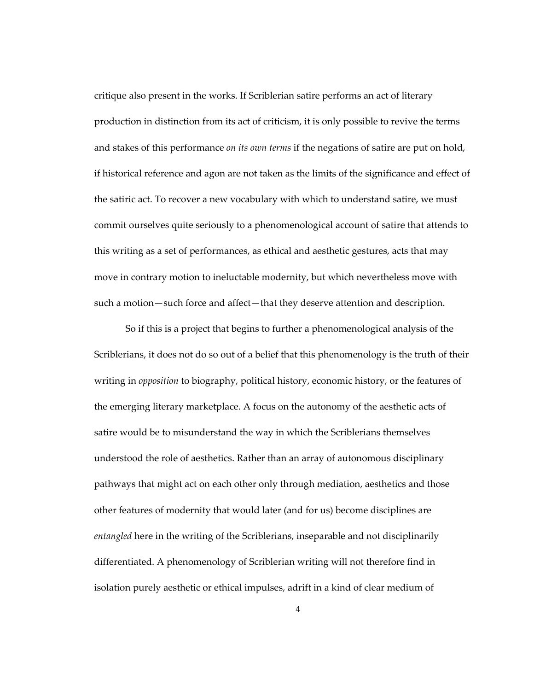critique also present in the works. If Scriblerian satire performs an act of literary production in distinction from its act of criticism, it is only possible to revive the terms and stakes of this performance *on its own terms* if the negations of satire are put on hold, if historical reference and agon are not taken as the limits of the significance and effect of the satiric act. To recover a new vocabulary with which to understand satire, we must commit ourselves quite seriously to a phenomenological account of satire that attends to this writing as a set of performances, as ethical and aesthetic gestures, acts that may move in contrary motion to ineluctable modernity, but which nevertheless move with such a motion—such force and affect—that they deserve attention and description.

So if this is a project that begins to further a phenomenological analysis of the Scriblerians, it does not do so out of a belief that this phenomenology is the truth of their writing in *opposition* to biography, political history, economic history, or the features of the emerging literary marketplace. A focus on the autonomy of the aesthetic acts of satire would be to misunderstand the way in which the Scriblerians themselves understood the role of aesthetics. Rather than an array of autonomous disciplinary pathways that might act on each other only through mediation, aesthetics and those other features of modernity that would later (and for us) become disciplines are *entangled* here in the writing of the Scriblerians, inseparable and not disciplinarily differentiated. A phenomenology of Scriblerian writing will not therefore find in isolation purely aesthetic or ethical impulses, adrift in a kind of clear medium of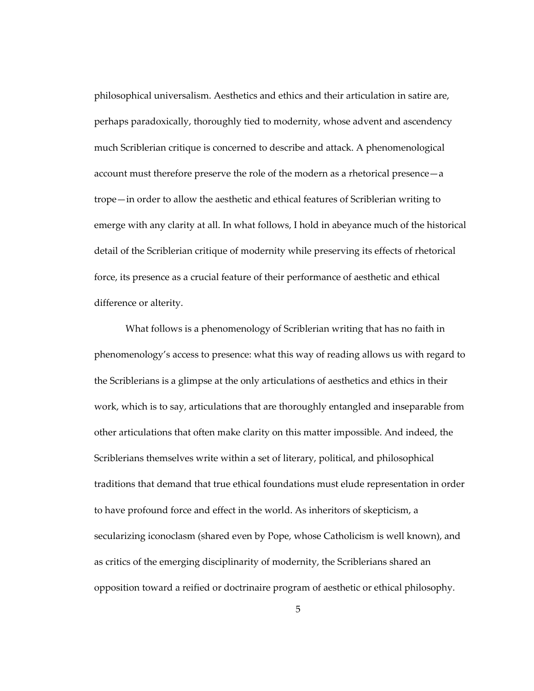philosophical universalism. Aesthetics and ethics and their articulation in satire are, perhaps paradoxically, thoroughly tied to modernity, whose advent and ascendency much Scriblerian critique is concerned to describe and attack. A phenomenological account must therefore preserve the role of the modern as a rhetorical presence—a trope—in order to allow the aesthetic and ethical features of Scriblerian writing to emerge with any clarity at all. In what follows, I hold in abeyance much of the historical detail of the Scriblerian critique of modernity while preserving its effects of rhetorical force, its presence as a crucial feature of their performance of aesthetic and ethical difference or alterity.

What follows is a phenomenology of Scriblerian writing that has no faith in phenomenology's access to presence: what this way of reading allows us with regard to the Scriblerians is a glimpse at the only articulations of aesthetics and ethics in their work, which is to say, articulations that are thoroughly entangled and inseparable from other articulations that often make clarity on this matter impossible. And indeed, the Scriblerians themselves write within a set of literary, political, and philosophical traditions that demand that true ethical foundations must elude representation in order to have profound force and effect in the world. As inheritors of skepticism, a secularizing iconoclasm (shared even by Pope, whose Catholicism is well known), and as critics of the emerging disciplinarity of modernity, the Scriblerians shared an opposition toward a reified or doctrinaire program of aesthetic or ethical philosophy.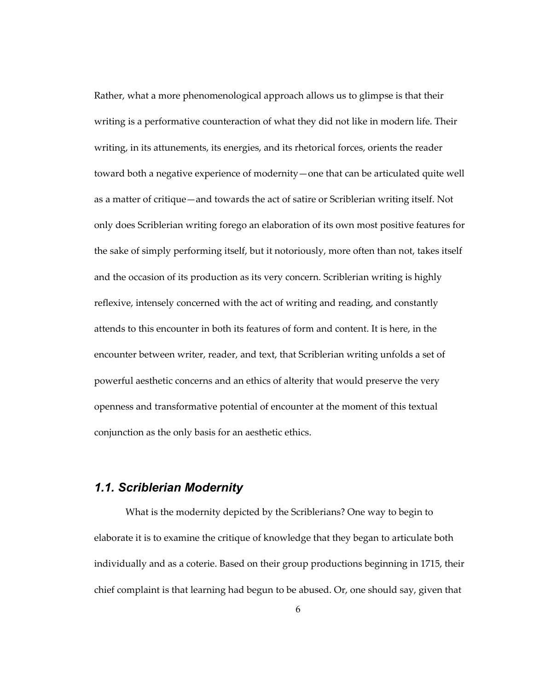<span id="page-14-0"></span>Rather, what a more phenomenological approach allows us to glimpse is that their writing is a performative counteraction of what they did not like in modern life. Their writing, in its attunements, its energies, and its rhetorical forces, orients the reader toward both a negative experience of modernity—one that can be articulated quite well as a matter of critique—and towards the act of satire or Scriblerian writing itself. Not only does Scriblerian writing forego an elaboration of its own most positive features for the sake of simply performing itself, but it notoriously, more often than not, takes itself and the occasion of its production as its very concern. Scriblerian writing is highly reflexive, intensely concerned with the act of writing and reading, and constantly attends to this encounter in both its features of form and content. It is here, in the encounter between writer, reader, and text, that Scriblerian writing unfolds a set of powerful aesthetic concerns and an ethics of alterity that would preserve the very openness and transformative potential of encounter at the moment of this textual conjunction as the only basis for an aesthetic ethics.

#### *1.1. Scriblerian Modernity*

What is the modernity depicted by the Scriblerians? One way to begin to elaborate it is to examine the critique of knowledge that they began to articulate both individually and as a coterie. Based on their group productions beginning in 1715, their chief complaint is that learning had begun to be abused. Or, one should say, given that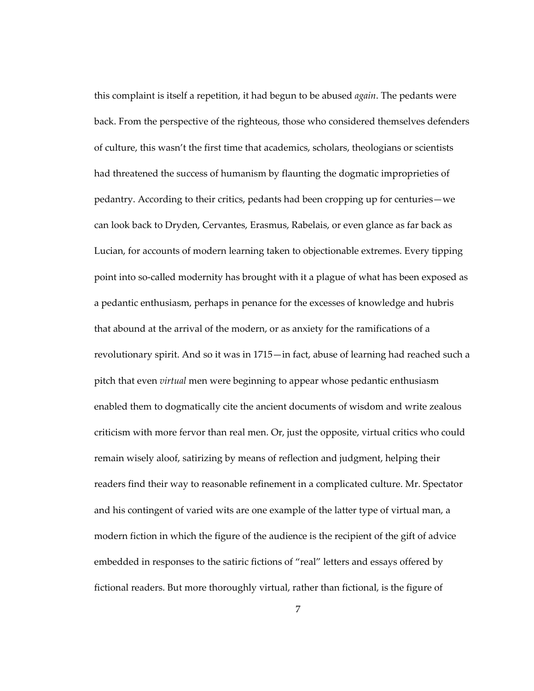this complaint is itself a repetition, it had begun to be abused *again*. The pedants were back. From the perspective of the righteous, those who considered themselves defenders of culture, this wasn't the first time that academics, scholars, theologians or scientists had threatened the success of humanism by flaunting the dogmatic improprieties of pedantry. According to their critics, pedants had been cropping up for centuries—we can look back to Dryden, Cervantes, Erasmus, Rabelais, or even glance as far back as Lucian, for accounts of modern learning taken to objectionable extremes. Every tipping point into so-called modernity has brought with it a plague of what has been exposed as a pedantic enthusiasm, perhaps in penance for the excesses of knowledge and hubris that abound at the arrival of the modern, or as anxiety for the ramifications of a revolutionary spirit. And so it was in 1715—in fact, abuse of learning had reached such a pitch that even *virtual* men were beginning to appear whose pedantic enthusiasm enabled them to dogmatically cite the ancient documents of wisdom and write zealous criticism with more fervor than real men. Or, just the opposite, virtual critics who could remain wisely aloof, satirizing by means of reflection and judgment, helping their readers find their way to reasonable refinement in a complicated culture. Mr. Spectator and his contingent of varied wits are one example of the latter type of virtual man, a modern fiction in which the figure of the audience is the recipient of the gift of advice embedded in responses to the satiric fictions of "real" letters and essays offered by fictional readers. But more thoroughly virtual, rather than fictional, is the figure of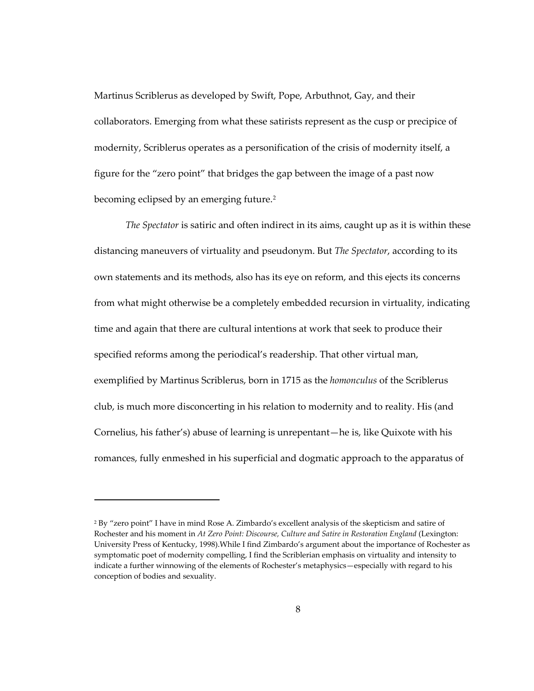Martinus Scriblerus as developed by Swift, Pope, Arbuthnot, Gay, and their collaborators. Emerging from what these satirists represent as the cusp or precipice of modernity, Scriblerus operates as a personification of the crisis of modernity itself, a figure for the "zero point" that bridges the gap between the image of a past now becoming eclipsed by an emerging future.<sup>[2](#page-16-0)</sup>

*The Spectator* is satiric and often indirect in its aims, caught up as it is within these distancing maneuvers of virtuality and pseudonym. But *The Spectator*, according to its own statements and its methods, also has its eye on reform, and this ejects its concerns from what might otherwise be a completely embedded recursion in virtuality, indicating time and again that there are cultural intentions at work that seek to produce their specified reforms among the periodical's readership. That other virtual man, exemplified by Martinus Scriblerus, born in 1715 as the *homonculus* of the Scriblerus club, is much more disconcerting in his relation to modernity and to reality. His (and Cornelius, his father's) abuse of learning is unrepentant—he is, like Quixote with his romances, fully enmeshed in his superficial and dogmatic approach to the apparatus of

<span id="page-16-0"></span><sup>2</sup> By "zero point" I have in mind Rose A. Zimbardo's excellent analysis of the skepticism and satire of Rochester and his moment in *At Zero Point: Discourse, Culture and Satire in Restoration England* (Lexington: University Press of Kentucky, 1998).While I find Zimbardo's argument about the importance of Rochester as symptomatic poet of modernity compelling, I find the Scriblerian emphasis on virtuality and intensity to indicate a further winnowing of the elements of Rochester's metaphysics—especially with regard to his conception of bodies and sexuality.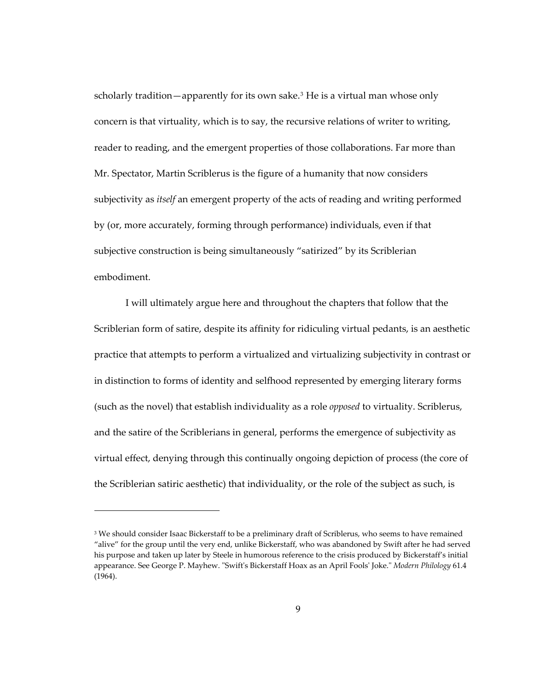scholarly tradition—apparently for its own sake.<sup>[3](#page-17-0)</sup> He is a virtual man whose only concern is that virtuality, which is to say, the recursive relations of writer to writing, reader to reading, and the emergent properties of those collaborations. Far more than Mr. Spectator, Martin Scriblerus is the figure of a humanity that now considers subjectivity as *itself* an emergent property of the acts of reading and writing performed by (or, more accurately, forming through performance) individuals, even if that subjective construction is being simultaneously "satirized" by its Scriblerian embodiment.

I will ultimately argue here and throughout the chapters that follow that the Scriblerian form of satire, despite its affinity for ridiculing virtual pedants, is an aesthetic practice that attempts to perform a virtualized and virtualizing subjectivity in contrast or in distinction to forms of identity and selfhood represented by emerging literary forms (such as the novel) that establish individuality as a role *opposed* to virtuality. Scriblerus, and the satire of the Scriblerians in general, performs the emergence of subjectivity as virtual effect, denying through this continually ongoing depiction of process (the core of the Scriblerian satiric aesthetic) that individuality, or the role of the subject as such, is

1

<span id="page-17-0"></span><sup>&</sup>lt;sup>3</sup> We should consider Isaac Bickerstaff to be a preliminary draft of Scriblerus, who seems to have remained "alive" for the group until the very end, unlike Bickerstaff, who was abandoned by Swift after he had served his purpose and taken up later by Steele in humorous reference to the crisis produced by Bickerstaff's initial appearance. See George P. Mayhew. "Swift's Bickerstaff Hoax as an April Fools' Joke." *Modern Philology* 61.4 (1964).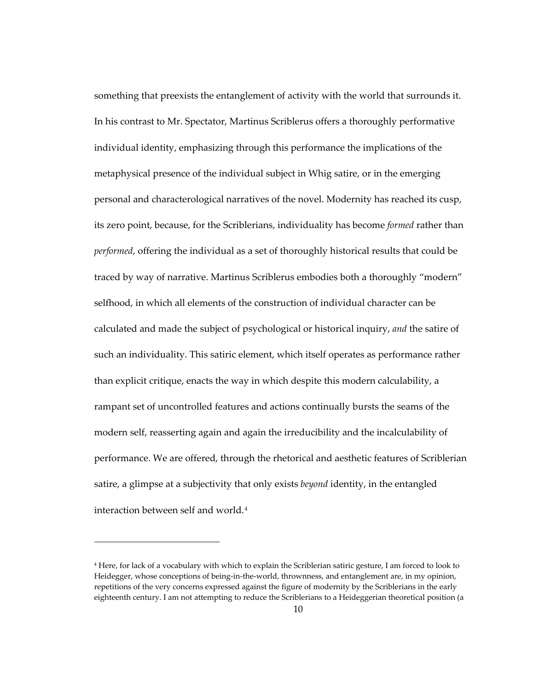something that preexists the entanglement of activity with the world that surrounds it. In his contrast to Mr. Spectator, Martinus Scriblerus offers a thoroughly performative individual identity, emphasizing through this performance the implications of the metaphysical presence of the individual subject in Whig satire, or in the emerging personal and characterological narratives of the novel. Modernity has reached its cusp, its zero point, because, for the Scriblerians, individuality has become *formed* rather than *performed*, offering the individual as a set of thoroughly historical results that could be traced by way of narrative. Martinus Scriblerus embodies both a thoroughly "modern" selfhood, in which all elements of the construction of individual character can be calculated and made the subject of psychological or historical inquiry, *and* the satire of such an individuality. This satiric element, which itself operates as performance rather than explicit critique, enacts the way in which despite this modern calculability, a rampant set of uncontrolled features and actions continually bursts the seams of the modern self, reasserting again and again the irreducibility and the incalculability of performance. We are offered, through the rhetorical and aesthetic features of Scriblerian satire, a glimpse at a subjectivity that only exists *beyond* identity, in the entangled interaction between self and world.[4](#page-18-0)

<span id="page-18-0"></span><sup>4</sup> Here, for lack of a vocabulary with which to explain the Scriblerian satiric gesture, I am forced to look to Heidegger, whose conceptions of being-in-the-world, thrownness, and entanglement are, in my opinion, repetitions of the very concerns expressed against the figure of modernity by the Scriblerians in the early eighteenth century. I am not attempting to reduce the Scriblerians to a Heideggerian theoretical position (a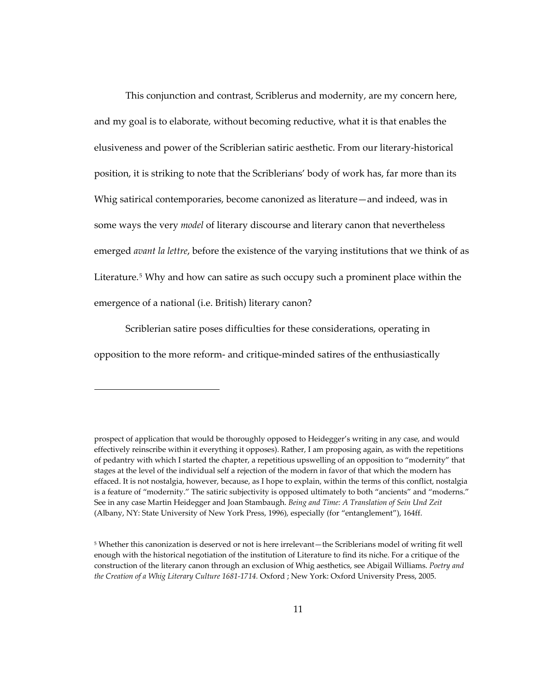This conjunction and contrast, Scriblerus and modernity, are my concern here, and my goal is to elaborate, without becoming reductive, what it is that enables the elusiveness and power of the Scriblerian satiric aesthetic. From our literary-historical position, it is striking to note that the Scriblerians' body of work has, far more than its Whig satirical contemporaries, become canonized as literature—and indeed, was in some ways the very *model* of literary discourse and literary canon that nevertheless emerged *avant la lettre*, before the existence of the varying institutions that we think of as Literature.<sup>[5](#page-19-0)</sup> Why and how can satire as such occupy such a prominent place within the emergence of a national (i.e. British) literary canon?

Scriblerian satire poses difficulties for these considerations, operating in opposition to the more reform- and critique-minded satires of the enthusiastically

prospect of application that would be thoroughly opposed to Heidegger's writing in any case, and would effectively reinscribe within it everything it opposes). Rather, I am proposing again, as with the repetitions of pedantry with which I started the chapter, a repetitious upswelling of an opposition to "modernity" that stages at the level of the individual self a rejection of the modern in favor of that which the modern has effaced. It is not nostalgia, however, because, as I hope to explain, within the terms of this conflict, nostalgia is a feature of "modernity." The satiric subjectivity is opposed ultimately to both "ancients" and "moderns." See in any case Martin Heidegger and Joan Stambaugh. *Being and Time: A Translation of Sein Und Zeit* (Albany, NY: State University of New York Press, 1996), especially (for "entanglement"), 164ff.

<span id="page-19-0"></span><sup>5</sup> Whether this canonization is deserved or not is here irrelevant—the Scriblerians model of writing fit well enough with the historical negotiation of the institution of Literature to find its niche. For a critique of the construction of the literary canon through an exclusion of Whig aesthetics, see Abigail Williams. *Poetry and the Creation of a Whig Literary Culture 1681-1714.* Oxford ; New York: Oxford University Press, 2005.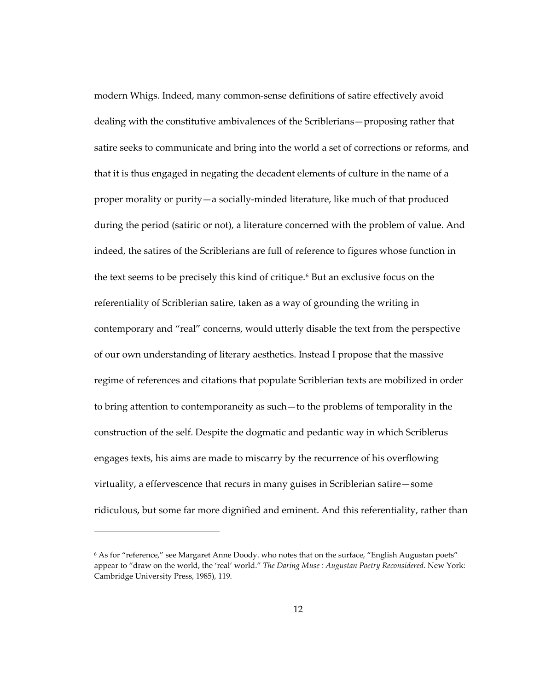modern Whigs. Indeed, many common-sense definitions of satire effectively avoid dealing with the constitutive ambivalences of the Scriblerians—proposing rather that satire seeks to communicate and bring into the world a set of corrections or reforms, and that it is thus engaged in negating the decadent elements of culture in the name of a proper morality or purity—a socially-minded literature, like much of that produced during the period (satiric or not), a literature concerned with the problem of value. And indeed, the satires of the Scriblerians are full of reference to figures whose function in the text seems to be precisely this kind of critique.<sup>[6](#page-20-0)</sup> But an exclusive focus on the referentiality of Scriblerian satire, taken as a way of grounding the writing in contemporary and "real" concerns, would utterly disable the text from the perspective of our own understanding of literary aesthetics. Instead I propose that the massive regime of references and citations that populate Scriblerian texts are mobilized in order to bring attention to contemporaneity as such—to the problems of temporality in the construction of the self. Despite the dogmatic and pedantic way in which Scriblerus engages texts, his aims are made to miscarry by the recurrence of his overflowing virtuality, a effervescence that recurs in many guises in Scriblerian satire—some ridiculous, but some far more dignified and eminent. And this referentiality, rather than

<span id="page-20-0"></span><sup>6</sup> As for "reference," see Margaret Anne Doody. who notes that on the surface, "English Augustan poets" appear to "draw on the world, the 'real' world." *The Daring Muse : Augustan Poetry Reconsidered*. New York: Cambridge University Press, 1985), 119.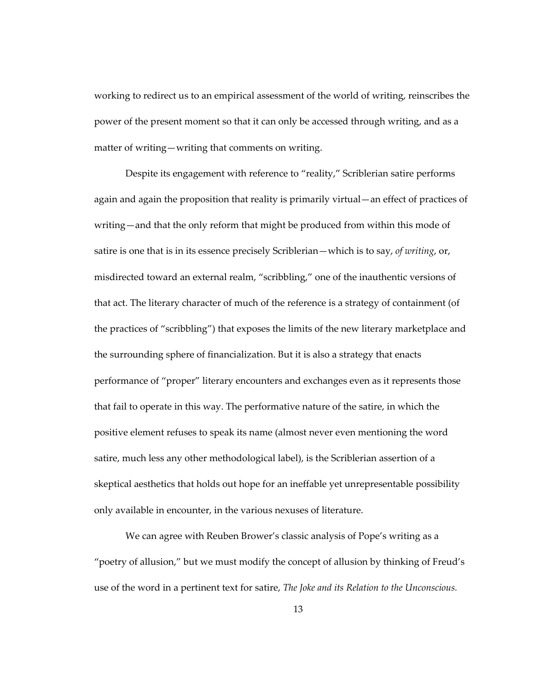working to redirect us to an empirical assessment of the world of writing, reinscribes the power of the present moment so that it can only be accessed through writing, and as a matter of writing—writing that comments on writing.

Despite its engagement with reference to "reality," Scriblerian satire performs again and again the proposition that reality is primarily virtual—an effect of practices of writing—and that the only reform that might be produced from within this mode of satire is one that is in its essence precisely Scriblerian—which is to say, *of writing*, or, misdirected toward an external realm, "scribbling," one of the inauthentic versions of that act. The literary character of much of the reference is a strategy of containment (of the practices of "scribbling") that exposes the limits of the new literary marketplace and the surrounding sphere of financialization. But it is also a strategy that enacts performance of "proper" literary encounters and exchanges even as it represents those that fail to operate in this way. The performative nature of the satire, in which the positive element refuses to speak its name (almost never even mentioning the word satire, much less any other methodological label), is the Scriblerian assertion of a skeptical aesthetics that holds out hope for an ineffable yet unrepresentable possibility only available in encounter, in the various nexuses of literature.

We can agree with Reuben Brower's classic analysis of Pope's writing as a "poetry of allusion," but we must modify the concept of allusion by thinking of Freud's use of the word in a pertinent text for satire, *The Joke and its Relation to the Unconscious.*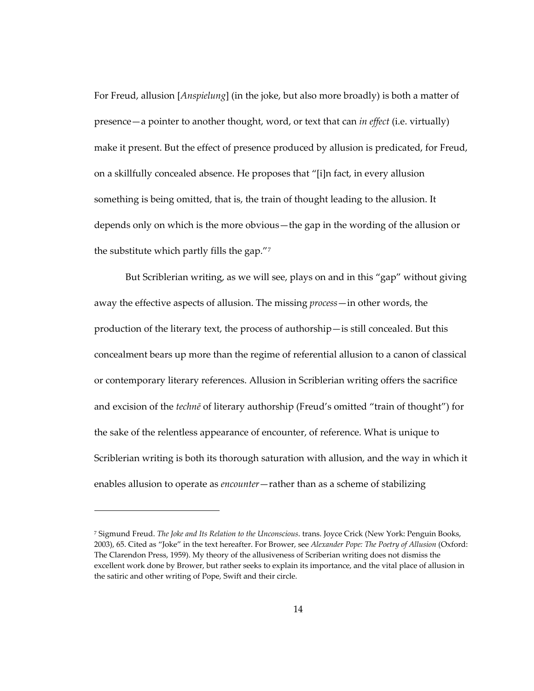For Freud, allusion [*Anspielung*] (in the joke, but also more broadly) is both a matter of presence—a pointer to another thought, word, or text that can *in effect* (i.e. virtually) make it present. But the effect of presence produced by allusion is predicated, for Freud, on a skillfully concealed absence. He proposes that "[i]n fact, in every allusion something is being omitted, that is, the train of thought leading to the allusion. It depends only on which is the more obvious—the gap in the wording of the allusion or the substitute which partly fills the gap."[7](#page-22-0)

But Scriblerian writing, as we will see, plays on and in this "gap" without giving away the effective aspects of allusion. The missing *process*—in other words, the production of the literary text, the process of authorship—is still concealed. But this concealment bears up more than the regime of referential allusion to a canon of classical or contemporary literary references. Allusion in Scriblerian writing offers the sacrifice and excision of the *technē* of literary authorship (Freud's omitted "train of thought") for the sake of the relentless appearance of encounter, of reference. What is unique to Scriblerian writing is both its thorough saturation with allusion, and the way in which it enables allusion to operate as *encounter*—rather than as a scheme of stabilizing

1

<span id="page-22-0"></span><sup>7</sup> Sigmund Freud. *The Joke and Its Relation to the Unconscious*. trans. Joyce Crick (New York: Penguin Books, 2003), 65. Cited as "Joke" in the text hereafter. For Brower, see *Alexander Pope: The Poetry of Allusion* (Oxford: The Clarendon Press, 1959). My theory of the allusiveness of Scriberian writing does not dismiss the excellent work done by Brower, but rather seeks to explain its importance, and the vital place of allusion in the satiric and other writing of Pope, Swift and their circle.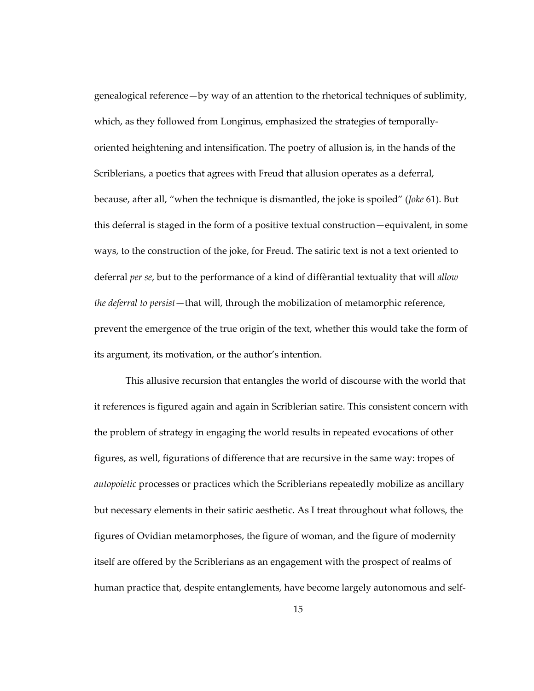genealogical reference—by way of an attention to the rhetorical techniques of sublimity, which, as they followed from Longinus, emphasized the strategies of temporallyoriented heightening and intensification. The poetry of allusion is, in the hands of the Scriblerians, a poetics that agrees with Freud that allusion operates as a deferral, because, after all, "when the technique is dismantled, the joke is spoiled" (*Joke* 61). But this deferral is staged in the form of a positive textual construction—equivalent, in some ways, to the construction of the joke, for Freud. The satiric text is not a text oriented to deferral *per se*, but to the performance of a kind of diffèrantial textuality that will *allow the deferral to persist*—that will, through the mobilization of metamorphic reference, prevent the emergence of the true origin of the text, whether this would take the form of its argument, its motivation, or the author's intention.

This allusive recursion that entangles the world of discourse with the world that it references is figured again and again in Scriblerian satire. This consistent concern with the problem of strategy in engaging the world results in repeated evocations of other figures, as well, figurations of difference that are recursive in the same way: tropes of *autopoietic* processes or practices which the Scriblerians repeatedly mobilize as ancillary but necessary elements in their satiric aesthetic. As I treat throughout what follows, the figures of Ovidian metamorphoses, the figure of woman, and the figure of modernity itself are offered by the Scriblerians as an engagement with the prospect of realms of human practice that, despite entanglements, have become largely autonomous and self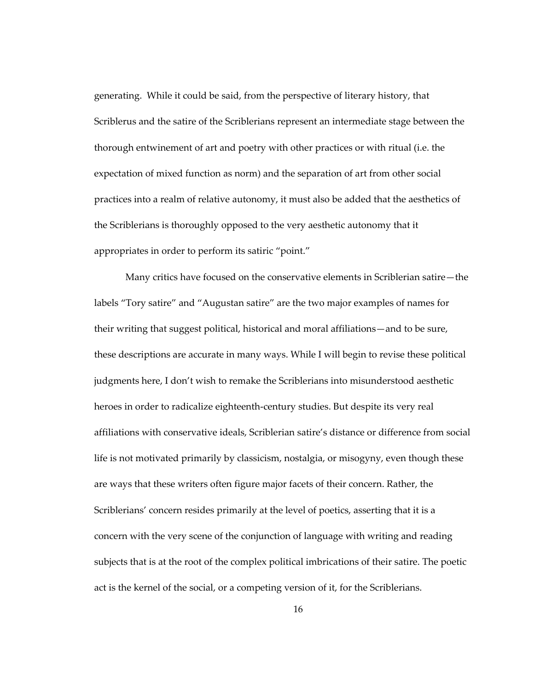generating. While it could be said, from the perspective of literary history, that Scriblerus and the satire of the Scriblerians represent an intermediate stage between the thorough entwinement of art and poetry with other practices or with ritual (i.e. the expectation of mixed function as norm) and the separation of art from other social practices into a realm of relative autonomy, it must also be added that the aesthetics of the Scriblerians is thoroughly opposed to the very aesthetic autonomy that it appropriates in order to perform its satiric "point."

Many critics have focused on the conservative elements in Scriblerian satire—the labels "Tory satire" and "Augustan satire" are the two major examples of names for their writing that suggest political, historical and moral affiliations—and to be sure, these descriptions are accurate in many ways. While I will begin to revise these political judgments here, I don't wish to remake the Scriblerians into misunderstood aesthetic heroes in order to radicalize eighteenth-century studies. But despite its very real affiliations with conservative ideals, Scriblerian satire's distance or difference from social life is not motivated primarily by classicism, nostalgia, or misogyny, even though these are ways that these writers often figure major facets of their concern. Rather, the Scriblerians' concern resides primarily at the level of poetics, asserting that it is a concern with the very scene of the conjunction of language with writing and reading subjects that is at the root of the complex political imbrications of their satire. The poetic act is the kernel of the social, or a competing version of it, for the Scriblerians.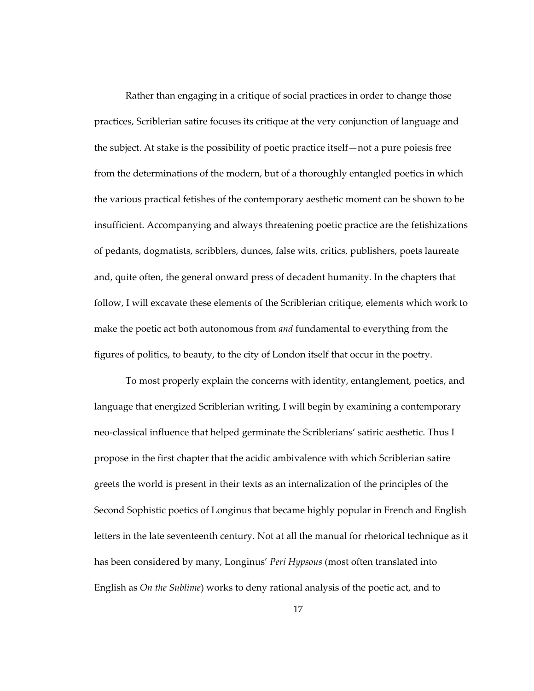Rather than engaging in a critique of social practices in order to change those practices, Scriblerian satire focuses its critique at the very conjunction of language and the subject. At stake is the possibility of poetic practice itself—not a pure poiesis free from the determinations of the modern, but of a thoroughly entangled poetics in which the various practical fetishes of the contemporary aesthetic moment can be shown to be insufficient. Accompanying and always threatening poetic practice are the fetishizations of pedants, dogmatists, scribblers, dunces, false wits, critics, publishers, poets laureate and, quite often, the general onward press of decadent humanity. In the chapters that follow, I will excavate these elements of the Scriblerian critique, elements which work to make the poetic act both autonomous from *and* fundamental to everything from the figures of politics, to beauty, to the city of London itself that occur in the poetry.

To most properly explain the concerns with identity, entanglement, poetics, and language that energized Scriblerian writing, I will begin by examining a contemporary neo-classical influence that helped germinate the Scriblerians' satiric aesthetic. Thus I propose in the first chapter that the acidic ambivalence with which Scriblerian satire greets the world is present in their texts as an internalization of the principles of the Second Sophistic poetics of Longinus that became highly popular in French and English letters in the late seventeenth century. Not at all the manual for rhetorical technique as it has been considered by many, Longinus' *Peri Hypsous* (most often translated into English as *On the Sublime*) works to deny rational analysis of the poetic act, and to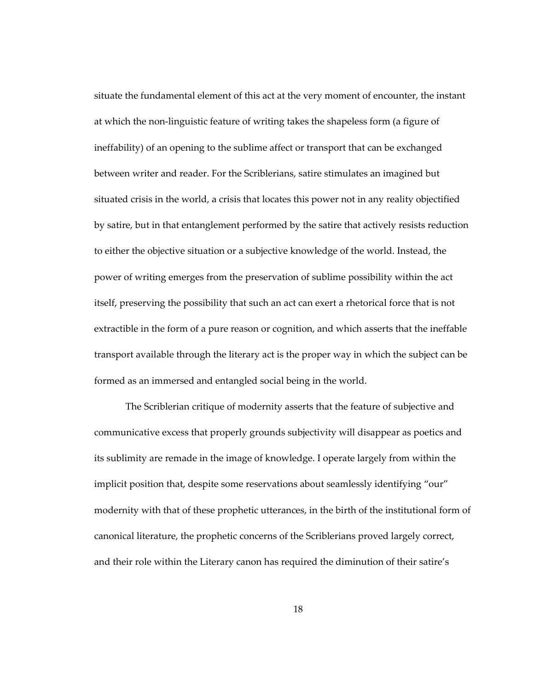situate the fundamental element of this act at the very moment of encounter, the instant at which the non-linguistic feature of writing takes the shapeless form (a figure of ineffability) of an opening to the sublime affect or transport that can be exchanged between writer and reader. For the Scriblerians, satire stimulates an imagined but situated crisis in the world, a crisis that locates this power not in any reality objectified by satire, but in that entanglement performed by the satire that actively resists reduction to either the objective situation or a subjective knowledge of the world. Instead, the power of writing emerges from the preservation of sublime possibility within the act itself, preserving the possibility that such an act can exert a rhetorical force that is not extractible in the form of a pure reason or cognition, and which asserts that the ineffable transport available through the literary act is the proper way in which the subject can be formed as an immersed and entangled social being in the world.

The Scriblerian critique of modernity asserts that the feature of subjective and communicative excess that properly grounds subjectivity will disappear as poetics and its sublimity are remade in the image of knowledge. I operate largely from within the implicit position that, despite some reservations about seamlessly identifying "our" modernity with that of these prophetic utterances, in the birth of the institutional form of canonical literature, the prophetic concerns of the Scriblerians proved largely correct, and their role within the Literary canon has required the diminution of their satire's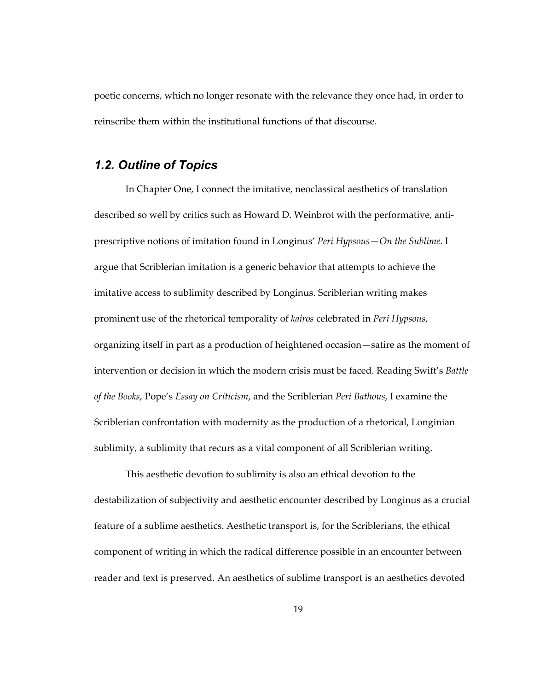<span id="page-27-0"></span>poetic concerns, which no longer resonate with the relevance they once had, in order to reinscribe them within the institutional functions of that discourse.

#### *1.2. Outline of Topics*

In Chapter One, I connect the imitative, neoclassical aesthetics of translation described so well by critics such as Howard D. Weinbrot with the performative, antiprescriptive notions of imitation found in Longinus' *Peri Hypsous*—*On the Sublime*. I argue that Scriblerian imitation is a generic behavior that attempts to achieve the imitative access to sublimity described by Longinus. Scriblerian writing makes prominent use of the rhetorical temporality of *kairos* celebrated in *Peri Hypsous*, organizing itself in part as a production of heightened occasion—satire as the moment of intervention or decision in which the modern crisis must be faced. Reading Swift's *Battle of the Books*, Pope's *Essay on Criticism*, and the Scriblerian *Peri Bathous*, I examine the Scriblerian confrontation with modernity as the production of a rhetorical, Longinian sublimity, a sublimity that recurs as a vital component of all Scriblerian writing.

This aesthetic devotion to sublimity is also an ethical devotion to the destabilization of subjectivity and aesthetic encounter described by Longinus as a crucial feature of a sublime aesthetics. Aesthetic transport is, for the Scriblerians, the ethical component of writing in which the radical difference possible in an encounter between reader and text is preserved. An aesthetics of sublime transport is an aesthetics devoted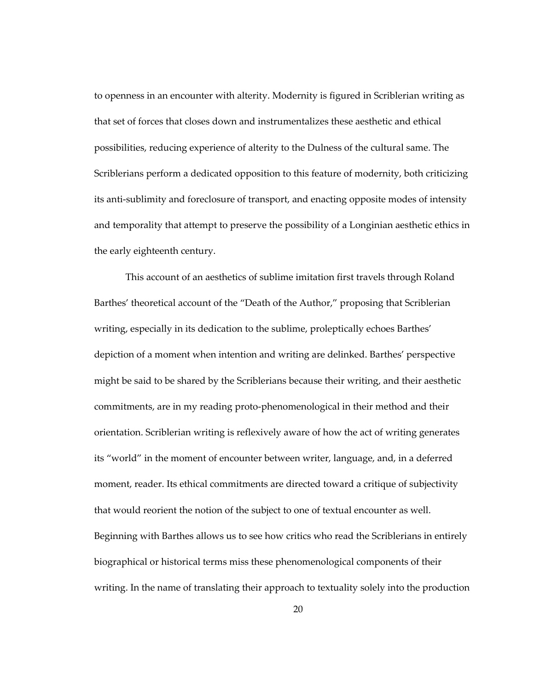to openness in an encounter with alterity. Modernity is figured in Scriblerian writing as that set of forces that closes down and instrumentalizes these aesthetic and ethical possibilities, reducing experience of alterity to the Dulness of the cultural same. The Scriblerians perform a dedicated opposition to this feature of modernity, both criticizing its anti-sublimity and foreclosure of transport, and enacting opposite modes of intensity and temporality that attempt to preserve the possibility of a Longinian aesthetic ethics in the early eighteenth century.

This account of an aesthetics of sublime imitation first travels through Roland Barthes' theoretical account of the "Death of the Author," proposing that Scriblerian writing, especially in its dedication to the sublime, proleptically echoes Barthes' depiction of a moment when intention and writing are delinked. Barthes' perspective might be said to be shared by the Scriblerians because their writing, and their aesthetic commitments, are in my reading proto-phenomenological in their method and their orientation. Scriblerian writing is reflexively aware of how the act of writing generates its "world" in the moment of encounter between writer, language, and, in a deferred moment, reader. Its ethical commitments are directed toward a critique of subjectivity that would reorient the notion of the subject to one of textual encounter as well. Beginning with Barthes allows us to see how critics who read the Scriblerians in entirely biographical or historical terms miss these phenomenological components of their writing. In the name of translating their approach to textuality solely into the production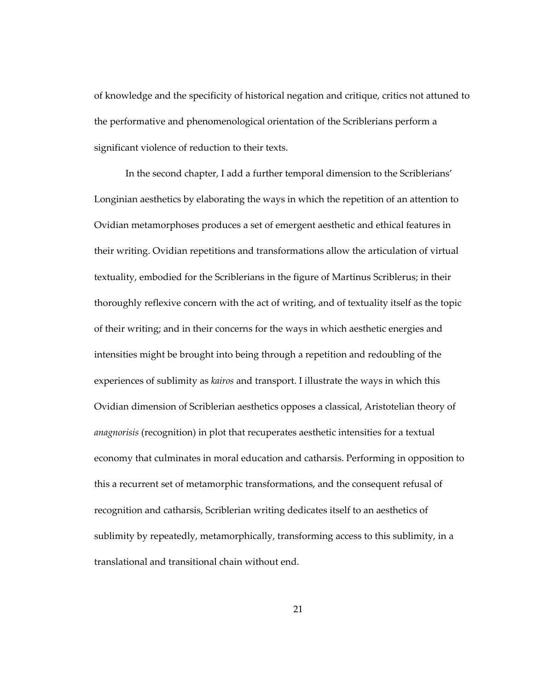of knowledge and the specificity of historical negation and critique, critics not attuned to the performative and phenomenological orientation of the Scriblerians perform a significant violence of reduction to their texts.

In the second chapter, I add a further temporal dimension to the Scriblerians' Longinian aesthetics by elaborating the ways in which the repetition of an attention to Ovidian metamorphoses produces a set of emergent aesthetic and ethical features in their writing. Ovidian repetitions and transformations allow the articulation of virtual textuality, embodied for the Scriblerians in the figure of Martinus Scriblerus; in their thoroughly reflexive concern with the act of writing, and of textuality itself as the topic of their writing; and in their concerns for the ways in which aesthetic energies and intensities might be brought into being through a repetition and redoubling of the experiences of sublimity as *kairos* and transport. I illustrate the ways in which this Ovidian dimension of Scriblerian aesthetics opposes a classical, Aristotelian theory of *anagnorisis* (recognition) in plot that recuperates aesthetic intensities for a textual economy that culminates in moral education and catharsis. Performing in opposition to this a recurrent set of metamorphic transformations, and the consequent refusal of recognition and catharsis, Scriblerian writing dedicates itself to an aesthetics of sublimity by repeatedly, metamorphically, transforming access to this sublimity, in a translational and transitional chain without end.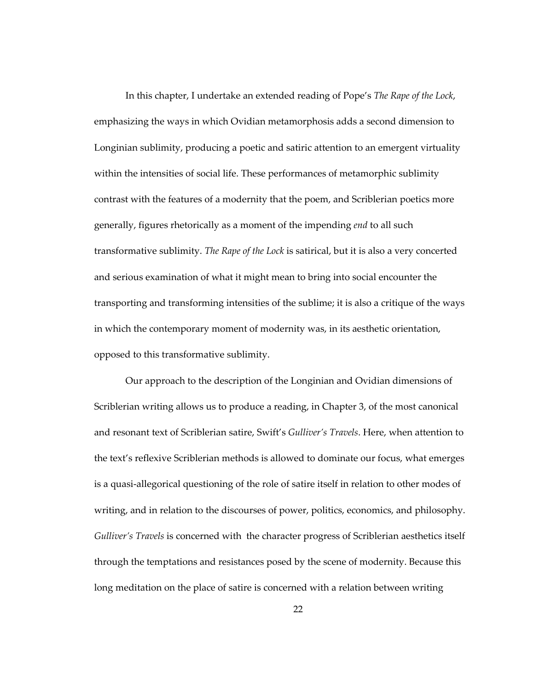In this chapter, I undertake an extended reading of Pope's *The Rape of the Lock*, emphasizing the ways in which Ovidian metamorphosis adds a second dimension to Longinian sublimity, producing a poetic and satiric attention to an emergent virtuality within the intensities of social life. These performances of metamorphic sublimity contrast with the features of a modernity that the poem, and Scriblerian poetics more generally, figures rhetorically as a moment of the impending *end* to all such transformative sublimity. *The Rape of the Lock* is satirical, but it is also a very concerted and serious examination of what it might mean to bring into social encounter the transporting and transforming intensities of the sublime; it is also a critique of the ways in which the contemporary moment of modernity was, in its aesthetic orientation, opposed to this transformative sublimity.

Our approach to the description of the Longinian and Ovidian dimensions of Scriblerian writing allows us to produce a reading, in Chapter 3, of the most canonical and resonant text of Scriblerian satire, Swift's *Gulliver's Travels*. Here, when attention to the text's reflexive Scriblerian methods is allowed to dominate our focus, what emerges is a quasi-allegorical questioning of the role of satire itself in relation to other modes of writing, and in relation to the discourses of power, politics, economics, and philosophy. *Gulliver's Travels* is concerned with the character progress of Scriblerian aesthetics itself through the temptations and resistances posed by the scene of modernity. Because this long meditation on the place of satire is concerned with a relation between writing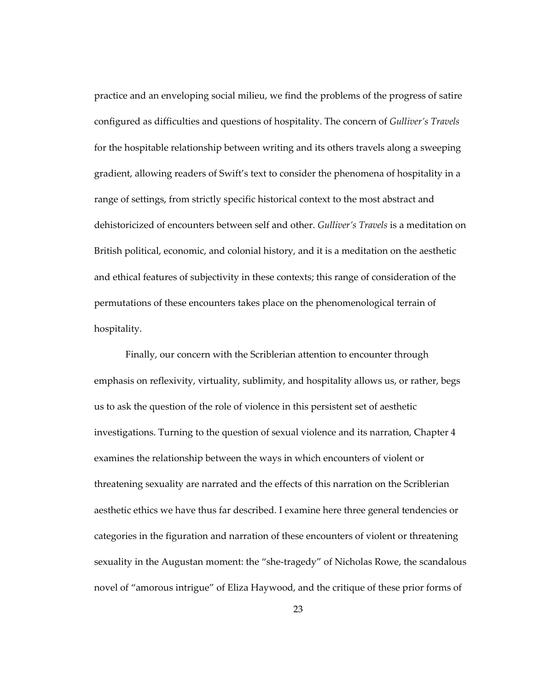practice and an enveloping social milieu, we find the problems of the progress of satire configured as difficulties and questions of hospitality. The concern of *Gulliver's Travels* for the hospitable relationship between writing and its others travels along a sweeping gradient, allowing readers of Swift's text to consider the phenomena of hospitality in a range of settings, from strictly specific historical context to the most abstract and dehistoricized of encounters between self and other. *Gulliver's Travels* is a meditation on British political, economic, and colonial history, and it is a meditation on the aesthetic and ethical features of subjectivity in these contexts; this range of consideration of the permutations of these encounters takes place on the phenomenological terrain of hospitality.

Finally, our concern with the Scriblerian attention to encounter through emphasis on reflexivity, virtuality, sublimity, and hospitality allows us, or rather, begs us to ask the question of the role of violence in this persistent set of aesthetic investigations. Turning to the question of sexual violence and its narration, Chapter 4 examines the relationship between the ways in which encounters of violent or threatening sexuality are narrated and the effects of this narration on the Scriblerian aesthetic ethics we have thus far described. I examine here three general tendencies or categories in the figuration and narration of these encounters of violent or threatening sexuality in the Augustan moment: the "she-tragedy" of Nicholas Rowe, the scandalous novel of "amorous intrigue" of Eliza Haywood, and the critique of these prior forms of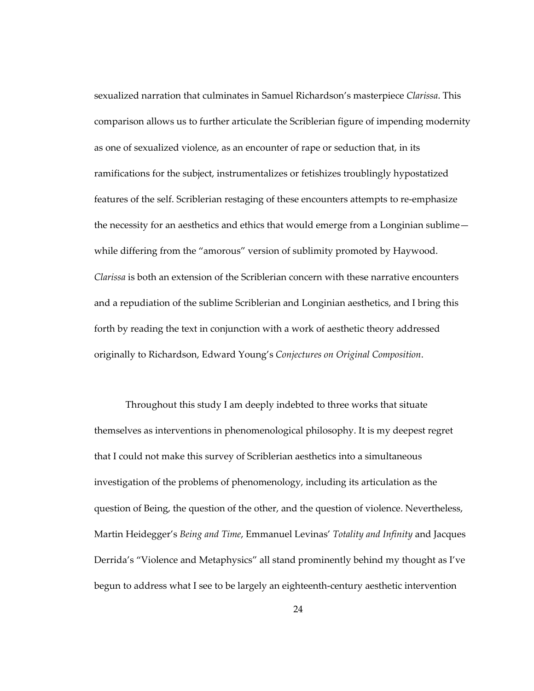sexualized narration that culminates in Samuel Richardson's masterpiece *Clarissa*. This comparison allows us to further articulate the Scriblerian figure of impending modernity as one of sexualized violence, as an encounter of rape or seduction that, in its ramifications for the subject, instrumentalizes or fetishizes troublingly hypostatized features of the self. Scriblerian restaging of these encounters attempts to re-emphasize the necessity for an aesthetics and ethics that would emerge from a Longinian sublime while differing from the "amorous" version of sublimity promoted by Haywood. *Clarissa* is both an extension of the Scriblerian concern with these narrative encounters and a repudiation of the sublime Scriblerian and Longinian aesthetics, and I bring this forth by reading the text in conjunction with a work of aesthetic theory addressed originally to Richardson, Edward Young's *Conjectures on Original Composition*.

Throughout this study I am deeply indebted to three works that situate themselves as interventions in phenomenological philosophy. It is my deepest regret that I could not make this survey of Scriblerian aesthetics into a simultaneous investigation of the problems of phenomenology, including its articulation as the question of Being, the question of the other, and the question of violence. Nevertheless, Martin Heidegger's *Being and Time*, Emmanuel Levinas' *Totality and Infinity* and Jacques Derrida's "Violence and Metaphysics" all stand prominently behind my thought as I've begun to address what I see to be largely an eighteenth-century aesthetic intervention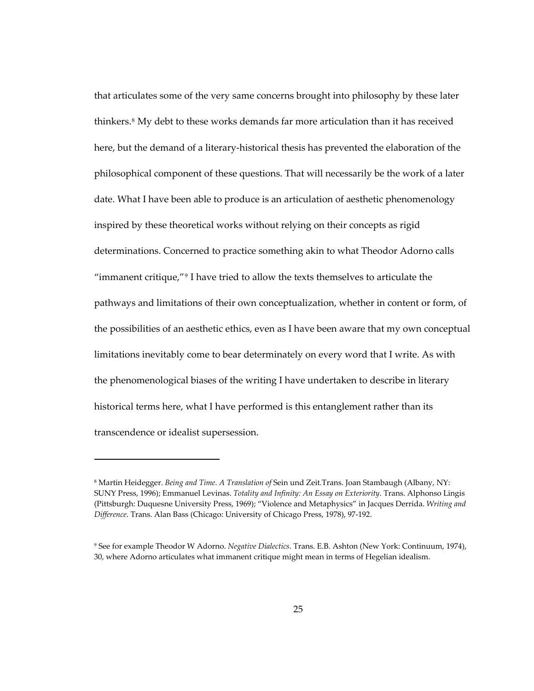that articulates some of the very same concerns brought into philosophy by these later thinkers.[8](#page-33-0) My debt to these works demands far more articulation than it has received here, but the demand of a literary-historical thesis has prevented the elaboration of the philosophical component of these questions. That will necessarily be the work of a later date. What I have been able to produce is an articulation of aesthetic phenomenology inspired by these theoretical works without relying on their concepts as rigid determinations. Concerned to practice something akin to what Theodor Adorno calls "immanent critique,"[9](#page-33-1) I have tried to allow the texts themselves to articulate the pathways and limitations of their own conceptualization, whether in content or form, of the possibilities of an aesthetic ethics, even as I have been aware that my own conceptual limitations inevitably come to bear determinately on every word that I write. As with the phenomenological biases of the writing I have undertaken to describe in literary historical terms here, what I have performed is this entanglement rather than its transcendence or idealist supersession.

<span id="page-33-0"></span><sup>8</sup> Martin Heidegger. *Being and Time*. *A Translation of* Sein und Zeit*.*Trans. Joan Stambaugh (Albany, NY: SUNY Press, 1996); Emmanuel Levinas. *Totality and Infinity: An Essay on Exteriority*. Trans. Alphonso Lingis (Pittsburgh: Duquesne University Press, 1969); "Violence and Metaphysics" in Jacques Derrida. *Writing and Difference*. Trans. Alan Bass (Chicago: University of Chicago Press, 1978), 97-192.

<span id="page-33-1"></span><sup>9</sup> See for example Theodor W Adorno. *Negative Dialectics*. Trans. E.B. Ashton (New York: Continuum, 1974), 30, where Adorno articulates what immanent critique might mean in terms of Hegelian idealism.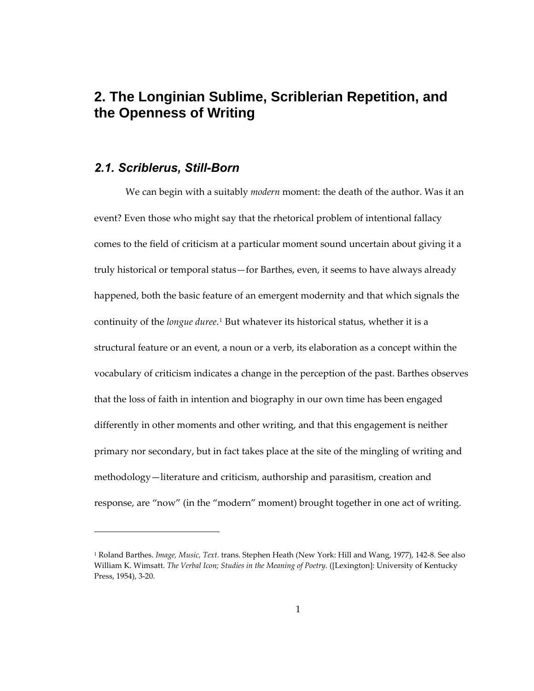# <span id="page-34-0"></span>**2. The Longinian Sublime, Scriblerian Repetition, and the Openness of Writing**

#### *2.1. Scriblerus, Still-Born*

-

We can begin with a suitably *modern* moment: the death of the author. Was it an event? Even those who might say that the rhetorical problem of intentional fallacy comes to the field of criticism at a particular moment sound uncertain about giving it a truly historical or temporal status—for Barthes, even, it seems to have always already happened, both the basic feature of an emergent modernity and that which signals the continuity of the *longue duree*.[1](#page-34-1) But whatever its historical status, whether it is a structural feature or an event, a noun or a verb, its elaboration as a concept within the vocabulary of criticism indicates a change in the perception of the past. Barthes observes that the loss of faith in intention and biography in our own time has been engaged differently in other moments and other writing, and that this engagement is neither primary nor secondary, but in fact takes place at the site of the mingling of writing and methodology—literature and criticism, authorship and parasitism, creation and response, are "now" (in the "modern" moment) brought together in one act of writing.

<span id="page-34-1"></span><sup>1</sup> Roland Barthes. *Image, Music, Text.* trans. Stephen Heath (New York: Hill and Wang, 1977), 142-8. See also William K. Wimsatt. *The Verbal Icon; Studies in the Meaning of Poetry.* ([Lexington]: University of Kentucky Press, 1954), 3-20.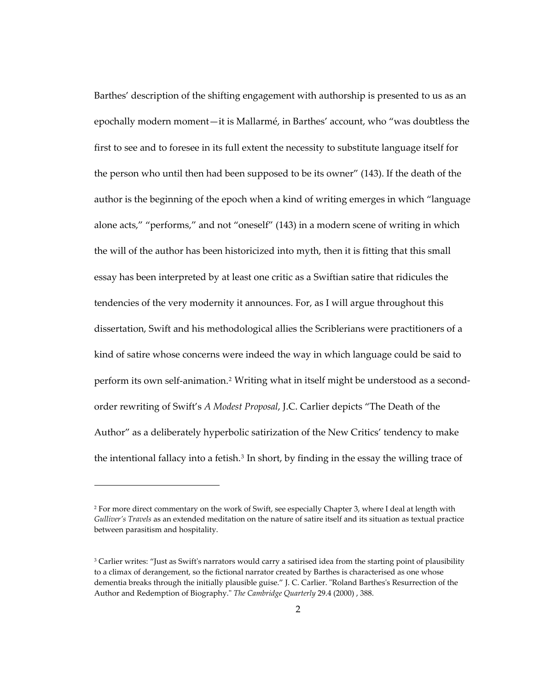Barthes' description of the shifting engagement with authorship is presented to us as an epochally modern moment—it is Mallarmé, in Barthes' account, who "was doubtless the first to see and to foresee in its full extent the necessity to substitute language itself for the person who until then had been supposed to be its owner" (143). If the death of the author is the beginning of the epoch when a kind of writing emerges in which "language alone acts," "performs," and not "oneself" (143) in a modern scene of writing in which the will of the author has been historicized into myth, then it is fitting that this small essay has been interpreted by at least one critic as a Swiftian satire that ridicules the tendencies of the very modernity it announces. For, as I will argue throughout this dissertation, Swift and his methodological allies the Scriblerians were practitioners of a kind of satire whose concerns were indeed the way in which language could be said to perform its own self-animation[.2](#page-35-0) Writing what in itself might be understood as a secondorder rewriting of Swift's *A Modest Proposal*, J.C. Carlier depicts "The Death of the Author" as a deliberately hyperbolic satirization of the New Critics' tendency to make the intentional fallacy into a fetish. $3$  In short, by finding in the essay the willing trace of

<span id="page-35-0"></span><sup>&</sup>lt;sup>2</sup> For more direct commentary on the work of Swift, see especially Chapter 3, where I deal at length with *Gulliver's Travels* as an extended meditation on the nature of satire itself and its situation as textual practice between parasitism and hospitality.

<span id="page-35-1"></span><sup>&</sup>lt;sup>3</sup> Carlier writes: "Just as Swift's narrators would carry a satirised idea from the starting point of plausibility to a climax of derangement, so the fictional narrator created by Barthes is characterised as one whose dementia breaks through the initially plausible guise." J. C. Carlier. "Roland Barthes's Resurrection of the Author and Redemption of Biography." *The Cambridge Quarterly* 29.4 (2000) , 388.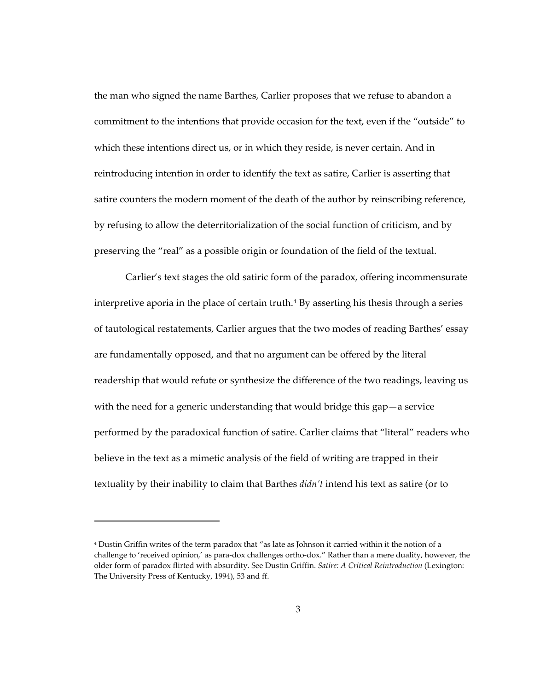the man who signed the name Barthes, Carlier proposes that we refuse to abandon a commitment to the intentions that provide occasion for the text, even if the "outside" to which these intentions direct us, or in which they reside, is never certain. And in reintroducing intention in order to identify the text as satire, Carlier is asserting that satire counters the modern moment of the death of the author by reinscribing reference, by refusing to allow the deterritorialization of the social function of criticism, and by preserving the "real" as a possible origin or foundation of the field of the textual.

Carlier's text stages the old satiric form of the paradox, offering incommensurate interpretive aporia in the place of certain truth.<sup>[4](#page-36-0)</sup> By asserting his thesis through a series of tautological restatements, Carlier argues that the two modes of reading Barthes' essay are fundamentally opposed, and that no argument can be offered by the literal readership that would refute or synthesize the difference of the two readings, leaving us with the need for a generic understanding that would bridge this gap—a service performed by the paradoxical function of satire. Carlier claims that "literal" readers who believe in the text as a mimetic analysis of the field of writing are trapped in their textuality by their inability to claim that Barthes *didn't* intend his text as satire (or to

<span id="page-36-0"></span><sup>4</sup> Dustin Griffin writes of the term paradox that "as late as Johnson it carried within it the notion of a challenge to 'received opinion,' as para-dox challenges ortho-dox." Rather than a mere duality, however, the older form of paradox flirted with absurdity. See Dustin Griffin. *Satire: A Critical Reintroduction* (Lexington: The University Press of Kentucky, 1994), 53 and ff.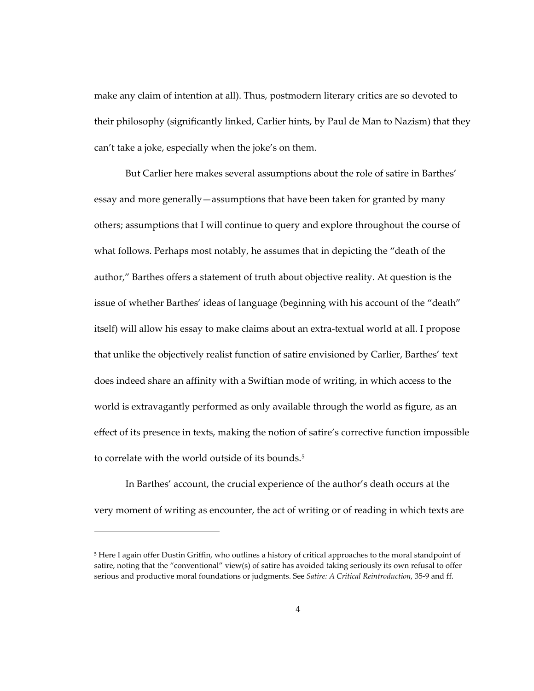make any claim of intention at all). Thus, postmodern literary critics are so devoted to their philosophy (significantly linked, Carlier hints, by Paul de Man to Nazism) that they can't take a joke, especially when the joke's on them.

But Carlier here makes several assumptions about the role of satire in Barthes' essay and more generally—assumptions that have been taken for granted by many others; assumptions that I will continue to query and explore throughout the course of what follows. Perhaps most notably, he assumes that in depicting the "death of the author," Barthes offers a statement of truth about objective reality. At question is the issue of whether Barthes' ideas of language (beginning with his account of the "death" itself) will allow his essay to make claims about an extra-textual world at all. I propose that unlike the objectively realist function of satire envisioned by Carlier, Barthes' text does indeed share an affinity with a Swiftian mode of writing, in which access to the world is extravagantly performed as only available through the world as figure, as an effect of its presence in texts, making the notion of satire's corrective function impossible to correlate with the world outside of its bounds.<sup>[5](#page-37-0)</sup>

In Barthes' account, the crucial experience of the author's death occurs at the very moment of writing as encounter, the act of writing or of reading in which texts are

<span id="page-37-0"></span><sup>5</sup> Here I again offer Dustin Griffin, who outlines a history of critical approaches to the moral standpoint of satire, noting that the "conventional" view(s) of satire has avoided taking seriously its own refusal to offer serious and productive moral foundations or judgments. See *Satire: A Critical Reintroduction*, 35-9 and ff.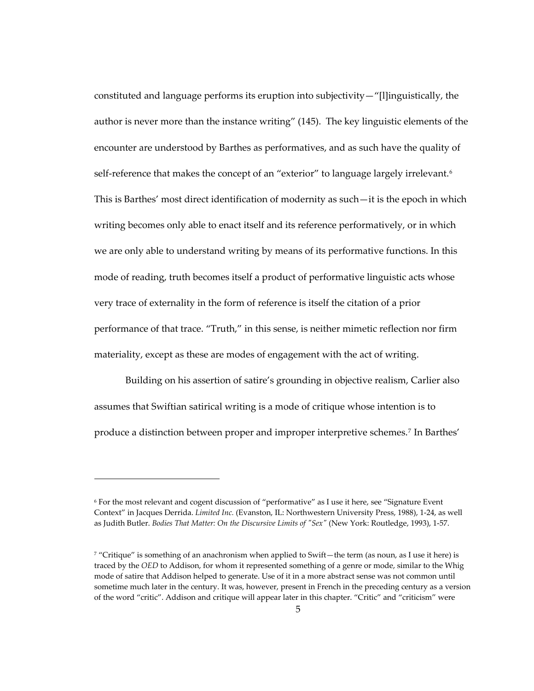constituted and language performs its eruption into subjectivity—"[l]inguistically, the author is never more than the instance writing" (145). The key linguistic elements of the encounter are understood by Barthes as performatives, and as such have the quality of self-reference that makes the concept of an "exterior" to language largely irrelevant.<sup>[6](#page-38-0)</sup> This is Barthes' most direct identification of modernity as such—it is the epoch in which writing becomes only able to enact itself and its reference performatively, or in which we are only able to understand writing by means of its performative functions. In this mode of reading, truth becomes itself a product of performative linguistic acts whose very trace of externality in the form of reference is itself the citation of a prior performance of that trace. "Truth," in this sense, is neither mimetic reflection nor firm materiality, except as these are modes of engagement with the act of writing.

Building on his assertion of satire's grounding in objective realism, Carlier also assumes that Swiftian satirical writing is a mode of critique whose intention is to produce a distinction between proper and improper interpretive schemes.[7](#page-38-1) In Barthes'

<span id="page-38-0"></span><sup>6</sup> For the most relevant and cogent discussion of "performative" as I use it here, see "Signature Event Context" in Jacques Derrida. *Limited Inc.* (Evanston, IL: Northwestern University Press, 1988), 1-24, as well as Judith Butler. *Bodies That Matter: On the Discursive Limits of "Sex"* (New York: Routledge, 1993), 1-57.

<span id="page-38-1"></span> $\frac{7}{2}$  "Critique" is something of an anachronism when applied to Swift—the term (as noun, as I use it here) is traced by the *OED* to Addison, for whom it represented something of a genre or mode, similar to the Whig mode of satire that Addison helped to generate. Use of it in a more abstract sense was not common until sometime much later in the century. It was, however, present in French in the preceding century as a version of the word "critic". Addison and critique will appear later in this chapter. "Critic" and "criticism" were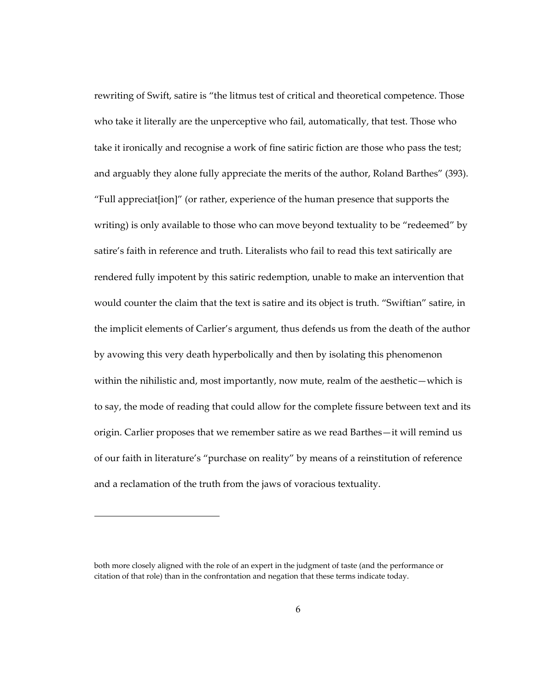rewriting of Swift, satire is "the litmus test of critical and theoretical competence. Those who take it literally are the unperceptive who fail, automatically, that test. Those who take it ironically and recognise a work of fine satiric fiction are those who pass the test; and arguably they alone fully appreciate the merits of the author, Roland Barthes" (393). "Full appreciat[ion]" (or rather, experience of the human presence that supports the writing) is only available to those who can move beyond textuality to be "redeemed" by satire's faith in reference and truth. Literalists who fail to read this text satirically are rendered fully impotent by this satiric redemption, unable to make an intervention that would counter the claim that the text is satire and its object is truth. "Swiftian" satire, in the implicit elements of Carlier's argument, thus defends us from the death of the author by avowing this very death hyperbolically and then by isolating this phenomenon within the nihilistic and, most importantly, now mute, realm of the aesthetic—which is to say, the mode of reading that could allow for the complete fissure between text and its origin. Carlier proposes that we remember satire as we read Barthes—it will remind us of our faith in literature's "purchase on reality" by means of a reinstitution of reference and a reclamation of the truth from the jaws of voracious textuality.

1

both more closely aligned with the role of an expert in the judgment of taste (and the performance or citation of that role) than in the confrontation and negation that these terms indicate today.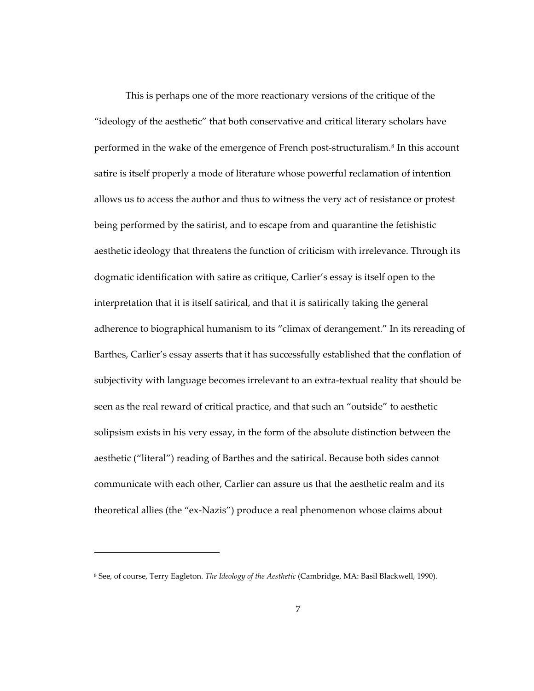This is perhaps one of the more reactionary versions of the critique of the "ideology of the aesthetic" that both conservative and critical literary scholars have performed in the wake of the emergence of French post-structuralism.<sup>[8](#page-40-0)</sup> In this account satire is itself properly a mode of literature whose powerful reclamation of intention allows us to access the author and thus to witness the very act of resistance or protest being performed by the satirist, and to escape from and quarantine the fetishistic aesthetic ideology that threatens the function of criticism with irrelevance. Through its dogmatic identification with satire as critique, Carlier's essay is itself open to the interpretation that it is itself satirical, and that it is satirically taking the general adherence to biographical humanism to its "climax of derangement." In its rereading of Barthes, Carlier's essay asserts that it has successfully established that the conflation of subjectivity with language becomes irrelevant to an extra-textual reality that should be seen as the real reward of critical practice, and that such an "outside" to aesthetic solipsism exists in his very essay, in the form of the absolute distinction between the aesthetic ("literal") reading of Barthes and the satirical. Because both sides cannot communicate with each other, Carlier can assure us that the aesthetic realm and its theoretical allies (the "ex-Nazis") produce a real phenomenon whose claims about

<span id="page-40-0"></span><sup>8</sup> See, of course, Terry Eagleton. *The Ideology of the Aesthetic* (Cambridge, MA: Basil Blackwell, 1990).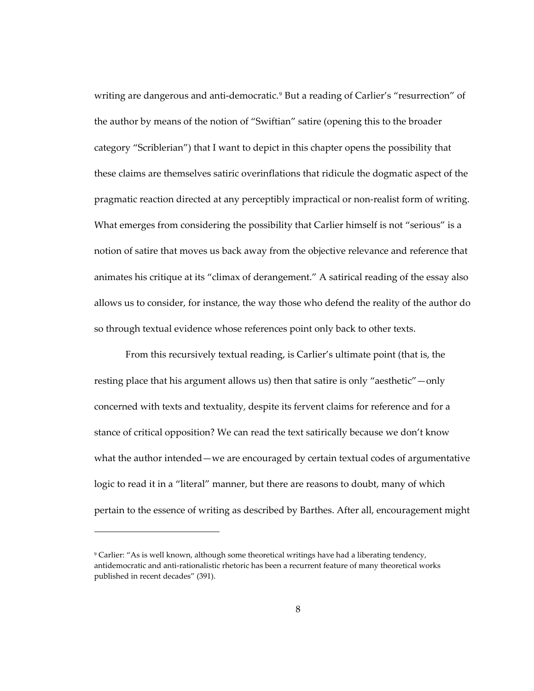writing are dangerous and anti-democratic.<sup>[9](#page-41-0)</sup> But a reading of Carlier's "resurrection" of the author by means of the notion of "Swiftian" satire (opening this to the broader category "Scriblerian") that I want to depict in this chapter opens the possibility that these claims are themselves satiric overinflations that ridicule the dogmatic aspect of the pragmatic reaction directed at any perceptibly impractical or non-realist form of writing. What emerges from considering the possibility that Carlier himself is not "serious" is a notion of satire that moves us back away from the objective relevance and reference that animates his critique at its "climax of derangement." A satirical reading of the essay also allows us to consider, for instance, the way those who defend the reality of the author do so through textual evidence whose references point only back to other texts.

From this recursively textual reading, is Carlier's ultimate point (that is, the resting place that his argument allows us) then that satire is only "aesthetic"—only concerned with texts and textuality, despite its fervent claims for reference and for a stance of critical opposition? We can read the text satirically because we don't know what the author intended—we are encouraged by certain textual codes of argumentative logic to read it in a "literal" manner, but there are reasons to doubt, many of which pertain to the essence of writing as described by Barthes. After all, encouragement might

<span id="page-41-0"></span><sup>9</sup> Carlier: "As is well known, although some theoretical writings have had a liberating tendency, antidemocratic and anti-rationalistic rhetoric has been a recurrent feature of many theoretical works published in recent decades" (391).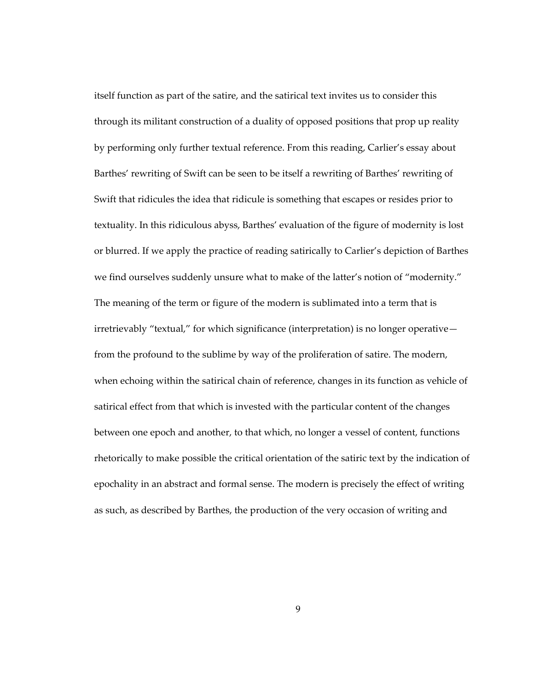itself function as part of the satire, and the satirical text invites us to consider this through its militant construction of a duality of opposed positions that prop up reality by performing only further textual reference. From this reading, Carlier's essay about Barthes' rewriting of Swift can be seen to be itself a rewriting of Barthes' rewriting of Swift that ridicules the idea that ridicule is something that escapes or resides prior to textuality. In this ridiculous abyss, Barthes' evaluation of the figure of modernity is lost or blurred. If we apply the practice of reading satirically to Carlier's depiction of Barthes we find ourselves suddenly unsure what to make of the latter's notion of "modernity." The meaning of the term or figure of the modern is sublimated into a term that is irretrievably "textual," for which significance (interpretation) is no longer operative from the profound to the sublime by way of the proliferation of satire. The modern, when echoing within the satirical chain of reference, changes in its function as vehicle of satirical effect from that which is invested with the particular content of the changes between one epoch and another, to that which, no longer a vessel of content, functions rhetorically to make possible the critical orientation of the satiric text by the indication of epochality in an abstract and formal sense. The modern is precisely the effect of writing as such, as described by Barthes, the production of the very occasion of writing and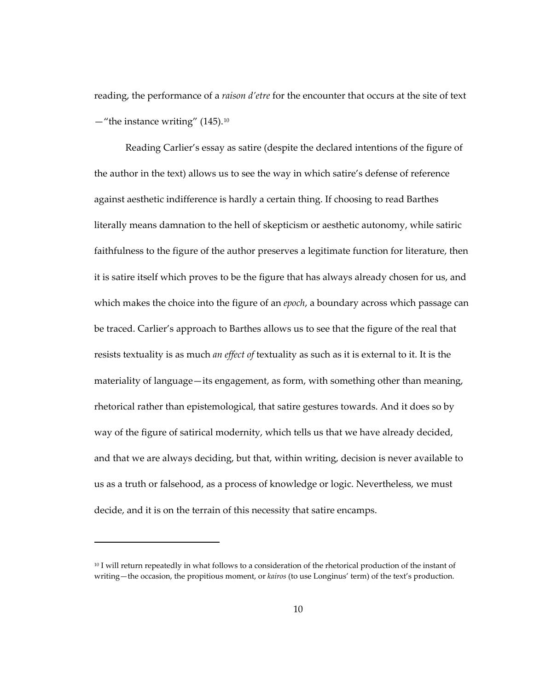reading, the performance of a *raison d'etre* for the encounter that occurs at the site of text  $-$ "the instance writing" (145).<sup>10</sup>

Reading Carlier's essay as satire (despite the declared intentions of the figure of the author in the text) allows us to see the way in which satire's defense of reference against aesthetic indifference is hardly a certain thing. If choosing to read Barthes literally means damnation to the hell of skepticism or aesthetic autonomy, while satiric faithfulness to the figure of the author preserves a legitimate function for literature, then it is satire itself which proves to be the figure that has always already chosen for us, and which makes the choice into the figure of an *epoch*, a boundary across which passage can be traced. Carlier's approach to Barthes allows us to see that the figure of the real that resists textuality is as much *an effect of* textuality as such as it is external to it. It is the materiality of language—its engagement, as form, with something other than meaning, rhetorical rather than epistemological, that satire gestures towards. And it does so by way of the figure of satirical modernity, which tells us that we have already decided, and that we are always deciding, but that, within writing, decision is never available to us as a truth or falsehood, as a process of knowledge or logic. Nevertheless, we must decide, and it is on the terrain of this necessity that satire encamps.

1

<span id="page-43-0"></span><sup>10</sup> I will return repeatedly in what follows to a consideration of the rhetorical production of the instant of writing—the occasion, the propitious moment, or *kairos* (to use Longinus' term) of the text's production.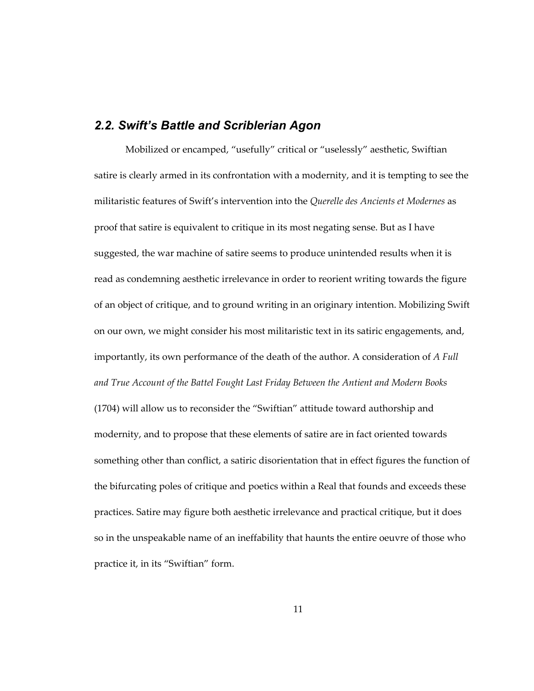## *2.2. Swift's Battle and Scriblerian Agon*

Mobilized or encamped, "usefully" critical or "uselessly" aesthetic, Swiftian satire is clearly armed in its confrontation with a modernity, and it is tempting to see the militaristic features of Swift's intervention into the *Querelle des Ancients et Modernes* as proof that satire is equivalent to critique in its most negating sense. But as I have suggested, the war machine of satire seems to produce unintended results when it is read as condemning aesthetic irrelevance in order to reorient writing towards the figure of an object of critique, and to ground writing in an originary intention. Mobilizing Swift on our own, we might consider his most militaristic text in its satiric engagements, and, importantly, its own performance of the death of the author. A consideration of *A Full and True Account of the Battel Fought Last Friday Between the Antient and Modern Books* (1704) will allow us to reconsider the "Swiftian" attitude toward authorship and modernity, and to propose that these elements of satire are in fact oriented towards something other than conflict, a satiric disorientation that in effect figures the function of the bifurcating poles of critique and poetics within a Real that founds and exceeds these practices. Satire may figure both aesthetic irrelevance and practical critique, but it does so in the unspeakable name of an ineffability that haunts the entire oeuvre of those who practice it, in its "Swiftian" form.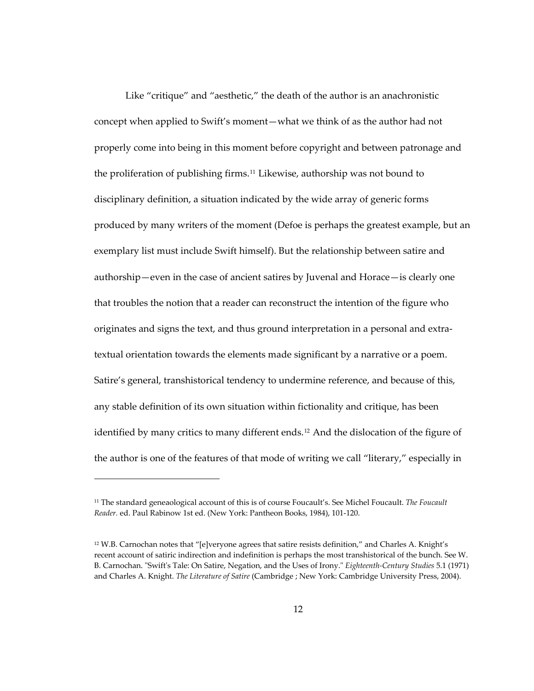Like "critique" and "aesthetic," the death of the author is an anachronistic concept when applied to Swift's moment—what we think of as the author had not properly come into being in this moment before copyright and between patronage and the proliferation of publishing firms.[11](#page-45-0) Likewise, authorship was not bound to disciplinary definition, a situation indicated by the wide array of generic forms produced by many writers of the moment (Defoe is perhaps the greatest example, but an exemplary list must include Swift himself). But the relationship between satire and authorship—even in the case of ancient satires by Juvenal and Horace—is clearly one that troubles the notion that a reader can reconstruct the intention of the figure who originates and signs the text, and thus ground interpretation in a personal and extratextual orientation towards the elements made significant by a narrative or a poem. Satire's general, transhistorical tendency to undermine reference, and because of this, any stable definition of its own situation within fictionality and critique, has been identified by many critics to many different ends.<sup>[12](#page-45-1)</sup> And the dislocation of the figure of the author is one of the features of that mode of writing we call "literary," especially in

<span id="page-45-0"></span><sup>11</sup> The standard geneaological account of this is of course Foucault's. See Michel Foucault. *The Foucault Reader.* ed. Paul Rabinow 1st ed. (New York: Pantheon Books, 1984), 101-120.

<span id="page-45-1"></span> $12$  W.B. Carnochan notes that "[e]veryone agrees that satire resists definition," and Charles A. Knight's recent account of satiric indirection and indefinition is perhaps the most transhistorical of the bunch. See W. B. Carnochan. "Swift's Tale: On Satire, Negation, and the Uses of Irony." *Eighteenth-Century Studies* 5.1 (1971) and Charles A. Knight. *The Literature of Satire* (Cambridge ; New York: Cambridge University Press, 2004).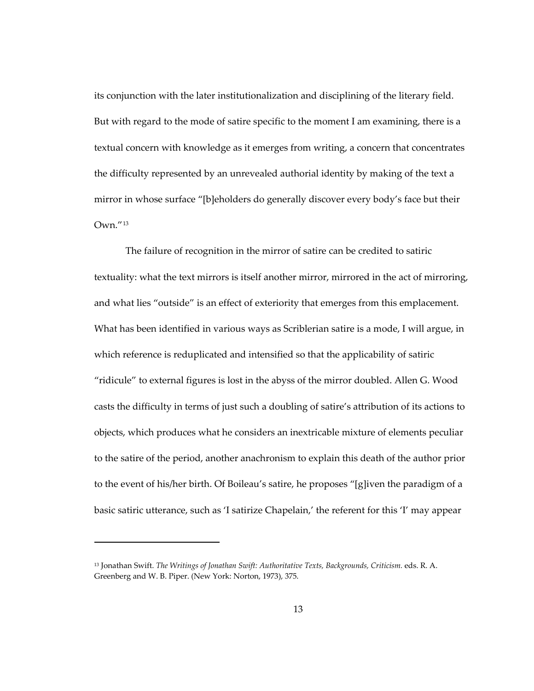its conjunction with the later institutionalization and disciplining of the literary field. But with regard to the mode of satire specific to the moment I am examining, there is a textual concern with knowledge as it emerges from writing, a concern that concentrates the difficulty represented by an unrevealed authorial identity by making of the text a mirror in whose surface "[b]eholders do generally discover every body's face but their Own."[13](#page-46-0)

The failure of recognition in the mirror of satire can be credited to satiric textuality: what the text mirrors is itself another mirror, mirrored in the act of mirroring, and what lies "outside" is an effect of exteriority that emerges from this emplacement. What has been identified in various ways as Scriblerian satire is a mode, I will argue, in which reference is reduplicated and intensified so that the applicability of satiric "ridicule" to external figures is lost in the abyss of the mirror doubled. Allen G. Wood casts the difficulty in terms of just such a doubling of satire's attribution of its actions to objects, which produces what he considers an inextricable mixture of elements peculiar to the satire of the period, another anachronism to explain this death of the author prior to the event of his/her birth. Of Boileau's satire, he proposes "[g]iven the paradigm of a basic satiric utterance, such as 'I satirize Chapelain,' the referent for this 'I' may appear

1

<span id="page-46-0"></span><sup>13</sup> Jonathan Swift. *The Writings of Jonathan Swift: Authoritative Texts, Backgrounds, Criticism.* eds. R. A. Greenberg and W. B. Piper. (New York: Norton, 1973), 375.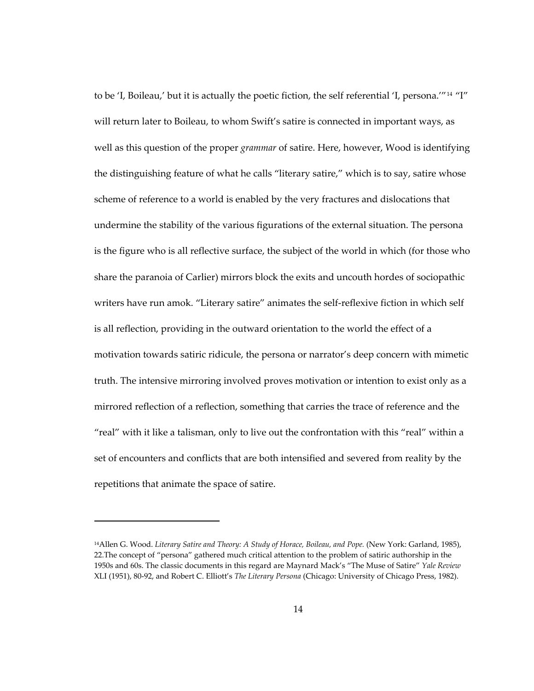to be 'I, Boileau,' but it is actually the poetic fiction, the self referential 'I, persona."<sup>[14](#page-47-0)</sup> "I" will return later to Boileau, to whom Swift's satire is connected in important ways, as well as this question of the proper *grammar* of satire. Here, however, Wood is identifying the distinguishing feature of what he calls "literary satire," which is to say, satire whose scheme of reference to a world is enabled by the very fractures and dislocations that undermine the stability of the various figurations of the external situation. The persona is the figure who is all reflective surface, the subject of the world in which (for those who share the paranoia of Carlier) mirrors block the exits and uncouth hordes of sociopathic writers have run amok. "Literary satire" animates the self-reflexive fiction in which self is all reflection, providing in the outward orientation to the world the effect of a motivation towards satiric ridicule, the persona or narrator's deep concern with mimetic truth. The intensive mirroring involved proves motivation or intention to exist only as a mirrored reflection of a reflection, something that carries the trace of reference and the "real" with it like a talisman, only to live out the confrontation with this "real" within a set of encounters and conflicts that are both intensified and severed from reality by the repetitions that animate the space of satire.

<span id="page-47-0"></span><sup>14</sup>Allen G. Wood. *Literary Satire and Theory: A Study of Horace, Boileau, and Pope.* (New York: Garland, 1985), 22.The concept of "persona" gathered much critical attention to the problem of satiric authorship in the 1950s and 60s. The classic documents in this regard are Maynard Mack's "The Muse of Satire" *Yale Review* XLI (1951), 80-92, and Robert C. Elliott's *The Literary Persona* (Chicago: University of Chicago Press, 1982).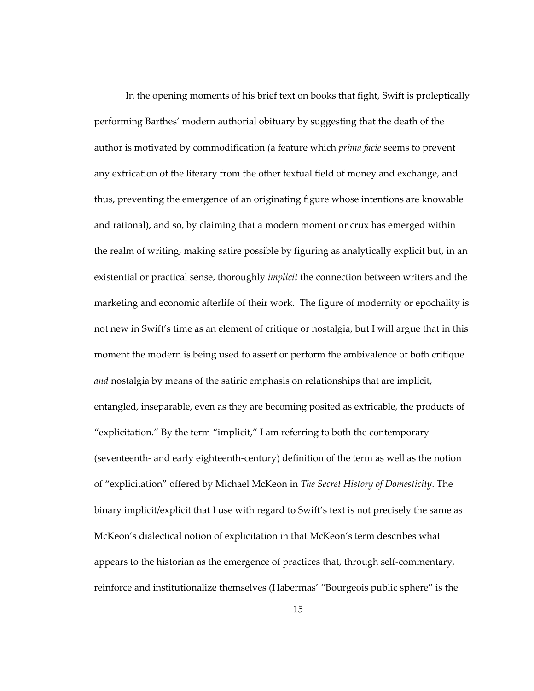In the opening moments of his brief text on books that fight, Swift is proleptically performing Barthes' modern authorial obituary by suggesting that the death of the author is motivated by commodification (a feature which *prima facie* seems to prevent any extrication of the literary from the other textual field of money and exchange, and thus, preventing the emergence of an originating figure whose intentions are knowable and rational), and so, by claiming that a modern moment or crux has emerged within the realm of writing, making satire possible by figuring as analytically explicit but, in an existential or practical sense, thoroughly *implicit* the connection between writers and the marketing and economic afterlife of their work. The figure of modernity or epochality is not new in Swift's time as an element of critique or nostalgia, but I will argue that in this moment the modern is being used to assert or perform the ambivalence of both critique *and* nostalgia by means of the satiric emphasis on relationships that are implicit, entangled, inseparable, even as they are becoming posited as extricable, the products of "explicitation." By the term "implicit," I am referring to both the contemporary (seventeenth- and early eighteenth-century) definition of the term as well as the notion of "explicitation" offered by Michael McKeon in *The Secret History of Domesticity*. The binary implicit/explicit that I use with regard to Swift's text is not precisely the same as McKeon's dialectical notion of explicitation in that McKeon's term describes what appears to the historian as the emergence of practices that, through self-commentary, reinforce and institutionalize themselves (Habermas' "Bourgeois public sphere" is the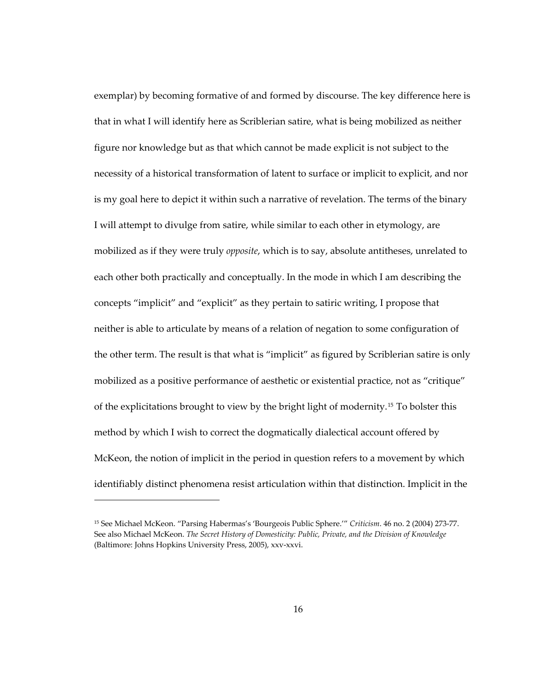exemplar) by becoming formative of and formed by discourse. The key difference here is that in what I will identify here as Scriblerian satire, what is being mobilized as neither figure nor knowledge but as that which cannot be made explicit is not subject to the necessity of a historical transformation of latent to surface or implicit to explicit, and nor is my goal here to depict it within such a narrative of revelation. The terms of the binary I will attempt to divulge from satire, while similar to each other in etymology, are mobilized as if they were truly *opposite*, which is to say, absolute antitheses, unrelated to each other both practically and conceptually. In the mode in which I am describing the concepts "implicit" and "explicit" as they pertain to satiric writing, I propose that neither is able to articulate by means of a relation of negation to some configuration of the other term. The result is that what is "implicit" as figured by Scriblerian satire is only mobilized as a positive performance of aesthetic or existential practice, not as "critique" of the explicitations brought to view by the bright light of modernity.[15](#page-49-0) To bolster this method by which I wish to correct the dogmatically dialectical account offered by McKeon, the notion of implicit in the period in question refers to a movement by which identifiably distinct phenomena resist articulation within that distinction. Implicit in the

<span id="page-49-0"></span><sup>15</sup> See Michael McKeon. "Parsing Habermas's 'Bourgeois Public Sphere.'" *Criticism*. 46 no. 2 (2004) 273-77. See also Michael McKeon. *The Secret History of Domesticity: Public, Private, and the Division of Knowledge* (Baltimore: Johns Hopkins University Press, 2005), xxv-xxvi.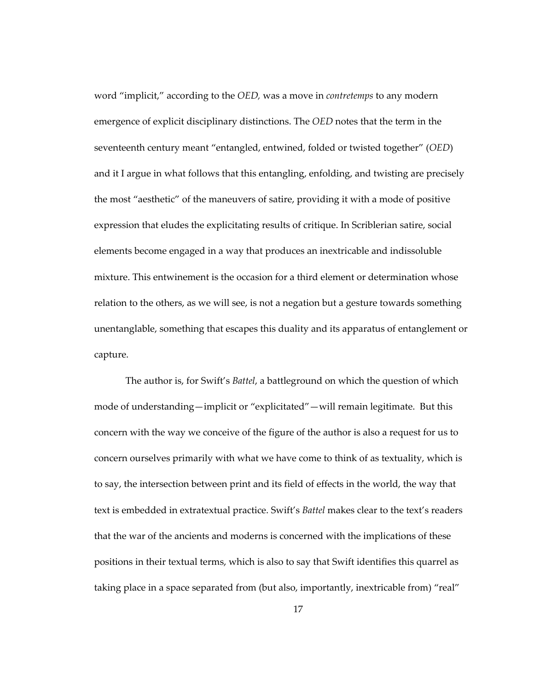word "implicit," according to the *OED,* was a move in *contretemps* to any modern emergence of explicit disciplinary distinctions. The *OED* notes that the term in the seventeenth century meant "entangled, entwined, folded or twisted together" (*OED*) and it I argue in what follows that this entangling, enfolding, and twisting are precisely the most "aesthetic" of the maneuvers of satire, providing it with a mode of positive expression that eludes the explicitating results of critique. In Scriblerian satire, social elements become engaged in a way that produces an inextricable and indissoluble mixture. This entwinement is the occasion for a third element or determination whose relation to the others, as we will see, is not a negation but a gesture towards something unentanglable, something that escapes this duality and its apparatus of entanglement or capture.

The author is, for Swift's *Battel*, a battleground on which the question of which mode of understanding—implicit or "explicitated"—will remain legitimate. But this concern with the way we conceive of the figure of the author is also a request for us to concern ourselves primarily with what we have come to think of as textuality, which is to say, the intersection between print and its field of effects in the world, the way that text is embedded in extratextual practice. Swift's *Battel* makes clear to the text's readers that the war of the ancients and moderns is concerned with the implications of these positions in their textual terms, which is also to say that Swift identifies this quarrel as taking place in a space separated from (but also, importantly, inextricable from) "real"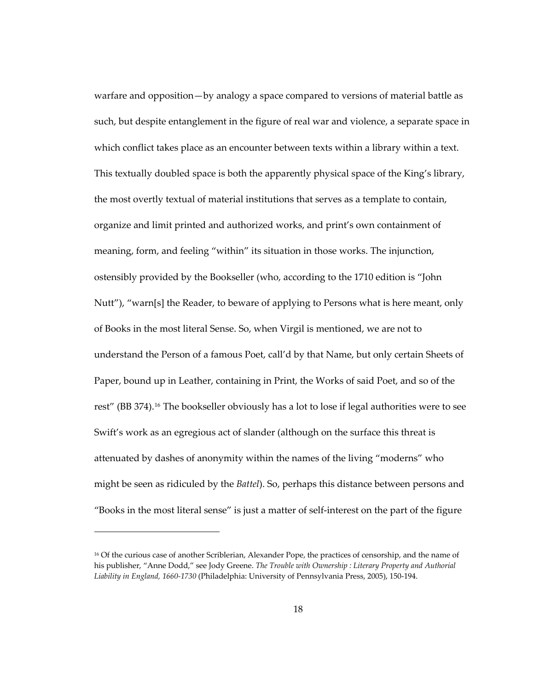warfare and opposition—by analogy a space compared to versions of material battle as such, but despite entanglement in the figure of real war and violence, a separate space in which conflict takes place as an encounter between texts within a library within a text. This textually doubled space is both the apparently physical space of the King's library, the most overtly textual of material institutions that serves as a template to contain, organize and limit printed and authorized works, and print's own containment of meaning, form, and feeling "within" its situation in those works. The injunction, ostensibly provided by the Bookseller (who, according to the 1710 edition is "John Nutt"), "warn[s] the Reader, to beware of applying to Persons what is here meant, only of Books in the most literal Sense. So, when Virgil is mentioned, we are not to understand the Person of a famous Poet, call'd by that Name, but only certain Sheets of Paper, bound up in Leather, containing in Print, the Works of said Poet, and so of the rest" (BB 374).[16](#page-51-0) The bookseller obviously has a lot to lose if legal authorities were to see Swift's work as an egregious act of slander (although on the surface this threat is attenuated by dashes of anonymity within the names of the living "moderns" who might be seen as ridiculed by the *Battel*). So, perhaps this distance between persons and "Books in the most literal sense" is just a matter of self-interest on the part of the figure

<span id="page-51-0"></span><sup>&</sup>lt;sup>16</sup> Of the curious case of another Scriblerian, Alexander Pope, the practices of censorship, and the name of his publisher, "Anne Dodd," see Jody Greene. *The Trouble with Ownership : Literary Property and Authorial Liability in England, 1660-1730* (Philadelphia: University of Pennsylvania Press, 2005), 150-194.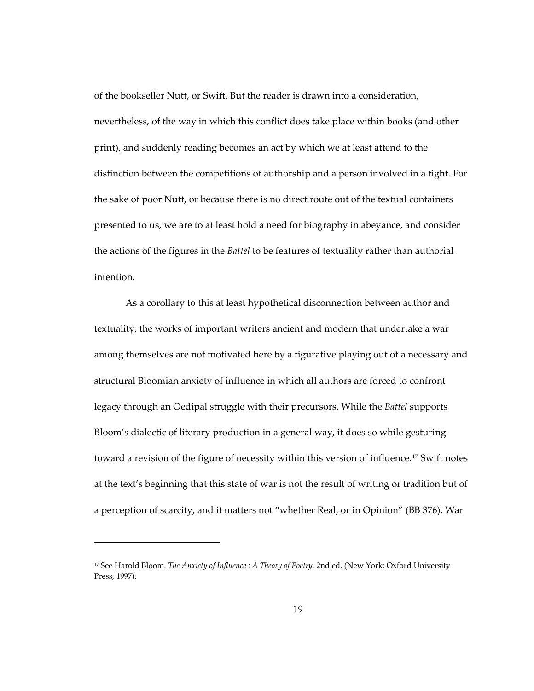of the bookseller Nutt, or Swift. But the reader is drawn into a consideration, nevertheless, of the way in which this conflict does take place within books (and other print), and suddenly reading becomes an act by which we at least attend to the distinction between the competitions of authorship and a person involved in a fight. For the sake of poor Nutt, or because there is no direct route out of the textual containers presented to us, we are to at least hold a need for biography in abeyance, and consider the actions of the figures in the *Battel* to be features of textuality rather than authorial intention.

As a corollary to this at least hypothetical disconnection between author and textuality, the works of important writers ancient and modern that undertake a war among themselves are not motivated here by a figurative playing out of a necessary and structural Bloomian anxiety of influence in which all authors are forced to confront legacy through an Oedipal struggle with their precursors. While the *Battel* supports Bloom's dialectic of literary production in a general way, it does so while gesturing toward a revision of the figure of necessity within this version of influence.<sup>[17](#page-52-0)</sup> Swift notes at the text's beginning that this state of war is not the result of writing or tradition but of a perception of scarcity, and it matters not "whether Real, or in Opinion" (BB 376). War

1

<span id="page-52-0"></span><sup>17</sup> See Harold Bloom. *The Anxiety of Influence : A Theory of Poetry.* 2nd ed. (New York: Oxford University Press, 1997).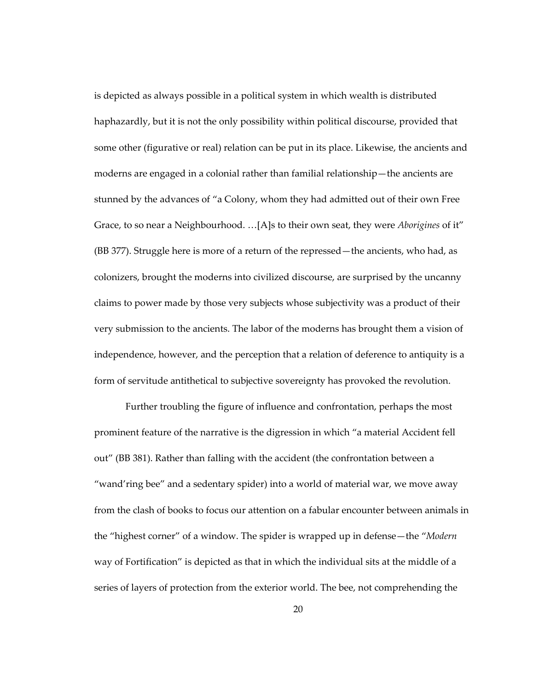is depicted as always possible in a political system in which wealth is distributed haphazardly, but it is not the only possibility within political discourse, provided that some other (figurative or real) relation can be put in its place. Likewise, the ancients and moderns are engaged in a colonial rather than familial relationship—the ancients are stunned by the advances of "a Colony, whom they had admitted out of their own Free Grace, to so near a Neighbourhood. …[A]s to their own seat, they were *Aborigines* of it" (BB 377). Struggle here is more of a return of the repressed—the ancients, who had, as colonizers, brought the moderns into civilized discourse, are surprised by the uncanny claims to power made by those very subjects whose subjectivity was a product of their very submission to the ancients. The labor of the moderns has brought them a vision of independence, however, and the perception that a relation of deference to antiquity is a form of servitude antithetical to subjective sovereignty has provoked the revolution.

Further troubling the figure of influence and confrontation, perhaps the most prominent feature of the narrative is the digression in which "a material Accident fell out" (BB 381). Rather than falling with the accident (the confrontation between a "wand'ring bee" and a sedentary spider) into a world of material war, we move away from the clash of books to focus our attention on a fabular encounter between animals in the "highest corner" of a window. The spider is wrapped up in defense—the "*Modern* way of Fortification" is depicted as that in which the individual sits at the middle of a series of layers of protection from the exterior world. The bee, not comprehending the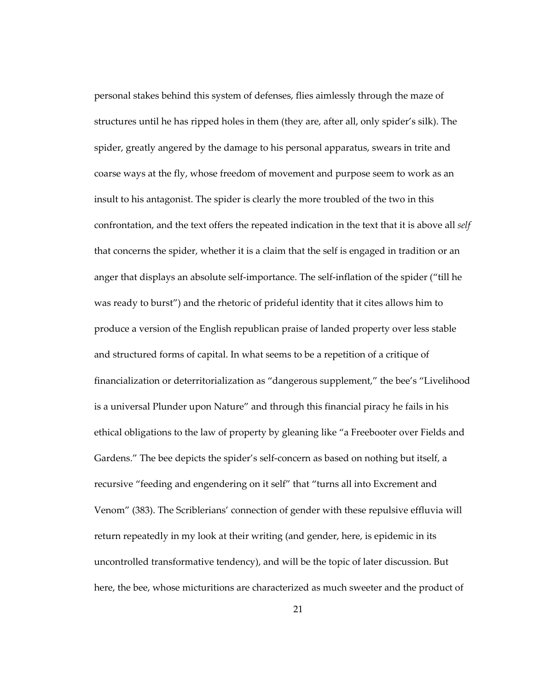personal stakes behind this system of defenses, flies aimlessly through the maze of structures until he has ripped holes in them (they are, after all, only spider's silk). The spider, greatly angered by the damage to his personal apparatus, swears in trite and coarse ways at the fly, whose freedom of movement and purpose seem to work as an insult to his antagonist. The spider is clearly the more troubled of the two in this confrontation, and the text offers the repeated indication in the text that it is above all *self* that concerns the spider, whether it is a claim that the self is engaged in tradition or an anger that displays an absolute self-importance. The self-inflation of the spider ("till he was ready to burst") and the rhetoric of prideful identity that it cites allows him to produce a version of the English republican praise of landed property over less stable and structured forms of capital. In what seems to be a repetition of a critique of financialization or deterritorialization as "dangerous supplement," the bee's "Livelihood is a universal Plunder upon Nature" and through this financial piracy he fails in his ethical obligations to the law of property by gleaning like "a Freebooter over Fields and Gardens." The bee depicts the spider's self-concern as based on nothing but itself, a recursive "feeding and engendering on it self" that "turns all into Excrement and Venom" (383). The Scriblerians' connection of gender with these repulsive effluvia will return repeatedly in my look at their writing (and gender, here, is epidemic in its uncontrolled transformative tendency), and will be the topic of later discussion. But here, the bee, whose micturitions are characterized as much sweeter and the product of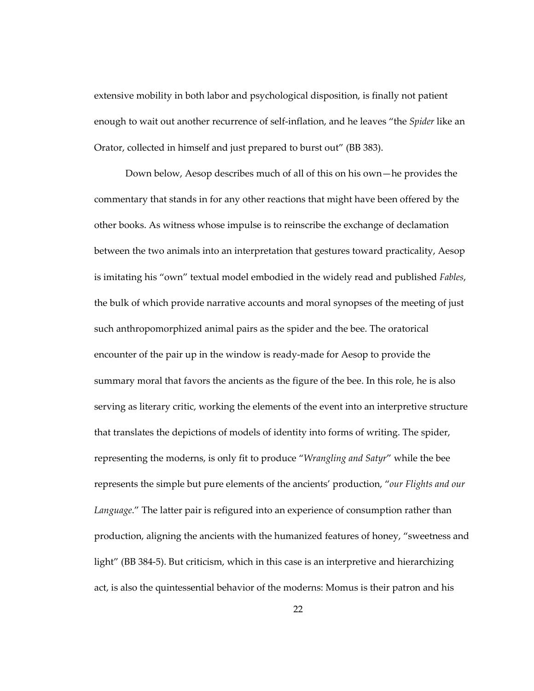extensive mobility in both labor and psychological disposition, is finally not patient enough to wait out another recurrence of self-inflation, and he leaves "the *Spider* like an Orator, collected in himself and just prepared to burst out" (BB 383).

Down below, Aesop describes much of all of this on his own—he provides the commentary that stands in for any other reactions that might have been offered by the other books. As witness whose impulse is to reinscribe the exchange of declamation between the two animals into an interpretation that gestures toward practicality, Aesop is imitating his "own" textual model embodied in the widely read and published *Fables*, the bulk of which provide narrative accounts and moral synopses of the meeting of just such anthropomorphized animal pairs as the spider and the bee. The oratorical encounter of the pair up in the window is ready-made for Aesop to provide the summary moral that favors the ancients as the figure of the bee. In this role, he is also serving as literary critic, working the elements of the event into an interpretive structure that translates the depictions of models of identity into forms of writing. The spider, representing the moderns, is only fit to produce "*Wrangling and Satyr*" while the bee represents the simple but pure elements of the ancients' production, "*our Flights and our Language*." The latter pair is refigured into an experience of consumption rather than production, aligning the ancients with the humanized features of honey, "sweetness and light" (BB 384-5). But criticism, which in this case is an interpretive and hierarchizing act, is also the quintessential behavior of the moderns: Momus is their patron and his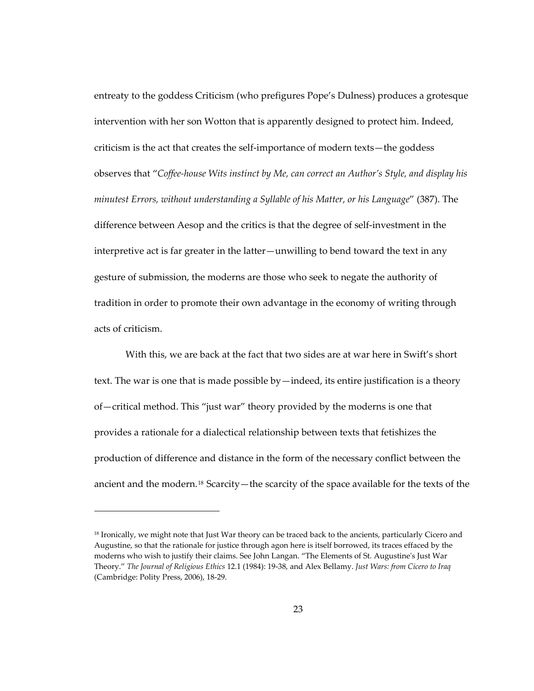entreaty to the goddess Criticism (who prefigures Pope's Dulness) produces a grotesque intervention with her son Wotton that is apparently designed to protect him. Indeed, criticism is the act that creates the self-importance of modern texts—the goddess observes that "*Coffee-house Wits instinct by Me, can correct an Author's Style, and display his minutest Errors, without understanding a Syllable of his Matter, or his Language*" (387). The difference between Aesop and the critics is that the degree of self-investment in the interpretive act is far greater in the latter—unwilling to bend toward the text in any gesture of submission, the moderns are those who seek to negate the authority of tradition in order to promote their own advantage in the economy of writing through acts of criticism.

With this, we are back at the fact that two sides are at war here in Swift's short text. The war is one that is made possible by—indeed, its entire justification is a theory of—critical method. This "just war" theory provided by the moderns is one that provides a rationale for a dialectical relationship between texts that fetishizes the production of difference and distance in the form of the necessary conflict between the ancient and the modern.<sup>[18](#page-56-0)</sup> Scarcity—the scarcity of the space available for the texts of the

<span id="page-56-0"></span><sup>&</sup>lt;sup>18</sup> Ironically, we might note that Just War theory can be traced back to the ancients, particularly Cicero and Augustine, so that the rationale for justice through agon here is itself borrowed, its traces effaced by the moderns who wish to justify their claims. See John Langan. "The Elements of St. Augustine's Just War Theory." *The Journal of Religious Ethics* 12.1 (1984): 19-38, and Alex Bellamy. *Just Wars: from Cicero to Iraq* (Cambridge: Polity Press, 2006), 18-29.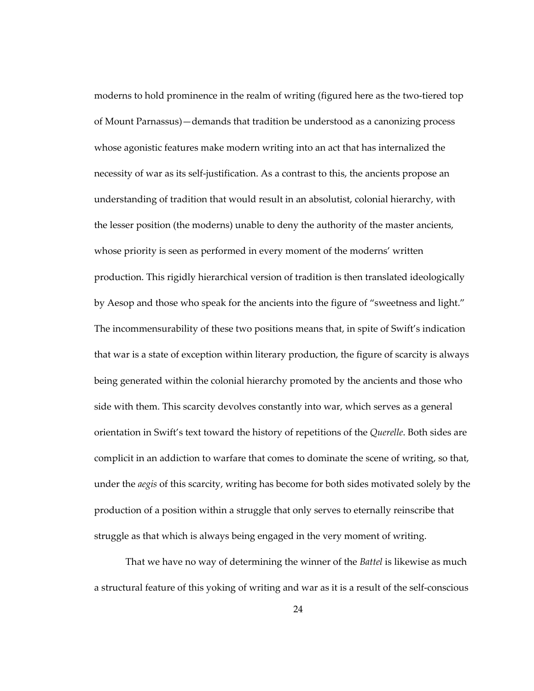moderns to hold prominence in the realm of writing (figured here as the two-tiered top of Mount Parnassus)—demands that tradition be understood as a canonizing process whose agonistic features make modern writing into an act that has internalized the necessity of war as its self-justification. As a contrast to this, the ancients propose an understanding of tradition that would result in an absolutist, colonial hierarchy, with the lesser position (the moderns) unable to deny the authority of the master ancients, whose priority is seen as performed in every moment of the moderns' written production. This rigidly hierarchical version of tradition is then translated ideologically by Aesop and those who speak for the ancients into the figure of "sweetness and light." The incommensurability of these two positions means that, in spite of Swift's indication that war is a state of exception within literary production, the figure of scarcity is always being generated within the colonial hierarchy promoted by the ancients and those who side with them. This scarcity devolves constantly into war, which serves as a general orientation in Swift's text toward the history of repetitions of the *Querelle*. Both sides are complicit in an addiction to warfare that comes to dominate the scene of writing, so that, under the *aegis* of this scarcity, writing has become for both sides motivated solely by the production of a position within a struggle that only serves to eternally reinscribe that struggle as that which is always being engaged in the very moment of writing.

That we have no way of determining the winner of the *Battel* is likewise as much a structural feature of this yoking of writing and war as it is a result of the self-conscious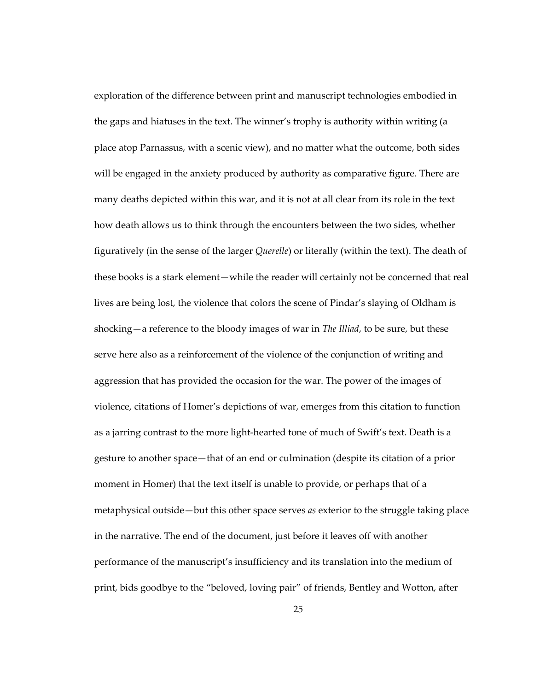exploration of the difference between print and manuscript technologies embodied in the gaps and hiatuses in the text. The winner's trophy is authority within writing (a place atop Parnassus, with a scenic view), and no matter what the outcome, both sides will be engaged in the anxiety produced by authority as comparative figure. There are many deaths depicted within this war, and it is not at all clear from its role in the text how death allows us to think through the encounters between the two sides, whether figuratively (in the sense of the larger *Querelle*) or literally (within the text). The death of these books is a stark element—while the reader will certainly not be concerned that real lives are being lost, the violence that colors the scene of Pindar's slaying of Oldham is shocking—a reference to the bloody images of war in *The Illiad*, to be sure, but these serve here also as a reinforcement of the violence of the conjunction of writing and aggression that has provided the occasion for the war. The power of the images of violence, citations of Homer's depictions of war, emerges from this citation to function as a jarring contrast to the more light-hearted tone of much of Swift's text. Death is a gesture to another space—that of an end or culmination (despite its citation of a prior moment in Homer) that the text itself is unable to provide, or perhaps that of a metaphysical outside—but this other space serves *as* exterior to the struggle taking place in the narrative. The end of the document, just before it leaves off with another performance of the manuscript's insufficiency and its translation into the medium of print, bids goodbye to the "beloved, loving pair" of friends, Bentley and Wotton, after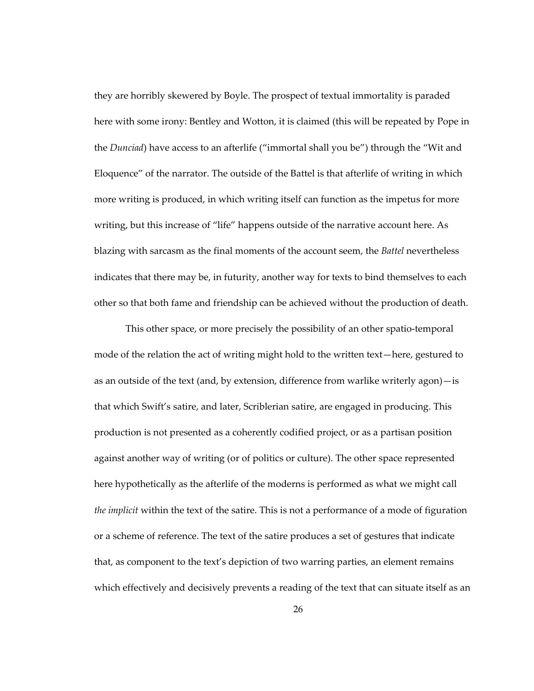they are horribly skewered by Boyle. The prospect of textual immortality is paraded here with some irony: Bentley and Wotton, it is claimed (this will be repeated by Pope in the *Dunciad*) have access to an afterlife ("immortal shall you be") through the "Wit and Eloquence" of the narrator. The outside of the Battel is that afterlife of writing in which more writing is produced, in which writing itself can function as the impetus for more writing, but this increase of "life" happens outside of the narrative account here. As blazing with sarcasm as the final moments of the account seem, the *Battel* nevertheless indicates that there may be, in futurity, another way for texts to bind themselves to each other so that both fame and friendship can be achieved without the production of death.

This other space, or more precisely the possibility of an other spatio-temporal mode of the relation the act of writing might hold to the written text—here, gestured to as an outside of the text (and, by extension, difference from warlike writerly agon)—is that which Swift's satire, and later, Scriblerian satire, are engaged in producing. This production is not presented as a coherently codified project, or as a partisan position against another way of writing (or of politics or culture). The other space represented here hypothetically as the afterlife of the moderns is performed as what we might call *the implicit* within the text of the satire. This is not a performance of a mode of figuration or a scheme of reference. The text of the satire produces a set of gestures that indicate that, as component to the text's depiction of two warring parties, an element remains which effectively and decisively prevents a reading of the text that can situate itself as an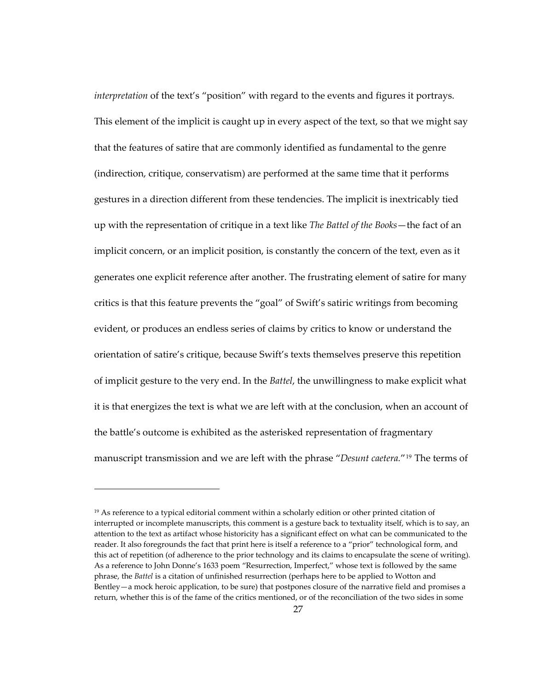*interpretation* of the text's "position" with regard to the events and figures it portrays. This element of the implicit is caught up in every aspect of the text, so that we might say that the features of satire that are commonly identified as fundamental to the genre (indirection, critique, conservatism) are performed at the same time that it performs gestures in a direction different from these tendencies. The implicit is inextricably tied up with the representation of critique in a text like *The Battel of the Books*—the fact of an implicit concern, or an implicit position, is constantly the concern of the text, even as it generates one explicit reference after another. The frustrating element of satire for many critics is that this feature prevents the "goal" of Swift's satiric writings from becoming evident, or produces an endless series of claims by critics to know or understand the orientation of satire's critique, because Swift's texts themselves preserve this repetition of implicit gesture to the very end. In the *Battel*, the unwillingness to make explicit what it is that energizes the text is what we are left with at the conclusion, when an account of the battle's outcome is exhibited as the asterisked representation of fragmentary manuscript transmission and we are left with the phrase "*Desunt caetera.*"[19](#page-60-0) The terms of

<span id="page-60-0"></span> $19$  As reference to a typical editorial comment within a scholarly edition or other printed citation of interrupted or incomplete manuscripts, this comment is a gesture back to textuality itself, which is to say, an attention to the text as artifact whose historicity has a significant effect on what can be communicated to the reader. It also foregrounds the fact that print here is itself a reference to a "prior" technological form, and this act of repetition (of adherence to the prior technology and its claims to encapsulate the scene of writing). As a reference to John Donne's 1633 poem "Resurrection, Imperfect," whose text is followed by the same phrase, the *Battel* is a citation of unfinished resurrection (perhaps here to be applied to Wotton and Bentley—a mock heroic application, to be sure) that postpones closure of the narrative field and promises a return, whether this is of the fame of the critics mentioned, or of the reconciliation of the two sides in some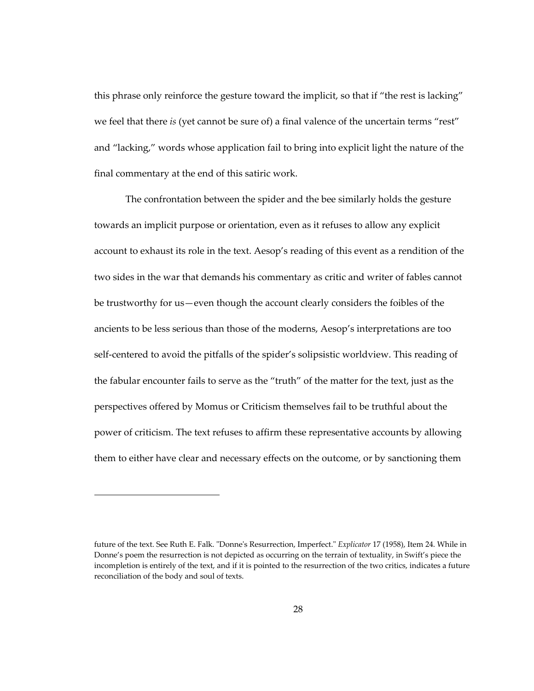this phrase only reinforce the gesture toward the implicit, so that if "the rest is lacking" we feel that there *is* (yet cannot be sure of) a final valence of the uncertain terms "rest" and "lacking," words whose application fail to bring into explicit light the nature of the final commentary at the end of this satiric work.

The confrontation between the spider and the bee similarly holds the gesture towards an implicit purpose or orientation, even as it refuses to allow any explicit account to exhaust its role in the text. Aesop's reading of this event as a rendition of the two sides in the war that demands his commentary as critic and writer of fables cannot be trustworthy for us—even though the account clearly considers the foibles of the ancients to be less serious than those of the moderns, Aesop's interpretations are too self-centered to avoid the pitfalls of the spider's solipsistic worldview. This reading of the fabular encounter fails to serve as the "truth" of the matter for the text, just as the perspectives offered by Momus or Criticism themselves fail to be truthful about the power of criticism. The text refuses to affirm these representative accounts by allowing them to either have clear and necessary effects on the outcome, or by sanctioning them

1

future of the text. See Ruth E. Falk. "Donne's Resurrection, Imperfect." *Explicator* 17 (1958), Item 24. While in Donne's poem the resurrection is not depicted as occurring on the terrain of textuality, in Swift's piece the incompletion is entirely of the text, and if it is pointed to the resurrection of the two critics, indicates a future reconciliation of the body and soul of texts.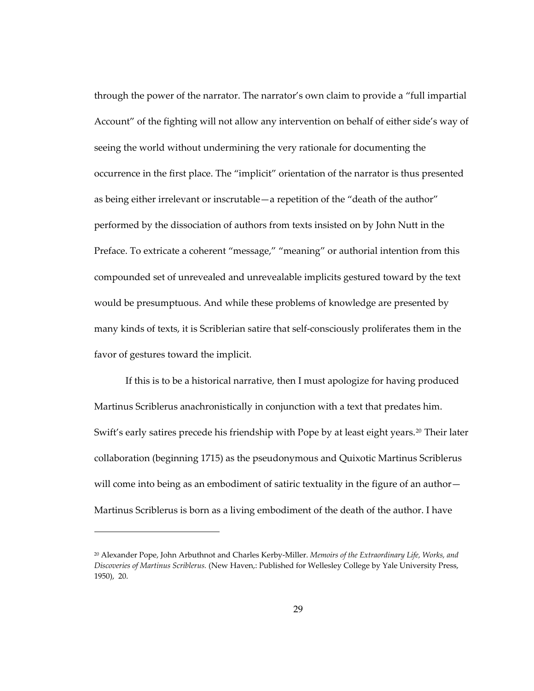through the power of the narrator. The narrator's own claim to provide a "full impartial Account" of the fighting will not allow any intervention on behalf of either side's way of seeing the world without undermining the very rationale for documenting the occurrence in the first place. The "implicit" orientation of the narrator is thus presented as being either irrelevant or inscrutable—a repetition of the "death of the author" performed by the dissociation of authors from texts insisted on by John Nutt in the Preface. To extricate a coherent "message," "meaning" or authorial intention from this compounded set of unrevealed and unrevealable implicits gestured toward by the text would be presumptuous. And while these problems of knowledge are presented by many kinds of texts, it is Scriblerian satire that self-consciously proliferates them in the favor of gestures toward the implicit.

If this is to be a historical narrative, then I must apologize for having produced Martinus Scriblerus anachronistically in conjunction with a text that predates him. Swift's early satires precede his friendship with Pope by at least eight years.<sup>[20](#page-62-0)</sup> Their later collaboration (beginning 1715) as the pseudonymous and Quixotic Martinus Scriblerus will come into being as an embodiment of satiric textuality in the figure of an author-Martinus Scriblerus is born as a living embodiment of the death of the author. I have

<span id="page-62-0"></span><sup>20</sup> Alexander Pope, John Arbuthnot and Charles Kerby-Miller. *Memoirs of the Extraordinary Life, Works, and Discoveries of Martinus Scriblerus.* (New Haven,: Published for Wellesley College by Yale University Press, 1950), 20.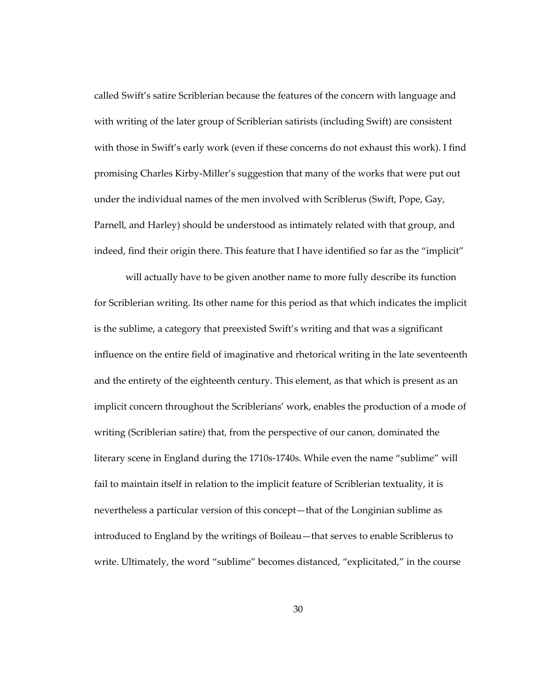called Swift's satire Scriblerian because the features of the concern with language and with writing of the later group of Scriblerian satirists (including Swift) are consistent with those in Swift's early work (even if these concerns do not exhaust this work). I find promising Charles Kirby-Miller's suggestion that many of the works that were put out under the individual names of the men involved with Scriblerus (Swift, Pope, Gay, Parnell, and Harley) should be understood as intimately related with that group, and indeed, find their origin there. This feature that I have identified so far as the "implicit"

will actually have to be given another name to more fully describe its function for Scriblerian writing. Its other name for this period as that which indicates the implicit is the sublime, a category that preexisted Swift's writing and that was a significant influence on the entire field of imaginative and rhetorical writing in the late seventeenth and the entirety of the eighteenth century. This element, as that which is present as an implicit concern throughout the Scriblerians' work, enables the production of a mode of writing (Scriblerian satire) that, from the perspective of our canon, dominated the literary scene in England during the 1710s-1740s. While even the name "sublime" will fail to maintain itself in relation to the implicit feature of Scriblerian textuality, it is nevertheless a particular version of this concept—that of the Longinian sublime as introduced to England by the writings of Boileau—that serves to enable Scriblerus to write. Ultimately, the word "sublime" becomes distanced, "explicitated," in the course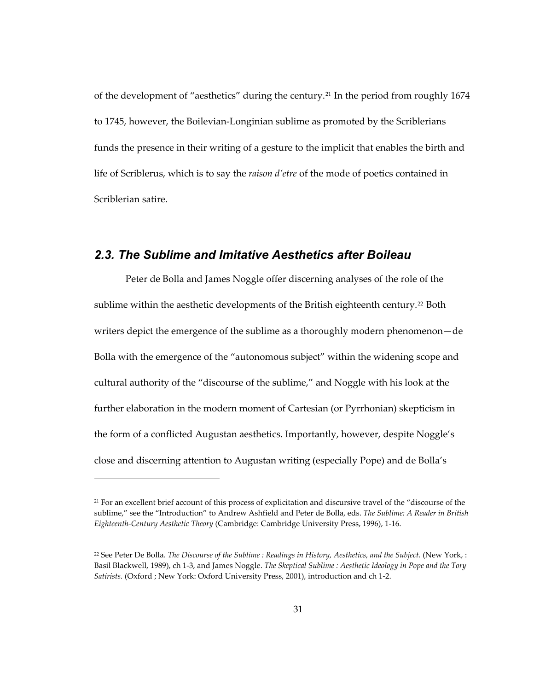of the development of "aesthetics" during the century.[21](#page-64-0) In the period from roughly 1674 to 1745, however, the Boilevian-Longinian sublime as promoted by the Scriblerians funds the presence in their writing of a gesture to the implicit that enables the birth and life of Scriblerus, which is to say the *raison d'etre* of the mode of poetics contained in Scriblerian satire.

## *2.3. The Sublime and Imitative Aesthetics after Boileau*

Peter de Bolla and James Noggle offer discerning analyses of the role of the sublime within the aesthetic developments of the British eighteenth century.<sup>[22](#page-64-1)</sup> Both writers depict the emergence of the sublime as a thoroughly modern phenomenon—de Bolla with the emergence of the "autonomous subject" within the widening scope and cultural authority of the "discourse of the sublime," and Noggle with his look at the further elaboration in the modern moment of Cartesian (or Pyrrhonian) skepticism in the form of a conflicted Augustan aesthetics. Importantly, however, despite Noggle's close and discerning attention to Augustan writing (especially Pope) and de Bolla's

<span id="page-64-0"></span><sup>&</sup>lt;sup>21</sup> For an excellent brief account of this process of explicitation and discursive travel of the "discourse of the sublime," see the "Introduction" to Andrew Ashfield and Peter de Bolla, eds. *The Sublime: A Reader in British Eighteenth-Century Aesthetic Theory* (Cambridge: Cambridge University Press, 1996), 1-16.

<span id="page-64-1"></span><sup>22</sup> See Peter De Bolla. *The Discourse of the Sublime : Readings in History, Aesthetics, and the Subject.* (New York, : Basil Blackwell, 1989), ch 1-3, and James Noggle. *The Skeptical Sublime : Aesthetic Ideology in Pope and the Tory Satirists.* (Oxford ; New York: Oxford University Press, 2001), introduction and ch 1-2.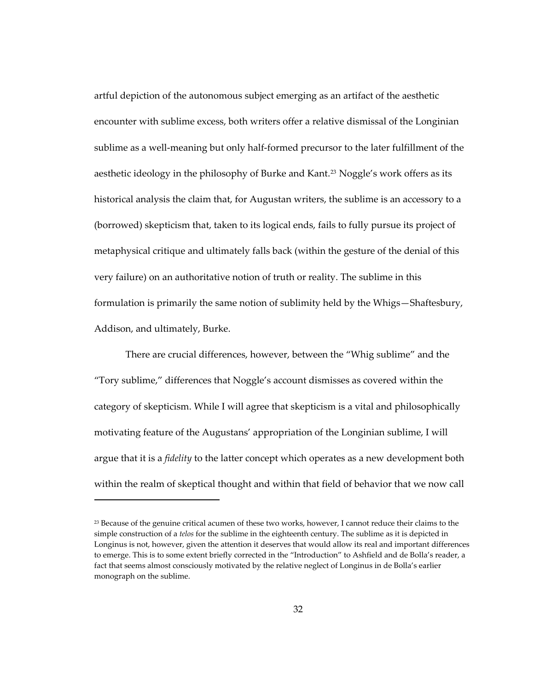artful depiction of the autonomous subject emerging as an artifact of the aesthetic encounter with sublime excess, both writers offer a relative dismissal of the Longinian sublime as a well-meaning but only half-formed precursor to the later fulfillment of the aesthetic ideology in the philosophy of Burke and Kant.[23](#page-65-0) Noggle's work offers as its historical analysis the claim that, for Augustan writers, the sublime is an accessory to a (borrowed) skepticism that, taken to its logical ends, fails to fully pursue its project of metaphysical critique and ultimately falls back (within the gesture of the denial of this very failure) on an authoritative notion of truth or reality. The sublime in this formulation is primarily the same notion of sublimity held by the Whigs—Shaftesbury, Addison, and ultimately, Burke.

There are crucial differences, however, between the "Whig sublime" and the "Tory sublime," differences that Noggle's account dismisses as covered within the category of skepticism. While I will agree that skepticism is a vital and philosophically motivating feature of the Augustans' appropriation of the Longinian sublime, I will argue that it is a *fidelity* to the latter concept which operates as a new development both within the realm of skeptical thought and within that field of behavior that we now call

<span id="page-65-0"></span><sup>&</sup>lt;sup>23</sup> Because of the genuine critical acumen of these two works, however, I cannot reduce their claims to the simple construction of a *telos* for the sublime in the eighteenth century. The sublime as it is depicted in Longinus is not, however, given the attention it deserves that would allow its real and important differences to emerge. This is to some extent briefly corrected in the "Introduction" to Ashfield and de Bolla's reader, a fact that seems almost consciously motivated by the relative neglect of Longinus in de Bolla's earlier monograph on the sublime.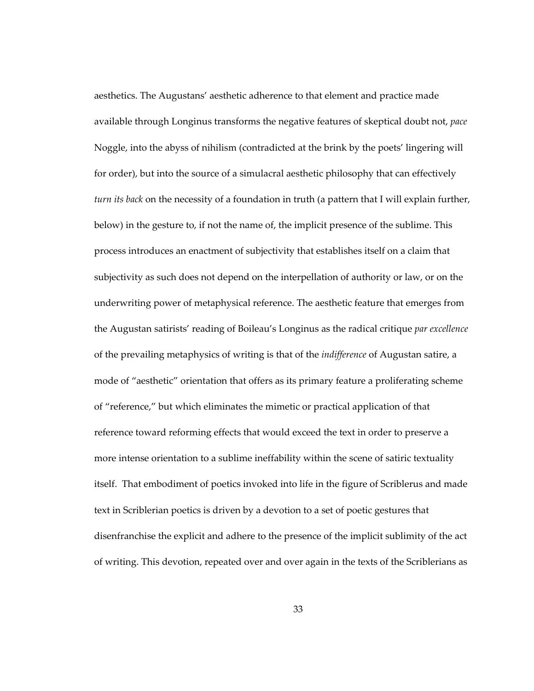aesthetics. The Augustans' aesthetic adherence to that element and practice made available through Longinus transforms the negative features of skeptical doubt not, *pace*  Noggle, into the abyss of nihilism (contradicted at the brink by the poets' lingering will for order), but into the source of a simulacral aesthetic philosophy that can effectively *turn its back* on the necessity of a foundation in truth (a pattern that I will explain further, below) in the gesture to, if not the name of, the implicit presence of the sublime. This process introduces an enactment of subjectivity that establishes itself on a claim that subjectivity as such does not depend on the interpellation of authority or law, or on the underwriting power of metaphysical reference. The aesthetic feature that emerges from the Augustan satirists' reading of Boileau's Longinus as the radical critique *par excellence*  of the prevailing metaphysics of writing is that of the *indifference* of Augustan satire, a mode of "aesthetic" orientation that offers as its primary feature a proliferating scheme of "reference," but which eliminates the mimetic or practical application of that reference toward reforming effects that would exceed the text in order to preserve a more intense orientation to a sublime ineffability within the scene of satiric textuality itself. That embodiment of poetics invoked into life in the figure of Scriblerus and made text in Scriblerian poetics is driven by a devotion to a set of poetic gestures that disenfranchise the explicit and adhere to the presence of the implicit sublimity of the act of writing. This devotion, repeated over and over again in the texts of the Scriblerians as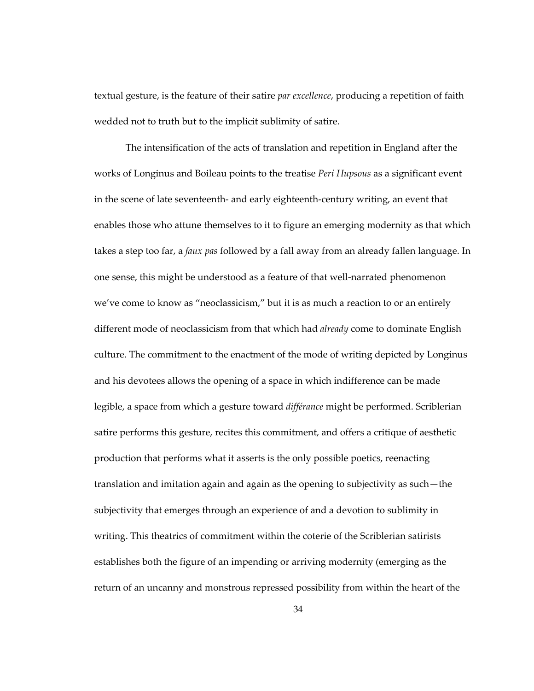textual gesture, is the feature of their satire *par excellence*, producing a repetition of faith wedded not to truth but to the implicit sublimity of satire.

The intensification of the acts of translation and repetition in England after the works of Longinus and Boileau points to the treatise *Peri Hupsous* as a significant event in the scene of late seventeenth- and early eighteenth-century writing, an event that enables those who attune themselves to it to figure an emerging modernity as that which takes a step too far, a *faux pas* followed by a fall away from an already fallen language. In one sense, this might be understood as a feature of that well-narrated phenomenon we've come to know as "neoclassicism," but it is as much a reaction to or an entirely different mode of neoclassicism from that which had *already* come to dominate English culture. The commitment to the enactment of the mode of writing depicted by Longinus and his devotees allows the opening of a space in which indifference can be made legible, a space from which a gesture toward *différance* might be performed. Scriblerian satire performs this gesture, recites this commitment, and offers a critique of aesthetic production that performs what it asserts is the only possible poetics, reenacting translation and imitation again and again as the opening to subjectivity as such—the subjectivity that emerges through an experience of and a devotion to sublimity in writing. This theatrics of commitment within the coterie of the Scriblerian satirists establishes both the figure of an impending or arriving modernity (emerging as the return of an uncanny and monstrous repressed possibility from within the heart of the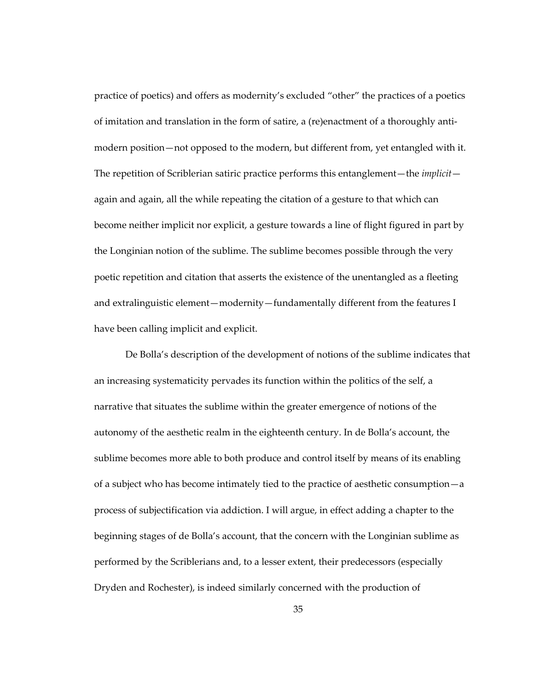practice of poetics) and offers as modernity's excluded "other" the practices of a poetics of imitation and translation in the form of satire, a (re)enactment of a thoroughly antimodern position—not opposed to the modern, but different from, yet entangled with it. The repetition of Scriblerian satiric practice performs this entanglement—the *implicit* again and again, all the while repeating the citation of a gesture to that which can become neither implicit nor explicit, a gesture towards a line of flight figured in part by the Longinian notion of the sublime. The sublime becomes possible through the very poetic repetition and citation that asserts the existence of the unentangled as a fleeting and extralinguistic element—modernity—fundamentally different from the features I have been calling implicit and explicit.

De Bolla's description of the development of notions of the sublime indicates that an increasing systematicity pervades its function within the politics of the self, a narrative that situates the sublime within the greater emergence of notions of the autonomy of the aesthetic realm in the eighteenth century. In de Bolla's account, the sublime becomes more able to both produce and control itself by means of its enabling of a subject who has become intimately tied to the practice of aesthetic consumption—a process of subjectification via addiction. I will argue, in effect adding a chapter to the beginning stages of de Bolla's account, that the concern with the Longinian sublime as performed by the Scriblerians and, to a lesser extent, their predecessors (especially Dryden and Rochester), is indeed similarly concerned with the production of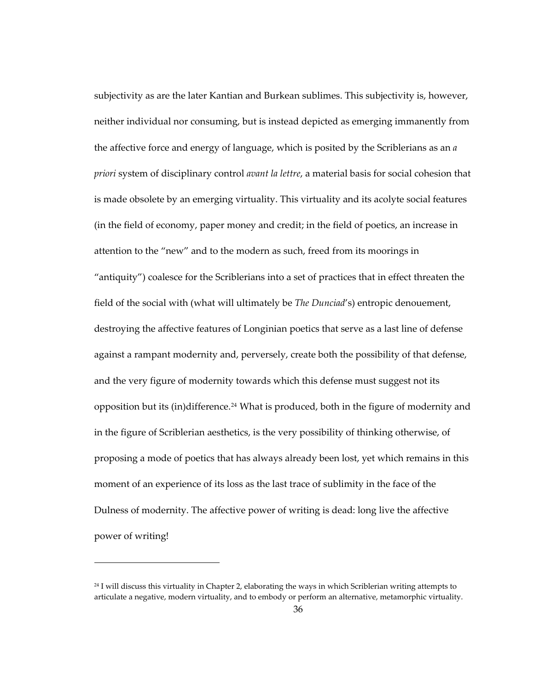subjectivity as are the later Kantian and Burkean sublimes. This subjectivity is, however, neither individual nor consuming, but is instead depicted as emerging immanently from the affective force and energy of language, which is posited by the Scriblerians as an *a priori* system of disciplinary control *avant la lettre*, a material basis for social cohesion that is made obsolete by an emerging virtuality. This virtuality and its acolyte social features (in the field of economy, paper money and credit; in the field of poetics, an increase in attention to the "new" and to the modern as such, freed from its moorings in "antiquity") coalesce for the Scriblerians into a set of practices that in effect threaten the field of the social with (what will ultimately be *The Dunciad*'s) entropic denouement, destroying the affective features of Longinian poetics that serve as a last line of defense against a rampant modernity and, perversely, create both the possibility of that defense, and the very figure of modernity towards which this defense must suggest not its opposition but its (in)difference.<sup>[24](#page-69-0)</sup> What is produced, both in the figure of modernity and in the figure of Scriblerian aesthetics, is the very possibility of thinking otherwise, of proposing a mode of poetics that has always already been lost, yet which remains in this moment of an experience of its loss as the last trace of sublimity in the face of the Dulness of modernity. The affective power of writing is dead: long live the affective power of writing!

1

<span id="page-69-0"></span><sup>&</sup>lt;sup>24</sup> I will discuss this virtuality in Chapter 2, elaborating the ways in which Scriblerian writing attempts to articulate a negative, modern virtuality, and to embody or perform an alternative, metamorphic virtuality.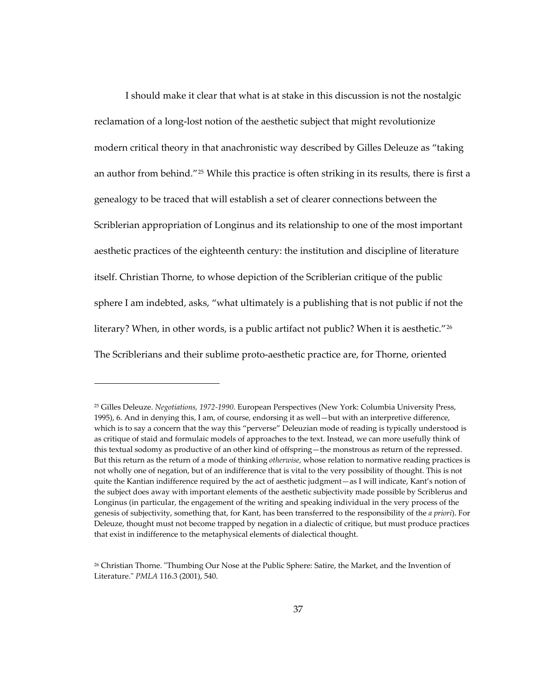I should make it clear that what is at stake in this discussion is not the nostalgic reclamation of a long-lost notion of the aesthetic subject that might revolutionize modern critical theory in that anachronistic way described by Gilles Deleuze as "taking an author from behind."[25](#page-70-0) While this practice is often striking in its results, there is first a genealogy to be traced that will establish a set of clearer connections between the Scriblerian appropriation of Longinus and its relationship to one of the most important aesthetic practices of the eighteenth century: the institution and discipline of literature itself. Christian Thorne, to whose depiction of the Scriblerian critique of the public sphere I am indebted, asks, "what ultimately is a publishing that is not public if not the literary? When, in other words, is a public artifact not public? When it is aesthetic."<sup>[26](#page-70-1)</sup> The Scriblerians and their sublime proto-aesthetic practice are, for Thorne, oriented

1

<span id="page-70-0"></span><sup>25</sup> Gilles Deleuze. *Negotiations, 1972-1990.* European Perspectives (New York: Columbia University Press, 1995), 6. And in denying this, I am, of course, endorsing it as well—but with an interpretive difference, which is to say a concern that the way this "perverse" Deleuzian mode of reading is typically understood is as critique of staid and formulaic models of approaches to the text. Instead, we can more usefully think of this textual sodomy as productive of an other kind of offspring—the monstrous as return of the repressed. But this return as the return of a mode of thinking *otherwise*, whose relation to normative reading practices is not wholly one of negation, but of an indifference that is vital to the very possibility of thought. This is not quite the Kantian indifference required by the act of aesthetic judgment—as I will indicate, Kant's notion of the subject does away with important elements of the aesthetic subjectivity made possible by Scriblerus and Longinus (in particular, the engagement of the writing and speaking individual in the very process of the genesis of subjectivity, something that, for Kant, has been transferred to the responsibility of the *a priori*). For Deleuze, thought must not become trapped by negation in a dialectic of critique, but must produce practices that exist in indifference to the metaphysical elements of dialectical thought.

<span id="page-70-1"></span><sup>26</sup> Christian Thorne. "Thumbing Our Nose at the Public Sphere: Satire, the Market, and the Invention of Literature." *PMLA* 116.3 (2001), 540.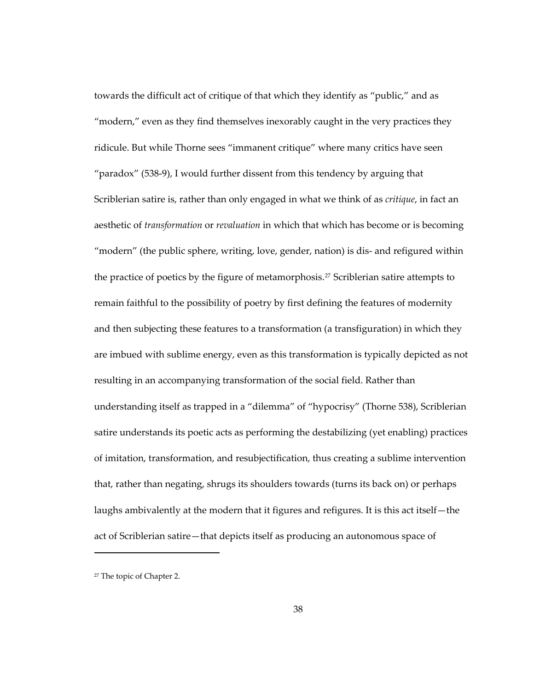towards the difficult act of critique of that which they identify as "public," and as "modern," even as they find themselves inexorably caught in the very practices they ridicule. But while Thorne sees "immanent critique" where many critics have seen "paradox" (538-9), I would further dissent from this tendency by arguing that Scriblerian satire is, rather than only engaged in what we think of as *critique*, in fact an aesthetic of *transformation* or *revaluation* in which that which has become or is becoming "modern" (the public sphere, writing, love, gender, nation) is dis- and refigured within the practice of poetics by the figure of metamorphosis.<sup>[27](#page-71-0)</sup> Scriblerian satire attempts to remain faithful to the possibility of poetry by first defining the features of modernity and then subjecting these features to a transformation (a transfiguration) in which they are imbued with sublime energy, even as this transformation is typically depicted as not resulting in an accompanying transformation of the social field. Rather than understanding itself as trapped in a "dilemma" of "hypocrisy" (Thorne 538), Scriblerian satire understands its poetic acts as performing the destabilizing (yet enabling) practices of imitation, transformation, and resubjectification, thus creating a sublime intervention that, rather than negating, shrugs its shoulders towards (turns its back on) or perhaps laughs ambivalently at the modern that it figures and refigures. It is this act itself—the act of Scriblerian satire—that depicts itself as producing an autonomous space of

<span id="page-71-0"></span><sup>27</sup> The topic of Chapter 2.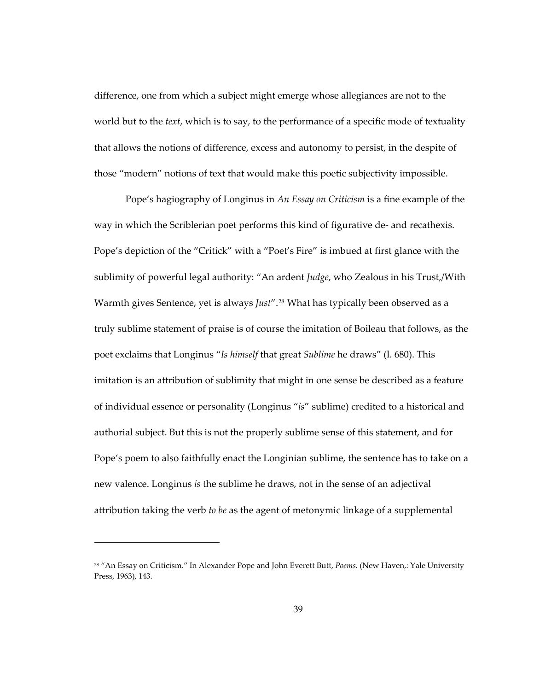difference, one from which a subject might emerge whose allegiances are not to the world but to the *text*, which is to say, to the performance of a specific mode of textuality that allows the notions of difference, excess and autonomy to persist, in the despite of those "modern" notions of text that would make this poetic subjectivity impossible.

Pope's hagiography of Longinus in *An Essay on Criticism* is a fine example of the way in which the Scriblerian poet performs this kind of figurative de- and recathexis. Pope's depiction of the "Critick" with a "Poet's Fire" is imbued at first glance with the sublimity of powerful legal authority: "An ardent *Judge*, who Zealous in his Trust,/With Warmth gives Sentence, yet is always *Just"*.<sup>[28](#page-72-0)</sup> What has typically been observed as a truly sublime statement of praise is of course the imitation of Boileau that follows, as the poet exclaims that Longinus "*Is himself* that great *Sublime* he draws" (l. 680). This imitation is an attribution of sublimity that might in one sense be described as a feature of individual essence or personality (Longinus "*is*" sublime) credited to a historical and authorial subject. But this is not the properly sublime sense of this statement, and for Pope's poem to also faithfully enact the Longinian sublime, the sentence has to take on a new valence. Longinus *is* the sublime he draws, not in the sense of an adjectival attribution taking the verb *to be* as the agent of metonymic linkage of a supplemental

<span id="page-72-0"></span><sup>28 &</sup>quot;An Essay on Criticism." In Alexander Pope and John Everett Butt, *Poems.* (New Haven,: Yale University Press, 1963), 143.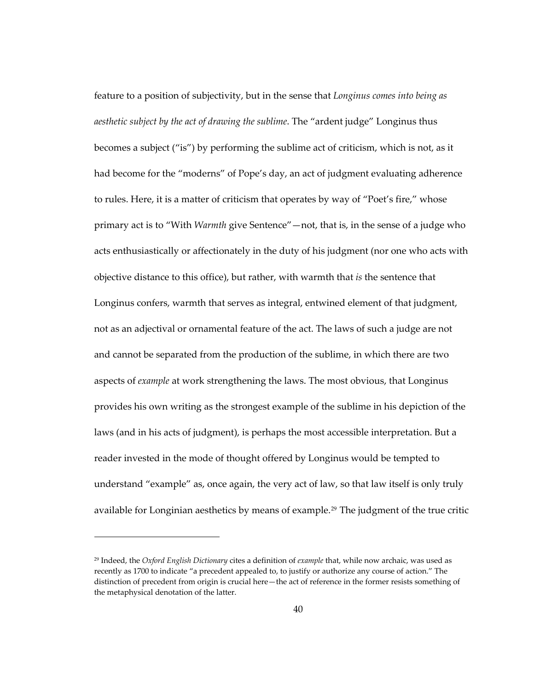feature to a position of subjectivity, but in the sense that *Longinus comes into being as aesthetic subject by the act of drawing the sublime*. The "ardent judge" Longinus thus becomes a subject ("is") by performing the sublime act of criticism, which is not, as it had become for the "moderns" of Pope's day, an act of judgment evaluating adherence to rules. Here, it is a matter of criticism that operates by way of "Poet's fire," whose primary act is to "With *Warmth* give Sentence"—not, that is, in the sense of a judge who acts enthusiastically or affectionately in the duty of his judgment (nor one who acts with objective distance to this office), but rather, with warmth that *is* the sentence that Longinus confers, warmth that serves as integral, entwined element of that judgment, not as an adjectival or ornamental feature of the act. The laws of such a judge are not and cannot be separated from the production of the sublime, in which there are two aspects of *example* at work strengthening the laws. The most obvious, that Longinus provides his own writing as the strongest example of the sublime in his depiction of the laws (and in his acts of judgment), is perhaps the most accessible interpretation. But a reader invested in the mode of thought offered by Longinus would be tempted to understand "example" as, once again, the very act of law, so that law itself is only truly available for Longinian aesthetics by means of example.<sup>[29](#page-73-0)</sup> The judgment of the true critic

<span id="page-73-0"></span><sup>29</sup> Indeed, the *Oxford English Dictionary* cites a definition of *example* that, while now archaic, was used as recently as 1700 to indicate "a precedent appealed to, to justify or authorize any course of action." The distinction of precedent from origin is crucial here—the act of reference in the former resists something of the metaphysical denotation of the latter.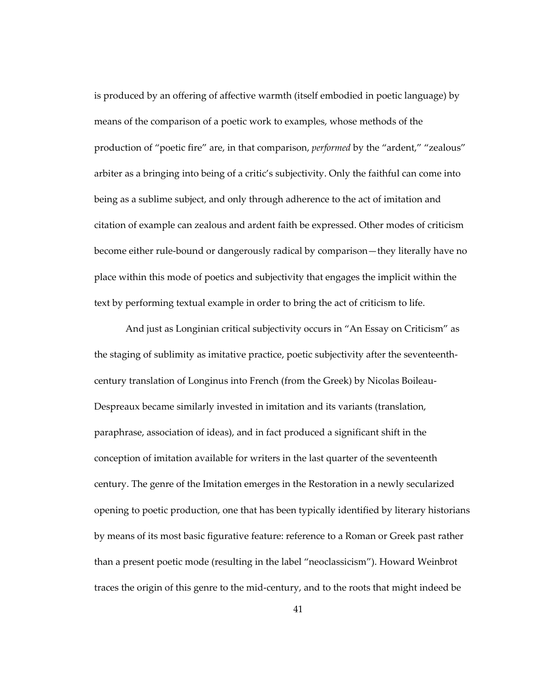is produced by an offering of affective warmth (itself embodied in poetic language) by means of the comparison of a poetic work to examples, whose methods of the production of "poetic fire" are, in that comparison, *performed* by the "ardent," "zealous" arbiter as a bringing into being of a critic's subjectivity. Only the faithful can come into being as a sublime subject, and only through adherence to the act of imitation and citation of example can zealous and ardent faith be expressed. Other modes of criticism become either rule-bound or dangerously radical by comparison—they literally have no place within this mode of poetics and subjectivity that engages the implicit within the text by performing textual example in order to bring the act of criticism to life.

And just as Longinian critical subjectivity occurs in "An Essay on Criticism" as the staging of sublimity as imitative practice, poetic subjectivity after the seventeenthcentury translation of Longinus into French (from the Greek) by Nicolas Boileau-Despreaux became similarly invested in imitation and its variants (translation, paraphrase, association of ideas), and in fact produced a significant shift in the conception of imitation available for writers in the last quarter of the seventeenth century. The genre of the Imitation emerges in the Restoration in a newly secularized opening to poetic production, one that has been typically identified by literary historians by means of its most basic figurative feature: reference to a Roman or Greek past rather than a present poetic mode (resulting in the label "neoclassicism"). Howard Weinbrot traces the origin of this genre to the mid-century, and to the roots that might indeed be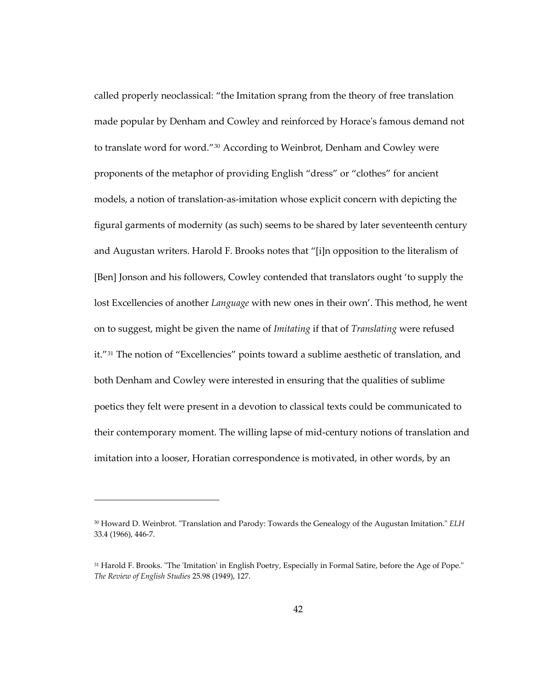called properly neoclassical: "the Imitation sprang from the theory of free translation made popular by Denham and Cowley and reinforced by Horace's famous demand not to translate word for word."<sup>[30](#page-75-0)</sup> According to Weinbrot, Denham and Cowley were proponents of the metaphor of providing English "dress" or "clothes" for ancient models, a notion of translation-as-imitation whose explicit concern with depicting the figural garments of modernity (as such) seems to be shared by later seventeenth century and Augustan writers. Harold F. Brooks notes that "[i]n opposition to the literalism of [Ben] Jonson and his followers, Cowley contended that translators ought 'to supply the lost Excellencies of another *Language* with new ones in their own'. This method, he went on to suggest, might be given the name of *Imitating* if that of *Translating* were refused it."[31](#page-75-1) The notion of "Excellencies" points toward a sublime aesthetic of translation, and both Denham and Cowley were interested in ensuring that the qualities of sublime poetics they felt were present in a devotion to classical texts could be communicated to their contemporary moment. The willing lapse of mid-century notions of translation and imitation into a looser, Horatian correspondence is motivated, in other words, by an

<span id="page-75-0"></span><sup>30</sup> Howard D. Weinbrot. "Translation and Parody: Towards the Genealogy of the Augustan Imitation." *ELH*  33.4 (1966), 446-7.

<span id="page-75-1"></span><sup>31</sup> Harold F. Brooks. "The 'Imitation' in English Poetry, Especially in Formal Satire, before the Age of Pope." *The Review of English Studies* 25.98 (1949), 127.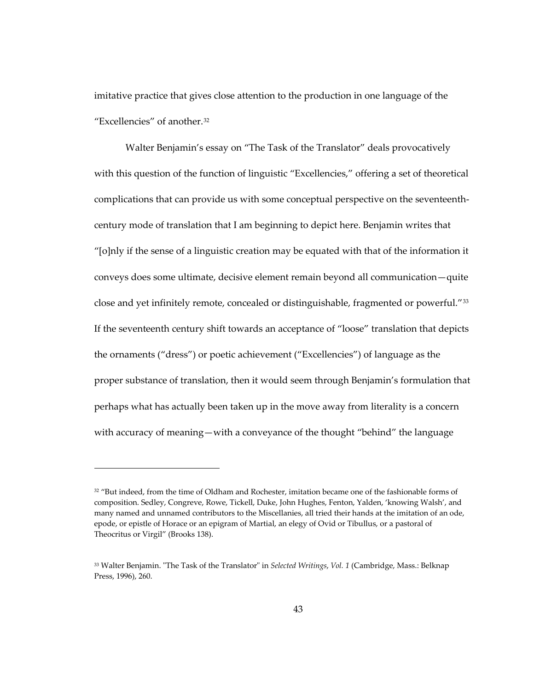imitative practice that gives close attention to the production in one language of the "Excellencies" of another.[32](#page-76-0)

Walter Benjamin's essay on "The Task of the Translator" deals provocatively with this question of the function of linguistic "Excellencies," offering a set of theoretical complications that can provide us with some conceptual perspective on the seventeenthcentury mode of translation that I am beginning to depict here. Benjamin writes that "[o]nly if the sense of a linguistic creation may be equated with that of the information it conveys does some ultimate, decisive element remain beyond all communication—quite close and yet infinitely remote, concealed or distinguishable, fragmented or powerful."[33](#page-76-1) If the seventeenth century shift towards an acceptance of "loose" translation that depicts the ornaments ("dress") or poetic achievement ("Excellencies") of language as the proper substance of translation, then it would seem through Benjamin's formulation that perhaps what has actually been taken up in the move away from literality is a concern with accuracy of meaning—with a conveyance of the thought "behind" the language

<span id="page-76-0"></span><sup>&</sup>lt;sup>32</sup> "But indeed, from the time of Oldham and Rochester, imitation became one of the fashionable forms of composition. Sedley, Congreve, Rowe, Tickell, Duke, John Hughes, Fenton, Yalden, 'knowing Walsh', and many named and unnamed contributors to the Miscellanies, all tried their hands at the imitation of an ode, epode, or epistle of Horace or an epigram of Martial, an elegy of Ovid or Tibullus, or a pastoral of Theocritus or Virgil" (Brooks 138).

<span id="page-76-1"></span><sup>33</sup> Walter Benjamin. "The Task of the Translator" in *Selected Writings*, *Vol. 1* (Cambridge, Mass.: Belknap Press, 1996), 260.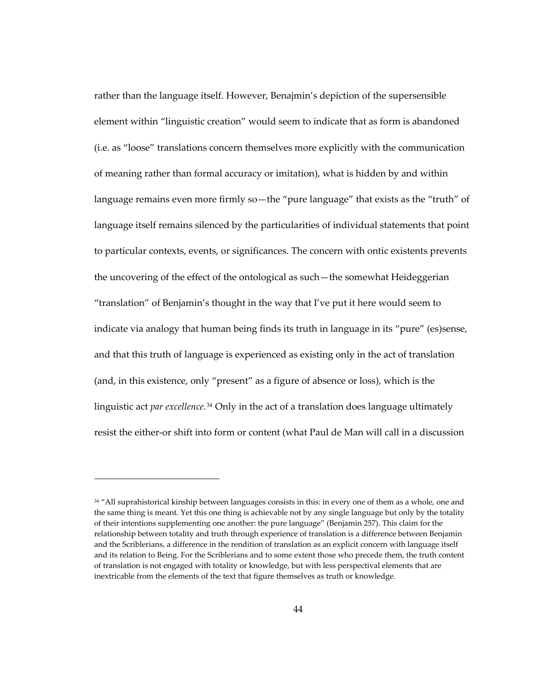rather than the language itself. However, Benajmin's depiction of the supersensible element within "linguistic creation" would seem to indicate that as form is abandoned (i.e. as "loose" translations concern themselves more explicitly with the communication of meaning rather than formal accuracy or imitation), what is hidden by and within language remains even more firmly so—the "pure language" that exists as the "truth" of language itself remains silenced by the particularities of individual statements that point to particular contexts, events, or significances. The concern with ontic existents prevents the uncovering of the effect of the ontological as such—the somewhat Heideggerian "translation" of Benjamin's thought in the way that I've put it here would seem to indicate via analogy that human being finds its truth in language in its "pure" (es)sense, and that this truth of language is experienced as existing only in the act of translation (and, in this existence, only "present" as a figure of absence or loss), which is the linguistic act *par excellence.*[34](#page-77-0) Only in the act of a translation does language ultimately resist the either-or shift into form or content (what Paul de Man will call in a discussion

<span id="page-77-0"></span><sup>&</sup>lt;sup>34</sup> "All suprahistorical kinship between languages consists in this: in every one of them as a whole, one and the same thing is meant. Yet this one thing is achievable not by any single language but only by the totality of their intentions supplementing one another: the pure language" (Benjamin 257). This claim for the relationship between totality and truth through experience of translation is a difference between Benjamin and the Scriblerians, a difference in the rendition of translation as an explicit concern with language itself and its relation to Being. For the Scriblerians and to some extent those who precede them, the truth content of translation is not engaged with totality or knowledge, but with less perspectival elements that are inextricable from the elements of the text that figure themselves as truth or knowledge.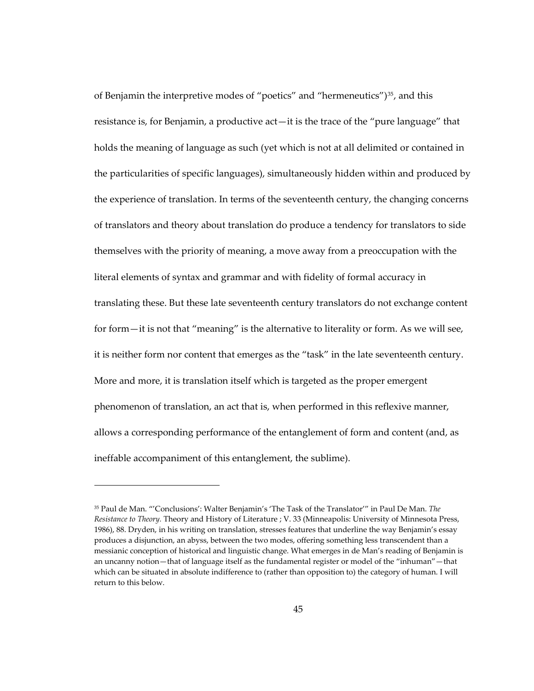of Benjamin the interpretive modes of "poetics" and "hermeneutics")<sup>[35](#page-78-0)</sup>, and this resistance is, for Benjamin, a productive act—it is the trace of the "pure language" that holds the meaning of language as such (yet which is not at all delimited or contained in the particularities of specific languages), simultaneously hidden within and produced by the experience of translation. In terms of the seventeenth century, the changing concerns of translators and theory about translation do produce a tendency for translators to side themselves with the priority of meaning, a move away from a preoccupation with the literal elements of syntax and grammar and with fidelity of formal accuracy in translating these. But these late seventeenth century translators do not exchange content for form—it is not that "meaning" is the alternative to literality or form. As we will see, it is neither form nor content that emerges as the "task" in the late seventeenth century. More and more, it is translation itself which is targeted as the proper emergent phenomenon of translation, an act that is, when performed in this reflexive manner, allows a corresponding performance of the entanglement of form and content (and, as ineffable accompaniment of this entanglement, the sublime).

<span id="page-78-0"></span><sup>35</sup> Paul de Man. "'Conclusions': Walter Benjamin's 'The Task of the Translator'" in Paul De Man. *The Resistance to Theory.* Theory and History of Literature ; V. 33 (Minneapolis: University of Minnesota Press, 1986), 88. Dryden, in his writing on translation, stresses features that underline the way Benjamin's essay produces a disjunction, an abyss, between the two modes, offering something less transcendent than a messianic conception of historical and linguistic change. What emerges in de Man's reading of Benjamin is an uncanny notion—that of language itself as the fundamental register or model of the "inhuman"—that which can be situated in absolute indifference to (rather than opposition to) the category of human. I will return to this below.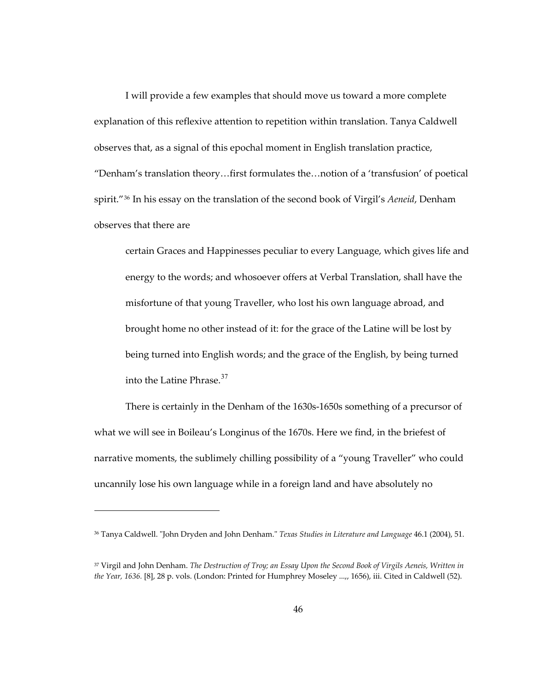I will provide a few examples that should move us toward a more complete explanation of this reflexive attention to repetition within translation. Tanya Caldwell observes that, as a signal of this epochal moment in English translation practice, "Denham's translation theory…first formulates the…notion of a 'transfusion' of poetical spirit."[36](#page-79-0) In his essay on the translation of the second book of Virgil's *Aeneid*, Denham observes that there are

certain Graces and Happinesses peculiar to every Language, which gives life and energy to the words; and whosoever offers at Verbal Translation, shall have the misfortune of that young Traveller, who lost his own language abroad, and brought home no other instead of it: for the grace of the Latine will be lost by being turned into English words; and the grace of the English, by being turned into the Latine Phrase.<sup>[37](#page-79-1)</sup>

There is certainly in the Denham of the 1630s-1650s something of a precursor of what we will see in Boileau's Longinus of the 1670s. Here we find, in the briefest of narrative moments, the sublimely chilling possibility of a "young Traveller" who could uncannily lose his own language while in a foreign land and have absolutely no

<span id="page-79-0"></span><sup>36</sup> Tanya Caldwell. "John Dryden and John Denham." *Texas Studies in Literature and Language* 46.1 (2004), 51.

<span id="page-79-1"></span><sup>37</sup> Virgil and John Denham. *The Destruction of Troy; an Essay Upon the Second Book of Virgils Aeneis, Written in the Year, 1636.* [8], 28 p. vols. (London: Printed for Humphrey Moseley ...,, 1656), iii. Cited in Caldwell (52).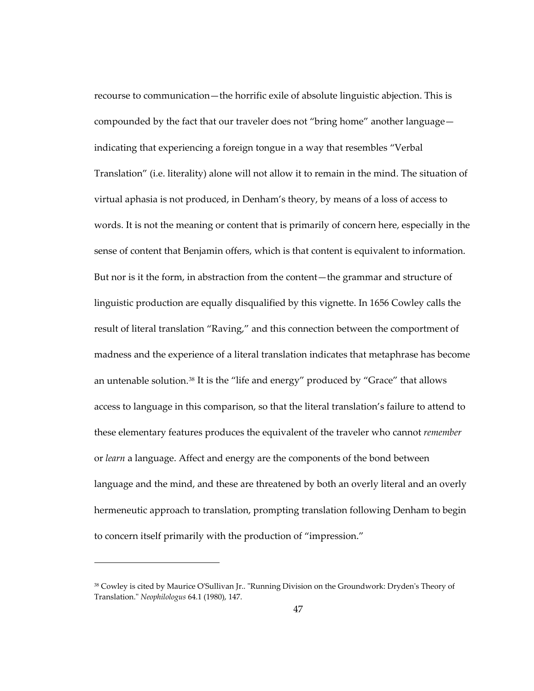recourse to communication—the horrific exile of absolute linguistic abjection. This is compounded by the fact that our traveler does not "bring home" another language indicating that experiencing a foreign tongue in a way that resembles "Verbal Translation" (i.e. literality) alone will not allow it to remain in the mind. The situation of virtual aphasia is not produced, in Denham's theory, by means of a loss of access to words. It is not the meaning or content that is primarily of concern here, especially in the sense of content that Benjamin offers, which is that content is equivalent to information. But nor is it the form, in abstraction from the content—the grammar and structure of linguistic production are equally disqualified by this vignette. In 1656 Cowley calls the result of literal translation "Raving," and this connection between the comportment of madness and the experience of a literal translation indicates that metaphrase has become an untenable solution. $38$  It is the "life and energy" produced by "Grace" that allows access to language in this comparison, so that the literal translation's failure to attend to these elementary features produces the equivalent of the traveler who cannot *remember* or *learn* a language. Affect and energy are the components of the bond between language and the mind, and these are threatened by both an overly literal and an overly hermeneutic approach to translation, prompting translation following Denham to begin to concern itself primarily with the production of "impression."

<span id="page-80-0"></span><sup>38</sup> Cowley is cited by Maurice O'Sullivan Jr.. "Running Division on the Groundwork: Dryden's Theory of Translation." *Neophilologus* 64.1 (1980), 147.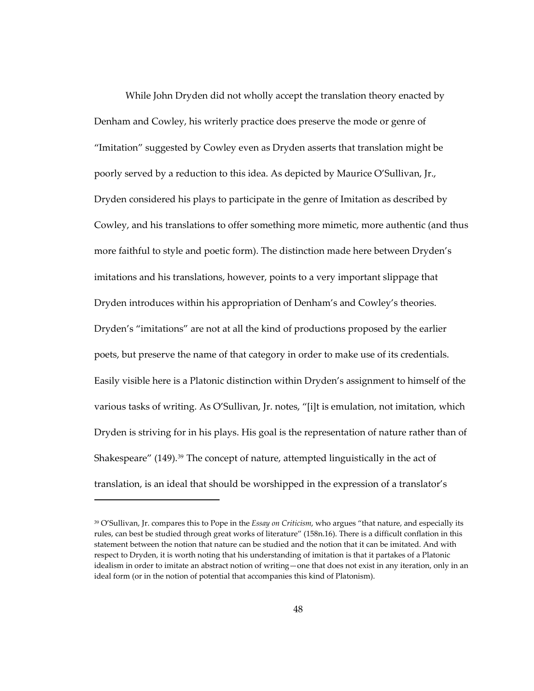While John Dryden did not wholly accept the translation theory enacted by Denham and Cowley, his writerly practice does preserve the mode or genre of "Imitation" suggested by Cowley even as Dryden asserts that translation might be poorly served by a reduction to this idea. As depicted by Maurice O'Sullivan, Jr., Dryden considered his plays to participate in the genre of Imitation as described by Cowley, and his translations to offer something more mimetic, more authentic (and thus more faithful to style and poetic form). The distinction made here between Dryden's imitations and his translations, however, points to a very important slippage that Dryden introduces within his appropriation of Denham's and Cowley's theories. Dryden's "imitations" are not at all the kind of productions proposed by the earlier poets, but preserve the name of that category in order to make use of its credentials. Easily visible here is a Platonic distinction within Dryden's assignment to himself of the various tasks of writing. As O'Sullivan, Jr. notes, "[i]t is emulation, not imitation, which Dryden is striving for in his plays. His goal is the representation of nature rather than of Shakespeare" (149).<sup>[39](#page-81-0)</sup> The concept of nature, attempted linguistically in the act of translation, is an ideal that should be worshipped in the expression of a translator's

<span id="page-81-0"></span><sup>39</sup> O'Sullivan, Jr. compares this to Pope in the *Essay on Criticism*, who argues "that nature, and especially its rules, can best be studied through great works of literature" (158n.16). There is a difficult conflation in this statement between the notion that nature can be studied and the notion that it can be imitated. And with respect to Dryden, it is worth noting that his understanding of imitation is that it partakes of a Platonic idealism in order to imitate an abstract notion of writing—one that does not exist in any iteration, only in an ideal form (or in the notion of potential that accompanies this kind of Platonism).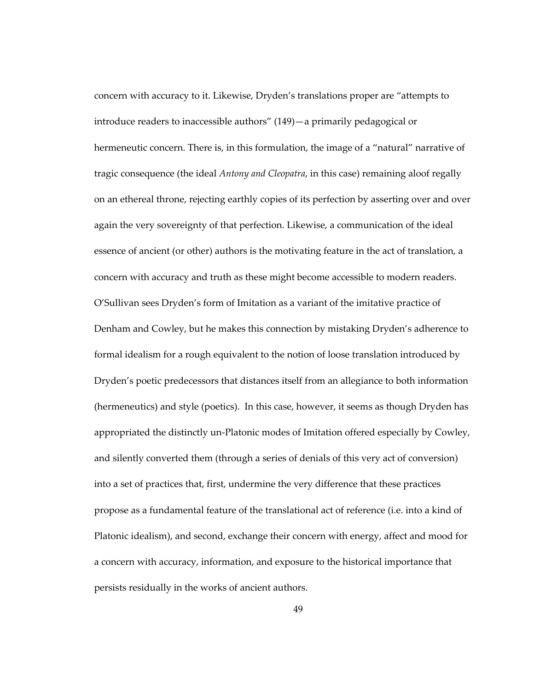concern with accuracy to it. Likewise, Dryden's translations proper are "attempts to introduce readers to inaccessible authors" (149)—a primarily pedagogical or hermeneutic concern. There is, in this formulation, the image of a "natural" narrative of tragic consequence (the ideal *Antony and Cleopatra*, in this case) remaining aloof regally on an ethereal throne, rejecting earthly copies of its perfection by asserting over and over again the very sovereignty of that perfection. Likewise, a communication of the ideal essence of ancient (or other) authors is the motivating feature in the act of translation, a concern with accuracy and truth as these might become accessible to modern readers. O'Sullivan sees Dryden's form of Imitation as a variant of the imitative practice of Denham and Cowley, but he makes this connection by mistaking Dryden's adherence to formal idealism for a rough equivalent to the notion of loose translation introduced by Dryden's poetic predecessors that distances itself from an allegiance to both information (hermeneutics) and style (poetics). In this case, however, it seems as though Dryden has appropriated the distinctly un-Platonic modes of Imitation offered especially by Cowley, and silently converted them (through a series of denials of this very act of conversion) into a set of practices that, first, undermine the very difference that these practices propose as a fundamental feature of the translational act of reference (i.e. into a kind of Platonic idealism), and second, exchange their concern with energy, affect and mood for a concern with accuracy, information, and exposure to the historical importance that persists residually in the works of ancient authors.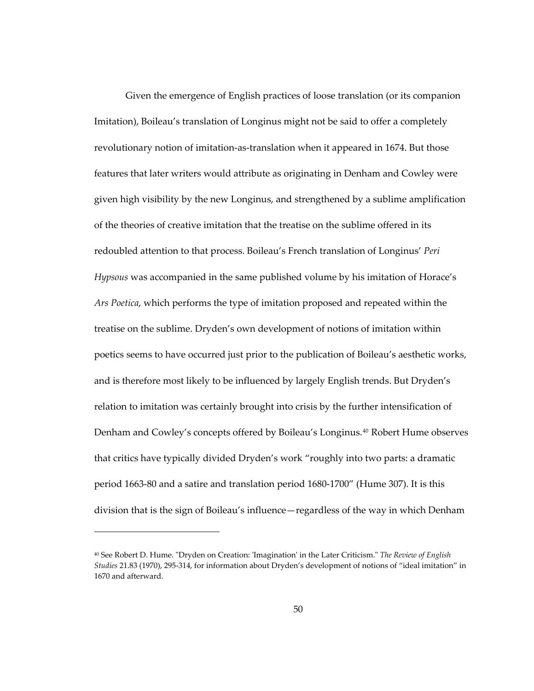Given the emergence of English practices of loose translation (or its companion Imitation), Boileau's translation of Longinus might not be said to offer a completely revolutionary notion of imitation-as-translation when it appeared in 1674. But those features that later writers would attribute as originating in Denham and Cowley were given high visibility by the new Longinus, and strengthened by a sublime amplification of the theories of creative imitation that the treatise on the sublime offered in its redoubled attention to that process. Boileau's French translation of Longinus' *Peri Hypsous* was accompanied in the same published volume by his imitation of Horace's *Ars Poetica*, which performs the type of imitation proposed and repeated within the treatise on the sublime. Dryden's own development of notions of imitation within poetics seems to have occurred just prior to the publication of Boileau's aesthetic works, and is therefore most likely to be influenced by largely English trends. But Dryden's relation to imitation was certainly brought into crisis by the further intensification of Denham and Cowley's concepts offered by Boileau's Longinus.[40](#page-83-0) Robert Hume observes that critics have typically divided Dryden's work "roughly into two parts: a dramatic period 1663-80 and a satire and translation period 1680-1700" (Hume 307). It is this division that is the sign of Boileau's influence—regardless of the way in which Denham

<span id="page-83-0"></span><sup>40</sup> See Robert D. Hume. "Dryden on Creation: 'Imagination' in the Later Criticism." *The Review of English Studies* 21.83 (1970), 295-314, for information about Dryden's development of notions of "ideal imitation" in 1670 and afterward.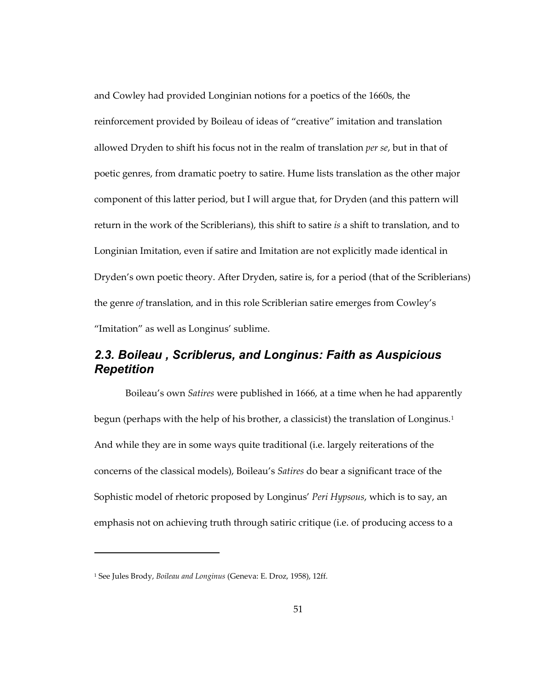and Cowley had provided Longinian notions for a poetics of the 1660s, the reinforcement provided by Boileau of ideas of "creative" imitation and translation allowed Dryden to shift his focus not in the realm of translation *per se*, but in that of poetic genres, from dramatic poetry to satire. Hume lists translation as the other major component of this latter period, but I will argue that, for Dryden (and this pattern will return in the work of the Scriblerians), this shift to satire *is* a shift to translation, and to Longinian Imitation, even if satire and Imitation are not explicitly made identical in Dryden's own poetic theory. After Dryden, satire is, for a period (that of the Scriblerians) the genre *of* translation, and in this role Scriblerian satire emerges from Cowley's "Imitation" as well as Longinus' sublime.

## *2.3. Boileau , Scriblerus, and Longinus: Faith as Auspicious Repetition*

Boileau's own *Satires* were published in 1666, at a time when he had apparently begun (perhaps with the help of his brother, a classicist) the translation of Longinus.<sup>[1](#page-84-0)</sup> And while they are in some ways quite traditional (i.e. largely reiterations of the concerns of the classical models), Boileau's *Satires* do bear a significant trace of the Sophistic model of rhetoric proposed by Longinus' *Peri Hypsous*, which is to say, an emphasis not on achieving truth through satiric critique (i.e. of producing access to a

<span id="page-84-0"></span><sup>1</sup> See Jules Brody, *Boileau and Longinus* (Geneva: E. Droz, 1958), 12ff.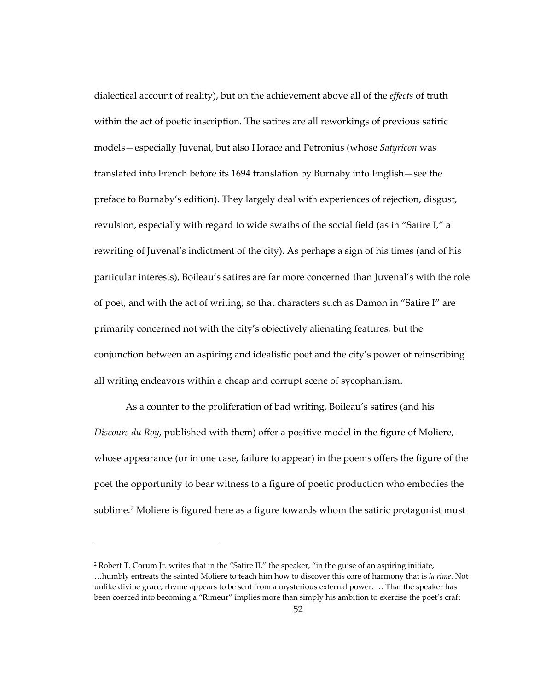dialectical account of reality), but on the achievement above all of the *effects* of truth within the act of poetic inscription. The satires are all reworkings of previous satiric models—especially Juvenal, but also Horace and Petronius (whose *Satyricon* was translated into French before its 1694 translation by Burnaby into English—see the preface to Burnaby's edition). They largely deal with experiences of rejection, disgust, revulsion, especially with regard to wide swaths of the social field (as in "Satire I," a rewriting of Juvenal's indictment of the city). As perhaps a sign of his times (and of his particular interests), Boileau's satires are far more concerned than Juvenal's with the role of poet, and with the act of writing, so that characters such as Damon in "Satire I" are primarily concerned not with the city's objectively alienating features, but the conjunction between an aspiring and idealistic poet and the city's power of reinscribing all writing endeavors within a cheap and corrupt scene of sycophantism.

As a counter to the proliferation of bad writing, Boileau's satires (and his *Discours du Roy*, published with them) offer a positive model in the figure of Moliere, whose appearance (or in one case, failure to appear) in the poems offers the figure of the poet the opportunity to bear witness to a figure of poetic production who embodies the sublime.<sup>[2](#page-85-0)</sup> Moliere is figured here as a figure towards whom the satiric protagonist must

<span id="page-85-0"></span><sup>2</sup> Robert T. Corum Jr. writes that in the "Satire II," the speaker, "in the guise of an aspiring initiate, …humbly entreats the sainted Moliere to teach him how to discover this core of harmony that is *la rime*. Not unlike divine grace, rhyme appears to be sent from a mysterious external power. … That the speaker has been coerced into becoming a "Rimeur" implies more than simply his ambition to exercise the poet's craft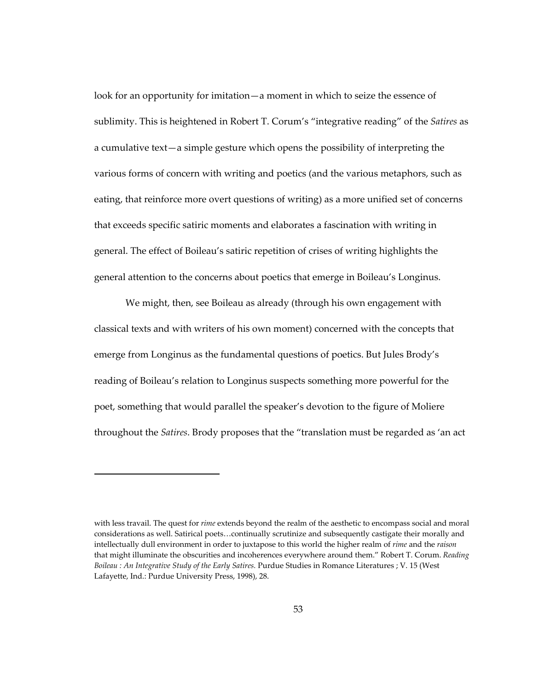look for an opportunity for imitation—a moment in which to seize the essence of sublimity. This is heightened in Robert T. Corum's "integrative reading" of the *Satires* as a cumulative text—a simple gesture which opens the possibility of interpreting the various forms of concern with writing and poetics (and the various metaphors, such as eating, that reinforce more overt questions of writing) as a more unified set of concerns that exceeds specific satiric moments and elaborates a fascination with writing in general. The effect of Boileau's satiric repetition of crises of writing highlights the general attention to the concerns about poetics that emerge in Boileau's Longinus.

We might, then, see Boileau as already (through his own engagement with classical texts and with writers of his own moment) concerned with the concepts that emerge from Longinus as the fundamental questions of poetics. But Jules Brody's reading of Boileau's relation to Longinus suspects something more powerful for the poet, something that would parallel the speaker's devotion to the figure of Moliere throughout the *Satires*. Brody proposes that the "translation must be regarded as 'an act

with less travail. The quest for *rime* extends beyond the realm of the aesthetic to encompass social and moral considerations as well. Satirical poets…continually scrutinize and subsequently castigate their morally and intellectually dull environment in order to juxtapose to this world the higher realm of *rime* and the *raison* that might illuminate the obscurities and incoherences everywhere around them." Robert T. Corum. *Reading Boileau : An Integrative Study of the Early Satires.* Purdue Studies in Romance Literatures ; V. 15 (West Lafayette, Ind.: Purdue University Press, 1998), 28.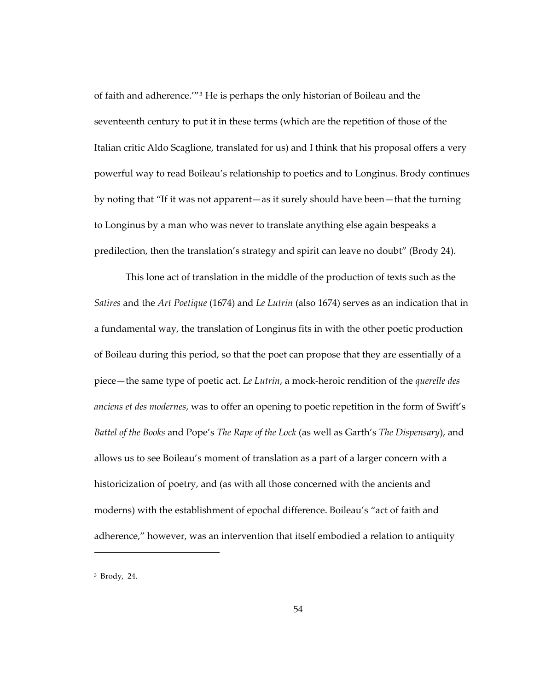of faith and adherence.'"[3](#page-87-0) He is perhaps the only historian of Boileau and the seventeenth century to put it in these terms (which are the repetition of those of the Italian critic Aldo Scaglione, translated for us) and I think that his proposal offers a very powerful way to read Boileau's relationship to poetics and to Longinus. Brody continues by noting that "If it was not apparent—as it surely should have been—that the turning to Longinus by a man who was never to translate anything else again bespeaks a predilection, then the translation's strategy and spirit can leave no doubt" (Brody 24).

This lone act of translation in the middle of the production of texts such as the *Satires* and the *Art Poetique* (1674) and *Le Lutrin* (also 1674) serves as an indication that in a fundamental way, the translation of Longinus fits in with the other poetic production of Boileau during this period, so that the poet can propose that they are essentially of a piece—the same type of poetic act. *Le Lutrin*, a mock-heroic rendition of the *querelle des anciens et des modernes*, was to offer an opening to poetic repetition in the form of Swift's *Battel of the Books* and Pope's *The Rape of the Lock* (as well as Garth's *The Dispensary*), and allows us to see Boileau's moment of translation as a part of a larger concern with a historicization of poetry, and (as with all those concerned with the ancients and moderns) with the establishment of epochal difference. Boileau's "act of faith and adherence," however, was an intervention that itself embodied a relation to antiquity

<span id="page-87-0"></span><sup>3</sup> Brody, 24.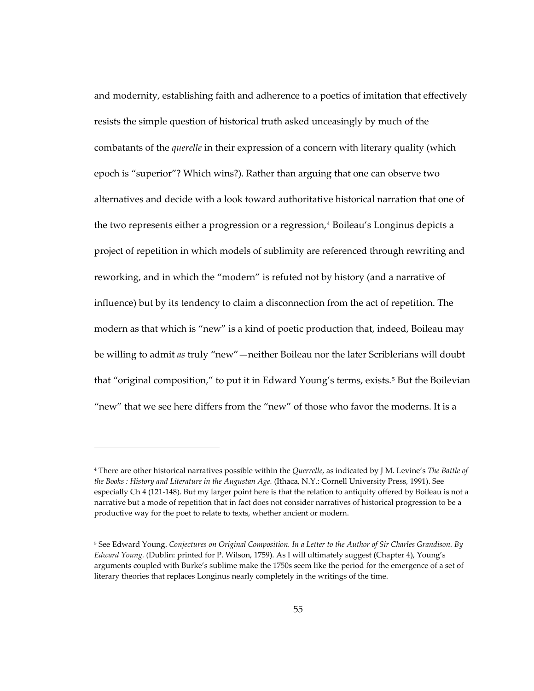and modernity, establishing faith and adherence to a poetics of imitation that effectively resists the simple question of historical truth asked unceasingly by much of the combatants of the *querelle* in their expression of a concern with literary quality (which epoch is "superior"? Which wins?). Rather than arguing that one can observe two alternatives and decide with a look toward authoritative historical narration that one of the two represents either a progression or a regression,<sup>[4](#page-88-0)</sup> Boileau's Longinus depicts a project of repetition in which models of sublimity are referenced through rewriting and reworking, and in which the "modern" is refuted not by history (and a narrative of influence) but by its tendency to claim a disconnection from the act of repetition. The modern as that which is "new" is a kind of poetic production that, indeed, Boileau may be willing to admit *as* truly "new"—neither Boileau nor the later Scriblerians will doubt that "original composition," to put it in Edward Young's terms, exists.<sup>5</sup> But the Boilevian "new" that we see here differs from the "new" of those who favor the moderns. It is a

<span id="page-88-0"></span><sup>4</sup> There are other historical narratives possible within the *Querrelle*, as indicated by J M. Levine's *The Battle of the Books : History and Literature in the Augustan Age.* (Ithaca, N.Y.: Cornell University Press, 1991). See especially Ch 4 (121-148). But my larger point here is that the relation to antiquity offered by Boileau is not a narrative but a mode of repetition that in fact does not consider narratives of historical progression to be a productive way for the poet to relate to texts, whether ancient or modern.

<span id="page-88-1"></span><sup>5</sup> See Edward Young. *Conjectures on Original Composition. In a Letter to the Author of Sir Charles Grandison. By Edward Young.* (Dublin: printed for P. Wilson, 1759). As I will ultimately suggest (Chapter 4), Young's arguments coupled with Burke's sublime make the 1750s seem like the period for the emergence of a set of literary theories that replaces Longinus nearly completely in the writings of the time.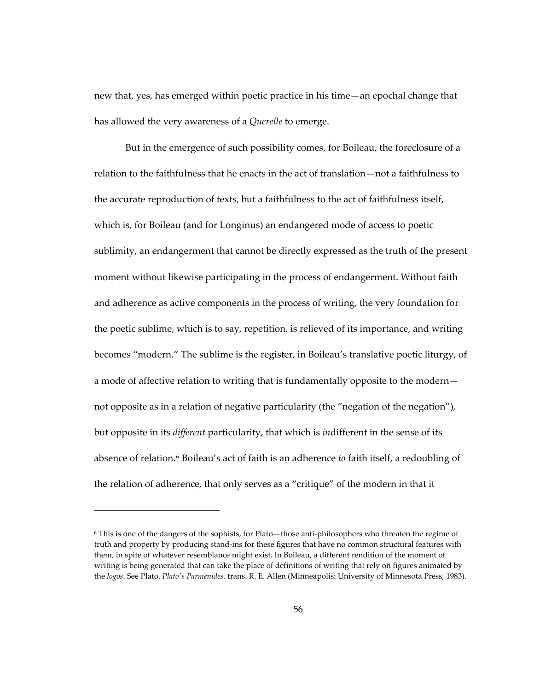new that, yes, has emerged within poetic practice in his time—an epochal change that has allowed the very awareness of a *Querelle* to emerge.

But in the emergence of such possibility comes, for Boileau, the foreclosure of a relation to the faithfulness that he enacts in the act of translation—not a faithfulness to the accurate reproduction of texts, but a faithfulness to the act of faithfulness itself, which is, for Boileau (and for Longinus) an endangered mode of access to poetic sublimity, an endangerment that cannot be directly expressed as the truth of the present moment without likewise participating in the process of endangerment. Without faith and adherence as active components in the process of writing, the very foundation for the poetic sublime, which is to say, repetition, is relieved of its importance, and writing becomes "modern." The sublime is the register, in Boileau's translative poetic liturgy, of a mode of affective relation to writing that is fundamentally opposite to the modern not opposite as in a relation of negative particularity (the "negation of the negation"), but opposite in its *different* particularity, that which is *in*different in the sense of its absence of relation.[6](#page-89-0) Boileau's act of faith is an adherence *to* faith itself, a redoubling of the relation of adherence, that only serves as a "critique" of the modern in that it

1

<span id="page-89-0"></span><sup>6</sup> This is one of the dangers of the sophists, for Plato—those anti-philosophers who threaten the regime of truth and property by producing stand-ins for these figures that have no common structural features with them, in spite of whatever resemblance might exist. In Boileau, a different rendition of the moment of writing is being generated that can take the place of definitions of writing that rely on figures animated by the *logos*. See Plato. *Plato's Parmenides.* trans. R. E. Allen (Minneapolis: University of Minnesota Press, 1983).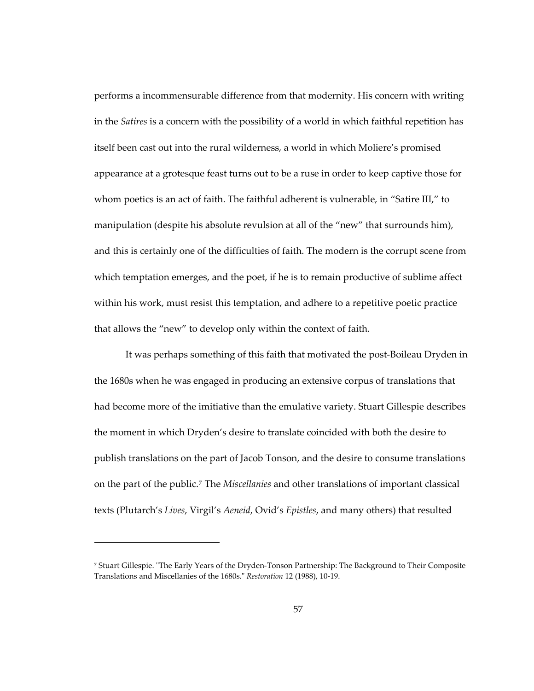performs a incommensurable difference from that modernity. His concern with writing in the *Satires* is a concern with the possibility of a world in which faithful repetition has itself been cast out into the rural wilderness, a world in which Moliere's promised appearance at a grotesque feast turns out to be a ruse in order to keep captive those for whom poetics is an act of faith. The faithful adherent is vulnerable, in "Satire III," to manipulation (despite his absolute revulsion at all of the "new" that surrounds him), and this is certainly one of the difficulties of faith. The modern is the corrupt scene from which temptation emerges, and the poet, if he is to remain productive of sublime affect within his work, must resist this temptation, and adhere to a repetitive poetic practice that allows the "new" to develop only within the context of faith.

It was perhaps something of this faith that motivated the post-Boileau Dryden in the 1680s when he was engaged in producing an extensive corpus of translations that had become more of the imitiative than the emulative variety. Stuart Gillespie describes the moment in which Dryden's desire to translate coincided with both the desire to publish translations on the part of Jacob Tonson, and the desire to consume translations on the part of the public.[7](#page-90-0) The *Miscellanies* and other translations of important classical texts (Plutarch's *Lives*, Virgil's *Aeneid*, Ovid's *Epistles*, and many others) that resulted

1

<span id="page-90-0"></span><sup>7</sup> Stuart Gillespie. "The Early Years of the Dryden-Tonson Partnership: The Background to Their Composite Translations and Miscellanies of the 1680s." *Restoration* 12 (1988), 10-19.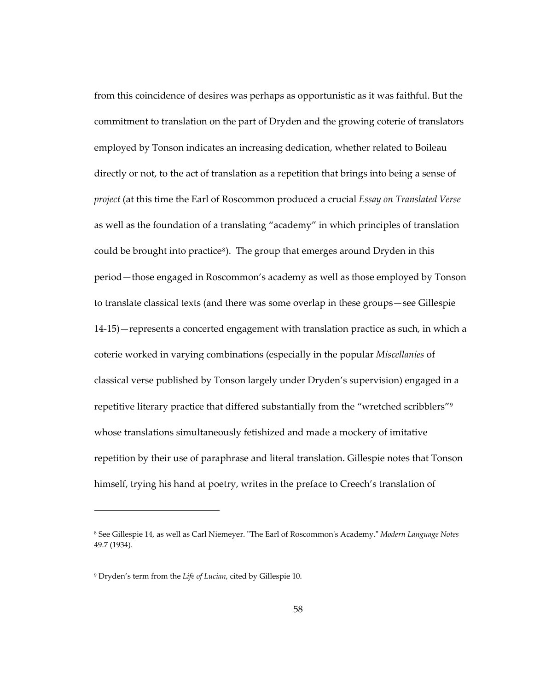from this coincidence of desires was perhaps as opportunistic as it was faithful. But the commitment to translation on the part of Dryden and the growing coterie of translators employed by Tonson indicates an increasing dedication, whether related to Boileau directly or not, to the act of translation as a repetition that brings into being a sense of *project* (at this time the Earl of Roscommon produced a crucial *Essay on Translated Verse* as well as the foundation of a translating "academy" in which principles of translation could be brought into practice<sup>[8](#page-91-0)</sup>). The group that emerges around Dryden in this period—those engaged in Roscommon's academy as well as those employed by Tonson to translate classical texts (and there was some overlap in these groups—see Gillespie 14-15)—represents a concerted engagement with translation practice as such, in which a coterie worked in varying combinations (especially in the popular *Miscellanies* of classical verse published by Tonson largely under Dryden's supervision) engaged in a repetitive literary practice that differed substantially from the "wretched scribblers"[9](#page-91-1) whose translations simultaneously fetishized and made a mockery of imitative repetition by their use of paraphrase and literal translation. Gillespie notes that Tonson himself, trying his hand at poetry, writes in the preface to Creech's translation of

<span id="page-91-0"></span><sup>8</sup> See Gillespie 14, as well as Carl Niemeyer. "The Earl of Roscommon's Academy." *Modern Language Notes*  49.7 (1934).

<span id="page-91-1"></span><sup>9</sup> Dryden's term from the *Life of Lucian*, cited by Gillespie 10.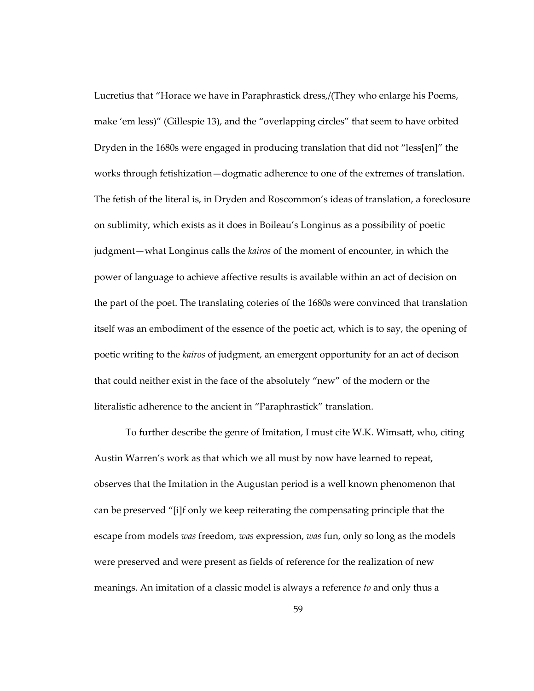Lucretius that "Horace we have in Paraphrastick dress,/(They who enlarge his Poems, make 'em less)" (Gillespie 13), and the "overlapping circles" that seem to have orbited Dryden in the 1680s were engaged in producing translation that did not "less[en]" the works through fetishization—dogmatic adherence to one of the extremes of translation. The fetish of the literal is, in Dryden and Roscommon's ideas of translation, a foreclosure on sublimity, which exists as it does in Boileau's Longinus as a possibility of poetic judgment—what Longinus calls the *kairos* of the moment of encounter, in which the power of language to achieve affective results is available within an act of decision on the part of the poet. The translating coteries of the 1680s were convinced that translation itself was an embodiment of the essence of the poetic act, which is to say, the opening of poetic writing to the *kairos* of judgment, an emergent opportunity for an act of decison that could neither exist in the face of the absolutely "new" of the modern or the literalistic adherence to the ancient in "Paraphrastick" translation.

To further describe the genre of Imitation, I must cite W.K. Wimsatt, who, citing Austin Warren's work as that which we all must by now have learned to repeat, observes that the Imitation in the Augustan period is a well known phenomenon that can be preserved "[i]f only we keep reiterating the compensating principle that the escape from models *was* freedom, *was* expression, *was* fun, only so long as the models were preserved and were present as fields of reference for the realization of new meanings. An imitation of a classic model is always a reference *to* and only thus a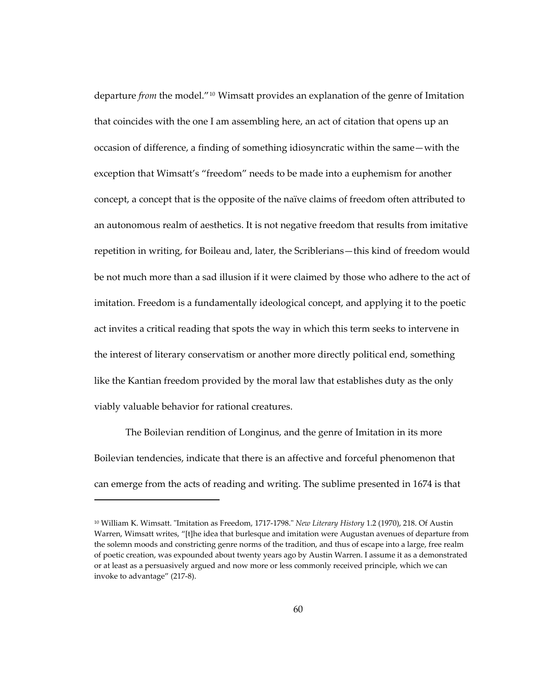departure *from* the model."[10](#page-93-0) Wimsatt provides an explanation of the genre of Imitation that coincides with the one I am assembling here, an act of citation that opens up an occasion of difference, a finding of something idiosyncratic within the same—with the exception that Wimsatt's "freedom" needs to be made into a euphemism for another concept, a concept that is the opposite of the naïve claims of freedom often attributed to an autonomous realm of aesthetics. It is not negative freedom that results from imitative repetition in writing, for Boileau and, later, the Scriblerians—this kind of freedom would be not much more than a sad illusion if it were claimed by those who adhere to the act of imitation. Freedom is a fundamentally ideological concept, and applying it to the poetic act invites a critical reading that spots the way in which this term seeks to intervene in the interest of literary conservatism or another more directly political end, something like the Kantian freedom provided by the moral law that establishes duty as the only viably valuable behavior for rational creatures.

The Boilevian rendition of Longinus, and the genre of Imitation in its more Boilevian tendencies, indicate that there is an affective and forceful phenomenon that can emerge from the acts of reading and writing. The sublime presented in 1674 is that

<span id="page-93-0"></span><sup>10</sup> William K. Wimsatt. "Imitation as Freedom, 1717-1798." *New Literary History* 1.2 (1970), 218. Of Austin Warren, Wimsatt writes, "[t]he idea that burlesque and imitation were Augustan avenues of departure from the solemn moods and constricting genre norms of the tradition, and thus of escape into a large, free realm of poetic creation, was expounded about twenty years ago by Austin Warren. I assume it as a demonstrated or at least as a persuasively argued and now more or less commonly received principle, which we can invoke to advantage" (217-8).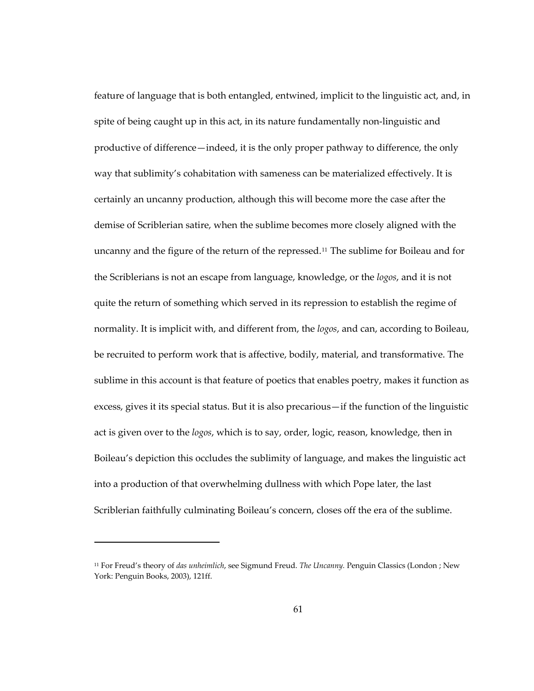feature of language that is both entangled, entwined, implicit to the linguistic act, and, in spite of being caught up in this act, in its nature fundamentally non-linguistic and productive of difference—indeed, it is the only proper pathway to difference, the only way that sublimity's cohabitation with sameness can be materialized effectively. It is certainly an uncanny production, although this will become more the case after the demise of Scriblerian satire, when the sublime becomes more closely aligned with the uncanny and the figure of the return of the repressed.[11](#page-94-0) The sublime for Boileau and for the Scriblerians is not an escape from language, knowledge, or the *logos*, and it is not quite the return of something which served in its repression to establish the regime of normality. It is implicit with, and different from, the *logos*, and can, according to Boileau, be recruited to perform work that is affective, bodily, material, and transformative. The sublime in this account is that feature of poetics that enables poetry, makes it function as excess, gives it its special status. But it is also precarious—if the function of the linguistic act is given over to the *logos*, which is to say, order, logic, reason, knowledge, then in Boileau's depiction this occludes the sublimity of language, and makes the linguistic act into a production of that overwhelming dullness with which Pope later, the last Scriblerian faithfully culminating Boileau's concern, closes off the era of the sublime.

1

<span id="page-94-0"></span><sup>11</sup> For Freud's theory of *das unheimlich*, see Sigmund Freud. *The Uncanny.* Penguin Classics (London ; New York: Penguin Books, 2003), 121ff.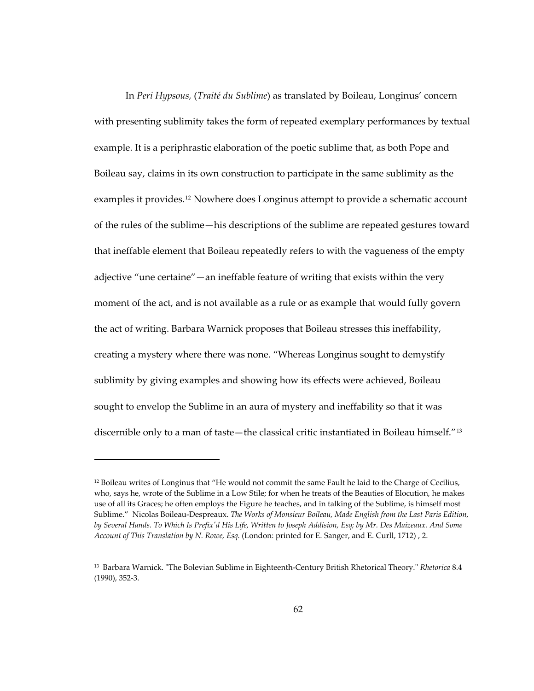In *Peri Hypsous,* (*Traité du Sublime*) as translated by Boileau, Longinus' concern with presenting sublimity takes the form of repeated exemplary performances by textual example. It is a periphrastic elaboration of the poetic sublime that, as both Pope and Boileau say, claims in its own construction to participate in the same sublimity as the examples it provides.[12](#page-95-0) Nowhere does Longinus attempt to provide a schematic account of the rules of the sublime—his descriptions of the sublime are repeated gestures toward that ineffable element that Boileau repeatedly refers to with the vagueness of the empty adjective "une certaine"—an ineffable feature of writing that exists within the very moment of the act, and is not available as a rule or as example that would fully govern the act of writing. Barbara Warnick proposes that Boileau stresses this ineffability, creating a mystery where there was none. "Whereas Longinus sought to demystify sublimity by giving examples and showing how its effects were achieved, Boileau sought to envelop the Sublime in an aura of mystery and ineffability so that it was discernible only to a man of taste—the classical critic instantiated in Boileau himself."[13](#page-95-1)

<span id="page-95-0"></span> $12$  Boileau writes of Longinus that "He would not commit the same Fault he laid to the Charge of Cecilius, who, says he, wrote of the Sublime in a Low Stile; for when he treats of the Beauties of Elocution, he makes use of all its Graces; he often employs the Figure he teaches, and in talking of the Sublime, is himself most Sublime." Nicolas Boileau-Despreaux. *The Works of Monsieur Boileau, Made English from the Last Paris Edition, by Several Hands. To Which Is Prefix'd His Life, Written to Joseph Addision, Esq; by Mr. Des Maizeaux. And Some Account of This Translation by N. Rowe, Esq.* (London: printed for E. Sanger, and E. Curll, 1712) , 2.

<span id="page-95-1"></span><sup>13</sup> Barbara Warnick. "The Bolevian Sublime in Eighteenth-Century British Rhetorical Theory." *Rhetorica* 8.4 (1990), 352-3.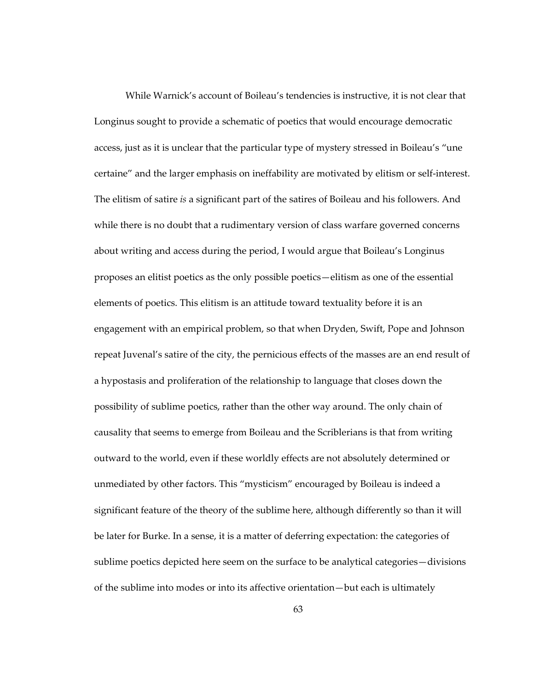While Warnick's account of Boileau's tendencies is instructive, it is not clear that Longinus sought to provide a schematic of poetics that would encourage democratic access, just as it is unclear that the particular type of mystery stressed in Boileau's "une certaine" and the larger emphasis on ineffability are motivated by elitism or self-interest. The elitism of satire *is* a significant part of the satires of Boileau and his followers. And while there is no doubt that a rudimentary version of class warfare governed concerns about writing and access during the period, I would argue that Boileau's Longinus proposes an elitist poetics as the only possible poetics—elitism as one of the essential elements of poetics. This elitism is an attitude toward textuality before it is an engagement with an empirical problem, so that when Dryden, Swift, Pope and Johnson repeat Juvenal's satire of the city, the pernicious effects of the masses are an end result of a hypostasis and proliferation of the relationship to language that closes down the possibility of sublime poetics, rather than the other way around. The only chain of causality that seems to emerge from Boileau and the Scriblerians is that from writing outward to the world, even if these worldly effects are not absolutely determined or unmediated by other factors. This "mysticism" encouraged by Boileau is indeed a significant feature of the theory of the sublime here, although differently so than it will be later for Burke. In a sense, it is a matter of deferring expectation: the categories of sublime poetics depicted here seem on the surface to be analytical categories—divisions of the sublime into modes or into its affective orientation—but each is ultimately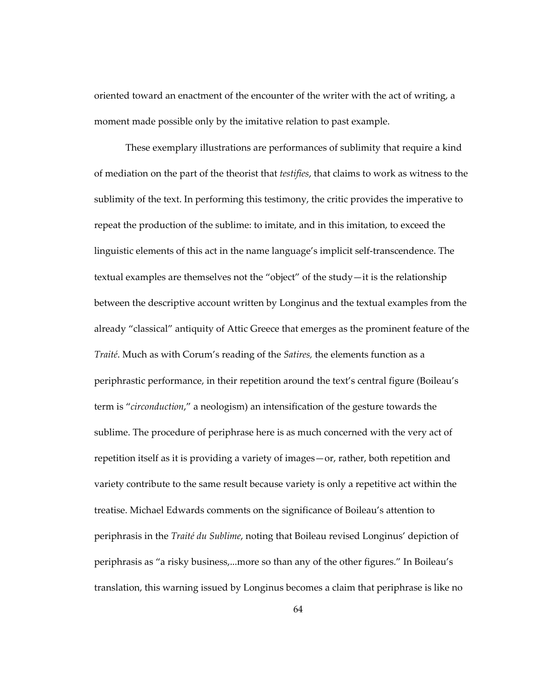oriented toward an enactment of the encounter of the writer with the act of writing, a moment made possible only by the imitative relation to past example.

These exemplary illustrations are performances of sublimity that require a kind of mediation on the part of the theorist that *testifies*, that claims to work as witness to the sublimity of the text. In performing this testimony, the critic provides the imperative to repeat the production of the sublime: to imitate, and in this imitation, to exceed the linguistic elements of this act in the name language's implicit self-transcendence. The textual examples are themselves not the "object" of the study—it is the relationship between the descriptive account written by Longinus and the textual examples from the already "classical" antiquity of Attic Greece that emerges as the prominent feature of the *Traité*. Much as with Corum's reading of the *Satires,* the elements function as a periphrastic performance, in their repetition around the text's central figure (Boileau's term is "*circonduction*," a neologism) an intensification of the gesture towards the sublime. The procedure of periphrase here is as much concerned with the very act of repetition itself as it is providing a variety of images—or, rather, both repetition and variety contribute to the same result because variety is only a repetitive act within the treatise. Michael Edwards comments on the significance of Boileau's attention to periphrasis in the *Traité du Sublime*, noting that Boileau revised Longinus' depiction of periphrasis as "a risky business,...more so than any of the other figures." In Boileau's translation, this warning issued by Longinus becomes a claim that periphrase is like no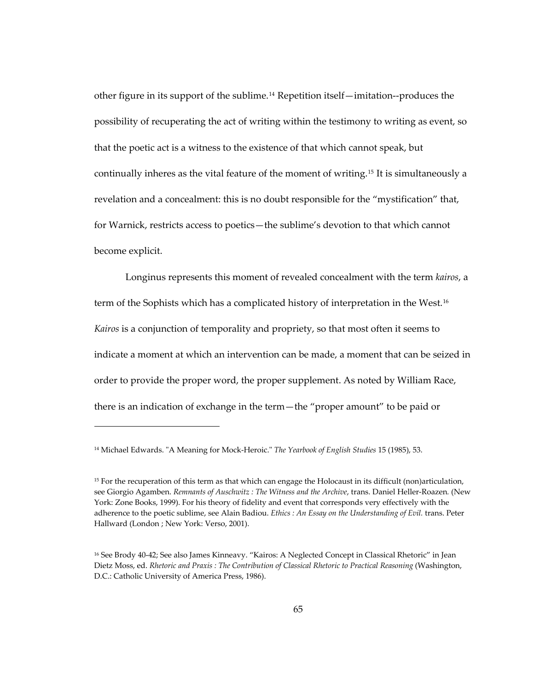other figure in its support of the sublime.[14](#page-98-0) Repetition itself—imitation--produces the possibility of recuperating the act of writing within the testimony to writing as event, so that the poetic act is a witness to the existence of that which cannot speak, but continually inheres as the vital feature of the moment of writing.[15](#page-98-1) It is simultaneously a revelation and a concealment: this is no doubt responsible for the "mystification" that, for Warnick, restricts access to poetics—the sublime's devotion to that which cannot become explicit.

Longinus represents this moment of revealed concealment with the term *kairos*, a term of the Sophists which has a complicated history of interpretation in the West.[16](#page-98-2) *Kairos* is a conjunction of temporality and propriety, so that most often it seems to indicate a moment at which an intervention can be made, a moment that can be seized in order to provide the proper word, the proper supplement. As noted by William Race, there is an indication of exchange in the term—the "proper amount" to be paid or

<span id="page-98-0"></span><sup>14</sup> Michael Edwards. "A Meaning for Mock-Heroic." *The Yearbook of English Studies* 15 (1985), 53.

<span id="page-98-1"></span><sup>&</sup>lt;sup>15</sup> For the recuperation of this term as that which can engage the Holocaust in its difficult (non)articulation, see Giorgio Agamben. *Remnants of Auschwitz : The Witness and the Archive*, trans. Daniel Heller-Roazen*.* (New York: Zone Books, 1999). For his theory of fidelity and event that corresponds very effectively with the adherence to the poetic sublime, see Alain Badiou. *Ethics : An Essay on the Understanding of Evil.* trans. Peter Hallward (London ; New York: Verso, 2001).

<span id="page-98-2"></span><sup>16</sup> See Brody 40-42; See also James Kinneavy. "Kairos: A Neglected Concept in Classical Rhetoric" in Jean Dietz Moss, ed. *Rhetoric and Praxis : The Contribution of Classical Rhetoric to Practical Reasoning* (Washington, D.C.: Catholic University of America Press, 1986).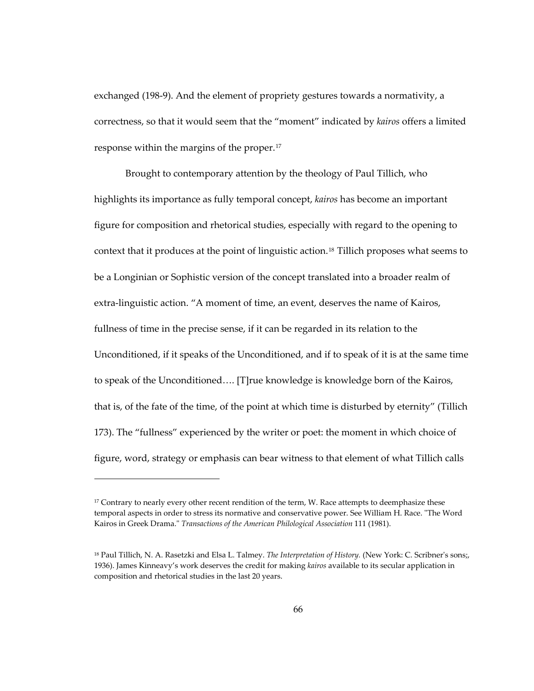exchanged (198-9). And the element of propriety gestures towards a normativity, a correctness, so that it would seem that the "moment" indicated by *kairos* offers a limited response within the margins of the proper.[17](#page-99-0)

Brought to contemporary attention by the theology of Paul Tillich, who highlights its importance as fully temporal concept, *kairos* has become an important figure for composition and rhetorical studies, especially with regard to the opening to context that it produces at the point of linguistic action.[18](#page-99-1) Tillich proposes what seems to be a Longinian or Sophistic version of the concept translated into a broader realm of extra-linguistic action. "A moment of time, an event, deserves the name of Kairos, fullness of time in the precise sense, if it can be regarded in its relation to the Unconditioned, if it speaks of the Unconditioned, and if to speak of it is at the same time to speak of the Unconditioned…. [T]rue knowledge is knowledge born of the Kairos, that is, of the fate of the time, of the point at which time is disturbed by eternity" (Tillich 173). The "fullness" experienced by the writer or poet: the moment in which choice of figure, word, strategy or emphasis can bear witness to that element of what Tillich calls

<span id="page-99-0"></span> $17$  Contrary to nearly every other recent rendition of the term, W. Race attempts to deemphasize these temporal aspects in order to stress its normative and conservative power. See William H. Race. "The Word Kairos in Greek Drama." *Transactions of the American Philological Association* 111 (1981).

<span id="page-99-1"></span><sup>18</sup> Paul Tillich, N. A. Rasetzki and Elsa L. Talmey. *The Interpretation of History.* (New York: C. Scribner's sons;, 1936). James Kinneavy's work deserves the credit for making *kairos* available to its secular application in composition and rhetorical studies in the last 20 years.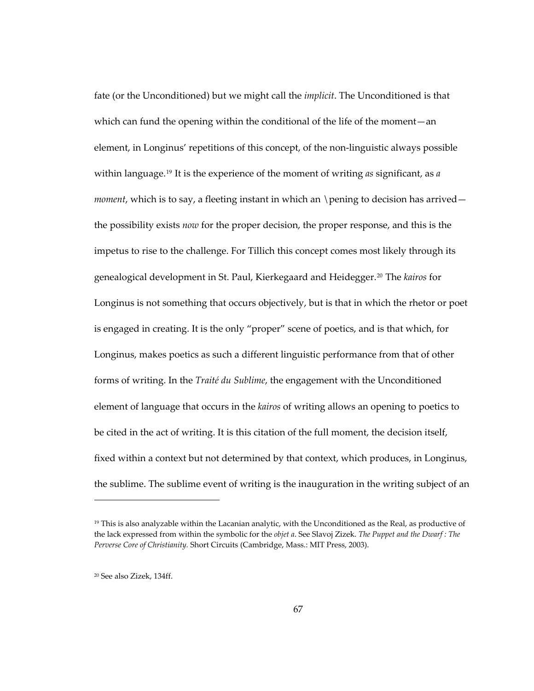fate (or the Unconditioned) but we might call the *implicit*. The Unconditioned is that which can fund the opening within the conditional of the life of the moment—an element, in Longinus' repetitions of this concept, of the non-linguistic always possible within language.[19](#page-100-0) It is the experience of the moment of writing *as* significant, as *a moment*, which is to say, a fleeting instant in which an \pening to decision has arrived the possibility exists *now* for the proper decision, the proper response, and this is the impetus to rise to the challenge. For Tillich this concept comes most likely through its genealogical development in St. Paul, Kierkegaard and Heidegger.[20](#page-100-1) The *kairos* for Longinus is not something that occurs objectively, but is that in which the rhetor or poet is engaged in creating. It is the only "proper" scene of poetics, and is that which, for Longinus, makes poetics as such a different linguistic performance from that of other forms of writing. In the *Traité du Sublime*, the engagement with the Unconditioned element of language that occurs in the *kairos* of writing allows an opening to poetics to be cited in the act of writing. It is this citation of the full moment, the decision itself, fixed within a context but not determined by that context, which produces, in Longinus, the sublime. The sublime event of writing is the inauguration in the writing subject of an

<span id="page-100-0"></span> $19$  This is also analyzable within the Lacanian analytic, with the Unconditioned as the Real, as productive of the lack expressed from within the symbolic for the *objet a*. See Slavoj Zizek. *The Puppet and the Dwarf : The Perverse Core of Christianity.* Short Circuits (Cambridge, Mass.: MIT Press, 2003).

<span id="page-100-1"></span><sup>20</sup> See also Zizek, 134ff.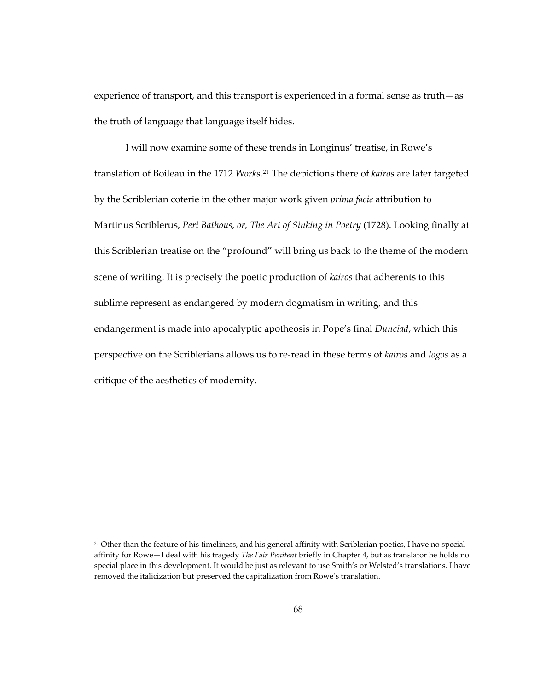experience of transport, and this transport is experienced in a formal sense as truth—as the truth of language that language itself hides.

I will now examine some of these trends in Longinus' treatise, in Rowe's translation of Boileau in the 1712 *Works*.[21](#page-101-0) The depictions there of *kairos* are later targeted by the Scriblerian coterie in the other major work given *prima facie* attribution to Martinus Scriblerus, *Peri Bathous, or, The Art of Sinking in Poetry* (1728). Looking finally at this Scriblerian treatise on the "profound" will bring us back to the theme of the modern scene of writing. It is precisely the poetic production of *kairos* that adherents to this sublime represent as endangered by modern dogmatism in writing, and this endangerment is made into apocalyptic apotheosis in Pope's final *Dunciad*, which this perspective on the Scriblerians allows us to re-read in these terms of *kairos* and *logos* as a critique of the aesthetics of modernity.

<span id="page-101-0"></span><sup>&</sup>lt;sup>21</sup> Other than the feature of his timeliness, and his general affinity with Scriblerian poetics, I have no special affinity for Rowe—I deal with his tragedy *The Fair Penitent* briefly in Chapter 4, but as translator he holds no special place in this development. It would be just as relevant to use Smith's or Welsted's translations. I have removed the italicization but preserved the capitalization from Rowe's translation.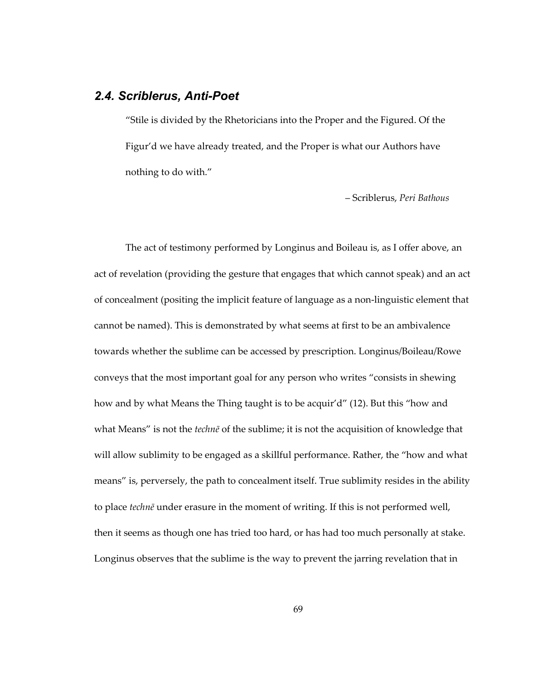## *2.4. Scriblerus, Anti-Poet*

"Stile is divided by the Rhetoricians into the Proper and the Figured. Of the Figur'd we have already treated, and the Proper is what our Authors have nothing to do with."

– Scriblerus, *Peri Bathous* 

The act of testimony performed by Longinus and Boileau is, as I offer above, an act of revelation (providing the gesture that engages that which cannot speak) and an act of concealment (positing the implicit feature of language as a non-linguistic element that cannot be named). This is demonstrated by what seems at first to be an ambivalence towards whether the sublime can be accessed by prescription. Longinus/Boileau/Rowe conveys that the most important goal for any person who writes "consists in shewing how and by what Means the Thing taught is to be acquir'd" (12). But this "how and what Means" is not the *technē* of the sublime; it is not the acquisition of knowledge that will allow sublimity to be engaged as a skillful performance. Rather, the "how and what means" is, perversely, the path to concealment itself. True sublimity resides in the ability to place *technē* under erasure in the moment of writing. If this is not performed well, then it seems as though one has tried too hard, or has had too much personally at stake. Longinus observes that the sublime is the way to prevent the jarring revelation that in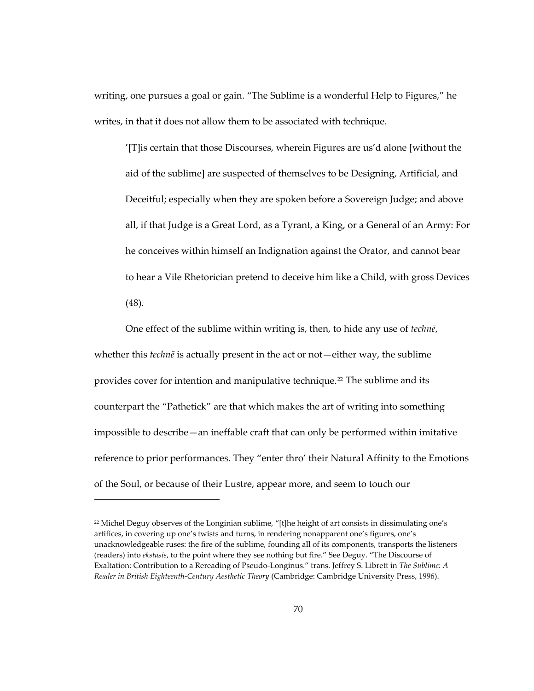writing, one pursues a goal or gain. "The Sublime is a wonderful Help to Figures," he writes, in that it does not allow them to be associated with technique.

'[T]is certain that those Discourses, wherein Figures are us'd alone [without the aid of the sublime] are suspected of themselves to be Designing, Artificial, and Deceitful; especially when they are spoken before a Sovereign Judge; and above all, if that Judge is a Great Lord, as a Tyrant, a King, or a General of an Army: For he conceives within himself an Indignation against the Orator, and cannot bear to hear a Vile Rhetorician pretend to deceive him like a Child, with gross Devices (48).

One effect of the sublime within writing is, then, to hide any use of *technē*, whether this *technē* is actually present in the act or not—either way, the sublime provides cover for intention and manipulative technique.[22](#page-103-0) The sublime and its counterpart the "Pathetick" are that which makes the art of writing into something impossible to describe—an ineffable craft that can only be performed within imitative reference to prior performances. They "enter thro' their Natural Affinity to the Emotions of the Soul, or because of their Lustre, appear more, and seem to touch our

<span id="page-103-0"></span> $22$  Michel Deguy observes of the Longinian sublime, "[t]he height of art consists in dissimulating one's artifices, in covering up one's twists and turns, in rendering nonapparent one's figures, one's unacknowledgeable ruses: the fire of the sublime, founding all of its components, transports the listeners (readers) into *ekstasis*, to the point where they see nothing but fire." See Deguy. "The Discourse of Exaltation: Contribution to a Rereading of Pseudo-Longinus." trans. Jeffrey S. Librett in *The Sublime: A Reader in British Eighteenth-Century Aesthetic Theory* (Cambridge: Cambridge University Press, 1996).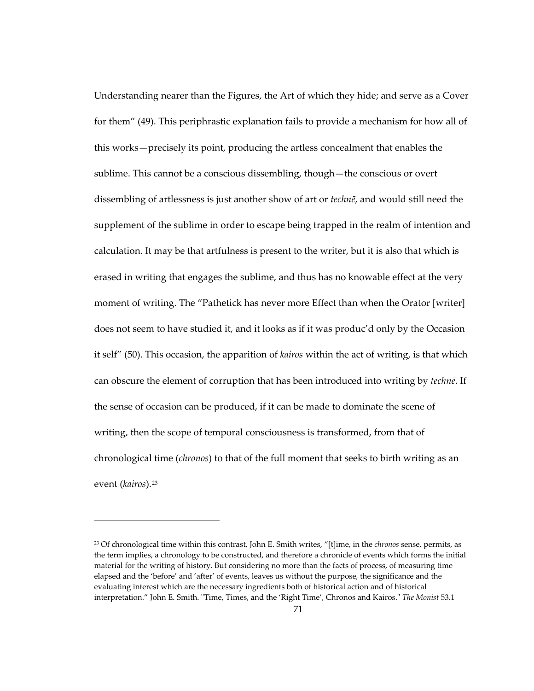Understanding nearer than the Figures, the Art of which they hide; and serve as a Cover for them" (49). This periphrastic explanation fails to provide a mechanism for how all of this works—precisely its point, producing the artless concealment that enables the sublime. This cannot be a conscious dissembling, though—the conscious or overt dissembling of artlessness is just another show of art or *technē*, and would still need the supplement of the sublime in order to escape being trapped in the realm of intention and calculation. It may be that artfulness is present to the writer, but it is also that which is erased in writing that engages the sublime, and thus has no knowable effect at the very moment of writing. The "Pathetick has never more Effect than when the Orator [writer] does not seem to have studied it, and it looks as if it was produc'd only by the Occasion it self" (50). This occasion, the apparition of *kairos* within the act of writing, is that which can obscure the element of corruption that has been introduced into writing by *technē*. If the sense of occasion can be produced, if it can be made to dominate the scene of writing, then the scope of temporal consciousness is transformed, from that of chronological time (*chronos*) to that of the full moment that seeks to birth writing as an event (*kairos*).<sup>[23](#page-104-0)</sup>

<span id="page-104-0"></span><sup>23</sup> Of chronological time within this contrast, John E. Smith writes, "[t]ime, in the *chronos* sense, permits, as the term implies, a chronology to be constructed, and therefore a chronicle of events which forms the initial material for the writing of history. But considering no more than the facts of process, of measuring time elapsed and the 'before' and 'after' of events, leaves us without the purpose, the significance and the evaluating interest which are the necessary ingredients both of historical action and of historical interpretation." John E. Smith. "Time, Times, and the 'Right Time', Chronos and Kairos." *The Monist* 53.1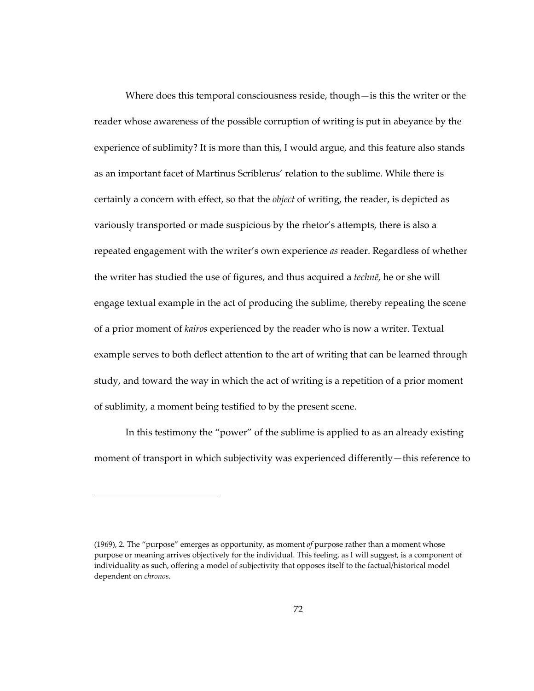Where does this temporal consciousness reside, though—is this the writer or the reader whose awareness of the possible corruption of writing is put in abeyance by the experience of sublimity? It is more than this, I would argue, and this feature also stands as an important facet of Martinus Scriblerus' relation to the sublime. While there is certainly a concern with effect, so that the *object* of writing, the reader, is depicted as variously transported or made suspicious by the rhetor's attempts, there is also a repeated engagement with the writer's own experience *as* reader. Regardless of whether the writer has studied the use of figures, and thus acquired a *technē*, he or she will engage textual example in the act of producing the sublime, thereby repeating the scene of a prior moment of *kairos* experienced by the reader who is now a writer. Textual example serves to both deflect attention to the art of writing that can be learned through study, and toward the way in which the act of writing is a repetition of a prior moment of sublimity, a moment being testified to by the present scene.

In this testimony the "power" of the sublime is applied to as an already existing moment of transport in which subjectivity was experienced differently—this reference to

1

<sup>(1969), 2.</sup> The "purpose" emerges as opportunity, as moment *of* purpose rather than a moment whose purpose or meaning arrives objectively for the individual. This feeling, as I will suggest, is a component of individuality as such, offering a model of subjectivity that opposes itself to the factual/historical model dependent on *chronos*.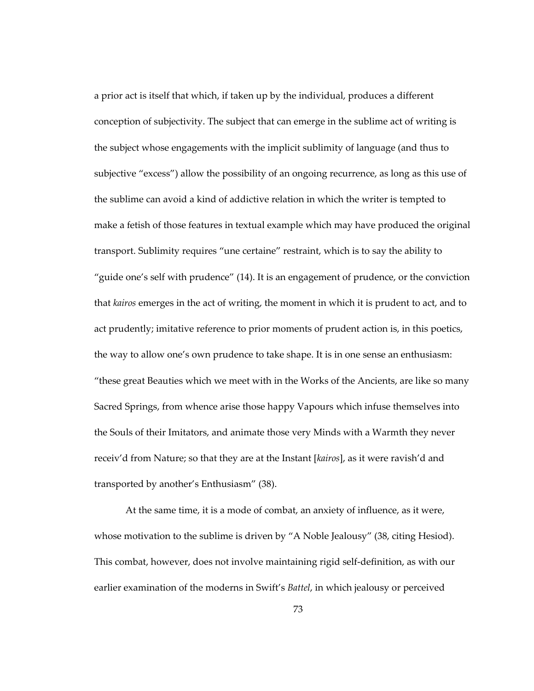a prior act is itself that which, if taken up by the individual, produces a different conception of subjectivity. The subject that can emerge in the sublime act of writing is the subject whose engagements with the implicit sublimity of language (and thus to subjective "excess") allow the possibility of an ongoing recurrence, as long as this use of the sublime can avoid a kind of addictive relation in which the writer is tempted to make a fetish of those features in textual example which may have produced the original transport. Sublimity requires "une certaine" restraint, which is to say the ability to "guide one's self with prudence" (14). It is an engagement of prudence, or the conviction that *kairos* emerges in the act of writing, the moment in which it is prudent to act, and to act prudently; imitative reference to prior moments of prudent action is, in this poetics, the way to allow one's own prudence to take shape. It is in one sense an enthusiasm: "these great Beauties which we meet with in the Works of the Ancients, are like so many Sacred Springs, from whence arise those happy Vapours which infuse themselves into the Souls of their Imitators, and animate those very Minds with a Warmth they never receiv'd from Nature; so that they are at the Instant [*kairos*], as it were ravish'd and transported by another's Enthusiasm" (38).

At the same time, it is a mode of combat, an anxiety of influence, as it were, whose motivation to the sublime is driven by "A Noble Jealousy" (38, citing Hesiod). This combat, however, does not involve maintaining rigid self-definition, as with our earlier examination of the moderns in Swift's *Battel*, in which jealousy or perceived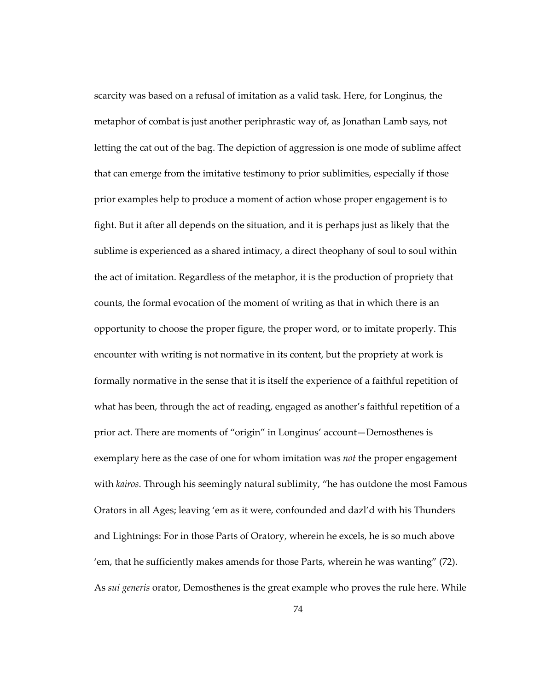scarcity was based on a refusal of imitation as a valid task. Here, for Longinus, the metaphor of combat is just another periphrastic way of, as Jonathan Lamb says, not letting the cat out of the bag. The depiction of aggression is one mode of sublime affect that can emerge from the imitative testimony to prior sublimities, especially if those prior examples help to produce a moment of action whose proper engagement is to fight. But it after all depends on the situation, and it is perhaps just as likely that the sublime is experienced as a shared intimacy, a direct theophany of soul to soul within the act of imitation. Regardless of the metaphor, it is the production of propriety that counts, the formal evocation of the moment of writing as that in which there is an opportunity to choose the proper figure, the proper word, or to imitate properly. This encounter with writing is not normative in its content, but the propriety at work is formally normative in the sense that it is itself the experience of a faithful repetition of what has been, through the act of reading, engaged as another's faithful repetition of a prior act. There are moments of "origin" in Longinus' account—Demosthenes is exemplary here as the case of one for whom imitation was *not* the proper engagement with *kairos*. Through his seemingly natural sublimity, "he has outdone the most Famous Orators in all Ages; leaving 'em as it were, confounded and dazl'd with his Thunders and Lightnings: For in those Parts of Oratory, wherein he excels, he is so much above 'em, that he sufficiently makes amends for those Parts, wherein he was wanting" (72). As *sui generis* orator, Demosthenes is the great example who proves the rule here. While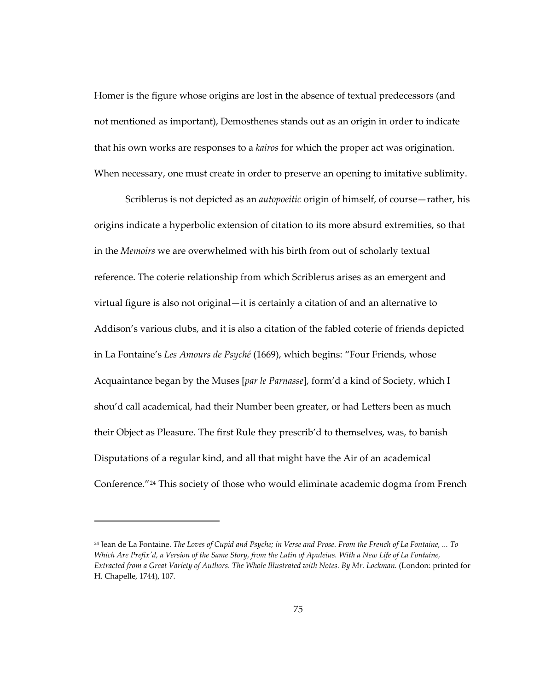Homer is the figure whose origins are lost in the absence of textual predecessors (and not mentioned as important), Demosthenes stands out as an origin in order to indicate that his own works are responses to a *kairos* for which the proper act was origination. When necessary, one must create in order to preserve an opening to imitative sublimity.

Scriblerus is not depicted as an *autopoeitic* origin of himself, of course—rather, his origins indicate a hyperbolic extension of citation to its more absurd extremities, so that in the *Memoirs* we are overwhelmed with his birth from out of scholarly textual reference. The coterie relationship from which Scriblerus arises as an emergent and virtual figure is also not original—it is certainly a citation of and an alternative to Addison's various clubs, and it is also a citation of the fabled coterie of friends depicted in La Fontaine's *Les Amours de Psyché* (1669), which begins: "Four Friends, whose Acquaintance began by the Muses [*par le Parnasse*], form'd a kind of Society, which I shou'd call academical, had their Number been greater, or had Letters been as much their Object as Pleasure. The first Rule they prescrib'd to themselves, was, to banish Disputations of a regular kind, and all that might have the Air of an academical Conference."[24](#page-108-0) This society of those who would eliminate academic dogma from French

<span id="page-108-0"></span><sup>24</sup> Jean de La Fontaine. *The Loves of Cupid and Psyche; in Verse and Prose. From the French of La Fontaine, ... To Which Are Prefix'd, a Version of the Same Story, from the Latin of Apuleius. With a New Life of La Fontaine, Extracted from a Great Variety of Authors. The Whole Illustrated with Notes. By Mr. Lockman.* (London: printed for H. Chapelle, 1744), 107.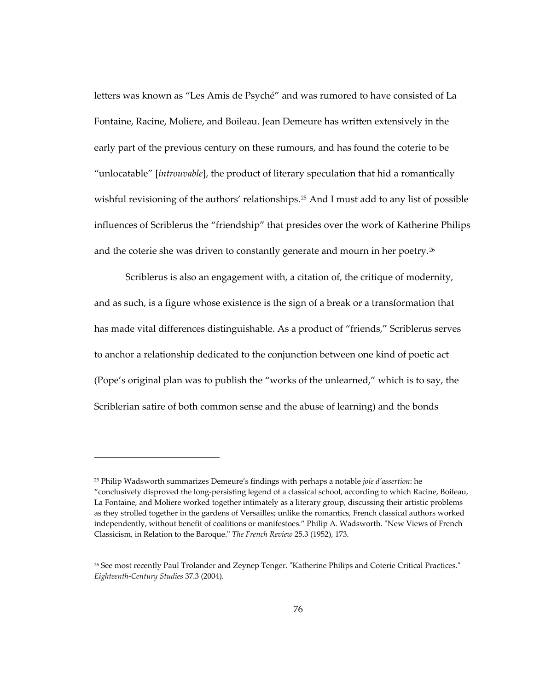letters was known as "Les Amis de Psyché" and was rumored to have consisted of La Fontaine, Racine, Moliere, and Boileau. Jean Demeure has written extensively in the early part of the previous century on these rumours, and has found the coterie to be "unlocatable" [*introuvable*], the product of literary speculation that hid a romantically wishful revisioning of the authors' relationships.<sup>[25](#page-109-0)</sup> And I must add to any list of possible influences of Scriblerus the "friendship" that presides over the work of Katherine Philips and the coterie she was driven to constantly generate and mourn in her poetry.<sup>[26](#page-109-1)</sup>

Scriblerus is also an engagement with, a citation of, the critique of modernity, and as such, is a figure whose existence is the sign of a break or a transformation that has made vital differences distinguishable. As a product of "friends," Scriblerus serves to anchor a relationship dedicated to the conjunction between one kind of poetic act (Pope's original plan was to publish the "works of the unlearned," which is to say, the Scriblerian satire of both common sense and the abuse of learning) and the bonds

<span id="page-109-0"></span><sup>25</sup> Philip Wadsworth summarizes Demeure's findings with perhaps a notable *joie d'assertion*: he "conclusively disproved the long-persisting legend of a classical school, according to which Racine, Boileau, La Fontaine, and Moliere worked together intimately as a literary group, discussing their artistic problems as they strolled together in the gardens of Versailles; unlike the romantics, French classical authors worked independently, without benefit of coalitions or manifestoes." Philip A. Wadsworth. "New Views of French Classicism, in Relation to the Baroque." *The French Review* 25.3 (1952), 173.

<span id="page-109-1"></span><sup>26</sup> See most recently Paul Trolander and Zeynep Tenger. "Katherine Philips and Coterie Critical Practices." *Eighteenth-Century Studies* 37.3 (2004).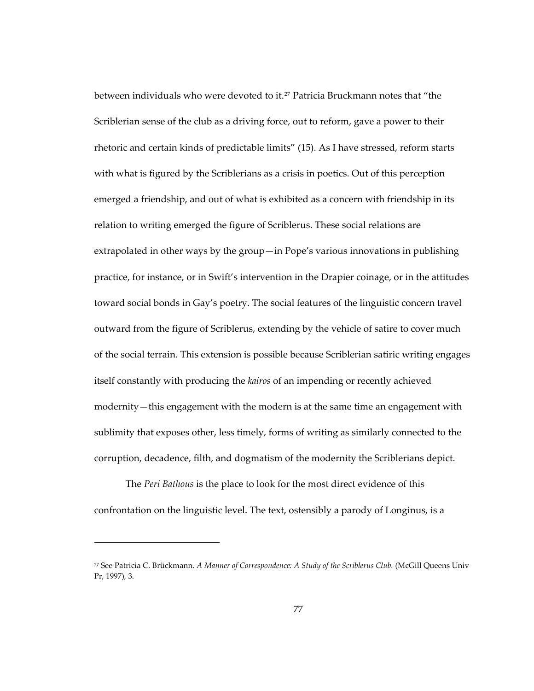between individuals who were devoted to it.<sup>[27](#page-110-0)</sup> Patricia Bruckmann notes that "the Scriblerian sense of the club as a driving force, out to reform, gave a power to their rhetoric and certain kinds of predictable limits" (15). As I have stressed, reform starts with what is figured by the Scriblerians as a crisis in poetics. Out of this perception emerged a friendship, and out of what is exhibited as a concern with friendship in its relation to writing emerged the figure of Scriblerus. These social relations are extrapolated in other ways by the group—in Pope's various innovations in publishing practice, for instance, or in Swift's intervention in the Drapier coinage, or in the attitudes toward social bonds in Gay's poetry. The social features of the linguistic concern travel outward from the figure of Scriblerus, extending by the vehicle of satire to cover much of the social terrain. This extension is possible because Scriblerian satiric writing engages itself constantly with producing the *kairos* of an impending or recently achieved modernity—this engagement with the modern is at the same time an engagement with sublimity that exposes other, less timely, forms of writing as similarly connected to the corruption, decadence, filth, and dogmatism of the modernity the Scriblerians depict.

The *Peri Bathous* is the place to look for the most direct evidence of this confrontation on the linguistic level. The text, ostensibly a parody of Longinus, is a

<span id="page-110-0"></span><sup>27</sup> See Patricia C. Brückmann. *A Manner of Correspondence: A Study of the Scriblerus Club.* (McGill Queens Univ Pr, 1997), 3.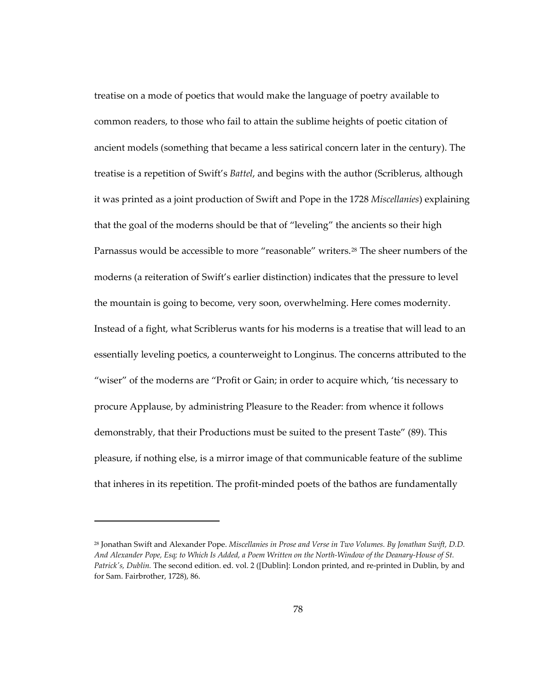treatise on a mode of poetics that would make the language of poetry available to common readers, to those who fail to attain the sublime heights of poetic citation of ancient models (something that became a less satirical concern later in the century). The treatise is a repetition of Swift's *Battel*, and begins with the author (Scriblerus, although it was printed as a joint production of Swift and Pope in the 1728 *Miscellanies*) explaining that the goal of the moderns should be that of "leveling" the ancients so their high Parnassus would be accessible to more "reasonable" writers.[28](#page-111-0) The sheer numbers of the moderns (a reiteration of Swift's earlier distinction) indicates that the pressure to level the mountain is going to become, very soon, overwhelming. Here comes modernity. Instead of a fight, what Scriblerus wants for his moderns is a treatise that will lead to an essentially leveling poetics, a counterweight to Longinus. The concerns attributed to the "wiser" of the moderns are "Profit or Gain; in order to acquire which, 'tis necessary to procure Applause, by administring Pleasure to the Reader: from whence it follows demonstrably, that their Productions must be suited to the present Taste" (89). This pleasure, if nothing else, is a mirror image of that communicable feature of the sublime that inheres in its repetition. The profit-minded poets of the bathos are fundamentally

<span id="page-111-0"></span><sup>28</sup> Jonathan Swift and Alexander Pope. *Miscellanies in Prose and Verse in Two Volumes. By Jonathan Swift, D.D. And Alexander Pope, Esq; to Which Is Added, a Poem Written on the North-Window of the Deanary-House of St. Patrick's, Dublin.* The second edition. ed. vol. 2 ([Dublin]: London printed, and re-printed in Dublin, by and for Sam. Fairbrother, 1728), 86.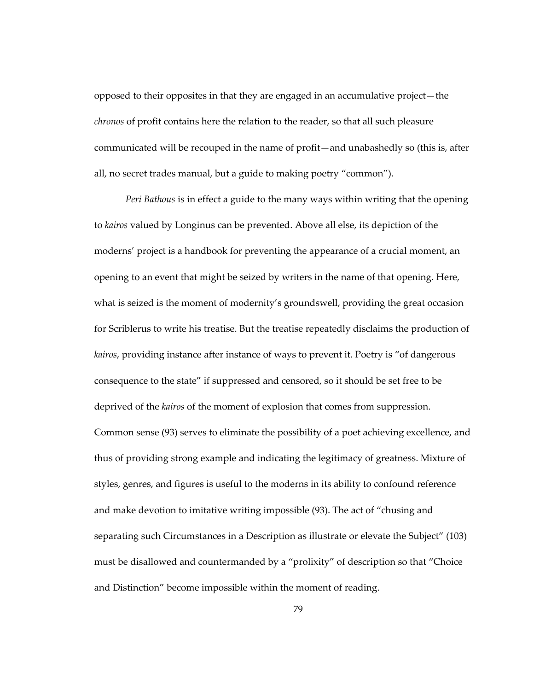opposed to their opposites in that they are engaged in an accumulative project—the *chronos* of profit contains here the relation to the reader, so that all such pleasure communicated will be recouped in the name of profit—and unabashedly so (this is, after all, no secret trades manual, but a guide to making poetry "common").

*Peri Bathous* is in effect a guide to the many ways within writing that the opening to *kairos* valued by Longinus can be prevented. Above all else, its depiction of the moderns' project is a handbook for preventing the appearance of a crucial moment, an opening to an event that might be seized by writers in the name of that opening. Here, what is seized is the moment of modernity's groundswell, providing the great occasion for Scriblerus to write his treatise. But the treatise repeatedly disclaims the production of *kairos*, providing instance after instance of ways to prevent it. Poetry is "of dangerous consequence to the state" if suppressed and censored, so it should be set free to be deprived of the *kairos* of the moment of explosion that comes from suppression. Common sense (93) serves to eliminate the possibility of a poet achieving excellence, and thus of providing strong example and indicating the legitimacy of greatness. Mixture of styles, genres, and figures is useful to the moderns in its ability to confound reference and make devotion to imitative writing impossible (93). The act of "chusing and separating such Circumstances in a Description as illustrate or elevate the Subject" (103) must be disallowed and countermanded by a "prolixity" of description so that "Choice and Distinction" become impossible within the moment of reading.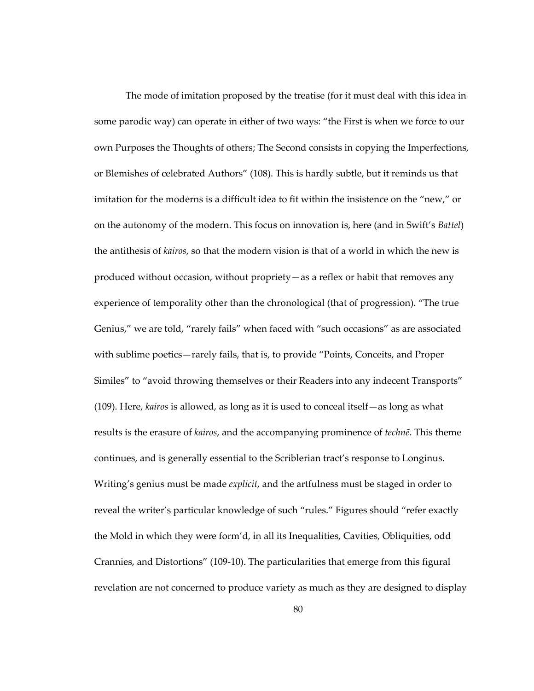The mode of imitation proposed by the treatise (for it must deal with this idea in some parodic way) can operate in either of two ways: "the First is when we force to our own Purposes the Thoughts of others; The Second consists in copying the Imperfections, or Blemishes of celebrated Authors" (108). This is hardly subtle, but it reminds us that imitation for the moderns is a difficult idea to fit within the insistence on the "new," or on the autonomy of the modern. This focus on innovation is, here (and in Swift's *Battel*) the antithesis of *kairos*, so that the modern vision is that of a world in which the new is produced without occasion, without propriety—as a reflex or habit that removes any experience of temporality other than the chronological (that of progression). "The true Genius," we are told, "rarely fails" when faced with "such occasions" as are associated with sublime poetics—rarely fails, that is, to provide "Points, Conceits, and Proper Similes" to "avoid throwing themselves or their Readers into any indecent Transports" (109). Here, *kairos* is allowed, as long as it is used to conceal itself—as long as what results is the erasure of *kairos*, and the accompanying prominence of *technē*. This theme continues, and is generally essential to the Scriblerian tract's response to Longinus. Writing's genius must be made *explicit*, and the artfulness must be staged in order to reveal the writer's particular knowledge of such "rules." Figures should "refer exactly the Mold in which they were form'd, in all its Inequalities, Cavities, Obliquities, odd Crannies, and Distortions" (109-10). The particularities that emerge from this figural revelation are not concerned to produce variety as much as they are designed to display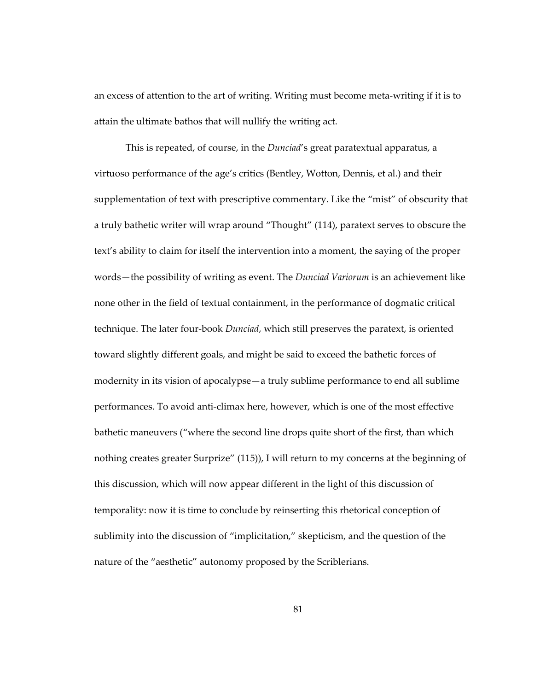an excess of attention to the art of writing. Writing must become meta-writing if it is to attain the ultimate bathos that will nullify the writing act.

This is repeated, of course, in the *Dunciad*'s great paratextual apparatus, a virtuoso performance of the age's critics (Bentley, Wotton, Dennis, et al.) and their supplementation of text with prescriptive commentary. Like the "mist" of obscurity that a truly bathetic writer will wrap around "Thought" (114), paratext serves to obscure the text's ability to claim for itself the intervention into a moment, the saying of the proper words—the possibility of writing as event. The *Dunciad Variorum* is an achievement like none other in the field of textual containment, in the performance of dogmatic critical technique. The later four-book *Dunciad*, which still preserves the paratext, is oriented toward slightly different goals, and might be said to exceed the bathetic forces of modernity in its vision of apocalypse—a truly sublime performance to end all sublime performances. To avoid anti-climax here, however, which is one of the most effective bathetic maneuvers ("where the second line drops quite short of the first, than which nothing creates greater Surprize" (115)), I will return to my concerns at the beginning of this discussion, which will now appear different in the light of this discussion of temporality: now it is time to conclude by reinserting this rhetorical conception of sublimity into the discussion of "implicitation," skepticism, and the question of the nature of the "aesthetic" autonomy proposed by the Scriblerians.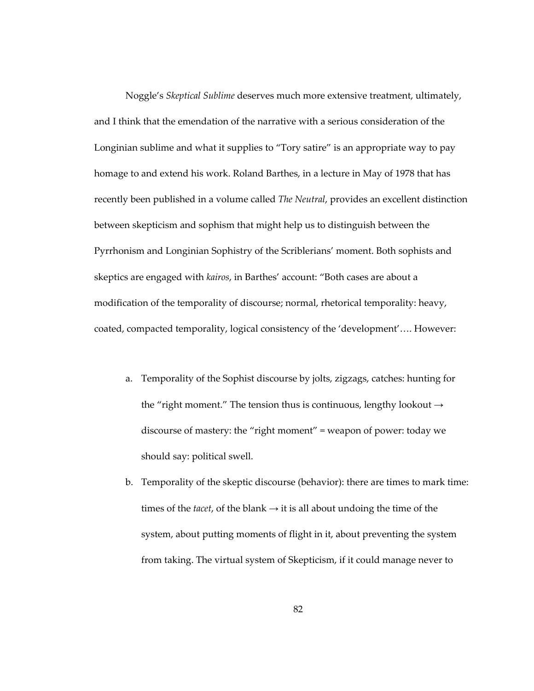Noggle's *Skeptical Sublime* deserves much more extensive treatment, ultimately, and I think that the emendation of the narrative with a serious consideration of the Longinian sublime and what it supplies to "Tory satire" is an appropriate way to pay homage to and extend his work. Roland Barthes, in a lecture in May of 1978 that has recently been published in a volume called *The Neutral*, provides an excellent distinction between skepticism and sophism that might help us to distinguish between the Pyrrhonism and Longinian Sophistry of the Scriblerians' moment. Both sophists and skeptics are engaged with *kairos*, in Barthes' account: "Both cases are about a modification of the temporality of discourse; normal, rhetorical temporality: heavy, coated, compacted temporality, logical consistency of the 'development'…. However:

- a. Temporality of the Sophist discourse by jolts, zigzags, catches: hunting for the "right moment." The tension thus is continuous, lengthy lookout  $\rightarrow$ discourse of mastery: the "right moment" = weapon of power: today we should say: political swell.
- b. Temporality of the skeptic discourse (behavior): there are times to mark time: times of the *tacet*, of the blank  $\rightarrow$  it is all about undoing the time of the system, about putting moments of flight in it, about preventing the system from taking. The virtual system of Skepticism, if it could manage never to

82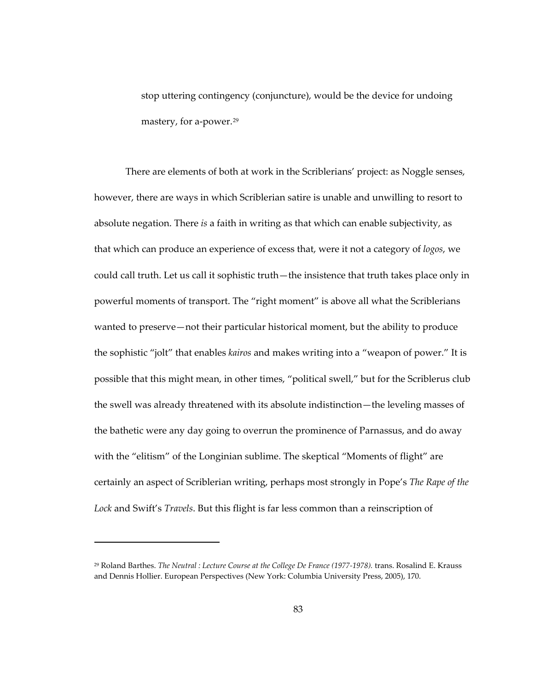stop uttering contingency (conjuncture), would be the device for undoing mastery, for a-power.<sup>29</sup>

There are elements of both at work in the Scriblerians' project: as Noggle senses, however, there are ways in which Scriblerian satire is unable and unwilling to resort to absolute negation. There *is* a faith in writing as that which can enable subjectivity, as that which can produce an experience of excess that, were it not a category of *logos*, we could call truth. Let us call it sophistic truth—the insistence that truth takes place only in powerful moments of transport. The "right moment" is above all what the Scriblerians wanted to preserve—not their particular historical moment, but the ability to produce the sophistic "jolt" that enables *kairos* and makes writing into a "weapon of power." It is possible that this might mean, in other times, "political swell," but for the Scriblerus club the swell was already threatened with its absolute indistinction—the leveling masses of the bathetic were any day going to overrun the prominence of Parnassus, and do away with the "elitism" of the Longinian sublime. The skeptical "Moments of flight" are certainly an aspect of Scriblerian writing, perhaps most strongly in Pope's *The Rape of the Lock* and Swift's *Travels*. But this flight is far less common than a reinscription of

<sup>29</sup> Roland Barthes. *The Neutral : Lecture Course at the College De France (1977-1978).* trans. Rosalind E. Krauss and Dennis Hollier. European Perspectives (New York: Columbia University Press, 2005), 170.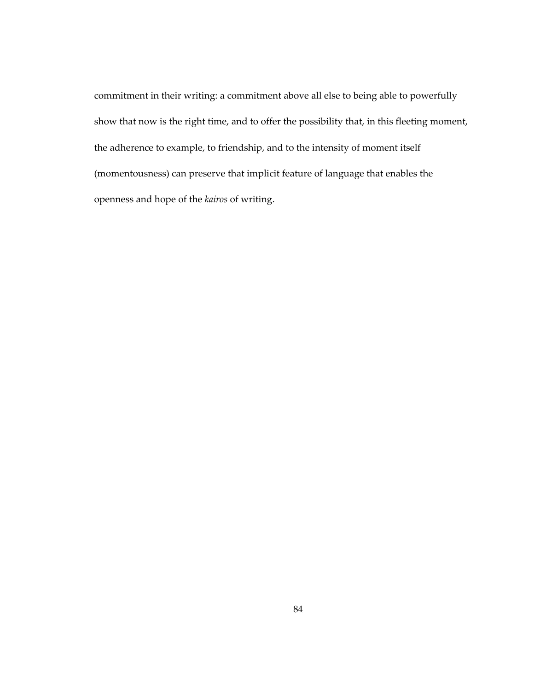commitment in their writing: a commitment above all else to being able to powerfully show that now is the right time, and to offer the possibility that, in this fleeting moment, the adherence to example, to friendship, and to the intensity of moment itself (momentousness) can preserve that implicit feature of language that enables the openness and hope of the *kairos* of writing.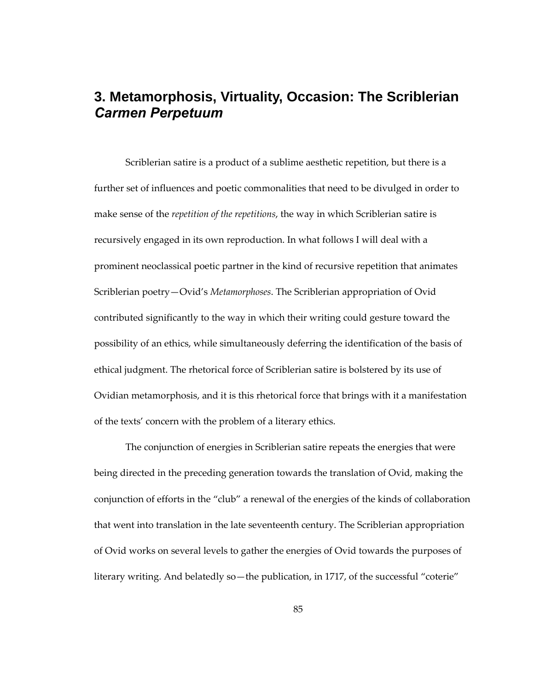## **3. Metamorphosis, Virtuality, Occasion: The Scriblerian**  *Carmen Perpetuum*

Scriblerian satire is a product of a sublime aesthetic repetition, but there is a further set of influences and poetic commonalities that need to be divulged in order to make sense of the *repetition of the repetitions*, the way in which Scriblerian satire is recursively engaged in its own reproduction. In what follows I will deal with a prominent neoclassical poetic partner in the kind of recursive repetition that animates Scriblerian poetry—Ovid's *Metamorphoses*. The Scriblerian appropriation of Ovid contributed significantly to the way in which their writing could gesture toward the possibility of an ethics, while simultaneously deferring the identification of the basis of ethical judgment. The rhetorical force of Scriblerian satire is bolstered by its use of Ovidian metamorphosis, and it is this rhetorical force that brings with it a manifestation of the texts' concern with the problem of a literary ethics.

The conjunction of energies in Scriblerian satire repeats the energies that were being directed in the preceding generation towards the translation of Ovid, making the conjunction of efforts in the "club" a renewal of the energies of the kinds of collaboration that went into translation in the late seventeenth century. The Scriblerian appropriation of Ovid works on several levels to gather the energies of Ovid towards the purposes of literary writing. And belatedly so—the publication, in 1717, of the successful "coterie"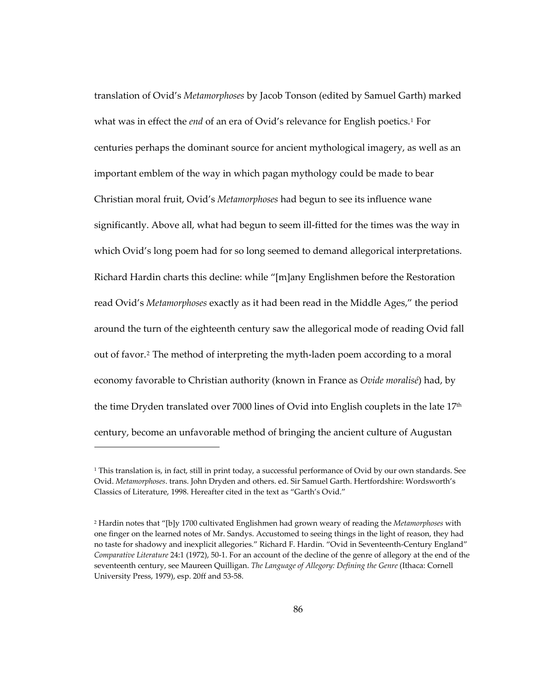translation of Ovid's *Metamorphoses* by Jacob Tonson (edited by Samuel Garth) marked what was in effect the *end* of an era of Ovid's relevance for English poetics.[1](#page-119-0) For centuries perhaps the dominant source for ancient mythological imagery, as well as an important emblem of the way in which pagan mythology could be made to bear Christian moral fruit, Ovid's *Metamorphoses* had begun to see its influence wane significantly. Above all, what had begun to seem ill-fitted for the times was the way in which Ovid's long poem had for so long seemed to demand allegorical interpretations. Richard Hardin charts this decline: while "[m]any Englishmen before the Restoration read Ovid's *Metamorphoses* exactly as it had been read in the Middle Ages," the period around the turn of the eighteenth century saw the allegorical mode of reading Ovid fall out of favor.[2](#page-119-1) The method of interpreting the myth-laden poem according to a moral economy favorable to Christian authority (known in France as *Ovide moralisé*) had, by the time Dryden translated over 7000 lines of Ovid into English couplets in the late 17<sup>th</sup> century, become an unfavorable method of bringing the ancient culture of Augustan

<span id="page-119-0"></span> $1$  This translation is, in fact, still in print today, a successful performance of Ovid by our own standards. See Ovid. *Metamorphoses*. trans. John Dryden and others. ed. Sir Samuel Garth. Hertfordshire: Wordsworth's Classics of Literature, 1998. Hereafter cited in the text as "Garth's Ovid."

<span id="page-119-1"></span><sup>2</sup> Hardin notes that "[b]y 1700 cultivated Englishmen had grown weary of reading the *Metamorphoses* with one finger on the learned notes of Mr. Sandys. Accustomed to seeing things in the light of reason, they had no taste for shadowy and inexplicit allegories." Richard F. Hardin. "Ovid in Seventeenth-Century England" *Comparative Literature* 24:1 (1972), 50-1. For an account of the decline of the genre of allegory at the end of the seventeenth century, see Maureen Quilligan. *The Language of Allegory: Defining the Genre* (Ithaca: Cornell University Press, 1979), esp. 20ff and 53-58.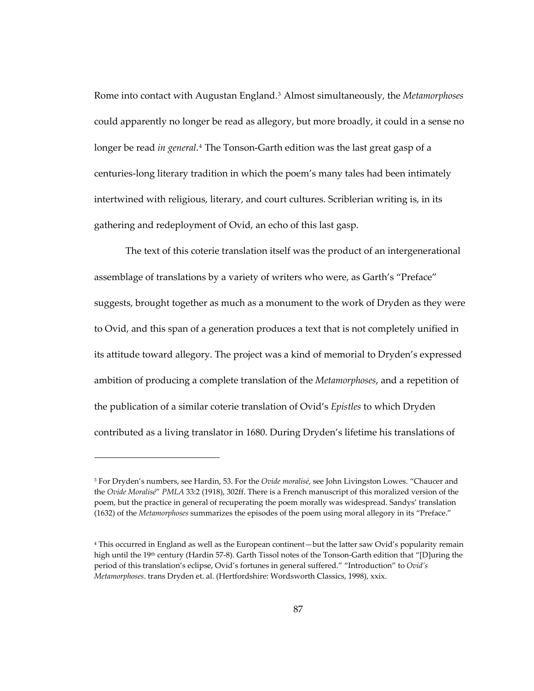Rome into contact with Augustan England.[3](#page-120-0) Almost simultaneously, the *Metamorphoses* could apparently no longer be read as allegory, but more broadly, it could in a sense no longer be read *in general*.[4](#page-120-1) The Tonson-Garth edition was the last great gasp of a centuries-long literary tradition in which the poem's many tales had been intimately intertwined with religious, literary, and court cultures. Scriblerian writing is, in its gathering and redeployment of Ovid, an echo of this last gasp.

The text of this coterie translation itself was the product of an intergenerational assemblage of translations by a variety of writers who were, as Garth's "Preface" suggests, brought together as much as a monument to the work of Dryden as they were to Ovid, and this span of a generation produces a text that is not completely unified in its attitude toward allegory. The project was a kind of memorial to Dryden's expressed ambition of producing a complete translation of the *Metamorphoses*, and a repetition of the publication of a similar coterie translation of Ovid's *Epistles* to which Dryden contributed as a living translator in 1680. During Dryden's lifetime his translations of

<span id="page-120-0"></span><sup>3</sup> For Dryden's numbers, see Hardin, 53. For the *Ovide moralisé,* see John Livingston Lowes. "Chaucer and the *Ovide Moralisé*" *PMLA* 33:2 (1918), 302ff. There is a French manuscript of this moralized version of the poem, but the practice in general of recuperating the poem morally was widespread. Sandys' translation (1632) of the *Metamorphoses* summarizes the episodes of the poem using moral allegory in its "Preface."

<span id="page-120-1"></span><sup>4</sup> This occurred in England as well as the European continent—but the latter saw Ovid's popularity remain high until the 19<sup>th</sup> century (Hardin 57-8). Garth Tissol notes of the Tonson-Garth edition that "[D]uring the period of this translation's eclipse, Ovid's fortunes in general suffered." "Introduction" to *Ovid's Metamorphoses*. trans Dryden et. al. (Hertfordshire: Wordsworth Classics, 1998), xxix.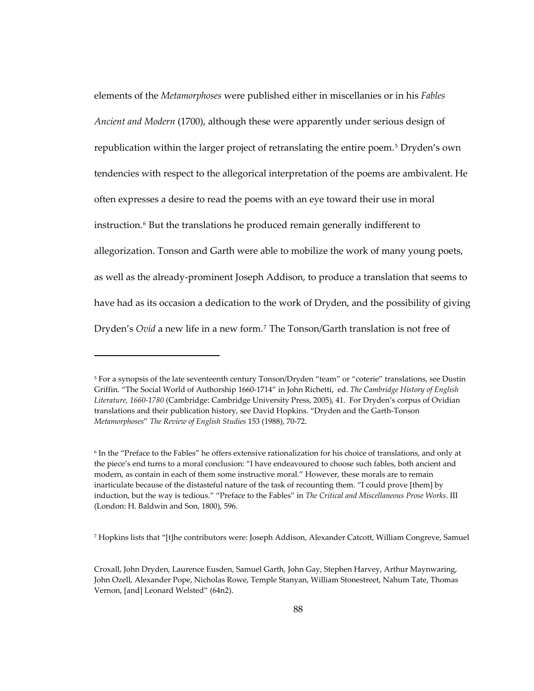elements of the *Metamorphoses* were published either in miscellanies or in his *Fables Ancient and Modern* (1700), although these were apparently under serious design of republication within the larger project of retranslating the entire poem.[5](#page-121-0) Dryden's own tendencies with respect to the allegorical interpretation of the poems are ambivalent. He often expresses a desire to read the poems with an eye toward their use in moral instruction.<sup>[6](#page-121-1)</sup> But the translations he produced remain generally indifferent to allegorization. Tonson and Garth were able to mobilize the work of many young poets, as well as the already-prominent Joseph Addison, to produce a translation that seems to have had as its occasion a dedication to the work of Dryden, and the possibility of giving Dryden's *Ovid* a new life in a new form.[7](#page-121-2) The Tonson/Garth translation is not free of

-

<span id="page-121-2"></span>7 Hopkins lists that "[t]he contributors were: Joseph Addison, Alexander Catcott, William Congreve, Samuel

<span id="page-121-0"></span><sup>5</sup> For a synopsis of the late seventeenth century Tonson/Dryden "team" or "coterie" translations, see Dustin Griffin. "The Social World of Authorship 1660-1714" in John Richetti, ed. *The Cambridge History of English Literature, 1660-1780* (Cambridge: Cambridge University Press, 2005), 41. For Dryden's corpus of Ovidian translations and their publication history, see David Hopkins. "Dryden and the Garth-Tonson *Metamorphoses*" *The Review of English Studies* 153 (1988), 70-72.

<span id="page-121-1"></span><sup>6</sup> In the "Preface to the Fables" he offers extensive rationalization for his choice of translations, and only at the piece's end turns to a moral conclusion: "I have endeavoured to choose such fables, both ancient and modern, as contain in each of them some instructive moral." However, these morals are to remain inarticulate because of the distasteful nature of the task of recounting them. "I could prove [them] by induction, but the way is tedious." "Preface to the Fables" in *The Critical and Miscellaneous Prose Works*. III (London: H. Baldwin and Son, 1800), 596.

Croxall, John Dryden, Laurence Eusden, Samuel Garth, John Gay, Stephen Harvey, Arthur Maynwaring, John Ozell, Alexander Pope, Nicholas Rowe, Temple Stanyan, William Stonestreet, Nahum Tate, Thomas Vernon, [and] Leonard Welsted" (64n2).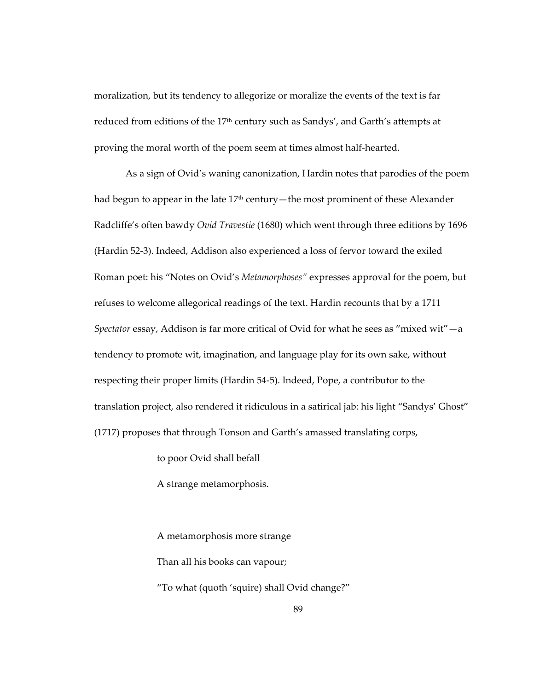moralization, but its tendency to allegorize or moralize the events of the text is far reduced from editions of the 17th century such as Sandys', and Garth's attempts at proving the moral worth of the poem seem at times almost half-hearted.

As a sign of Ovid's waning canonization, Hardin notes that parodies of the poem had begun to appear in the late 17<sup>th</sup> century—the most prominent of these Alexander Radcliffe's often bawdy *Ovid Travestie* (1680) which went through three editions by 1696 (Hardin 52-3). Indeed, Addison also experienced a loss of fervor toward the exiled Roman poet: his "Notes on Ovid's *Metamorphoses"* expresses approval for the poem, but refuses to welcome allegorical readings of the text. Hardin recounts that by a 1711 *Spectator* essay, Addison is far more critical of Ovid for what he sees as "mixed wit"—a tendency to promote wit, imagination, and language play for its own sake, without respecting their proper limits (Hardin 54-5). Indeed, Pope, a contributor to the translation project, also rendered it ridiculous in a satirical jab: his light "Sandys' Ghost" (1717) proposes that through Tonson and Garth's amassed translating corps,

to poor Ovid shall befall

A strange metamorphosis.

A metamorphosis more strange Than all his books can vapour; "To what (quoth 'squire) shall Ovid change?"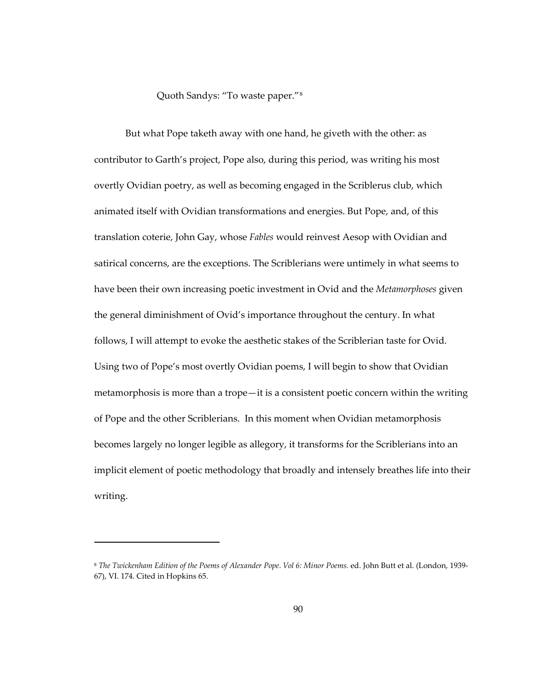Quoth Sandys: "To waste paper."[8](#page-123-0)

But what Pope taketh away with one hand, he giveth with the other: as contributor to Garth's project, Pope also, during this period, was writing his most overtly Ovidian poetry, as well as becoming engaged in the Scriblerus club, which animated itself with Ovidian transformations and energies. But Pope, and, of this translation coterie, John Gay, whose *Fables* would reinvest Aesop with Ovidian and satirical concerns, are the exceptions. The Scriblerians were untimely in what seems to have been their own increasing poetic investment in Ovid and the *Metamorphoses* given the general diminishment of Ovid's importance throughout the century. In what follows, I will attempt to evoke the aesthetic stakes of the Scriblerian taste for Ovid. Using two of Pope's most overtly Ovidian poems, I will begin to show that Ovidian metamorphosis is more than a trope—it is a consistent poetic concern within the writing of Pope and the other Scriblerians. In this moment when Ovidian metamorphosis becomes largely no longer legible as allegory, it transforms for the Scriblerians into an implicit element of poetic methodology that broadly and intensely breathes life into their writing.

<span id="page-123-0"></span><sup>8</sup> *The Twickenham Edition of the Poems of Alexander Pope*. *Vol 6: Minor Poems.* ed. John Butt et al. (London, 1939- 67), VI. 174. Cited in Hopkins 65.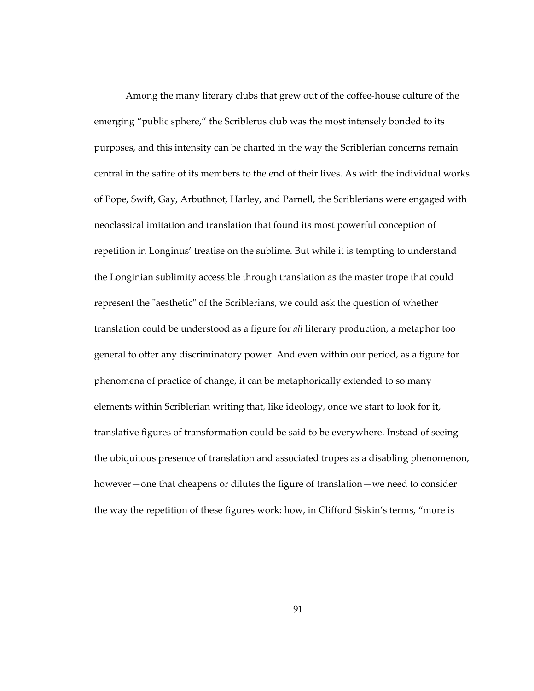Among the many literary clubs that grew out of the coffee-house culture of the emerging "public sphere," the Scriblerus club was the most intensely bonded to its purposes, and this intensity can be charted in the way the Scriblerian concerns remain central in the satire of its members to the end of their lives. As with the individual works of Pope, Swift, Gay, Arbuthnot, Harley, and Parnell, the Scriblerians were engaged with neoclassical imitation and translation that found its most powerful conception of repetition in Longinus' treatise on the sublime. But while it is tempting to understand the Longinian sublimity accessible through translation as the master trope that could represent the "aesthetic" of the Scriblerians, we could ask the question of whether translation could be understood as a figure for *all* literary production, a metaphor too general to offer any discriminatory power. And even within our period, as a figure for phenomena of practice of change, it can be metaphorically extended to so many elements within Scriblerian writing that, like ideology, once we start to look for it, translative figures of transformation could be said to be everywhere. Instead of seeing the ubiquitous presence of translation and associated tropes as a disabling phenomenon, however—one that cheapens or dilutes the figure of translation—we need to consider the way the repetition of these figures work: how, in Clifford Siskin's terms, "more is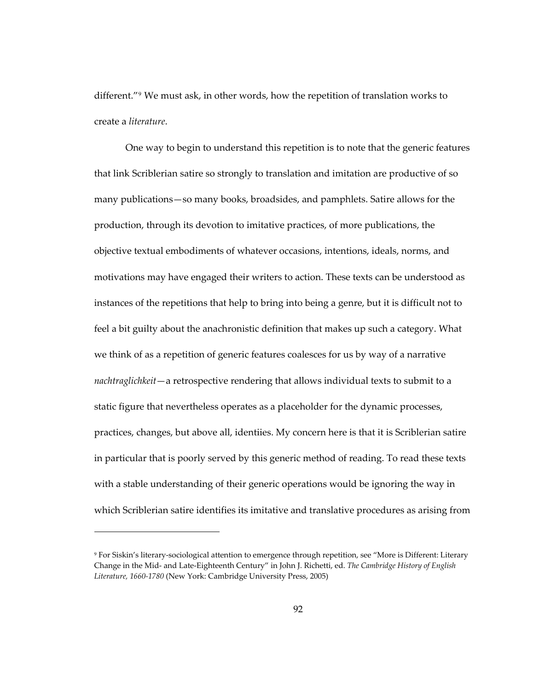different."[9](#page-125-0) We must ask, in other words, how the repetition of translation works to create a *literature*.

One way to begin to understand this repetition is to note that the generic features that link Scriblerian satire so strongly to translation and imitation are productive of so many publications—so many books, broadsides, and pamphlets. Satire allows for the production, through its devotion to imitative practices, of more publications, the objective textual embodiments of whatever occasions, intentions, ideals, norms, and motivations may have engaged their writers to action. These texts can be understood as instances of the repetitions that help to bring into being a genre, but it is difficult not to feel a bit guilty about the anachronistic definition that makes up such a category. What we think of as a repetition of generic features coalesces for us by way of a narrative *nachtraglichkeit*—a retrospective rendering that allows individual texts to submit to a static figure that nevertheless operates as a placeholder for the dynamic processes, practices, changes, but above all, identiies. My concern here is that it is Scriblerian satire in particular that is poorly served by this generic method of reading. To read these texts with a stable understanding of their generic operations would be ignoring the way in which Scriblerian satire identifies its imitative and translative procedures as arising from

<span id="page-125-0"></span><sup>9</sup> For Siskin's literary-sociological attention to emergence through repetition, see "More is Different: Literary Change in the Mid- and Late-Eighteenth Century" in John J. Richetti, ed. *The Cambridge History of English Literature, 1660-1780* (New York: Cambridge University Press, 2005)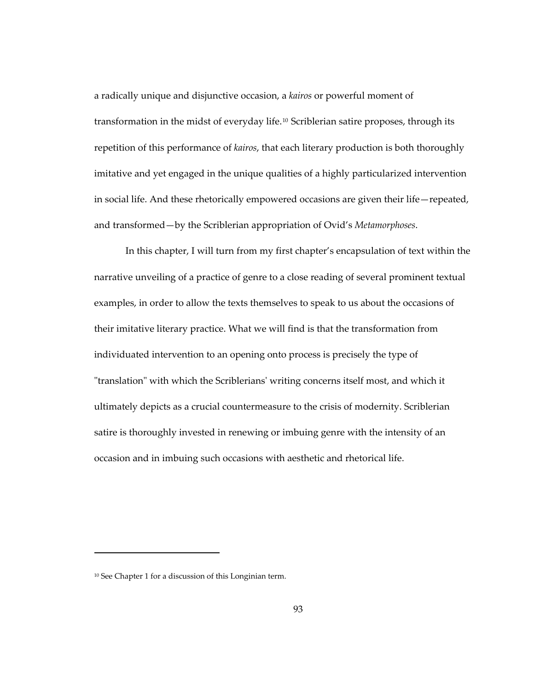a radically unique and disjunctive occasion, a *kairos* or powerful moment of transformation in the midst of everyday life.<sup>[10](#page-126-0)</sup> Scriblerian satire proposes, through its repetition of this performance of *kairos*, that each literary production is both thoroughly imitative and yet engaged in the unique qualities of a highly particularized intervention in social life. And these rhetorically empowered occasions are given their life—repeated, and transformed—by the Scriblerian appropriation of Ovid's *Metamorphoses*.

In this chapter, I will turn from my first chapter's encapsulation of text within the narrative unveiling of a practice of genre to a close reading of several prominent textual examples, in order to allow the texts themselves to speak to us about the occasions of their imitative literary practice. What we will find is that the transformation from individuated intervention to an opening onto process is precisely the type of "translation" with which the Scriblerians' writing concerns itself most, and which it ultimately depicts as a crucial countermeasure to the crisis of modernity. Scriblerian satire is thoroughly invested in renewing or imbuing genre with the intensity of an occasion and in imbuing such occasions with aesthetic and rhetorical life.

<span id="page-126-0"></span><sup>10</sup> See Chapter 1 for a discussion of this Longinian term.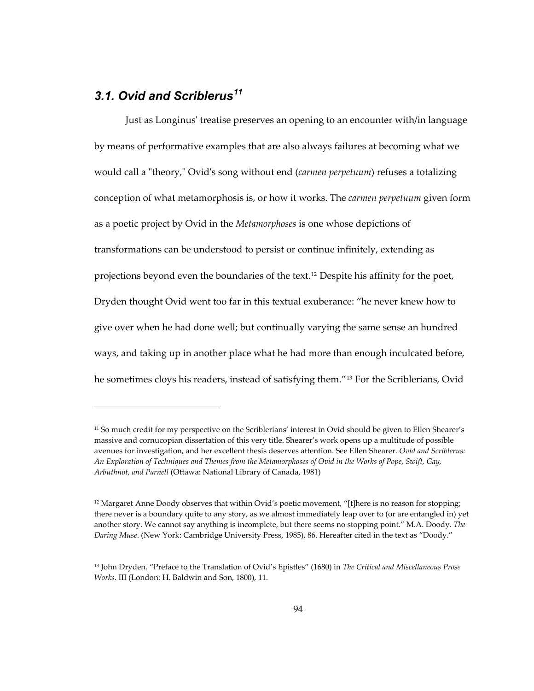## *3.1. Ovid and Scriblerus[11](#page-127-0)*

-

Just as Longinus' treatise preserves an opening to an encounter with/in language by means of performative examples that are also always failures at becoming what we would call a "theory," Ovid's song without end (*carmen perpetuum*) refuses a totalizing conception of what metamorphosis is, or how it works. The *carmen perpetuum* given form as a poetic project by Ovid in the *Metamorphoses* is one whose depictions of transformations can be understood to persist or continue infinitely, extending as projections beyond even the boundaries of the text.[12](#page-127-1) Despite his affinity for the poet, Dryden thought Ovid went too far in this textual exuberance: "he never knew how to give over when he had done well; but continually varying the same sense an hundred ways, and taking up in another place what he had more than enough inculcated before, he sometimes cloys his readers, instead of satisfying them."[13](#page-127-2) For the Scriblerians, Ovid

<span id="page-127-0"></span><sup>&</sup>lt;sup>11</sup> So much credit for my perspective on the Scriblerians' interest in Ovid should be given to Ellen Shearer's massive and cornucopian dissertation of this very title. Shearer's work opens up a multitude of possible avenues for investigation, and her excellent thesis deserves attention. See Ellen Shearer. *Ovid and Scriblerus: An Exploration of Techniques and Themes from the Metamorphoses of Ovid in the Works of Pope, Swift, Gay, Arbuthnot, and Parnell* (Ottawa: National Library of Canada, 1981)

<span id="page-127-1"></span><sup>&</sup>lt;sup>12</sup> Margaret Anne Doody observes that within Ovid's poetic movement, "[t]here is no reason for stopping; there never is a boundary quite to any story, as we almost immediately leap over to (or are entangled in) yet another story. We cannot say anything is incomplete, but there seems no stopping point." M.A. Doody. *The Daring Muse*. (New York: Cambridge University Press, 1985), 86. Hereafter cited in the text as "Doody."

<span id="page-127-2"></span><sup>13</sup> John Dryden. "Preface to the Translation of Ovid's Epistles" (1680) in *The Critical and Miscellaneous Prose Works*. III (London: H. Baldwin and Son, 1800), 11.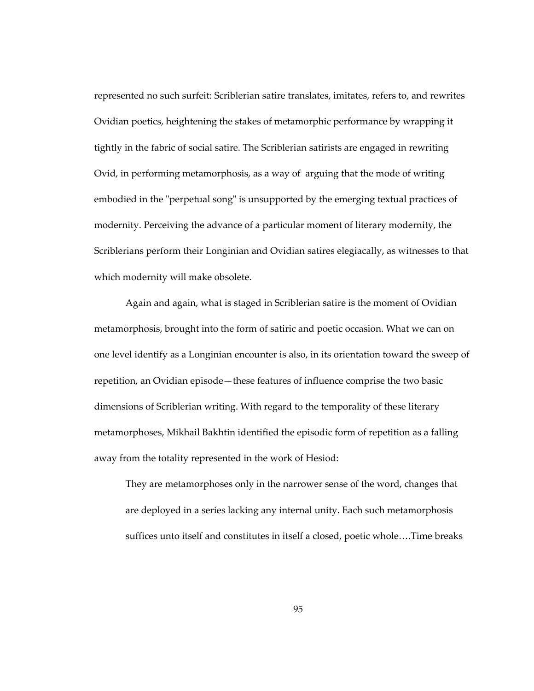represented no such surfeit: Scriblerian satire translates, imitates, refers to, and rewrites Ovidian poetics, heightening the stakes of metamorphic performance by wrapping it tightly in the fabric of social satire. The Scriblerian satirists are engaged in rewriting Ovid, in performing metamorphosis, as a way of arguing that the mode of writing embodied in the "perpetual song" is unsupported by the emerging textual practices of modernity. Perceiving the advance of a particular moment of literary modernity, the Scriblerians perform their Longinian and Ovidian satires elegiacally, as witnesses to that which modernity will make obsolete.

Again and again, what is staged in Scriblerian satire is the moment of Ovidian metamorphosis, brought into the form of satiric and poetic occasion. What we can on one level identify as a Longinian encounter is also, in its orientation toward the sweep of repetition, an Ovidian episode—these features of influence comprise the two basic dimensions of Scriblerian writing. With regard to the temporality of these literary metamorphoses, Mikhail Bakhtin identified the episodic form of repetition as a falling away from the totality represented in the work of Hesiod:

They are metamorphoses only in the narrower sense of the word, changes that are deployed in a series lacking any internal unity. Each such metamorphosis suffices unto itself and constitutes in itself a closed, poetic whole….Time breaks

95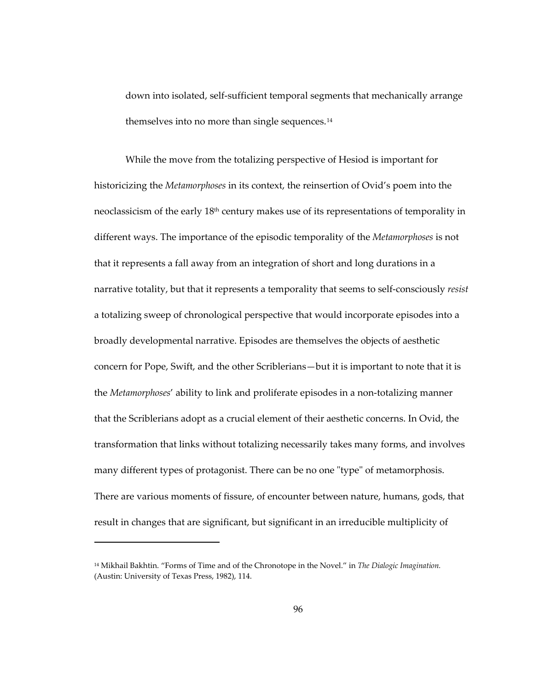down into isolated, self-sufficient temporal segments that mechanically arrange themselves into no more than single sequences.[14](#page-129-0)

While the move from the totalizing perspective of Hesiod is important for historicizing the *Metamorphoses* in its context, the reinsertion of Ovid's poem into the neoclassicism of the early  $18<sup>th</sup>$  century makes use of its representations of temporality in different ways. The importance of the episodic temporality of the *Metamorphoses* is not that it represents a fall away from an integration of short and long durations in a narrative totality, but that it represents a temporality that seems to self-consciously *resist* a totalizing sweep of chronological perspective that would incorporate episodes into a broadly developmental narrative. Episodes are themselves the objects of aesthetic concern for Pope, Swift, and the other Scriblerians—but it is important to note that it is the *Metamorphoses*' ability to link and proliferate episodes in a non-totalizing manner that the Scriblerians adopt as a crucial element of their aesthetic concerns. In Ovid, the transformation that links without totalizing necessarily takes many forms, and involves many different types of protagonist. There can be no one "type" of metamorphosis. There are various moments of fissure, of encounter between nature, humans, gods, that result in changes that are significant, but significant in an irreducible multiplicity of

<span id="page-129-0"></span><sup>14</sup> Mikhail Bakhtin. "Forms of Time and of the Chronotope in the Novel." in *The Dialogic Imagination.*  (Austin: University of Texas Press, 1982), 114.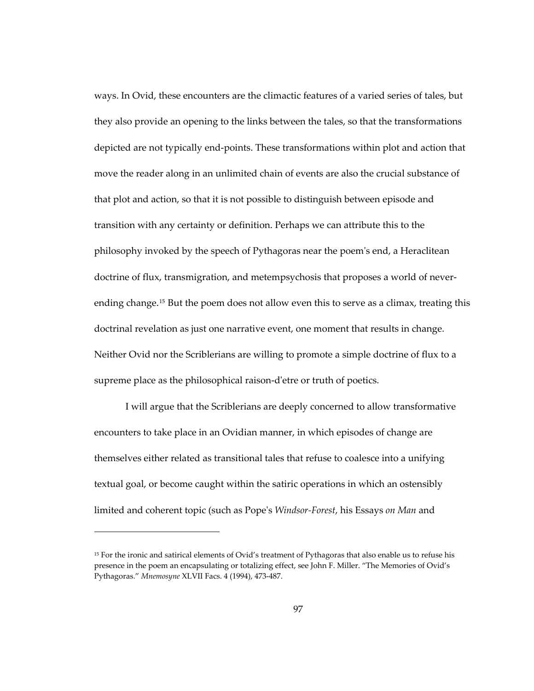ways. In Ovid, these encounters are the climactic features of a varied series of tales, but they also provide an opening to the links between the tales, so that the transformations depicted are not typically end-points. These transformations within plot and action that move the reader along in an unlimited chain of events are also the crucial substance of that plot and action, so that it is not possible to distinguish between episode and transition with any certainty or definition. Perhaps we can attribute this to the philosophy invoked by the speech of Pythagoras near the poem's end, a Heraclitean doctrine of flux, transmigration, and metempsychosis that proposes a world of neverending change.[15](#page-130-0) But the poem does not allow even this to serve as a climax, treating this doctrinal revelation as just one narrative event, one moment that results in change. Neither Ovid nor the Scriblerians are willing to promote a simple doctrine of flux to a supreme place as the philosophical raison-d'etre or truth of poetics.

I will argue that the Scriblerians are deeply concerned to allow transformative encounters to take place in an Ovidian manner, in which episodes of change are themselves either related as transitional tales that refuse to coalesce into a unifying textual goal, or become caught within the satiric operations in which an ostensibly limited and coherent topic (such as Pope's *Windsor-Forest*, his Essays *on Man* and

<span id="page-130-0"></span><sup>15</sup> For the ironic and satirical elements of Ovid's treatment of Pythagoras that also enable us to refuse his presence in the poem an encapsulating or totalizing effect, see John F. Miller. "The Memories of Ovid's Pythagoras." *Mnemosyne* XLVII Facs. 4 (1994), 473-487.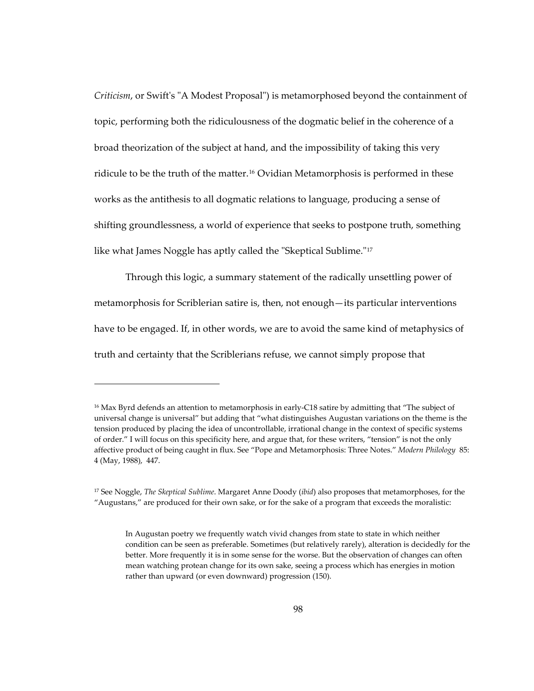*Criticism*, or Swift's "A Modest Proposal") is metamorphosed beyond the containment of topic, performing both the ridiculousness of the dogmatic belief in the coherence of a broad theorization of the subject at hand, and the impossibility of taking this very ridicule to be the truth of the matter.[16](#page-131-0) Ovidian Metamorphosis is performed in these works as the antithesis to all dogmatic relations to language, producing a sense of shifting groundlessness, a world of experience that seeks to postpone truth, something like what James Noggle has aptly called the "Skeptical Sublime."[17](#page-131-1)

Through this logic, a summary statement of the radically unsettling power of metamorphosis for Scriblerian satire is, then, not enough—its particular interventions have to be engaged. If, in other words, we are to avoid the same kind of metaphysics of truth and certainty that the Scriblerians refuse, we cannot simply propose that

<span id="page-131-0"></span><sup>16</sup> Max Byrd defends an attention to metamorphosis in early-C18 satire by admitting that "The subject of universal change is universal" but adding that "what distinguishes Augustan variations on the theme is the tension produced by placing the idea of uncontrollable, irrational change in the context of specific systems of order." I will focus on this specificity here, and argue that, for these writers, "tension" is not the only affective product of being caught in flux. See "Pope and Metamorphosis: Three Notes." *Modern Philology* 85: 4 (May, 1988), 447.

<span id="page-131-1"></span><sup>17</sup> See Noggle, *The Skeptical Sublime*. Margaret Anne Doody (*ibid*) also proposes that metamorphoses, for the "Augustans," are produced for their own sake, or for the sake of a program that exceeds the moralistic:

In Augustan poetry we frequently watch vivid changes from state to state in which neither condition can be seen as preferable. Sometimes (but relatively rarely), alteration is decidedly for the better. More frequently it is in some sense for the worse. But the observation of changes can often mean watching protean change for its own sake, seeing a process which has energies in motion rather than upward (or even downward) progression (150).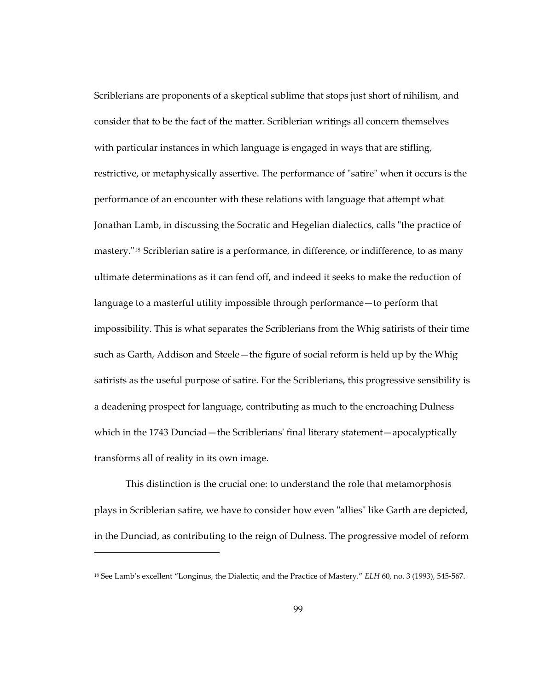Scriblerians are proponents of a skeptical sublime that stops just short of nihilism, and consider that to be the fact of the matter. Scriblerian writings all concern themselves with particular instances in which language is engaged in ways that are stifling, restrictive, or metaphysically assertive. The performance of "satire" when it occurs is the performance of an encounter with these relations with language that attempt what Jonathan Lamb, in discussing the Socratic and Hegelian dialectics, calls "the practice of mastery."[18](#page-132-0) Scriblerian satire is a performance, in difference, or indifference, to as many ultimate determinations as it can fend off, and indeed it seeks to make the reduction of language to a masterful utility impossible through performance—to perform that impossibility. This is what separates the Scriblerians from the Whig satirists of their time such as Garth, Addison and Steele—the figure of social reform is held up by the Whig satirists as the useful purpose of satire. For the Scriblerians, this progressive sensibility is a deadening prospect for language, contributing as much to the encroaching Dulness which in the 1743 Dunciad—the Scriblerians' final literary statement—apocalyptically transforms all of reality in its own image.

This distinction is the crucial one: to understand the role that metamorphosis plays in Scriblerian satire, we have to consider how even "allies" like Garth are depicted, in the Dunciad, as contributing to the reign of Dulness. The progressive model of reform

<span id="page-132-0"></span><sup>18</sup> See Lamb's excellent "Longinus, the Dialectic, and the Practice of Mastery." *ELH* 60, no. 3 (1993), 545-567.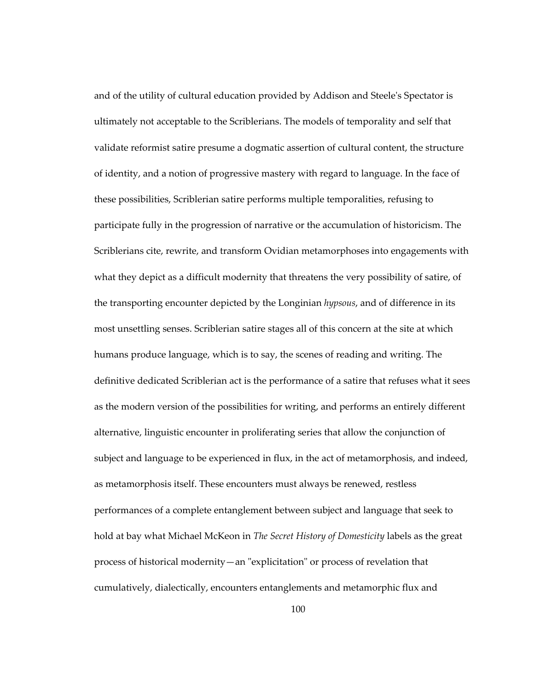and of the utility of cultural education provided by Addison and Steele's Spectator is ultimately not acceptable to the Scriblerians. The models of temporality and self that validate reformist satire presume a dogmatic assertion of cultural content, the structure of identity, and a notion of progressive mastery with regard to language. In the face of these possibilities, Scriblerian satire performs multiple temporalities, refusing to participate fully in the progression of narrative or the accumulation of historicism. The Scriblerians cite, rewrite, and transform Ovidian metamorphoses into engagements with what they depict as a difficult modernity that threatens the very possibility of satire, of the transporting encounter depicted by the Longinian *hypsous*, and of difference in its most unsettling senses. Scriblerian satire stages all of this concern at the site at which humans produce language, which is to say, the scenes of reading and writing. The definitive dedicated Scriblerian act is the performance of a satire that refuses what it sees as the modern version of the possibilities for writing, and performs an entirely different alternative, linguistic encounter in proliferating series that allow the conjunction of subject and language to be experienced in flux, in the act of metamorphosis, and indeed, as metamorphosis itself. These encounters must always be renewed, restless performances of a complete entanglement between subject and language that seek to hold at bay what Michael McKeon in *The Secret History of Domesticity* labels as the great process of historical modernity—an "explicitation" or process of revelation that cumulatively, dialectically, encounters entanglements and metamorphic flux and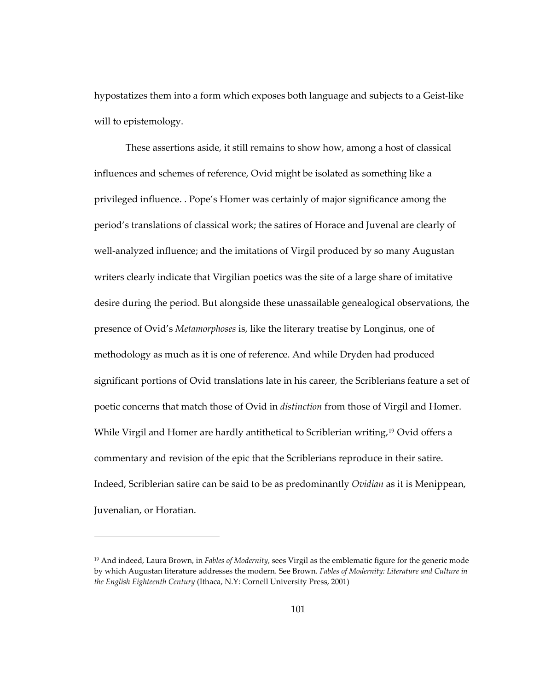hypostatizes them into a form which exposes both language and subjects to a Geist-like will to epistemology.

These assertions aside, it still remains to show how, among a host of classical influences and schemes of reference, Ovid might be isolated as something like a privileged influence. . Pope's Homer was certainly of major significance among the period's translations of classical work; the satires of Horace and Juvenal are clearly of well-analyzed influence; and the imitations of Virgil produced by so many Augustan writers clearly indicate that Virgilian poetics was the site of a large share of imitative desire during the period. But alongside these unassailable genealogical observations, the presence of Ovid's *Metamorphoses* is, like the literary treatise by Longinus, one of methodology as much as it is one of reference. And while Dryden had produced significant portions of Ovid translations late in his career, the Scriblerians feature a set of poetic concerns that match those of Ovid in *distinction* from those of Virgil and Homer. While Virgil and Homer are hardly antithetical to Scriblerian writing,<sup>[19](#page-134-0)</sup> Ovid offers a commentary and revision of the epic that the Scriblerians reproduce in their satire. Indeed, Scriblerian satire can be said to be as predominantly *Ovidian* as it is Menippean, Juvenalian, or Horatian.

1

<span id="page-134-0"></span><sup>19</sup> And indeed, Laura Brown, in *Fables of Modernity*, sees Virgil as the emblematic figure for the generic mode by which Augustan literature addresses the modern. See Brown. *Fables of Modernity: Literature and Culture in the English Eighteenth Century* (Ithaca, N.Y: Cornell University Press, 2001)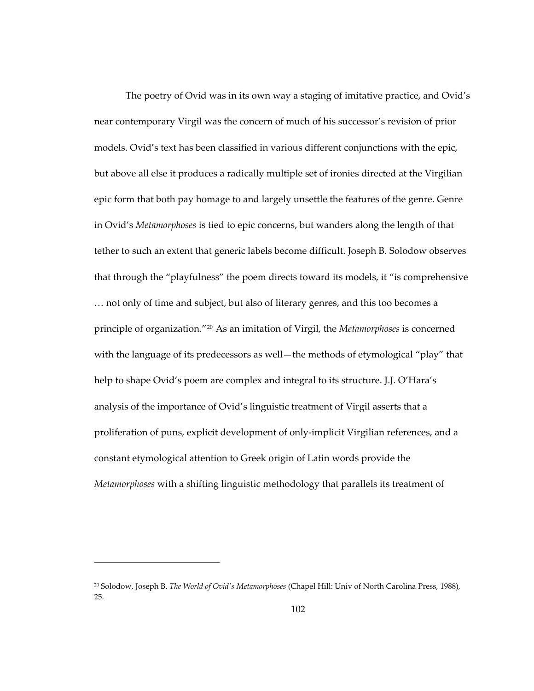The poetry of Ovid was in its own way a staging of imitative practice, and Ovid's near contemporary Virgil was the concern of much of his successor's revision of prior models. Ovid's text has been classified in various different conjunctions with the epic, but above all else it produces a radically multiple set of ironies directed at the Virgilian epic form that both pay homage to and largely unsettle the features of the genre. Genre in Ovid's *Metamorphoses* is tied to epic concerns, but wanders along the length of that tether to such an extent that generic labels become difficult. Joseph B. Solodow observes that through the "playfulness" the poem directs toward its models, it "is comprehensive … not only of time and subject, but also of literary genres, and this too becomes a principle of organization.["20](#page-135-0) As an imitation of Virgil, the *Metamorphoses* is concerned with the language of its predecessors as well—the methods of etymological "play" that help to shape Ovid's poem are complex and integral to its structure. J.J. O'Hara's analysis of the importance of Ovid's linguistic treatment of Virgil asserts that a proliferation of puns, explicit development of only-implicit Virgilian references, and a constant etymological attention to Greek origin of Latin words provide the *Metamorphoses* with a shifting linguistic methodology that parallels its treatment of

 $\overline{a}$ 

<span id="page-135-0"></span><sup>20</sup> Solodow, Joseph B. *The World of Ovid's Metamorphoses* (Chapel Hill: Univ of North Carolina Press, 1988), 25.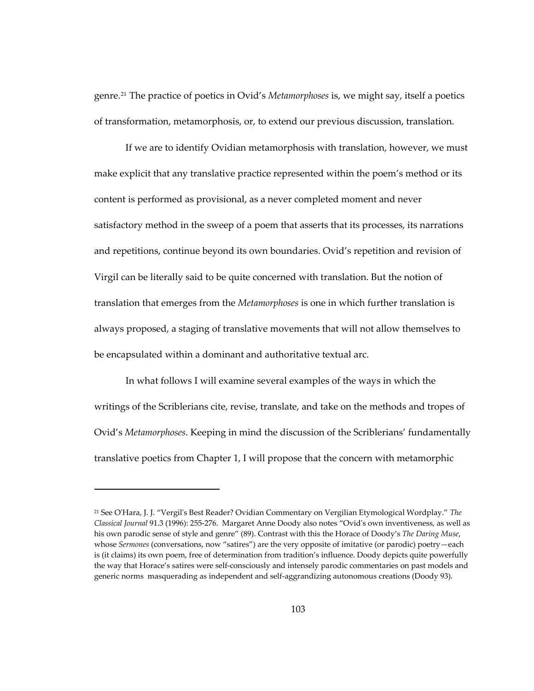genre.[21](#page-136-0) The practice of poetics in Ovid's *Metamorphoses* is, we might say, itself a poetics of transformation, metamorphosis, or, to extend our previous discussion, translation.

If we are to identify Ovidian metamorphosis with translation, however, we must make explicit that any translative practice represented within the poem's method or its content is performed as provisional, as a never completed moment and never satisfactory method in the sweep of a poem that asserts that its processes, its narrations and repetitions, continue beyond its own boundaries. Ovid's repetition and revision of Virgil can be literally said to be quite concerned with translation. But the notion of translation that emerges from the *Metamorphoses* is one in which further translation is always proposed, a staging of translative movements that will not allow themselves to be encapsulated within a dominant and authoritative textual arc.

In what follows I will examine several examples of the ways in which the writings of the Scriblerians cite, revise, translate, and take on the methods and tropes of Ovid's *Metamorphoses*. Keeping in mind the discussion of the Scriblerians' fundamentally translative poetics from Chapter 1, I will propose that the concern with metamorphic

1

<span id="page-136-0"></span><sup>21</sup> See O'Hara, J. J. "Vergil's Best Reader? Ovidian Commentary on Vergilian Etymological Wordplay." *The Classical Journal* 91.3 (1996): 255-276. Margaret Anne Doody also notes "Ovid's own inventiveness, as well as his own parodic sense of style and genre" (89). Contrast with this the Horace of Doody's *The Daring Muse*, whose *Sermones* (conversations, now "satires") are the very opposite of imitative (or parodic) poetry—each is (it claims) its own poem, free of determination from tradition's influence. Doody depicts quite powerfully the way that Horace's satires were self-consciously and intensely parodic commentaries on past models and generic norms masquerading as independent and self-aggrandizing autonomous creations (Doody 93).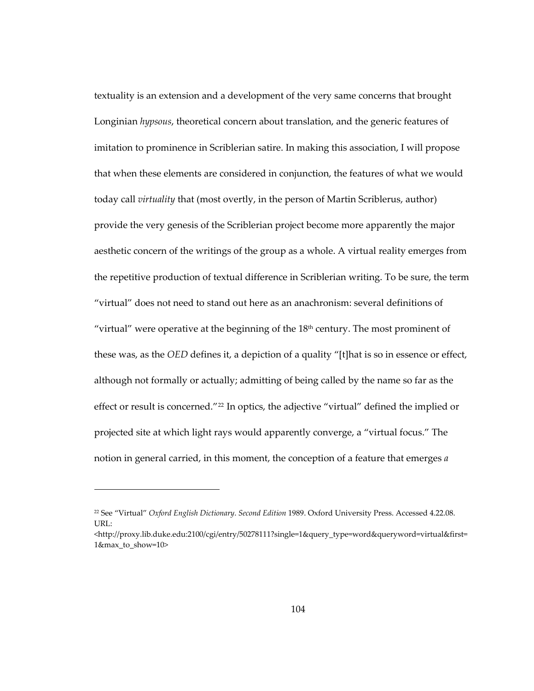textuality is an extension and a development of the very same concerns that brought Longinian *hypsous*, theoretical concern about translation, and the generic features of imitation to prominence in Scriblerian satire. In making this association, I will propose that when these elements are considered in conjunction, the features of what we would today call *virtuality* that (most overtly, in the person of Martin Scriblerus, author) provide the very genesis of the Scriblerian project become more apparently the major aesthetic concern of the writings of the group as a whole. A virtual reality emerges from the repetitive production of textual difference in Scriblerian writing. To be sure, the term "virtual" does not need to stand out here as an anachronism: several definitions of "virtual" were operative at the beginning of the  $18<sup>th</sup>$  century. The most prominent of these was, as the *OED* defines it, a depiction of a quality "[t]hat is so in essence or effect, although not formally or actually; admitting of being called by the name so far as the effect or result is concerned."<sup>[22](#page-137-0)</sup> In optics, the adjective "virtual" defined the implied or projected site at which light rays would apparently converge, a "virtual focus." The notion in general carried, in this moment, the conception of a feature that emerges *a* 

 $\overline{a}$ 

<span id="page-137-0"></span><sup>22</sup> See "Virtual" *Oxford English Dictionary*. *Second Edition* 1989. Oxford University Press. Accessed 4.22.08. URL:

<sup>&</sup>lt;http://proxy.lib.duke.edu:2100/cgi/entry/50278111?single=1&query\_type=word&queryword=virtual&first= 1&max\_to\_show=10>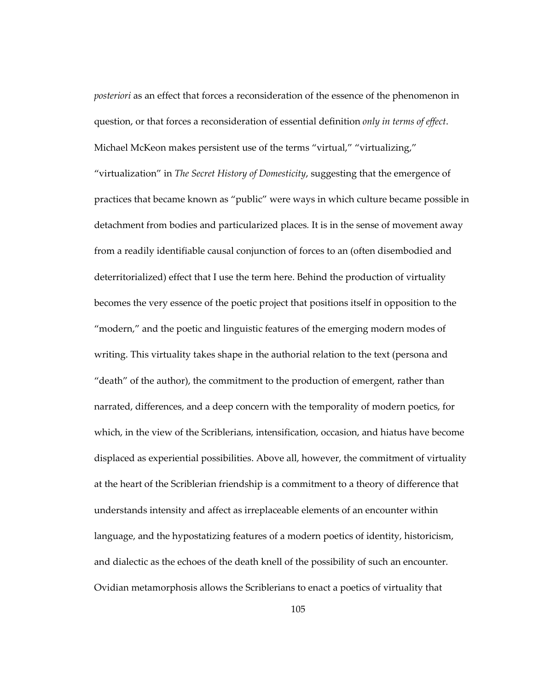*posteriori* as an effect that forces a reconsideration of the essence of the phenomenon in question, or that forces a reconsideration of essential definition *only in terms of effect*. Michael McKeon makes persistent use of the terms "virtual," "virtualizing,"

"virtualization" in *The Secret History of Domesticity*, suggesting that the emergence of practices that became known as "public" were ways in which culture became possible in detachment from bodies and particularized places*.* It is in the sense of movement away from a readily identifiable causal conjunction of forces to an (often disembodied and deterritorialized) effect that I use the term here. Behind the production of virtuality becomes the very essence of the poetic project that positions itself in opposition to the "modern," and the poetic and linguistic features of the emerging modern modes of writing. This virtuality takes shape in the authorial relation to the text (persona and "death" of the author), the commitment to the production of emergent, rather than narrated, differences, and a deep concern with the temporality of modern poetics, for which, in the view of the Scriblerians, intensification, occasion, and hiatus have become displaced as experiential possibilities. Above all, however, the commitment of virtuality at the heart of the Scriblerian friendship is a commitment to a theory of difference that understands intensity and affect as irreplaceable elements of an encounter within language, and the hypostatizing features of a modern poetics of identity, historicism, and dialectic as the echoes of the death knell of the possibility of such an encounter. Ovidian metamorphosis allows the Scriblerians to enact a poetics of virtuality that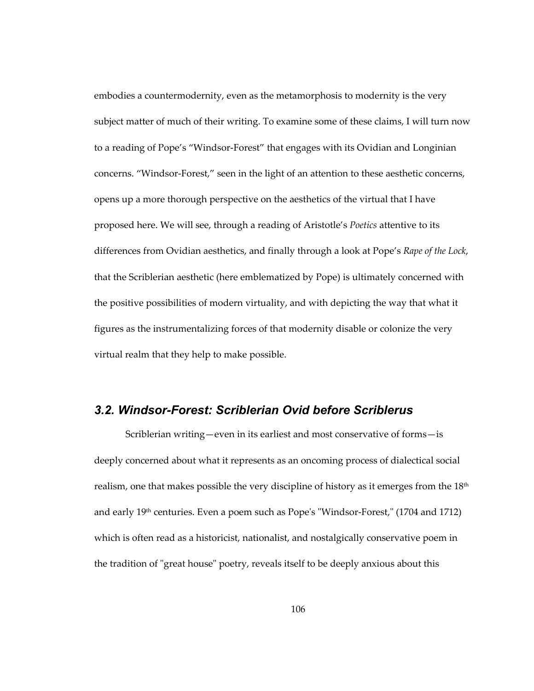embodies a countermodernity, even as the metamorphosis to modernity is the very subject matter of much of their writing. To examine some of these claims, I will turn now to a reading of Pope's "Windsor-Forest" that engages with its Ovidian and Longinian concerns. "Windsor-Forest," seen in the light of an attention to these aesthetic concerns, opens up a more thorough perspective on the aesthetics of the virtual that I have proposed here. We will see, through a reading of Aristotle's *Poetics* attentive to its differences from Ovidian aesthetics, and finally through a look at Pope's *Rape of the Lock*, that the Scriblerian aesthetic (here emblematized by Pope) is ultimately concerned with the positive possibilities of modern virtuality, and with depicting the way that what it figures as the instrumentalizing forces of that modernity disable or colonize the very virtual realm that they help to make possible.

## *3.2. Windsor-Forest: Scriblerian Ovid before Scriblerus*

Scriblerian writing—even in its earliest and most conservative of forms—is deeply concerned about what it represents as an oncoming process of dialectical social realism, one that makes possible the very discipline of history as it emerges from the 18th and early 19<sup>th</sup> centuries. Even a poem such as Pope's "Windsor-Forest," (1704 and 1712) which is often read as a historicist, nationalist, and nostalgically conservative poem in the tradition of "great house" poetry, reveals itself to be deeply anxious about this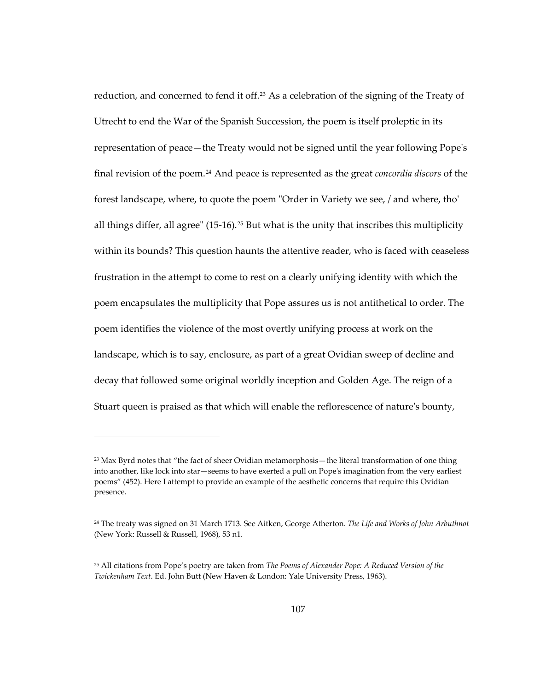reduction, and concerned to fend it off.<sup>[23](#page-140-0)</sup> As a celebration of the signing of the Treaty of Utrecht to end the War of the Spanish Succession, the poem is itself proleptic in its representation of peace—the Treaty would not be signed until the year following Pope's final revision of the poem.[24](#page-140-1) And peace is represented as the great *concordia discors* of the forest landscape, where, to quote the poem "Order in Variety we see, / and where, tho' all things differ, all agree" (15-16).<sup>[25](#page-140-2)</sup> But what is the unity that inscribes this multiplicity within its bounds? This question haunts the attentive reader, who is faced with ceaseless frustration in the attempt to come to rest on a clearly unifying identity with which the poem encapsulates the multiplicity that Pope assures us is not antithetical to order. The poem identifies the violence of the most overtly unifying process at work on the landscape, which is to say, enclosure, as part of a great Ovidian sweep of decline and decay that followed some original worldly inception and Golden Age. The reign of a Stuart queen is praised as that which will enable the reflorescence of nature's bounty,

1

<span id="page-140-0"></span><sup>&</sup>lt;sup>23</sup> Max Byrd notes that "the fact of sheer Ovidian metamorphosis - the literal transformation of one thing into another, like lock into star—seems to have exerted a pull on Pope's imagination from the very earliest poems" (452). Here I attempt to provide an example of the aesthetic concerns that require this Ovidian presence.

<span id="page-140-1"></span><sup>24</sup> The treaty was signed on 31 March 1713. See Aitken, George Atherton. *The Life and Works of John Arbuthnot* (New York: Russell & Russell, 1968), 53 n1.

<span id="page-140-2"></span><sup>25</sup> All citations from Pope's poetry are taken from *The Poems of Alexander Pope: A Reduced Version of the Twickenham Text*. Ed. John Butt (New Haven & London: Yale University Press, 1963).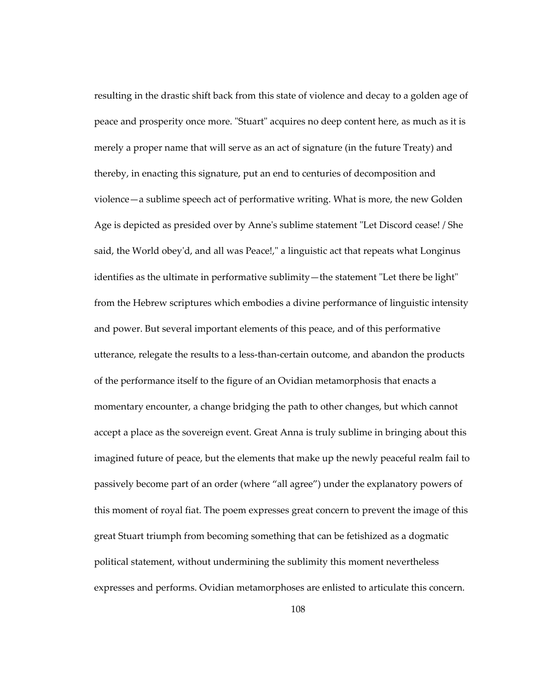resulting in the drastic shift back from this state of violence and decay to a golden age of peace and prosperity once more. "Stuart" acquires no deep content here, as much as it is merely a proper name that will serve as an act of signature (in the future Treaty) and thereby, in enacting this signature, put an end to centuries of decomposition and violence—a sublime speech act of performative writing. What is more, the new Golden Age is depicted as presided over by Anne's sublime statement "Let Discord cease! / She said, the World obey'd, and all was Peace!," a linguistic act that repeats what Longinus identifies as the ultimate in performative sublimity—the statement "Let there be light" from the Hebrew scriptures which embodies a divine performance of linguistic intensity and power. But several important elements of this peace, and of this performative utterance, relegate the results to a less-than-certain outcome, and abandon the products of the performance itself to the figure of an Ovidian metamorphosis that enacts a momentary encounter, a change bridging the path to other changes, but which cannot accept a place as the sovereign event. Great Anna is truly sublime in bringing about this imagined future of peace, but the elements that make up the newly peaceful realm fail to passively become part of an order (where "all agree") under the explanatory powers of this moment of royal fiat. The poem expresses great concern to prevent the image of this great Stuart triumph from becoming something that can be fetishized as a dogmatic political statement, without undermining the sublimity this moment nevertheless expresses and performs. Ovidian metamorphoses are enlisted to articulate this concern.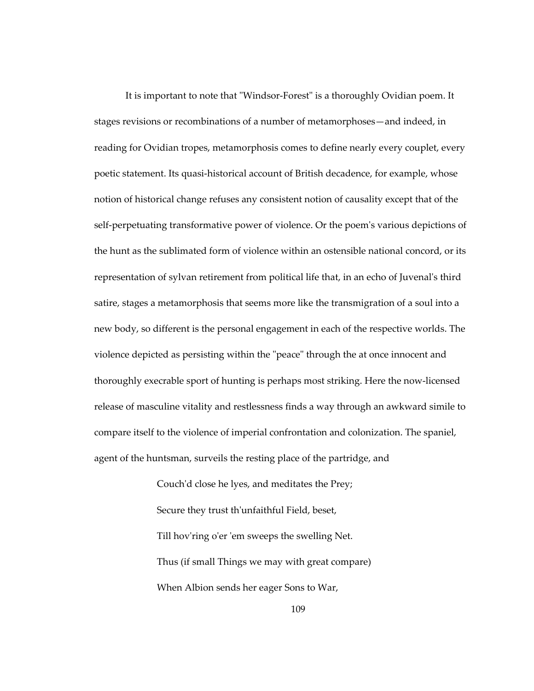It is important to note that "Windsor-Forest" is a thoroughly Ovidian poem. It stages revisions or recombinations of a number of metamorphoses—and indeed, in reading for Ovidian tropes, metamorphosis comes to define nearly every couplet, every poetic statement. Its quasi-historical account of British decadence, for example, whose notion of historical change refuses any consistent notion of causality except that of the self-perpetuating transformative power of violence. Or the poem's various depictions of the hunt as the sublimated form of violence within an ostensible national concord, or its representation of sylvan retirement from political life that, in an echo of Juvenal's third satire, stages a metamorphosis that seems more like the transmigration of a soul into a new body, so different is the personal engagement in each of the respective worlds. The violence depicted as persisting within the "peace" through the at once innocent and thoroughly execrable sport of hunting is perhaps most striking. Here the now-licensed release of masculine vitality and restlessness finds a way through an awkward simile to compare itself to the violence of imperial confrontation and colonization. The spaniel, agent of the huntsman, surveils the resting place of the partridge, and

> Couch'd close he lyes, and meditates the Prey; Secure they trust th'unfaithful Field, beset, Till hov'ring o'er 'em sweeps the swelling Net. Thus (if small Things we may with great compare) When Albion sends her eager Sons to War,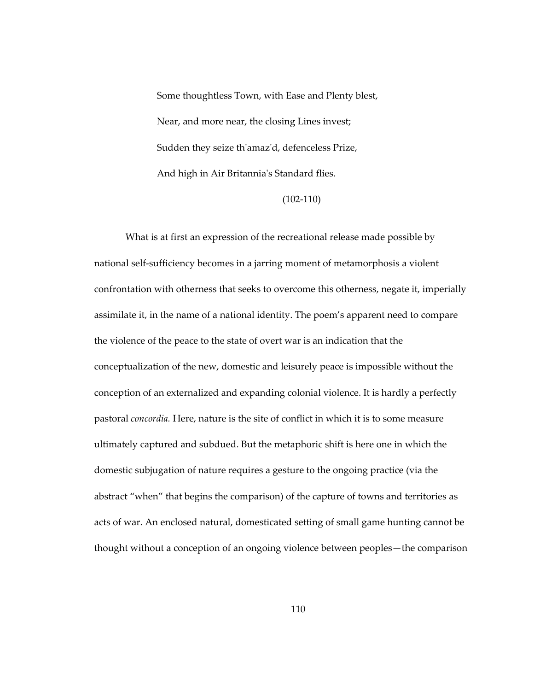Some thoughtless Town, with Ease and Plenty blest, Near, and more near, the closing Lines invest; Sudden they seize th'amaz'd, defenceless Prize, And high in Air Britannia's Standard flies.

(102-110)

What is at first an expression of the recreational release made possible by national self-sufficiency becomes in a jarring moment of metamorphosis a violent confrontation with otherness that seeks to overcome this otherness, negate it, imperially assimilate it, in the name of a national identity. The poem's apparent need to compare the violence of the peace to the state of overt war is an indication that the conceptualization of the new, domestic and leisurely peace is impossible without the conception of an externalized and expanding colonial violence. It is hardly a perfectly pastoral *concordia.* Here, nature is the site of conflict in which it is to some measure ultimately captured and subdued. But the metaphoric shift is here one in which the domestic subjugation of nature requires a gesture to the ongoing practice (via the abstract "when" that begins the comparison) of the capture of towns and territories as acts of war. An enclosed natural, domesticated setting of small game hunting cannot be thought without a conception of an ongoing violence between peoples—the comparison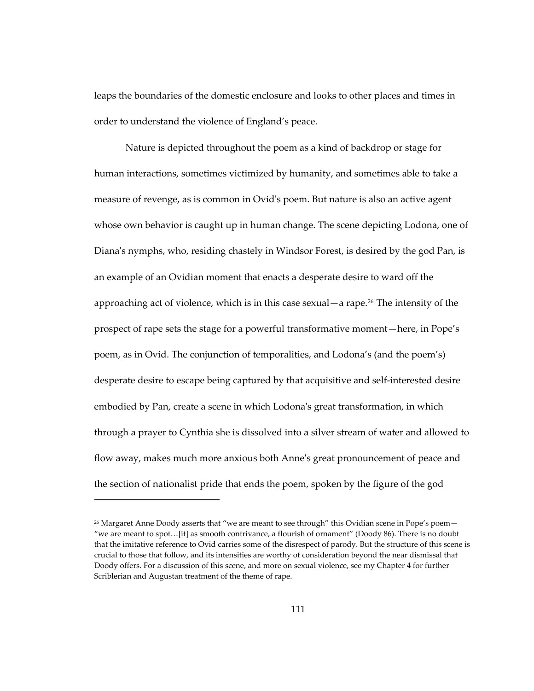leaps the boundaries of the domestic enclosure and looks to other places and times in order to understand the violence of England's peace.

Nature is depicted throughout the poem as a kind of backdrop or stage for human interactions, sometimes victimized by humanity, and sometimes able to take a measure of revenge, as is common in Ovid's poem. But nature is also an active agent whose own behavior is caught up in human change. The scene depicting Lodona, one of Diana's nymphs, who, residing chastely in Windsor Forest, is desired by the god Pan, is an example of an Ovidian moment that enacts a desperate desire to ward off the approaching act of violence, which is in this case sexual—a rape.<sup>[26](#page-144-0)</sup> The intensity of the prospect of rape sets the stage for a powerful transformative moment—here, in Pope's poem, as in Ovid. The conjunction of temporalities, and Lodona's (and the poem's) desperate desire to escape being captured by that acquisitive and self-interested desire embodied by Pan, create a scene in which Lodona's great transformation, in which through a prayer to Cynthia she is dissolved into a silver stream of water and allowed to flow away, makes much more anxious both Anne's great pronouncement of peace and the section of nationalist pride that ends the poem, spoken by the figure of the god

<span id="page-144-0"></span><sup>&</sup>lt;sup>26</sup> Margaret Anne Doody asserts that "we are meant to see through" this Ovidian scene in Pope's poem-"we are meant to spot…[it] as smooth contrivance, a flourish of ornament" (Doody 86). There is no doubt that the imitative reference to Ovid carries some of the disrespect of parody. But the structure of this scene is crucial to those that follow, and its intensities are worthy of consideration beyond the near dismissal that Doody offers. For a discussion of this scene, and more on sexual violence, see my Chapter 4 for further Scriblerian and Augustan treatment of the theme of rape.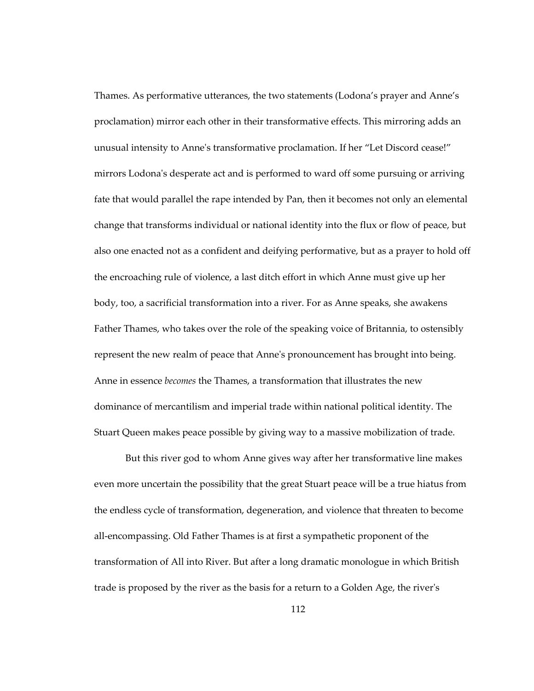Thames. As performative utterances, the two statements (Lodona's prayer and Anne's proclamation) mirror each other in their transformative effects. This mirroring adds an unusual intensity to Anne's transformative proclamation. If her "Let Discord cease!" mirrors Lodona's desperate act and is performed to ward off some pursuing or arriving fate that would parallel the rape intended by Pan, then it becomes not only an elemental change that transforms individual or national identity into the flux or flow of peace, but also one enacted not as a confident and deifying performative, but as a prayer to hold off the encroaching rule of violence, a last ditch effort in which Anne must give up her body, too, a sacrificial transformation into a river. For as Anne speaks, she awakens Father Thames, who takes over the role of the speaking voice of Britannia, to ostensibly represent the new realm of peace that Anne's pronouncement has brought into being. Anne in essence *becomes* the Thames, a transformation that illustrates the new dominance of mercantilism and imperial trade within national political identity. The Stuart Queen makes peace possible by giving way to a massive mobilization of trade.

But this river god to whom Anne gives way after her transformative line makes even more uncertain the possibility that the great Stuart peace will be a true hiatus from the endless cycle of transformation, degeneration, and violence that threaten to become all-encompassing. Old Father Thames is at first a sympathetic proponent of the transformation of All into River. But after a long dramatic monologue in which British trade is proposed by the river as the basis for a return to a Golden Age, the river's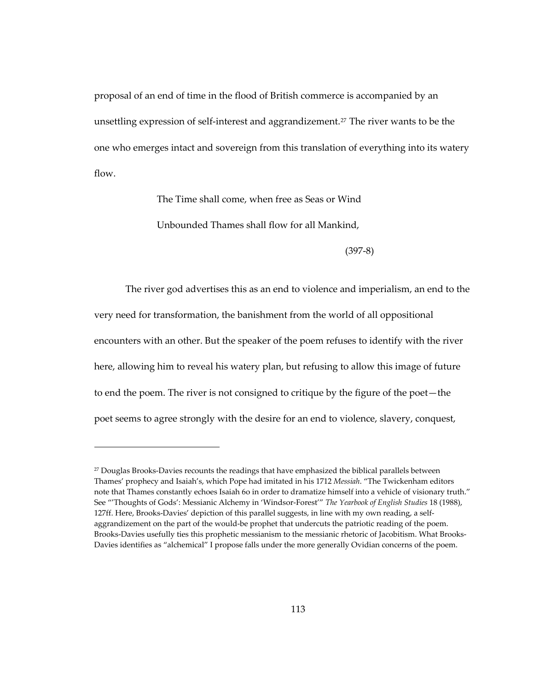proposal of an end of time in the flood of British commerce is accompanied by an unsettling expression of self-interest and aggrandizement.<sup>[27](#page-146-0)</sup> The river wants to be the one who emerges intact and sovereign from this translation of everything into its watery flow.

The Time shall come, when free as Seas or Wind

Unbounded Thames shall flow for all Mankind,

(397-8)

The river god advertises this as an end to violence and imperialism, an end to the very need for transformation, the banishment from the world of all oppositional encounters with an other. But the speaker of the poem refuses to identify with the river here, allowing him to reveal his watery plan, but refusing to allow this image of future to end the poem. The river is not consigned to critique by the figure of the poet—the poet seems to agree strongly with the desire for an end to violence, slavery, conquest,

<span id="page-146-0"></span><sup>&</sup>lt;sup>27</sup> Douglas Brooks-Davies recounts the readings that have emphasized the biblical parallels between Thames' prophecy and Isaiah's, which Pope had imitated in his 1712 *Messiah*. "The Twickenham editors note that Thames constantly echoes Isaiah 6o in order to dramatize himself into a vehicle of visionary truth." See "'Thoughts of Gods': Messianic Alchemy in 'Windsor-Forest'" *The Yearbook of English Studies* 18 (1988), 127ff. Here, Brooks-Davies' depiction of this parallel suggests, in line with my own reading, a selfaggrandizement on the part of the would-be prophet that undercuts the patriotic reading of the poem. Brooks-Davies usefully ties this prophetic messianism to the messianic rhetoric of Jacobitism. What Brooks-Davies identifies as "alchemical" I propose falls under the more generally Ovidian concerns of the poem.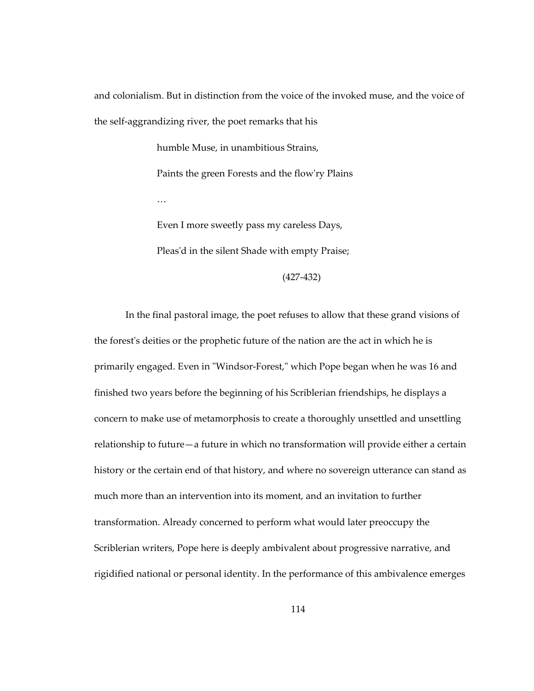and colonialism. But in distinction from the voice of the invoked muse, and the voice of the self-aggrandizing river, the poet remarks that his

> humble Muse, in unambitious Strains, Paints the green Forests and the flow'ry Plains … Even I more sweetly pass my careless Days,

Pleas'd in the silent Shade with empty Praise;

(427-432)

In the final pastoral image, the poet refuses to allow that these grand visions of the forest's deities or the prophetic future of the nation are the act in which he is primarily engaged. Even in "Windsor-Forest," which Pope began when he was 16 and finished two years before the beginning of his Scriblerian friendships, he displays a concern to make use of metamorphosis to create a thoroughly unsettled and unsettling relationship to future—a future in which no transformation will provide either a certain history or the certain end of that history, and where no sovereign utterance can stand as much more than an intervention into its moment, and an invitation to further transformation. Already concerned to perform what would later preoccupy the Scriblerian writers, Pope here is deeply ambivalent about progressive narrative, and rigidified national or personal identity. In the performance of this ambivalence emerges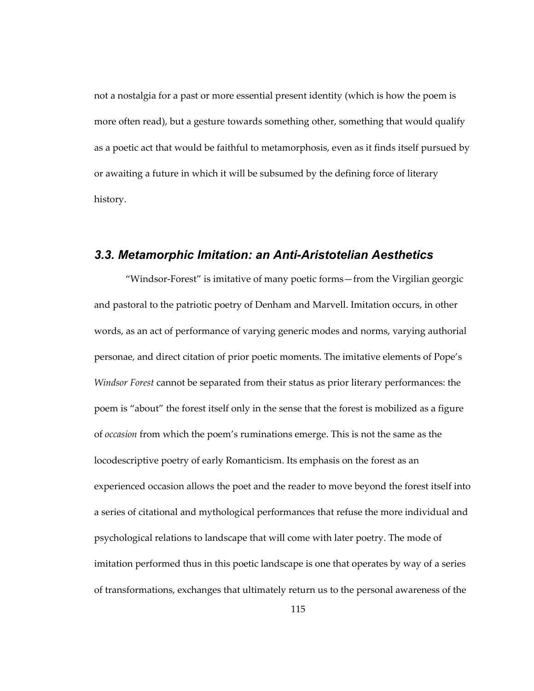not a nostalgia for a past or more essential present identity (which is how the poem is more often read), but a gesture towards something other, something that would qualify as a poetic act that would be faithful to metamorphosis, even as it finds itself pursued by or awaiting a future in which it will be subsumed by the defining force of literary history.

## *3.3. Metamorphic Imitation: an Anti-Aristotelian Aesthetics*

"Windsor-Forest" is imitative of many poetic forms—from the Virgilian georgic and pastoral to the patriotic poetry of Denham and Marvell. Imitation occurs, in other words, as an act of performance of varying generic modes and norms, varying authorial personae, and direct citation of prior poetic moments. The imitative elements of Pope's *Windsor Forest* cannot be separated from their status as prior literary performances: the poem is "about" the forest itself only in the sense that the forest is mobilized as a figure of *occasion* from which the poem's ruminations emerge. This is not the same as the locodescriptive poetry of early Romanticism. Its emphasis on the forest as an experienced occasion allows the poet and the reader to move beyond the forest itself into a series of citational and mythological performances that refuse the more individual and psychological relations to landscape that will come with later poetry. The mode of imitation performed thus in this poetic landscape is one that operates by way of a series of transformations, exchanges that ultimately return us to the personal awareness of the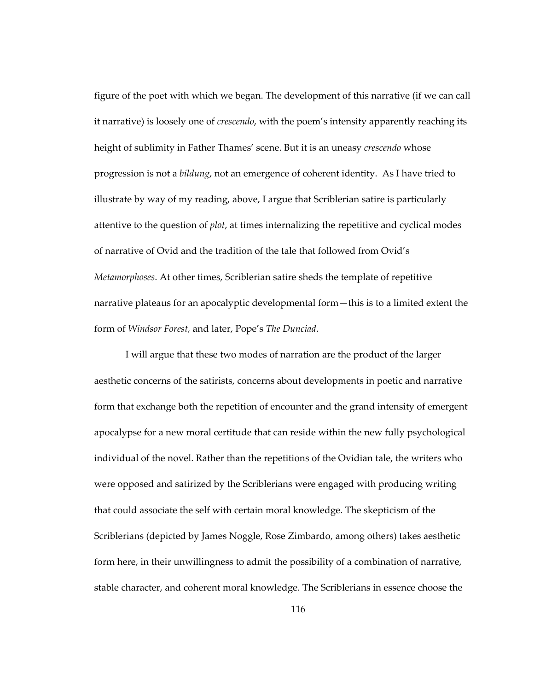figure of the poet with which we began. The development of this narrative (if we can call it narrative) is loosely one of *crescendo*, with the poem's intensity apparently reaching its height of sublimity in Father Thames' scene. But it is an uneasy *crescendo* whose progression is not a *bildung*, not an emergence of coherent identity. As I have tried to illustrate by way of my reading, above, I argue that Scriblerian satire is particularly attentive to the question of *plot*, at times internalizing the repetitive and cyclical modes of narrative of Ovid and the tradition of the tale that followed from Ovid's *Metamorphoses*. At other times, Scriblerian satire sheds the template of repetitive narrative plateaus for an apocalyptic developmental form—this is to a limited extent the form of *Windsor Forest,* and later, Pope's *The Dunciad*.

I will argue that these two modes of narration are the product of the larger aesthetic concerns of the satirists, concerns about developments in poetic and narrative form that exchange both the repetition of encounter and the grand intensity of emergent apocalypse for a new moral certitude that can reside within the new fully psychological individual of the novel. Rather than the repetitions of the Ovidian tale, the writers who were opposed and satirized by the Scriblerians were engaged with producing writing that could associate the self with certain moral knowledge. The skepticism of the Scriblerians (depicted by James Noggle, Rose Zimbardo, among others) takes aesthetic form here, in their unwillingness to admit the possibility of a combination of narrative, stable character, and coherent moral knowledge. The Scriblerians in essence choose the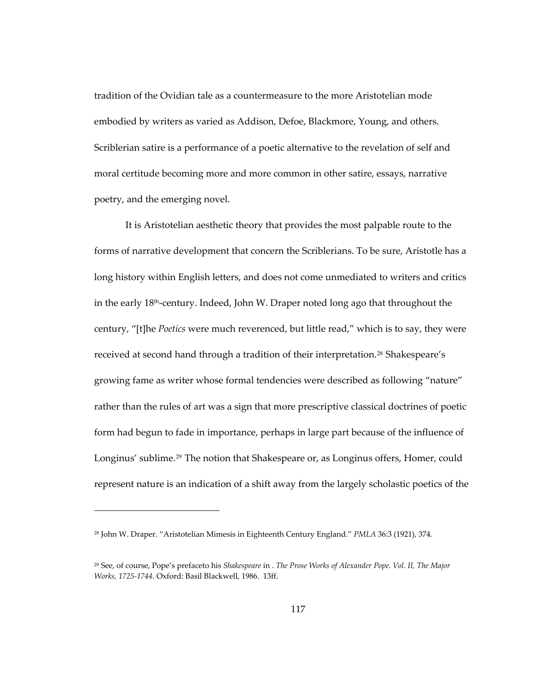tradition of the Ovidian tale as a countermeasure to the more Aristotelian mode embodied by writers as varied as Addison, Defoe, Blackmore, Young, and others. Scriblerian satire is a performance of a poetic alternative to the revelation of self and moral certitude becoming more and more common in other satire, essays, narrative poetry, and the emerging novel.

It is Aristotelian aesthetic theory that provides the most palpable route to the forms of narrative development that concern the Scriblerians. To be sure, Aristotle has a long history within English letters, and does not come unmediated to writers and critics in the early 18th-century. Indeed, John W. Draper noted long ago that throughout the century, "[t]he *Poetics* were much reverenced, but little read," which is to say, they were received at second hand through a tradition of their interpretation.<sup>[28](#page-150-0)</sup> Shakespeare's growing fame as writer whose formal tendencies were described as following "nature" rather than the rules of art was a sign that more prescriptive classical doctrines of poetic form had begun to fade in importance, perhaps in large part because of the influence of Longinus' sublime.<sup>[29](#page-150-1)</sup> The notion that Shakespeare or, as Longinus offers, Homer, could represent nature is an indication of a shift away from the largely scholastic poetics of the

<span id="page-150-0"></span><sup>28</sup> John W. Draper. "Aristotelian Mimesis in Eighteenth Century England." *PMLA* 36:3 (1921), 374.

<span id="page-150-1"></span><sup>29</sup> See, of course, Pope's prefaceto his *Shakespeare* in . *The Prose Works of Alexander Pope. Vol. II, The Major Works, 1725-1744.* Oxford: Basil Blackwell, 1986. 13ff.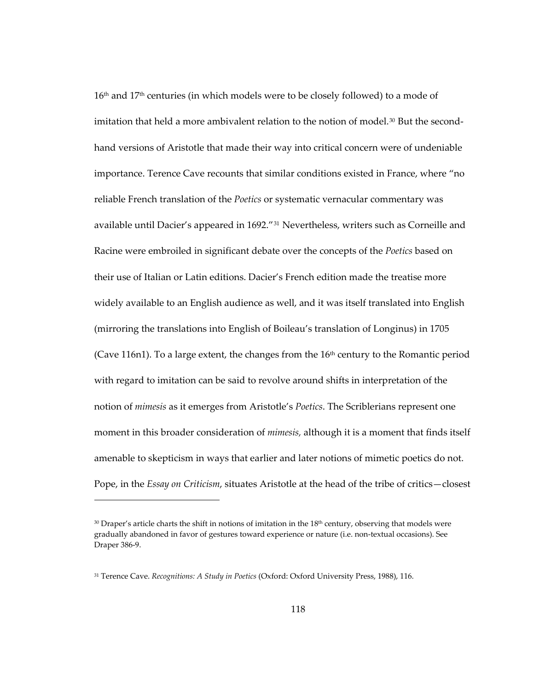16<sup>th</sup> and 17<sup>th</sup> centuries (in which models were to be closely followed) to a mode of imitation that held a more ambivalent relation to the notion of model.<sup>[30](#page-151-0)</sup> But the secondhand versions of Aristotle that made their way into critical concern were of undeniable importance. Terence Cave recounts that similar conditions existed in France, where "no reliable French translation of the *Poetics* or systematic vernacular commentary was available until Dacier's appeared in 1692."<sup>[31](#page-151-1)</sup> Nevertheless, writers such as Corneille and Racine were embroiled in significant debate over the concepts of the *Poetics* based on their use of Italian or Latin editions. Dacier's French edition made the treatise more widely available to an English audience as well, and it was itself translated into English (mirroring the translations into English of Boileau's translation of Longinus) in 1705 (Cave 116n1). To a large extent, the changes from the  $16<sup>th</sup>$  century to the Romantic period with regard to imitation can be said to revolve around shifts in interpretation of the notion of *mimesis* as it emerges from Aristotle's *Poetics*. The Scriblerians represent one moment in this broader consideration of *mimesis,* although it is a moment that finds itself amenable to skepticism in ways that earlier and later notions of mimetic poetics do not. Pope, in the *Essay on Criticism*, situates Aristotle at the head of the tribe of critics—closest

<span id="page-151-0"></span> $30$  Draper's article charts the shift in notions of imitation in the 18<sup>th</sup> century, observing that models were gradually abandoned in favor of gestures toward experience or nature (i.e. non-textual occasions). See Draper 386-9.

<span id="page-151-1"></span><sup>31</sup> Terence Cave. *Recognitions: A Study in Poetics* (Oxford: Oxford University Press, 1988), 116.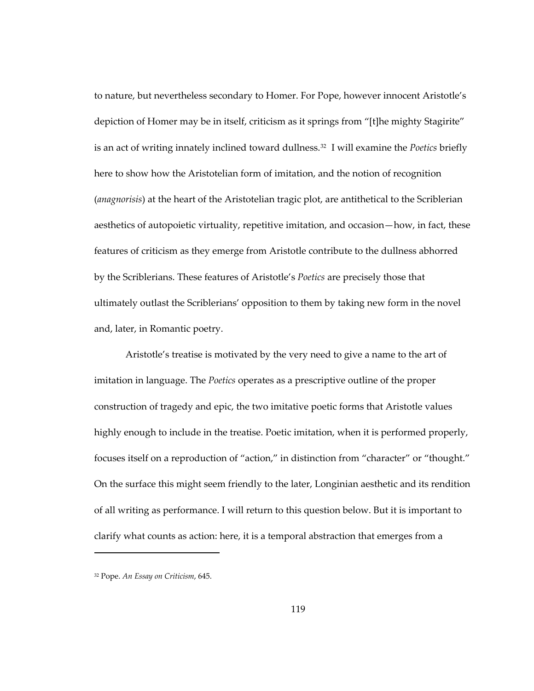to nature, but nevertheless secondary to Homer. For Pope, however innocent Aristotle's depiction of Homer may be in itself, criticism as it springs from "[t]he mighty Stagirite" is an act of writing innately inclined toward dullness.[32](#page-152-0) I will examine the *Poetics* briefly here to show how the Aristotelian form of imitation, and the notion of recognition (*anagnorisis*) at the heart of the Aristotelian tragic plot, are antithetical to the Scriblerian aesthetics of autopoietic virtuality, repetitive imitation, and occasion—how, in fact, these features of criticism as they emerge from Aristotle contribute to the dullness abhorred by the Scriblerians. These features of Aristotle's *Poetics* are precisely those that ultimately outlast the Scriblerians' opposition to them by taking new form in the novel and, later, in Romantic poetry.

Aristotle's treatise is motivated by the very need to give a name to the art of imitation in language. The *Poetics* operates as a prescriptive outline of the proper construction of tragedy and epic, the two imitative poetic forms that Aristotle values highly enough to include in the treatise. Poetic imitation, when it is performed properly, focuses itself on a reproduction of "action," in distinction from "character" or "thought." On the surface this might seem friendly to the later, Longinian aesthetic and its rendition of all writing as performance. I will return to this question below. But it is important to clarify what counts as action: here, it is a temporal abstraction that emerges from a

<span id="page-152-0"></span><sup>32</sup> Pope. *An Essay on Criticism*, 645.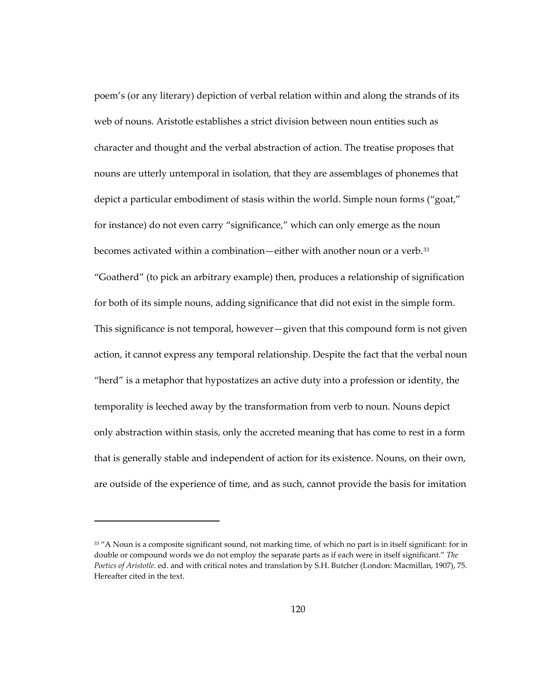poem's (or any literary) depiction of verbal relation within and along the strands of its web of nouns. Aristotle establishes a strict division between noun entities such as character and thought and the verbal abstraction of action. The treatise proposes that nouns are utterly untemporal in isolation, that they are assemblages of phonemes that depict a particular embodiment of stasis within the world. Simple noun forms ("goat," for instance) do not even carry "significance," which can only emerge as the noun becomes activated within a combination—either with another noun or a verb.<sup>[33](#page-153-0)</sup> "Goatherd" (to pick an arbitrary example) then, produces a relationship of signification for both of its simple nouns, adding significance that did not exist in the simple form. This significance is not temporal, however—given that this compound form is not given action, it cannot express any temporal relationship. Despite the fact that the verbal noun "herd" is a metaphor that hypostatizes an active duty into a profession or identity, the temporality is leeched away by the transformation from verb to noun. Nouns depict only abstraction within stasis, only the accreted meaning that has come to rest in a form that is generally stable and independent of action for its existence. Nouns, on their own, are outside of the experience of time, and as such, cannot provide the basis for imitation

<span id="page-153-0"></span><sup>&</sup>lt;sup>33</sup> "A Noun is a composite significant sound, not marking time, of which no part is in itself significant: for in double or compound words we do not employ the separate parts as if each were in itself significant." *The Poetics of Aristotle*. ed. and with critical notes and translation by S.H. Butcher (London: Macmillan, 1907), 75. Hereafter cited in the text.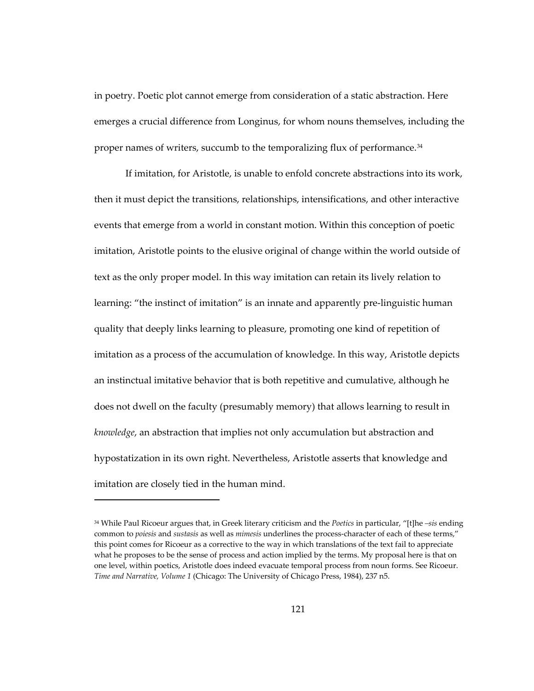in poetry. Poetic plot cannot emerge from consideration of a static abstraction. Here emerges a crucial difference from Longinus, for whom nouns themselves, including the proper names of writers, succumb to the temporalizing flux of performance.<sup>[34](#page-154-0)</sup>

If imitation, for Aristotle, is unable to enfold concrete abstractions into its work, then it must depict the transitions, relationships, intensifications, and other interactive events that emerge from a world in constant motion. Within this conception of poetic imitation, Aristotle points to the elusive original of change within the world outside of text as the only proper model. In this way imitation can retain its lively relation to learning: "the instinct of imitation" is an innate and apparently pre-linguistic human quality that deeply links learning to pleasure, promoting one kind of repetition of imitation as a process of the accumulation of knowledge. In this way, Aristotle depicts an instinctual imitative behavior that is both repetitive and cumulative, although he does not dwell on the faculty (presumably memory) that allows learning to result in *knowledge*, an abstraction that implies not only accumulation but abstraction and hypostatization in its own right. Nevertheless, Aristotle asserts that knowledge and imitation are closely tied in the human mind.

<span id="page-154-0"></span><sup>34</sup> While Paul Ricoeur argues that, in Greek literary criticism and the *Poetics* in particular, "[t]he *–sis* ending common to *poiesis* and *sustasis* as well as *mimesis* underlines the process-character of each of these terms," this point comes for Ricoeur as a corrective to the way in which translations of the text fail to appreciate what he proposes to be the sense of process and action implied by the terms. My proposal here is that on one level, within poetics, Aristotle does indeed evacuate temporal process from noun forms. See Ricoeur. *Time and Narrative, Volume 1* (Chicago: The University of Chicago Press, 1984), 237 n5.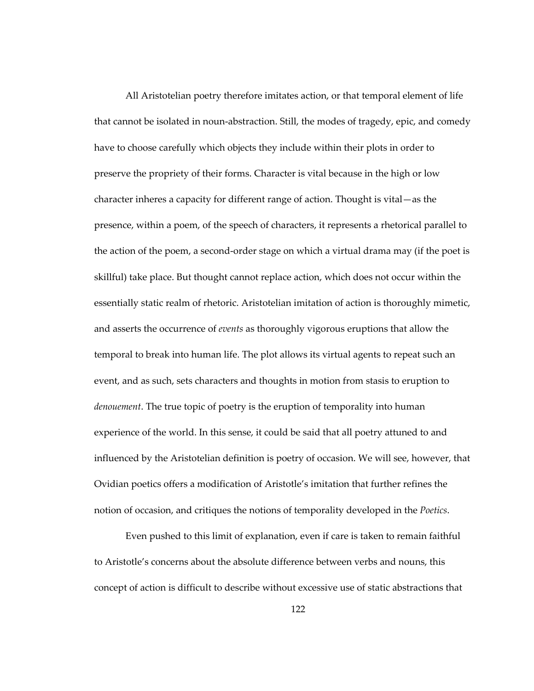All Aristotelian poetry therefore imitates action, or that temporal element of life that cannot be isolated in noun-abstraction. Still, the modes of tragedy, epic, and comedy have to choose carefully which objects they include within their plots in order to preserve the propriety of their forms. Character is vital because in the high or low character inheres a capacity for different range of action. Thought is vital—as the presence, within a poem, of the speech of characters, it represents a rhetorical parallel to the action of the poem, a second-order stage on which a virtual drama may (if the poet is skillful) take place. But thought cannot replace action, which does not occur within the essentially static realm of rhetoric. Aristotelian imitation of action is thoroughly mimetic, and asserts the occurrence of *events* as thoroughly vigorous eruptions that allow the temporal to break into human life. The plot allows its virtual agents to repeat such an event, and as such, sets characters and thoughts in motion from stasis to eruption to *denouement*. The true topic of poetry is the eruption of temporality into human experience of the world. In this sense, it could be said that all poetry attuned to and influenced by the Aristotelian definition is poetry of occasion. We will see, however, that Ovidian poetics offers a modification of Aristotle's imitation that further refines the notion of occasion, and critiques the notions of temporality developed in the *Poetics*.

Even pushed to this limit of explanation, even if care is taken to remain faithful to Aristotle's concerns about the absolute difference between verbs and nouns, this concept of action is difficult to describe without excessive use of static abstractions that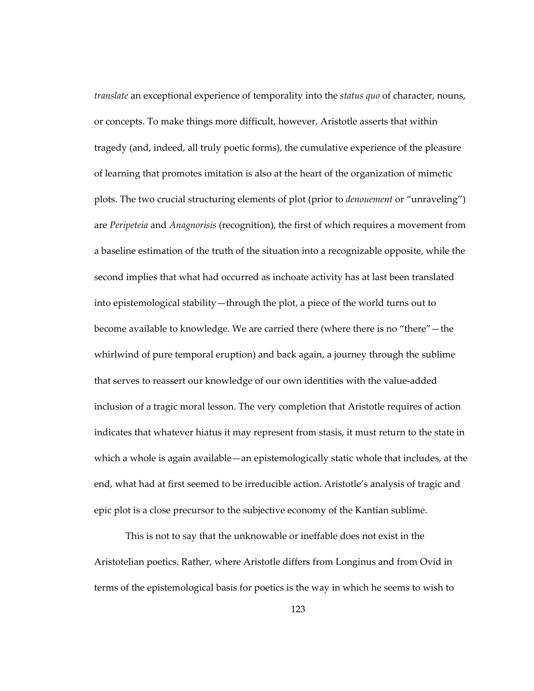*translate* an exceptional experience of temporality into the *status quo* of character, nouns, or concepts. To make things more difficult, however, Aristotle asserts that within tragedy (and, indeed, all truly poetic forms), the cumulative experience of the pleasure of learning that promotes imitation is also at the heart of the organization of mimetic plots. The two crucial structuring elements of plot (prior to *denouement* or "unraveling") are *Peripeteia* and *Anagnorisis* (recognition), the first of which requires a movement from a baseline estimation of the truth of the situation into a recognizable opposite, while the second implies that what had occurred as inchoate activity has at last been translated into epistemological stability—through the plot, a piece of the world turns out to become available to knowledge. We are carried there (where there is no "there"—the whirlwind of pure temporal eruption) and back again, a journey through the sublime that serves to reassert our knowledge of our own identities with the value-added inclusion of a tragic moral lesson. The very completion that Aristotle requires of action indicates that whatever hiatus it may represent from stasis, it must return to the state in which a whole is again available—an epistemologically static whole that includes, at the end, what had at first seemed to be irreducible action. Aristotle's analysis of tragic and epic plot is a close precursor to the subjective economy of the Kantian sublime.

This is not to say that the unknowable or ineffable does not exist in the Aristotelian poetics. Rather, where Aristotle differs from Longinus and from Ovid in terms of the epistemological basis for poetics is the way in which he seems to wish to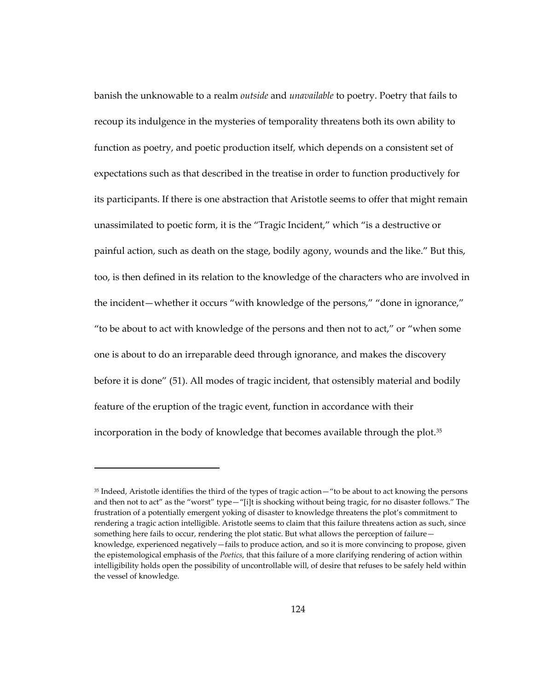banish the unknowable to a realm *outside* and *unavailable* to poetry. Poetry that fails to recoup its indulgence in the mysteries of temporality threatens both its own ability to function as poetry, and poetic production itself, which depends on a consistent set of expectations such as that described in the treatise in order to function productively for its participants. If there is one abstraction that Aristotle seems to offer that might remain unassimilated to poetic form, it is the "Tragic Incident," which "is a destructive or painful action, such as death on the stage, bodily agony, wounds and the like." But this, too, is then defined in its relation to the knowledge of the characters who are involved in the incident—whether it occurs "with knowledge of the persons," "done in ignorance," "to be about to act with knowledge of the persons and then not to act," or "when some one is about to do an irreparable deed through ignorance, and makes the discovery before it is done" (51). All modes of tragic incident, that ostensibly material and bodily feature of the eruption of the tragic event, function in accordance with their incorporation in the body of knowledge that becomes available through the plot.[35](#page-157-0)

<span id="page-157-0"></span><sup>&</sup>lt;sup>35</sup> Indeed, Aristotle identifies the third of the types of tragic action—"to be about to act knowing the persons and then not to act" as the "worst" type—"[i]t is shocking without being tragic, for no disaster follows." The frustration of a potentially emergent yoking of disaster to knowledge threatens the plot's commitment to rendering a tragic action intelligible. Aristotle seems to claim that this failure threatens action as such, since something here fails to occur, rendering the plot static. But what allows the perception of failure knowledge, experienced negatively—fails to produce action, and so it is more convincing to propose, given the epistemological emphasis of the *Poetics*, that this failure of a more clarifying rendering of action within intelligibility holds open the possibility of uncontrollable will, of desire that refuses to be safely held within the vessel of knowledge.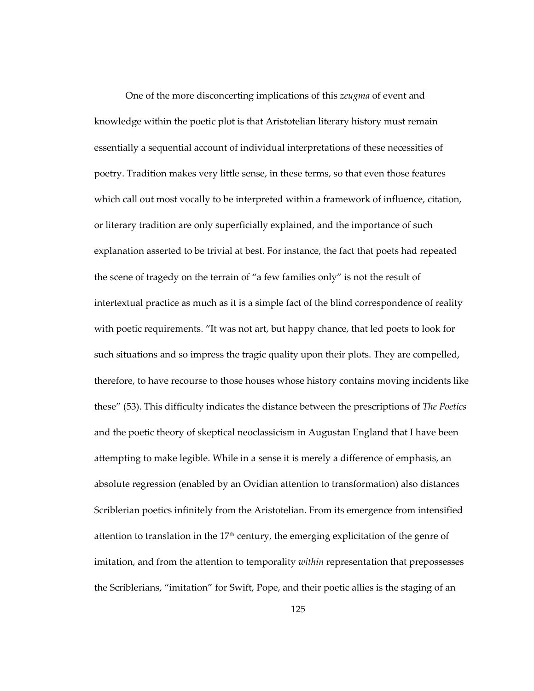One of the more disconcerting implications of this *zeugma* of event and knowledge within the poetic plot is that Aristotelian literary history must remain essentially a sequential account of individual interpretations of these necessities of poetry. Tradition makes very little sense, in these terms, so that even those features which call out most vocally to be interpreted within a framework of influence, citation, or literary tradition are only superficially explained, and the importance of such explanation asserted to be trivial at best. For instance, the fact that poets had repeated the scene of tragedy on the terrain of "a few families only" is not the result of intertextual practice as much as it is a simple fact of the blind correspondence of reality with poetic requirements. "It was not art, but happy chance, that led poets to look for such situations and so impress the tragic quality upon their plots. They are compelled, therefore, to have recourse to those houses whose history contains moving incidents like these" (53). This difficulty indicates the distance between the prescriptions of *The Poetics* and the poetic theory of skeptical neoclassicism in Augustan England that I have been attempting to make legible. While in a sense it is merely a difference of emphasis, an absolute regression (enabled by an Ovidian attention to transformation) also distances Scriblerian poetics infinitely from the Aristotelian. From its emergence from intensified attention to translation in the  $17<sup>th</sup>$  century, the emerging explicitation of the genre of imitation, and from the attention to temporality *within* representation that prepossesses the Scriblerians, "imitation" for Swift, Pope, and their poetic allies is the staging of an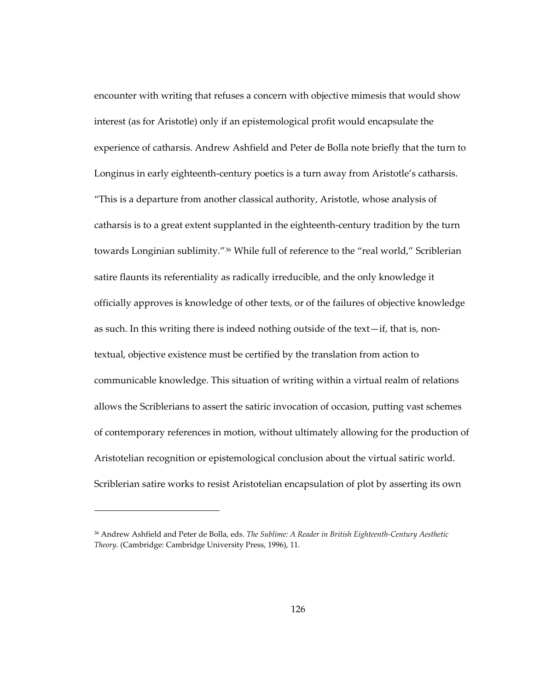encounter with writing that refuses a concern with objective mimesis that would show interest (as for Aristotle) only if an epistemological profit would encapsulate the experience of catharsis. Andrew Ashfield and Peter de Bolla note briefly that the turn to Longinus in early eighteenth-century poetics is a turn away from Aristotle's catharsis. "This is a departure from another classical authority, Aristotle, whose analysis of catharsis is to a great extent supplanted in the eighteenth-century tradition by the turn towards Longinian sublimity."[36](#page-159-0) While full of reference to the "real world," Scriblerian satire flaunts its referentiality as radically irreducible, and the only knowledge it officially approves is knowledge of other texts, or of the failures of objective knowledge as such. In this writing there is indeed nothing outside of the text—if, that is, nontextual, objective existence must be certified by the translation from action to communicable knowledge. This situation of writing within a virtual realm of relations allows the Scriblerians to assert the satiric invocation of occasion, putting vast schemes of contemporary references in motion, without ultimately allowing for the production of Aristotelian recognition or epistemological conclusion about the virtual satiric world. Scriblerian satire works to resist Aristotelian encapsulation of plot by asserting its own

<span id="page-159-0"></span><sup>36</sup> Andrew Ashfield and Peter de Bolla, eds. *The Sublime: A Reader in British Eighteenth-Century Aesthetic Theory*. (Cambridge: Cambridge University Press, 1996), 11.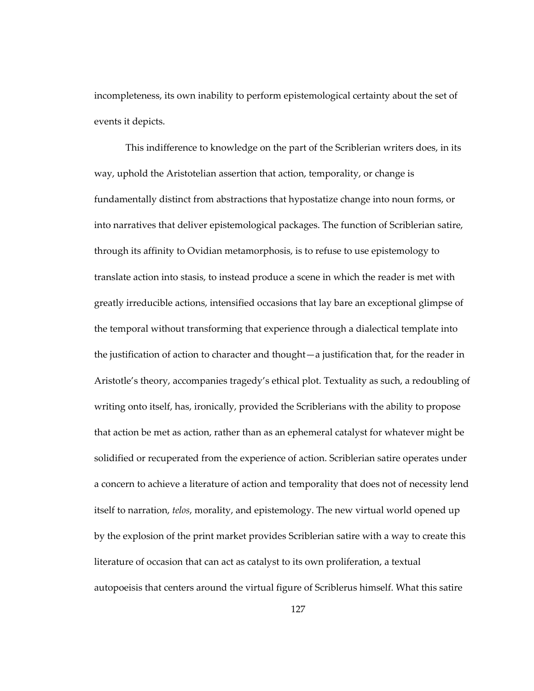incompleteness, its own inability to perform epistemological certainty about the set of events it depicts.

This indifference to knowledge on the part of the Scriblerian writers does, in its way, uphold the Aristotelian assertion that action, temporality, or change is fundamentally distinct from abstractions that hypostatize change into noun forms, or into narratives that deliver epistemological packages. The function of Scriblerian satire, through its affinity to Ovidian metamorphosis, is to refuse to use epistemology to translate action into stasis, to instead produce a scene in which the reader is met with greatly irreducible actions, intensified occasions that lay bare an exceptional glimpse of the temporal without transforming that experience through a dialectical template into the justification of action to character and thought—a justification that, for the reader in Aristotle's theory, accompanies tragedy's ethical plot. Textuality as such, a redoubling of writing onto itself, has, ironically, provided the Scriblerians with the ability to propose that action be met as action, rather than as an ephemeral catalyst for whatever might be solidified or recuperated from the experience of action. Scriblerian satire operates under a concern to achieve a literature of action and temporality that does not of necessity lend itself to narration, *telos*, morality, and epistemology. The new virtual world opened up by the explosion of the print market provides Scriblerian satire with a way to create this literature of occasion that can act as catalyst to its own proliferation, a textual autopoeisis that centers around the virtual figure of Scriblerus himself. What this satire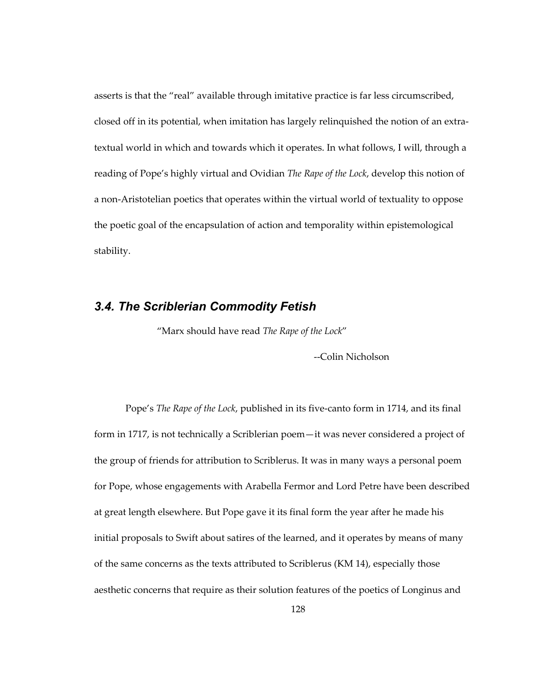asserts is that the "real" available through imitative practice is far less circumscribed, closed off in its potential, when imitation has largely relinquished the notion of an extratextual world in which and towards which it operates. In what follows, I will, through a reading of Pope's highly virtual and Ovidian *The Rape of the Lock*, develop this notion of a non-Aristotelian poetics that operates within the virtual world of textuality to oppose the poetic goal of the encapsulation of action and temporality within epistemological stability.

## *3.4. The Scriblerian Commodity Fetish*

"Marx should have read *The Rape of the Lock*"

--Colin Nicholson

Pope's *The Rape of the Lock*, published in its five-canto form in 1714, and its final form in 1717, is not technically a Scriblerian poem—it was never considered a project of the group of friends for attribution to Scriblerus. It was in many ways a personal poem for Pope, whose engagements with Arabella Fermor and Lord Petre have been described at great length elsewhere. But Pope gave it its final form the year after he made his initial proposals to Swift about satires of the learned, and it operates by means of many of the same concerns as the texts attributed to Scriblerus (KM 14), especially those aesthetic concerns that require as their solution features of the poetics of Longinus and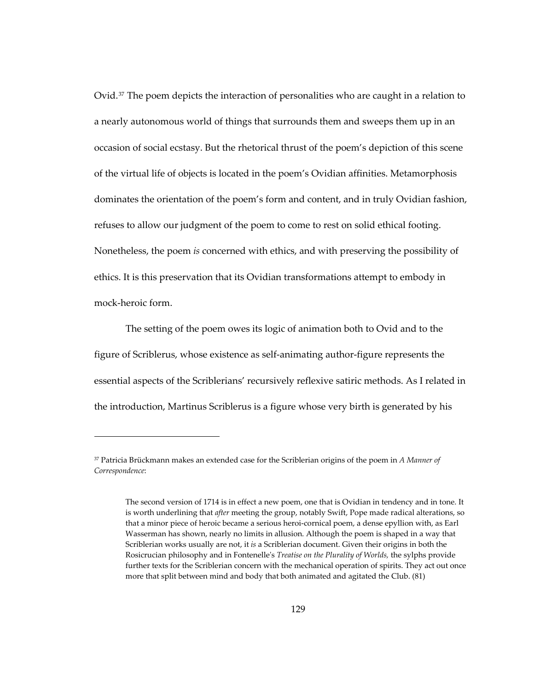Ovid.<sup>[37](#page-162-0)</sup> The poem depicts the interaction of personalities who are caught in a relation to a nearly autonomous world of things that surrounds them and sweeps them up in an occasion of social ecstasy. But the rhetorical thrust of the poem's depiction of this scene of the virtual life of objects is located in the poem's Ovidian affinities. Metamorphosis dominates the orientation of the poem's form and content, and in truly Ovidian fashion, refuses to allow our judgment of the poem to come to rest on solid ethical footing. Nonetheless, the poem *is* concerned with ethics, and with preserving the possibility of ethics. It is this preservation that its Ovidian transformations attempt to embody in mock-heroic form.

The setting of the poem owes its logic of animation both to Ovid and to the figure of Scriblerus, whose existence as self-animating author-figure represents the essential aspects of the Scriblerians' recursively reflexive satiric methods. As I related in the introduction, Martinus Scriblerus is a figure whose very birth is generated by his

 $\overline{a}$ 

<span id="page-162-0"></span><sup>37</sup> Patricia Brückmann makes an extended case for the Scriblerian origins of the poem in *A Manner of Correspondence*:

The second version of 1714 is in effect a new poem, one that is Ovidian in tendency and in tone. It is worth underlining that *after* meeting the group, notably Swift, Pope made radical alterations, so that a minor piece of heroic became a serious heroi-cornical poem, a dense epyllion with, as Earl Wasserman has shown, nearly no limits in allusion. Although the poem is shaped in a way that Scriblerian works usually are not, it *is* a Scriblerian document. Given their origins in both the Rosicrucian philosophy and in Fontenelle's *Treatise on the Plurality of Worlds,* the sylphs provide further texts for the Scriblerian concern with the mechanical operation of spirits. They act out once more that split between mind and body that both animated and agitated the Club. (81)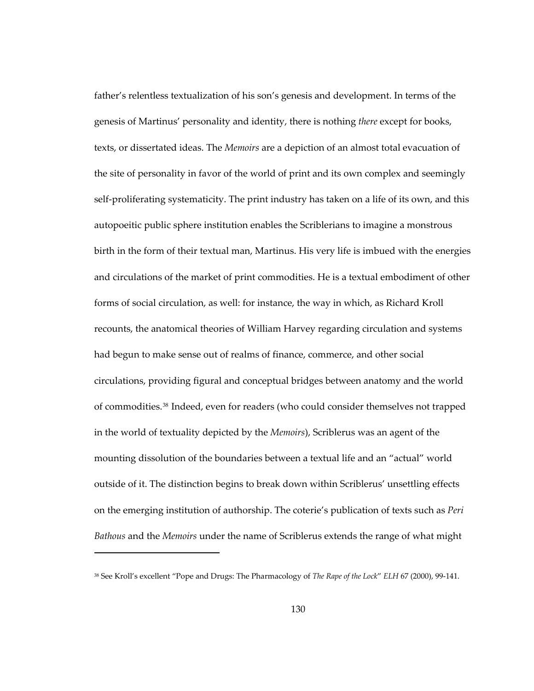father's relentless textualization of his son's genesis and development. In terms of the genesis of Martinus' personality and identity, there is nothing *there* except for books, texts, or dissertated ideas. The *Memoirs* are a depiction of an almost total evacuation of the site of personality in favor of the world of print and its own complex and seemingly self-proliferating systematicity. The print industry has taken on a life of its own, and this autopoeitic public sphere institution enables the Scriblerians to imagine a monstrous birth in the form of their textual man, Martinus. His very life is imbued with the energies and circulations of the market of print commodities. He is a textual embodiment of other forms of social circulation, as well: for instance, the way in which, as Richard Kroll recounts, the anatomical theories of William Harvey regarding circulation and systems had begun to make sense out of realms of finance, commerce, and other social circulations, providing figural and conceptual bridges between anatomy and the world of commodities.[38](#page-163-0) Indeed, even for readers (who could consider themselves not trapped in the world of textuality depicted by the *Memoirs*), Scriblerus was an agent of the mounting dissolution of the boundaries between a textual life and an "actual" world outside of it. The distinction begins to break down within Scriblerus' unsettling effects on the emerging institution of authorship. The coterie's publication of texts such as *Peri Bathous* and the *Memoirs* under the name of Scriblerus extends the range of what might

<span id="page-163-0"></span><sup>38</sup> See Kroll's excellent "Pope and Drugs: The Pharmacology of *The Rape of the Lock*" *ELH* 67 (2000), 99-141.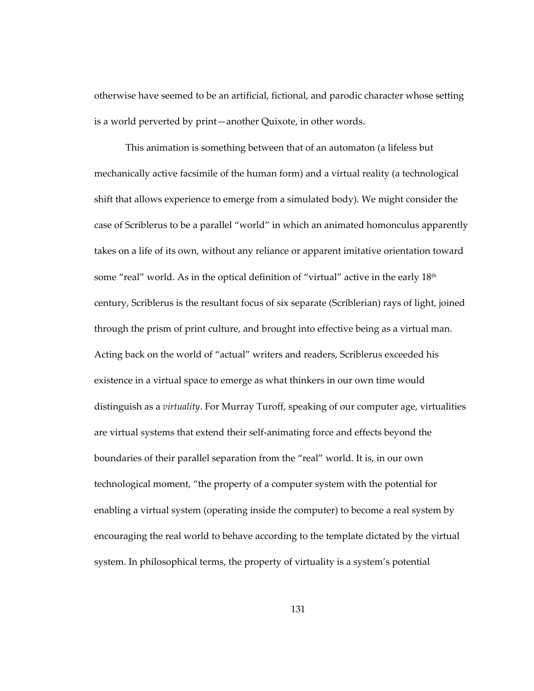otherwise have seemed to be an artificial, fictional, and parodic character whose setting is a world perverted by print—another Quixote, in other words.

This animation is something between that of an automaton (a lifeless but mechanically active facsimile of the human form) and a virtual reality (a technological shift that allows experience to emerge from a simulated body). We might consider the case of Scriblerus to be a parallel "world" in which an animated homonculus apparently takes on a life of its own, without any reliance or apparent imitative orientation toward some "real" world. As in the optical definition of "virtual" active in the early  $18<sup>th</sup>$ century, Scriblerus is the resultant focus of six separate (Scriblerian) rays of light, joined through the prism of print culture, and brought into effective being as a virtual man. Acting back on the world of "actual" writers and readers, Scriblerus exceeded his existence in a virtual space to emerge as what thinkers in our own time would distinguish as a *virtuality*. For Murray Turoff, speaking of our computer age, virtualities are virtual systems that extend their self-animating force and effects beyond the boundaries of their parallel separation from the "real" world. It is, in our own technological moment, "the property of a computer system with the potential for enabling a virtual system (operating inside the computer) to become a real system by encouraging the real world to behave according to the template dictated by the virtual system. In philosophical terms, the property of virtuality is a system's potential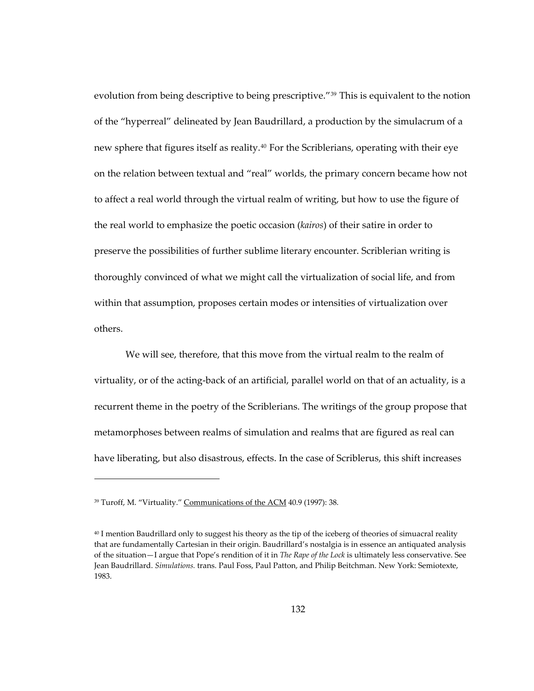evolution from being descriptive to being prescriptive."[39](#page-165-0) This is equivalent to the notion of the "hyperreal" delineated by Jean Baudrillard, a production by the simulacrum of a new sphere that figures itself as reality.<sup>[40](#page-165-1)</sup> For the Scriblerians, operating with their eye on the relation between textual and "real" worlds, the primary concern became how not to affect a real world through the virtual realm of writing, but how to use the figure of the real world to emphasize the poetic occasion (*kairos*) of their satire in order to preserve the possibilities of further sublime literary encounter. Scriblerian writing is thoroughly convinced of what we might call the virtualization of social life, and from within that assumption, proposes certain modes or intensities of virtualization over others.

We will see, therefore, that this move from the virtual realm to the realm of virtuality, or of the acting-back of an artificial, parallel world on that of an actuality, is a recurrent theme in the poetry of the Scriblerians. The writings of the group propose that metamorphoses between realms of simulation and realms that are figured as real can have liberating, but also disastrous, effects. In the case of Scriblerus, this shift increases

<span id="page-165-0"></span><sup>&</sup>lt;sup>39</sup> Turoff, M. "Virtuality." Communications of the ACM 40.9 (1997): 38.

<span id="page-165-1"></span><sup>40</sup> I mention Baudrillard only to suggest his theory as the tip of the iceberg of theories of simuacral reality that are fundamentally Cartesian in their origin. Baudrillard's nostalgia is in essence an antiquated analysis of the situation—I argue that Pope's rendition of it in *The Rape of the Lock* is ultimately less conservative. See Jean Baudrillard. *Simulations.* trans. Paul Foss, Paul Patton, and Philip Beitchman. New York: Semiotexte, 1983.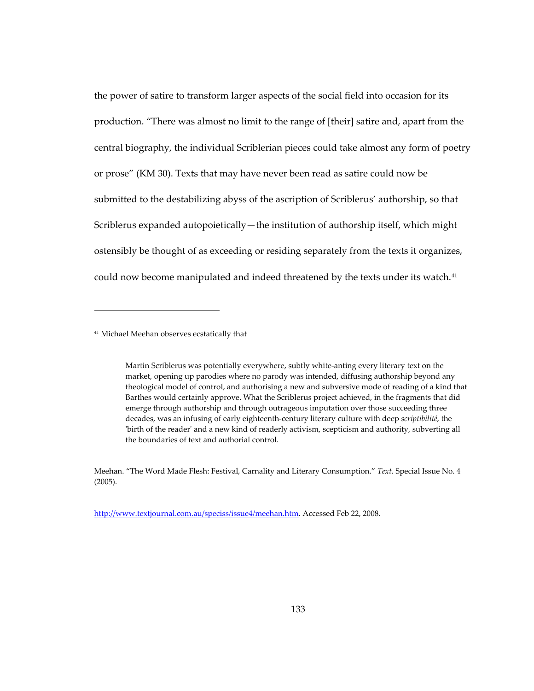the power of satire to transform larger aspects of the social field into occasion for its production. "There was almost no limit to the range of [their] satire and, apart from the central biography, the individual Scriblerian pieces could take almost any form of poetry or prose" (KM 30). Texts that may have never been read as satire could now be submitted to the destabilizing abyss of the ascription of Scriblerus' authorship, so that Scriblerus expanded autopoietically—the institution of authorship itself, which might ostensibly be thought of as exceeding or residing separately from the texts it organizes, could now become manipulated and indeed threatened by the texts under its watch.<sup>[41](#page-166-0)</sup>

1

[http://www.textjournal.com.au/speciss/issue4/meehan.htm.](http://www.textjournal.com.au/speciss/issue4/meehan.htm) Accessed Feb 22, 2008.

<span id="page-166-0"></span><sup>41</sup> Michael Meehan observes ecstatically that

Martin Scriblerus was potentially everywhere, subtly white-anting every literary text on the market, opening up parodies where no parody was intended, diffusing authorship beyond any theological model of control, and authorising a new and subversive mode of reading of a kind that Barthes would certainly approve. What the Scriblerus project achieved, in the fragments that did emerge through authorship and through outrageous imputation over those succeeding three decades, was an infusing of early eighteenth-century literary culture with deep *scriptibilité*, the 'birth of the reader' and a new kind of readerly activism, scepticism and authority, subverting all the boundaries of text and authorial control.

Meehan. "The Word Made Flesh: Festival, Carnality and Literary Consumption." *Text*. Special Issue No. 4 (2005).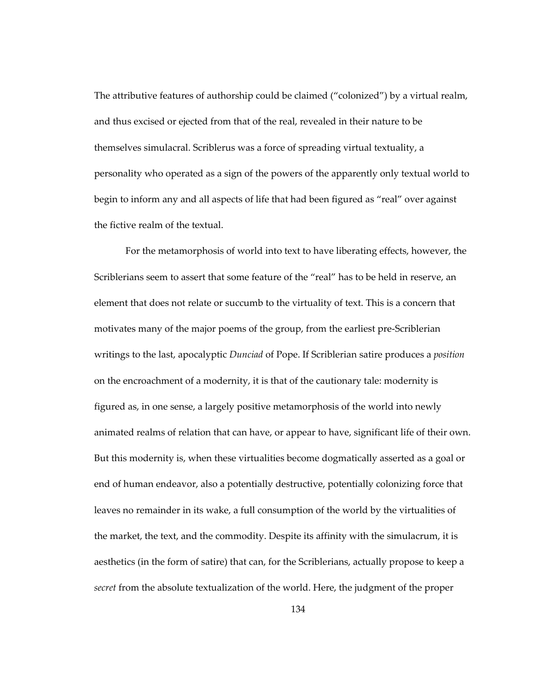The attributive features of authorship could be claimed ("colonized") by a virtual realm, and thus excised or ejected from that of the real, revealed in their nature to be themselves simulacral. Scriblerus was a force of spreading virtual textuality, a personality who operated as a sign of the powers of the apparently only textual world to begin to inform any and all aspects of life that had been figured as "real" over against the fictive realm of the textual.

For the metamorphosis of world into text to have liberating effects, however, the Scriblerians seem to assert that some feature of the "real" has to be held in reserve, an element that does not relate or succumb to the virtuality of text. This is a concern that motivates many of the major poems of the group, from the earliest pre-Scriblerian writings to the last, apocalyptic *Dunciad* of Pope. If Scriblerian satire produces a *position* on the encroachment of a modernity, it is that of the cautionary tale: modernity is figured as, in one sense, a largely positive metamorphosis of the world into newly animated realms of relation that can have, or appear to have, significant life of their own. But this modernity is, when these virtualities become dogmatically asserted as a goal or end of human endeavor, also a potentially destructive, potentially colonizing force that leaves no remainder in its wake, a full consumption of the world by the virtualities of the market, the text, and the commodity. Despite its affinity with the simulacrum, it is aesthetics (in the form of satire) that can, for the Scriblerians, actually propose to keep a *secret* from the absolute textualization of the world. Here, the judgment of the proper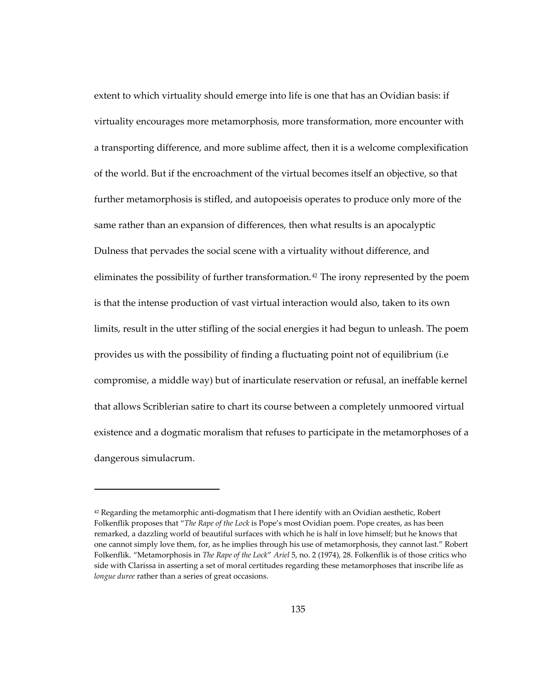extent to which virtuality should emerge into life is one that has an Ovidian basis: if virtuality encourages more metamorphosis, more transformation, more encounter with a transporting difference, and more sublime affect, then it is a welcome complexification of the world. But if the encroachment of the virtual becomes itself an objective, so that further metamorphosis is stifled, and autopoeisis operates to produce only more of the same rather than an expansion of differences, then what results is an apocalyptic Dulness that pervades the social scene with a virtuality without difference, and eliminates the possibility of further transformation.<sup>[42](#page-168-0)</sup> The irony represented by the poem is that the intense production of vast virtual interaction would also, taken to its own limits, result in the utter stifling of the social energies it had begun to unleash. The poem provides us with the possibility of finding a fluctuating point not of equilibrium (i.e compromise, a middle way) but of inarticulate reservation or refusal, an ineffable kernel that allows Scriblerian satire to chart its course between a completely unmoored virtual existence and a dogmatic moralism that refuses to participate in the metamorphoses of a dangerous simulacrum.

<span id="page-168-0"></span> $42$  Regarding the metamorphic anti-dogmatism that I here identify with an Ovidian aesthetic, Robert Folkenflik proposes that "*The Rape of the Lock* is Pope's most Ovidian poem. Pope creates, as has been remarked, a dazzling world of beautiful surfaces with which he is half in love himself; but he knows that one cannot simply love them, for, as he implies through his use of metamorphosis, they cannot last." Robert Folkenflik. "Metamorphosis in *The Rape of the Lock*" *Ariel* 5, no. 2 (1974), 28. Folkenflik is of those critics who side with Clarissa in asserting a set of moral certitudes regarding these metamorphoses that inscribe life as *longue duree* rather than a series of great occasions.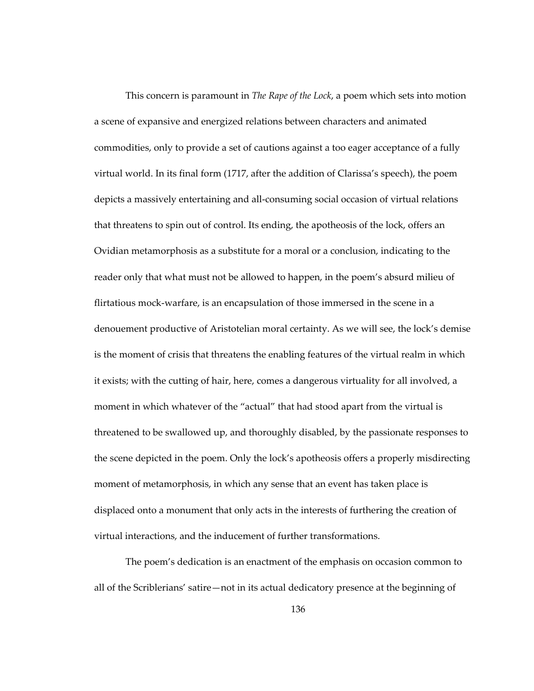This concern is paramount in *The Rape of the Lock*, a poem which sets into motion a scene of expansive and energized relations between characters and animated commodities, only to provide a set of cautions against a too eager acceptance of a fully virtual world. In its final form (1717, after the addition of Clarissa's speech), the poem depicts a massively entertaining and all-consuming social occasion of virtual relations that threatens to spin out of control. Its ending, the apotheosis of the lock, offers an Ovidian metamorphosis as a substitute for a moral or a conclusion, indicating to the reader only that what must not be allowed to happen, in the poem's absurd milieu of flirtatious mock-warfare, is an encapsulation of those immersed in the scene in a denouement productive of Aristotelian moral certainty. As we will see, the lock's demise is the moment of crisis that threatens the enabling features of the virtual realm in which it exists; with the cutting of hair, here, comes a dangerous virtuality for all involved, a moment in which whatever of the "actual" that had stood apart from the virtual is threatened to be swallowed up, and thoroughly disabled, by the passionate responses to the scene depicted in the poem. Only the lock's apotheosis offers a properly misdirecting moment of metamorphosis, in which any sense that an event has taken place is displaced onto a monument that only acts in the interests of furthering the creation of virtual interactions, and the inducement of further transformations.

The poem's dedication is an enactment of the emphasis on occasion common to all of the Scriblerians' satire—not in its actual dedicatory presence at the beginning of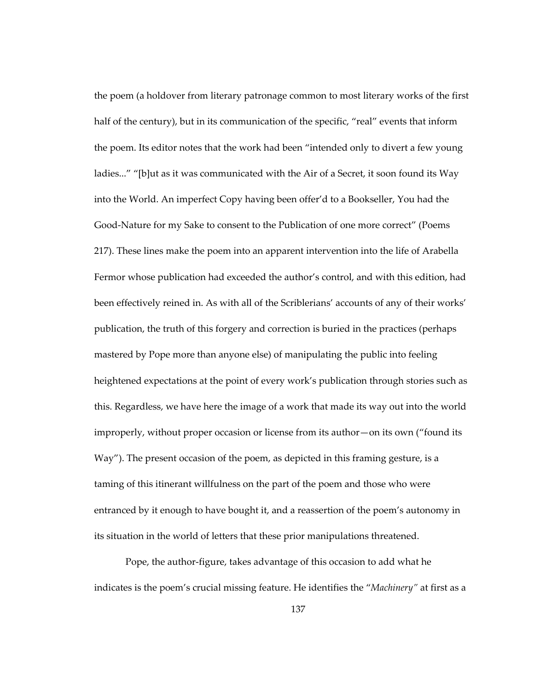the poem (a holdover from literary patronage common to most literary works of the first half of the century), but in its communication of the specific, "real" events that inform the poem. Its editor notes that the work had been "intended only to divert a few young ladies..." "[b]ut as it was communicated with the Air of a Secret, it soon found its Way into the World. An imperfect Copy having been offer'd to a Bookseller, You had the Good-Nature for my Sake to consent to the Publication of one more correct" (Poems 217). These lines make the poem into an apparent intervention into the life of Arabella Fermor whose publication had exceeded the author's control, and with this edition, had been effectively reined in. As with all of the Scriblerians' accounts of any of their works' publication, the truth of this forgery and correction is buried in the practices (perhaps mastered by Pope more than anyone else) of manipulating the public into feeling heightened expectations at the point of every work's publication through stories such as this. Regardless, we have here the image of a work that made its way out into the world improperly, without proper occasion or license from its author—on its own ("found its Way"). The present occasion of the poem, as depicted in this framing gesture, is a taming of this itinerant willfulness on the part of the poem and those who were entranced by it enough to have bought it, and a reassertion of the poem's autonomy in its situation in the world of letters that these prior manipulations threatened.

Pope, the author-figure, takes advantage of this occasion to add what he indicates is the poem's crucial missing feature. He identifies the "*Machinery"* at first as a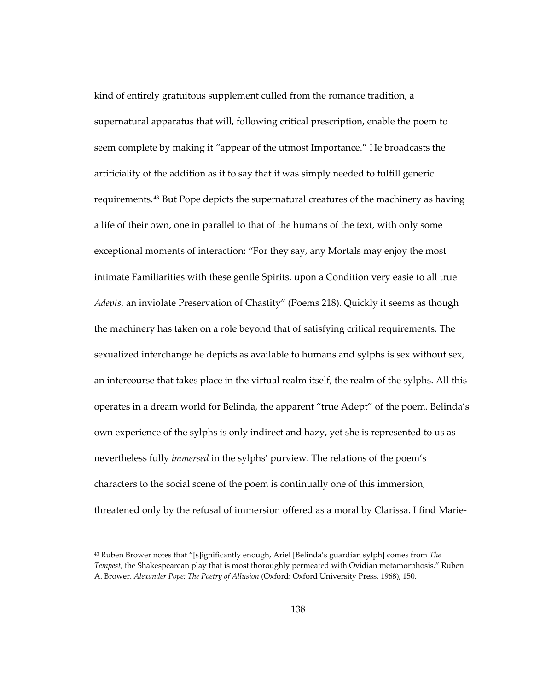kind of entirely gratuitous supplement culled from the romance tradition, a supernatural apparatus that will, following critical prescription, enable the poem to seem complete by making it "appear of the utmost Importance." He broadcasts the artificiality of the addition as if to say that it was simply needed to fulfill generic requirements.[43](#page-171-0) But Pope depicts the supernatural creatures of the machinery as having a life of their own, one in parallel to that of the humans of the text, with only some exceptional moments of interaction: "For they say, any Mortals may enjoy the most intimate Familiarities with these gentle Spirits, upon a Condition very easie to all true *Adepts*, an inviolate Preservation of Chastity" (Poems 218). Quickly it seems as though the machinery has taken on a role beyond that of satisfying critical requirements. The sexualized interchange he depicts as available to humans and sylphs is sex without sex, an intercourse that takes place in the virtual realm itself, the realm of the sylphs. All this operates in a dream world for Belinda, the apparent "true Adept" of the poem. Belinda's own experience of the sylphs is only indirect and hazy, yet she is represented to us as nevertheless fully *immersed* in the sylphs' purview. The relations of the poem's characters to the social scene of the poem is continually one of this immersion, threatened only by the refusal of immersion offered as a moral by Clarissa. I find Marie-

<span id="page-171-0"></span><sup>43</sup> Ruben Brower notes that "[s]ignificantly enough, Ariel [Belinda's guardian sylph] comes from *The Tempest*, the Shakespearean play that is most thoroughly permeated with Ovidian metamorphosis." Ruben A. Brower. *Alexander Pope: The Poetry of Allusion* (Oxford: Oxford University Press, 1968), 150.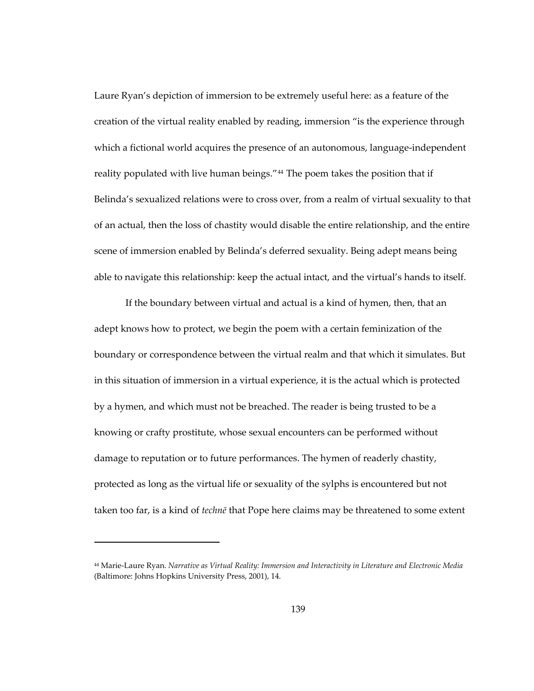Laure Ryan's depiction of immersion to be extremely useful here: as a feature of the creation of the virtual reality enabled by reading, immersion "is the experience through which a fictional world acquires the presence of an autonomous, language-independent reality populated with live human beings."<sup>[44](#page-172-0)</sup> The poem takes the position that if Belinda's sexualized relations were to cross over, from a realm of virtual sexuality to that of an actual, then the loss of chastity would disable the entire relationship, and the entire scene of immersion enabled by Belinda's deferred sexuality. Being adept means being able to navigate this relationship: keep the actual intact, and the virtual's hands to itself.

If the boundary between virtual and actual is a kind of hymen, then, that an adept knows how to protect, we begin the poem with a certain feminization of the boundary or correspondence between the virtual realm and that which it simulates. But in this situation of immersion in a virtual experience, it is the actual which is protected by a hymen, and which must not be breached. The reader is being trusted to be a knowing or crafty prostitute, whose sexual encounters can be performed without damage to reputation or to future performances. The hymen of readerly chastity, protected as long as the virtual life or sexuality of the sylphs is encountered but not taken too far, is a kind of *technē* that Pope here claims may be threatened to some extent

 $\overline{a}$ 

<span id="page-172-0"></span><sup>44</sup> Marie-Laure Ryan. *Narrative as Virtual Reality: Immersion and Interactivity in Literature and Electronic Media*  (Baltimore: Johns Hopkins University Press, 2001), 14.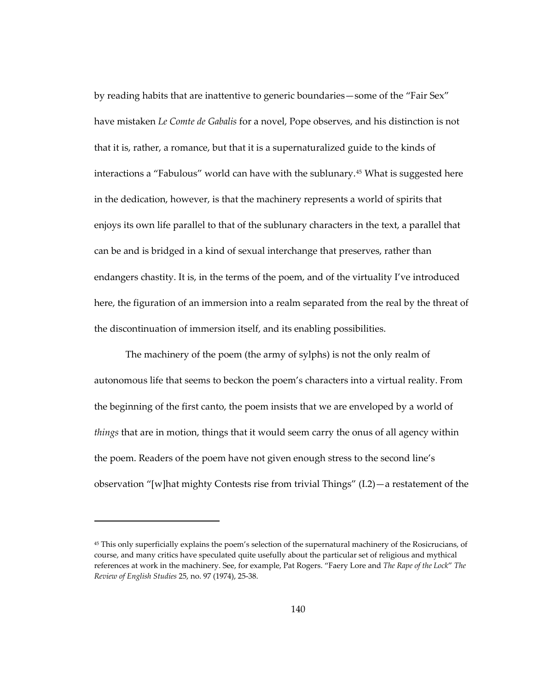by reading habits that are inattentive to generic boundaries—some of the "Fair Sex" have mistaken *Le Comte de Gabalis* for a novel, Pope observes, and his distinction is not that it is, rather, a romance, but that it is a supernaturalized guide to the kinds of interactions a "Fabulous" world can have with the sublunary.[45](#page-173-0) What is suggested here in the dedication, however, is that the machinery represents a world of spirits that enjoys its own life parallel to that of the sublunary characters in the text, a parallel that can be and is bridged in a kind of sexual interchange that preserves, rather than endangers chastity. It is, in the terms of the poem, and of the virtuality I've introduced here, the figuration of an immersion into a realm separated from the real by the threat of the discontinuation of immersion itself, and its enabling possibilities.

The machinery of the poem (the army of sylphs) is not the only realm of autonomous life that seems to beckon the poem's characters into a virtual reality. From the beginning of the first canto, the poem insists that we are enveloped by a world of *things* that are in motion, things that it would seem carry the onus of all agency within the poem. Readers of the poem have not given enough stress to the second line's observation "[w]hat mighty Contests rise from trivial Things" (I.2)—a restatement of the

<span id="page-173-0"></span><sup>45</sup> This only superficially explains the poem's selection of the supernatural machinery of the Rosicrucians, of course, and many critics have speculated quite usefully about the particular set of religious and mythical references at work in the machinery. See, for example, Pat Rogers. "Faery Lore and *The Rape of the Lock*" *The Review of English Studies* 25, no. 97 (1974), 25-38.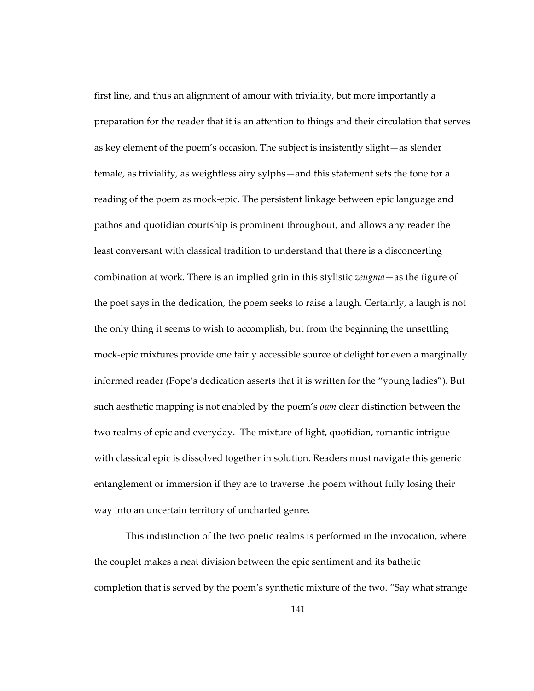first line, and thus an alignment of amour with triviality, but more importantly a preparation for the reader that it is an attention to things and their circulation that serves as key element of the poem's occasion. The subject is insistently slight—as slender female, as triviality, as weightless airy sylphs—and this statement sets the tone for a reading of the poem as mock-epic. The persistent linkage between epic language and pathos and quotidian courtship is prominent throughout, and allows any reader the least conversant with classical tradition to understand that there is a disconcerting combination at work. There is an implied grin in this stylistic *zeugma*—as the figure of the poet says in the dedication, the poem seeks to raise a laugh. Certainly, a laugh is not the only thing it seems to wish to accomplish, but from the beginning the unsettling mock-epic mixtures provide one fairly accessible source of delight for even a marginally informed reader (Pope's dedication asserts that it is written for the "young ladies"). But such aesthetic mapping is not enabled by the poem's *own* clear distinction between the two realms of epic and everyday. The mixture of light, quotidian, romantic intrigue with classical epic is dissolved together in solution. Readers must navigate this generic entanglement or immersion if they are to traverse the poem without fully losing their way into an uncertain territory of uncharted genre.

This indistinction of the two poetic realms is performed in the invocation, where the couplet makes a neat division between the epic sentiment and its bathetic completion that is served by the poem's synthetic mixture of the two. "Say what strange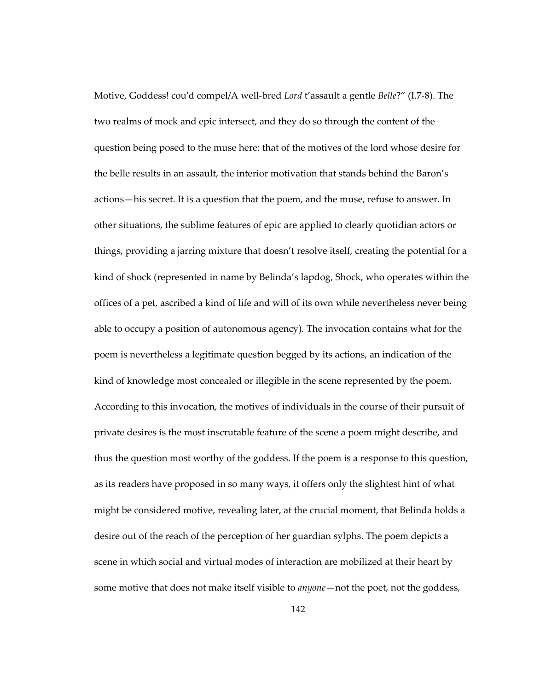Motive, Goddess! cou'd compel/A well-bred *Lord* t'assault a gentle *Belle*?" (I.7-8). The two realms of mock and epic intersect, and they do so through the content of the question being posed to the muse here: that of the motives of the lord whose desire for the belle results in an assault, the interior motivation that stands behind the Baron's actions—his secret. It is a question that the poem, and the muse, refuse to answer. In other situations, the sublime features of epic are applied to clearly quotidian actors or things, providing a jarring mixture that doesn't resolve itself, creating the potential for a kind of shock (represented in name by Belinda's lapdog, Shock, who operates within the offices of a pet, ascribed a kind of life and will of its own while nevertheless never being able to occupy a position of autonomous agency). The invocation contains what for the poem is nevertheless a legitimate question begged by its actions, an indication of the kind of knowledge most concealed or illegible in the scene represented by the poem. According to this invocation, the motives of individuals in the course of their pursuit of private desires is the most inscrutable feature of the scene a poem might describe, and thus the question most worthy of the goddess. If the poem is a response to this question, as its readers have proposed in so many ways, it offers only the slightest hint of what might be considered motive, revealing later, at the crucial moment, that Belinda holds a desire out of the reach of the perception of her guardian sylphs. The poem depicts a scene in which social and virtual modes of interaction are mobilized at their heart by some motive that does not make itself visible to *anyone*—not the poet, not the goddess,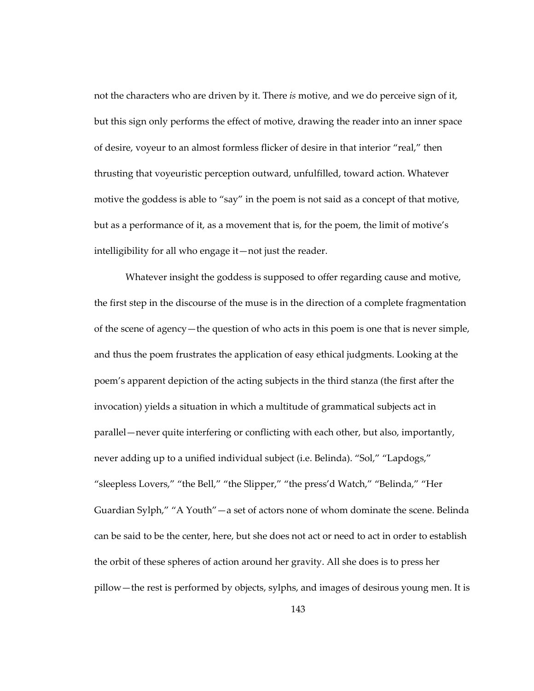not the characters who are driven by it. There *is* motive, and we do perceive sign of it, but this sign only performs the effect of motive, drawing the reader into an inner space of desire, voyeur to an almost formless flicker of desire in that interior "real," then thrusting that voyeuristic perception outward, unfulfilled, toward action. Whatever motive the goddess is able to "say" in the poem is not said as a concept of that motive, but as a performance of it, as a movement that is, for the poem, the limit of motive's intelligibility for all who engage it—not just the reader.

Whatever insight the goddess is supposed to offer regarding cause and motive, the first step in the discourse of the muse is in the direction of a complete fragmentation of the scene of agency—the question of who acts in this poem is one that is never simple, and thus the poem frustrates the application of easy ethical judgments. Looking at the poem's apparent depiction of the acting subjects in the third stanza (the first after the invocation) yields a situation in which a multitude of grammatical subjects act in parallel—never quite interfering or conflicting with each other, but also, importantly, never adding up to a unified individual subject (i.e. Belinda). "Sol," "Lapdogs," "sleepless Lovers," "the Bell," "the Slipper," "the press'd Watch," "Belinda," "Her Guardian Sylph," "A Youth"—a set of actors none of whom dominate the scene. Belinda can be said to be the center, here, but she does not act or need to act in order to establish the orbit of these spheres of action around her gravity. All she does is to press her pillow—the rest is performed by objects, sylphs, and images of desirous young men. It is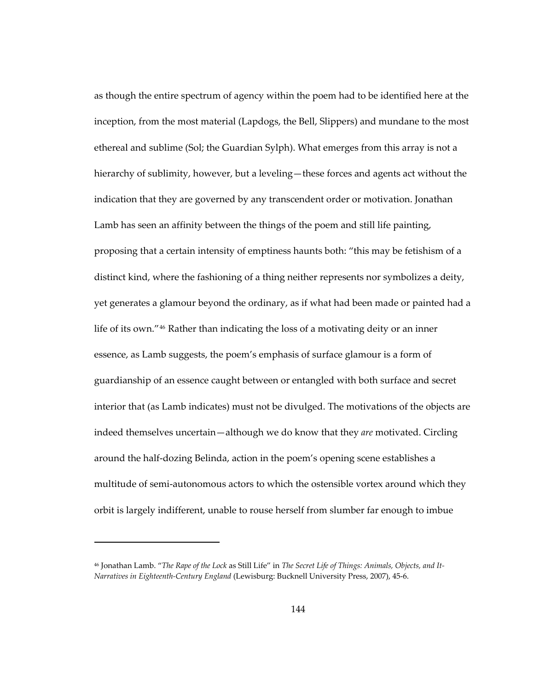as though the entire spectrum of agency within the poem had to be identified here at the inception, from the most material (Lapdogs, the Bell, Slippers) and mundane to the most ethereal and sublime (Sol; the Guardian Sylph). What emerges from this array is not a hierarchy of sublimity, however, but a leveling—these forces and agents act without the indication that they are governed by any transcendent order or motivation. Jonathan Lamb has seen an affinity between the things of the poem and still life painting, proposing that a certain intensity of emptiness haunts both: "this may be fetishism of a distinct kind, where the fashioning of a thing neither represents nor symbolizes a deity, yet generates a glamour beyond the ordinary, as if what had been made or painted had a life of its own."[46](#page-177-0) Rather than indicating the loss of a motivating deity or an inner essence, as Lamb suggests, the poem's emphasis of surface glamour is a form of guardianship of an essence caught between or entangled with both surface and secret interior that (as Lamb indicates) must not be divulged. The motivations of the objects are indeed themselves uncertain—although we do know that they *are* motivated. Circling around the half-dozing Belinda, action in the poem's opening scene establishes a multitude of semi-autonomous actors to which the ostensible vortex around which they orbit is largely indifferent, unable to rouse herself from slumber far enough to imbue

 $\overline{a}$ 

<span id="page-177-0"></span><sup>46</sup> Jonathan Lamb. "*The Rape of the Lock* as Still Life" in *The Secret Life of Things: Animals, Objects, and It-Narratives in Eighteenth-Century England* (Lewisburg: Bucknell University Press, 2007), 45-6.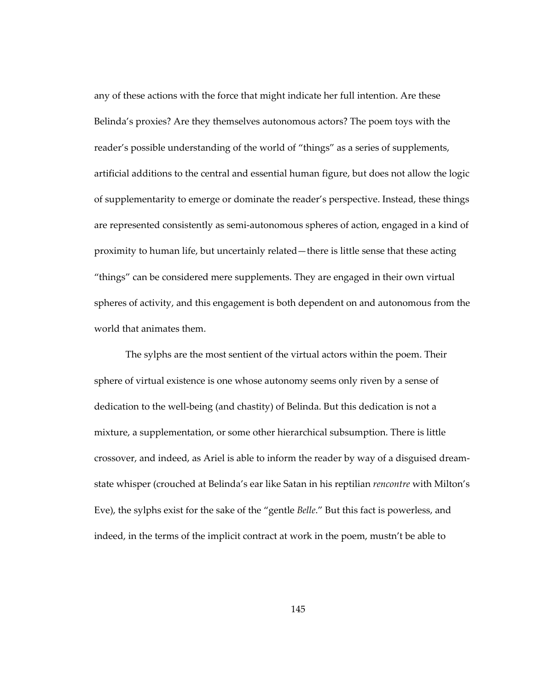any of these actions with the force that might indicate her full intention. Are these Belinda's proxies? Are they themselves autonomous actors? The poem toys with the reader's possible understanding of the world of "things" as a series of supplements, artificial additions to the central and essential human figure, but does not allow the logic of supplementarity to emerge or dominate the reader's perspective. Instead, these things are represented consistently as semi-autonomous spheres of action, engaged in a kind of proximity to human life, but uncertainly related—there is little sense that these acting "things" can be considered mere supplements. They are engaged in their own virtual spheres of activity, and this engagement is both dependent on and autonomous from the world that animates them.

The sylphs are the most sentient of the virtual actors within the poem. Their sphere of virtual existence is one whose autonomy seems only riven by a sense of dedication to the well-being (and chastity) of Belinda. But this dedication is not a mixture, a supplementation, or some other hierarchical subsumption. There is little crossover, and indeed, as Ariel is able to inform the reader by way of a disguised dreamstate whisper (crouched at Belinda's ear like Satan in his reptilian *rencontre* with Milton's Eve), the sylphs exist for the sake of the "gentle *Belle*." But this fact is powerless, and indeed, in the terms of the implicit contract at work in the poem, mustn't be able to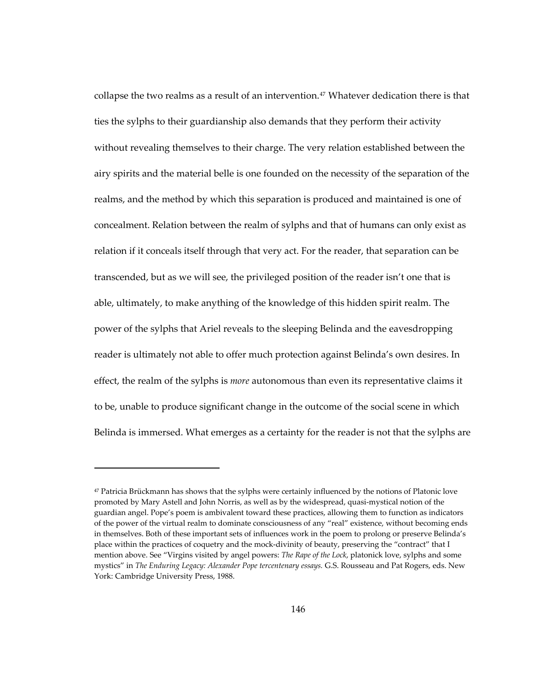collapse the two realms as a result of an intervention.<sup>[47](#page-179-0)</sup> Whatever dedication there is that ties the sylphs to their guardianship also demands that they perform their activity without revealing themselves to their charge. The very relation established between the airy spirits and the material belle is one founded on the necessity of the separation of the realms, and the method by which this separation is produced and maintained is one of concealment. Relation between the realm of sylphs and that of humans can only exist as relation if it conceals itself through that very act. For the reader, that separation can be transcended, but as we will see, the privileged position of the reader isn't one that is able, ultimately, to make anything of the knowledge of this hidden spirit realm. The power of the sylphs that Ariel reveals to the sleeping Belinda and the eavesdropping reader is ultimately not able to offer much protection against Belinda's own desires. In effect, the realm of the sylphs is *more* autonomous than even its representative claims it to be, unable to produce significant change in the outcome of the social scene in which Belinda is immersed. What emerges as a certainty for the reader is not that the sylphs are

<span id="page-179-0"></span> $47$  Patricia Brückmann has shows that the sylphs were certainly influenced by the notions of Platonic love promoted by Mary Astell and John Norris, as well as by the widespread, quasi-mystical notion of the guardian angel. Pope's poem is ambivalent toward these practices, allowing them to function as indicators of the power of the virtual realm to dominate consciousness of any "real" existence, without becoming ends in themselves. Both of these important sets of influences work in the poem to prolong or preserve Belinda's place within the practices of coquetry and the mock-divinity of beauty, preserving the "contract" that I mention above. See "Virgins visited by angel powers: *The Rape of the Lock*, platonick love, sylphs and some mystics" in *The Enduring Legacy: Alexander Pope tercentenary essays.* G.S. Rousseau and Pat Rogers, eds. New York: Cambridge University Press, 1988.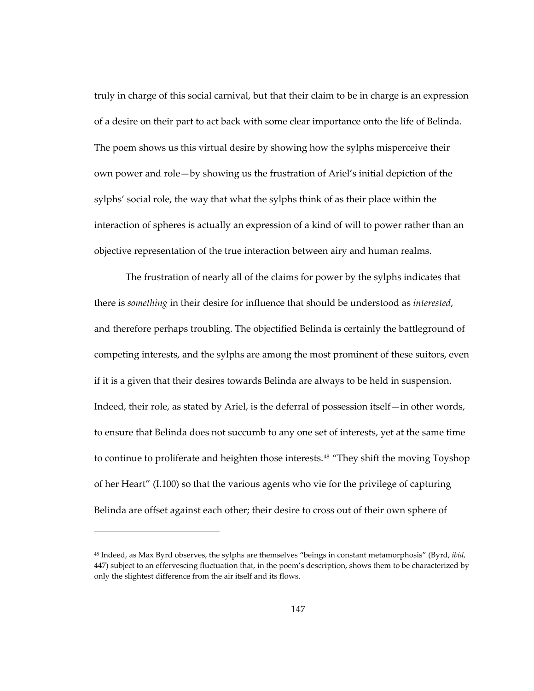truly in charge of this social carnival, but that their claim to be in charge is an expression of a desire on their part to act back with some clear importance onto the life of Belinda. The poem shows us this virtual desire by showing how the sylphs misperceive their own power and role—by showing us the frustration of Ariel's initial depiction of the sylphs' social role, the way that what the sylphs think of as their place within the interaction of spheres is actually an expression of a kind of will to power rather than an objective representation of the true interaction between airy and human realms.

The frustration of nearly all of the claims for power by the sylphs indicates that there is *something* in their desire for influence that should be understood as *interested*, and therefore perhaps troubling. The objectified Belinda is certainly the battleground of competing interests, and the sylphs are among the most prominent of these suitors, even if it is a given that their desires towards Belinda are always to be held in suspension. Indeed, their role, as stated by Ariel, is the deferral of possession itself—in other words, to ensure that Belinda does not succumb to any one set of interests, yet at the same time to continue to proliferate and heighten those interests.<sup>[48](#page-180-0)</sup> "They shift the moving Toyshop of her Heart" (I.100) so that the various agents who vie for the privilege of capturing Belinda are offset against each other; their desire to cross out of their own sphere of

1

<span id="page-180-0"></span><sup>48</sup> Indeed, as Max Byrd observes, the sylphs are themselves "beings in constant metamorphosis" (Byrd, *ibid,* 447) subject to an effervescing fluctuation that, in the poem's description, shows them to be characterized by only the slightest difference from the air itself and its flows.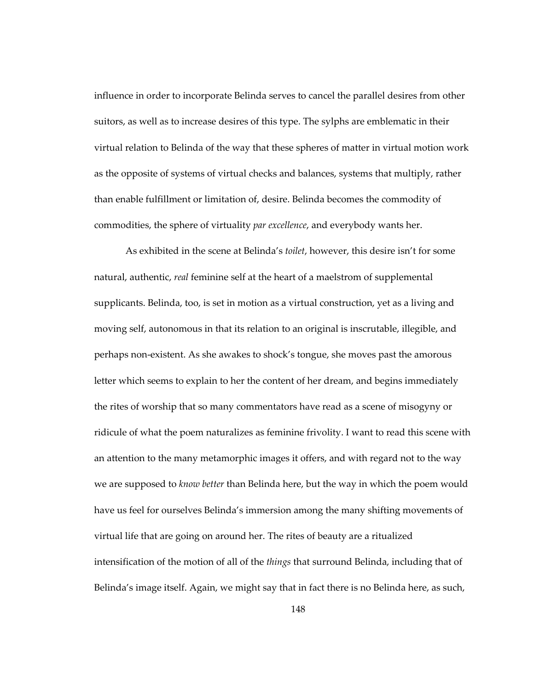influence in order to incorporate Belinda serves to cancel the parallel desires from other suitors, as well as to increase desires of this type. The sylphs are emblematic in their virtual relation to Belinda of the way that these spheres of matter in virtual motion work as the opposite of systems of virtual checks and balances, systems that multiply, rather than enable fulfillment or limitation of, desire. Belinda becomes the commodity of commodities, the sphere of virtuality *par excellence*, and everybody wants her.

As exhibited in the scene at Belinda's *toilet*, however, this desire isn't for some natural, authentic, *real* feminine self at the heart of a maelstrom of supplemental supplicants. Belinda, too, is set in motion as a virtual construction, yet as a living and moving self, autonomous in that its relation to an original is inscrutable, illegible, and perhaps non-existent. As she awakes to shock's tongue, she moves past the amorous letter which seems to explain to her the content of her dream, and begins immediately the rites of worship that so many commentators have read as a scene of misogyny or ridicule of what the poem naturalizes as feminine frivolity. I want to read this scene with an attention to the many metamorphic images it offers, and with regard not to the way we are supposed to *know better* than Belinda here, but the way in which the poem would have us feel for ourselves Belinda's immersion among the many shifting movements of virtual life that are going on around her. The rites of beauty are a ritualized intensification of the motion of all of the *things* that surround Belinda, including that of Belinda's image itself. Again, we might say that in fact there is no Belinda here, as such,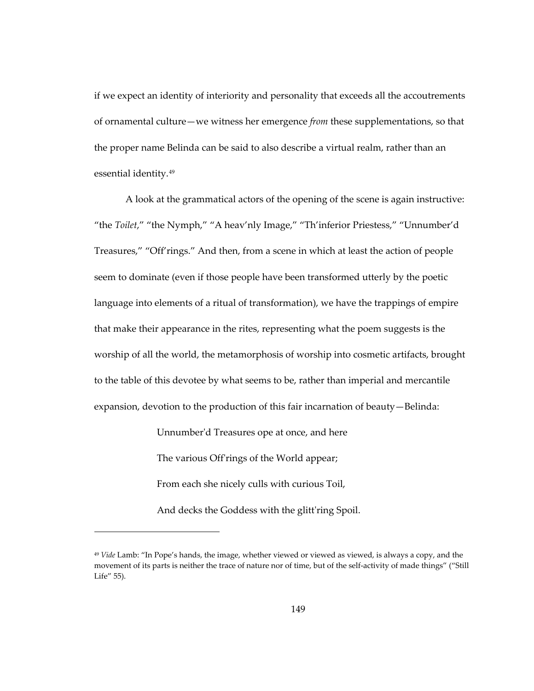if we expect an identity of interiority and personality that exceeds all the accoutrements of ornamental culture—we witness her emergence *from* these supplementations, so that the proper name Belinda can be said to also describe a virtual realm, rather than an essential identity.[49](#page-182-0)

A look at the grammatical actors of the opening of the scene is again instructive: "the *Toilet*," "the Nymph," "A heav'nly Image," "Th'inferior Priestess," "Unnumber'd Treasures," "Off'rings." And then, from a scene in which at least the action of people seem to dominate (even if those people have been transformed utterly by the poetic language into elements of a ritual of transformation), we have the trappings of empire that make their appearance in the rites, representing what the poem suggests is the worship of all the world, the metamorphosis of worship into cosmetic artifacts, brought to the table of this devotee by what seems to be, rather than imperial and mercantile expansion, devotion to the production of this fair incarnation of beauty—Belinda:

Unnumber'd Treasures ope at once, and here

The various Off'rings of the World appear;

From each she nicely culls with curious Toil,

-

And decks the Goddess with the glitt'ring Spoil.

<span id="page-182-0"></span><sup>49</sup> *Vide* Lamb: "In Pope's hands, the image, whether viewed or viewed as viewed, is always a copy, and the movement of its parts is neither the trace of nature nor of time, but of the self-activity of made things" ("Still Life" 55).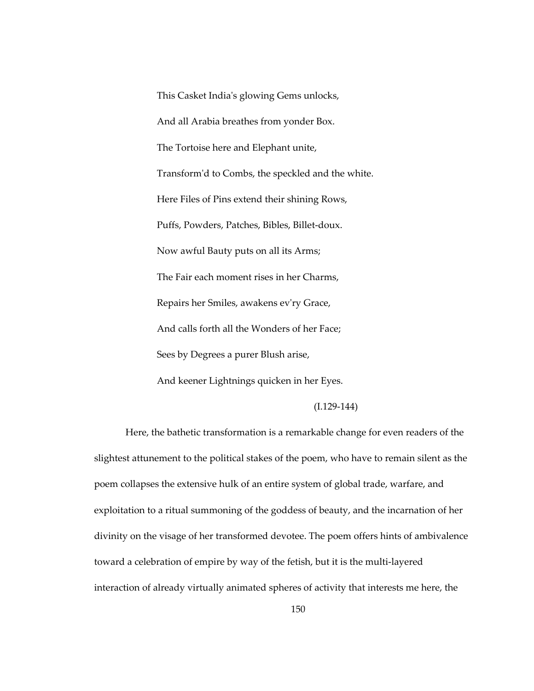This Casket India's glowing Gems unlocks, And all Arabia breathes from yonder Box. The Tortoise here and Elephant unite, Transform'd to Combs, the speckled and the white. Here Files of Pins extend their shining Rows, Puffs, Powders, Patches, Bibles, Billet-doux. Now awful Bauty puts on all its Arms; The Fair each moment rises in her Charms, Repairs her Smiles, awakens ev'ry Grace, And calls forth all the Wonders of her Face; Sees by Degrees a purer Blush arise, And keener Lightnings quicken in her Eyes.

## (I.129-144)

Here, the bathetic transformation is a remarkable change for even readers of the slightest attunement to the political stakes of the poem, who have to remain silent as the poem collapses the extensive hulk of an entire system of global trade, warfare, and exploitation to a ritual summoning of the goddess of beauty, and the incarnation of her divinity on the visage of her transformed devotee. The poem offers hints of ambivalence toward a celebration of empire by way of the fetish, but it is the multi-layered interaction of already virtually animated spheres of activity that interests me here, the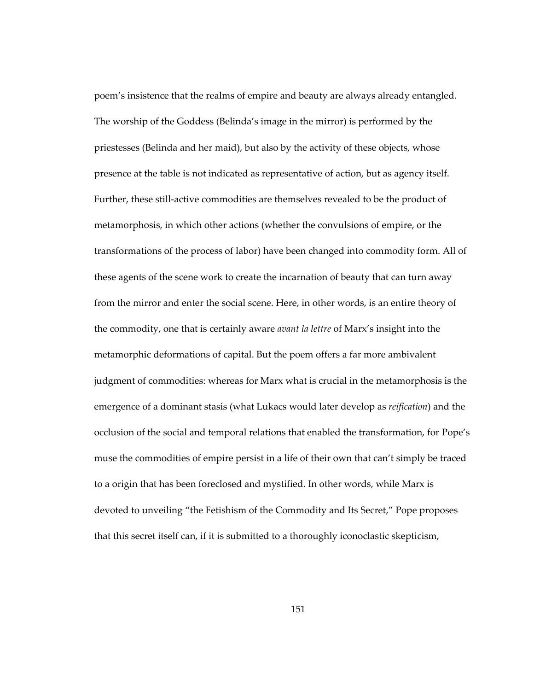poem's insistence that the realms of empire and beauty are always already entangled. The worship of the Goddess (Belinda's image in the mirror) is performed by the priestesses (Belinda and her maid), but also by the activity of these objects, whose presence at the table is not indicated as representative of action, but as agency itself. Further, these still-active commodities are themselves revealed to be the product of metamorphosis, in which other actions (whether the convulsions of empire, or the transformations of the process of labor) have been changed into commodity form. All of these agents of the scene work to create the incarnation of beauty that can turn away from the mirror and enter the social scene. Here, in other words, is an entire theory of the commodity, one that is certainly aware *avant la lettre* of Marx's insight into the metamorphic deformations of capital. But the poem offers a far more ambivalent judgment of commodities: whereas for Marx what is crucial in the metamorphosis is the emergence of a dominant stasis (what Lukacs would later develop as *reification*) and the occlusion of the social and temporal relations that enabled the transformation, for Pope's muse the commodities of empire persist in a life of their own that can't simply be traced to a origin that has been foreclosed and mystified. In other words, while Marx is devoted to unveiling "the Fetishism of the Commodity and Its Secret," Pope proposes that this secret itself can, if it is submitted to a thoroughly iconoclastic skepticism,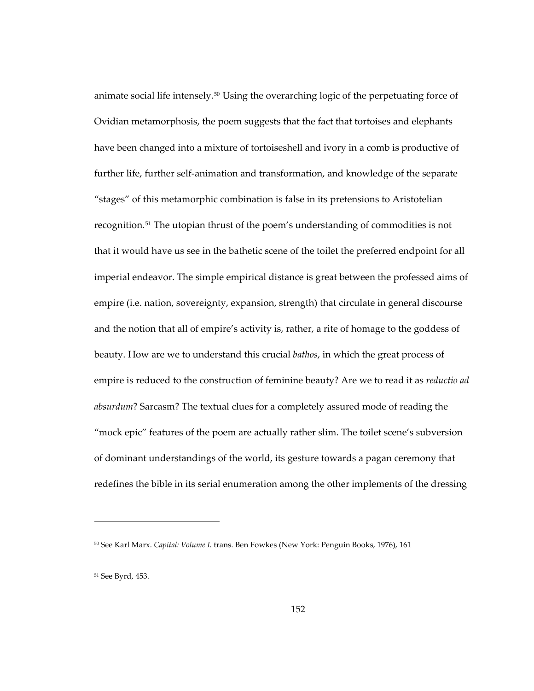animate social life intensely.[50](#page-185-0) Using the overarching logic of the perpetuating force of Ovidian metamorphosis, the poem suggests that the fact that tortoises and elephants have been changed into a mixture of tortoiseshell and ivory in a comb is productive of further life, further self-animation and transformation, and knowledge of the separate "stages" of this metamorphic combination is false in its pretensions to Aristotelian recognition.[51](#page-185-1) The utopian thrust of the poem's understanding of commodities is not that it would have us see in the bathetic scene of the toilet the preferred endpoint for all imperial endeavor. The simple empirical distance is great between the professed aims of empire (i.e. nation, sovereignty, expansion, strength) that circulate in general discourse and the notion that all of empire's activity is, rather, a rite of homage to the goddess of beauty. How are we to understand this crucial *bathos*, in which the great process of empire is reduced to the construction of feminine beauty? Are we to read it as *reductio ad absurdum*? Sarcasm? The textual clues for a completely assured mode of reading the "mock epic" features of the poem are actually rather slim. The toilet scene's subversion of dominant understandings of the world, its gesture towards a pagan ceremony that redefines the bible in its serial enumeration among the other implements of the dressing

 $\overline{a}$ 

<span id="page-185-0"></span><sup>50</sup> See Karl Marx. *Capital: Volume I.* trans. Ben Fowkes (New York: Penguin Books, 1976), 161

<span id="page-185-1"></span><sup>51</sup> See Byrd, 453.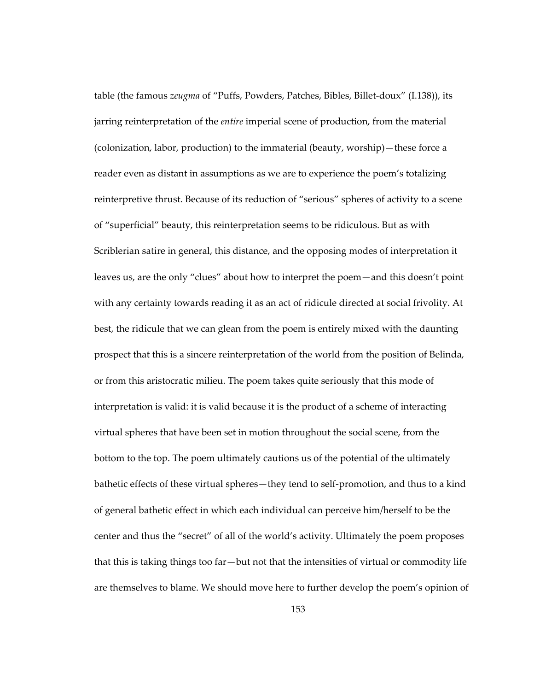table (the famous *zeugma* of "Puffs, Powders, Patches, Bibles, Billet-doux" (I.138)), its jarring reinterpretation of the *entire* imperial scene of production, from the material (colonization, labor, production) to the immaterial (beauty, worship)—these force a reader even as distant in assumptions as we are to experience the poem's totalizing reinterpretive thrust. Because of its reduction of "serious" spheres of activity to a scene of "superficial" beauty, this reinterpretation seems to be ridiculous. But as with Scriblerian satire in general, this distance, and the opposing modes of interpretation it leaves us, are the only "clues" about how to interpret the poem—and this doesn't point with any certainty towards reading it as an act of ridicule directed at social frivolity. At best, the ridicule that we can glean from the poem is entirely mixed with the daunting prospect that this is a sincere reinterpretation of the world from the position of Belinda, or from this aristocratic milieu. The poem takes quite seriously that this mode of interpretation is valid: it is valid because it is the product of a scheme of interacting virtual spheres that have been set in motion throughout the social scene, from the bottom to the top. The poem ultimately cautions us of the potential of the ultimately bathetic effects of these virtual spheres—they tend to self-promotion, and thus to a kind of general bathetic effect in which each individual can perceive him/herself to be the center and thus the "secret" of all of the world's activity. Ultimately the poem proposes that this is taking things too far—but not that the intensities of virtual or commodity life are themselves to blame. We should move here to further develop the poem's opinion of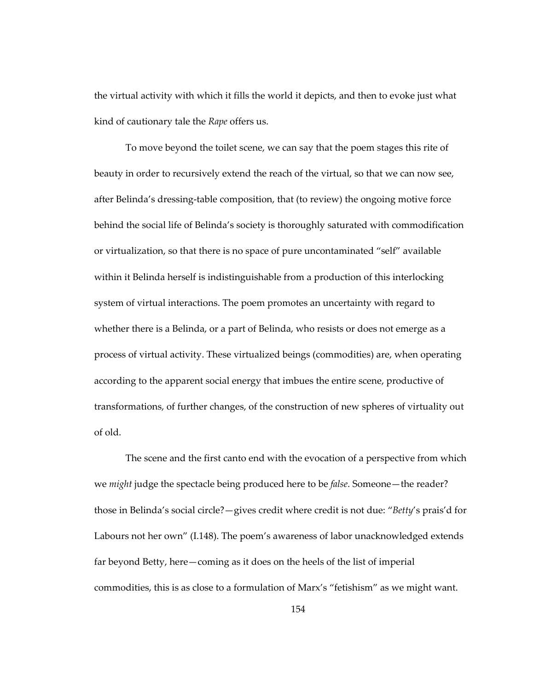the virtual activity with which it fills the world it depicts, and then to evoke just what kind of cautionary tale the *Rape* offers us.

To move beyond the toilet scene, we can say that the poem stages this rite of beauty in order to recursively extend the reach of the virtual, so that we can now see, after Belinda's dressing-table composition, that (to review) the ongoing motive force behind the social life of Belinda's society is thoroughly saturated with commodification or virtualization, so that there is no space of pure uncontaminated "self" available within it Belinda herself is indistinguishable from a production of this interlocking system of virtual interactions. The poem promotes an uncertainty with regard to whether there is a Belinda, or a part of Belinda, who resists or does not emerge as a process of virtual activity. These virtualized beings (commodities) are, when operating according to the apparent social energy that imbues the entire scene, productive of transformations, of further changes, of the construction of new spheres of virtuality out of old.

The scene and the first canto end with the evocation of a perspective from which we *might* judge the spectacle being produced here to be *false*. Someone—the reader? those in Belinda's social circle?—gives credit where credit is not due: "*Betty*'s prais'd for Labours not her own" (I.148). The poem's awareness of labor unacknowledged extends far beyond Betty, here—coming as it does on the heels of the list of imperial commodities, this is as close to a formulation of Marx's "fetishism" as we might want.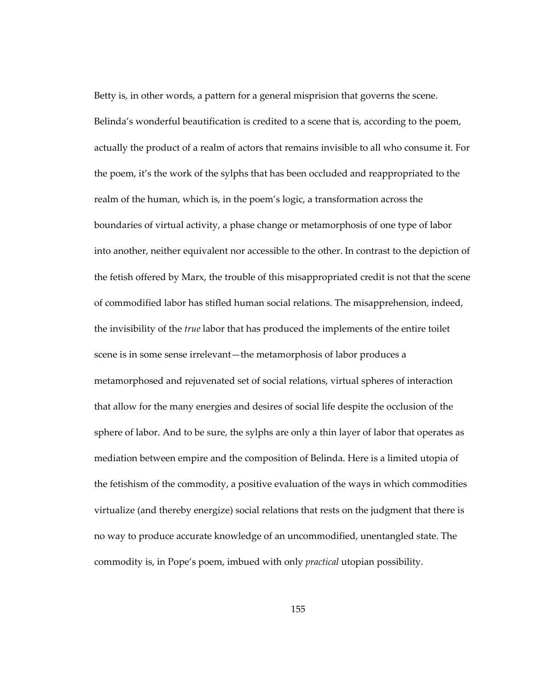Betty is, in other words, a pattern for a general misprision that governs the scene. Belinda's wonderful beautification is credited to a scene that is, according to the poem, actually the product of a realm of actors that remains invisible to all who consume it. For the poem, it's the work of the sylphs that has been occluded and reappropriated to the realm of the human, which is, in the poem's logic, a transformation across the boundaries of virtual activity, a phase change or metamorphosis of one type of labor into another, neither equivalent nor accessible to the other. In contrast to the depiction of the fetish offered by Marx, the trouble of this misappropriated credit is not that the scene of commodified labor has stifled human social relations. The misapprehension, indeed, the invisibility of the *true* labor that has produced the implements of the entire toilet scene is in some sense irrelevant—the metamorphosis of labor produces a metamorphosed and rejuvenated set of social relations, virtual spheres of interaction that allow for the many energies and desires of social life despite the occlusion of the sphere of labor. And to be sure, the sylphs are only a thin layer of labor that operates as mediation between empire and the composition of Belinda. Here is a limited utopia of the fetishism of the commodity, a positive evaluation of the ways in which commodities virtualize (and thereby energize) social relations that rests on the judgment that there is no way to produce accurate knowledge of an uncommodified, unentangled state. The commodity is, in Pope's poem, imbued with only *practical* utopian possibility.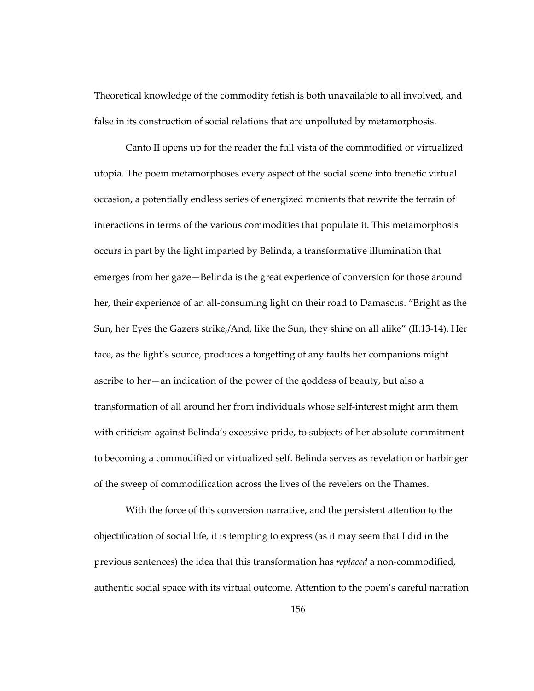Theoretical knowledge of the commodity fetish is both unavailable to all involved, and false in its construction of social relations that are unpolluted by metamorphosis.

Canto II opens up for the reader the full vista of the commodified or virtualized utopia. The poem metamorphoses every aspect of the social scene into frenetic virtual occasion, a potentially endless series of energized moments that rewrite the terrain of interactions in terms of the various commodities that populate it. This metamorphosis occurs in part by the light imparted by Belinda, a transformative illumination that emerges from her gaze—Belinda is the great experience of conversion for those around her, their experience of an all-consuming light on their road to Damascus. "Bright as the Sun, her Eyes the Gazers strike,/And, like the Sun, they shine on all alike" (II.13-14). Her face, as the light's source, produces a forgetting of any faults her companions might ascribe to her—an indication of the power of the goddess of beauty, but also a transformation of all around her from individuals whose self-interest might arm them with criticism against Belinda's excessive pride, to subjects of her absolute commitment to becoming a commodified or virtualized self. Belinda serves as revelation or harbinger of the sweep of commodification across the lives of the revelers on the Thames.

With the force of this conversion narrative, and the persistent attention to the objectification of social life, it is tempting to express (as it may seem that I did in the previous sentences) the idea that this transformation has *replaced* a non-commodified, authentic social space with its virtual outcome. Attention to the poem's careful narration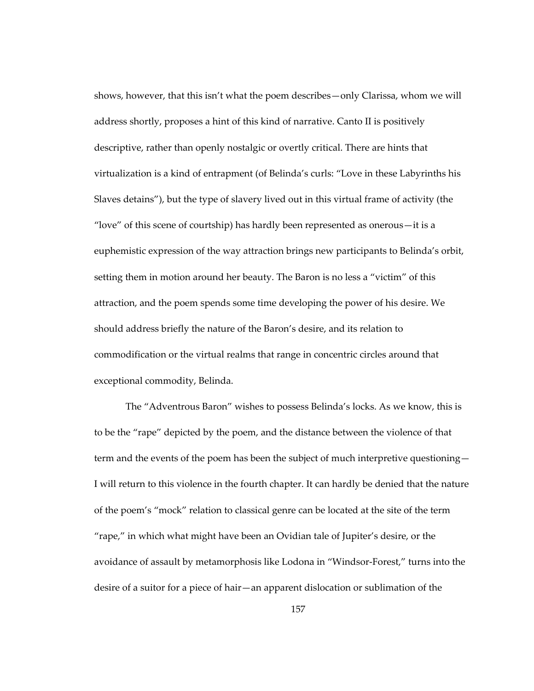shows, however, that this isn't what the poem describes—only Clarissa, whom we will address shortly, proposes a hint of this kind of narrative. Canto II is positively descriptive, rather than openly nostalgic or overtly critical. There are hints that virtualization is a kind of entrapment (of Belinda's curls: "Love in these Labyrinths his Slaves detains"), but the type of slavery lived out in this virtual frame of activity (the "love" of this scene of courtship) has hardly been represented as onerous—it is a euphemistic expression of the way attraction brings new participants to Belinda's orbit, setting them in motion around her beauty. The Baron is no less a "victim" of this attraction, and the poem spends some time developing the power of his desire. We should address briefly the nature of the Baron's desire, and its relation to commodification or the virtual realms that range in concentric circles around that exceptional commodity, Belinda.

The "Adventrous Baron" wishes to possess Belinda's locks. As we know, this is to be the "rape" depicted by the poem, and the distance between the violence of that term and the events of the poem has been the subject of much interpretive questioning— I will return to this violence in the fourth chapter. It can hardly be denied that the nature of the poem's "mock" relation to classical genre can be located at the site of the term "rape," in which what might have been an Ovidian tale of Jupiter's desire, or the avoidance of assault by metamorphosis like Lodona in "Windsor-Forest," turns into the desire of a suitor for a piece of hair—an apparent dislocation or sublimation of the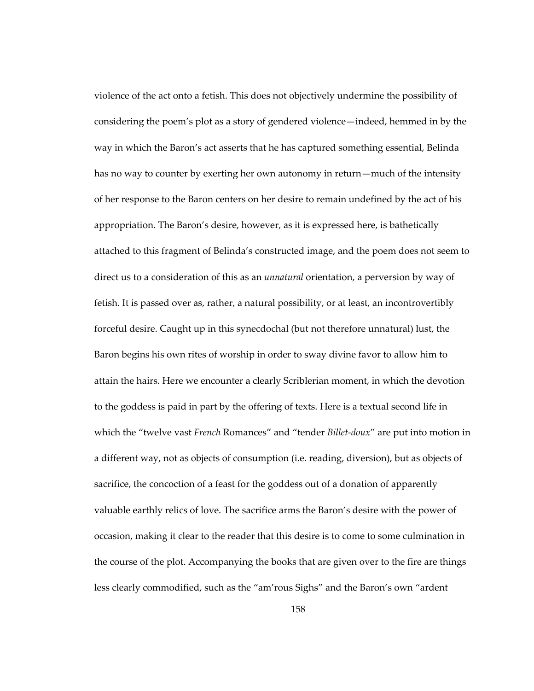violence of the act onto a fetish. This does not objectively undermine the possibility of considering the poem's plot as a story of gendered violence—indeed, hemmed in by the way in which the Baron's act asserts that he has captured something essential, Belinda has no way to counter by exerting her own autonomy in return—much of the intensity of her response to the Baron centers on her desire to remain undefined by the act of his appropriation. The Baron's desire, however, as it is expressed here, is bathetically attached to this fragment of Belinda's constructed image, and the poem does not seem to direct us to a consideration of this as an *unnatural* orientation, a perversion by way of fetish. It is passed over as, rather, a natural possibility, or at least, an incontrovertibly forceful desire. Caught up in this synecdochal (but not therefore unnatural) lust, the Baron begins his own rites of worship in order to sway divine favor to allow him to attain the hairs. Here we encounter a clearly Scriblerian moment, in which the devotion to the goddess is paid in part by the offering of texts. Here is a textual second life in which the "twelve vast *French* Romances" and "tender *Billet-doux*" are put into motion in a different way, not as objects of consumption (i.e. reading, diversion), but as objects of sacrifice, the concoction of a feast for the goddess out of a donation of apparently valuable earthly relics of love. The sacrifice arms the Baron's desire with the power of occasion, making it clear to the reader that this desire is to come to some culmination in the course of the plot. Accompanying the books that are given over to the fire are things less clearly commodified, such as the "am'rous Sighs" and the Baron's own "ardent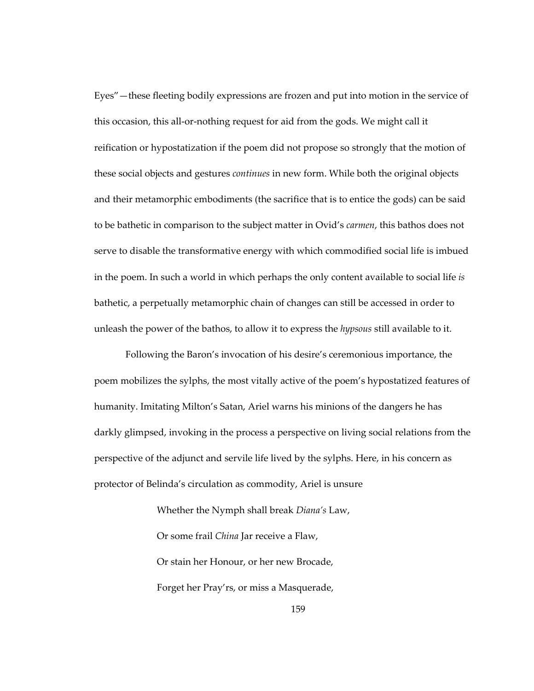Eyes"—these fleeting bodily expressions are frozen and put into motion in the service of this occasion, this all-or-nothing request for aid from the gods. We might call it reification or hypostatization if the poem did not propose so strongly that the motion of these social objects and gestures *continues* in new form. While both the original objects and their metamorphic embodiments (the sacrifice that is to entice the gods) can be said to be bathetic in comparison to the subject matter in Ovid's *carmen*, this bathos does not serve to disable the transformative energy with which commodified social life is imbued in the poem. In such a world in which perhaps the only content available to social life *is* bathetic, a perpetually metamorphic chain of changes can still be accessed in order to unleash the power of the bathos, to allow it to express the *hypsous* still available to it.

Following the Baron's invocation of his desire's ceremonious importance, the poem mobilizes the sylphs, the most vitally active of the poem's hypostatized features of humanity. Imitating Milton's Satan, Ariel warns his minions of the dangers he has darkly glimpsed, invoking in the process a perspective on living social relations from the perspective of the adjunct and servile life lived by the sylphs. Here, in his concern as protector of Belinda's circulation as commodity, Ariel is unsure

> Whether the Nymph shall break *Diana's* Law, Or some frail *China* Jar receive a Flaw, Or stain her Honour, or her new Brocade, Forget her Pray'rs, or miss a Masquerade,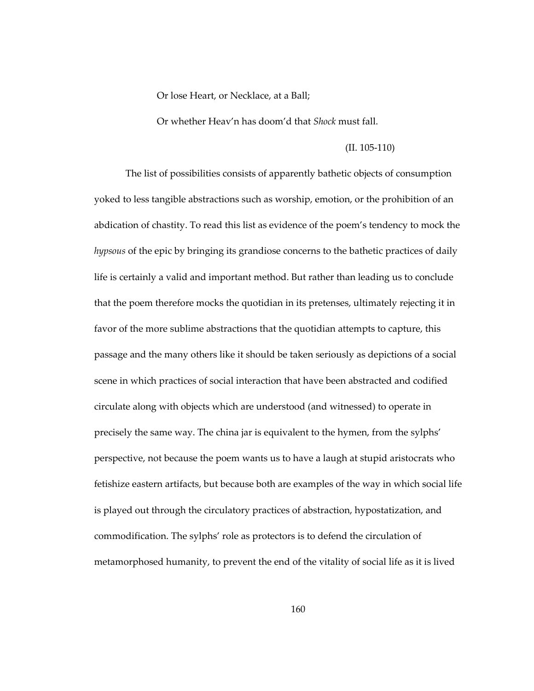Or lose Heart, or Necklace, at a Ball;

Or whether Heav'n has doom'd that *Shock* must fall.

## (II. 105-110)

The list of possibilities consists of apparently bathetic objects of consumption yoked to less tangible abstractions such as worship, emotion, or the prohibition of an abdication of chastity. To read this list as evidence of the poem's tendency to mock the *hypsous* of the epic by bringing its grandiose concerns to the bathetic practices of daily life is certainly a valid and important method. But rather than leading us to conclude that the poem therefore mocks the quotidian in its pretenses, ultimately rejecting it in favor of the more sublime abstractions that the quotidian attempts to capture, this passage and the many others like it should be taken seriously as depictions of a social scene in which practices of social interaction that have been abstracted and codified circulate along with objects which are understood (and witnessed) to operate in precisely the same way. The china jar is equivalent to the hymen, from the sylphs' perspective, not because the poem wants us to have a laugh at stupid aristocrats who fetishize eastern artifacts, but because both are examples of the way in which social life is played out through the circulatory practices of abstraction, hypostatization, and commodification. The sylphs' role as protectors is to defend the circulation of metamorphosed humanity, to prevent the end of the vitality of social life as it is lived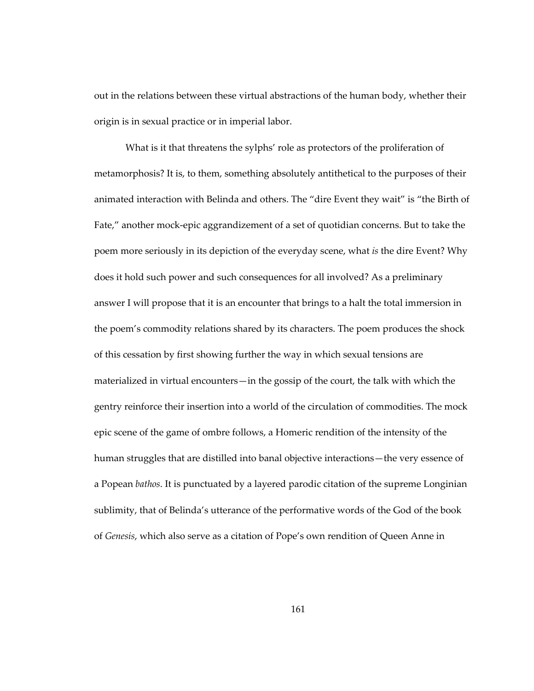out in the relations between these virtual abstractions of the human body, whether their origin is in sexual practice or in imperial labor.

What is it that threatens the sylphs' role as protectors of the proliferation of metamorphosis? It is, to them, something absolutely antithetical to the purposes of their animated interaction with Belinda and others. The "dire Event they wait" is "the Birth of Fate," another mock-epic aggrandizement of a set of quotidian concerns. But to take the poem more seriously in its depiction of the everyday scene, what *is* the dire Event? Why does it hold such power and such consequences for all involved? As a preliminary answer I will propose that it is an encounter that brings to a halt the total immersion in the poem's commodity relations shared by its characters. The poem produces the shock of this cessation by first showing further the way in which sexual tensions are materialized in virtual encounters—in the gossip of the court, the talk with which the gentry reinforce their insertion into a world of the circulation of commodities. The mock epic scene of the game of ombre follows, a Homeric rendition of the intensity of the human struggles that are distilled into banal objective interactions—the very essence of a Popean *bathos*. It is punctuated by a layered parodic citation of the supreme Longinian sublimity, that of Belinda's utterance of the performative words of the God of the book of *Genesis*, which also serve as a citation of Pope's own rendition of Queen Anne in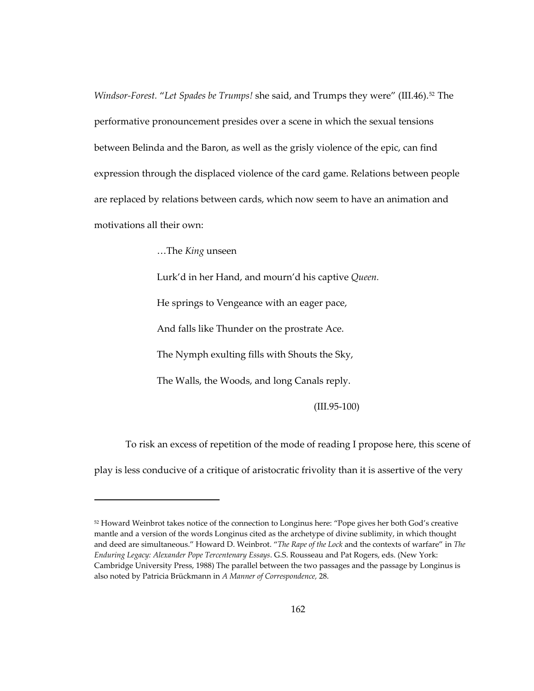*Windsor-Forest. "Let Spades be Trumps! she said, and Trumps they were" (III.46).<sup>[52](#page-195-0)</sup> The* performative pronouncement presides over a scene in which the sexual tensions between Belinda and the Baron, as well as the grisly violence of the epic, can find expression through the displaced violence of the card game. Relations between people are replaced by relations between cards, which now seem to have an animation and motivations all their own:

…The *King* unseen

1

Lurk'd in her Hand, and mourn'd his captive *Queen.*

He springs to Vengeance with an eager pace,

And falls like Thunder on the prostrate Ace.

The Nymph exulting fills with Shouts the Sky,

The Walls, the Woods, and long Canals reply.

(III.95-100)

To risk an excess of repetition of the mode of reading I propose here, this scene of play is less conducive of a critique of aristocratic frivolity than it is assertive of the very

<span id="page-195-0"></span><sup>52</sup> Howard Weinbrot takes notice of the connection to Longinus here: "Pope gives her both God's creative mantle and a version of the words Longinus cited as the archetype of divine sublimity, in which thought and deed are simultaneous." Howard D. Weinbrot. "*The Rape of the Lock* and the contexts of warfare" in *The Enduring Legacy: Alexander Pope Tercentenary Essays*. G.S. Rousseau and Pat Rogers, eds. (New York: Cambridge University Press, 1988) The parallel between the two passages and the passage by Longinus is also noted by Patricia Brückmann in *A Manner of Correspondence,* 28.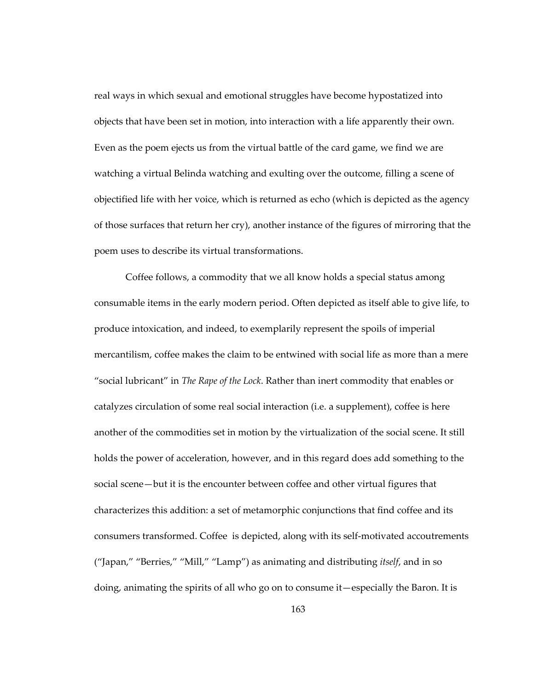real ways in which sexual and emotional struggles have become hypostatized into objects that have been set in motion, into interaction with a life apparently their own. Even as the poem ejects us from the virtual battle of the card game, we find we are watching a virtual Belinda watching and exulting over the outcome, filling a scene of objectified life with her voice, which is returned as echo (which is depicted as the agency of those surfaces that return her cry), another instance of the figures of mirroring that the poem uses to describe its virtual transformations.

Coffee follows, a commodity that we all know holds a special status among consumable items in the early modern period. Often depicted as itself able to give life, to produce intoxication, and indeed, to exemplarily represent the spoils of imperial mercantilism, coffee makes the claim to be entwined with social life as more than a mere "social lubricant" in *The Rape of the Lock*. Rather than inert commodity that enables or catalyzes circulation of some real social interaction (i.e. a supplement), coffee is here another of the commodities set in motion by the virtualization of the social scene. It still holds the power of acceleration, however, and in this regard does add something to the social scene—but it is the encounter between coffee and other virtual figures that characterizes this addition: a set of metamorphic conjunctions that find coffee and its consumers transformed. Coffee is depicted, along with its self-motivated accoutrements ("Japan," "Berries," "Mill," "Lamp") as animating and distributing *itself*, and in so doing, animating the spirits of all who go on to consume it—especially the Baron. It is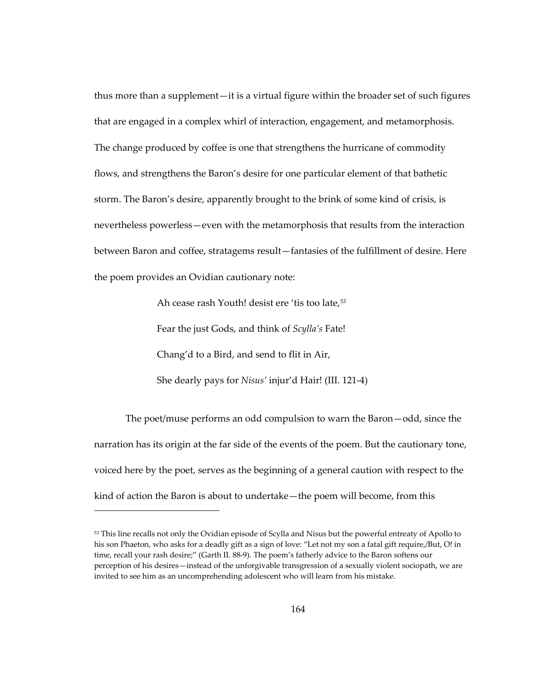thus more than a supplement—it is a virtual figure within the broader set of such figures that are engaged in a complex whirl of interaction, engagement, and metamorphosis. The change produced by coffee is one that strengthens the hurricane of commodity flows, and strengthens the Baron's desire for one particular element of that bathetic storm. The Baron's desire, apparently brought to the brink of some kind of crisis, is nevertheless powerless—even with the metamorphosis that results from the interaction between Baron and coffee, stratagems result—fantasies of the fulfillment of desire. Here the poem provides an Ovidian cautionary note:

Ah cease rash Youth! desist ere 'tis too late,<sup>[53](#page-197-0)</sup>

Fear the just Gods, and think of *Scylla's* Fate!

Chang'd to a Bird, and send to flit in Air,

 $\overline{a}$ 

She dearly pays for *Nisus'* injur'd Hair! (III. 121-4)

The poet/muse performs an odd compulsion to warn the Baron—odd, since the narration has its origin at the far side of the events of the poem. But the cautionary tone, voiced here by the poet, serves as the beginning of a general caution with respect to the kind of action the Baron is about to undertake—the poem will become, from this

<span id="page-197-0"></span><sup>53</sup> This line recalls not only the Ovidian episode of Scylla and Nisus but the powerful entreaty of Apollo to his son Phaeton, who asks for a deadly gift as a sign of love: "Let not my son a fatal gift require,/But, O! in time, recall your rash desire;" (Garth II. 88-9). The poem's fatherly advice to the Baron softens our perception of his desires—instead of the unforgivable transgression of a sexually violent sociopath, we are invited to see him as an uncomprehending adolescent who will learn from his mistake.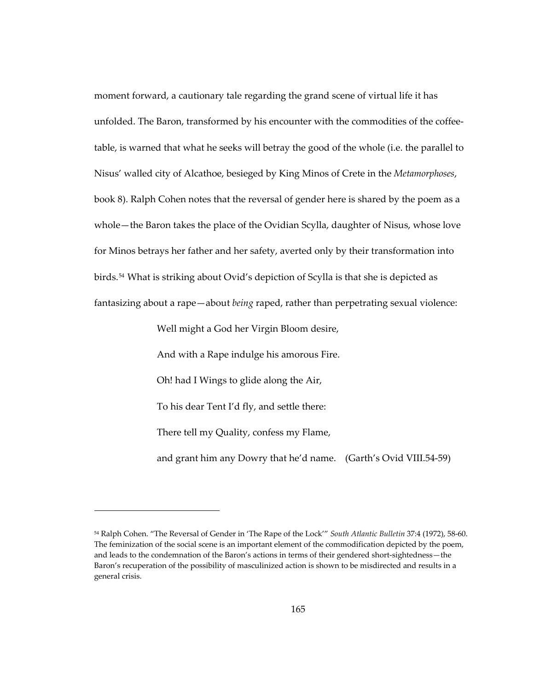moment forward, a cautionary tale regarding the grand scene of virtual life it has unfolded. The Baron, transformed by his encounter with the commodities of the coffeetable, is warned that what he seeks will betray the good of the whole (i.e. the parallel to Nisus' walled city of Alcathoe, besieged by King Minos of Crete in the *Metamorphoses*, book 8). Ralph Cohen notes that the reversal of gender here is shared by the poem as a whole—the Baron takes the place of the Ovidian Scylla, daughter of Nisus, whose love for Minos betrays her father and her safety, averted only by their transformation into birds.<sup>[54](#page-198-0)</sup> What is striking about Ovid's depiction of Scylla is that she is depicted as fantasizing about a rape—about *being* raped, rather than perpetrating sexual violence:

Well might a God her Virgin Bloom desire,

 $\overline{a}$ 

And with a Rape indulge his amorous Fire. Oh! had I Wings to glide along the Air, To his dear Tent I'd fly, and settle there: There tell my Quality, confess my Flame, and grant him any Dowry that he'd name. (Garth's Ovid VIII.54-59)

<span id="page-198-0"></span><sup>54</sup> Ralph Cohen. "The Reversal of Gender in 'The Rape of the Lock'" *South Atlantic Bulletin* 37:4 (1972), 58-60. The feminization of the social scene is an important element of the commodification depicted by the poem, and leads to the condemnation of the Baron's actions in terms of their gendered short-sightedness—the Baron's recuperation of the possibility of masculinized action is shown to be misdirected and results in a general crisis.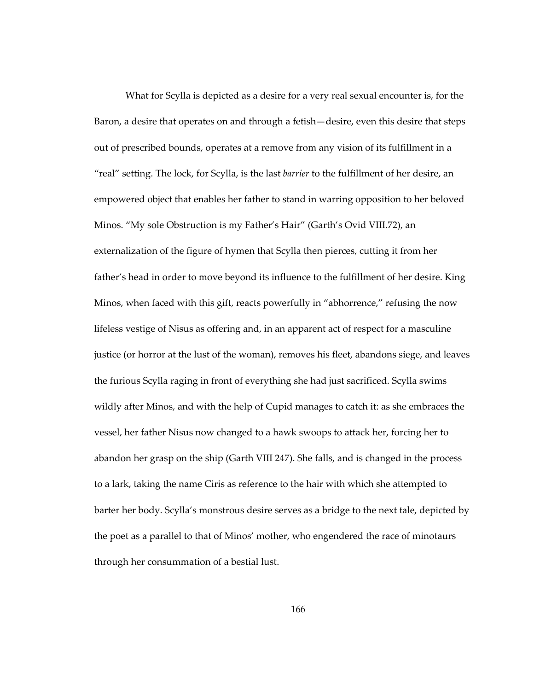What for Scylla is depicted as a desire for a very real sexual encounter is, for the Baron, a desire that operates on and through a fetish—desire, even this desire that steps out of prescribed bounds, operates at a remove from any vision of its fulfillment in a "real" setting. The lock, for Scylla, is the last *barrier* to the fulfillment of her desire, an empowered object that enables her father to stand in warring opposition to her beloved Minos. "My sole Obstruction is my Father's Hair" (Garth's Ovid VIII.72), an externalization of the figure of hymen that Scylla then pierces, cutting it from her father's head in order to move beyond its influence to the fulfillment of her desire. King Minos, when faced with this gift, reacts powerfully in "abhorrence," refusing the now lifeless vestige of Nisus as offering and, in an apparent act of respect for a masculine justice (or horror at the lust of the woman), removes his fleet, abandons siege, and leaves the furious Scylla raging in front of everything she had just sacrificed. Scylla swims wildly after Minos, and with the help of Cupid manages to catch it: as she embraces the vessel, her father Nisus now changed to a hawk swoops to attack her, forcing her to abandon her grasp on the ship (Garth VIII 247). She falls, and is changed in the process to a lark, taking the name Ciris as reference to the hair with which she attempted to barter her body. Scylla's monstrous desire serves as a bridge to the next tale, depicted by the poet as a parallel to that of Minos' mother, who engendered the race of minotaurs through her consummation of a bestial lust.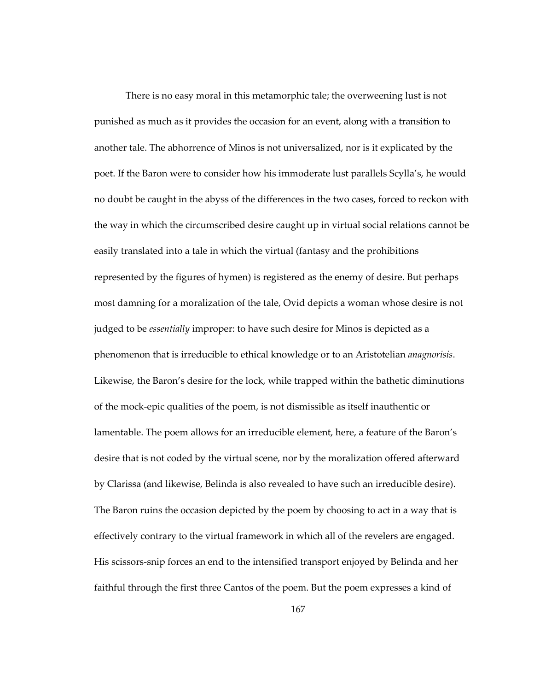There is no easy moral in this metamorphic tale; the overweening lust is not punished as much as it provides the occasion for an event, along with a transition to another tale. The abhorrence of Minos is not universalized, nor is it explicated by the poet. If the Baron were to consider how his immoderate lust parallels Scylla's, he would no doubt be caught in the abyss of the differences in the two cases, forced to reckon with the way in which the circumscribed desire caught up in virtual social relations cannot be easily translated into a tale in which the virtual (fantasy and the prohibitions represented by the figures of hymen) is registered as the enemy of desire. But perhaps most damning for a moralization of the tale, Ovid depicts a woman whose desire is not judged to be *essentially* improper: to have such desire for Minos is depicted as a phenomenon that is irreducible to ethical knowledge or to an Aristotelian *anagnorisis*. Likewise, the Baron's desire for the lock, while trapped within the bathetic diminutions of the mock-epic qualities of the poem, is not dismissible as itself inauthentic or lamentable. The poem allows for an irreducible element, here, a feature of the Baron's desire that is not coded by the virtual scene, nor by the moralization offered afterward by Clarissa (and likewise, Belinda is also revealed to have such an irreducible desire). The Baron ruins the occasion depicted by the poem by choosing to act in a way that is effectively contrary to the virtual framework in which all of the revelers are engaged. His scissors-snip forces an end to the intensified transport enjoyed by Belinda and her faithful through the first three Cantos of the poem. But the poem expresses a kind of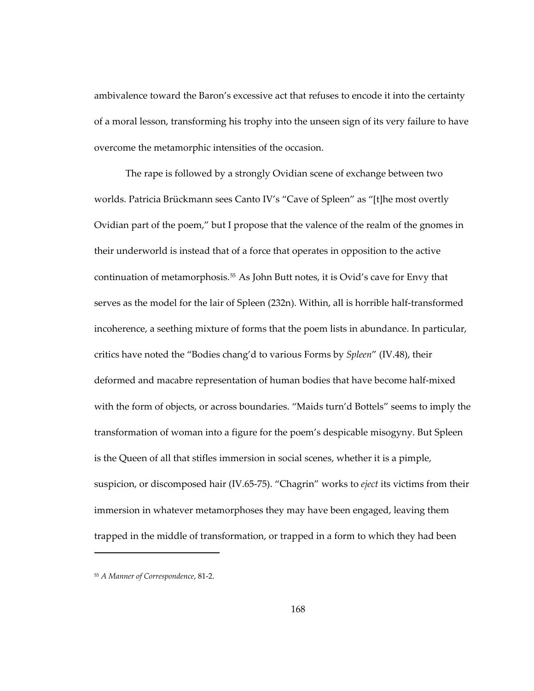ambivalence toward the Baron's excessive act that refuses to encode it into the certainty of a moral lesson, transforming his trophy into the unseen sign of its very failure to have overcome the metamorphic intensities of the occasion.

The rape is followed by a strongly Ovidian scene of exchange between two worlds. Patricia Brückmann sees Canto IV's "Cave of Spleen" as "[t]he most overtly Ovidian part of the poem," but I propose that the valence of the realm of the gnomes in their underworld is instead that of a force that operates in opposition to the active continuation of metamorphosis.[55](#page-201-0) As John Butt notes, it is Ovid's cave for Envy that serves as the model for the lair of Spleen (232n). Within, all is horrible half-transformed incoherence, a seething mixture of forms that the poem lists in abundance. In particular, critics have noted the "Bodies chang'd to various Forms by *Spleen*" (IV.48), their deformed and macabre representation of human bodies that have become half-mixed with the form of objects, or across boundaries. "Maids turn'd Bottels" seems to imply the transformation of woman into a figure for the poem's despicable misogyny. But Spleen is the Queen of all that stifles immersion in social scenes, whether it is a pimple, suspicion, or discomposed hair (IV.65-75). "Chagrin" works to *eject* its victims from their immersion in whatever metamorphoses they may have been engaged, leaving them trapped in the middle of transformation, or trapped in a form to which they had been

-

<span id="page-201-0"></span><sup>55</sup> *A Manner of Correspondence*, 81-2.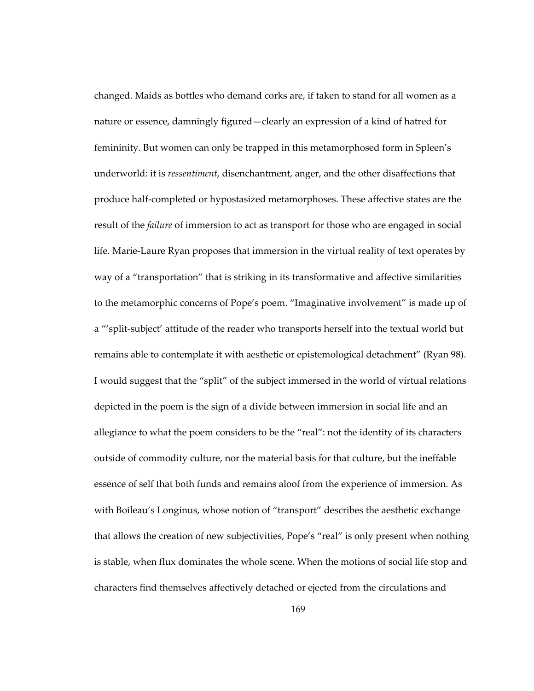changed. Maids as bottles who demand corks are, if taken to stand for all women as a nature or essence, damningly figured—clearly an expression of a kind of hatred for femininity. But women can only be trapped in this metamorphosed form in Spleen's underworld: it is *ressentiment*, disenchantment, anger, and the other disaffections that produce half-completed or hypostasized metamorphoses. These affective states are the result of the *failure* of immersion to act as transport for those who are engaged in social life. Marie-Laure Ryan proposes that immersion in the virtual reality of text operates by way of a "transportation" that is striking in its transformative and affective similarities to the metamorphic concerns of Pope's poem. "Imaginative involvement" is made up of a "'split-subject' attitude of the reader who transports herself into the textual world but remains able to contemplate it with aesthetic or epistemological detachment" (Ryan 98). I would suggest that the "split" of the subject immersed in the world of virtual relations depicted in the poem is the sign of a divide between immersion in social life and an allegiance to what the poem considers to be the "real": not the identity of its characters outside of commodity culture, nor the material basis for that culture, but the ineffable essence of self that both funds and remains aloof from the experience of immersion. As with Boileau's Longinus, whose notion of "transport" describes the aesthetic exchange that allows the creation of new subjectivities, Pope's "real" is only present when nothing is stable, when flux dominates the whole scene. When the motions of social life stop and characters find themselves affectively detached or ejected from the circulations and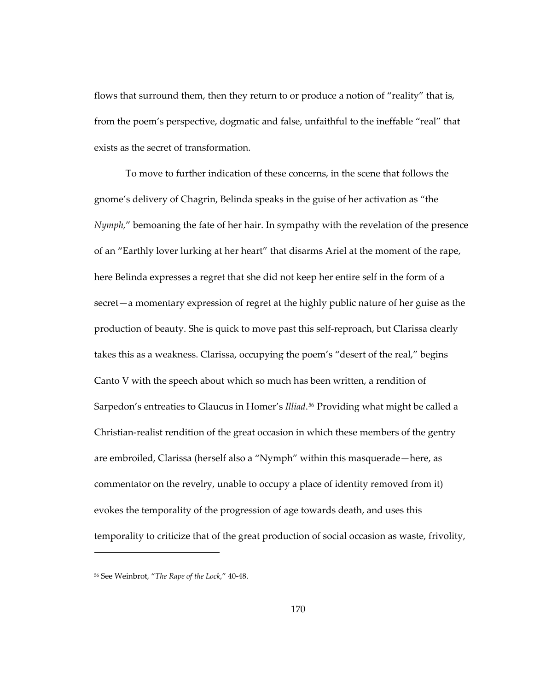flows that surround them, then they return to or produce a notion of "reality" that is, from the poem's perspective, dogmatic and false, unfaithful to the ineffable "real" that exists as the secret of transformation.

To move to further indication of these concerns, in the scene that follows the gnome's delivery of Chagrin, Belinda speaks in the guise of her activation as "the *Nymph,*" bemoaning the fate of her hair. In sympathy with the revelation of the presence of an "Earthly lover lurking at her heart" that disarms Ariel at the moment of the rape, here Belinda expresses a regret that she did not keep her entire self in the form of a secret—a momentary expression of regret at the highly public nature of her guise as the production of beauty. She is quick to move past this self-reproach, but Clarissa clearly takes this as a weakness. Clarissa, occupying the poem's "desert of the real," begins Canto V with the speech about which so much has been written, a rendition of Sarpedon's entreaties to Glaucus in Homer's *Illiad*.<sup>[56](#page-203-0)</sup> Providing what might be called a Christian-realist rendition of the great occasion in which these members of the gentry are embroiled, Clarissa (herself also a "Nymph" within this masquerade—here, as commentator on the revelry, unable to occupy a place of identity removed from it) evokes the temporality of the progression of age towards death, and uses this temporality to criticize that of the great production of social occasion as waste, frivolity,

1

<span id="page-203-0"></span><sup>56</sup> See Weinbrot, "*The Rape of the Lock*," 40-48.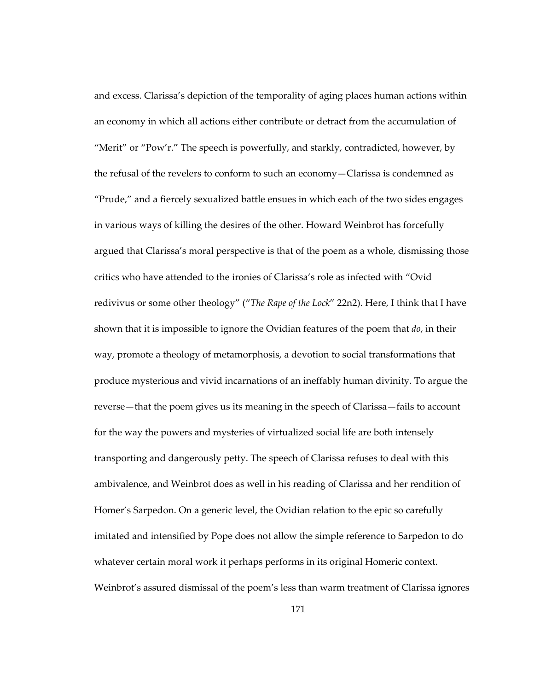and excess. Clarissa's depiction of the temporality of aging places human actions within an economy in which all actions either contribute or detract from the accumulation of "Merit" or "Pow'r." The speech is powerfully, and starkly, contradicted, however, by the refusal of the revelers to conform to such an economy—Clarissa is condemned as "Prude," and a fiercely sexualized battle ensues in which each of the two sides engages in various ways of killing the desires of the other. Howard Weinbrot has forcefully argued that Clarissa's moral perspective is that of the poem as a whole, dismissing those critics who have attended to the ironies of Clarissa's role as infected with "Ovid redivivus or some other theology" ("*The Rape of the Lock*" 22n2). Here, I think that I have shown that it is impossible to ignore the Ovidian features of the poem that *do*, in their way, promote a theology of metamorphosis, a devotion to social transformations that produce mysterious and vivid incarnations of an ineffably human divinity. To argue the reverse—that the poem gives us its meaning in the speech of Clarissa—fails to account for the way the powers and mysteries of virtualized social life are both intensely transporting and dangerously petty. The speech of Clarissa refuses to deal with this ambivalence, and Weinbrot does as well in his reading of Clarissa and her rendition of Homer's Sarpedon. On a generic level, the Ovidian relation to the epic so carefully imitated and intensified by Pope does not allow the simple reference to Sarpedon to do whatever certain moral work it perhaps performs in its original Homeric context. Weinbrot's assured dismissal of the poem's less than warm treatment of Clarissa ignores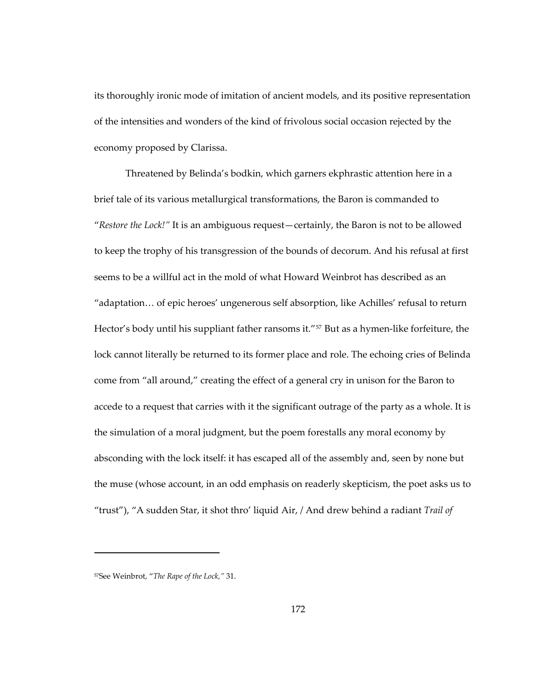its thoroughly ironic mode of imitation of ancient models, and its positive representation of the intensities and wonders of the kind of frivolous social occasion rejected by the economy proposed by Clarissa.

Threatened by Belinda's bodkin, which garners ekphrastic attention here in a brief tale of its various metallurgical transformations, the Baron is commanded to "*Restore the Lock!"* It is an ambiguous request—certainly, the Baron is not to be allowed to keep the trophy of his transgression of the bounds of decorum. And his refusal at first seems to be a willful act in the mold of what Howard Weinbrot has described as an "adaptation… of epic heroes' ungenerous self absorption, like Achilles' refusal to return Hector's body until his suppliant father ransoms it."<sup>[57](#page-205-0)</sup> But as a hymen-like forfeiture, the lock cannot literally be returned to its former place and role. The echoing cries of Belinda come from "all around," creating the effect of a general cry in unison for the Baron to accede to a request that carries with it the significant outrage of the party as a whole. It is the simulation of a moral judgment, but the poem forestalls any moral economy by absconding with the lock itself: it has escaped all of the assembly and, seen by none but the muse (whose account, in an odd emphasis on readerly skepticism, the poet asks us to "trust"), "A sudden Star, it shot thro' liquid Air, / And drew behind a radiant *Trail of* 

1

<span id="page-205-0"></span><sup>57</sup>See Weinbrot, "*The Rape of the Lock,"* 31.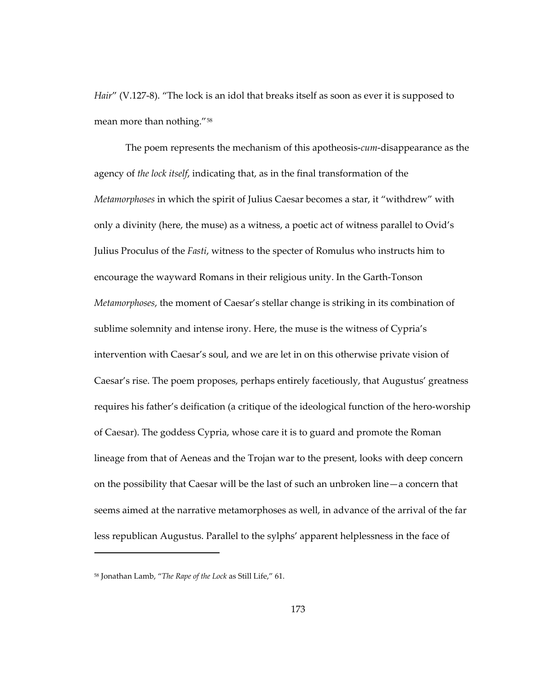*Hair"* (V.127-8). "The lock is an idol that breaks itself as soon as ever it is supposed to mean more than nothing."[58](#page-206-0)

The poem represents the mechanism of this apotheosis-*cum*-disappearance as the agency of *the lock itself*, indicating that, as in the final transformation of the *Metamorphoses* in which the spirit of Julius Caesar becomes a star, it "withdrew" with only a divinity (here, the muse) as a witness, a poetic act of witness parallel to Ovid's Julius Proculus of the *Fasti*, witness to the specter of Romulus who instructs him to encourage the wayward Romans in their religious unity. In the Garth-Tonson *Metamorphoses*, the moment of Caesar's stellar change is striking in its combination of sublime solemnity and intense irony. Here, the muse is the witness of Cypria's intervention with Caesar's soul, and we are let in on this otherwise private vision of Caesar's rise. The poem proposes, perhaps entirely facetiously, that Augustus' greatness requires his father's deification (a critique of the ideological function of the hero-worship of Caesar). The goddess Cypria, whose care it is to guard and promote the Roman lineage from that of Aeneas and the Trojan war to the present, looks with deep concern on the possibility that Caesar will be the last of such an unbroken line—a concern that seems aimed at the narrative metamorphoses as well, in advance of the arrival of the far less republican Augustus. Parallel to the sylphs' apparent helplessness in the face of

1

<span id="page-206-0"></span><sup>58</sup> Jonathan Lamb, "*The Rape of the Lock* as Still Life," 61.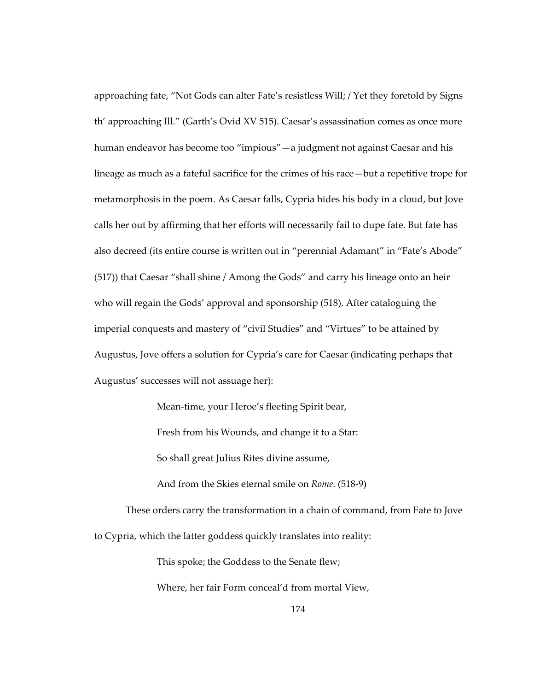approaching fate, "Not Gods can alter Fate's resistless Will; / Yet they foretold by Signs th' approaching Ill." (Garth's Ovid XV 515). Caesar's assassination comes as once more human endeavor has become too "impious"—a judgment not against Caesar and his lineage as much as a fateful sacrifice for the crimes of his race—but a repetitive trope for metamorphosis in the poem. As Caesar falls, Cypria hides his body in a cloud, but Jove calls her out by affirming that her efforts will necessarily fail to dupe fate. But fate has also decreed (its entire course is written out in "perennial Adamant" in "Fate's Abode" (517)) that Caesar "shall shine / Among the Gods" and carry his lineage onto an heir who will regain the Gods' approval and sponsorship (518). After cataloguing the imperial conquests and mastery of "civil Studies" and "Virtues" to be attained by Augustus, Jove offers a solution for Cypria's care for Caesar (indicating perhaps that Augustus' successes will not assuage her):

Mean-time, your Heroe's fleeting Spirit bear,

Fresh from his Wounds, and change it to a Star:

So shall great Julius Rites divine assume,

And from the Skies eternal smile on *Rome*. (518-9)

These orders carry the transformation in a chain of command, from Fate to Jove to Cypria, which the latter goddess quickly translates into reality:

This spoke; the Goddess to the Senate flew;

Where, her fair Form conceal'd from mortal View,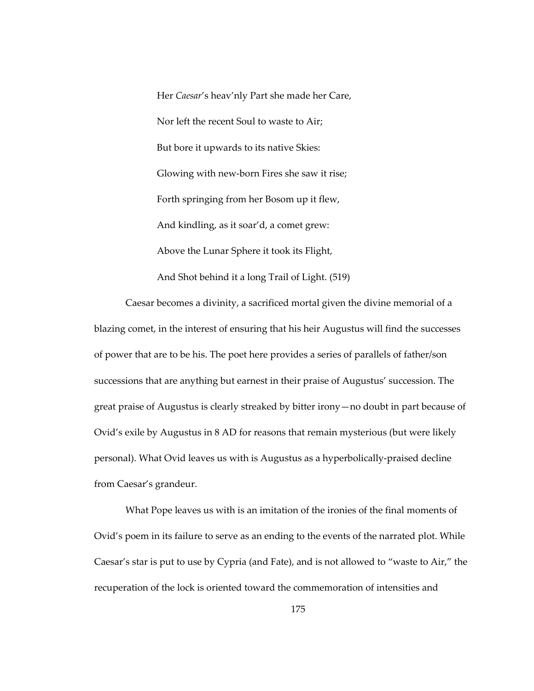Her *Caesar*'s heav'nly Part she made her Care, Nor left the recent Soul to waste to Air; But bore it upwards to its native Skies: Glowing with new-born Fires she saw it rise; Forth springing from her Bosom up it flew, And kindling, as it soar'd, a comet grew: Above the Lunar Sphere it took its Flight, And Shot behind it a long Trail of Light. (519)

Caesar becomes a divinity, a sacrificed mortal given the divine memorial of a blazing comet, in the interest of ensuring that his heir Augustus will find the successes of power that are to be his. The poet here provides a series of parallels of father/son successions that are anything but earnest in their praise of Augustus' succession. The great praise of Augustus is clearly streaked by bitter irony—no doubt in part because of Ovid's exile by Augustus in 8 AD for reasons that remain mysterious (but were likely personal). What Ovid leaves us with is Augustus as a hyperbolically-praised decline from Caesar's grandeur.

What Pope leaves us with is an imitation of the ironies of the final moments of Ovid's poem in its failure to serve as an ending to the events of the narrated plot. While Caesar's star is put to use by Cypria (and Fate), and is not allowed to "waste to Air," the recuperation of the lock is oriented toward the commemoration of intensities and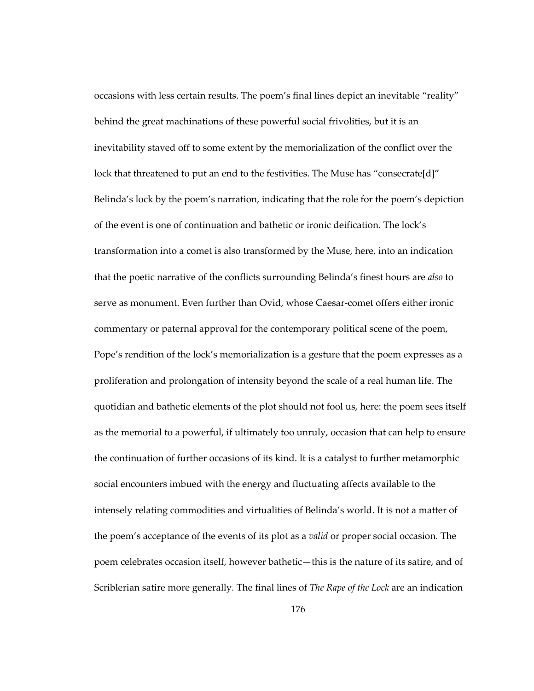occasions with less certain results. The poem's final lines depict an inevitable "reality" behind the great machinations of these powerful social frivolities, but it is an inevitability staved off to some extent by the memorialization of the conflict over the lock that threatened to put an end to the festivities. The Muse has "consecrate[d]" Belinda's lock by the poem's narration, indicating that the role for the poem's depiction of the event is one of continuation and bathetic or ironic deification. The lock's transformation into a comet is also transformed by the Muse, here, into an indication that the poetic narrative of the conflicts surrounding Belinda's finest hours are *also* to serve as monument. Even further than Ovid, whose Caesar-comet offers either ironic commentary or paternal approval for the contemporary political scene of the poem, Pope's rendition of the lock's memorialization is a gesture that the poem expresses as a proliferation and prolongation of intensity beyond the scale of a real human life. The quotidian and bathetic elements of the plot should not fool us, here: the poem sees itself as the memorial to a powerful, if ultimately too unruly, occasion that can help to ensure the continuation of further occasions of its kind. It is a catalyst to further metamorphic social encounters imbued with the energy and fluctuating affects available to the intensely relating commodities and virtualities of Belinda's world. It is not a matter of the poem's acceptance of the events of its plot as a *valid* or proper social occasion. The poem celebrates occasion itself, however bathetic—this is the nature of its satire, and of Scriblerian satire more generally. The final lines of *The Rape of the Lock* are an indication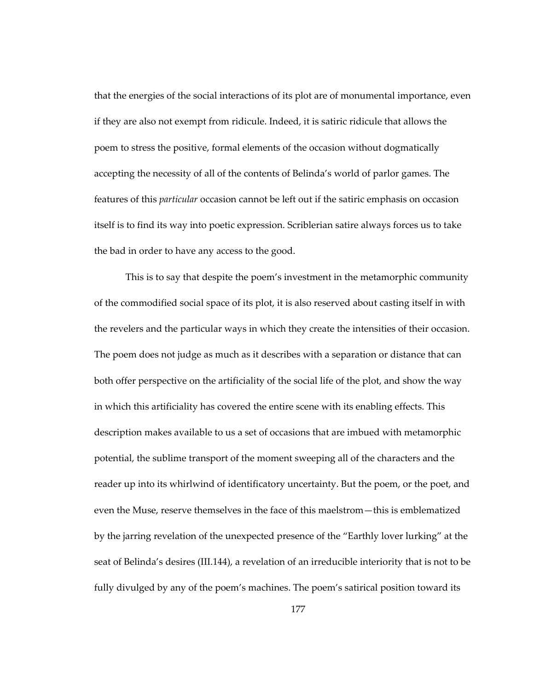that the energies of the social interactions of its plot are of monumental importance, even if they are also not exempt from ridicule. Indeed, it is satiric ridicule that allows the poem to stress the positive, formal elements of the occasion without dogmatically accepting the necessity of all of the contents of Belinda's world of parlor games. The features of this *particular* occasion cannot be left out if the satiric emphasis on occasion itself is to find its way into poetic expression. Scriblerian satire always forces us to take the bad in order to have any access to the good.

This is to say that despite the poem's investment in the metamorphic community of the commodified social space of its plot, it is also reserved about casting itself in with the revelers and the particular ways in which they create the intensities of their occasion. The poem does not judge as much as it describes with a separation or distance that can both offer perspective on the artificiality of the social life of the plot, and show the way in which this artificiality has covered the entire scene with its enabling effects. This description makes available to us a set of occasions that are imbued with metamorphic potential, the sublime transport of the moment sweeping all of the characters and the reader up into its whirlwind of identificatory uncertainty. But the poem, or the poet, and even the Muse, reserve themselves in the face of this maelstrom—this is emblematized by the jarring revelation of the unexpected presence of the "Earthly lover lurking" at the seat of Belinda's desires (III.144), a revelation of an irreducible interiority that is not to be fully divulged by any of the poem's machines. The poem's satirical position toward its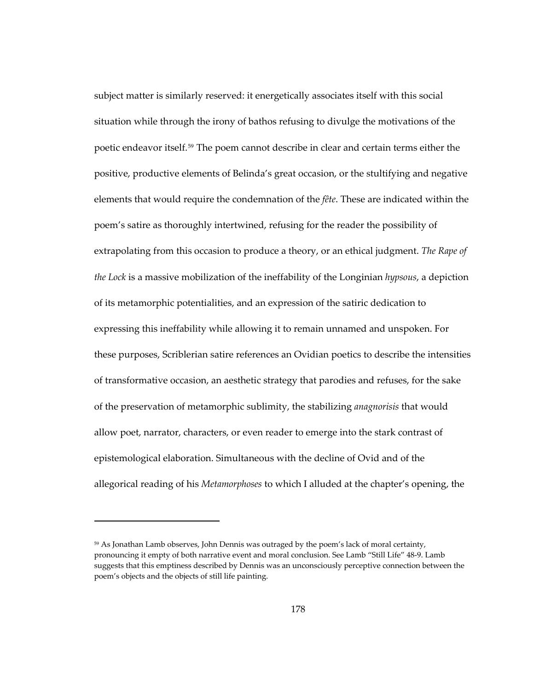subject matter is similarly reserved: it energetically associates itself with this social situation while through the irony of bathos refusing to divulge the motivations of the poetic endeavor itself.<sup>[59](#page-211-0)</sup> The poem cannot describe in clear and certain terms either the positive, productive elements of Belinda's great occasion, or the stultifying and negative elements that would require the condemnation of the *fête*. These are indicated within the poem's satire as thoroughly intertwined, refusing for the reader the possibility of extrapolating from this occasion to produce a theory, or an ethical judgment. *The Rape of the Lock* is a massive mobilization of the ineffability of the Longinian *hypsous*, a depiction of its metamorphic potentialities, and an expression of the satiric dedication to expressing this ineffability while allowing it to remain unnamed and unspoken. For these purposes, Scriblerian satire references an Ovidian poetics to describe the intensities of transformative occasion, an aesthetic strategy that parodies and refuses, for the sake of the preservation of metamorphic sublimity, the stabilizing *anagnorisis* that would allow poet, narrator, characters, or even reader to emerge into the stark contrast of epistemological elaboration. Simultaneous with the decline of Ovid and of the allegorical reading of his *Metamorphoses* to which I alluded at the chapter's opening, the

1

<span id="page-211-0"></span><sup>&</sup>lt;sup>59</sup> As Jonathan Lamb observes, John Dennis was outraged by the poem's lack of moral certainty, pronouncing it empty of both narrative event and moral conclusion. See Lamb "Still Life" 48-9. Lamb suggests that this emptiness described by Dennis was an unconsciously perceptive connection between the poem's objects and the objects of still life painting.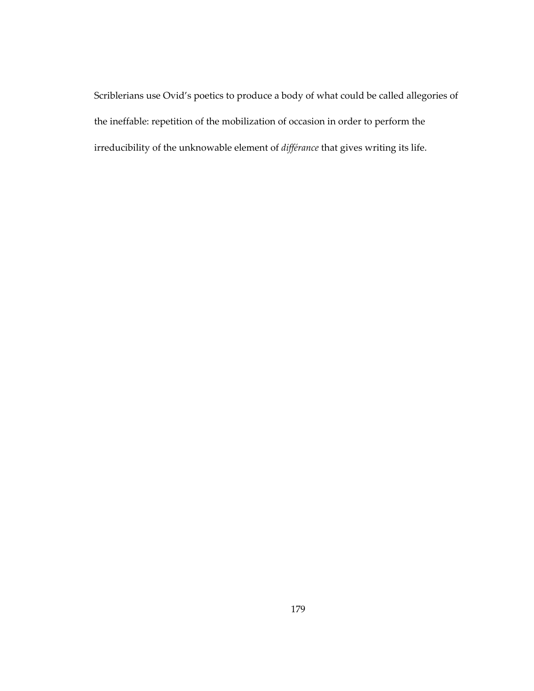Scriblerians use Ovid's poetics to produce a body of what could be called allegories of the ineffable: repetition of the mobilization of occasion in order to perform the irreducibility of the unknowable element of *différance* that gives writing its life.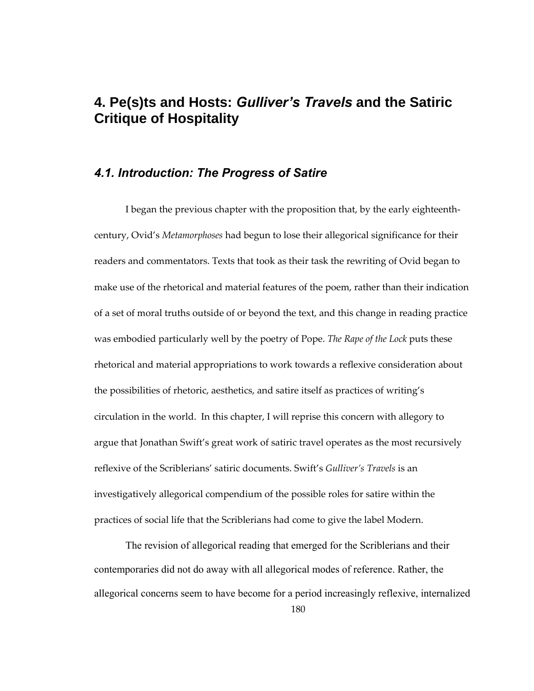## **4. Pe(s)ts and Hosts:** *Gulliver's Travels* **and the Satiric Critique of Hospitality**

## *4.1. Introduction: The Progress of Satire*

I began the previous chapter with the proposition that, by the early eighteenthcentury, Ovid's *Metamorphoses* had begun to lose their allegorical significance for their readers and commentators. Texts that took as their task the rewriting of Ovid began to make use of the rhetorical and material features of the poem, rather than their indication of a set of moral truths outside of or beyond the text, and this change in reading practice was embodied particularly well by the poetry of Pope. *The Rape of the Lock* puts these rhetorical and material appropriations to work towards a reflexive consideration about the possibilities of rhetoric, aesthetics, and satire itself as practices of writing's circulation in the world. In this chapter, I will reprise this concern with allegory to argue that Jonathan Swift's great work of satiric travel operates as the most recursively reflexive of the Scriblerians' satiric documents. Swift's *Gulliver's Travels* is an investigatively allegorical compendium of the possible roles for satire within the practices of social life that the Scriblerians had come to give the label Modern.

The revision of allegorical reading that emerged for the Scriblerians and their contemporaries did not do away with all allegorical modes of reference. Rather, the allegorical concerns seem to have become for a period increasingly reflexive, internalized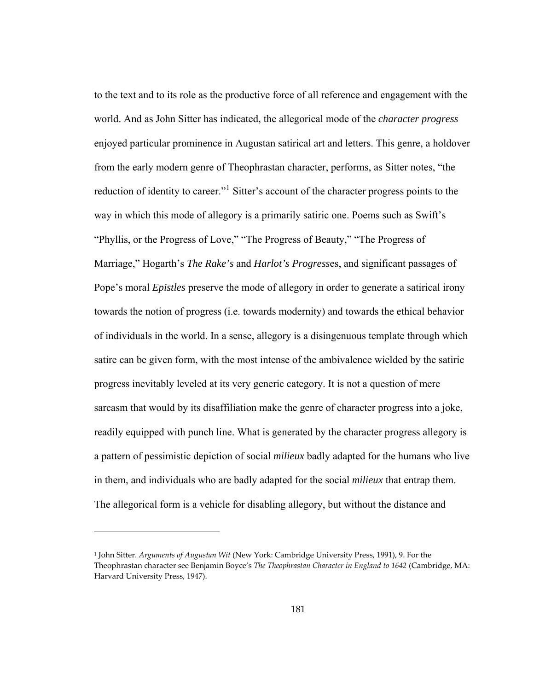to the text and to its role as the productive force of all reference and engagement with the world. And as John Sitter has indicated, the allegorical mode of the *character progress* enjoyed particular prominence in Augustan satirical art and letters. This genre, a holdover from the early modern genre of Theophrastan character, performs, as Sitter notes, "the reduction of identity to career."<sup>[1](#page-214-0)</sup> Sitter's account of the character progress points to the way in which this mode of allegory is a primarily satiric one. Poems such as Swift's "Phyllis, or the Progress of Love," "The Progress of Beauty," "The Progress of Marriage," Hogarth's *The Rake's* and *Harlot's Progress*es, and significant passages of Pope's moral *Epistles* preserve the mode of allegory in order to generate a satirical irony towards the notion of progress (i.e. towards modernity) and towards the ethical behavior of individuals in the world. In a sense, allegory is a disingenuous template through which satire can be given form, with the most intense of the ambivalence wielded by the satiric progress inevitably leveled at its very generic category. It is not a question of mere sarcasm that would by its disaffiliation make the genre of character progress into a joke, readily equipped with punch line. What is generated by the character progress allegory is a pattern of pessimistic depiction of social *milieux* badly adapted for the humans who live in them, and individuals who are badly adapted for the social *milieux* that entrap them. The allegorical form is a vehicle for disabling allegory, but without the distance and

1

<span id="page-214-0"></span><sup>1</sup> John Sitter. *Arguments of Augustan Wit* (New York: Cambridge University Press, 1991), 9. For the Theophrastan character see Benjamin Boyce's *The Theophrastan Character in England to 1642* (Cambridge, MA: Harvard University Press, 1947).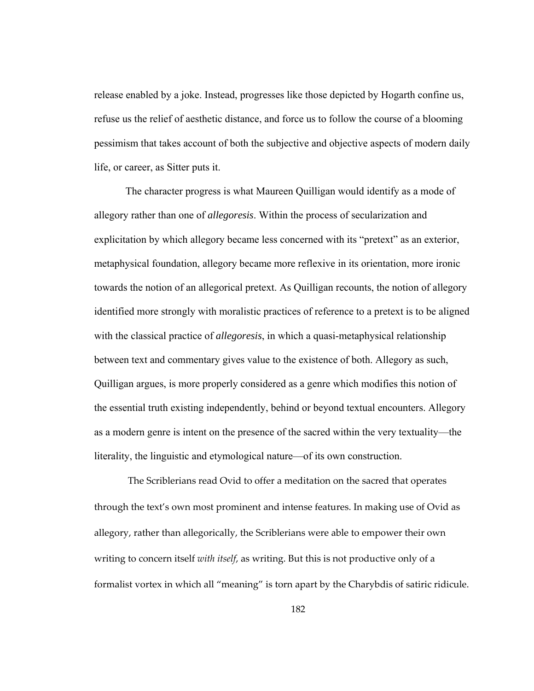release enabled by a joke. Instead, progresses like those depicted by Hogarth confine us, refuse us the relief of aesthetic distance, and force us to follow the course of a blooming pessimism that takes account of both the subjective and objective aspects of modern daily life, or career, as Sitter puts it.

The character progress is what Maureen Quilligan would identify as a mode of allegory rather than one of *allegoresis*. Within the process of secularization and explicitation by which allegory became less concerned with its "pretext" as an exterior, metaphysical foundation, allegory became more reflexive in its orientation, more ironic towards the notion of an allegorical pretext. As Quilligan recounts, the notion of allegory identified more strongly with moralistic practices of reference to a pretext is to be aligned with the classical practice of *allegoresis*, in which a quasi-metaphysical relationship between text and commentary gives value to the existence of both. Allegory as such, Quilligan argues, is more properly considered as a genre which modifies this notion of the essential truth existing independently, behind or beyond textual encounters. Allegory as a modern genre is intent on the presence of the sacred within the very textuality—the literality, the linguistic and etymological nature—of its own construction.

 The Scriblerians read Ovid to offer a meditation on the sacred that operates through the text's own most prominent and intense features. In making use of Ovid as allegory, rather than allegorically, the Scriblerians were able to empower their own writing to concern itself *with itself*, as writing. But this is not productive only of a formalist vortex in which all "meaning" is torn apart by the Charybdis of satiric ridicule.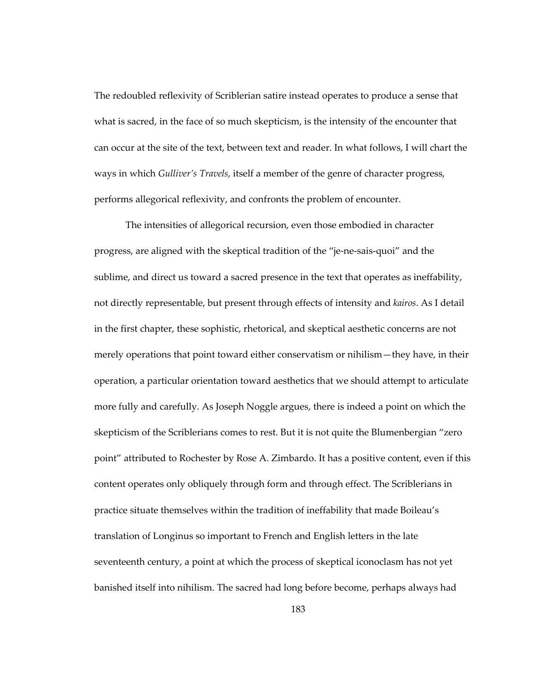The redoubled reflexivity of Scriblerian satire instead operates to produce a sense that what is sacred, in the face of so much skepticism, is the intensity of the encounter that can occur at the site of the text, between text and reader. In what follows, I will chart the ways in which *Gulliver's Travels*, itself a member of the genre of character progress, performs allegorical reflexivity, and confronts the problem of encounter.

The intensities of allegorical recursion, even those embodied in character progress, are aligned with the skeptical tradition of the "je-ne-sais-quoi" and the sublime, and direct us toward a sacred presence in the text that operates as ineffability, not directly representable, but present through effects of intensity and *kairos*. As I detail in the first chapter, these sophistic, rhetorical, and skeptical aesthetic concerns are not merely operations that point toward either conservatism or nihilism—they have, in their operation, a particular orientation toward aesthetics that we should attempt to articulate more fully and carefully. As Joseph Noggle argues, there is indeed a point on which the skepticism of the Scriblerians comes to rest. But it is not quite the Blumenbergian "zero point" attributed to Rochester by Rose A. Zimbardo. It has a positive content, even if this content operates only obliquely through form and through effect. The Scriblerians in practice situate themselves within the tradition of ineffability that made Boileau's translation of Longinus so important to French and English letters in the late seventeenth century, a point at which the process of skeptical iconoclasm has not yet banished itself into nihilism. The sacred had long before become, perhaps always had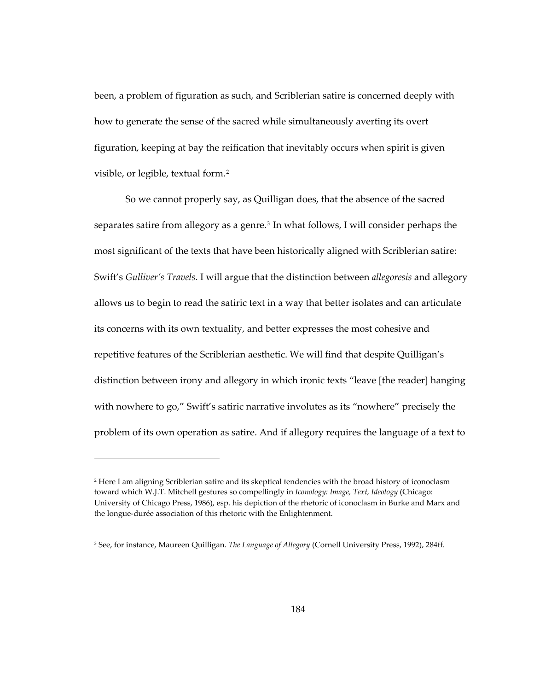been, a problem of figuration as such, and Scriblerian satire is concerned deeply with how to generate the sense of the sacred while simultaneously averting its overt figuration, keeping at bay the reification that inevitably occurs when spirit is given visible, or legible, textual form.[2](#page-217-0)

So we cannot properly say, as Quilligan does, that the absence of the sacred separates satire from allegory as a genre.<sup>[3](#page-217-1)</sup> In what follows, I will consider perhaps the most significant of the texts that have been historically aligned with Scriblerian satire: Swift's *Gulliver's Travels*. I will argue that the distinction between *allegoresis* and allegory allows us to begin to read the satiric text in a way that better isolates and can articulate its concerns with its own textuality, and better expresses the most cohesive and repetitive features of the Scriblerian aesthetic. We will find that despite Quilligan's distinction between irony and allegory in which ironic texts "leave [the reader] hanging with nowhere to go," Swift's satiric narrative involutes as its "nowhere" precisely the problem of its own operation as satire. And if allegory requires the language of a text to

<span id="page-217-0"></span><sup>2</sup> Here I am aligning Scriblerian satire and its skeptical tendencies with the broad history of iconoclasm toward which W.J.T. Mitchell gestures so compellingly in *Iconology: Image, Text, Ideology* (Chicago: University of Chicago Press, 1986), esp. his depiction of the rhetoric of iconoclasm in Burke and Marx and the longue-durée association of this rhetoric with the Enlightenment.

<span id="page-217-1"></span><sup>3</sup> See, for instance, Maureen Quilligan. *The Language of Allegory* (Cornell University Press, 1992), 284ff.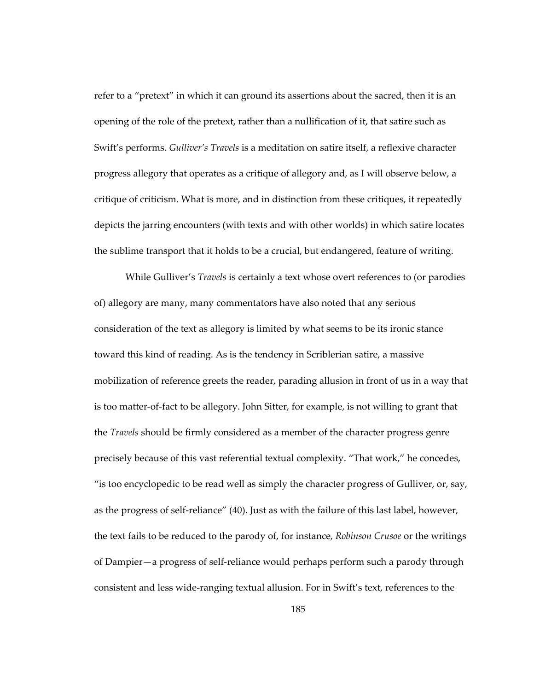refer to a "pretext" in which it can ground its assertions about the sacred, then it is an opening of the role of the pretext, rather than a nullification of it, that satire such as Swift's performs. *Gulliver's Travels* is a meditation on satire itself, a reflexive character progress allegory that operates as a critique of allegory and, as I will observe below, a critique of criticism. What is more, and in distinction from these critiques, it repeatedly depicts the jarring encounters (with texts and with other worlds) in which satire locates the sublime transport that it holds to be a crucial, but endangered, feature of writing.

While Gulliver's *Travels* is certainly a text whose overt references to (or parodies of) allegory are many, many commentators have also noted that any serious consideration of the text as allegory is limited by what seems to be its ironic stance toward this kind of reading. As is the tendency in Scriblerian satire, a massive mobilization of reference greets the reader, parading allusion in front of us in a way that is too matter-of-fact to be allegory. John Sitter, for example, is not willing to grant that the *Travels* should be firmly considered as a member of the character progress genre precisely because of this vast referential textual complexity. "That work," he concedes, "is too encyclopedic to be read well as simply the character progress of Gulliver, or, say, as the progress of self-reliance" (40). Just as with the failure of this last label, however, the text fails to be reduced to the parody of, for instance, *Robinson Crusoe* or the writings of Dampier—a progress of self-reliance would perhaps perform such a parody through consistent and less wide-ranging textual allusion. For in Swift's text, references to the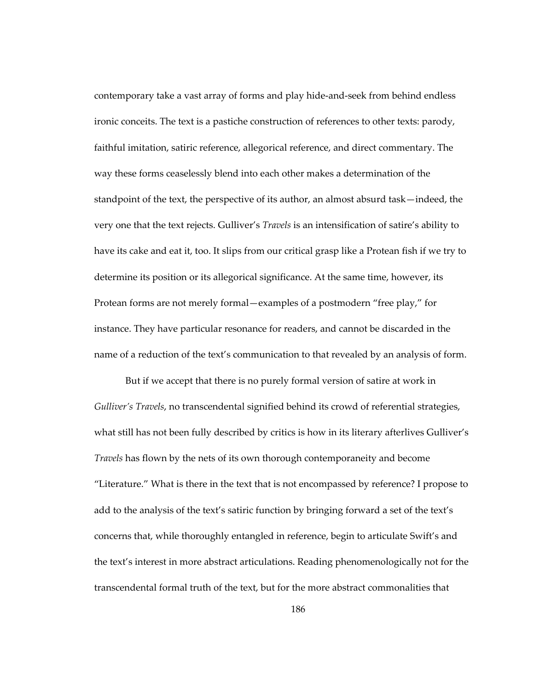contemporary take a vast array of forms and play hide-and-seek from behind endless ironic conceits. The text is a pastiche construction of references to other texts: parody, faithful imitation, satiric reference, allegorical reference, and direct commentary. The way these forms ceaselessly blend into each other makes a determination of the standpoint of the text, the perspective of its author, an almost absurd task—indeed, the very one that the text rejects. Gulliver's *Travels* is an intensification of satire's ability to have its cake and eat it, too. It slips from our critical grasp like a Protean fish if we try to determine its position or its allegorical significance. At the same time, however, its Protean forms are not merely formal—examples of a postmodern "free play," for instance. They have particular resonance for readers, and cannot be discarded in the name of a reduction of the text's communication to that revealed by an analysis of form.

But if we accept that there is no purely formal version of satire at work in *Gulliver's Travels*, no transcendental signified behind its crowd of referential strategies, what still has not been fully described by critics is how in its literary afterlives Gulliver's *Travels* has flown by the nets of its own thorough contemporaneity and become "Literature." What is there in the text that is not encompassed by reference? I propose to add to the analysis of the text's satiric function by bringing forward a set of the text's concerns that, while thoroughly entangled in reference, begin to articulate Swift's and the text's interest in more abstract articulations. Reading phenomenologically not for the transcendental formal truth of the text, but for the more abstract commonalities that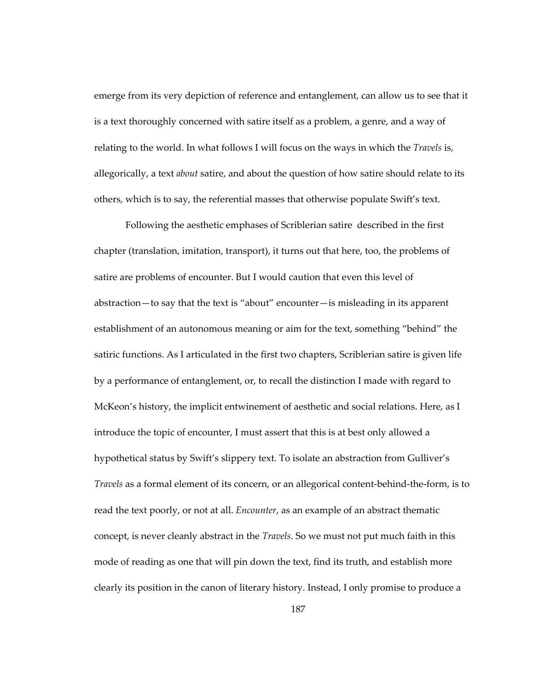emerge from its very depiction of reference and entanglement, can allow us to see that it is a text thoroughly concerned with satire itself as a problem, a genre, and a way of relating to the world. In what follows I will focus on the ways in which the *Travels* is, allegorically, a text *about* satire, and about the question of how satire should relate to its others, which is to say, the referential masses that otherwise populate Swift's text.

Following the aesthetic emphases of Scriblerian satire described in the first chapter (translation, imitation, transport), it turns out that here, too, the problems of satire are problems of encounter. But I would caution that even this level of abstraction—to say that the text is "about" encounter—is misleading in its apparent establishment of an autonomous meaning or aim for the text, something "behind" the satiric functions. As I articulated in the first two chapters, Scriblerian satire is given life by a performance of entanglement, or, to recall the distinction I made with regard to McKeon's history, the implicit entwinement of aesthetic and social relations. Here, as I introduce the topic of encounter, I must assert that this is at best only allowed a hypothetical status by Swift's slippery text. To isolate an abstraction from Gulliver's *Travels* as a formal element of its concern, or an allegorical content-behind-the-form, is to read the text poorly, or not at all. *Encounter*, as an example of an abstract thematic concept, is never cleanly abstract in the *Travels*. So we must not put much faith in this mode of reading as one that will pin down the text, find its truth, and establish more clearly its position in the canon of literary history. Instead, I only promise to produce a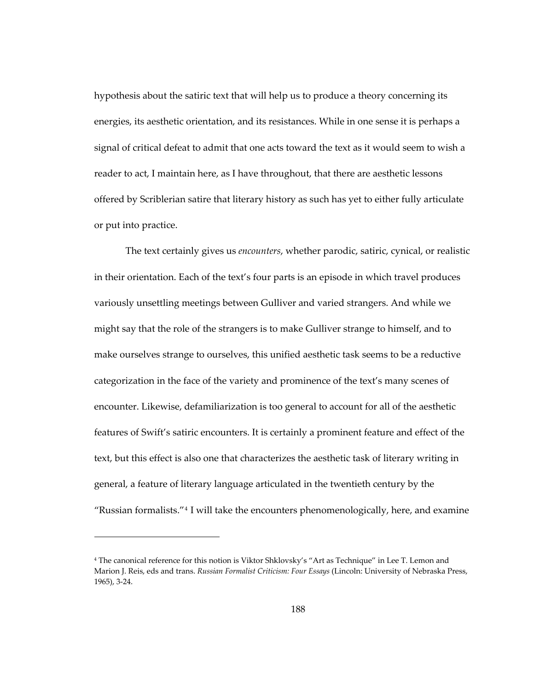hypothesis about the satiric text that will help us to produce a theory concerning its energies, its aesthetic orientation, and its resistances. While in one sense it is perhaps a signal of critical defeat to admit that one acts toward the text as it would seem to wish a reader to act, I maintain here, as I have throughout, that there are aesthetic lessons offered by Scriblerian satire that literary history as such has yet to either fully articulate or put into practice.

The text certainly gives us *encounters*, whether parodic, satiric, cynical, or realistic in their orientation. Each of the text's four parts is an episode in which travel produces variously unsettling meetings between Gulliver and varied strangers. And while we might say that the role of the strangers is to make Gulliver strange to himself, and to make ourselves strange to ourselves, this unified aesthetic task seems to be a reductive categorization in the face of the variety and prominence of the text's many scenes of encounter. Likewise, defamiliarization is too general to account for all of the aesthetic features of Swift's satiric encounters. It is certainly a prominent feature and effect of the text, but this effect is also one that characterizes the aesthetic task of literary writing in general, a feature of literary language articulated in the twentieth century by the "Russian formalists."[4](#page-221-0) I will take the encounters phenomenologically, here, and examine

<span id="page-221-0"></span><sup>&</sup>lt;sup>4</sup> The canonical reference for this notion is Viktor Shklovsky's "Art as Technique" in Lee T. Lemon and Marion J. Reis, eds and trans. *Russian Formalist Criticism: Four Essays* (Lincoln: University of Nebraska Press, 1965), 3-24.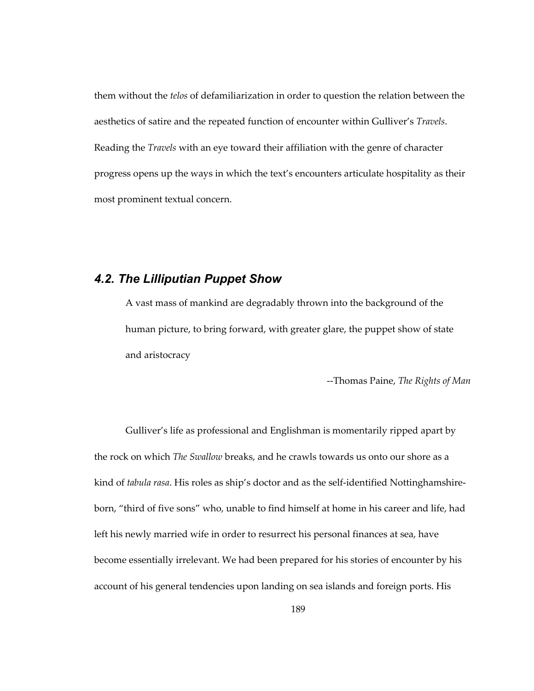them without the *telos* of defamiliarization in order to question the relation between the aesthetics of satire and the repeated function of encounter within Gulliver's *Travels*. Reading the *Travels* with an eye toward their affiliation with the genre of character progress opens up the ways in which the text's encounters articulate hospitality as their most prominent textual concern.

## *4.2. The Lilliputian Puppet Show*

A vast mass of mankind are degradably thrown into the background of the human picture, to bring forward, with greater glare, the puppet show of state and aristocracy

--Thomas Paine, *The Rights of Man* 

Gulliver's life as professional and Englishman is momentarily ripped apart by the rock on which *The Swallow* breaks, and he crawls towards us onto our shore as a kind of *tabula rasa*. His roles as ship's doctor and as the self-identified Nottinghamshireborn, "third of five sons" who, unable to find himself at home in his career and life, had left his newly married wife in order to resurrect his personal finances at sea, have become essentially irrelevant. We had been prepared for his stories of encounter by his account of his general tendencies upon landing on sea islands and foreign ports. His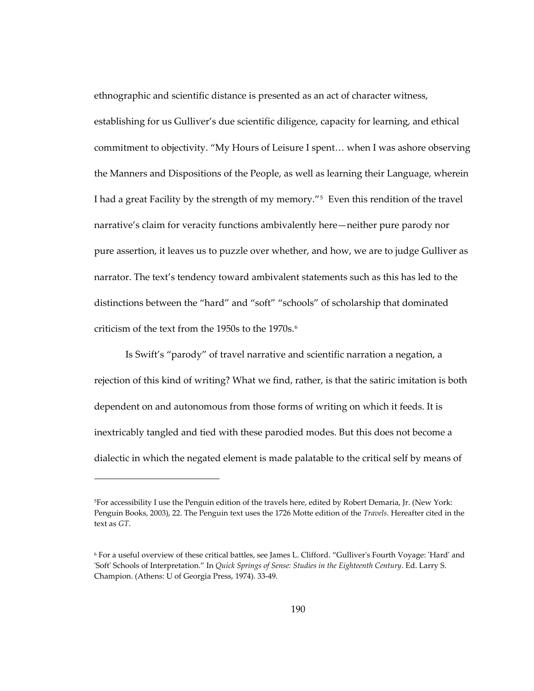ethnographic and scientific distance is presented as an act of character witness, establishing for us Gulliver's due scientific diligence, capacity for learning, and ethical commitment to objectivity. "My Hours of Leisure I spent… when I was ashore observing the Manners and Dispositions of the People, as well as learning their Language, wherein I had a great Facility by the strength of my memory."[5](#page-223-0) Even this rendition of the travel narrative's claim for veracity functions ambivalently here—neither pure parody nor pure assertion, it leaves us to puzzle over whether, and how, we are to judge Gulliver as narrator. The text's tendency toward ambivalent statements such as this has led to the distinctions between the "hard" and "soft" "schools" of scholarship that dominated criticism of the text from the 1950s to the 1970s.[6](#page-223-1)

Is Swift's "parody" of travel narrative and scientific narration a negation, a rejection of this kind of writing? What we find, rather, is that the satiric imitation is both dependent on and autonomous from those forms of writing on which it feeds. It is inextricably tangled and tied with these parodied modes. But this does not become a dialectic in which the negated element is made palatable to the critical self by means of

<span id="page-223-0"></span><sup>5</sup>For accessibility I use the Penguin edition of the travels here, edited by Robert Demaria, Jr. (New York: Penguin Books, 2003), 22. The Penguin text uses the 1726 Motte edition of the *Travels*. Hereafter cited in the text as *GT*.

<span id="page-223-1"></span><sup>6</sup> For a useful overview of these critical battles, see James L. Clifford. "Gulliver's Fourth Voyage: 'Hard' and 'Soft' Schools of Interpretation." In *Quick Springs of Sense: Studies in the Eighteenth Century*. Ed. Larry S. Champion. (Athens: U of Georgia Press, 1974). 33-49.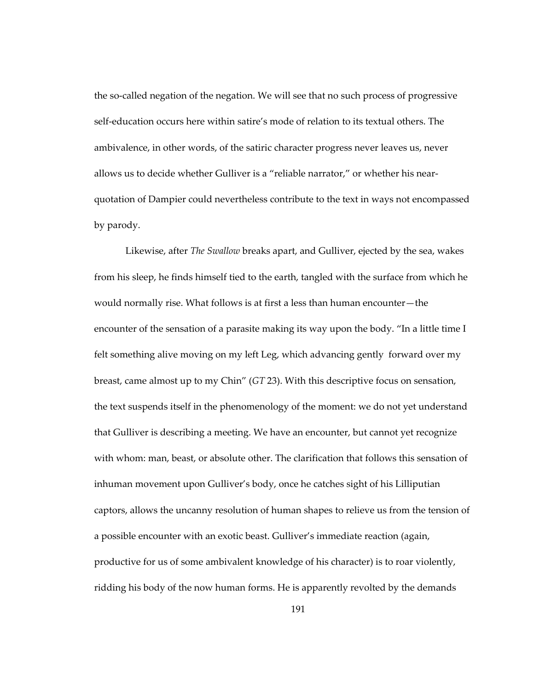the so-called negation of the negation. We will see that no such process of progressive self-education occurs here within satire's mode of relation to its textual others. The ambivalence, in other words, of the satiric character progress never leaves us, never allows us to decide whether Gulliver is a "reliable narrator," or whether his nearquotation of Dampier could nevertheless contribute to the text in ways not encompassed by parody.

Likewise, after *The Swallow* breaks apart, and Gulliver, ejected by the sea, wakes from his sleep, he finds himself tied to the earth, tangled with the surface from which he would normally rise. What follows is at first a less than human encounter—the encounter of the sensation of a parasite making its way upon the body. "In a little time I felt something alive moving on my left Leg, which advancing gently forward over my breast, came almost up to my Chin" (*GT* 23). With this descriptive focus on sensation, the text suspends itself in the phenomenology of the moment: we do not yet understand that Gulliver is describing a meeting. We have an encounter, but cannot yet recognize with whom: man, beast, or absolute other. The clarification that follows this sensation of inhuman movement upon Gulliver's body, once he catches sight of his Lilliputian captors, allows the uncanny resolution of human shapes to relieve us from the tension of a possible encounter with an exotic beast. Gulliver's immediate reaction (again, productive for us of some ambivalent knowledge of his character) is to roar violently, ridding his body of the now human forms. He is apparently revolted by the demands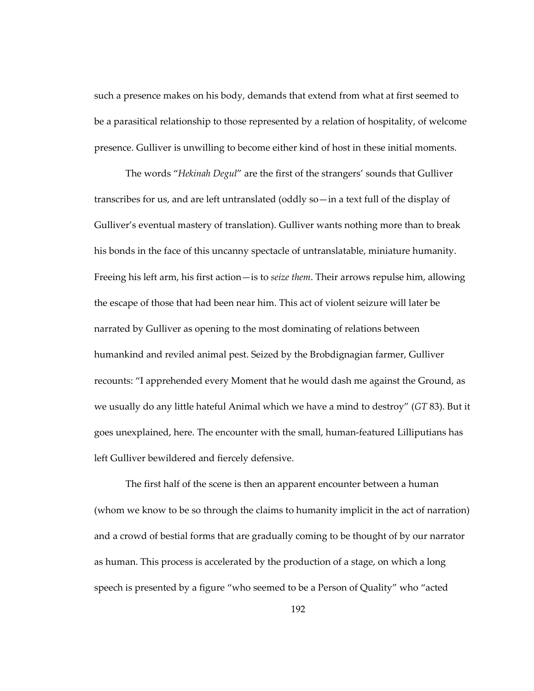such a presence makes on his body, demands that extend from what at first seemed to be a parasitical relationship to those represented by a relation of hospitality, of welcome presence. Gulliver is unwilling to become either kind of host in these initial moments.

The words "*Hekinah Degul*" are the first of the strangers' sounds that Gulliver transcribes for us, and are left untranslated (oddly so—in a text full of the display of Gulliver's eventual mastery of translation). Gulliver wants nothing more than to break his bonds in the face of this uncanny spectacle of untranslatable, miniature humanity. Freeing his left arm, his first action—is to *seize them*. Their arrows repulse him, allowing the escape of those that had been near him. This act of violent seizure will later be narrated by Gulliver as opening to the most dominating of relations between humankind and reviled animal pest. Seized by the Brobdignagian farmer, Gulliver recounts: "I apprehended every Moment that he would dash me against the Ground, as we usually do any little hateful Animal which we have a mind to destroy" (*GT* 83). But it goes unexplained, here. The encounter with the small, human-featured Lilliputians has left Gulliver bewildered and fiercely defensive.

The first half of the scene is then an apparent encounter between a human (whom we know to be so through the claims to humanity implicit in the act of narration) and a crowd of bestial forms that are gradually coming to be thought of by our narrator as human. This process is accelerated by the production of a stage, on which a long speech is presented by a figure "who seemed to be a Person of Quality" who "acted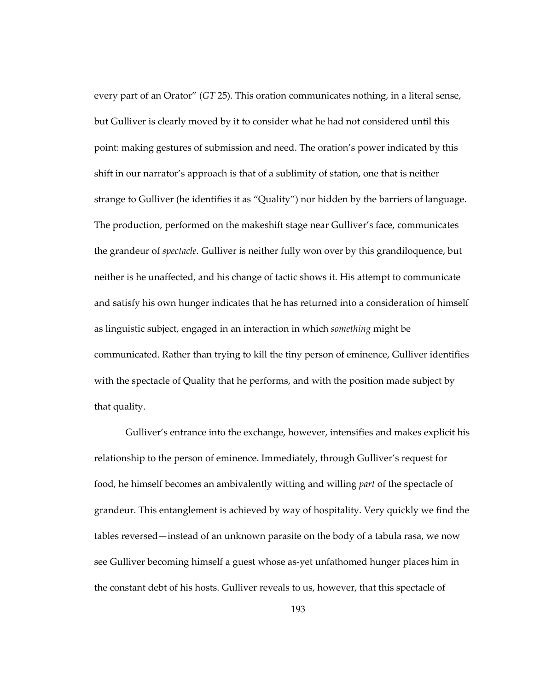every part of an Orator" (*GT* 25). This oration communicates nothing, in a literal sense, but Gulliver is clearly moved by it to consider what he had not considered until this point: making gestures of submission and need. The oration's power indicated by this shift in our narrator's approach is that of a sublimity of station, one that is neither strange to Gulliver (he identifies it as "Quality") nor hidden by the barriers of language. The production, performed on the makeshift stage near Gulliver's face, communicates the grandeur of *spectacle*. Gulliver is neither fully won over by this grandiloquence, but neither is he unaffected, and his change of tactic shows it. His attempt to communicate and satisfy his own hunger indicates that he has returned into a consideration of himself as linguistic subject, engaged in an interaction in which *something* might be communicated. Rather than trying to kill the tiny person of eminence, Gulliver identifies with the spectacle of Quality that he performs, and with the position made subject by that quality.

Gulliver's entrance into the exchange, however, intensifies and makes explicit his relationship to the person of eminence. Immediately, through Gulliver's request for food, he himself becomes an ambivalently witting and willing *part* of the spectacle of grandeur. This entanglement is achieved by way of hospitality. Very quickly we find the tables reversed—instead of an unknown parasite on the body of a tabula rasa, we now see Gulliver becoming himself a guest whose as-yet unfathomed hunger places him in the constant debt of his hosts. Gulliver reveals to us, however, that this spectacle of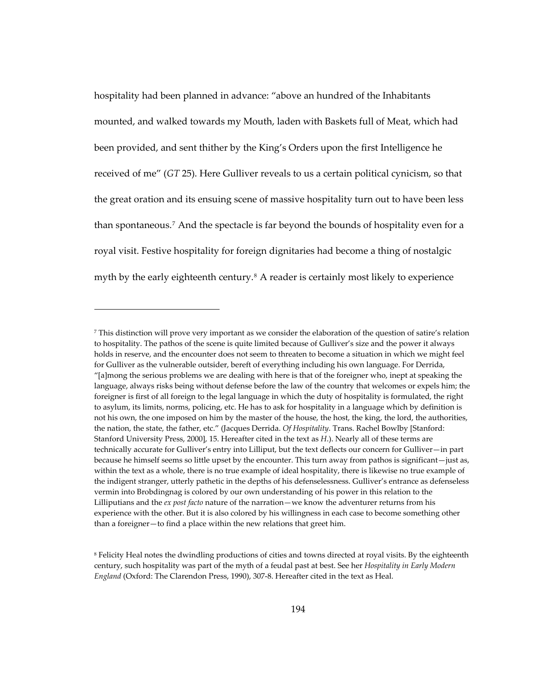hospitality had been planned in advance: "above an hundred of the Inhabitants mounted, and walked towards my Mouth, laden with Baskets full of Meat, which had been provided, and sent thither by the King's Orders upon the first Intelligence he received of me" (*GT* 25). Here Gulliver reveals to us a certain political cynicism, so that the great oration and its ensuing scene of massive hospitality turn out to have been less than spontaneous.[7](#page-227-0) And the spectacle is far beyond the bounds of hospitality even for a royal visit. Festive hospitality for foreign dignitaries had become a thing of nostalgic myth by the early eighteenth century.<sup>[8](#page-227-1)</sup> A reader is certainly most likely to experience

<span id="page-227-0"></span><sup>7</sup> This distinction will prove very important as we consider the elaboration of the question of satire's relation to hospitality. The pathos of the scene is quite limited because of Gulliver's size and the power it always holds in reserve, and the encounter does not seem to threaten to become a situation in which we might feel for Gulliver as the vulnerable outsider, bereft of everything including his own language. For Derrida, "[a]mong the serious problems we are dealing with here is that of the foreigner who, inept at speaking the language, always risks being without defense before the law of the country that welcomes or expels him; the foreigner is first of all foreign to the legal language in which the duty of hospitality is formulated, the right to asylum, its limits, norms, policing, etc. He has to ask for hospitality in a language which by definition is not his own, the one imposed on him by the master of the house, the host, the king, the lord, the authorities, the nation, the state, the father, etc." (Jacques Derrida. *Of Hospitality*. Trans. Rachel Bowlby [Stanford: Stanford University Press, 2000], 15. Hereafter cited in the text as *H*.). Nearly all of these terms are technically accurate for Gulliver's entry into Lilliput, but the text deflects our concern for Gulliver—in part because he himself seems so little upset by the encounter. This turn away from pathos is significant—just as, within the text as a whole, there is no true example of ideal hospitality, there is likewise no true example of the indigent stranger, utterly pathetic in the depths of his defenselessness. Gulliver's entrance as defenseless vermin into Brobdingnag is colored by our own understanding of his power in this relation to the Lilliputians and the *ex post facto* nature of the narration—we know the adventurer returns from his experience with the other. But it is also colored by his willingness in each case to become something other than a foreigner—to find a place within the new relations that greet him.

<span id="page-227-1"></span><sup>8</sup> Felicity Heal notes the dwindling productions of cities and towns directed at royal visits. By the eighteenth century, such hospitality was part of the myth of a feudal past at best. See her *Hospitality in Early Modern England* (Oxford: The Clarendon Press, 1990), 307-8. Hereafter cited in the text as Heal.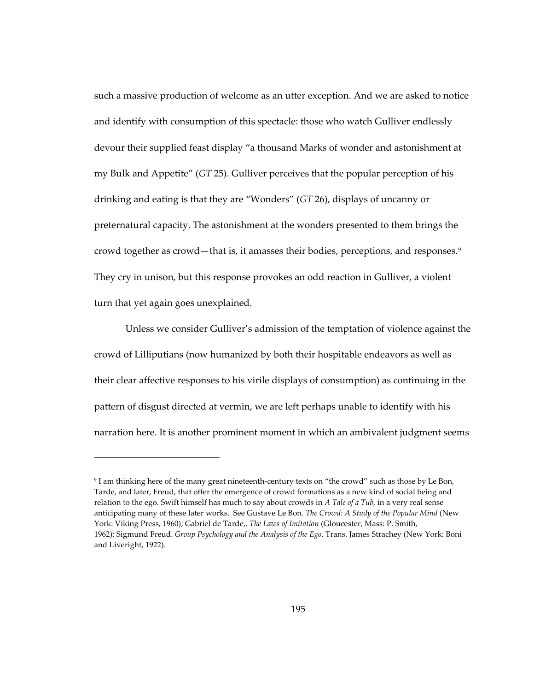such a massive production of welcome as an utter exception. And we are asked to notice and identify with consumption of this spectacle: those who watch Gulliver endlessly devour their supplied feast display "a thousand Marks of wonder and astonishment at my Bulk and Appetite" (*GT* 25). Gulliver perceives that the popular perception of his drinking and eating is that they are "Wonders" (*GT* 26), displays of uncanny or preternatural capacity. The astonishment at the wonders presented to them brings the crowd together as crowd—that is, it amasses their bodies, perceptions, and responses.[9](#page-228-0) They cry in unison, but this response provokes an odd reaction in Gulliver, a violent turn that yet again goes unexplained.

Unless we consider Gulliver's admission of the temptation of violence against the crowd of Lilliputians (now humanized by both their hospitable endeavors as well as their clear affective responses to his virile displays of consumption) as continuing in the pattern of disgust directed at vermin, we are left perhaps unable to identify with his narration here. It is another prominent moment in which an ambivalent judgment seems

<span id="page-228-0"></span><sup>9</sup> I am thinking here of the many great nineteenth-century texts on "the crowd" such as those by Le Bon, Tarde, and later, Freud, that offer the emergence of crowd formations as a new kind of social being and relation to the ego. Swift himself has much to say about crowds in *A Tale of a Tub,* in a very real sense anticipating many of these later works. See Gustave Le Bon. *The Crowd: A Study of the Popular Mind* (New York: Viking Press, 1960); Gabriel de Tarde,. *The Laws of Imitation* (Gloucester, Mass: P. Smith, 1962); Sigmund Freud. *Group Psychology and the Analysis of the Ego*. Trans. James Strachey (New York: Boni and Liveright, 1922).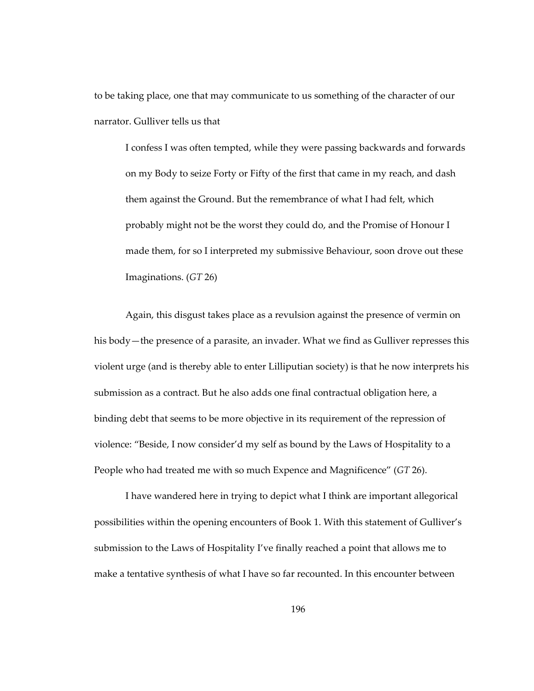to be taking place, one that may communicate to us something of the character of our narrator. Gulliver tells us that

I confess I was often tempted, while they were passing backwards and forwards on my Body to seize Forty or Fifty of the first that came in my reach, and dash them against the Ground. But the remembrance of what I had felt, which probably might not be the worst they could do, and the Promise of Honour I made them, for so I interpreted my submissive Behaviour, soon drove out these Imaginations. (*GT* 26)

Again, this disgust takes place as a revulsion against the presence of vermin on his body—the presence of a parasite, an invader. What we find as Gulliver represses this violent urge (and is thereby able to enter Lilliputian society) is that he now interprets his submission as a contract. But he also adds one final contractual obligation here, a binding debt that seems to be more objective in its requirement of the repression of violence: "Beside, I now consider'd my self as bound by the Laws of Hospitality to a People who had treated me with so much Expence and Magnificence" (*GT* 26).

I have wandered here in trying to depict what I think are important allegorical possibilities within the opening encounters of Book 1. With this statement of Gulliver's submission to the Laws of Hospitality I've finally reached a point that allows me to make a tentative synthesis of what I have so far recounted. In this encounter between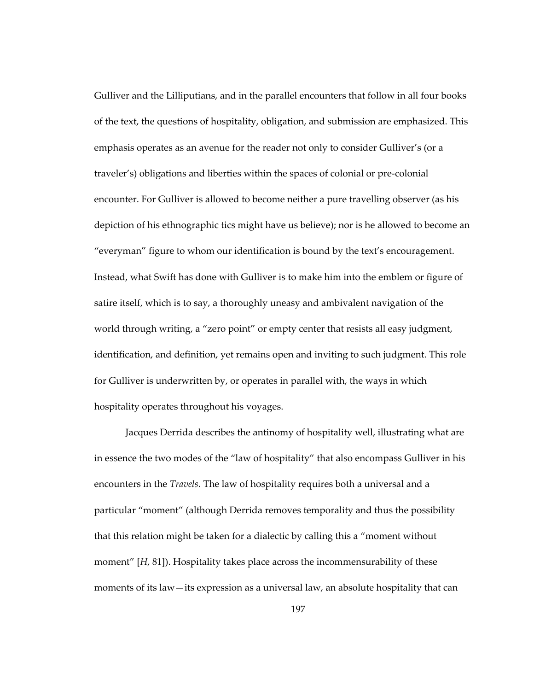Gulliver and the Lilliputians, and in the parallel encounters that follow in all four books of the text, the questions of hospitality, obligation, and submission are emphasized. This emphasis operates as an avenue for the reader not only to consider Gulliver's (or a traveler's) obligations and liberties within the spaces of colonial or pre-colonial encounter. For Gulliver is allowed to become neither a pure travelling observer (as his depiction of his ethnographic tics might have us believe); nor is he allowed to become an "everyman" figure to whom our identification is bound by the text's encouragement. Instead, what Swift has done with Gulliver is to make him into the emblem or figure of satire itself, which is to say, a thoroughly uneasy and ambivalent navigation of the world through writing, a "zero point" or empty center that resists all easy judgment, identification, and definition, yet remains open and inviting to such judgment. This role for Gulliver is underwritten by, or operates in parallel with, the ways in which hospitality operates throughout his voyages.

Jacques Derrida describes the antinomy of hospitality well, illustrating what are in essence the two modes of the "law of hospitality" that also encompass Gulliver in his encounters in the *Travels.* The law of hospitality requires both a universal and a particular "moment" (although Derrida removes temporality and thus the possibility that this relation might be taken for a dialectic by calling this a "moment without moment" [*H*, 81]). Hospitality takes place across the incommensurability of these moments of its law—its expression as a universal law, an absolute hospitality that can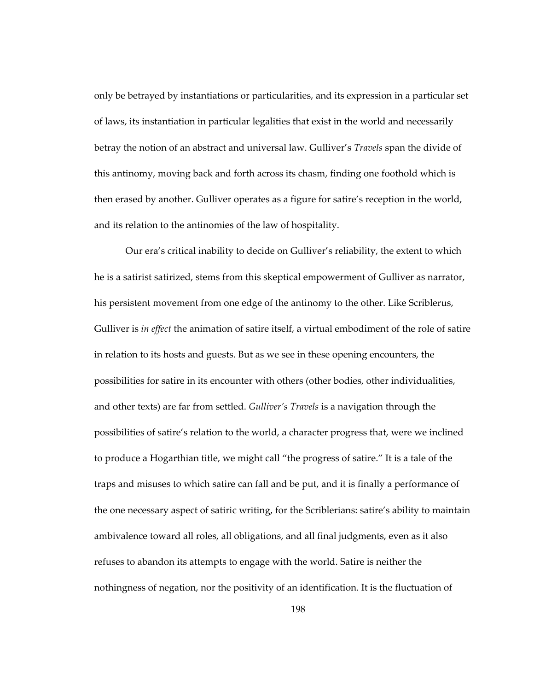only be betrayed by instantiations or particularities, and its expression in a particular set of laws, its instantiation in particular legalities that exist in the world and necessarily betray the notion of an abstract and universal law. Gulliver's *Travels* span the divide of this antinomy, moving back and forth across its chasm, finding one foothold which is then erased by another. Gulliver operates as a figure for satire's reception in the world, and its relation to the antinomies of the law of hospitality.

Our era's critical inability to decide on Gulliver's reliability, the extent to which he is a satirist satirized, stems from this skeptical empowerment of Gulliver as narrator, his persistent movement from one edge of the antinomy to the other. Like Scriblerus, Gulliver is *in effect* the animation of satire itself, a virtual embodiment of the role of satire in relation to its hosts and guests. But as we see in these opening encounters, the possibilities for satire in its encounter with others (other bodies, other individualities, and other texts) are far from settled. *Gulliver's Travels* is a navigation through the possibilities of satire's relation to the world, a character progress that, were we inclined to produce a Hogarthian title, we might call "the progress of satire." It is a tale of the traps and misuses to which satire can fall and be put, and it is finally a performance of the one necessary aspect of satiric writing, for the Scriblerians: satire's ability to maintain ambivalence toward all roles, all obligations, and all final judgments, even as it also refuses to abandon its attempts to engage with the world. Satire is neither the nothingness of negation, nor the positivity of an identification. It is the fluctuation of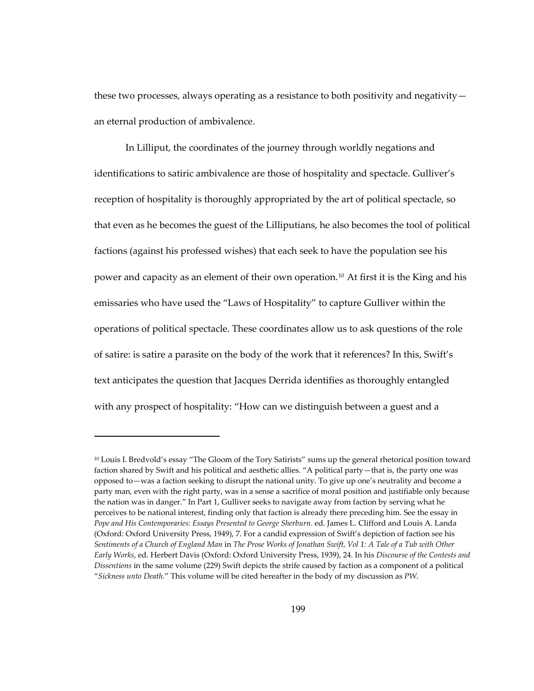these two processes, always operating as a resistance to both positivity and negativity an eternal production of ambivalence.

In Lilliput, the coordinates of the journey through worldly negations and identifications to satiric ambivalence are those of hospitality and spectacle. Gulliver's reception of hospitality is thoroughly appropriated by the art of political spectacle, so that even as he becomes the guest of the Lilliputians, he also becomes the tool of political factions (against his professed wishes) that each seek to have the population see his power and capacity as an element of their own operation.<sup>[10](#page-232-0)</sup> At first it is the King and his emissaries who have used the "Laws of Hospitality" to capture Gulliver within the operations of political spectacle. These coordinates allow us to ask questions of the role of satire: is satire a parasite on the body of the work that it references? In this, Swift's text anticipates the question that Jacques Derrida identifies as thoroughly entangled with any prospect of hospitality: "How can we distinguish between a guest and a

<span id="page-232-0"></span><sup>10</sup> Louis I. Bredvold's essay "The Gloom of the Tory Satirists" sums up the general rhetorical position toward faction shared by Swift and his political and aesthetic allies. "A political party—that is, the party one was opposed to—was a faction seeking to disrupt the national unity. To give up one's neutrality and become a party man, even with the right party, was in a sense a sacrifice of moral position and justifiable only because the nation was in danger." In Part 1, Gulliver seeks to navigate away from faction by serving what he perceives to be national interest, finding only that faction is already there preceding him. See the essay in *Pope and His Contemporaries: Essays Presented to George Sherburn*. ed. James L. Clifford and Louis A. Landa (Oxford: Oxford University Press, 1949), 7. For a candid expression of Swift's depiction of faction see his *Sentiments of a Church of England Man* in *The Prose Works of Jonathan Swift, Vol 1: A Tale of a Tub with Other Early Works*, ed. Herbert Davis (Oxford: Oxford University Press, 1939), 24. In his *Discourse of the Contests and Dissentions* in the same volume (229) Swift depicts the strife caused by faction as a component of a political "*Sickness unto Death.*" This volume will be cited hereafter in the body of my discussion as *PW*.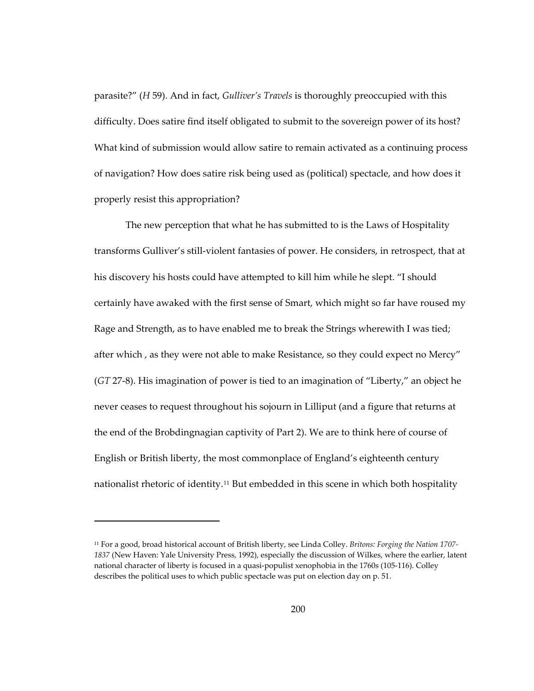parasite?" (*H* 59). And in fact, *Gulliver's Travels* is thoroughly preoccupied with this difficulty. Does satire find itself obligated to submit to the sovereign power of its host? What kind of submission would allow satire to remain activated as a continuing process of navigation? How does satire risk being used as (political) spectacle, and how does it properly resist this appropriation?

The new perception that what he has submitted to is the Laws of Hospitality transforms Gulliver's still-violent fantasies of power. He considers, in retrospect, that at his discovery his hosts could have attempted to kill him while he slept. "I should certainly have awaked with the first sense of Smart, which might so far have roused my Rage and Strength, as to have enabled me to break the Strings wherewith I was tied; after which , as they were not able to make Resistance, so they could expect no Mercy" (*GT* 27-8). His imagination of power is tied to an imagination of "Liberty," an object he never ceases to request throughout his sojourn in Lilliput (and a figure that returns at the end of the Brobdingnagian captivity of Part 2). We are to think here of course of English or British liberty, the most commonplace of England's eighteenth century nationalist rhetoric of identity.<sup>[11](#page-233-0)</sup> But embedded in this scene in which both hospitality

<span id="page-233-0"></span><sup>11</sup> For a good, broad historical account of British liberty, see Linda Colley. *Britons: Forging the Nation 1707- 1837* (New Haven: Yale University Press, 1992), especially the discussion of Wilkes, where the earlier, latent national character of liberty is focused in a quasi-populist xenophobia in the 1760s (105-116). Colley describes the political uses to which public spectacle was put on election day on p. 51.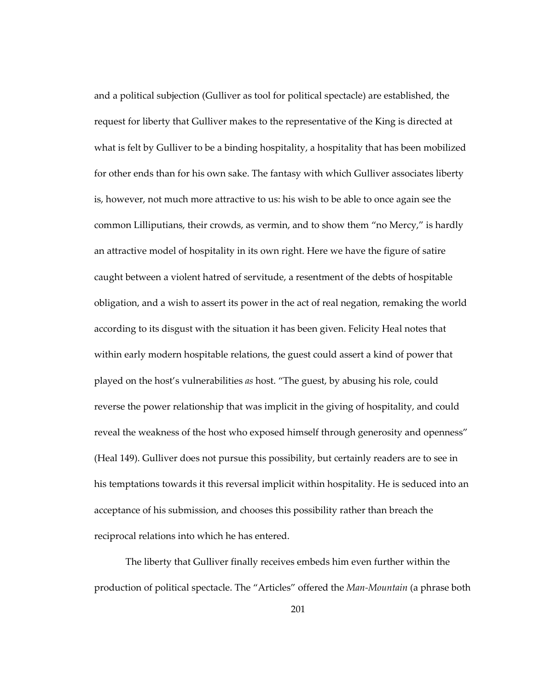and a political subjection (Gulliver as tool for political spectacle) are established, the request for liberty that Gulliver makes to the representative of the King is directed at what is felt by Gulliver to be a binding hospitality, a hospitality that has been mobilized for other ends than for his own sake. The fantasy with which Gulliver associates liberty is, however, not much more attractive to us: his wish to be able to once again see the common Lilliputians, their crowds, as vermin, and to show them "no Mercy," is hardly an attractive model of hospitality in its own right. Here we have the figure of satire caught between a violent hatred of servitude, a resentment of the debts of hospitable obligation, and a wish to assert its power in the act of real negation, remaking the world according to its disgust with the situation it has been given. Felicity Heal notes that within early modern hospitable relations, the guest could assert a kind of power that played on the host's vulnerabilities *as* host. "The guest, by abusing his role, could reverse the power relationship that was implicit in the giving of hospitality, and could reveal the weakness of the host who exposed himself through generosity and openness" (Heal 149). Gulliver does not pursue this possibility, but certainly readers are to see in his temptations towards it this reversal implicit within hospitality. He is seduced into an acceptance of his submission, and chooses this possibility rather than breach the reciprocal relations into which he has entered.

The liberty that Gulliver finally receives embeds him even further within the production of political spectacle. The "Articles" offered the *Man-Mountain* (a phrase both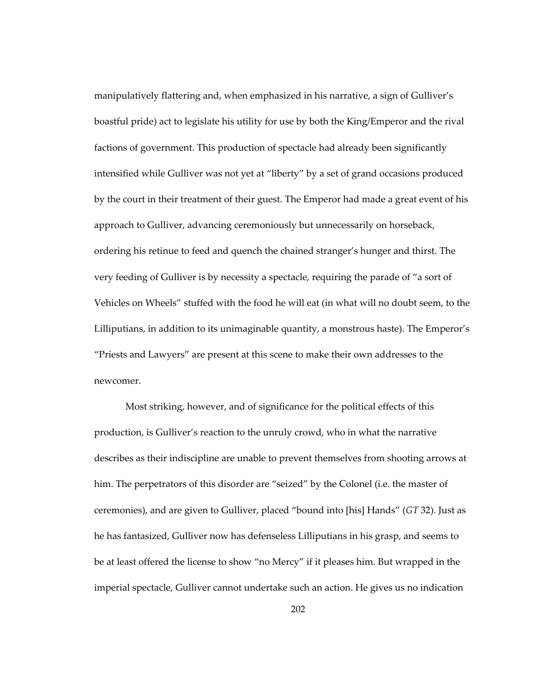manipulatively flattering and, when emphasized in his narrative, a sign of Gulliver's boastful pride) act to legislate his utility for use by both the King/Emperor and the rival factions of government. This production of spectacle had already been significantly intensified while Gulliver was not yet at "liberty" by a set of grand occasions produced by the court in their treatment of their guest. The Emperor had made a great event of his approach to Gulliver, advancing ceremoniously but unnecessarily on horseback, ordering his retinue to feed and quench the chained stranger's hunger and thirst. The very feeding of Gulliver is by necessity a spectacle, requiring the parade of "a sort of Vehicles on Wheels" stuffed with the food he will eat (in what will no doubt seem, to the Lilliputians, in addition to its unimaginable quantity, a monstrous haste). The Emperor's "Priests and Lawyers" are present at this scene to make their own addresses to the newcomer.

Most striking, however, and of significance for the political effects of this production, is Gulliver's reaction to the unruly crowd, who in what the narrative describes as their indiscipline are unable to prevent themselves from shooting arrows at him. The perpetrators of this disorder are "seized" by the Colonel (i.e. the master of ceremonies), and are given to Gulliver, placed "bound into [his] Hands" (*GT* 32). Just as he has fantasized, Gulliver now has defenseless Lilliputians in his grasp, and seems to be at least offered the license to show "no Mercy" if it pleases him. But wrapped in the imperial spectacle, Gulliver cannot undertake such an action. He gives us no indication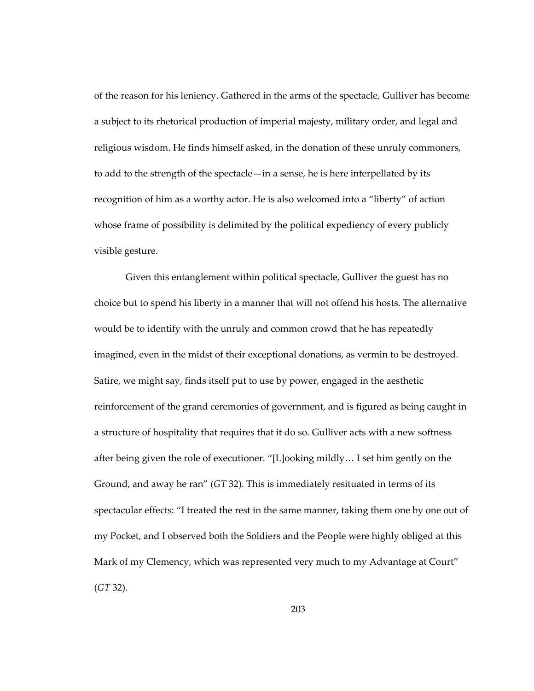of the reason for his leniency. Gathered in the arms of the spectacle, Gulliver has become a subject to its rhetorical production of imperial majesty, military order, and legal and religious wisdom. He finds himself asked, in the donation of these unruly commoners, to add to the strength of the spectacle—in a sense, he is here interpellated by its recognition of him as a worthy actor. He is also welcomed into a "liberty" of action whose frame of possibility is delimited by the political expediency of every publicly visible gesture.

Given this entanglement within political spectacle, Gulliver the guest has no choice but to spend his liberty in a manner that will not offend his hosts. The alternative would be to identify with the unruly and common crowd that he has repeatedly imagined, even in the midst of their exceptional donations, as vermin to be destroyed. Satire, we might say, finds itself put to use by power, engaged in the aesthetic reinforcement of the grand ceremonies of government, and is figured as being caught in a structure of hospitality that requires that it do so. Gulliver acts with a new softness after being given the role of executioner. "[L]ooking mildly… I set him gently on the Ground, and away he ran" (*GT* 32). This is immediately resituated in terms of its spectacular effects: "I treated the rest in the same manner, taking them one by one out of my Pocket, and I observed both the Soldiers and the People were highly obliged at this Mark of my Clemency, which was represented very much to my Advantage at Court" (*GT* 32).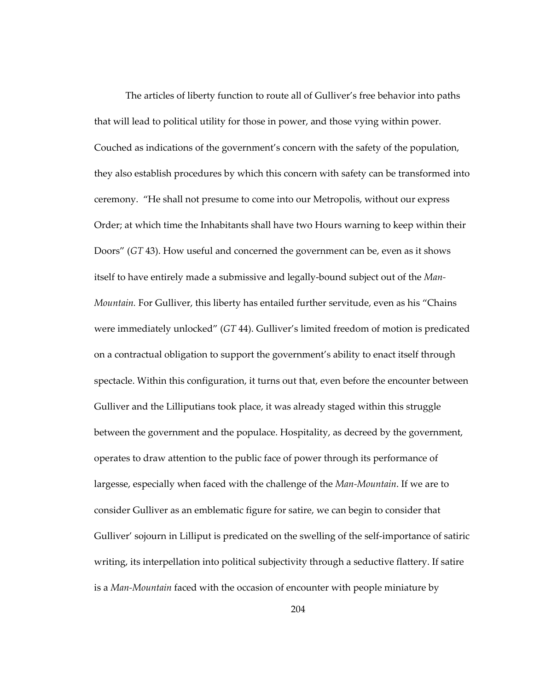The articles of liberty function to route all of Gulliver's free behavior into paths that will lead to political utility for those in power, and those vying within power. Couched as indications of the government's concern with the safety of the population, they also establish procedures by which this concern with safety can be transformed into ceremony. "He shall not presume to come into our Metropolis, without our express Order; at which time the Inhabitants shall have two Hours warning to keep within their Doors" (*GT* 43). How useful and concerned the government can be, even as it shows itself to have entirely made a submissive and legally-bound subject out of the *Man-Mountain.* For Gulliver, this liberty has entailed further servitude, even as his "Chains were immediately unlocked" (*GT* 44). Gulliver's limited freedom of motion is predicated on a contractual obligation to support the government's ability to enact itself through spectacle. Within this configuration, it turns out that, even before the encounter between Gulliver and the Lilliputians took place, it was already staged within this struggle between the government and the populace. Hospitality, as decreed by the government, operates to draw attention to the public face of power through its performance of largesse, especially when faced with the challenge of the *Man-Mountain*. If we are to consider Gulliver as an emblematic figure for satire, we can begin to consider that Gulliver' sojourn in Lilliput is predicated on the swelling of the self-importance of satiric writing, its interpellation into political subjectivity through a seductive flattery. If satire is a *Man-Mountain* faced with the occasion of encounter with people miniature by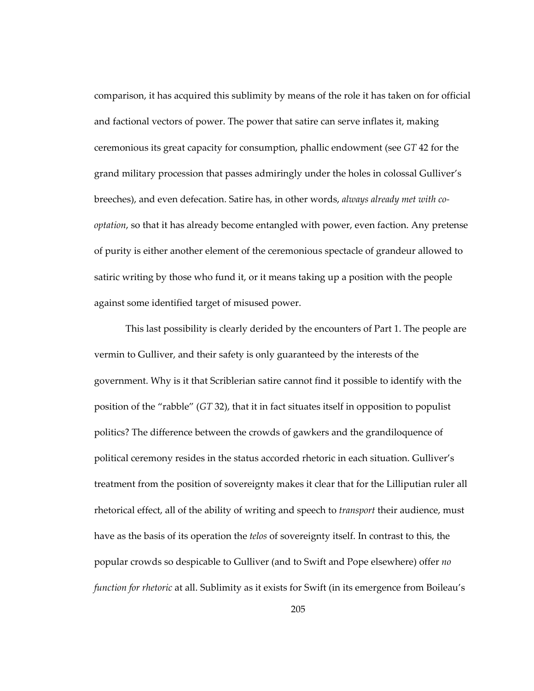comparison, it has acquired this sublimity by means of the role it has taken on for official and factional vectors of power. The power that satire can serve inflates it, making ceremonious its great capacity for consumption, phallic endowment (see *GT* 42 for the grand military procession that passes admiringly under the holes in colossal Gulliver's breeches), and even defecation. Satire has, in other words, *always already met with cooptation*, so that it has already become entangled with power, even faction. Any pretense of purity is either another element of the ceremonious spectacle of grandeur allowed to satiric writing by those who fund it, or it means taking up a position with the people against some identified target of misused power.

This last possibility is clearly derided by the encounters of Part 1. The people are vermin to Gulliver, and their safety is only guaranteed by the interests of the government. Why is it that Scriblerian satire cannot find it possible to identify with the position of the "rabble" (*GT* 32), that it in fact situates itself in opposition to populist politics? The difference between the crowds of gawkers and the grandiloquence of political ceremony resides in the status accorded rhetoric in each situation. Gulliver's treatment from the position of sovereignty makes it clear that for the Lilliputian ruler all rhetorical effect, all of the ability of writing and speech to *transport* their audience, must have as the basis of its operation the *telos* of sovereignty itself. In contrast to this, the popular crowds so despicable to Gulliver (and to Swift and Pope elsewhere) offer *no function for rhetoric* at all. Sublimity as it exists for Swift (in its emergence from Boileau's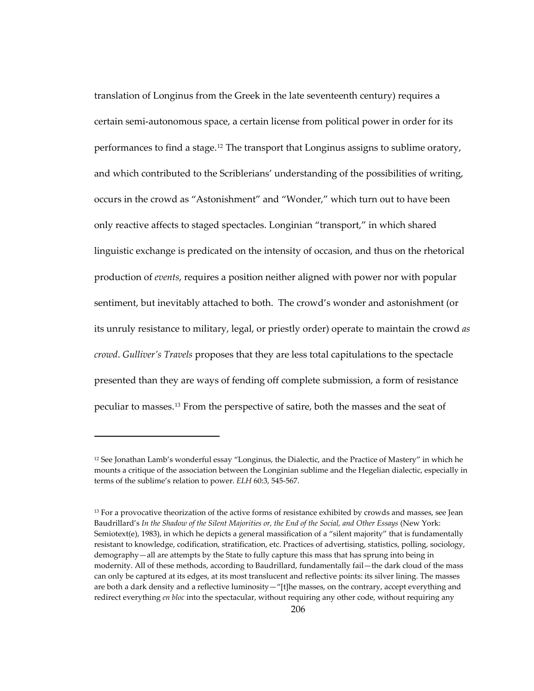translation of Longinus from the Greek in the late seventeenth century) requires a certain semi-autonomous space, a certain license from political power in order for its performances to find a stage.<sup>[12](#page-239-0)</sup> The transport that Longinus assigns to sublime oratory, and which contributed to the Scriblerians' understanding of the possibilities of writing, occurs in the crowd as "Astonishment" and "Wonder," which turn out to have been only reactive affects to staged spectacles. Longinian "transport," in which shared linguistic exchange is predicated on the intensity of occasion, and thus on the rhetorical production of *events*, requires a position neither aligned with power nor with popular sentiment, but inevitably attached to both. The crowd's wonder and astonishment (or its unruly resistance to military, legal, or priestly order) operate to maintain the crowd *as crowd*. *Gulliver's Travels* proposes that they are less total capitulations to the spectacle presented than they are ways of fending off complete submission, a form of resistance peculiar to masses.[13](#page-239-1) From the perspective of satire, both the masses and the seat of

<span id="page-239-0"></span> $12$  See Jonathan Lamb's wonderful essay "Longinus, the Dialectic, and the Practice of Mastery" in which he mounts a critique of the association between the Longinian sublime and the Hegelian dialectic, especially in terms of the sublime's relation to power. *ELH* 60:3, 545-567.

<span id="page-239-1"></span><sup>&</sup>lt;sup>13</sup> For a provocative theorization of the active forms of resistance exhibited by crowds and masses, see Jean Baudrillard's *In the Shadow of the Silent Majorities or, the End of the Social, and Other Essays* (New York: Semiotext(e), 1983), in which he depicts a general massification of a "silent majority" that is fundamentally resistant to knowledge, codification, stratification, etc. Practices of advertising, statistics, polling, sociology, demography—all are attempts by the State to fully capture this mass that has sprung into being in modernity. All of these methods, according to Baudrillard, fundamentally fail—the dark cloud of the mass can only be captured at its edges, at its most translucent and reflective points: its silver lining. The masses are both a dark density and a reflective luminosity—"[t]he masses, on the contrary, accept everything and redirect everything *en bloc* into the spectacular, without requiring any other code, without requiring any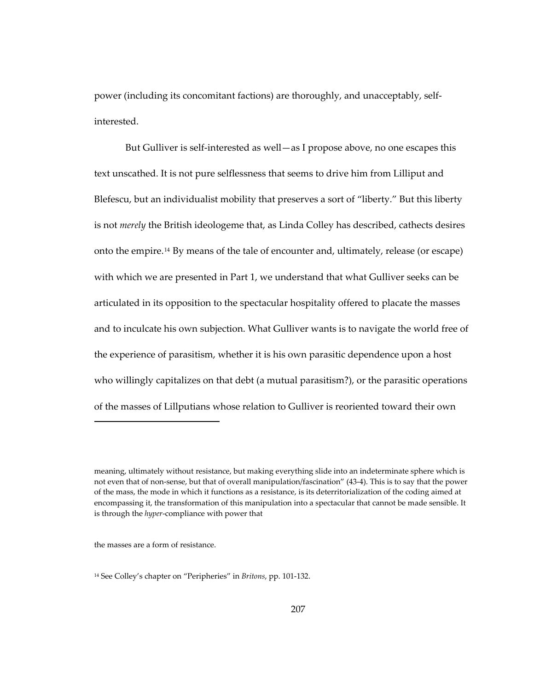power (including its concomitant factions) are thoroughly, and unacceptably, selfinterested.

But Gulliver is self-interested as well—as I propose above, no one escapes this text unscathed. It is not pure selflessness that seems to drive him from Lilliput and Blefescu, but an individualist mobility that preserves a sort of "liberty." But this liberty is not *merely* the British ideologeme that, as Linda Colley has described, cathects desires onto the empire.[14](#page-240-0) By means of the tale of encounter and, ultimately, release (or escape) with which we are presented in Part 1, we understand that what Gulliver seeks can be articulated in its opposition to the spectacular hospitality offered to placate the masses and to inculcate his own subjection. What Gulliver wants is to navigate the world free of the experience of parasitism, whether it is his own parasitic dependence upon a host who willingly capitalizes on that debt (a mutual parasitism?), or the parasitic operations of the masses of Lillputians whose relation to Gulliver is reoriented toward their own

the masses are a form of resistance.

 $\overline{a}$ 

<span id="page-240-0"></span>14 See Colley's chapter on "Peripheries" in *Britons*, pp. 101-132.

meaning, ultimately without resistance, but making everything slide into an indeterminate sphere which is not even that of non-sense, but that of overall manipulation/fascination" (43-4). This is to say that the power of the mass, the mode in which it functions as a resistance, is its deterritorialization of the coding aimed at encompassing it, the transformation of this manipulation into a spectacular that cannot be made sensible. It is through the *hyper*-compliance with power that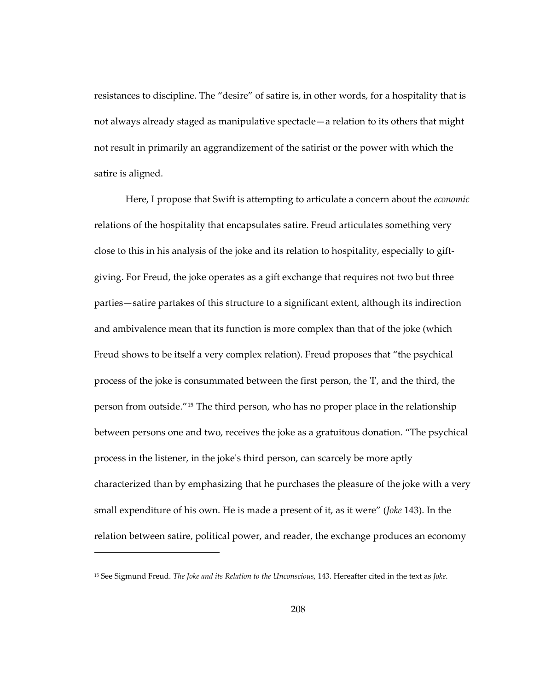resistances to discipline. The "desire" of satire is, in other words, for a hospitality that is not always already staged as manipulative spectacle—a relation to its others that might not result in primarily an aggrandizement of the satirist or the power with which the satire is aligned.

Here, I propose that Swift is attempting to articulate a concern about the *economic* relations of the hospitality that encapsulates satire. Freud articulates something very close to this in his analysis of the joke and its relation to hospitality, especially to giftgiving. For Freud, the joke operates as a gift exchange that requires not two but three parties—satire partakes of this structure to a significant extent, although its indirection and ambivalence mean that its function is more complex than that of the joke (which Freud shows to be itself a very complex relation). Freud proposes that "the psychical process of the joke is consummated between the first person, the 'I', and the third, the person from outside."[15](#page-241-0) The third person, who has no proper place in the relationship between persons one and two, receives the joke as a gratuitous donation. "The psychical process in the listener, in the joke's third person, can scarcely be more aptly characterized than by emphasizing that he purchases the pleasure of the joke with a very small expenditure of his own. He is made a present of it, as it were" (*Joke* 143). In the relation between satire, political power, and reader, the exchange produces an economy

<span id="page-241-0"></span><sup>15</sup> See Sigmund Freud. *The Joke and its Relation to the Unconscious*, 143. Hereafter cited in the text as *Joke*.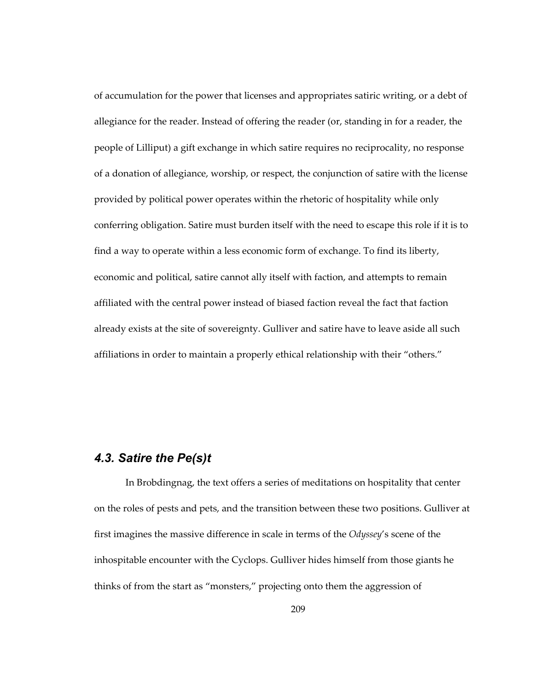of accumulation for the power that licenses and appropriates satiric writing, or a debt of allegiance for the reader. Instead of offering the reader (or, standing in for a reader, the people of Lilliput) a gift exchange in which satire requires no reciprocality, no response of a donation of allegiance, worship, or respect, the conjunction of satire with the license provided by political power operates within the rhetoric of hospitality while only conferring obligation. Satire must burden itself with the need to escape this role if it is to find a way to operate within a less economic form of exchange. To find its liberty, economic and political, satire cannot ally itself with faction, and attempts to remain affiliated with the central power instead of biased faction reveal the fact that faction already exists at the site of sovereignty. Gulliver and satire have to leave aside all such affiliations in order to maintain a properly ethical relationship with their "others."

## *4.3. Satire the Pe(s)t*

In Brobdingnag, the text offers a series of meditations on hospitality that center on the roles of pests and pets, and the transition between these two positions. Gulliver at first imagines the massive difference in scale in terms of the *Odyssey*'s scene of the inhospitable encounter with the Cyclops. Gulliver hides himself from those giants he thinks of from the start as "monsters," projecting onto them the aggression of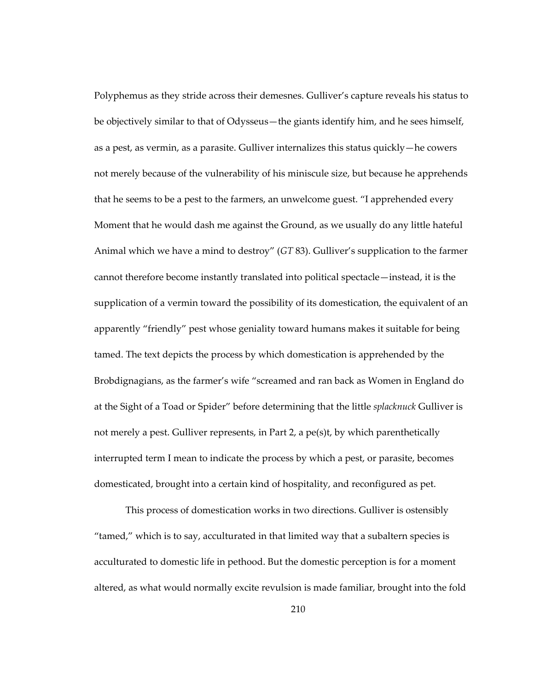Polyphemus as they stride across their demesnes. Gulliver's capture reveals his status to be objectively similar to that of Odysseus—the giants identify him, and he sees himself, as a pest, as vermin, as a parasite. Gulliver internalizes this status quickly—he cowers not merely because of the vulnerability of his miniscule size, but because he apprehends that he seems to be a pest to the farmers, an unwelcome guest. "I apprehended every Moment that he would dash me against the Ground, as we usually do any little hateful Animal which we have a mind to destroy" (*GT* 83). Gulliver's supplication to the farmer cannot therefore become instantly translated into political spectacle—instead, it is the supplication of a vermin toward the possibility of its domestication, the equivalent of an apparently "friendly" pest whose geniality toward humans makes it suitable for being tamed. The text depicts the process by which domestication is apprehended by the Brobdignagians, as the farmer's wife "screamed and ran back as Women in England do at the Sight of a Toad or Spider" before determining that the little *splacknuck* Gulliver is not merely a pest. Gulliver represents, in Part 2, a pe(s)t, by which parenthetically interrupted term I mean to indicate the process by which a pest, or parasite, becomes domesticated, brought into a certain kind of hospitality, and reconfigured as pet.

This process of domestication works in two directions. Gulliver is ostensibly "tamed," which is to say, acculturated in that limited way that a subaltern species is acculturated to domestic life in pethood. But the domestic perception is for a moment altered, as what would normally excite revulsion is made familiar, brought into the fold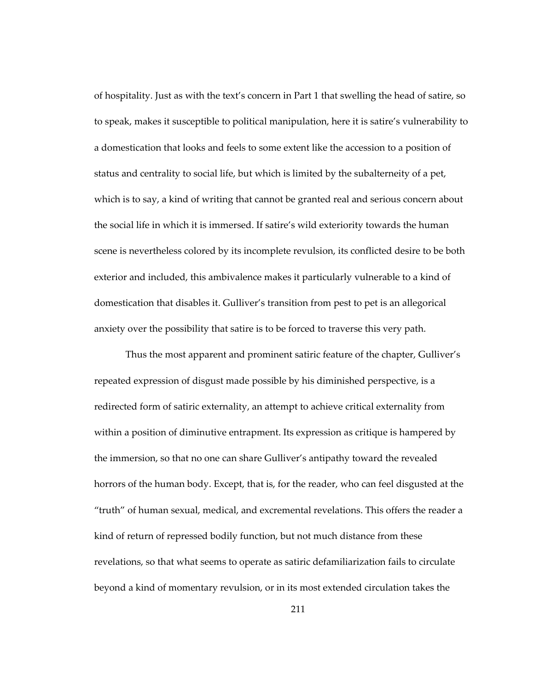of hospitality. Just as with the text's concern in Part 1 that swelling the head of satire, so to speak, makes it susceptible to political manipulation, here it is satire's vulnerability to a domestication that looks and feels to some extent like the accession to a position of status and centrality to social life, but which is limited by the subalterneity of a pet, which is to say, a kind of writing that cannot be granted real and serious concern about the social life in which it is immersed. If satire's wild exteriority towards the human scene is nevertheless colored by its incomplete revulsion, its conflicted desire to be both exterior and included, this ambivalence makes it particularly vulnerable to a kind of domestication that disables it. Gulliver's transition from pest to pet is an allegorical anxiety over the possibility that satire is to be forced to traverse this very path.

Thus the most apparent and prominent satiric feature of the chapter, Gulliver's repeated expression of disgust made possible by his diminished perspective, is a redirected form of satiric externality, an attempt to achieve critical externality from within a position of diminutive entrapment. Its expression as critique is hampered by the immersion, so that no one can share Gulliver's antipathy toward the revealed horrors of the human body. Except, that is, for the reader, who can feel disgusted at the "truth" of human sexual, medical, and excremental revelations. This offers the reader a kind of return of repressed bodily function, but not much distance from these revelations, so that what seems to operate as satiric defamiliarization fails to circulate beyond a kind of momentary revulsion, or in its most extended circulation takes the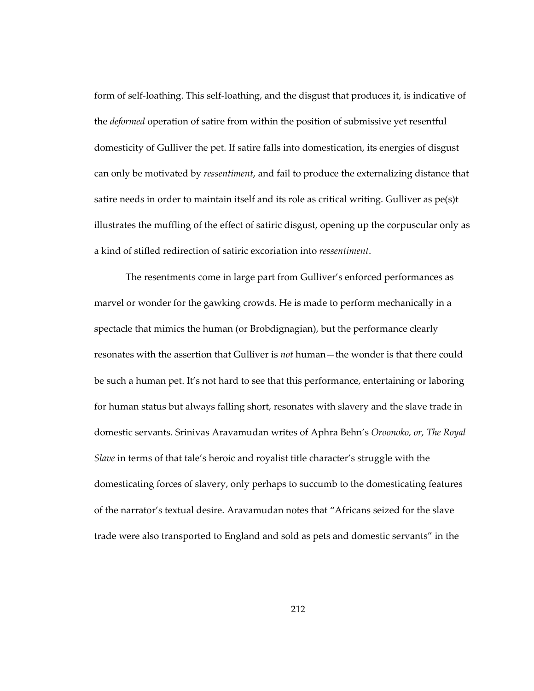form of self-loathing. This self-loathing, and the disgust that produces it, is indicative of the *deformed* operation of satire from within the position of submissive yet resentful domesticity of Gulliver the pet. If satire falls into domestication, its energies of disgust can only be motivated by *ressentiment*, and fail to produce the externalizing distance that satire needs in order to maintain itself and its role as critical writing. Gulliver as pe(s)t illustrates the muffling of the effect of satiric disgust, opening up the corpuscular only as a kind of stifled redirection of satiric excoriation into *ressentiment*.

The resentments come in large part from Gulliver's enforced performances as marvel or wonder for the gawking crowds. He is made to perform mechanically in a spectacle that mimics the human (or Brobdignagian), but the performance clearly resonates with the assertion that Gulliver is *not* human—the wonder is that there could be such a human pet. It's not hard to see that this performance, entertaining or laboring for human status but always falling short, resonates with slavery and the slave trade in domestic servants. Srinivas Aravamudan writes of Aphra Behn's *Oroonoko, or, The Royal Slave* in terms of that tale's heroic and royalist title character's struggle with the domesticating forces of slavery, only perhaps to succumb to the domesticating features of the narrator's textual desire. Aravamudan notes that "Africans seized for the slave trade were also transported to England and sold as pets and domestic servants" in the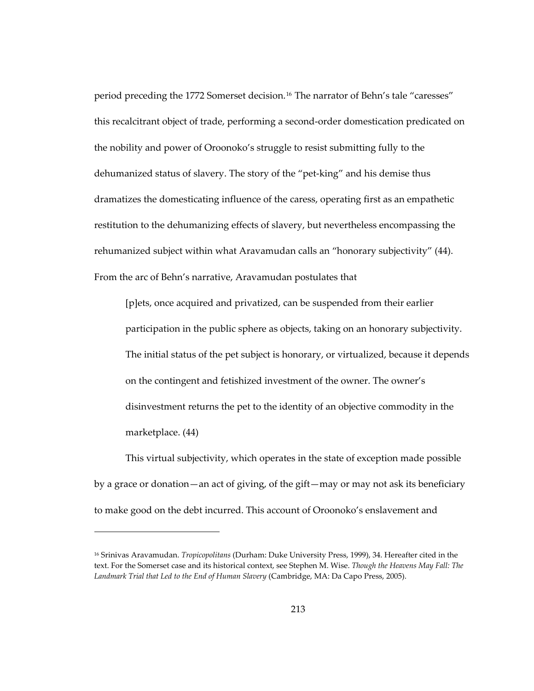period preceding the 1772 Somerset decision.<sup>[16](#page-246-0)</sup> The narrator of Behn's tale "caresses" this recalcitrant object of trade, performing a second-order domestication predicated on the nobility and power of Oroonoko's struggle to resist submitting fully to the dehumanized status of slavery. The story of the "pet-king" and his demise thus dramatizes the domesticating influence of the caress, operating first as an empathetic restitution to the dehumanizing effects of slavery, but nevertheless encompassing the rehumanized subject within what Aravamudan calls an "honorary subjectivity" (44). From the arc of Behn's narrative, Aravamudan postulates that

[p]ets, once acquired and privatized, can be suspended from their earlier participation in the public sphere as objects, taking on an honorary subjectivity. The initial status of the pet subject is honorary, or virtualized, because it depends on the contingent and fetishized investment of the owner. The owner's disinvestment returns the pet to the identity of an objective commodity in the marketplace. (44)

This virtual subjectivity, which operates in the state of exception made possible by a grace or donation—an act of giving, of the gift—may or may not ask its beneficiary to make good on the debt incurred. This account of Oroonoko's enslavement and

<span id="page-246-0"></span><sup>16</sup> Srinivas Aravamudan. *Tropicopolitans* (Durham: Duke University Press, 1999), 34. Hereafter cited in the text. For the Somerset case and its historical context, see Stephen M. Wise. *Though the Heavens May Fall: The Landmark Trial that Led to the End of Human Slavery* (Cambridge, MA: Da Capo Press, 2005).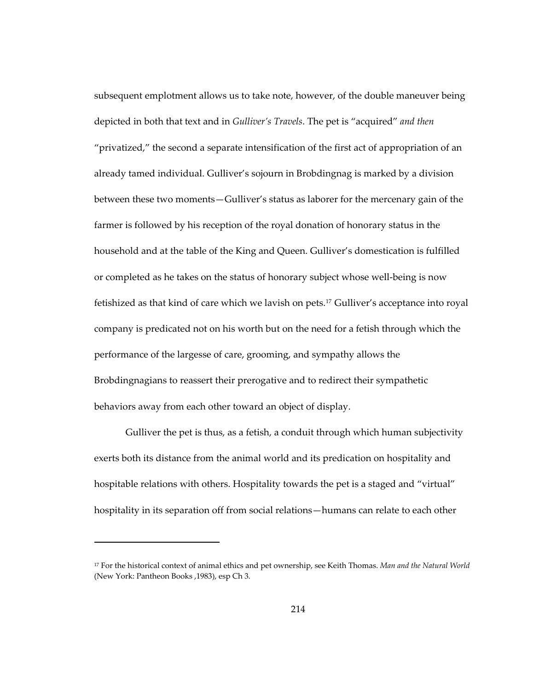subsequent emplotment allows us to take note, however, of the double maneuver being depicted in both that text and in *Gulliver's Travels*. The pet is "acquired" *and then* "privatized," the second a separate intensification of the first act of appropriation of an already tamed individual. Gulliver's sojourn in Brobdingnag is marked by a division between these two moments—Gulliver's status as laborer for the mercenary gain of the farmer is followed by his reception of the royal donation of honorary status in the household and at the table of the King and Queen. Gulliver's domestication is fulfilled or completed as he takes on the status of honorary subject whose well-being is now fetishized as that kind of care which we lavish on pets.<sup>[17](#page-247-0)</sup> Gulliver's acceptance into royal company is predicated not on his worth but on the need for a fetish through which the performance of the largesse of care, grooming, and sympathy allows the Brobdingnagians to reassert their prerogative and to redirect their sympathetic behaviors away from each other toward an object of display.

Gulliver the pet is thus, as a fetish, a conduit through which human subjectivity exerts both its distance from the animal world and its predication on hospitality and hospitable relations with others. Hospitality towards the pet is a staged and "virtual" hospitality in its separation off from social relations—humans can relate to each other

 $\overline{a}$ 

<span id="page-247-0"></span><sup>17</sup> For the historical context of animal ethics and pet ownership, see Keith Thomas. *Man and the Natural World* (New York: Pantheon Books ,1983), esp Ch 3.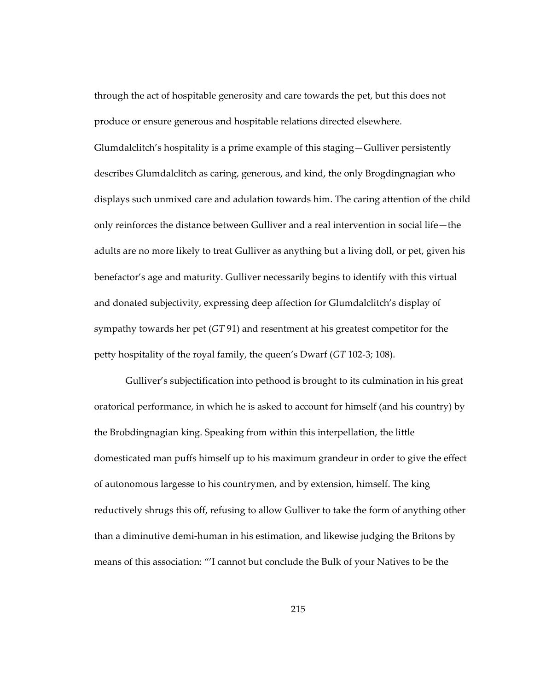through the act of hospitable generosity and care towards the pet, but this does not produce or ensure generous and hospitable relations directed elsewhere. Glumdalclitch's hospitality is a prime example of this staging—Gulliver persistently describes Glumdalclitch as caring, generous, and kind, the only Brogdingnagian who displays such unmixed care and adulation towards him. The caring attention of the child only reinforces the distance between Gulliver and a real intervention in social life—the adults are no more likely to treat Gulliver as anything but a living doll, or pet, given his benefactor's age and maturity. Gulliver necessarily begins to identify with this virtual and donated subjectivity, expressing deep affection for Glumdalclitch's display of sympathy towards her pet (*GT* 91) and resentment at his greatest competitor for the petty hospitality of the royal family, the queen's Dwarf (*GT* 102-3; 108).

Gulliver's subjectification into pethood is brought to its culmination in his great oratorical performance, in which he is asked to account for himself (and his country) by the Brobdingnagian king. Speaking from within this interpellation, the little domesticated man puffs himself up to his maximum grandeur in order to give the effect of autonomous largesse to his countrymen, and by extension, himself. The king reductively shrugs this off, refusing to allow Gulliver to take the form of anything other than a diminutive demi-human in his estimation, and likewise judging the Britons by means of this association: "'I cannot but conclude the Bulk of your Natives to be the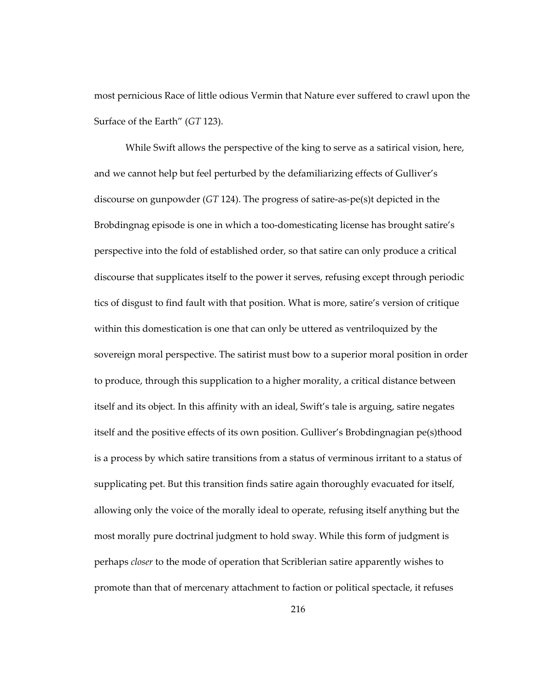most pernicious Race of little odious Vermin that Nature ever suffered to crawl upon the Surface of the Earth" (*GT* 123).

While Swift allows the perspective of the king to serve as a satirical vision, here, and we cannot help but feel perturbed by the defamiliarizing effects of Gulliver's discourse on gunpowder (*GT* 124). The progress of satire-as-pe(s)t depicted in the Brobdingnag episode is one in which a too-domesticating license has brought satire's perspective into the fold of established order, so that satire can only produce a critical discourse that supplicates itself to the power it serves, refusing except through periodic tics of disgust to find fault with that position. What is more, satire's version of critique within this domestication is one that can only be uttered as ventriloquized by the sovereign moral perspective. The satirist must bow to a superior moral position in order to produce, through this supplication to a higher morality, a critical distance between itself and its object. In this affinity with an ideal, Swift's tale is arguing, satire negates itself and the positive effects of its own position. Gulliver's Brobdingnagian pe(s)thood is a process by which satire transitions from a status of verminous irritant to a status of supplicating pet. But this transition finds satire again thoroughly evacuated for itself, allowing only the voice of the morally ideal to operate, refusing itself anything but the most morally pure doctrinal judgment to hold sway. While this form of judgment is perhaps *closer* to the mode of operation that Scriblerian satire apparently wishes to promote than that of mercenary attachment to faction or political spectacle, it refuses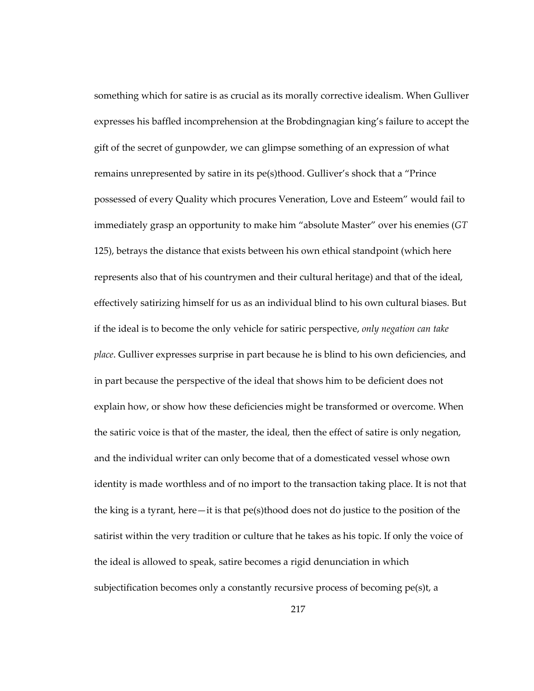something which for satire is as crucial as its morally corrective idealism. When Gulliver expresses his baffled incomprehension at the Brobdingnagian king's failure to accept the gift of the secret of gunpowder, we can glimpse something of an expression of what remains unrepresented by satire in its pe(s)thood. Gulliver's shock that a "Prince possessed of every Quality which procures Veneration, Love and Esteem" would fail to immediately grasp an opportunity to make him "absolute Master" over his enemies (*GT* 125), betrays the distance that exists between his own ethical standpoint (which here represents also that of his countrymen and their cultural heritage) and that of the ideal, effectively satirizing himself for us as an individual blind to his own cultural biases. But if the ideal is to become the only vehicle for satiric perspective, *only negation can take place*. Gulliver expresses surprise in part because he is blind to his own deficiencies, and in part because the perspective of the ideal that shows him to be deficient does not explain how, or show how these deficiencies might be transformed or overcome. When the satiric voice is that of the master, the ideal, then the effect of satire is only negation, and the individual writer can only become that of a domesticated vessel whose own identity is made worthless and of no import to the transaction taking place. It is not that the king is a tyrant, here—it is that pe(s)thood does not do justice to the position of the satirist within the very tradition or culture that he takes as his topic. If only the voice of the ideal is allowed to speak, satire becomes a rigid denunciation in which subjectification becomes only a constantly recursive process of becoming  $pe(s)t$ , a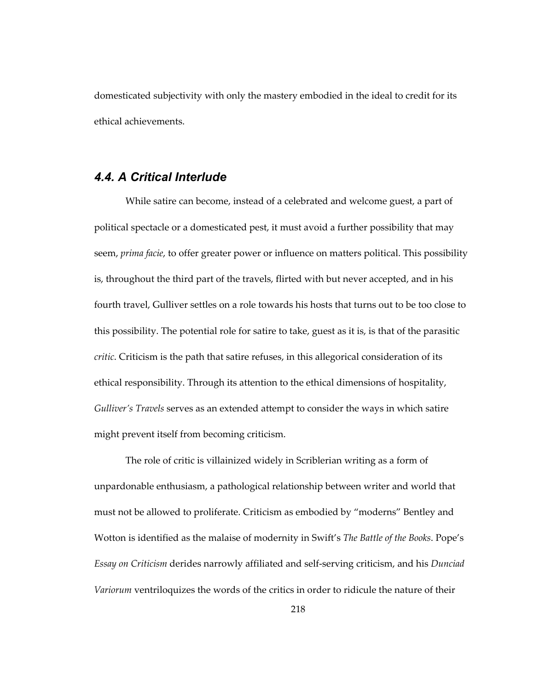domesticated subjectivity with only the mastery embodied in the ideal to credit for its ethical achievements.

## *4.4. A Critical Interlude*

While satire can become, instead of a celebrated and welcome guest, a part of political spectacle or a domesticated pest, it must avoid a further possibility that may seem, *prima facie*, to offer greater power or influence on matters political. This possibility is, throughout the third part of the travels, flirted with but never accepted, and in his fourth travel, Gulliver settles on a role towards his hosts that turns out to be too close to this possibility. The potential role for satire to take, guest as it is, is that of the parasitic *critic*. Criticism is the path that satire refuses, in this allegorical consideration of its ethical responsibility. Through its attention to the ethical dimensions of hospitality, *Gulliver's Travels* serves as an extended attempt to consider the ways in which satire might prevent itself from becoming criticism.

The role of critic is villainized widely in Scriblerian writing as a form of unpardonable enthusiasm, a pathological relationship between writer and world that must not be allowed to proliferate. Criticism as embodied by "moderns" Bentley and Wotton is identified as the malaise of modernity in Swift's *The Battle of the Books*. Pope's *Essay on Criticism* derides narrowly affiliated and self-serving criticism, and his *Dunciad Variorum* ventriloquizes the words of the critics in order to ridicule the nature of their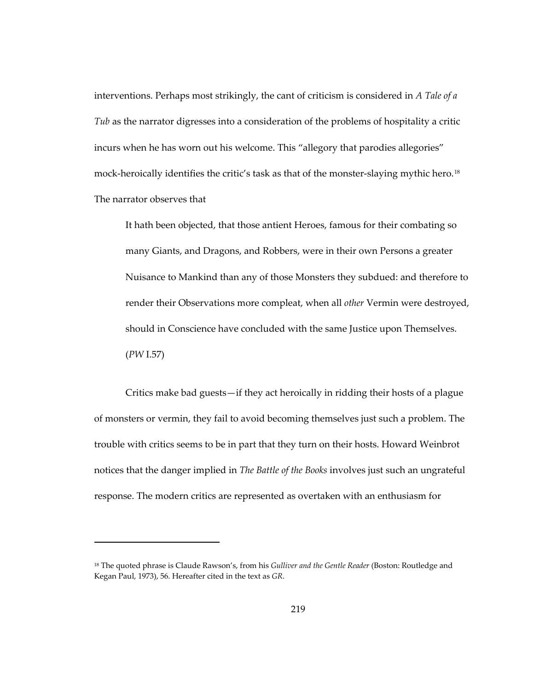interventions. Perhaps most strikingly, the cant of criticism is considered in *A Tale of a Tub* as the narrator digresses into a consideration of the problems of hospitality a critic incurs when he has worn out his welcome. This "allegory that parodies allegories" mock-heroically identifies the critic's task as that of the monster-slaying mythic hero.<sup>[18](#page-252-0)</sup> The narrator observes that

It hath been objected, that those antient Heroes, famous for their combating so many Giants, and Dragons, and Robbers, were in their own Persons a greater Nuisance to Mankind than any of those Monsters they subdued: and therefore to render their Observations more compleat, when all *other* Vermin were destroyed, should in Conscience have concluded with the same Justice upon Themselves. (*PW* I.57)

Critics make bad guests—if they act heroically in ridding their hosts of a plague of monsters or vermin, they fail to avoid becoming themselves just such a problem. The trouble with critics seems to be in part that they turn on their hosts. Howard Weinbrot notices that the danger implied in *The Battle of the Books* involves just such an ungrateful response. The modern critics are represented as overtaken with an enthusiasm for

 $\overline{a}$ 

<span id="page-252-0"></span><sup>18</sup> The quoted phrase is Claude Rawson's, from his *Gulliver and the Gentle Reader* (Boston: Routledge and Kegan Paul, 1973), 56. Hereafter cited in the text as *GR*.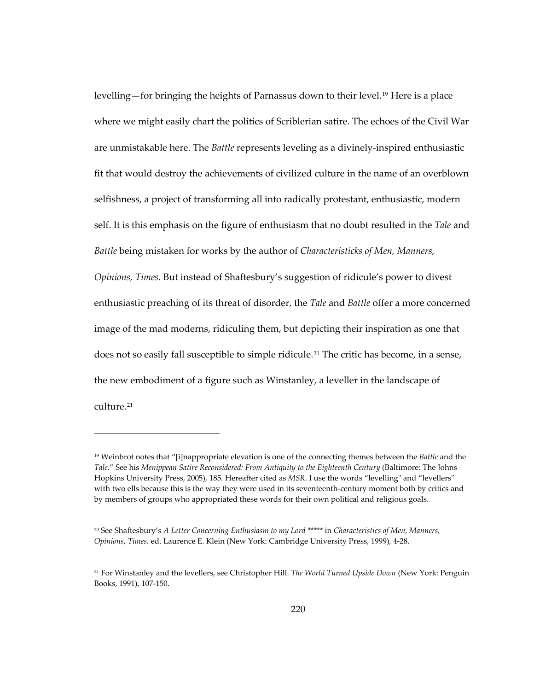levelling—for bringing the heights of Parnassus down to their level.[19](#page-253-0) Here is a place where we might easily chart the politics of Scriblerian satire. The echoes of the Civil War are unmistakable here. The *Battle* represents leveling as a divinely-inspired enthusiastic fit that would destroy the achievements of civilized culture in the name of an overblown selfishness, a project of transforming all into radically protestant, enthusiastic, modern self. It is this emphasis on the figure of enthusiasm that no doubt resulted in the *Tale* and *Battle* being mistaken for works by the author of *Characteristicks of Men, Manners, Opinions, Times*. But instead of Shaftesbury's suggestion of ridicule's power to divest enthusiastic preaching of its threat of disorder, the *Tale* and *Battle* offer a more concerned image of the mad moderns, ridiculing them, but depicting their inspiration as one that does not so easily fall susceptible to simple ridicule.[20](#page-253-1) The critic has become, in a sense, the new embodiment of a figure such as Winstanley, a leveller in the landscape of culture.[21](#page-253-2)

 $\overline{a}$ 

<span id="page-253-0"></span><sup>19</sup> Weinbrot notes that "[i]nappropriate elevation is one of the connecting themes between the *Battle* and the *Tale*." See his *Menippean Satire Reconsidered: From Antiquity to the Eighteenth Century* (Baltimore: The Johns Hopkins University Press, 2005), 185. Hereafter cited as *MSR*. I use the words "levelling" and "levellers" with two ells because this is the way they were used in its seventeenth-century moment both by critics and by members of groups who appropriated these words for their own political and religious goals.

<span id="page-253-1"></span><sup>20</sup> See Shaftesbury's *A Letter Concerning Enthusiasm to my Lord \*\*\*\*\** in *Characteristics of Men, Manners, Opinions, Times*. ed. Laurence E. Klein (New York: Cambridge University Press, 1999), 4-28.

<span id="page-253-2"></span><sup>21</sup> For Winstanley and the levellers, see Christopher Hill. *The World Turned Upside Down* (New York: Penguin Books, 1991), 107-150.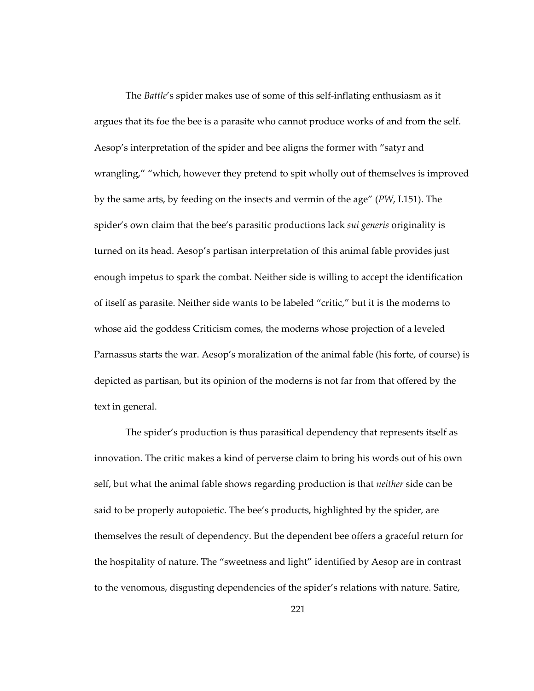The *Battle*'s spider makes use of some of this self-inflating enthusiasm as it argues that its foe the bee is a parasite who cannot produce works of and from the self. Aesop's interpretation of the spider and bee aligns the former with "satyr and wrangling," "which, however they pretend to spit wholly out of themselves is improved by the same arts, by feeding on the insects and vermin of the age" (*PW*, I.151). The spider's own claim that the bee's parasitic productions lack *sui generis* originality is turned on its head. Aesop's partisan interpretation of this animal fable provides just enough impetus to spark the combat. Neither side is willing to accept the identification of itself as parasite. Neither side wants to be labeled "critic," but it is the moderns to whose aid the goddess Criticism comes, the moderns whose projection of a leveled Parnassus starts the war. Aesop's moralization of the animal fable (his forte, of course) is depicted as partisan, but its opinion of the moderns is not far from that offered by the text in general.

The spider's production is thus parasitical dependency that represents itself as innovation. The critic makes a kind of perverse claim to bring his words out of his own self, but what the animal fable shows regarding production is that *neither* side can be said to be properly autopoietic. The bee's products, highlighted by the spider, are themselves the result of dependency. But the dependent bee offers a graceful return for the hospitality of nature. The "sweetness and light" identified by Aesop are in contrast to the venomous, disgusting dependencies of the spider's relations with nature. Satire,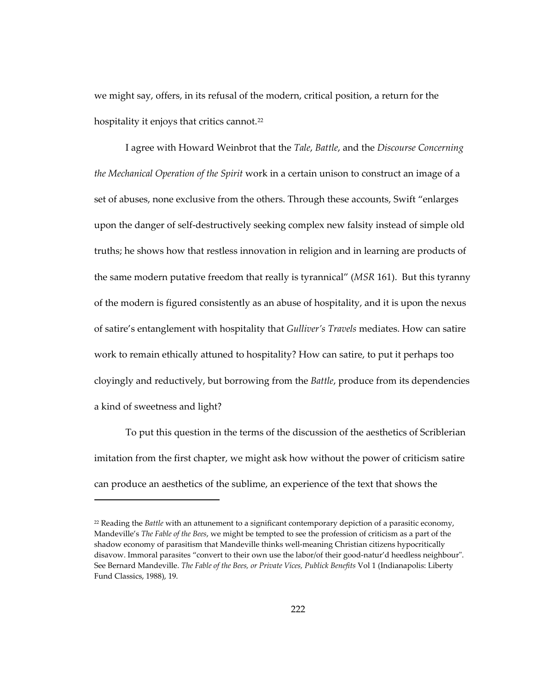we might say, offers, in its refusal of the modern, critical position, a return for the hospitality it enjoys that critics cannot.<sup>[22](#page-255-0)</sup>

I agree with Howard Weinbrot that the *Tale*, *Battle*, and the *Discourse Concerning the Mechanical Operation of the Spirit* work in a certain unison to construct an image of a set of abuses, none exclusive from the others. Through these accounts, Swift "enlarges upon the danger of self-destructively seeking complex new falsity instead of simple old truths; he shows how that restless innovation in religion and in learning are products of the same modern putative freedom that really is tyrannical" (*MSR* 161). But this tyranny of the modern is figured consistently as an abuse of hospitality, and it is upon the nexus of satire's entanglement with hospitality that *Gulliver's Travels* mediates. How can satire work to remain ethically attuned to hospitality? How can satire, to put it perhaps too cloyingly and reductively, but borrowing from the *Battle*, produce from its dependencies a kind of sweetness and light?

To put this question in the terms of the discussion of the aesthetics of Scriblerian imitation from the first chapter, we might ask how without the power of criticism satire can produce an aesthetics of the sublime, an experience of the text that shows the

1

<span id="page-255-0"></span><sup>22</sup> Reading the *Battle* with an attunement to a significant contemporary depiction of a parasitic economy, Mandeville's *The Fable of the Bees*, we might be tempted to see the profession of criticism as a part of the shadow economy of parasitism that Mandeville thinks well-meaning Christian citizens hypocritically disavow. Immoral parasites "convert to their own use the labor/of their good-natur'd heedless neighbour". See Bernard Mandeville. *The Fable of the Bees, or Private Vices, Publick Benefits* Vol 1 (Indianapolis: Liberty Fund Classics, 1988), 19.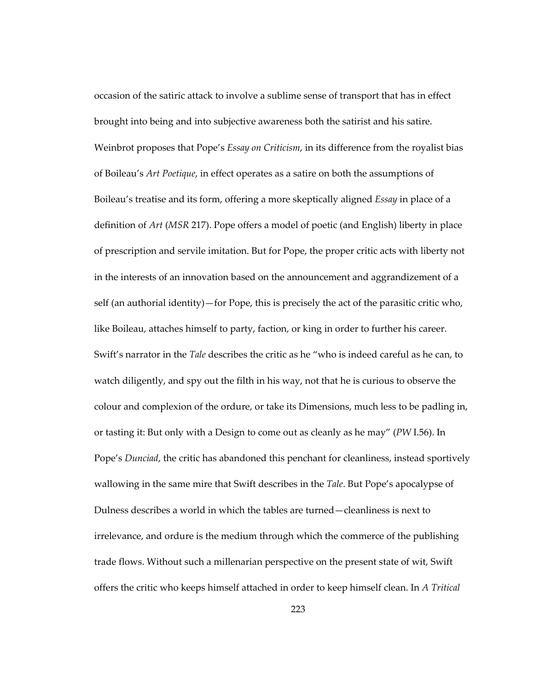occasion of the satiric attack to involve a sublime sense of transport that has in effect brought into being and into subjective awareness both the satirist and his satire. Weinbrot proposes that Pope's *Essay on Criticism*, in its difference from the royalist bias of Boileau's *Art Poetique*, in effect operates as a satire on both the assumptions of Boileau's treatise and its form, offering a more skeptically aligned *Essay* in place of a definition of *Art* (*MSR* 217). Pope offers a model of poetic (and English) liberty in place of prescription and servile imitation. But for Pope, the proper critic acts with liberty not in the interests of an innovation based on the announcement and aggrandizement of a self (an authorial identity)—for Pope, this is precisely the act of the parasitic critic who, like Boileau, attaches himself to party, faction, or king in order to further his career. Swift's narrator in the *Tale* describes the critic as he "who is indeed careful as he can, to watch diligently, and spy out the filth in his way, not that he is curious to observe the colour and complexion of the ordure, or take its Dimensions, much less to be padling in, or tasting it: But only with a Design to come out as cleanly as he may" (*PW* I.56). In Pope's *Dunciad*, the critic has abandoned this penchant for cleanliness, instead sportively wallowing in the same mire that Swift describes in the *Tale*. But Pope's apocalypse of Dulness describes a world in which the tables are turned—cleanliness is next to irrelevance, and ordure is the medium through which the commerce of the publishing trade flows. Without such a millenarian perspective on the present state of wit, Swift offers the critic who keeps himself attached in order to keep himself clean. In *A Tritical*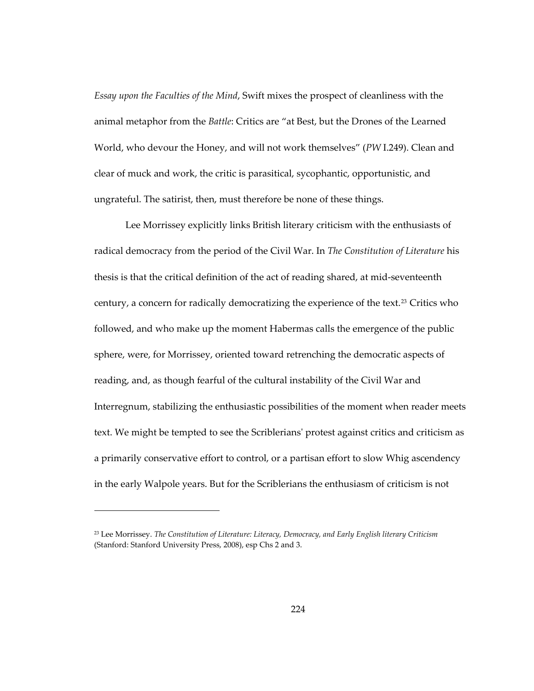*Essay upon the Faculties of the Mind*, Swift mixes the prospect of cleanliness with the animal metaphor from the *Battle*: Critics are "at Best, but the Drones of the Learned World, who devour the Honey, and will not work themselves" (*PW* I.249). Clean and clear of muck and work, the critic is parasitical, sycophantic, opportunistic, and ungrateful. The satirist, then, must therefore be none of these things.

Lee Morrissey explicitly links British literary criticism with the enthusiasts of radical democracy from the period of the Civil War. In *The Constitution of Literature* his thesis is that the critical definition of the act of reading shared, at mid-seventeenth century, a concern for radically democratizing the experience of the text.<sup>[23](#page-257-0)</sup> Critics who followed, and who make up the moment Habermas calls the emergence of the public sphere, were, for Morrissey, oriented toward retrenching the democratic aspects of reading, and, as though fearful of the cultural instability of the Civil War and Interregnum, stabilizing the enthusiastic possibilities of the moment when reader meets text. We might be tempted to see the Scriblerians' protest against critics and criticism as a primarily conservative effort to control, or a partisan effort to slow Whig ascendency in the early Walpole years. But for the Scriblerians the enthusiasm of criticism is not

1

<span id="page-257-0"></span><sup>23</sup> Lee Morrissey. *The Constitution of Literature: Literacy, Democracy, and Early English literary Criticism* (Stanford: Stanford University Press, 2008), esp Chs 2 and 3.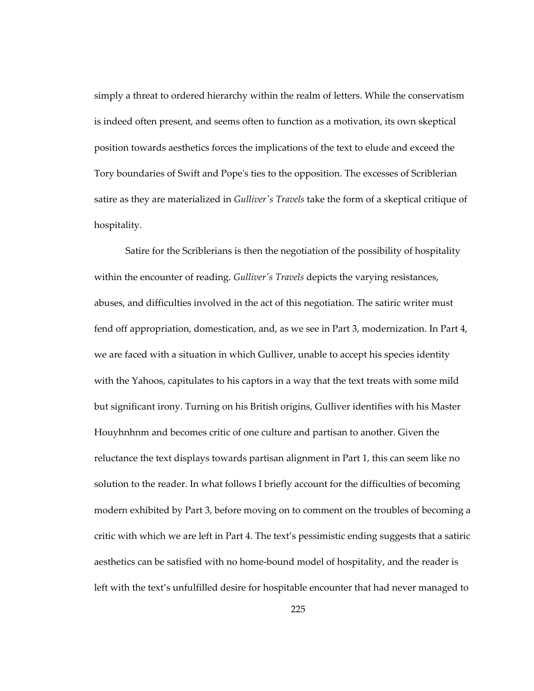simply a threat to ordered hierarchy within the realm of letters. While the conservatism is indeed often present, and seems often to function as a motivation, its own skeptical position towards aesthetics forces the implications of the text to elude and exceed the Tory boundaries of Swift and Pope's ties to the opposition. The excesses of Scriblerian satire as they are materialized in *Gulliver's Travels* take the form of a skeptical critique of hospitality.

Satire for the Scriblerians is then the negotiation of the possibility of hospitality within the encounter of reading. *Gulliver's Travels* depicts the varying resistances, abuses, and difficulties involved in the act of this negotiation. The satiric writer must fend off appropriation, domestication, and, as we see in Part 3, modernization. In Part 4, we are faced with a situation in which Gulliver, unable to accept his species identity with the Yahoos, capitulates to his captors in a way that the text treats with some mild but significant irony. Turning on his British origins, Gulliver identifies with his Master Houyhnhnm and becomes critic of one culture and partisan to another. Given the reluctance the text displays towards partisan alignment in Part 1, this can seem like no solution to the reader. In what follows I briefly account for the difficulties of becoming modern exhibited by Part 3, before moving on to comment on the troubles of becoming a critic with which we are left in Part 4. The text's pessimistic ending suggests that a satiric aesthetics can be satisfied with no home-bound model of hospitality, and the reader is left with the text's unfulfilled desire for hospitable encounter that had never managed to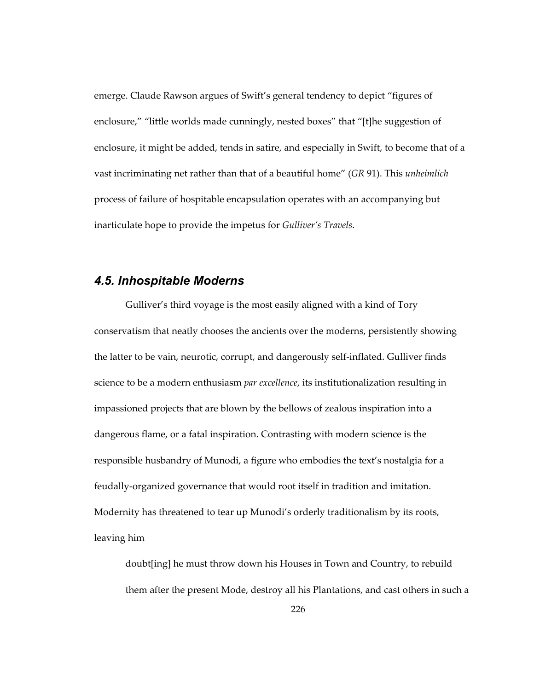emerge. Claude Rawson argues of Swift's general tendency to depict "figures of enclosure," "little worlds made cunningly, nested boxes" that "[t]he suggestion of enclosure, it might be added, tends in satire, and especially in Swift, to become that of a vast incriminating net rather than that of a beautiful home" (*GR* 91). This *unheimlich* process of failure of hospitable encapsulation operates with an accompanying but inarticulate hope to provide the impetus for *Gulliver's Travels*.

## *4.5. Inhospitable Moderns*

Gulliver's third voyage is the most easily aligned with a kind of Tory conservatism that neatly chooses the ancients over the moderns, persistently showing the latter to be vain, neurotic, corrupt, and dangerously self-inflated. Gulliver finds science to be a modern enthusiasm *par excellence*, its institutionalization resulting in impassioned projects that are blown by the bellows of zealous inspiration into a dangerous flame, or a fatal inspiration. Contrasting with modern science is the responsible husbandry of Munodi, a figure who embodies the text's nostalgia for a feudally-organized governance that would root itself in tradition and imitation. Modernity has threatened to tear up Munodi's orderly traditionalism by its roots, leaving him

doubt[ing] he must throw down his Houses in Town and Country, to rebuild them after the present Mode, destroy all his Plantations, and cast others in such a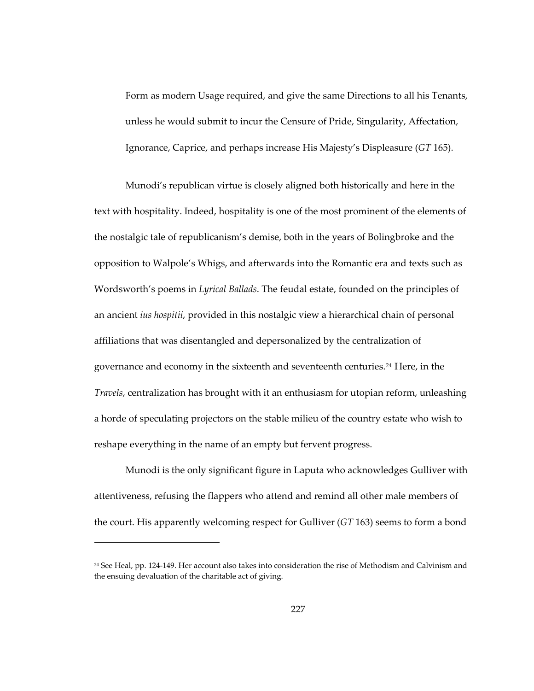Form as modern Usage required, and give the same Directions to all his Tenants, unless he would submit to incur the Censure of Pride, Singularity, Affectation, Ignorance, Caprice, and perhaps increase His Majesty's Displeasure (*GT* 165).

Munodi's republican virtue is closely aligned both historically and here in the text with hospitality. Indeed, hospitality is one of the most prominent of the elements of the nostalgic tale of republicanism's demise, both in the years of Bolingbroke and the opposition to Walpole's Whigs, and afterwards into the Romantic era and texts such as Wordsworth's poems in *Lyrical Ballads*. The feudal estate, founded on the principles of an ancient *ius hospitii*, provided in this nostalgic view a hierarchical chain of personal affiliations that was disentangled and depersonalized by the centralization of governance and economy in the sixteenth and seventeenth centuries.[24](#page-260-0) Here, in the *Travels*, centralization has brought with it an enthusiasm for utopian reform, unleashing a horde of speculating projectors on the stable milieu of the country estate who wish to reshape everything in the name of an empty but fervent progress.

Munodi is the only significant figure in Laputa who acknowledges Gulliver with attentiveness, refusing the flappers who attend and remind all other male members of the court. His apparently welcoming respect for Gulliver (*GT* 163) seems to form a bond

 $\overline{a}$ 

<span id="page-260-0"></span><sup>24</sup> See Heal, pp. 124-149. Her account also takes into consideration the rise of Methodism and Calvinism and the ensuing devaluation of the charitable act of giving.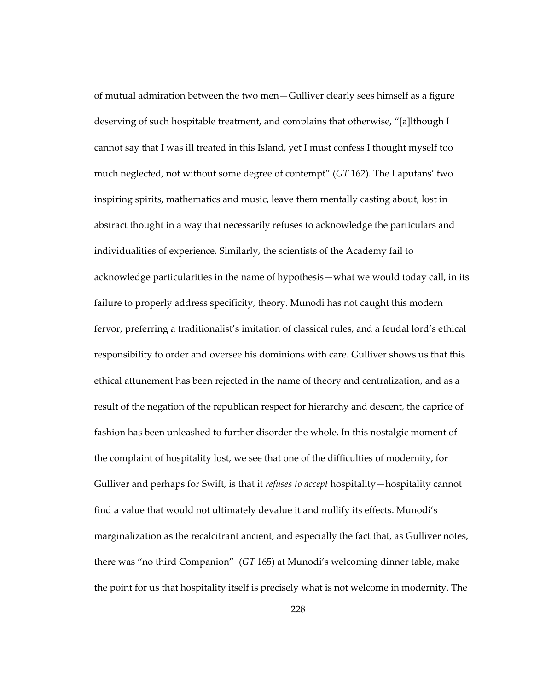of mutual admiration between the two men—Gulliver clearly sees himself as a figure deserving of such hospitable treatment, and complains that otherwise, "[a]lthough I cannot say that I was ill treated in this Island, yet I must confess I thought myself too much neglected, not without some degree of contempt" (*GT* 162). The Laputans' two inspiring spirits, mathematics and music, leave them mentally casting about, lost in abstract thought in a way that necessarily refuses to acknowledge the particulars and individualities of experience. Similarly, the scientists of the Academy fail to acknowledge particularities in the name of hypothesis—what we would today call, in its failure to properly address specificity, theory. Munodi has not caught this modern fervor, preferring a traditionalist's imitation of classical rules, and a feudal lord's ethical responsibility to order and oversee his dominions with care. Gulliver shows us that this ethical attunement has been rejected in the name of theory and centralization, and as a result of the negation of the republican respect for hierarchy and descent, the caprice of fashion has been unleashed to further disorder the whole. In this nostalgic moment of the complaint of hospitality lost, we see that one of the difficulties of modernity, for Gulliver and perhaps for Swift, is that it *refuses to accept* hospitality—hospitality cannot find a value that would not ultimately devalue it and nullify its effects. Munodi's marginalization as the recalcitrant ancient, and especially the fact that, as Gulliver notes, there was "no third Companion" (*GT* 165) at Munodi's welcoming dinner table, make the point for us that hospitality itself is precisely what is not welcome in modernity. The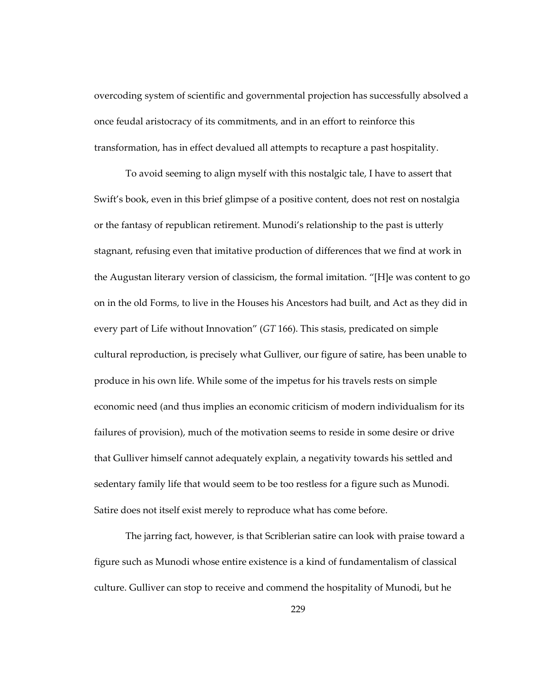overcoding system of scientific and governmental projection has successfully absolved a once feudal aristocracy of its commitments, and in an effort to reinforce this transformation, has in effect devalued all attempts to recapture a past hospitality.

To avoid seeming to align myself with this nostalgic tale, I have to assert that Swift's book, even in this brief glimpse of a positive content, does not rest on nostalgia or the fantasy of republican retirement. Munodi's relationship to the past is utterly stagnant, refusing even that imitative production of differences that we find at work in the Augustan literary version of classicism, the formal imitation. "[H]e was content to go on in the old Forms, to live in the Houses his Ancestors had built, and Act as they did in every part of Life without Innovation" (*GT* 166). This stasis, predicated on simple cultural reproduction, is precisely what Gulliver, our figure of satire, has been unable to produce in his own life. While some of the impetus for his travels rests on simple economic need (and thus implies an economic criticism of modern individualism for its failures of provision), much of the motivation seems to reside in some desire or drive that Gulliver himself cannot adequately explain, a negativity towards his settled and sedentary family life that would seem to be too restless for a figure such as Munodi. Satire does not itself exist merely to reproduce what has come before.

The jarring fact, however, is that Scriblerian satire can look with praise toward a figure such as Munodi whose entire existence is a kind of fundamentalism of classical culture. Gulliver can stop to receive and commend the hospitality of Munodi, but he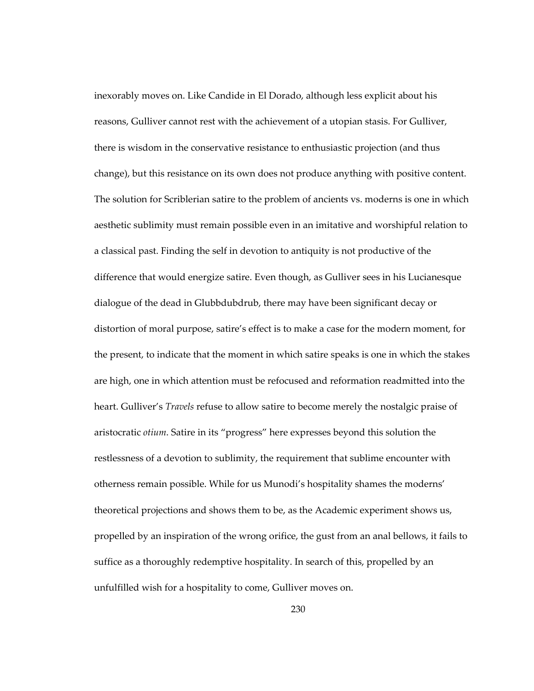inexorably moves on. Like Candide in El Dorado, although less explicit about his reasons, Gulliver cannot rest with the achievement of a utopian stasis. For Gulliver, there is wisdom in the conservative resistance to enthusiastic projection (and thus change), but this resistance on its own does not produce anything with positive content. The solution for Scriblerian satire to the problem of ancients vs. moderns is one in which aesthetic sublimity must remain possible even in an imitative and worshipful relation to a classical past. Finding the self in devotion to antiquity is not productive of the difference that would energize satire. Even though, as Gulliver sees in his Lucianesque dialogue of the dead in Glubbdubdrub, there may have been significant decay or distortion of moral purpose, satire's effect is to make a case for the modern moment, for the present, to indicate that the moment in which satire speaks is one in which the stakes are high, one in which attention must be refocused and reformation readmitted into the heart. Gulliver's *Travels* refuse to allow satire to become merely the nostalgic praise of aristocratic *otium*. Satire in its "progress" here expresses beyond this solution the restlessness of a devotion to sublimity, the requirement that sublime encounter with otherness remain possible. While for us Munodi's hospitality shames the moderns' theoretical projections and shows them to be, as the Academic experiment shows us, propelled by an inspiration of the wrong orifice, the gust from an anal bellows, it fails to suffice as a thoroughly redemptive hospitality. In search of this, propelled by an unfulfilled wish for a hospitality to come, Gulliver moves on.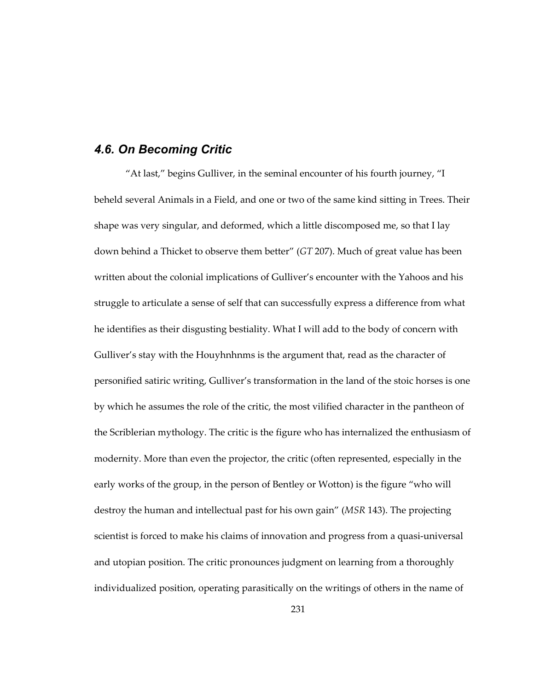#### *4.6. On Becoming Critic*

"At last," begins Gulliver, in the seminal encounter of his fourth journey, "I beheld several Animals in a Field, and one or two of the same kind sitting in Trees. Their shape was very singular, and deformed, which a little discomposed me, so that I lay down behind a Thicket to observe them better" (*GT* 207). Much of great value has been written about the colonial implications of Gulliver's encounter with the Yahoos and his struggle to articulate a sense of self that can successfully express a difference from what he identifies as their disgusting bestiality. What I will add to the body of concern with Gulliver's stay with the Houyhnhnms is the argument that, read as the character of personified satiric writing, Gulliver's transformation in the land of the stoic horses is one by which he assumes the role of the critic, the most vilified character in the pantheon of the Scriblerian mythology. The critic is the figure who has internalized the enthusiasm of modernity. More than even the projector, the critic (often represented, especially in the early works of the group, in the person of Bentley or Wotton) is the figure "who will destroy the human and intellectual past for his own gain" (*MSR* 143). The projecting scientist is forced to make his claims of innovation and progress from a quasi-universal and utopian position. The critic pronounces judgment on learning from a thoroughly individualized position, operating parasitically on the writings of others in the name of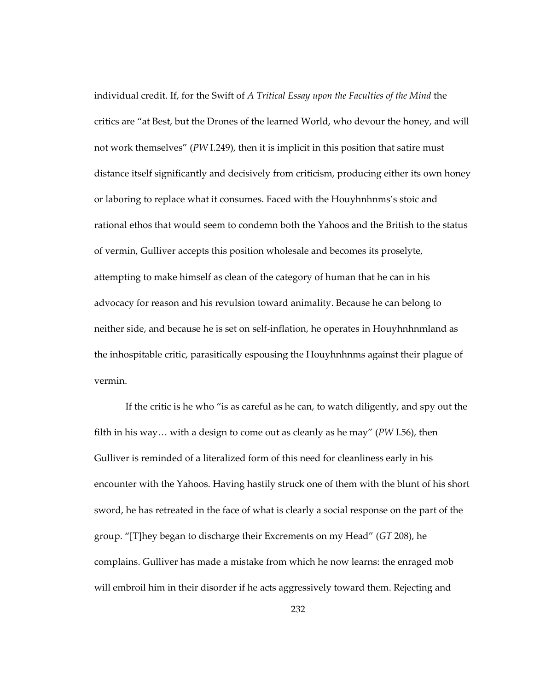individual credit. If, for the Swift of *A Tritical Essay upon the Faculties of the Mind* the critics are "at Best, but the Drones of the learned World, who devour the honey, and will not work themselves" (*PW* I.249), then it is implicit in this position that satire must distance itself significantly and decisively from criticism, producing either its own honey or laboring to replace what it consumes. Faced with the Houyhnhnms's stoic and rational ethos that would seem to condemn both the Yahoos and the British to the status of vermin, Gulliver accepts this position wholesale and becomes its proselyte, attempting to make himself as clean of the category of human that he can in his advocacy for reason and his revulsion toward animality. Because he can belong to neither side, and because he is set on self-inflation, he operates in Houyhnhnmland as the inhospitable critic, parasitically espousing the Houyhnhnms against their plague of vermin.

If the critic is he who "is as careful as he can, to watch diligently, and spy out the filth in his way… with a design to come out as cleanly as he may" (*PW* I.56), then Gulliver is reminded of a literalized form of this need for cleanliness early in his encounter with the Yahoos. Having hastily struck one of them with the blunt of his short sword, he has retreated in the face of what is clearly a social response on the part of the group. "[T]hey began to discharge their Excrements on my Head" (*GT* 208), he complains. Gulliver has made a mistake from which he now learns: the enraged mob will embroil him in their disorder if he acts aggressively toward them. Rejecting and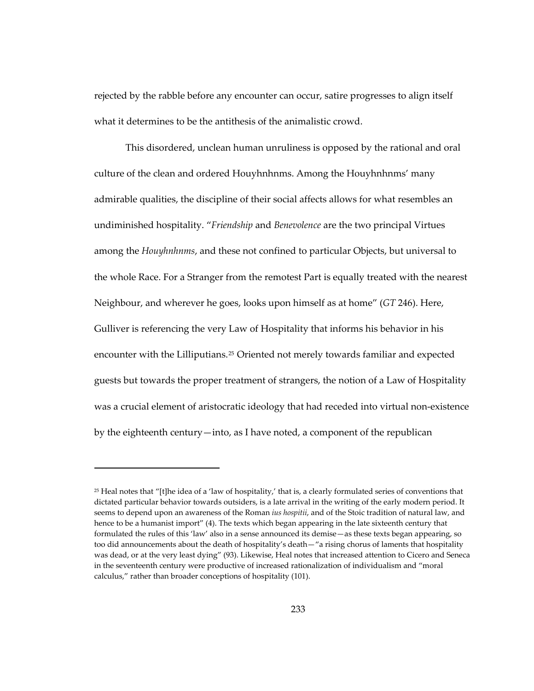rejected by the rabble before any encounter can occur, satire progresses to align itself what it determines to be the antithesis of the animalistic crowd.

This disordered, unclean human unruliness is opposed by the rational and oral culture of the clean and ordered Houyhnhnms. Among the Houyhnhnms' many admirable qualities, the discipline of their social affects allows for what resembles an undiminished hospitality. "*Friendship* and *Benevolence* are the two principal Virtues among the *Houyhnhnms*, and these not confined to particular Objects, but universal to the whole Race. For a Stranger from the remotest Part is equally treated with the nearest Neighbour, and wherever he goes, looks upon himself as at home" (*GT* 246). Here, Gulliver is referencing the very Law of Hospitality that informs his behavior in his encounter with the Lilliputians.<sup>[25](#page-266-0)</sup> Oriented not merely towards familiar and expected guests but towards the proper treatment of strangers, the notion of a Law of Hospitality was a crucial element of aristocratic ideology that had receded into virtual non-existence by the eighteenth century—into, as I have noted, a component of the republican

1

<span id="page-266-0"></span> $25$  Heal notes that "[t]he idea of a 'law of hospitality,' that is, a clearly formulated series of conventions that dictated particular behavior towards outsiders, is a late arrival in the writing of the early modern period. It seems to depend upon an awareness of the Roman *ius hospitii*, and of the Stoic tradition of natural law, and hence to be a humanist import" (4). The texts which began appearing in the late sixteenth century that formulated the rules of this 'law' also in a sense announced its demise—as these texts began appearing, so too did announcements about the death of hospitality's death—"a rising chorus of laments that hospitality was dead, or at the very least dying" (93). Likewise, Heal notes that increased attention to Cicero and Seneca in the seventeenth century were productive of increased rationalization of individualism and "moral calculus," rather than broader conceptions of hospitality (101).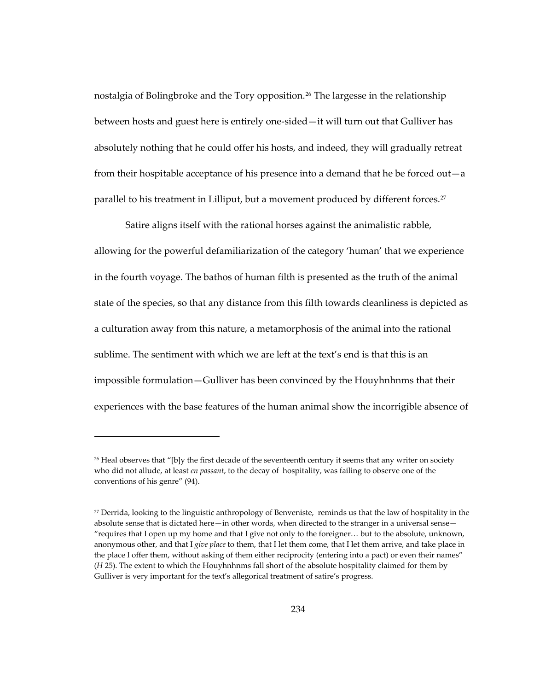nostalgia of Bolingbroke and the Tory opposition.<sup>[26](#page-267-0)</sup> The largesse in the relationship between hosts and guest here is entirely one-sided—it will turn out that Gulliver has absolutely nothing that he could offer his hosts, and indeed, they will gradually retreat from their hospitable acceptance of his presence into a demand that he be forced out—a parallel to his treatment in Lilliput, but a movement produced by different forces.<sup>[27](#page-267-1)</sup>

Satire aligns itself with the rational horses against the animalistic rabble, allowing for the powerful defamiliarization of the category 'human' that we experience in the fourth voyage. The bathos of human filth is presented as the truth of the animal state of the species, so that any distance from this filth towards cleanliness is depicted as a culturation away from this nature, a metamorphosis of the animal into the rational sublime. The sentiment with which we are left at the text's end is that this is an impossible formulation—Gulliver has been convinced by the Houyhnhnms that their experiences with the base features of the human animal show the incorrigible absence of

 $\overline{a}$ 

<span id="page-267-0"></span><sup>&</sup>lt;sup>26</sup> Heal observes that "[b]y the first decade of the seventeenth century it seems that any writer on society who did not allude, at least *en passant*, to the decay of hospitality, was failing to observe one of the conventions of his genre" (94).

<span id="page-267-1"></span><sup>&</sup>lt;sup>27</sup> Derrida, looking to the linguistic anthropology of Benveniste, reminds us that the law of hospitality in the absolute sense that is dictated here—in other words, when directed to the stranger in a universal sense— "requires that I open up my home and that I give not only to the foreigner… but to the absolute, unknown, anonymous other, and that I *give place* to them, that I let them come, that I let them arrive, and take place in the place I offer them, without asking of them either reciprocity (entering into a pact) or even their names" (*H* 25). The extent to which the Houyhnhnms fall short of the absolute hospitality claimed for them by Gulliver is very important for the text's allegorical treatment of satire's progress.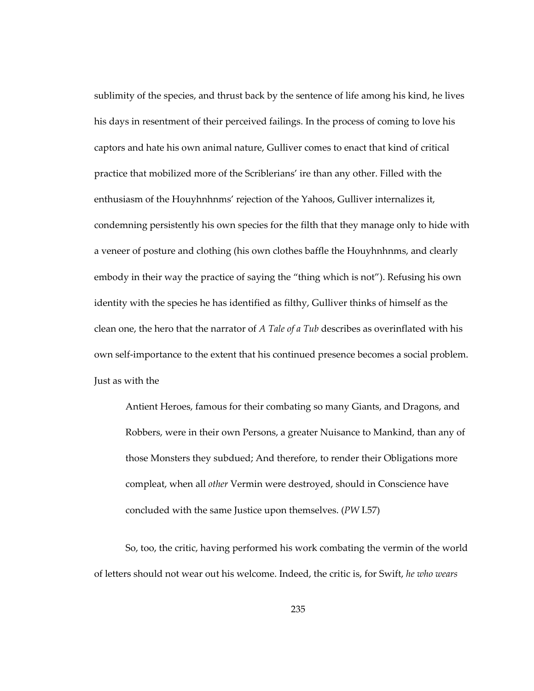sublimity of the species, and thrust back by the sentence of life among his kind, he lives his days in resentment of their perceived failings. In the process of coming to love his captors and hate his own animal nature, Gulliver comes to enact that kind of critical practice that mobilized more of the Scriblerians' ire than any other. Filled with the enthusiasm of the Houyhnhnms' rejection of the Yahoos, Gulliver internalizes it, condemning persistently his own species for the filth that they manage only to hide with a veneer of posture and clothing (his own clothes baffle the Houyhnhnms, and clearly embody in their way the practice of saying the "thing which is not"). Refusing his own identity with the species he has identified as filthy, Gulliver thinks of himself as the clean one, the hero that the narrator of *A Tale of a Tub* describes as overinflated with his own self-importance to the extent that his continued presence becomes a social problem. Just as with the

Antient Heroes, famous for their combating so many Giants, and Dragons, and Robbers, were in their own Persons, a greater Nuisance to Mankind, than any of those Monsters they subdued; And therefore, to render their Obligations more compleat, when all *other* Vermin were destroyed, should in Conscience have concluded with the same Justice upon themselves. (*PW* I.57)

So, too, the critic, having performed his work combating the vermin of the world of letters should not wear out his welcome. Indeed, the critic is, for Swift, *he who wears*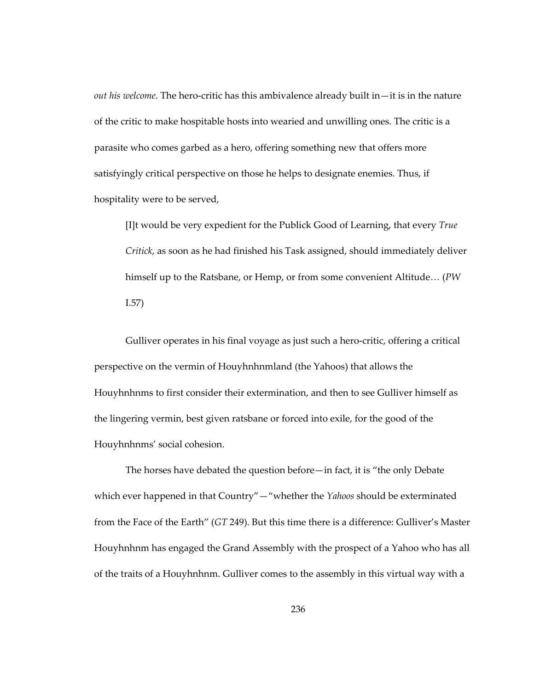*out his welcome*. The hero-critic has this ambivalence already built in—it is in the nature of the critic to make hospitable hosts into wearied and unwilling ones. The critic is a parasite who comes garbed as a hero, offering something new that offers more satisfyingly critical perspective on those he helps to designate enemies. Thus, if hospitality were to be served,

[I]t would be very expedient for the Publick Good of Learning, that every *True Critick*, as soon as he had finished his Task assigned, should immediately deliver himself up to the Ratsbane, or Hemp, or from some convenient Altitude… (*PW* I.57)

Gulliver operates in his final voyage as just such a hero-critic, offering a critical perspective on the vermin of Houyhnhnmland (the Yahoos) that allows the Houyhnhnms to first consider their extermination, and then to see Gulliver himself as the lingering vermin, best given ratsbane or forced into exile, for the good of the Houyhnhnms' social cohesion.

The horses have debated the question before—in fact, it is "the only Debate which ever happened in that Country"—"whether the *Yahoos* should be exterminated from the Face of the Earth" (*GT* 249). But this time there is a difference: Gulliver's Master Houyhnhnm has engaged the Grand Assembly with the prospect of a Yahoo who has all of the traits of a Houyhnhnm. Gulliver comes to the assembly in this virtual way with a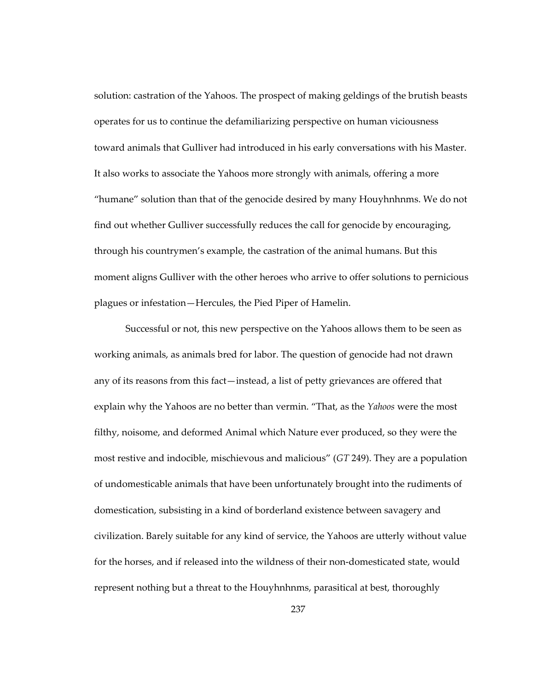solution: castration of the Yahoos. The prospect of making geldings of the brutish beasts operates for us to continue the defamiliarizing perspective on human viciousness toward animals that Gulliver had introduced in his early conversations with his Master. It also works to associate the Yahoos more strongly with animals, offering a more "humane" solution than that of the genocide desired by many Houyhnhnms. We do not find out whether Gulliver successfully reduces the call for genocide by encouraging, through his countrymen's example, the castration of the animal humans. But this moment aligns Gulliver with the other heroes who arrive to offer solutions to pernicious plagues or infestation—Hercules, the Pied Piper of Hamelin.

Successful or not, this new perspective on the Yahoos allows them to be seen as working animals, as animals bred for labor. The question of genocide had not drawn any of its reasons from this fact—instead, a list of petty grievances are offered that explain why the Yahoos are no better than vermin. "That, as the *Yahoos* were the most filthy, noisome, and deformed Animal which Nature ever produced, so they were the most restive and indocible, mischievous and malicious" (*GT* 249). They are a population of undomesticable animals that have been unfortunately brought into the rudiments of domestication, subsisting in a kind of borderland existence between savagery and civilization. Barely suitable for any kind of service, the Yahoos are utterly without value for the horses, and if released into the wildness of their non-domesticated state, would represent nothing but a threat to the Houyhnhnms, parasitical at best, thoroughly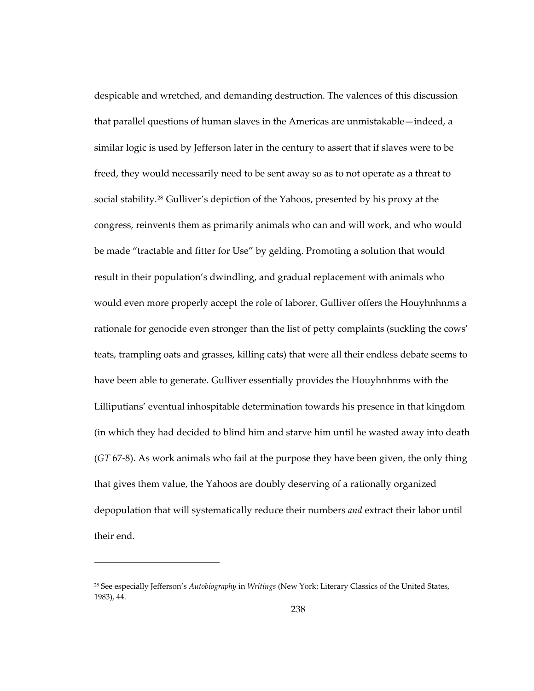despicable and wretched, and demanding destruction. The valences of this discussion that parallel questions of human slaves in the Americas are unmistakable—indeed, a similar logic is used by Jefferson later in the century to assert that if slaves were to be freed, they would necessarily need to be sent away so as to not operate as a threat to social stability.[28](#page-271-0) Gulliver's depiction of the Yahoos, presented by his proxy at the congress, reinvents them as primarily animals who can and will work, and who would be made "tractable and fitter for Use" by gelding. Promoting a solution that would result in their population's dwindling, and gradual replacement with animals who would even more properly accept the role of laborer, Gulliver offers the Houyhnhnms a rationale for genocide even stronger than the list of petty complaints (suckling the cows' teats, trampling oats and grasses, killing cats) that were all their endless debate seems to have been able to generate. Gulliver essentially provides the Houyhnhnms with the Lilliputians' eventual inhospitable determination towards his presence in that kingdom (in which they had decided to blind him and starve him until he wasted away into death (*GT* 67-8). As work animals who fail at the purpose they have been given, the only thing that gives them value, the Yahoos are doubly deserving of a rationally organized depopulation that will systematically reduce their numbers *and* extract their labor until their end.

 $\overline{a}$ 

<span id="page-271-0"></span><sup>28</sup> See especially Jefferson's *Autobiography* in *Writings* (New York: Literary Classics of the United States, 1983), 44.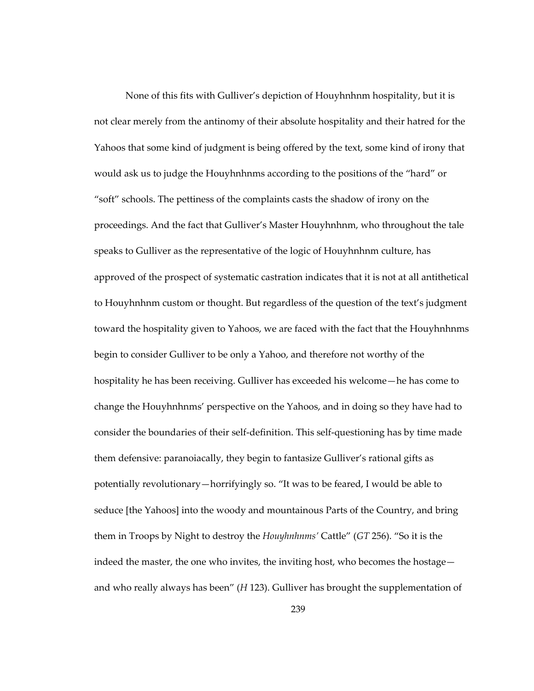None of this fits with Gulliver's depiction of Houyhnhnm hospitality, but it is not clear merely from the antinomy of their absolute hospitality and their hatred for the Yahoos that some kind of judgment is being offered by the text, some kind of irony that would ask us to judge the Houyhnhnms according to the positions of the "hard" or "soft" schools. The pettiness of the complaints casts the shadow of irony on the proceedings. And the fact that Gulliver's Master Houyhnhnm, who throughout the tale speaks to Gulliver as the representative of the logic of Houyhnhnm culture, has approved of the prospect of systematic castration indicates that it is not at all antithetical to Houyhnhnm custom or thought. But regardless of the question of the text's judgment toward the hospitality given to Yahoos, we are faced with the fact that the Houyhnhnms begin to consider Gulliver to be only a Yahoo, and therefore not worthy of the hospitality he has been receiving. Gulliver has exceeded his welcome—he has come to change the Houyhnhnms' perspective on the Yahoos, and in doing so they have had to consider the boundaries of their self-definition. This self-questioning has by time made them defensive: paranoiacally, they begin to fantasize Gulliver's rational gifts as potentially revolutionary—horrifyingly so. "It was to be feared, I would be able to seduce [the Yahoos] into the woody and mountainous Parts of the Country, and bring them in Troops by Night to destroy the *Houyhnhnms'* Cattle" (*GT* 256). "So it is the indeed the master, the one who invites, the inviting host, who becomes the hostage and who really always has been" (*H* 123). Gulliver has brought the supplementation of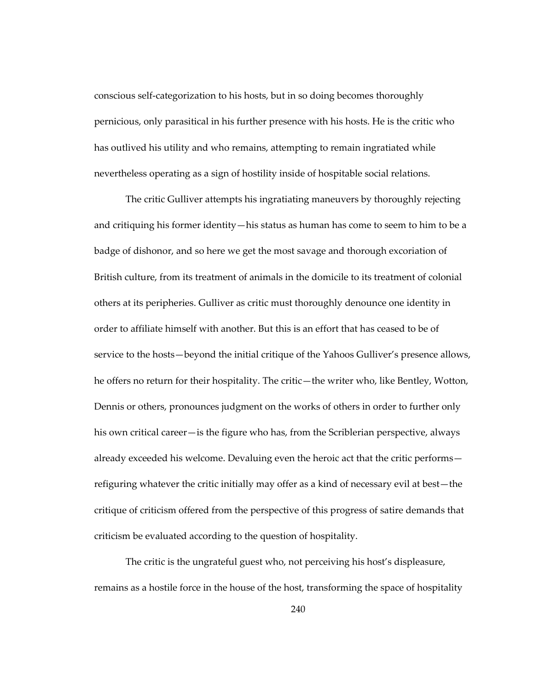conscious self-categorization to his hosts, but in so doing becomes thoroughly pernicious, only parasitical in his further presence with his hosts. He is the critic who has outlived his utility and who remains, attempting to remain ingratiated while nevertheless operating as a sign of hostility inside of hospitable social relations.

The critic Gulliver attempts his ingratiating maneuvers by thoroughly rejecting and critiquing his former identity—his status as human has come to seem to him to be a badge of dishonor, and so here we get the most savage and thorough excoriation of British culture, from its treatment of animals in the domicile to its treatment of colonial others at its peripheries. Gulliver as critic must thoroughly denounce one identity in order to affiliate himself with another. But this is an effort that has ceased to be of service to the hosts—beyond the initial critique of the Yahoos Gulliver's presence allows, he offers no return for their hospitality. The critic—the writer who, like Bentley, Wotton, Dennis or others, pronounces judgment on the works of others in order to further only his own critical career—is the figure who has, from the Scriblerian perspective, always already exceeded his welcome. Devaluing even the heroic act that the critic performs refiguring whatever the critic initially may offer as a kind of necessary evil at best—the critique of criticism offered from the perspective of this progress of satire demands that criticism be evaluated according to the question of hospitality.

The critic is the ungrateful guest who, not perceiving his host's displeasure, remains as a hostile force in the house of the host, transforming the space of hospitality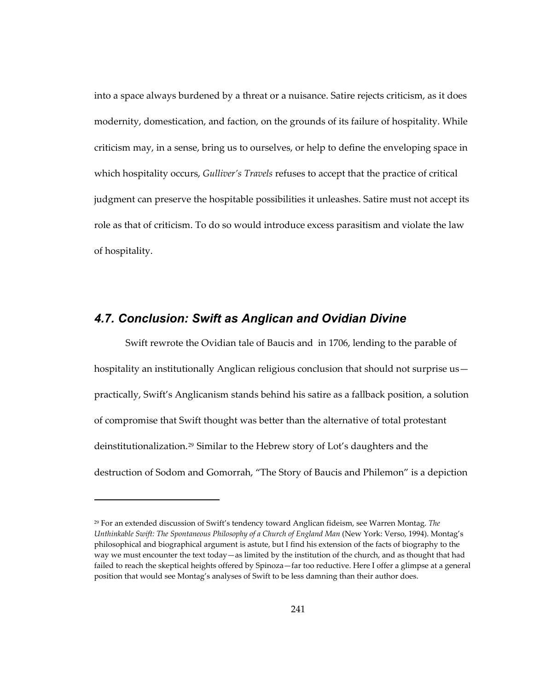into a space always burdened by a threat or a nuisance. Satire rejects criticism, as it does modernity, domestication, and faction, on the grounds of its failure of hospitality. While criticism may, in a sense, bring us to ourselves, or help to define the enveloping space in which hospitality occurs, *Gulliver's Travels* refuses to accept that the practice of critical judgment can preserve the hospitable possibilities it unleashes. Satire must not accept its role as that of criticism. To do so would introduce excess parasitism and violate the law of hospitality.

### *4.7. Conclusion: Swift as Anglican and Ovidian Divine*

1

Swift rewrote the Ovidian tale of Baucis and in 1706, lending to the parable of hospitality an institutionally Anglican religious conclusion that should not surprise uspractically, Swift's Anglicanism stands behind his satire as a fallback position, a solution of compromise that Swift thought was better than the alternative of total protestant deinstitutionalization.[29](#page-274-0) Similar to the Hebrew story of Lot's daughters and the destruction of Sodom and Gomorrah, "The Story of Baucis and Philemon" is a depiction

<span id="page-274-0"></span><sup>29</sup> For an extended discussion of Swift's tendency toward Anglican fideism, see Warren Montag. *The Unthinkable Swift: The Spontaneous Philosophy of a Church of England Man* (New York: Verso, 1994). Montag's philosophical and biographical argument is astute, but I find his extension of the facts of biography to the way we must encounter the text today—as limited by the institution of the church, and as thought that had failed to reach the skeptical heights offered by Spinoza—far too reductive. Here I offer a glimpse at a general position that would see Montag's analyses of Swift to be less damning than their author does.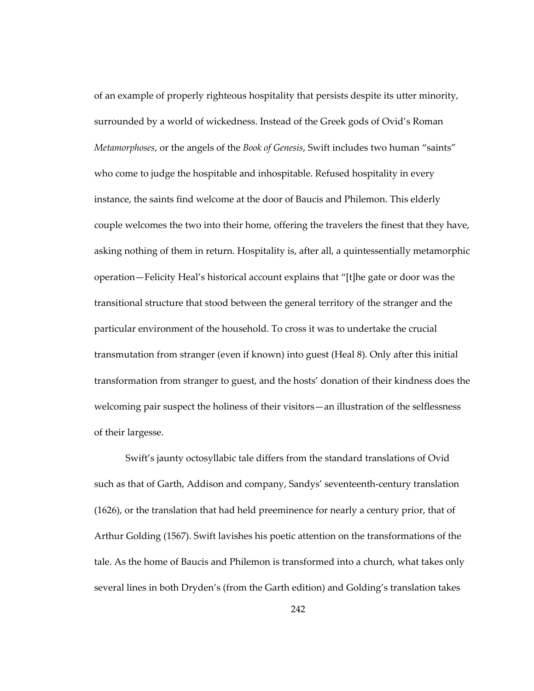of an example of properly righteous hospitality that persists despite its utter minority, surrounded by a world of wickedness. Instead of the Greek gods of Ovid's Roman *Metamorphoses*, or the angels of the *Book of Genesis*, Swift includes two human "saints" who come to judge the hospitable and inhospitable. Refused hospitality in every instance, the saints find welcome at the door of Baucis and Philemon. This elderly couple welcomes the two into their home, offering the travelers the finest that they have, asking nothing of them in return. Hospitality is, after all, a quintessentially metamorphic operation—Felicity Heal's historical account explains that "[t]he gate or door was the transitional structure that stood between the general territory of the stranger and the particular environment of the household. To cross it was to undertake the crucial transmutation from stranger (even if known) into guest (Heal 8). Only after this initial transformation from stranger to guest, and the hosts' donation of their kindness does the welcoming pair suspect the holiness of their visitors—an illustration of the selflessness of their largesse.

Swift's jaunty octosyllabic tale differs from the standard translations of Ovid such as that of Garth, Addison and company, Sandys' seventeenth-century translation (1626), or the translation that had held preeminence for nearly a century prior, that of Arthur Golding (1567). Swift lavishes his poetic attention on the transformations of the tale. As the home of Baucis and Philemon is transformed into a church, what takes only several lines in both Dryden's (from the Garth edition) and Golding's translation takes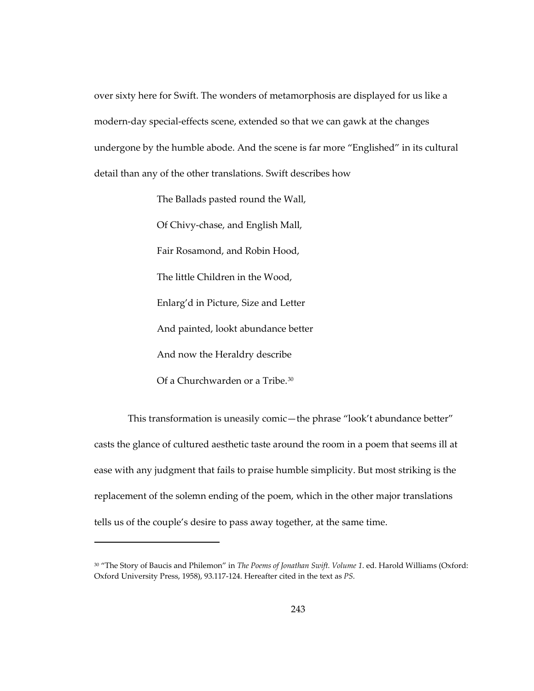over sixty here for Swift. The wonders of metamorphosis are displayed for us like a modern-day special-effects scene, extended so that we can gawk at the changes undergone by the humble abode. And the scene is far more "Englished" in its cultural detail than any of the other translations. Swift describes how

> The Ballads pasted round the Wall, Of Chivy-chase, and English Mall, Fair Rosamond, and Robin Hood, The little Children in the Wood, Enlarg'd in Picture, Size and Letter And painted, lookt abundance better And now the Heraldry describe Of a Churchwarden or a Tribe.[30](#page-276-0)

 $\overline{a}$ 

 This transformation is uneasily comic—the phrase "look't abundance better" casts the glance of cultured aesthetic taste around the room in a poem that seems ill at ease with any judgment that fails to praise humble simplicity. But most striking is the replacement of the solemn ending of the poem, which in the other major translations tells us of the couple's desire to pass away together, at the same time.

<span id="page-276-0"></span><sup>30 &</sup>quot;The Story of Baucis and Philemon" in *The Poems of Jonathan Swift. Volume 1*. ed. Harold Williams (Oxford: Oxford University Press, 1958), 93.117-124. Hereafter cited in the text as *PS*.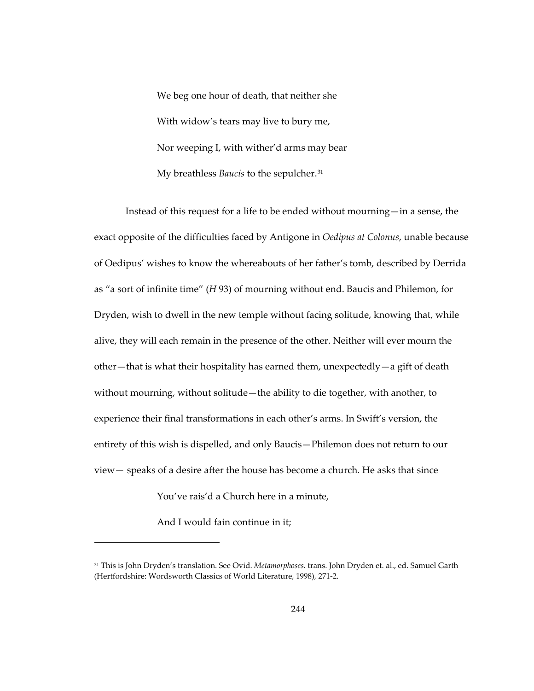We beg one hour of death, that neither she With widow's tears may live to bury me, Nor weeping I, with wither'd arms may bear My breathless *Baucis* to the sepulcher.[31](#page-277-0)

Instead of this request for a life to be ended without mourning—in a sense, the exact opposite of the difficulties faced by Antigone in *Oedipus at Colonus*, unable because of Oedipus' wishes to know the whereabouts of her father's tomb, described by Derrida as "a sort of infinite time" (*H* 93) of mourning without end. Baucis and Philemon, for Dryden, wish to dwell in the new temple without facing solitude, knowing that, while alive, they will each remain in the presence of the other. Neither will ever mourn the other—that is what their hospitality has earned them, unexpectedly—a gift of death without mourning, without solitude—the ability to die together, with another, to experience their final transformations in each other's arms. In Swift's version, the entirety of this wish is dispelled, and only Baucis—Philemon does not return to our view— speaks of a desire after the house has become a church. He asks that since

You've rais'd a Church here in a minute,

And I would fain continue in it;

 $\overline{a}$ 

<span id="page-277-0"></span><sup>31</sup> This is John Dryden's translation. See Ovid. *Metamorphoses.* trans. John Dryden et. al., ed. Samuel Garth (Hertfordshire: Wordsworth Classics of World Literature, 1998), 271-2.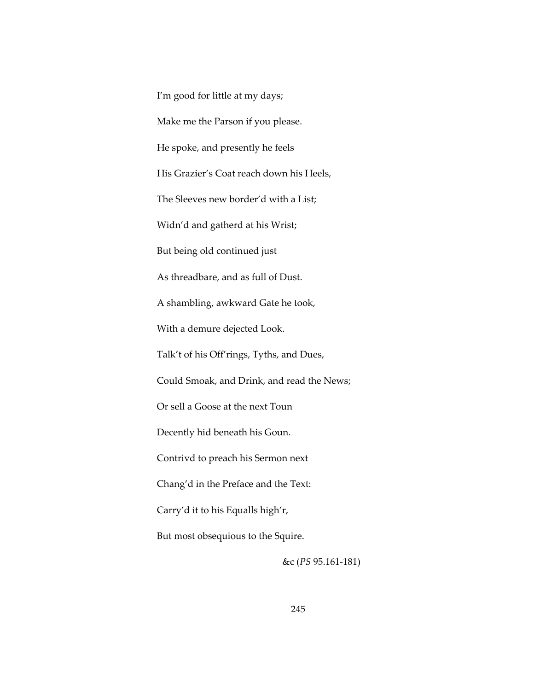I'm good for little at my days; Make me the Parson if you please. He spoke, and presently he feels His Grazier's Coat reach down his Heels, The Sleeves new border'd with a List; Widn'd and gatherd at his Wrist; But being old continued just As threadbare, and as full of Dust. A shambling, awkward Gate he took, With a demure dejected Look. Talk't of his Off'rings, Tyths, and Dues, Could Smoak, and Drink, and read the News; Or sell a Goose at the next Toun Decently hid beneath his Goun. Contrivd to preach his Sermon next Chang'd in the Preface and the Text: Carry'd it to his Equalls high'r, But most obsequious to the Squire. &c (*PS* 95.161-181)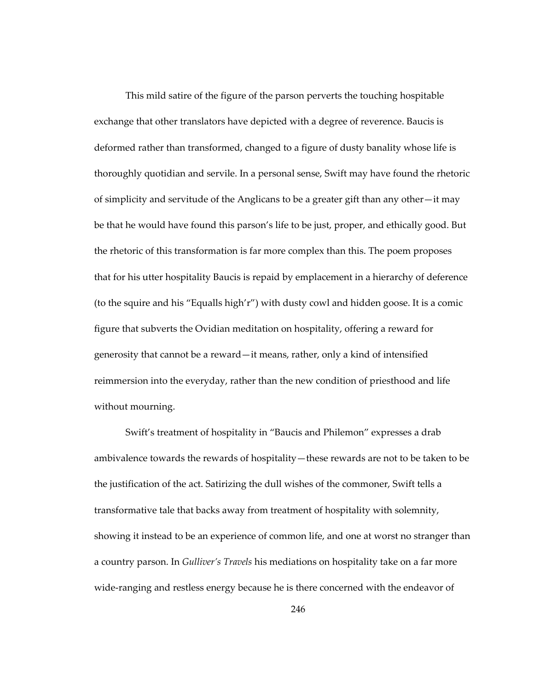This mild satire of the figure of the parson perverts the touching hospitable exchange that other translators have depicted with a degree of reverence. Baucis is deformed rather than transformed, changed to a figure of dusty banality whose life is thoroughly quotidian and servile. In a personal sense, Swift may have found the rhetoric of simplicity and servitude of the Anglicans to be a greater gift than any other—it may be that he would have found this parson's life to be just, proper, and ethically good. But the rhetoric of this transformation is far more complex than this. The poem proposes that for his utter hospitality Baucis is repaid by emplacement in a hierarchy of deference (to the squire and his "Equalls high'r") with dusty cowl and hidden goose. It is a comic figure that subverts the Ovidian meditation on hospitality, offering a reward for generosity that cannot be a reward—it means, rather, only a kind of intensified reimmersion into the everyday, rather than the new condition of priesthood and life without mourning.

Swift's treatment of hospitality in "Baucis and Philemon" expresses a drab ambivalence towards the rewards of hospitality—these rewards are not to be taken to be the justification of the act. Satirizing the dull wishes of the commoner, Swift tells a transformative tale that backs away from treatment of hospitality with solemnity, showing it instead to be an experience of common life, and one at worst no stranger than a country parson. In *Gulliver's Travels* his mediations on hospitality take on a far more wide-ranging and restless energy because he is there concerned with the endeavor of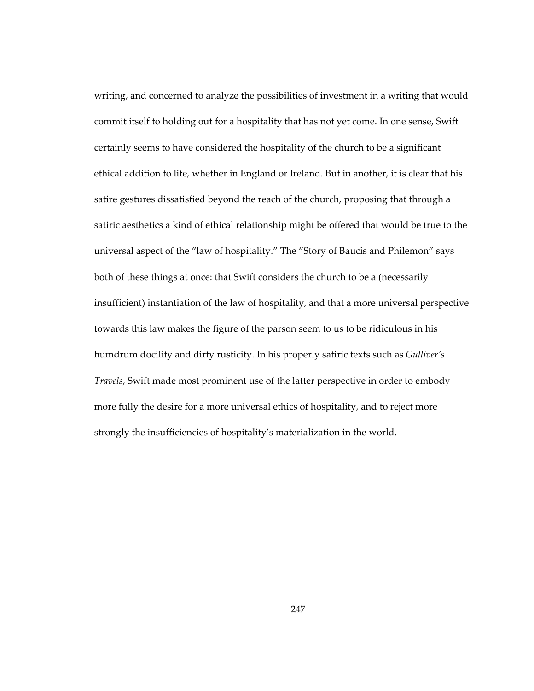writing, and concerned to analyze the possibilities of investment in a writing that would commit itself to holding out for a hospitality that has not yet come. In one sense, Swift certainly seems to have considered the hospitality of the church to be a significant ethical addition to life, whether in England or Ireland. But in another, it is clear that his satire gestures dissatisfied beyond the reach of the church, proposing that through a satiric aesthetics a kind of ethical relationship might be offered that would be true to the universal aspect of the "law of hospitality." The "Story of Baucis and Philemon" says both of these things at once: that Swift considers the church to be a (necessarily insufficient) instantiation of the law of hospitality, and that a more universal perspective towards this law makes the figure of the parson seem to us to be ridiculous in his humdrum docility and dirty rusticity. In his properly satiric texts such as *Gulliver's Travels*, Swift made most prominent use of the latter perspective in order to embody more fully the desire for a more universal ethics of hospitality, and to reject more strongly the insufficiencies of hospitality's materialization in the world.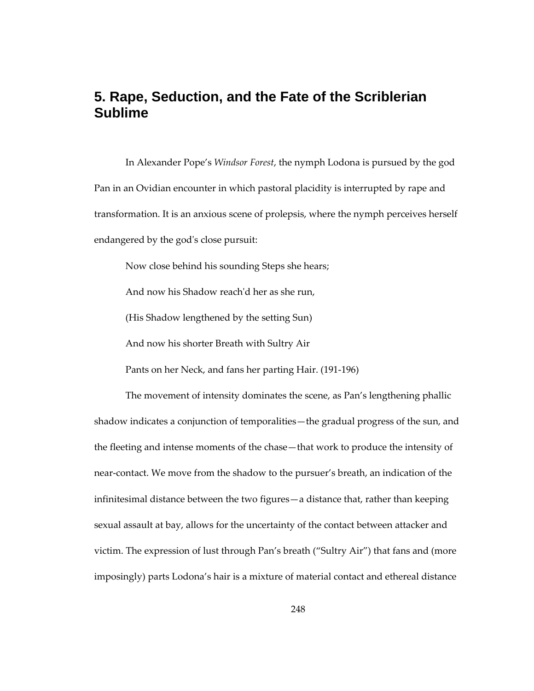# **5. Rape, Seduction, and the Fate of the Scriblerian Sublime**

In Alexander Pope's *Windsor Forest*, the nymph Lodona is pursued by the god Pan in an Ovidian encounter in which pastoral placidity is interrupted by rape and transformation. It is an anxious scene of prolepsis, where the nymph perceives herself endangered by the god's close pursuit:

Now close behind his sounding Steps she hears;

And now his Shadow reach'd her as she run,

(His Shadow lengthened by the setting Sun)

And now his shorter Breath with Sultry Air

Pants on her Neck, and fans her parting Hair. (191-196)

The movement of intensity dominates the scene, as Pan's lengthening phallic shadow indicates a conjunction of temporalities—the gradual progress of the sun, and the fleeting and intense moments of the chase—that work to produce the intensity of near-contact. We move from the shadow to the pursuer's breath, an indication of the infinitesimal distance between the two figures—a distance that, rather than keeping sexual assault at bay, allows for the uncertainty of the contact between attacker and victim. The expression of lust through Pan's breath ("Sultry Air") that fans and (more imposingly) parts Lodona's hair is a mixture of material contact and ethereal distance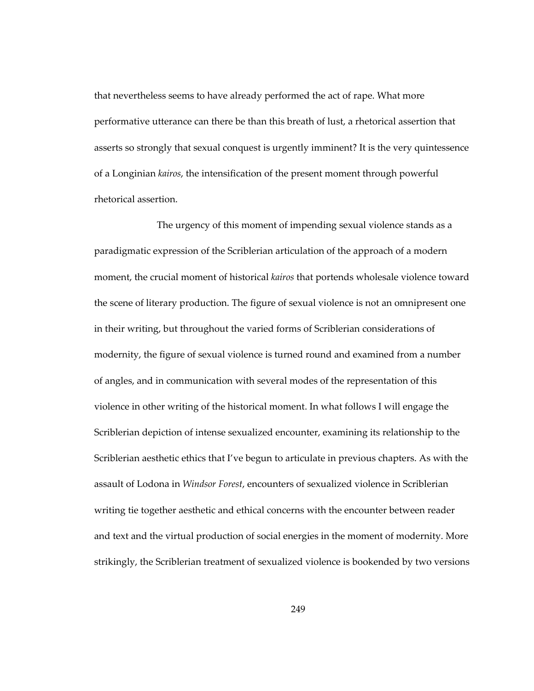that nevertheless seems to have already performed the act of rape. What more performative utterance can there be than this breath of lust, a rhetorical assertion that asserts so strongly that sexual conquest is urgently imminent? It is the very quintessence of a Longinian *kairos*, the intensification of the present moment through powerful rhetorical assertion.

 The urgency of this moment of impending sexual violence stands as a paradigmatic expression of the Scriblerian articulation of the approach of a modern moment, the crucial moment of historical *kairos* that portends wholesale violence toward the scene of literary production. The figure of sexual violence is not an omnipresent one in their writing, but throughout the varied forms of Scriblerian considerations of modernity, the figure of sexual violence is turned round and examined from a number of angles, and in communication with several modes of the representation of this violence in other writing of the historical moment. In what follows I will engage the Scriblerian depiction of intense sexualized encounter, examining its relationship to the Scriblerian aesthetic ethics that I've begun to articulate in previous chapters. As with the assault of Lodona in *Windsor Forest*, encounters of sexualized violence in Scriblerian writing tie together aesthetic and ethical concerns with the encounter between reader and text and the virtual production of social energies in the moment of modernity. More strikingly, the Scriblerian treatment of sexualized violence is bookended by two versions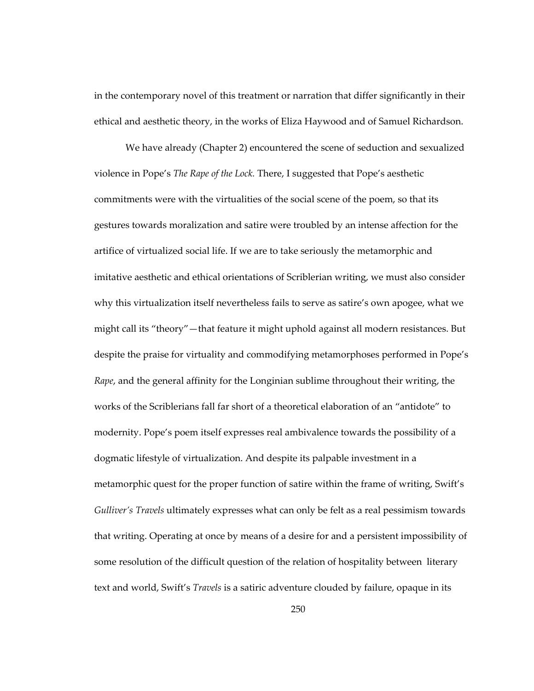in the contemporary novel of this treatment or narration that differ significantly in their ethical and aesthetic theory, in the works of Eliza Haywood and of Samuel Richardson.

We have already (Chapter 2) encountered the scene of seduction and sexualized violence in Pope's *The Rape of the Lock.* There, I suggested that Pope's aesthetic commitments were with the virtualities of the social scene of the poem, so that its gestures towards moralization and satire were troubled by an intense affection for the artifice of virtualized social life. If we are to take seriously the metamorphic and imitative aesthetic and ethical orientations of Scriblerian writing, we must also consider why this virtualization itself nevertheless fails to serve as satire's own apogee, what we might call its "theory"—that feature it might uphold against all modern resistances. But despite the praise for virtuality and commodifying metamorphoses performed in Pope's *Rape*, and the general affinity for the Longinian sublime throughout their writing, the works of the Scriblerians fall far short of a theoretical elaboration of an "antidote" to modernity. Pope's poem itself expresses real ambivalence towards the possibility of a dogmatic lifestyle of virtualization. And despite its palpable investment in a metamorphic quest for the proper function of satire within the frame of writing, Swift's *Gulliver's Travels* ultimately expresses what can only be felt as a real pessimism towards that writing. Operating at once by means of a desire for and a persistent impossibility of some resolution of the difficult question of the relation of hospitality between literary text and world, Swift's *Travels* is a satiric adventure clouded by failure, opaque in its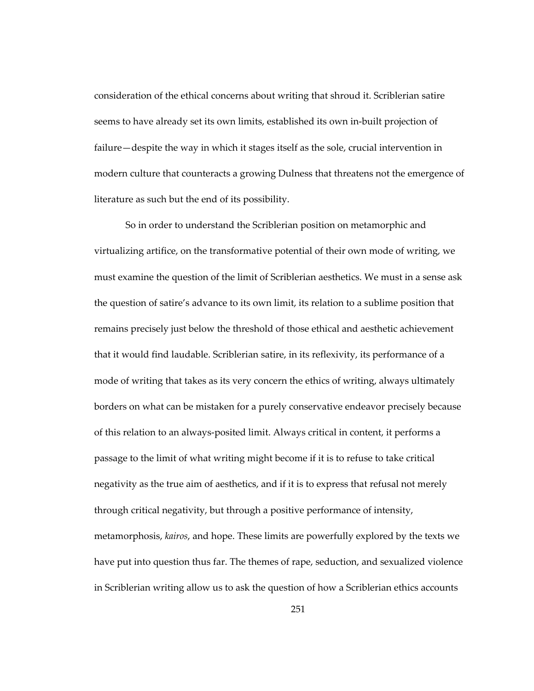consideration of the ethical concerns about writing that shroud it. Scriblerian satire seems to have already set its own limits, established its own in-built projection of failure—despite the way in which it stages itself as the sole, crucial intervention in modern culture that counteracts a growing Dulness that threatens not the emergence of literature as such but the end of its possibility.

So in order to understand the Scriblerian position on metamorphic and virtualizing artifice, on the transformative potential of their own mode of writing, we must examine the question of the limit of Scriblerian aesthetics. We must in a sense ask the question of satire's advance to its own limit, its relation to a sublime position that remains precisely just below the threshold of those ethical and aesthetic achievement that it would find laudable. Scriblerian satire, in its reflexivity, its performance of a mode of writing that takes as its very concern the ethics of writing, always ultimately borders on what can be mistaken for a purely conservative endeavor precisely because of this relation to an always-posited limit. Always critical in content, it performs a passage to the limit of what writing might become if it is to refuse to take critical negativity as the true aim of aesthetics, and if it is to express that refusal not merely through critical negativity, but through a positive performance of intensity, metamorphosis, *kairos*, and hope. These limits are powerfully explored by the texts we have put into question thus far. The themes of rape, seduction, and sexualized violence in Scriblerian writing allow us to ask the question of how a Scriblerian ethics accounts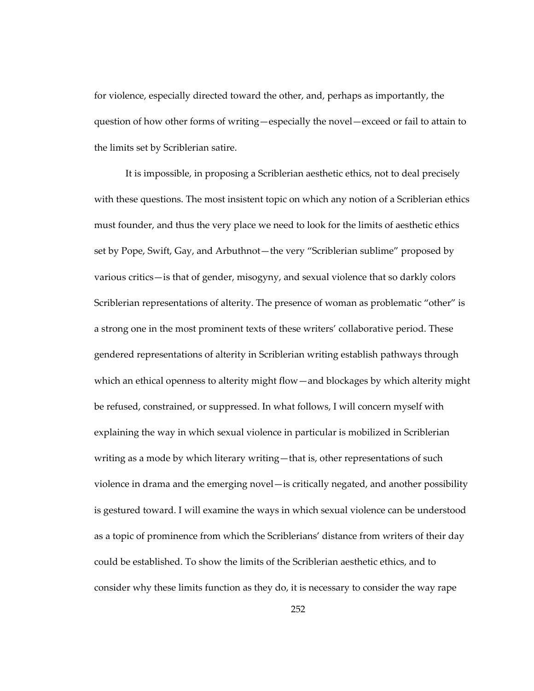for violence, especially directed toward the other, and, perhaps as importantly, the question of how other forms of writing—especially the novel—exceed or fail to attain to the limits set by Scriblerian satire.

It is impossible, in proposing a Scriblerian aesthetic ethics, not to deal precisely with these questions. The most insistent topic on which any notion of a Scriblerian ethics must founder, and thus the very place we need to look for the limits of aesthetic ethics set by Pope, Swift, Gay, and Arbuthnot—the very "Scriblerian sublime" proposed by various critics—is that of gender, misogyny, and sexual violence that so darkly colors Scriblerian representations of alterity. The presence of woman as problematic "other" is a strong one in the most prominent texts of these writers' collaborative period. These gendered representations of alterity in Scriblerian writing establish pathways through which an ethical openness to alterity might flow—and blockages by which alterity might be refused, constrained, or suppressed. In what follows, I will concern myself with explaining the way in which sexual violence in particular is mobilized in Scriblerian writing as a mode by which literary writing—that is, other representations of such violence in drama and the emerging novel—is critically negated, and another possibility is gestured toward. I will examine the ways in which sexual violence can be understood as a topic of prominence from which the Scriblerians' distance from writers of their day could be established. To show the limits of the Scriblerian aesthetic ethics, and to consider why these limits function as they do, it is necessary to consider the way rape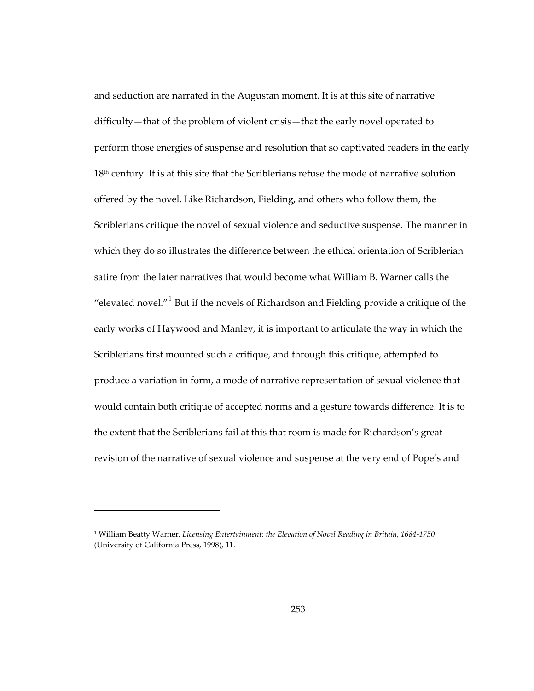and seduction are narrated in the Augustan moment. It is at this site of narrative difficulty—that of the problem of violent crisis—that the early novel operated to perform those energies of suspense and resolution that so captivated readers in the early 18<sup>th</sup> century. It is at this site that the Scriblerians refuse the mode of narrative solution offered by the novel. Like Richardson, Fielding, and others who follow them, the Scriblerians critique the novel of sexual violence and seductive suspense. The manner in which they do so illustrates the difference between the ethical orientation of Scriblerian satire from the later narratives that would become what William B. Warner calls the "elevated novel." $1$  But if the novels of Richardson and Fielding provide a critique of the early works of Haywood and Manley, it is important to articulate the way in which the Scriblerians first mounted such a critique, and through this critique, attempted to produce a variation in form, a mode of narrative representation of sexual violence that would contain both critique of accepted norms and a gesture towards difference. It is to the extent that the Scriblerians fail at this that room is made for Richardson's great revision of the narrative of sexual violence and suspense at the very end of Pope's and

1

<span id="page-286-0"></span><sup>1</sup> William Beatty Warner. *Licensing Entertainment: the Elevation of Novel Reading in Britain, 1684-1750* (University of California Press, 1998), 11.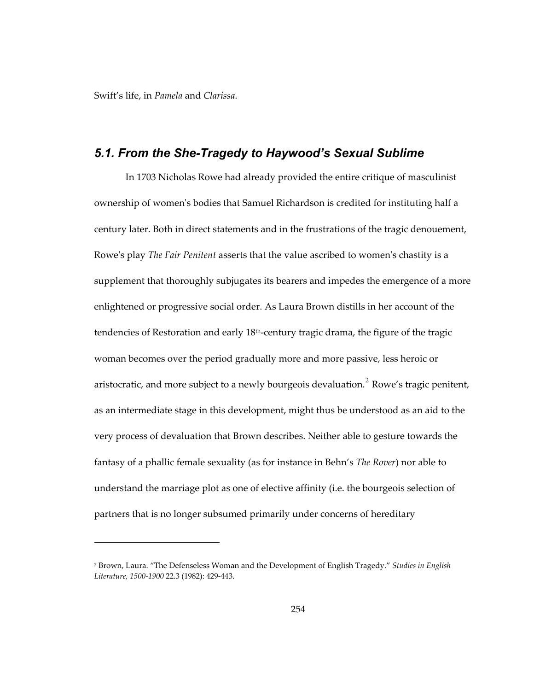Swift's life, in *Pamela* and *Clarissa*.

 $\overline{a}$ 

#### *5.1. From the She-Tragedy to Haywood's Sexual Sublime*

In 1703 Nicholas Rowe had already provided the entire critique of masculinist ownership of women's bodies that Samuel Richardson is credited for instituting half a century later. Both in direct statements and in the frustrations of the tragic denouement, Rowe's play *The Fair Penitent* asserts that the value ascribed to women's chastity is a supplement that thoroughly subjugates its bearers and impedes the emergence of a more enlightened or progressive social order. As Laura Brown distills in her account of the tendencies of Restoration and early 18<sup>th</sup>-century tragic drama, the figure of the tragic woman becomes over the period gradually more and more passive, less heroic or aristocratic, and more subject to a newly bourgeois devaluation.<sup>[2](#page-287-0)</sup> Rowe's tragic penitent, as an intermediate stage in this development, might thus be understood as an aid to the very process of devaluation that Brown describes. Neither able to gesture towards the fantasy of a phallic female sexuality (as for instance in Behn's *The Rover*) nor able to understand the marriage plot as one of elective affinity (i.e. the bourgeois selection of partners that is no longer subsumed primarily under concerns of hereditary

<span id="page-287-0"></span><sup>2</sup> Brown, Laura. "The Defenseless Woman and the Development of English Tragedy." *Studies in English Literature, 1500-1900* 22.3 (1982): 429-443.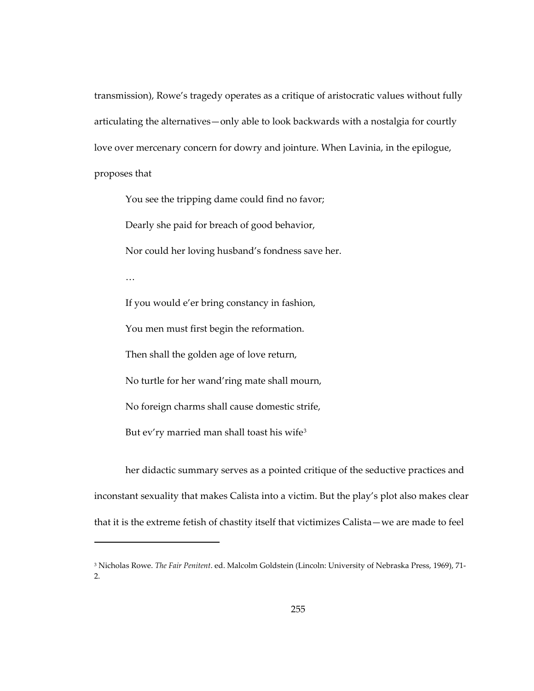transmission), Rowe's tragedy operates as a critique of aristocratic values without fully articulating the alternatives—only able to look backwards with a nostalgia for courtly love over mercenary concern for dowry and jointure. When Lavinia, in the epilogue, proposes that

You see the tripping dame could find no favor; Dearly she paid for breach of good behavior,

Nor could her loving husband's fondness save her.

…

 $\overline{a}$ 

If you would e'er bring constancy in fashion,

You men must first begin the reformation.

Then shall the golden age of love return,

No turtle for her wand'ring mate shall mourn,

No foreign charms shall cause domestic strife,

But ev'ry married man shall toast his wife<sup>[3](#page-288-0)</sup>

her didactic summary serves as a pointed critique of the seductive practices and inconstant sexuality that makes Calista into a victim. But the play's plot also makes clear that it is the extreme fetish of chastity itself that victimizes Calista—we are made to feel

<span id="page-288-0"></span><sup>3</sup> Nicholas Rowe. *The Fair Penitent*. ed. Malcolm Goldstein (Lincoln: University of Nebraska Press, 1969), 71- 2.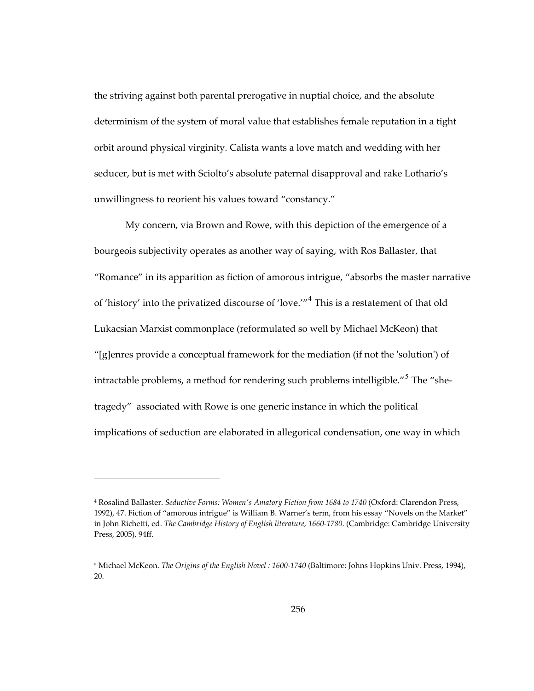the striving against both parental prerogative in nuptial choice, and the absolute determinism of the system of moral value that establishes female reputation in a tight orbit around physical virginity. Calista wants a love match and wedding with her seducer, but is met with Sciolto's absolute paternal disapproval and rake Lothario's unwillingness to reorient his values toward "constancy."

My concern, via Brown and Rowe, with this depiction of the emergence of a bourgeois subjectivity operates as another way of saying, with Ros Ballaster, that "Romance" in its apparition as fiction of amorous intrigue, "absorbs the master narrative of 'history' into the privatized discourse of 'love.'"<sup>[4](#page-289-0)</sup> This is a restatement of that old Lukacsian Marxist commonplace (reformulated so well by Michael McKeon) that "[g]enres provide a conceptual framework for the mediation (if not the 'solution') of intractable problems, a method for rendering such problems intelligible." $^{\mathrm{5}}$  $^{\mathrm{5}}$  $^{\mathrm{5}}$  The "shetragedy" associated with Rowe is one generic instance in which the political implications of seduction are elaborated in allegorical condensation, one way in which

<span id="page-289-0"></span><sup>4</sup> Rosalind Ballaster. *Seductive Forms: Women's Amatory Fiction from 1684 to 1740* (Oxford: Clarendon Press, 1992), 47. Fiction of "amorous intrigue" is William B. Warner's term, from his essay "Novels on the Market" in John Richetti, ed. *The Cambridge History of English literature, 1660-1780*. (Cambridge: Cambridge University Press, 2005), 94ff.

<span id="page-289-1"></span><sup>5</sup> Michael McKeon. *The Origins of the English Novel : 1600-1740* (Baltimore: Johns Hopkins Univ. Press, 1994), 20.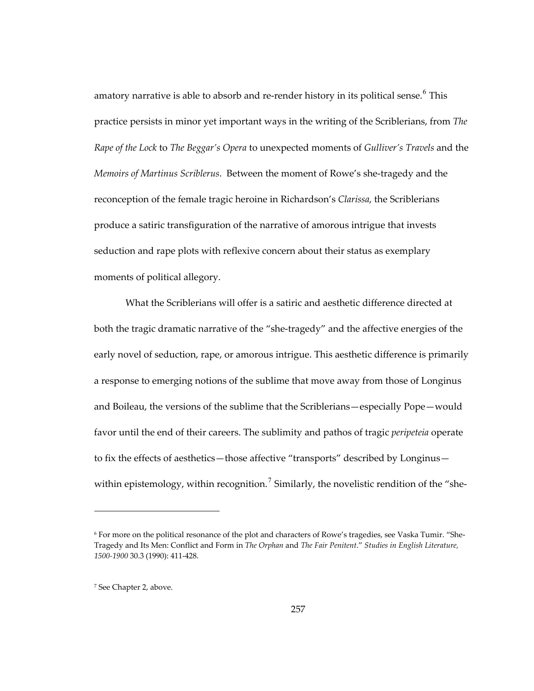amatory narrative is able to absorb and re-render history in its political sense. $^6$  $^6$  This practice persists in minor yet important ways in the writing of the Scriblerians, from *The Rape of the Lock* to *The Beggar's Opera* to unexpected moments of *Gulliver's Travels* and the *Memoirs of Martinus Scriblerus*. Between the moment of Rowe's she-tragedy and the reconception of the female tragic heroine in Richardson's *Clarissa*, the Scriblerians produce a satiric transfiguration of the narrative of amorous intrigue that invests seduction and rape plots with reflexive concern about their status as exemplary moments of political allegory.

What the Scriblerians will offer is a satiric and aesthetic difference directed at both the tragic dramatic narrative of the "she-tragedy" and the affective energies of the early novel of seduction, rape, or amorous intrigue. This aesthetic difference is primarily a response to emerging notions of the sublime that move away from those of Longinus and Boileau, the versions of the sublime that the Scriblerians—especially Pope—would favor until the end of their careers. The sublimity and pathos of tragic *peripeteia* operate to fix the effects of aesthetics—those affective "transports" described by Longinus— within epistemology, within recognition.<sup>[7](#page-290-1)</sup> Similarly, the novelistic rendition of the "she-

<span id="page-290-0"></span><sup>6</sup> For more on the political resonance of the plot and characters of Rowe's tragedies, see Vaska Tumir. "She-Tragedy and Its Men: Conflict and Form in *The Orphan* and *The Fair Penitent*." *Studies in English Literature, 1500-1900* 30.3 (1990): 411-428.

<span id="page-290-1"></span><sup>7</sup> See Chapter 2, above.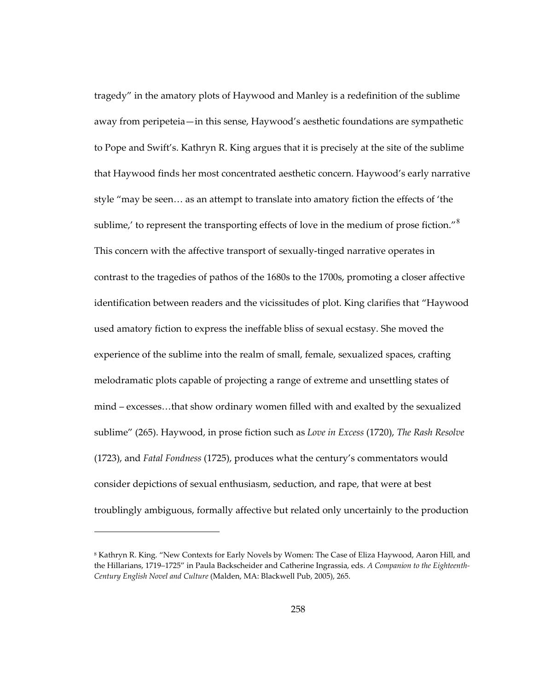tragedy" in the amatory plots of Haywood and Manley is a redefinition of the sublime away from peripeteia—in this sense, Haywood's aesthetic foundations are sympathetic to Pope and Swift's. Kathryn R. King argues that it is precisely at the site of the sublime that Haywood finds her most concentrated aesthetic concern. Haywood's early narrative style "may be seen… as an attempt to translate into amatory fiction the effects of 'the sublime, $'$  to represent the transporting effects of love in the medium of prose fiction." $^8$  $^8$ This concern with the affective transport of sexually-tinged narrative operates in contrast to the tragedies of pathos of the 1680s to the 1700s, promoting a closer affective identification between readers and the vicissitudes of plot. King clarifies that "Haywood used amatory fiction to express the ineffable bliss of sexual ecstasy. She moved the experience of the sublime into the realm of small, female, sexualized spaces, crafting melodramatic plots capable of projecting a range of extreme and unsettling states of mind – excesses…that show ordinary women filled with and exalted by the sexualized sublime" (265). Haywood, in prose fiction such as *Love in Excess* (1720), *The Rash Resolve*  (1723), and *Fatal Fondness* (1725), produces what the century's commentators would consider depictions of sexual enthusiasm, seduction, and rape, that were at best troublingly ambiguous, formally affective but related only uncertainly to the production

<span id="page-291-0"></span><sup>8</sup> Kathryn R. King. "New Contexts for Early Novels by Women: The Case of Eliza Haywood, Aaron Hill, and the Hillarians, 1719–1725" in Paula Backscheider and Catherine Ingrassia, eds. *A Companion to the Eighteenth-Century English Novel and Culture* (Malden, MA: Blackwell Pub, 2005), 265.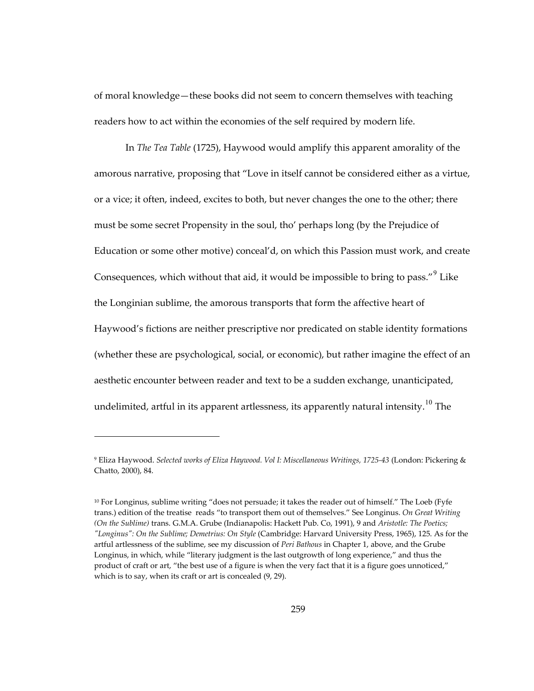of moral knowledge—these books did not seem to concern themselves with teaching readers how to act within the economies of the self required by modern life.

In *The Tea Table* (1725), Haywood would amplify this apparent amorality of the amorous narrative, proposing that "Love in itself cannot be considered either as a virtue, or a vice; it often, indeed, excites to both, but never changes the one to the other; there must be some secret Propensity in the soul, tho' perhaps long (by the Prejudice of Education or some other motive) conceal'd, on which this Passion must work, and create Consequences, which without that aid, it would be impossible to bring to pass." $9$  Like the Longinian sublime, the amorous transports that form the affective heart of Haywood's fictions are neither prescriptive nor predicated on stable identity formations (whether these are psychological, social, or economic), but rather imagine the effect of an aesthetic encounter between reader and text to be a sudden exchange, unanticipated, undelimited, artful in its apparent artlessness, its apparently natural intensity.<sup>[10](#page-292-1)</sup> The

 $\overline{a}$ 

<span id="page-292-0"></span><sup>9</sup> Eliza Haywood. *Selected works of Eliza Haywood. Vol I: Miscellaneous Writings, 1725-43* (London: Pickering & Chatto, 2000), 84.

<span id="page-292-1"></span><sup>10</sup> For Longinus, sublime writing "does not persuade; it takes the reader out of himself." The Loeb (Fyfe trans.) edition of the treatise reads "to transport them out of themselves." See Longinus. *On Great Writing (On the Sublime)* trans. G.M.A. Grube (Indianapolis: Hackett Pub. Co, 1991), 9 and *Aristotle: The Poetics; "Longinus": On the Sublime; Demetrius: On Style* (Cambridge: Harvard University Press, 1965), 125. As for the artful artlessness of the sublime, see my discussion of *Peri Bathous* in Chapter 1, above, and the Grube Longinus, in which, while "literary judgment is the last outgrowth of long experience," and thus the product of craft or art, "the best use of a figure is when the very fact that it is a figure goes unnoticed," which is to say, when its craft or art is concealed (9, 29).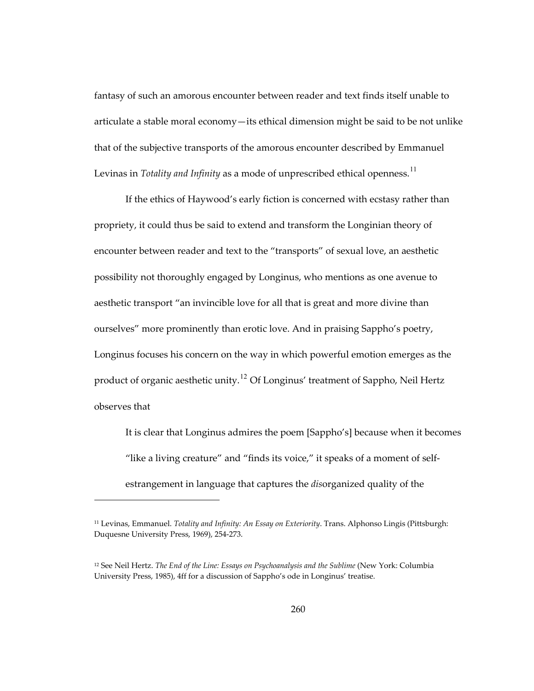fantasy of such an amorous encounter between reader and text finds itself unable to articulate a stable moral economy—its ethical dimension might be said to be not unlike that of the subjective transports of the amorous encounter described by Emmanuel Levinas in *Totality and Infinity* as a mode of unprescribed ethical openness.<sup>[11](#page-293-0)</sup>

If the ethics of Haywood's early fiction is concerned with ecstasy rather than propriety, it could thus be said to extend and transform the Longinian theory of encounter between reader and text to the "transports" of sexual love, an aesthetic possibility not thoroughly engaged by Longinus, who mentions as one avenue to aesthetic transport "an invincible love for all that is great and more divine than ourselves" more prominently than erotic love. And in praising Sappho's poetry, Longinus focuses his concern on the way in which powerful emotion emerges as the product of organic aesthetic unity.[12](#page-293-1) Of Longinus' treatment of Sappho, Neil Hertz observes that

It is clear that Longinus admires the poem [Sappho's] because when it becomes "like a living creature" and "finds its voice," it speaks of a moment of selfestrangement in language that captures the *dis*organized quality of the

<span id="page-293-0"></span><sup>11</sup> Levinas, Emmanuel. *Totality and Infinity: An Essay on Exteriority*. Trans. Alphonso Lingis (Pittsburgh: Duquesne University Press, 1969), 254-273.

<span id="page-293-1"></span><sup>12</sup> See Neil Hertz. *The End of the Line: Essays on Psychoanalysis and the Sublime* (New York: Columbia University Press, 1985), 4ff for a discussion of Sappho's ode in Longinus' treatise.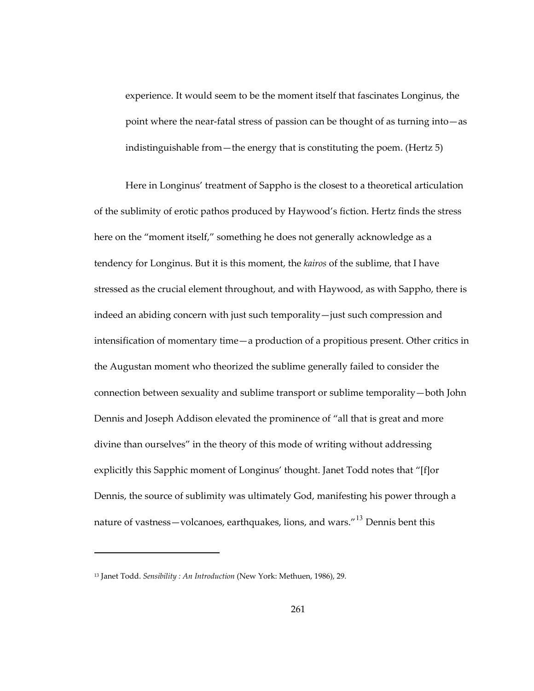experience. It would seem to be the moment itself that fascinates Longinus, the point where the near-fatal stress of passion can be thought of as turning into—as indistinguishable from—the energy that is constituting the poem. (Hertz 5)

Here in Longinus' treatment of Sappho is the closest to a theoretical articulation of the sublimity of erotic pathos produced by Haywood's fiction. Hertz finds the stress here on the "moment itself," something he does not generally acknowledge as a tendency for Longinus. But it is this moment, the *kairos* of the sublime, that I have stressed as the crucial element throughout, and with Haywood, as with Sappho, there is indeed an abiding concern with just such temporality—just such compression and intensification of momentary time—a production of a propitious present. Other critics in the Augustan moment who theorized the sublime generally failed to consider the connection between sexuality and sublime transport or sublime temporality—both John Dennis and Joseph Addison elevated the prominence of "all that is great and more divine than ourselves" in the theory of this mode of writing without addressing explicitly this Sapphic moment of Longinus' thought. Janet Todd notes that "[f]or Dennis, the source of sublimity was ultimately God, manifesting his power through a nature of vastness—volcanoes, earthquakes, lions, and wars."<sup>[13](#page-294-0)</sup> Dennis bent this

<span id="page-294-0"></span><sup>13</sup> Janet Todd. *Sensibility : An Introduction* (New York: Methuen, 1986), 29.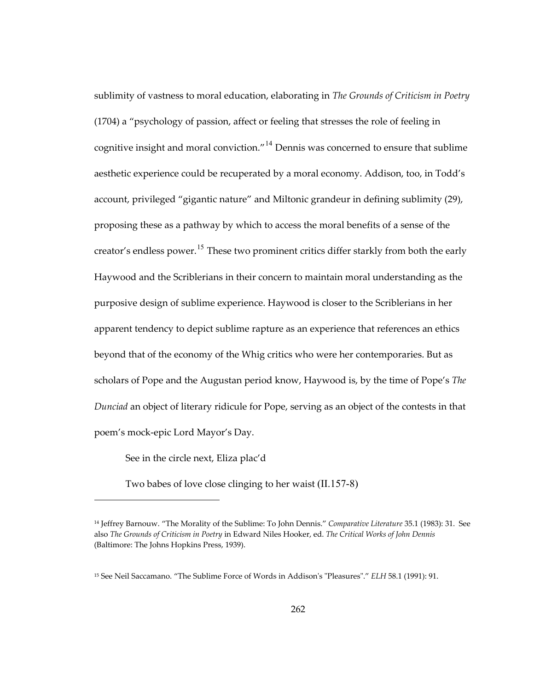sublimity of vastness to moral education, elaborating in *The Grounds of Criticism in Poetry* (1704) a "psychology of passion, affect or feeling that stresses the role of feeling in cognitive insight and moral conviction."<sup>[14](#page-295-0)</sup> Dennis was concerned to ensure that sublime aesthetic experience could be recuperated by a moral economy. Addison, too, in Todd's account, privileged "gigantic nature" and Miltonic grandeur in defining sublimity (29), proposing these as a pathway by which to access the moral benefits of a sense of the creator's endless power.<sup>[15](#page-295-1)</sup> These two prominent critics differ starkly from both the early Haywood and the Scriblerians in their concern to maintain moral understanding as the purposive design of sublime experience. Haywood is closer to the Scriblerians in her apparent tendency to depict sublime rapture as an experience that references an ethics beyond that of the economy of the Whig critics who were her contemporaries. But as scholars of Pope and the Augustan period know, Haywood is, by the time of Pope's *The Dunciad* an object of literary ridicule for Pope, serving as an object of the contests in that poem's mock-epic Lord Mayor's Day.

See in the circle next, Eliza plac'd

1

Two babes of love close clinging to her waist (II.157-8)

<span id="page-295-0"></span><sup>14</sup> Jeffrey Barnouw. "The Morality of the Sublime: To John Dennis." *Comparative Literature* 35.1 (1983): 31. See also *The Grounds of Criticism in Poetry* in Edward Niles Hooker, ed. *The Critical Works of John Dennis* (Baltimore: The Johns Hopkins Press, 1939).

<span id="page-295-1"></span><sup>15</sup> See Neil Saccamano. "The Sublime Force of Words in Addison's "Pleasures"." *ELH* 58.1 (1991): 91.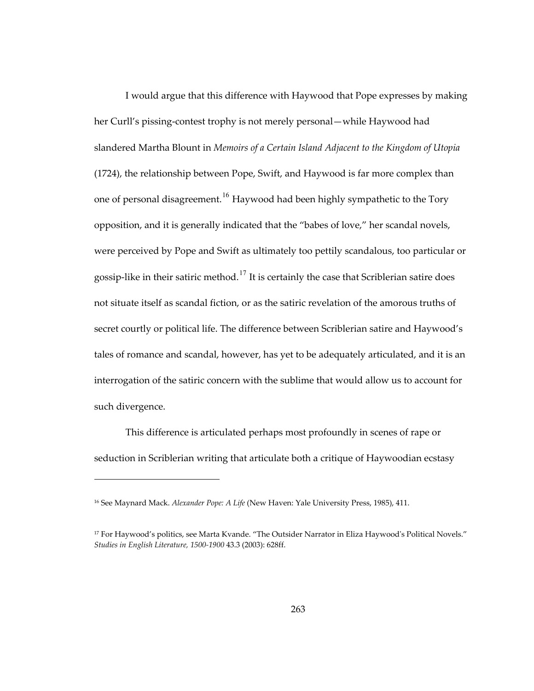I would argue that this difference with Haywood that Pope expresses by making her Curll's pissing-contest trophy is not merely personal—while Haywood had slandered Martha Blount in *Memoirs of a Certain Island Adjacent to the Kingdom of Utopia*  (1724), the relationship between Pope, Swift, and Haywood is far more complex than one of personal disagreement.<sup>[16](#page-296-0)</sup> Haywood had been highly sympathetic to the Tory opposition, and it is generally indicated that the "babes of love," her scandal novels, were perceived by Pope and Swift as ultimately too pettily scandalous, too particular or gossip-like in their satiric method.<sup>[17](#page-296-1)</sup> It is certainly the case that Scriblerian satire does not situate itself as scandal fiction, or as the satiric revelation of the amorous truths of secret courtly or political life. The difference between Scriblerian satire and Haywood's tales of romance and scandal, however, has yet to be adequately articulated, and it is an interrogation of the satiric concern with the sublime that would allow us to account for such divergence.

This difference is articulated perhaps most profoundly in scenes of rape or seduction in Scriblerian writing that articulate both a critique of Haywoodian ecstasy

<span id="page-296-0"></span><sup>16</sup> See Maynard Mack. *Alexander Pope: A Life* (New Haven: Yale University Press, 1985), 411.

<span id="page-296-1"></span><sup>17</sup> For Haywood's politics, see Marta Kvande. "The Outsider Narrator in Eliza Haywood's Political Novels." *Studies in English Literature, 1500-1900* 43.3 (2003): 628ff.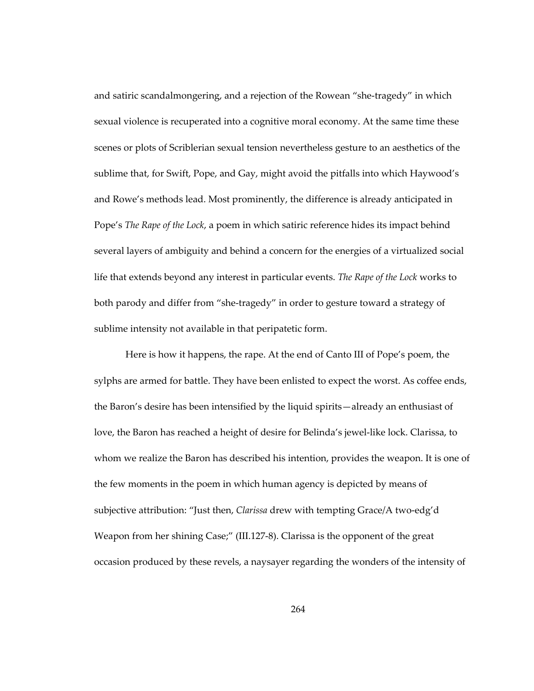and satiric scandalmongering, and a rejection of the Rowean "she-tragedy" in which sexual violence is recuperated into a cognitive moral economy. At the same time these scenes or plots of Scriblerian sexual tension nevertheless gesture to an aesthetics of the sublime that, for Swift, Pope, and Gay, might avoid the pitfalls into which Haywood's and Rowe's methods lead. Most prominently, the difference is already anticipated in Pope's *The Rape of the Lock*, a poem in which satiric reference hides its impact behind several layers of ambiguity and behind a concern for the energies of a virtualized social life that extends beyond any interest in particular events. *The Rape of the Lock* works to both parody and differ from "she-tragedy" in order to gesture toward a strategy of sublime intensity not available in that peripatetic form.

Here is how it happens, the rape. At the end of Canto III of Pope's poem, the sylphs are armed for battle. They have been enlisted to expect the worst. As coffee ends, the Baron's desire has been intensified by the liquid spirits—already an enthusiast of love, the Baron has reached a height of desire for Belinda's jewel-like lock. Clarissa, to whom we realize the Baron has described his intention, provides the weapon. It is one of the few moments in the poem in which human agency is depicted by means of subjective attribution: "Just then, *Clarissa* drew with tempting Grace/A two-edg'd Weapon from her shining Case;" (III.127-8). Clarissa is the opponent of the great occasion produced by these revels, a naysayer regarding the wonders of the intensity of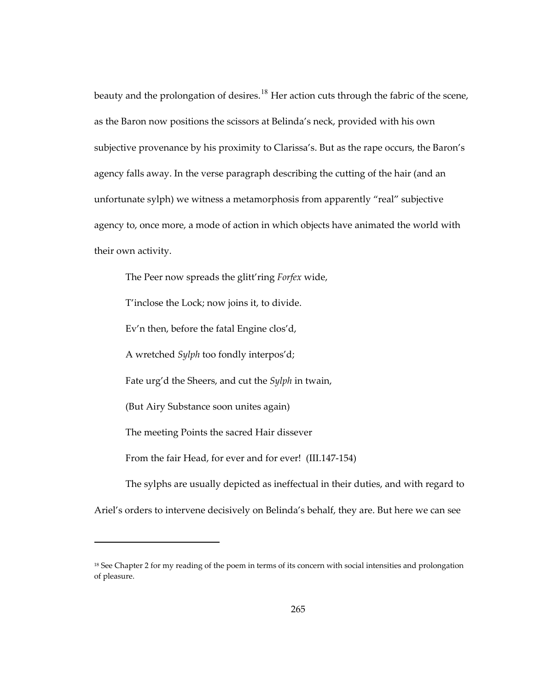beauty and the prolongation of desires.<sup>[18](#page-298-0)</sup> Her action cuts through the fabric of the scene, as the Baron now positions the scissors at Belinda's neck, provided with his own subjective provenance by his proximity to Clarissa's. But as the rape occurs, the Baron's agency falls away. In the verse paragraph describing the cutting of the hair (and an unfortunate sylph) we witness a metamorphosis from apparently "real" subjective agency to, once more, a mode of action in which objects have animated the world with their own activity.

The Peer now spreads the glitt'ring *Forfex* wide,

T'inclose the Lock; now joins it, to divide.

Ev'n then, before the fatal Engine clos'd,

A wretched *Sylph* too fondly interpos'd;

Fate urg'd the Sheers, and cut the *Sylph* in twain,

(But Airy Substance soon unites again)

 $\overline{a}$ 

The meeting Points the sacred Hair dissever

From the fair Head, for ever and for ever! (III.147-154)

The sylphs are usually depicted as ineffectual in their duties, and with regard to Ariel's orders to intervene decisively on Belinda's behalf, they are. But here we can see

<span id="page-298-0"></span><sup>&</sup>lt;sup>18</sup> See Chapter 2 for my reading of the poem in terms of its concern with social intensities and prolongation of pleasure.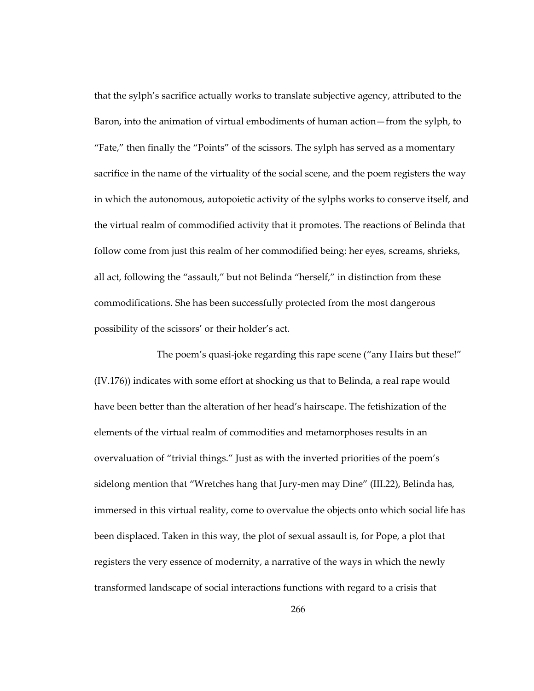that the sylph's sacrifice actually works to translate subjective agency, attributed to the Baron, into the animation of virtual embodiments of human action—from the sylph, to "Fate," then finally the "Points" of the scissors. The sylph has served as a momentary sacrifice in the name of the virtuality of the social scene, and the poem registers the way in which the autonomous, autopoietic activity of the sylphs works to conserve itself, and the virtual realm of commodified activity that it promotes. The reactions of Belinda that follow come from just this realm of her commodified being: her eyes, screams, shrieks, all act, following the "assault," but not Belinda "herself," in distinction from these commodifications. She has been successfully protected from the most dangerous possibility of the scissors' or their holder's act.

 The poem's quasi-joke regarding this rape scene ("any Hairs but these!" (IV.176)) indicates with some effort at shocking us that to Belinda, a real rape would have been better than the alteration of her head's hairscape. The fetishization of the elements of the virtual realm of commodities and metamorphoses results in an overvaluation of "trivial things." Just as with the inverted priorities of the poem's sidelong mention that "Wretches hang that Jury-men may Dine" (III.22), Belinda has, immersed in this virtual reality, come to overvalue the objects onto which social life has been displaced. Taken in this way, the plot of sexual assault is, for Pope, a plot that registers the very essence of modernity, a narrative of the ways in which the newly transformed landscape of social interactions functions with regard to a crisis that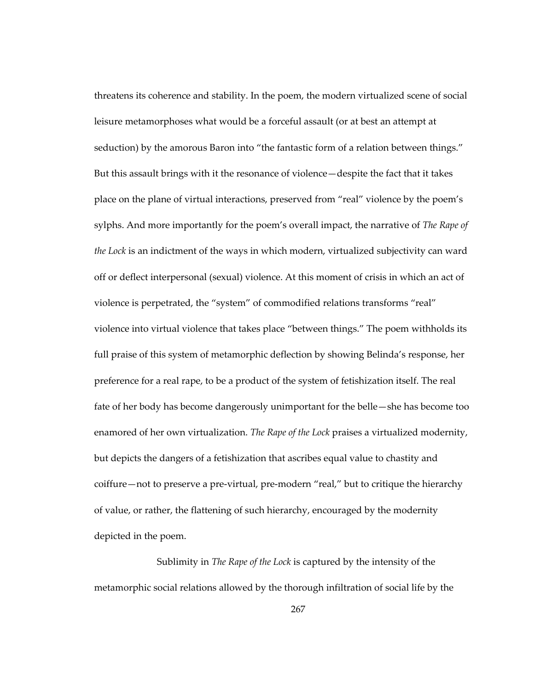threatens its coherence and stability. In the poem, the modern virtualized scene of social leisure metamorphoses what would be a forceful assault (or at best an attempt at seduction) by the amorous Baron into "the fantastic form of a relation between things." But this assault brings with it the resonance of violence—despite the fact that it takes place on the plane of virtual interactions, preserved from "real" violence by the poem's sylphs. And more importantly for the poem's overall impact, the narrative of *The Rape of the Lock* is an indictment of the ways in which modern, virtualized subjectivity can ward off or deflect interpersonal (sexual) violence. At this moment of crisis in which an act of violence is perpetrated, the "system" of commodified relations transforms "real" violence into virtual violence that takes place "between things." The poem withholds its full praise of this system of metamorphic deflection by showing Belinda's response, her preference for a real rape, to be a product of the system of fetishization itself. The real fate of her body has become dangerously unimportant for the belle—she has become too enamored of her own virtualization. *The Rape of the Lock* praises a virtualized modernity, but depicts the dangers of a fetishization that ascribes equal value to chastity and coiffure—not to preserve a pre-virtual, pre-modern "real," but to critique the hierarchy of value, or rather, the flattening of such hierarchy, encouraged by the modernity depicted in the poem.

 Sublimity in *The Rape of the Lock* is captured by the intensity of the metamorphic social relations allowed by the thorough infiltration of social life by the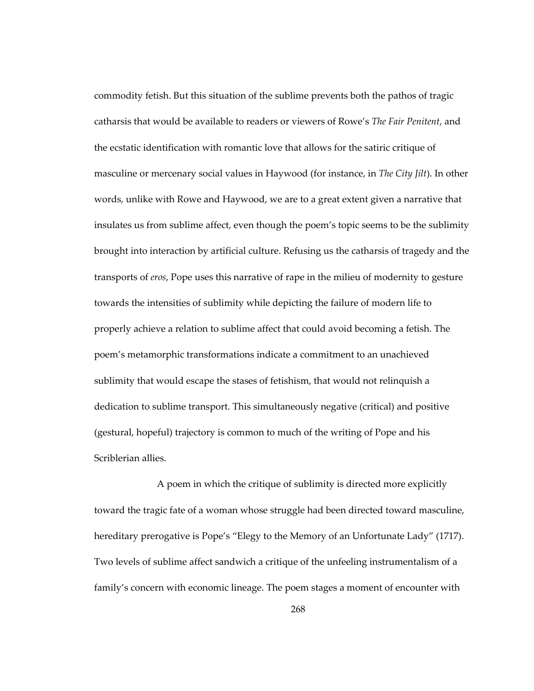commodity fetish. But this situation of the sublime prevents both the pathos of tragic catharsis that would be available to readers or viewers of Rowe's *The Fair Penitent*, and the ecstatic identification with romantic love that allows for the satiric critique of masculine or mercenary social values in Haywood (for instance, in *The City Jilt*). In other words, unlike with Rowe and Haywood, we are to a great extent given a narrative that insulates us from sublime affect, even though the poem's topic seems to be the sublimity brought into interaction by artificial culture. Refusing us the catharsis of tragedy and the transports of *eros*, Pope uses this narrative of rape in the milieu of modernity to gesture towards the intensities of sublimity while depicting the failure of modern life to properly achieve a relation to sublime affect that could avoid becoming a fetish. The poem's metamorphic transformations indicate a commitment to an unachieved sublimity that would escape the stases of fetishism, that would not relinquish a dedication to sublime transport. This simultaneously negative (critical) and positive (gestural, hopeful) trajectory is common to much of the writing of Pope and his Scriblerian allies.

 A poem in which the critique of sublimity is directed more explicitly toward the tragic fate of a woman whose struggle had been directed toward masculine, hereditary prerogative is Pope's "Elegy to the Memory of an Unfortunate Lady" (1717). Two levels of sublime affect sandwich a critique of the unfeeling instrumentalism of a family's concern with economic lineage. The poem stages a moment of encounter with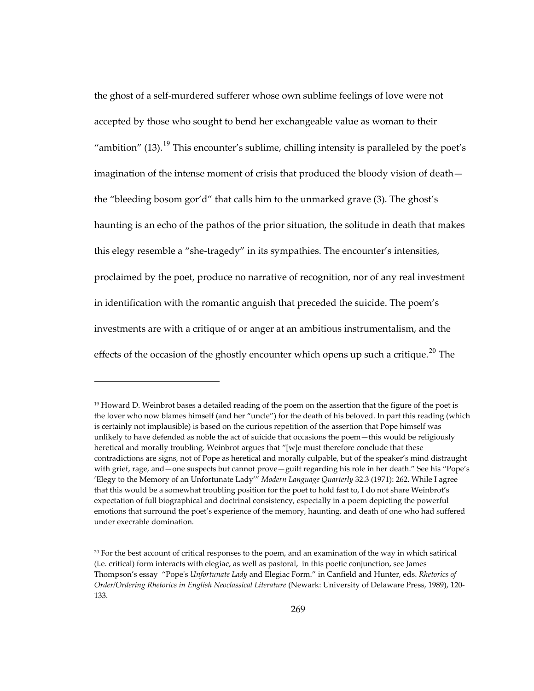the ghost of a self-murdered sufferer whose own sublime feelings of love were not accepted by those who sought to bend her exchangeable value as woman to their "ambition"  $(13)$ .<sup>[19](#page-302-0)</sup> This encounter's sublime, chilling intensity is paralleled by the poet's imagination of the intense moment of crisis that produced the bloody vision of death the "bleeding bosom gor'd" that calls him to the unmarked grave (3). The ghost's haunting is an echo of the pathos of the prior situation, the solitude in death that makes this elegy resemble a "she-tragedy" in its sympathies. The encounter's intensities, proclaimed by the poet, produce no narrative of recognition, nor of any real investment in identification with the romantic anguish that preceded the suicide. The poem's investments are with a critique of or anger at an ambitious instrumentalism, and the effects of the occasion of the ghostly encounter which opens up such a critique.<sup>[20](#page-302-1)</sup> The

 $\overline{a}$ 

<span id="page-302-0"></span><sup>19</sup> Howard D. Weinbrot bases a detailed reading of the poem on the assertion that the figure of the poet is the lover who now blames himself (and her "uncle") for the death of his beloved. In part this reading (which is certainly not implausible) is based on the curious repetition of the assertion that Pope himself was unlikely to have defended as noble the act of suicide that occasions the poem—this would be religiously heretical and morally troubling. Weinbrot argues that "[w]e must therefore conclude that these contradictions are signs, not of Pope as heretical and morally culpable, but of the speaker's mind distraught with grief, rage, and —one suspects but cannot prove—guilt regarding his role in her death." See his "Pope's 'Elegy to the Memory of an Unfortunate Lady'" *Modern Language Quarterly* 32.3 (1971): 262. While I agree that this would be a somewhat troubling position for the poet to hold fast to, I do not share Weinbrot's expectation of full biographical and doctrinal consistency, especially in a poem depicting the powerful emotions that surround the poet's experience of the memory, haunting, and death of one who had suffered under execrable domination.

<span id="page-302-1"></span> $20$  For the best account of critical responses to the poem, and an examination of the way in which satirical (i.e. critical) form interacts with elegiac, as well as pastoral, in this poetic conjunction, see James Thompson's essay "Pope's *Unfortunate Lady* and Elegiac Form." in Canfield and Hunter, eds. *Rhetorics of Order/Ordering Rhetorics in English Neoclassical Literature* (Newark: University of Delaware Press, 1989), 120- 133.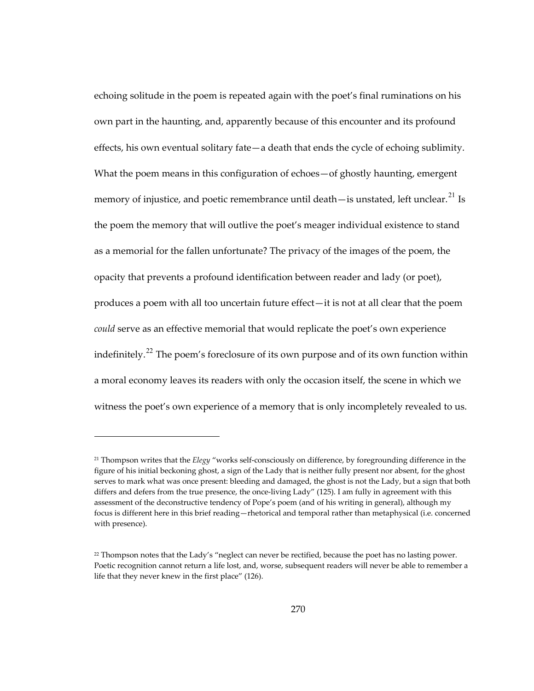echoing solitude in the poem is repeated again with the poet's final ruminations on his own part in the haunting, and, apparently because of this encounter and its profound effects, his own eventual solitary fate—a death that ends the cycle of echoing sublimity. What the poem means in this configuration of echoes—of ghostly haunting, emergent memory of injustice, and poetic remembrance until death—is unstated, left unclear.<sup>[21](#page-303-0)</sup> Is the poem the memory that will outlive the poet's meager individual existence to stand as a memorial for the fallen unfortunate? The privacy of the images of the poem, the opacity that prevents a profound identification between reader and lady (or poet), produces a poem with all too uncertain future effect—it is not at all clear that the poem *could* serve as an effective memorial that would replicate the poet's own experience indefinitely.<sup>[22](#page-303-1)</sup> The poem's foreclosure of its own purpose and of its own function within a moral economy leaves its readers with only the occasion itself, the scene in which we witness the poet's own experience of a memory that is only incompletely revealed to us.

 $\overline{a}$ 

<span id="page-303-0"></span><sup>21</sup> Thompson writes that the *Elegy* "works self-consciously on difference, by foregrounding difference in the figure of his initial beckoning ghost, a sign of the Lady that is neither fully present nor absent, for the ghost serves to mark what was once present: bleeding and damaged, the ghost is not the Lady, but a sign that both differs and defers from the true presence, the once-living Lady" (125). I am fully in agreement with this assessment of the deconstructive tendency of Pope's poem (and of his writing in general), although my focus is different here in this brief reading—rhetorical and temporal rather than metaphysical (i.e. concerned with presence).

<span id="page-303-1"></span><sup>&</sup>lt;sup>22</sup> Thompson notes that the Lady's "neglect can never be rectified, because the poet has no lasting power. Poetic recognition cannot return a life lost, and, worse, subsequent readers will never be able to remember a life that they never knew in the first place" (126).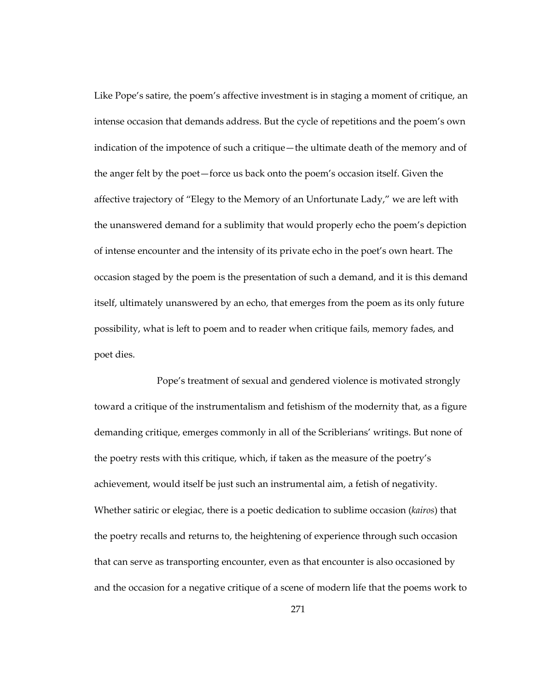Like Pope's satire, the poem's affective investment is in staging a moment of critique, an intense occasion that demands address. But the cycle of repetitions and the poem's own indication of the impotence of such a critique—the ultimate death of the memory and of the anger felt by the poet—force us back onto the poem's occasion itself. Given the affective trajectory of "Elegy to the Memory of an Unfortunate Lady," we are left with the unanswered demand for a sublimity that would properly echo the poem's depiction of intense encounter and the intensity of its private echo in the poet's own heart. The occasion staged by the poem is the presentation of such a demand, and it is this demand itself, ultimately unanswered by an echo, that emerges from the poem as its only future possibility, what is left to poem and to reader when critique fails, memory fades, and poet dies.

 Pope's treatment of sexual and gendered violence is motivated strongly toward a critique of the instrumentalism and fetishism of the modernity that, as a figure demanding critique, emerges commonly in all of the Scriblerians' writings. But none of the poetry rests with this critique, which, if taken as the measure of the poetry's achievement, would itself be just such an instrumental aim, a fetish of negativity. Whether satiric or elegiac, there is a poetic dedication to sublime occasion (*kairos*) that the poetry recalls and returns to, the heightening of experience through such occasion that can serve as transporting encounter, even as that encounter is also occasioned by and the occasion for a negative critique of a scene of modern life that the poems work to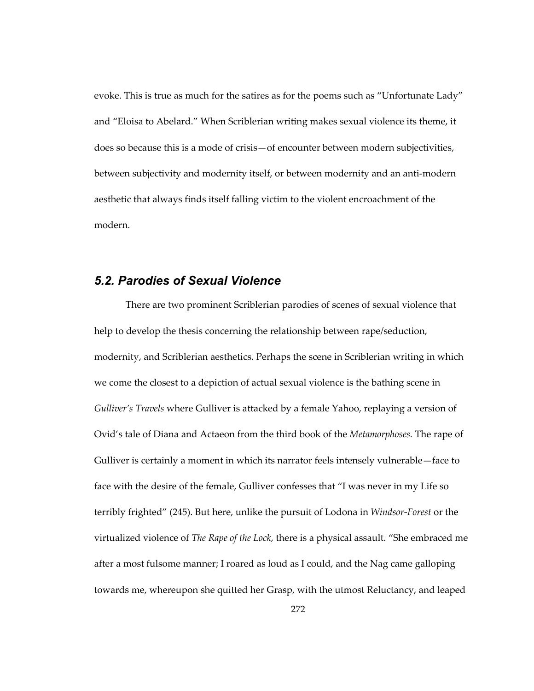evoke. This is true as much for the satires as for the poems such as "Unfortunate Lady" and "Eloisa to Abelard." When Scriblerian writing makes sexual violence its theme, it does so because this is a mode of crisis—of encounter between modern subjectivities, between subjectivity and modernity itself, or between modernity and an anti-modern aesthetic that always finds itself falling victim to the violent encroachment of the modern.

## *5.2. Parodies of Sexual Violence*

There are two prominent Scriblerian parodies of scenes of sexual violence that help to develop the thesis concerning the relationship between rape/seduction, modernity, and Scriblerian aesthetics. Perhaps the scene in Scriblerian writing in which we come the closest to a depiction of actual sexual violence is the bathing scene in *Gulliver's Travels* where Gulliver is attacked by a female Yahoo, replaying a version of Ovid's tale of Diana and Actaeon from the third book of the *Metamorphoses.* The rape of Gulliver is certainly a moment in which its narrator feels intensely vulnerable—face to face with the desire of the female, Gulliver confesses that "I was never in my Life so terribly frighted" (245). But here, unlike the pursuit of Lodona in *Windsor-Forest* or the virtualized violence of *The Rape of the Lock*, there is a physical assault. "She embraced me after a most fulsome manner; I roared as loud as I could, and the Nag came galloping towards me, whereupon she quitted her Grasp, with the utmost Reluctancy, and leaped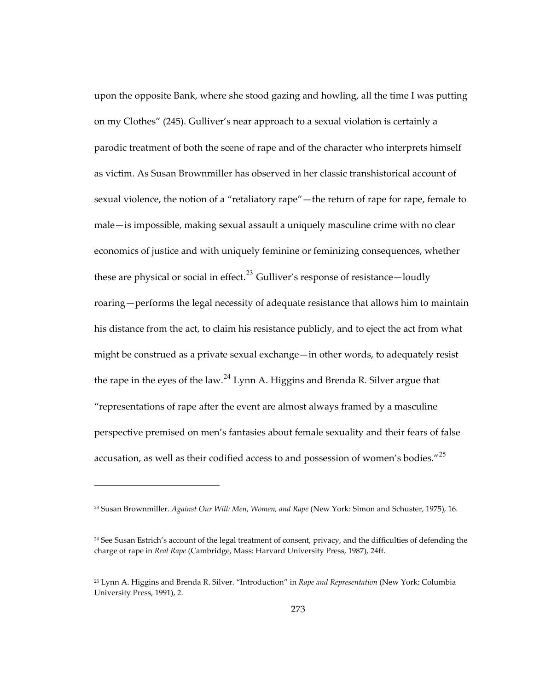upon the opposite Bank, where she stood gazing and howling, all the time I was putting on my Clothes" (245). Gulliver's near approach to a sexual violation is certainly a parodic treatment of both the scene of rape and of the character who interprets himself as victim. As Susan Brownmiller has observed in her classic transhistorical account of sexual violence, the notion of a "retaliatory rape"—the return of rape for rape, female to male—is impossible, making sexual assault a uniquely masculine crime with no clear economics of justice and with uniquely feminine or feminizing consequences, whether these are physical or social in effect.<sup>[23](#page-306-0)</sup> Gulliver's response of resistance—loudly roaring—performs the legal necessity of adequate resistance that allows him to maintain his distance from the act, to claim his resistance publicly, and to eject the act from what might be construed as a private sexual exchange—in other words, to adequately resist the rape in the eyes of the law.<sup>[24](#page-306-1)</sup> Lynn A. Higgins and Brenda R. Silver argue that "representations of rape after the event are almost always framed by a masculine perspective premised on men's fantasies about female sexuality and their fears of false accusation, as well as their codified access to and possession of women's bodies."<sup>[25](#page-306-2)</sup>

<span id="page-306-0"></span><sup>23</sup> Susan Brownmiller. *Against Our Will: Men, Women, and Rape* (New York: Simon and Schuster, 1975), 16.

<span id="page-306-1"></span><sup>&</sup>lt;sup>24</sup> See Susan Estrich's account of the legal treatment of consent, privacy, and the difficulties of defending the charge of rape in *Real Rape* (Cambridge, Mass: Harvard University Press, 1987), 24ff.

<span id="page-306-2"></span><sup>25</sup> Lynn A. Higgins and Brenda R. Silver. "Introduction" in *Rape and Representation* (New York: Columbia University Press, 1991), 2.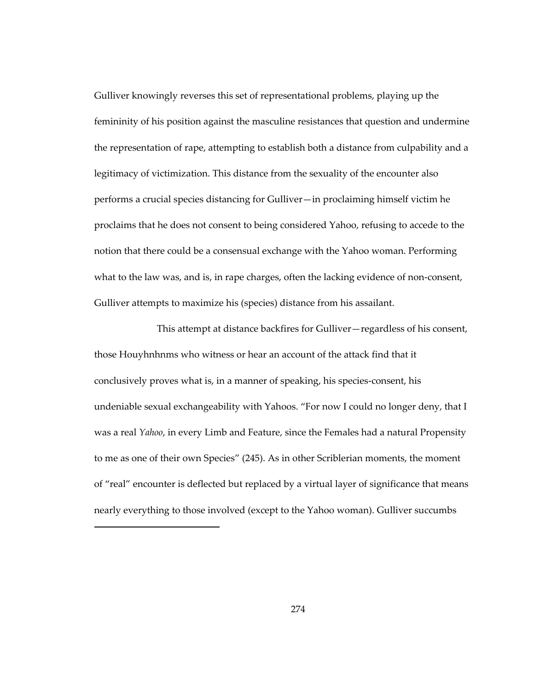Gulliver knowingly reverses this set of representational problems, playing up the femininity of his position against the masculine resistances that question and undermine the representation of rape, attempting to establish both a distance from culpability and a legitimacy of victimization. This distance from the sexuality of the encounter also performs a crucial species distancing for Gulliver—in proclaiming himself victim he proclaims that he does not consent to being considered Yahoo, refusing to accede to the notion that there could be a consensual exchange with the Yahoo woman. Performing what to the law was, and is, in rape charges, often the lacking evidence of non-consent, Gulliver attempts to maximize his (species) distance from his assailant.

 This attempt at distance backfires for Gulliver—regardless of his consent, those Houyhnhnms who witness or hear an account of the attack find that it conclusively proves what is, in a manner of speaking, his species-consent, his undeniable sexual exchangeability with Yahoos. "For now I could no longer deny, that I was a real *Yahoo*, in every Limb and Feature, since the Females had a natural Propensity to me as one of their own Species" (245). As in other Scriblerian moments, the moment of "real" encounter is deflected but replaced by a virtual layer of significance that means nearly everything to those involved (except to the Yahoo woman). Gulliver succumbs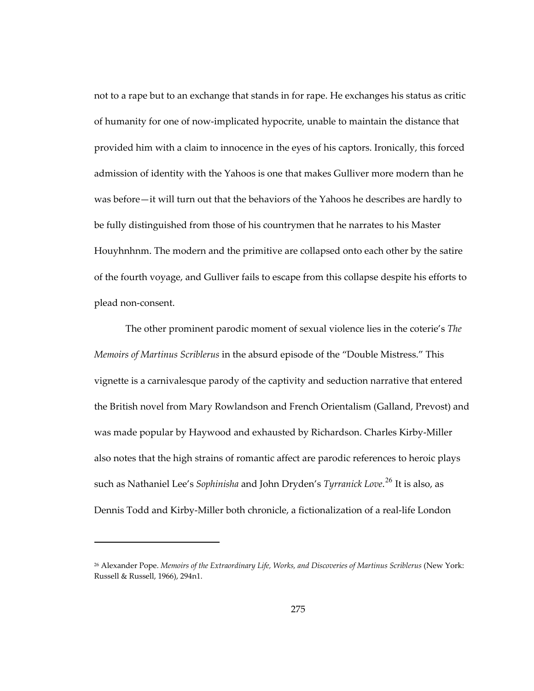not to a rape but to an exchange that stands in for rape. He exchanges his status as critic of humanity for one of now-implicated hypocrite, unable to maintain the distance that provided him with a claim to innocence in the eyes of his captors. Ironically, this forced admission of identity with the Yahoos is one that makes Gulliver more modern than he was before—it will turn out that the behaviors of the Yahoos he describes are hardly to be fully distinguished from those of his countrymen that he narrates to his Master Houyhnhnm. The modern and the primitive are collapsed onto each other by the satire of the fourth voyage, and Gulliver fails to escape from this collapse despite his efforts to plead non-consent.

The other prominent parodic moment of sexual violence lies in the coterie's *The Memoirs of Martinus Scriblerus* in the absurd episode of the "Double Mistress." This vignette is a carnivalesque parody of the captivity and seduction narrative that entered the British novel from Mary Rowlandson and French Orientalism (Galland, Prevost) and was made popular by Haywood and exhausted by Richardson. Charles Kirby-Miller also notes that the high strains of romantic affect are parodic references to heroic plays such as Nathaniel Lee's *Sophinisha* and John Dryden's *Tyrranick Love*. [26](#page-308-0) It is also, as Dennis Todd and Kirby-Miller both chronicle, a fictionalization of a real-life London

 $\overline{a}$ 

<span id="page-308-0"></span><sup>&</sup>lt;sup>26</sup> Alexander Pope. *Memoirs of the Extraordinary Life, Works, and Discoveries of Martinus Scriblerus (New York:* Russell & Russell, 1966), 294n1.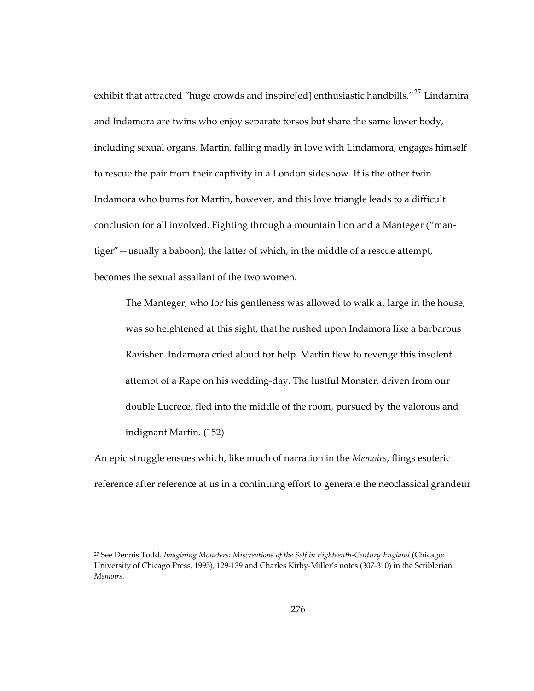exhibit that attracted "huge crowds and inspire[ed] enthusiastic handbills."<sup>[27](#page-309-0)</sup> Lindamira and Indamora are twins who enjoy separate torsos but share the same lower body, including sexual organs. Martin, falling madly in love with Lindamora, engages himself to rescue the pair from their captivity in a London sideshow. It is the other twin Indamora who burns for Martin, however, and this love triangle leads to a difficult conclusion for all involved. Fighting through a mountain lion and a Manteger ("mantiger"—usually a baboon), the latter of which, in the middle of a rescue attempt, becomes the sexual assailant of the two women.

The Manteger, who for his gentleness was allowed to walk at large in the house, was so heightened at this sight, that he rushed upon Indamora like a barbarous Ravisher. Indamora cried aloud for help. Martin flew to revenge this insolent attempt of a Rape on his wedding-day. The lustful Monster, driven from our double Lucrece, fled into the middle of the room, pursued by the valorous and indignant Martin. (152)

An epic struggle ensues which, like much of narration in the *Memoirs*, flings esoteric reference after reference at us in a continuing effort to generate the neoclassical grandeur

-

<span id="page-309-0"></span><sup>27</sup> See Dennis Todd. *Imagining Monsters: Miscreations of the Self in Eighteenth-Century England* (Chicago: University of Chicago Press, 1995), 129-139 and Charles Kirby-Miller's notes (307-310) in the Scriblerian *Memoirs.*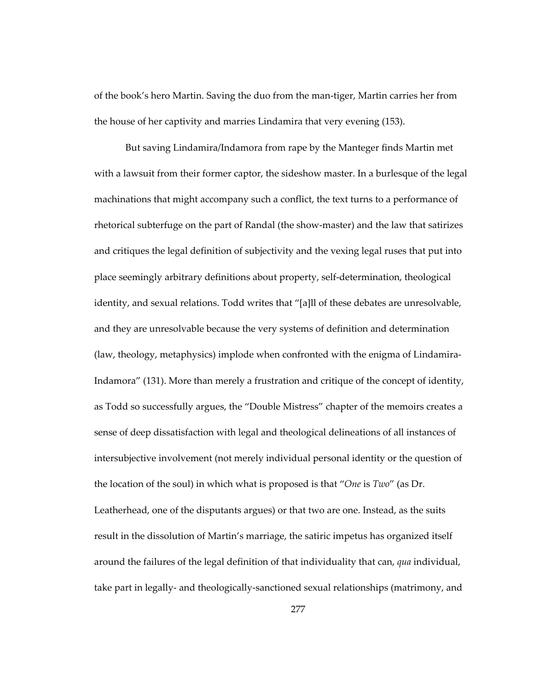of the book's hero Martin. Saving the duo from the man-tiger, Martin carries her from the house of her captivity and marries Lindamira that very evening (153).

But saving Lindamira/Indamora from rape by the Manteger finds Martin met with a lawsuit from their former captor, the sideshow master. In a burlesque of the legal machinations that might accompany such a conflict, the text turns to a performance of rhetorical subterfuge on the part of Randal (the show-master) and the law that satirizes and critiques the legal definition of subjectivity and the vexing legal ruses that put into place seemingly arbitrary definitions about property, self-determination, theological identity, and sexual relations. Todd writes that "[a]ll of these debates are unresolvable, and they are unresolvable because the very systems of definition and determination (law, theology, metaphysics) implode when confronted with the enigma of Lindamira-Indamora" (131). More than merely a frustration and critique of the concept of identity, as Todd so successfully argues, the "Double Mistress" chapter of the memoirs creates a sense of deep dissatisfaction with legal and theological delineations of all instances of intersubjective involvement (not merely individual personal identity or the question of the location of the soul) in which what is proposed is that "*One* is *Two*" (as Dr. Leatherhead, one of the disputants argues) or that two are one. Instead, as the suits result in the dissolution of Martin's marriage, the satiric impetus has organized itself around the failures of the legal definition of that individuality that can, *qua* individual, take part in legally- and theologically-sanctioned sexual relationships (matrimony, and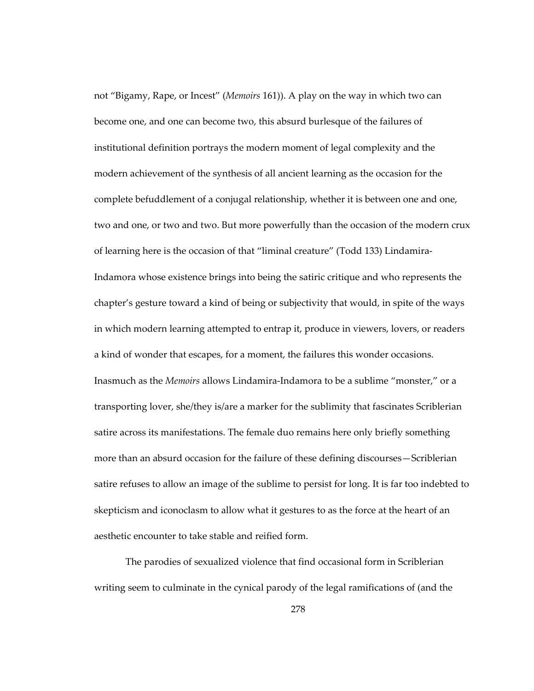not "Bigamy, Rape, or Incest" (*Memoirs* 161)). A play on the way in which two can become one, and one can become two, this absurd burlesque of the failures of institutional definition portrays the modern moment of legal complexity and the modern achievement of the synthesis of all ancient learning as the occasion for the complete befuddlement of a conjugal relationship, whether it is between one and one, two and one, or two and two. But more powerfully than the occasion of the modern crux of learning here is the occasion of that "liminal creature" (Todd 133) Lindamira-Indamora whose existence brings into being the satiric critique and who represents the chapter's gesture toward a kind of being or subjectivity that would, in spite of the ways in which modern learning attempted to entrap it, produce in viewers, lovers, or readers a kind of wonder that escapes, for a moment, the failures this wonder occasions. Inasmuch as the *Memoirs* allows Lindamira-Indamora to be a sublime "monster," or a transporting lover, she/they is/are a marker for the sublimity that fascinates Scriblerian satire across its manifestations. The female duo remains here only briefly something more than an absurd occasion for the failure of these defining discourses—Scriblerian satire refuses to allow an image of the sublime to persist for long. It is far too indebted to skepticism and iconoclasm to allow what it gestures to as the force at the heart of an aesthetic encounter to take stable and reified form.

The parodies of sexualized violence that find occasional form in Scriblerian writing seem to culminate in the cynical parody of the legal ramifications of (and the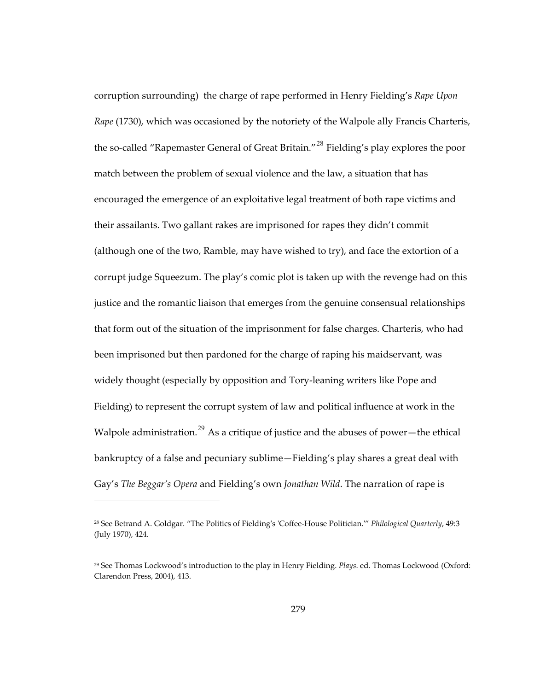corruption surrounding) the charge of rape performed in Henry Fielding's *Rape Upon Rape* (1730), which was occasioned by the notoriety of the Walpole ally Francis Charteris, the so-called "Rapemaster General of Great Britain."<sup>[28](#page-312-0)</sup> Fielding's play explores the poor match between the problem of sexual violence and the law, a situation that has encouraged the emergence of an exploitative legal treatment of both rape victims and their assailants. Two gallant rakes are imprisoned for rapes they didn't commit (although one of the two, Ramble, may have wished to try), and face the extortion of a corrupt judge Squeezum. The play's comic plot is taken up with the revenge had on this justice and the romantic liaison that emerges from the genuine consensual relationships that form out of the situation of the imprisonment for false charges. Charteris, who had been imprisoned but then pardoned for the charge of raping his maidservant, was widely thought (especially by opposition and Tory-leaning writers like Pope and Fielding) to represent the corrupt system of law and political influence at work in the Walpole administration.<sup>[29](#page-312-1)</sup> As a critique of justice and the abuses of power—the ethical bankruptcy of a false and pecuniary sublime—Fielding's play shares a great deal with Gay's *The Beggar's Opera* and Fielding's own *Jonathan Wild*. The narration of rape is

<span id="page-312-0"></span><sup>28</sup> See Betrand A. Goldgar. "The Politics of Fielding's 'Coffee-House Politician.'" *Philological Quarterly*, 49:3 (July 1970), 424.

<span id="page-312-1"></span><sup>29</sup> See Thomas Lockwood's introduction to the play in Henry Fielding. *Plays*. ed. Thomas Lockwood (Oxford: Clarendon Press, 2004), 413.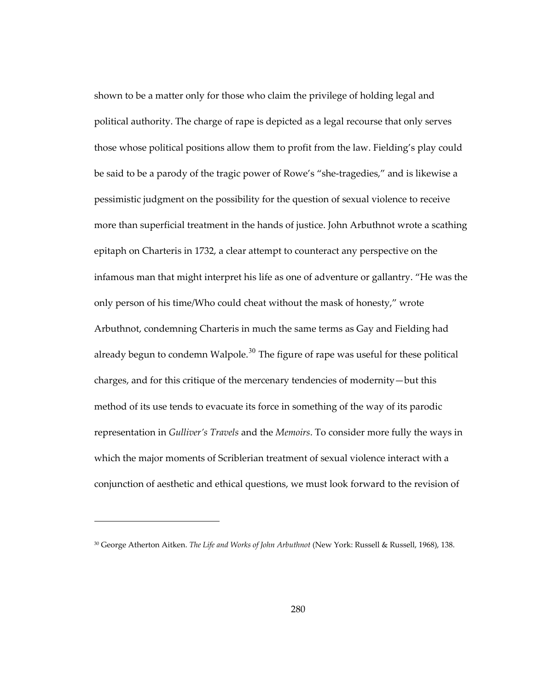shown to be a matter only for those who claim the privilege of holding legal and political authority. The charge of rape is depicted as a legal recourse that only serves those whose political positions allow them to profit from the law. Fielding's play could be said to be a parody of the tragic power of Rowe's "she-tragedies," and is likewise a pessimistic judgment on the possibility for the question of sexual violence to receive more than superficial treatment in the hands of justice. John Arbuthnot wrote a scathing epitaph on Charteris in 1732, a clear attempt to counteract any perspective on the infamous man that might interpret his life as one of adventure or gallantry. "He was the only person of his time/Who could cheat without the mask of honesty," wrote Arbuthnot, condemning Charteris in much the same terms as Gay and Fielding had already begun to condemn Walpole. $30$  The figure of rape was useful for these political charges, and for this critique of the mercenary tendencies of modernity—but this method of its use tends to evacuate its force in something of the way of its parodic representation in *Gulliver's Travels* and the *Memoirs*. To consider more fully the ways in which the major moments of Scriblerian treatment of sexual violence interact with a conjunction of aesthetic and ethical questions, we must look forward to the revision of

 $\overline{a}$ 

<span id="page-313-0"></span><sup>30</sup> George Atherton Aitken. *The Life and Works of John Arbuthnot* (New York: Russell & Russell, 1968), 138.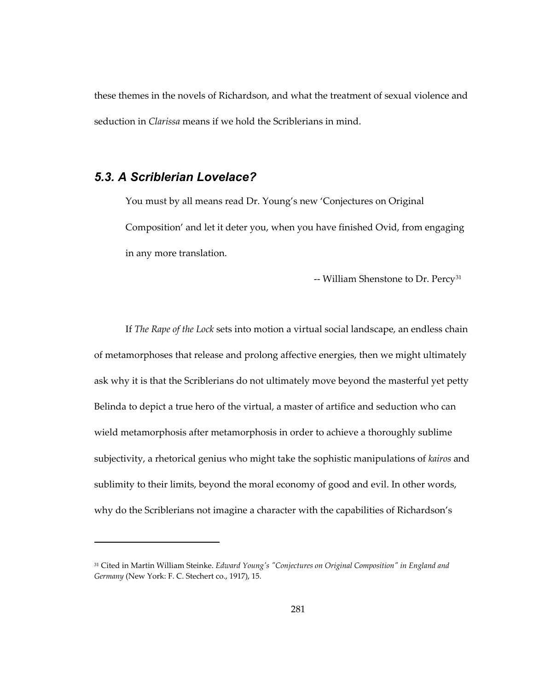these themes in the novels of Richardson, and what the treatment of sexual violence and seduction in *Clarissa* means if we hold the Scriblerians in mind.

## *5.3. A Scriblerian Lovelace?*

1

You must by all means read Dr. Young's new 'Conjectures on Original Composition' and let it deter you, when you have finished Ovid, from engaging in any more translation.

-- William Shenstone to Dr. Percy<sup>[31](#page-314-0)</sup>

If *The Rape of the Lock* sets into motion a virtual social landscape, an endless chain of metamorphoses that release and prolong affective energies, then we might ultimately ask why it is that the Scriblerians do not ultimately move beyond the masterful yet petty Belinda to depict a true hero of the virtual, a master of artifice and seduction who can wield metamorphosis after metamorphosis in order to achieve a thoroughly sublime subjectivity, a rhetorical genius who might take the sophistic manipulations of *kairos* and sublimity to their limits, beyond the moral economy of good and evil. In other words, why do the Scriblerians not imagine a character with the capabilities of Richardson's

<span id="page-314-0"></span><sup>31</sup> Cited in Martin William Steinke. *Edward Young's "Conjectures on Original Composition" in England and Germany* (New York: F. C. Stechert co., 1917), 15.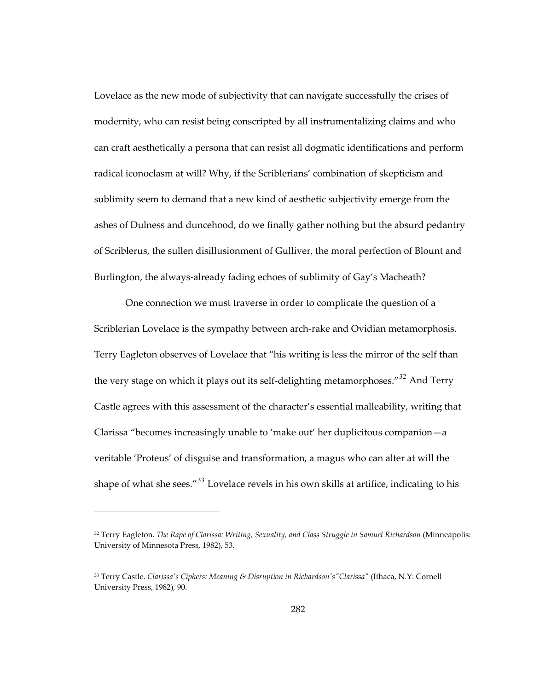Lovelace as the new mode of subjectivity that can navigate successfully the crises of modernity, who can resist being conscripted by all instrumentalizing claims and who can craft aesthetically a persona that can resist all dogmatic identifications and perform radical iconoclasm at will? Why, if the Scriblerians' combination of skepticism and sublimity seem to demand that a new kind of aesthetic subjectivity emerge from the ashes of Dulness and duncehood, do we finally gather nothing but the absurd pedantry of Scriblerus, the sullen disillusionment of Gulliver, the moral perfection of Blount and Burlington, the always-already fading echoes of sublimity of Gay's Macheath?

One connection we must traverse in order to complicate the question of a Scriblerian Lovelace is the sympathy between arch-rake and Ovidian metamorphosis. Terry Eagleton observes of Lovelace that "his writing is less the mirror of the self than the very stage on which it plays out its self-delighting metamorphoses.<sup>"[32](#page-315-0)</sup> And Terry Castle agrees with this assessment of the character's essential malleability, writing that Clarissa "becomes increasingly unable to 'make out' her duplicitous companion—a veritable 'Proteus' of disguise and transformation, a magus who can alter at will the shape of what she sees." $33$  Lovelace revels in his own skills at artifice, indicating to his

<span id="page-315-0"></span><sup>32</sup> Terry Eagleton. *The Rape of Clarissa: Writing, Sexuality, and Class Struggle in Samuel Richardson* (Minneapolis: University of Minnesota Press, 1982), 53.

<span id="page-315-1"></span><sup>33</sup> Terry Castle. *Clarissa's Ciphers: Meaning & Disruption in Richardson's"Clarissa"* (Ithaca, N.Y: Cornell University Press, 1982), 90.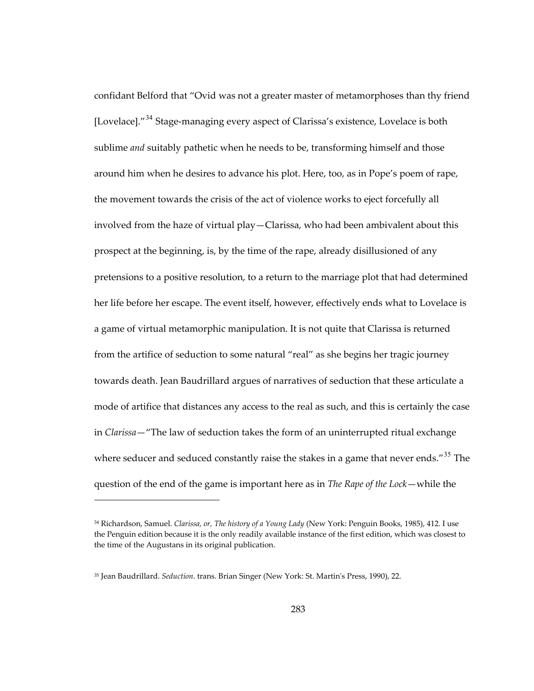confidant Belford that "Ovid was not a greater master of metamorphoses than thy friend [Lovelace]."<sup>[34](#page-316-0)</sup> Stage-managing every aspect of Clarissa's existence, Lovelace is both sublime *and* suitably pathetic when he needs to be, transforming himself and those around him when he desires to advance his plot. Here, too, as in Pope's poem of rape, the movement towards the crisis of the act of violence works to eject forcefully all involved from the haze of virtual play—Clarissa, who had been ambivalent about this prospect at the beginning, is, by the time of the rape, already disillusioned of any pretensions to a positive resolution, to a return to the marriage plot that had determined her life before her escape. The event itself, however, effectively ends what to Lovelace is a game of virtual metamorphic manipulation. It is not quite that Clarissa is returned from the artifice of seduction to some natural "real" as she begins her tragic journey towards death. Jean Baudrillard argues of narratives of seduction that these articulate a mode of artifice that distances any access to the real as such, and this is certainly the case in *Clarissa*—"The law of seduction takes the form of an uninterrupted ritual exchange where seducer and seduced constantly raise the stakes in a game that never ends."<sup>[35](#page-316-1)</sup> The question of the end of the game is important here as in *The Rape of the Lock*—while the

-

<span id="page-316-0"></span><sup>34</sup> Richardson, Samuel. *Clarissa, or, The history of a Young Lady* (New York: Penguin Books, 1985), 412. I use the Penguin edition because it is the only readily available instance of the first edition, which was closest to the time of the Augustans in its original publication.

<span id="page-316-1"></span><sup>35</sup> Jean Baudrillard. *Seduction*. trans. Brian Singer (New York: St. Martin's Press, 1990), 22.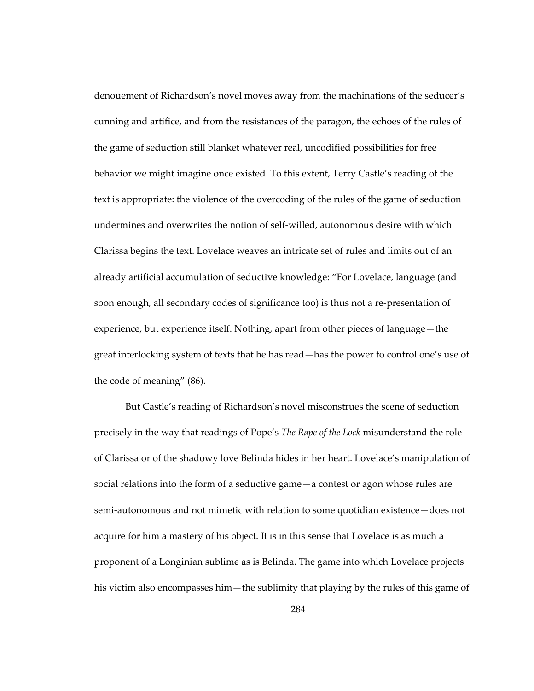denouement of Richardson's novel moves away from the machinations of the seducer's cunning and artifice, and from the resistances of the paragon, the echoes of the rules of the game of seduction still blanket whatever real, uncodified possibilities for free behavior we might imagine once existed. To this extent, Terry Castle's reading of the text is appropriate: the violence of the overcoding of the rules of the game of seduction undermines and overwrites the notion of self-willed, autonomous desire with which Clarissa begins the text. Lovelace weaves an intricate set of rules and limits out of an already artificial accumulation of seductive knowledge: "For Lovelace, language (and soon enough, all secondary codes of significance too) is thus not a re-presentation of experience, but experience itself. Nothing, apart from other pieces of language—the great interlocking system of texts that he has read—has the power to control one's use of the code of meaning" (86).

But Castle's reading of Richardson's novel misconstrues the scene of seduction precisely in the way that readings of Pope's *The Rape of the Lock* misunderstand the role of Clarissa or of the shadowy love Belinda hides in her heart. Lovelace's manipulation of social relations into the form of a seductive game—a contest or agon whose rules are semi-autonomous and not mimetic with relation to some quotidian existence—does not acquire for him a mastery of his object. It is in this sense that Lovelace is as much a proponent of a Longinian sublime as is Belinda. The game into which Lovelace projects his victim also encompasses him—the sublimity that playing by the rules of this game of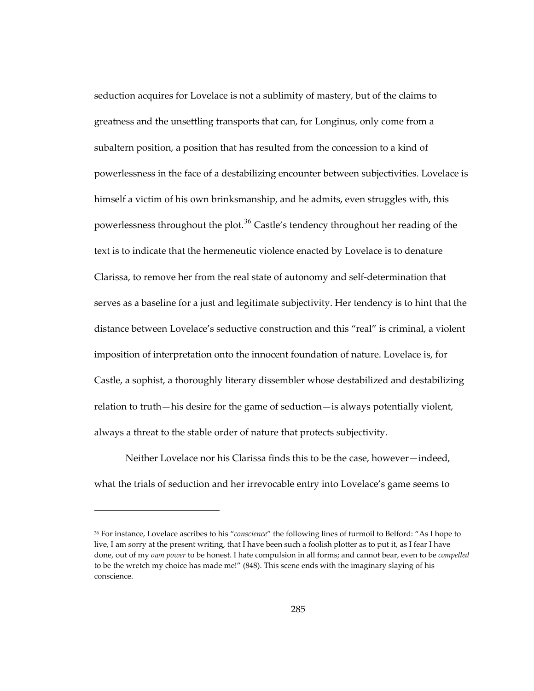seduction acquires for Lovelace is not a sublimity of mastery, but of the claims to greatness and the unsettling transports that can, for Longinus, only come from a subaltern position, a position that has resulted from the concession to a kind of powerlessness in the face of a destabilizing encounter between subjectivities. Lovelace is himself a victim of his own brinksmanship, and he admits, even struggles with, this powerlessness throughout the plot.<sup>[36](#page-318-0)</sup> Castle's tendency throughout her reading of the text is to indicate that the hermeneutic violence enacted by Lovelace is to denature Clarissa, to remove her from the real state of autonomy and self-determination that serves as a baseline for a just and legitimate subjectivity. Her tendency is to hint that the distance between Lovelace's seductive construction and this "real" is criminal, a violent imposition of interpretation onto the innocent foundation of nature. Lovelace is, for Castle, a sophist, a thoroughly literary dissembler whose destabilized and destabilizing relation to truth—his desire for the game of seduction—is always potentially violent, always a threat to the stable order of nature that protects subjectivity.

Neither Lovelace nor his Clarissa finds this to be the case, however—indeed, what the trials of seduction and her irrevocable entry into Lovelace's game seems to

<span id="page-318-0"></span><sup>36</sup> For instance, Lovelace ascribes to his "*conscience*" the following lines of turmoil to Belford: "As I hope to live, I am sorry at the present writing, that I have been such a foolish plotter as to put it, as I fear I have done, out of my *own power* to be honest. I hate compulsion in all forms; and cannot bear, even to be *compelled* to be the wretch my choice has made me!" (848). This scene ends with the imaginary slaying of his conscience.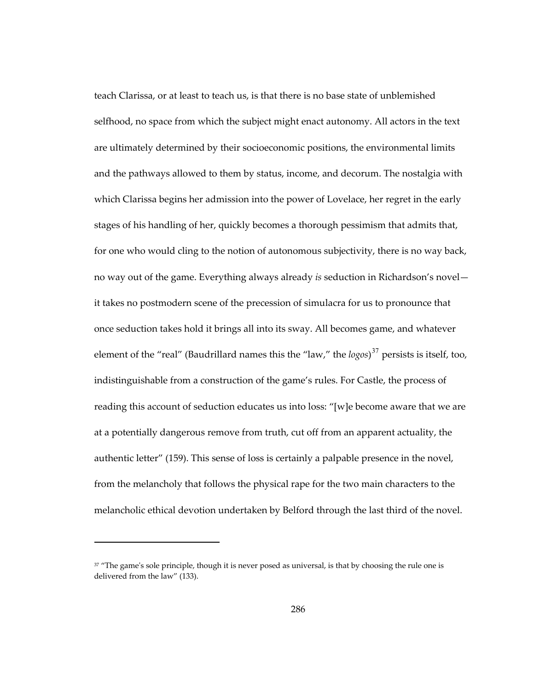teach Clarissa, or at least to teach us, is that there is no base state of unblemished selfhood, no space from which the subject might enact autonomy. All actors in the text are ultimately determined by their socioeconomic positions, the environmental limits and the pathways allowed to them by status, income, and decorum. The nostalgia with which Clarissa begins her admission into the power of Lovelace, her regret in the early stages of his handling of her, quickly becomes a thorough pessimism that admits that, for one who would cling to the notion of autonomous subjectivity, there is no way back, no way out of the game. Everything always already *is* seduction in Richardson's novel it takes no postmodern scene of the precession of simulacra for us to pronounce that once seduction takes hold it brings all into its sway. All becomes game, and whatever element of the "real" (Baudrillard names this the "law," the *logos*) [37](#page-319-0) persists is itself, too, indistinguishable from a construction of the game's rules. For Castle, the process of reading this account of seduction educates us into loss: "[w]e become aware that we are at a potentially dangerous remove from truth, cut off from an apparent actuality, the authentic letter" (159). This sense of loss is certainly a palpable presence in the novel, from the melancholy that follows the physical rape for the two main characters to the melancholic ethical devotion undertaken by Belford through the last third of the novel.

 $\overline{a}$ 

<span id="page-319-0"></span><sup>&</sup>lt;sup>37</sup> "The game's sole principle, though it is never posed as universal, is that by choosing the rule one is delivered from the law" (133).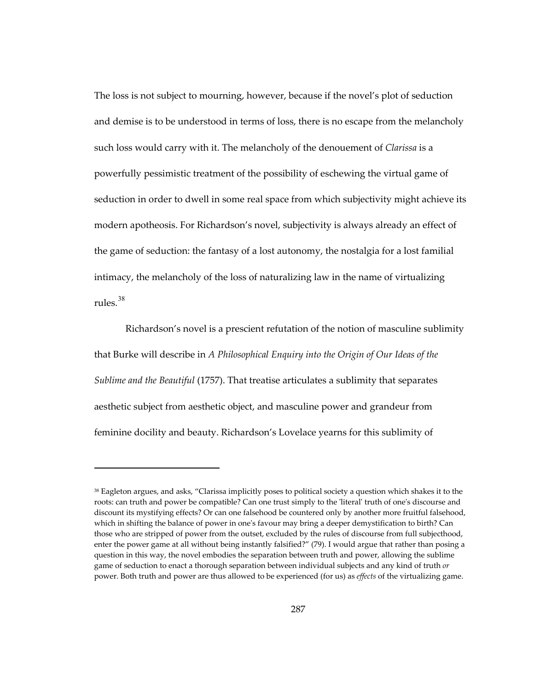The loss is not subject to mourning, however, because if the novel's plot of seduction and demise is to be understood in terms of loss, there is no escape from the melancholy such loss would carry with it. The melancholy of the denouement of *Clarissa* is a powerfully pessimistic treatment of the possibility of eschewing the virtual game of seduction in order to dwell in some real space from which subjectivity might achieve its modern apotheosis. For Richardson's novel, subjectivity is always already an effect of the game of seduction: the fantasy of a lost autonomy, the nostalgia for a lost familial intimacy, the melancholy of the loss of naturalizing law in the name of virtualizing rules.[38](#page-320-0)

Richardson's novel is a prescient refutation of the notion of masculine sublimity that Burke will describe in *A Philosophical Enquiry into the Origin of Our Ideas of the Sublime and the Beautiful* (1757). That treatise articulates a sublimity that separates aesthetic subject from aesthetic object, and masculine power and grandeur from feminine docility and beauty. Richardson's Lovelace yearns for this sublimity of

<span id="page-320-0"></span><sup>38</sup> Eagleton argues, and asks, "Clarissa implicitly poses to political society a question which shakes it to the roots: can truth and power be compatible? Can one trust simply to the 'literal' truth of one's discourse and discount its mystifying effects? Or can one falsehood be countered only by another more fruitful falsehood, which in shifting the balance of power in one's favour may bring a deeper demystification to birth? Can those who are stripped of power from the outset, excluded by the rules of discourse from full subjecthood, enter the power game at all without being instantly falsified?" (79). I would argue that rather than posing a question in this way, the novel embodies the separation between truth and power, allowing the sublime game of seduction to enact a thorough separation between individual subjects and any kind of truth *or* power. Both truth and power are thus allowed to be experienced (for us) as *effects* of the virtualizing game.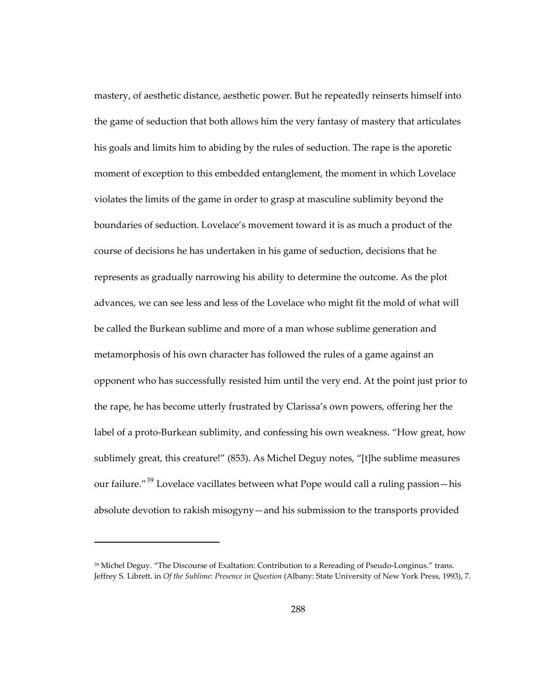mastery, of aesthetic distance, aesthetic power. But he repeatedly reinserts himself into the game of seduction that both allows him the very fantasy of mastery that articulates his goals and limits him to abiding by the rules of seduction. The rape is the aporetic moment of exception to this embedded entanglement, the moment in which Lovelace violates the limits of the game in order to grasp at masculine sublimity beyond the boundaries of seduction. Lovelace's movement toward it is as much a product of the course of decisions he has undertaken in his game of seduction, decisions that he represents as gradually narrowing his ability to determine the outcome. As the plot advances, we can see less and less of the Lovelace who might fit the mold of what will be called the Burkean sublime and more of a man whose sublime generation and metamorphosis of his own character has followed the rules of a game against an opponent who has successfully resisted him until the very end. At the point just prior to the rape, he has become utterly frustrated by Clarissa's own powers, offering her the label of a proto-Burkean sublimity, and confessing his own weakness. "How great, how sublimely great, this creature!" (853). As Michel Deguy notes, "[t]he sublime measures our failure."<sup>[39](#page-321-0)</sup> Lovelace vacillates between what Pope would call a ruling passion—his absolute devotion to rakish misogyny—and his submission to the transports provided

 $\overline{a}$ 

<span id="page-321-0"></span><sup>39</sup> Michel Deguy. "The Discourse of Exaltation: Contribution to a Rereading of Pseudo-Longinus." trans. Jeffrey S. Librett. in *Of the Sublime: Presence in Question* (Albany: State University of New York Press, 1993), 7.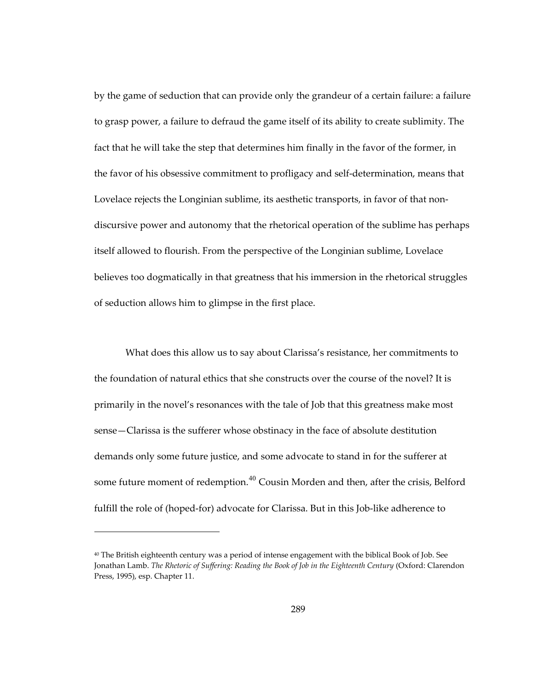by the game of seduction that can provide only the grandeur of a certain failure: a failure to grasp power, a failure to defraud the game itself of its ability to create sublimity. The fact that he will take the step that determines him finally in the favor of the former, in the favor of his obsessive commitment to profligacy and self-determination, means that Lovelace rejects the Longinian sublime, its aesthetic transports, in favor of that nondiscursive power and autonomy that the rhetorical operation of the sublime has perhaps itself allowed to flourish. From the perspective of the Longinian sublime, Lovelace believes too dogmatically in that greatness that his immersion in the rhetorical struggles of seduction allows him to glimpse in the first place.

What does this allow us to say about Clarissa's resistance, her commitments to the foundation of natural ethics that she constructs over the course of the novel? It is primarily in the novel's resonances with the tale of Job that this greatness make most sense—Clarissa is the sufferer whose obstinacy in the face of absolute destitution demands only some future justice, and some advocate to stand in for the sufferer at some future moment of redemption.<sup>[40](#page-322-0)</sup> Cousin Morden and then, after the crisis, Belford fulfill the role of (hoped-for) advocate for Clarissa. But in this Job-like adherence to

<span id="page-322-0"></span><sup>40</sup> The British eighteenth century was a period of intense engagement with the biblical Book of Job. See Jonathan Lamb. *The Rhetoric of Suffering: Reading the Book of Job in the Eighteenth Century* (Oxford: Clarendon Press, 1995), esp. Chapter 11.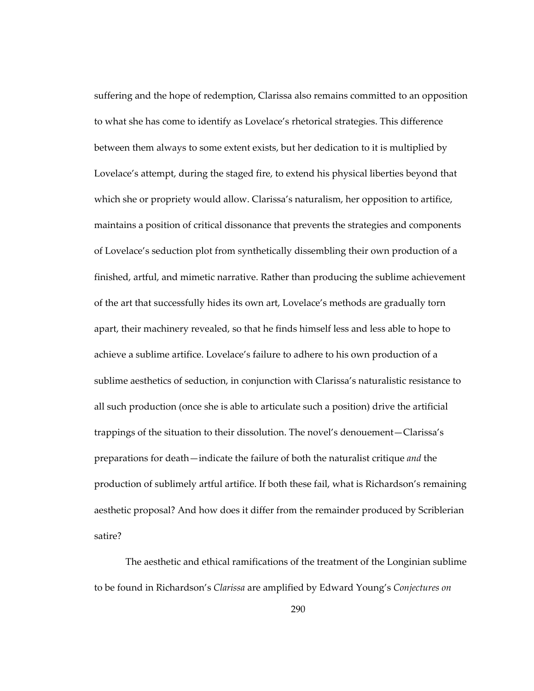suffering and the hope of redemption, Clarissa also remains committed to an opposition to what she has come to identify as Lovelace's rhetorical strategies. This difference between them always to some extent exists, but her dedication to it is multiplied by Lovelace's attempt, during the staged fire, to extend his physical liberties beyond that which she or propriety would allow. Clarissa's naturalism, her opposition to artifice, maintains a position of critical dissonance that prevents the strategies and components of Lovelace's seduction plot from synthetically dissembling their own production of a finished, artful, and mimetic narrative. Rather than producing the sublime achievement of the art that successfully hides its own art, Lovelace's methods are gradually torn apart, their machinery revealed, so that he finds himself less and less able to hope to achieve a sublime artifice. Lovelace's failure to adhere to his own production of a sublime aesthetics of seduction, in conjunction with Clarissa's naturalistic resistance to all such production (once she is able to articulate such a position) drive the artificial trappings of the situation to their dissolution. The novel's denouement—Clarissa's preparations for death—indicate the failure of both the naturalist critique *and* the production of sublimely artful artifice. If both these fail, what is Richardson's remaining aesthetic proposal? And how does it differ from the remainder produced by Scriblerian satire?

The aesthetic and ethical ramifications of the treatment of the Longinian sublime to be found in Richardson's *Clarissa* are amplified by Edward Young's *Conjectures on*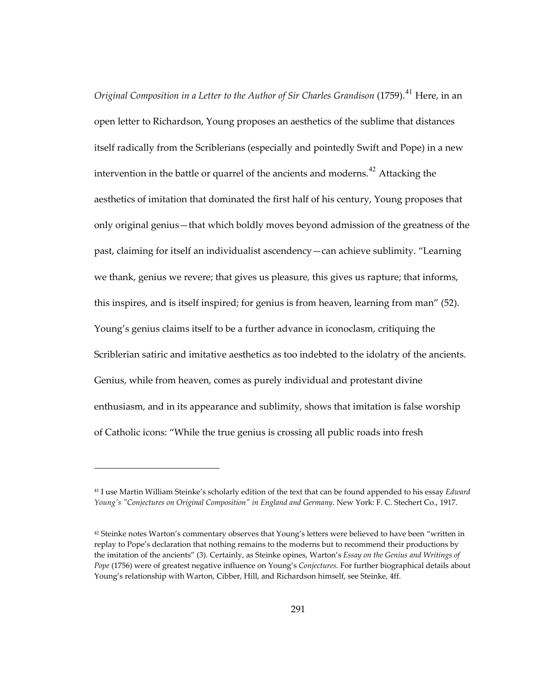*Original Composition in a Letter to the Author of Sir Charles Grandison* (1759).<sup>[41](#page-324-0)</sup> Here, in an open letter to Richardson, Young proposes an aesthetics of the sublime that distances itself radically from the Scriblerians (especially and pointedly Swift and Pope) in a new intervention in the battle or quarrel of the ancients and moderns.<sup>[42](#page-324-1)</sup> Attacking the aesthetics of imitation that dominated the first half of his century, Young proposes that only original genius—that which boldly moves beyond admission of the greatness of the past, claiming for itself an individualist ascendency—can achieve sublimity. "Learning we thank, genius we revere; that gives us pleasure, this gives us rapture; that informs, this inspires, and is itself inspired; for genius is from heaven, learning from man" (52). Young's genius claims itself to be a further advance in iconoclasm, critiquing the Scriblerian satiric and imitative aesthetics as too indebted to the idolatry of the ancients. Genius, while from heaven, comes as purely individual and protestant divine enthusiasm, and in its appearance and sublimity, shows that imitation is false worship of Catholic icons: "While the true genius is crossing all public roads into fresh

1

<span id="page-324-0"></span><sup>41</sup> I use Martin William Steinke's scholarly edition of the text that can be found appended to his essay *Edward Young's "Conjectures on Original Composition" in England and Germany*. New York: F. C. Stechert Co., 1917.

<span id="page-324-1"></span> $42$  Steinke notes Warton's commentary observes that Young's letters were believed to have been "written in replay to Pope's declaration that nothing remains to the moderns but to recommend their productions by the imitation of the ancients" (3). Certainly, as Steinke opines, Warton's *Essay on the Genius and Writings of Pope* (1756) were of greatest negative influence on Young's *Conjectures*. For further biographical details about Young's relationship with Warton, Cibber, Hill, and Richardson himself, see Steinke, 4ff.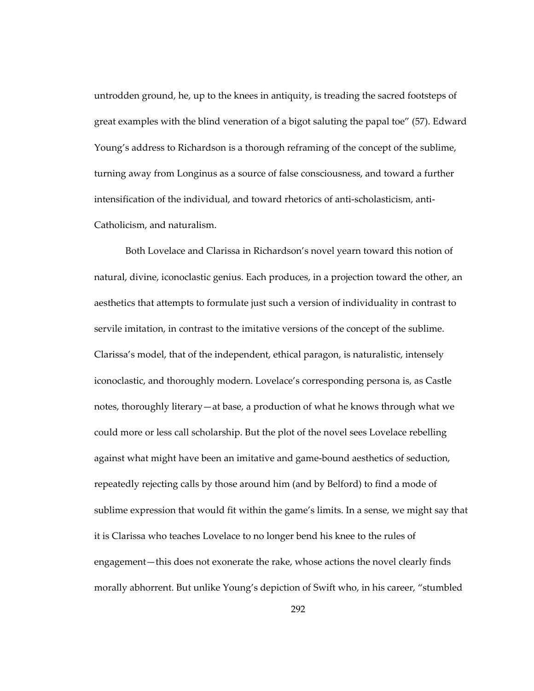untrodden ground, he, up to the knees in antiquity, is treading the sacred footsteps of great examples with the blind veneration of a bigot saluting the papal toe" (57). Edward Young's address to Richardson is a thorough reframing of the concept of the sublime, turning away from Longinus as a source of false consciousness, and toward a further intensification of the individual, and toward rhetorics of anti-scholasticism, anti-Catholicism, and naturalism.

Both Lovelace and Clarissa in Richardson's novel yearn toward this notion of natural, divine, iconoclastic genius. Each produces, in a projection toward the other, an aesthetics that attempts to formulate just such a version of individuality in contrast to servile imitation, in contrast to the imitative versions of the concept of the sublime. Clarissa's model, that of the independent, ethical paragon, is naturalistic, intensely iconoclastic, and thoroughly modern. Lovelace's corresponding persona is, as Castle notes, thoroughly literary—at base, a production of what he knows through what we could more or less call scholarship. But the plot of the novel sees Lovelace rebelling against what might have been an imitative and game-bound aesthetics of seduction, repeatedly rejecting calls by those around him (and by Belford) to find a mode of sublime expression that would fit within the game's limits. In a sense, we might say that it is Clarissa who teaches Lovelace to no longer bend his knee to the rules of engagement—this does not exonerate the rake, whose actions the novel clearly finds morally abhorrent. But unlike Young's depiction of Swift who, in his career, "stumbled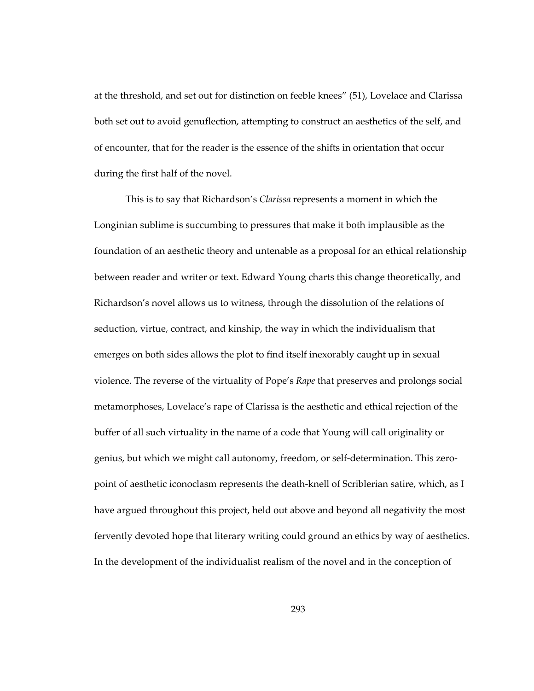at the threshold, and set out for distinction on feeble knees" (51), Lovelace and Clarissa both set out to avoid genuflection, attempting to construct an aesthetics of the self, and of encounter, that for the reader is the essence of the shifts in orientation that occur during the first half of the novel.

This is to say that Richardson's *Clarissa* represents a moment in which the Longinian sublime is succumbing to pressures that make it both implausible as the foundation of an aesthetic theory and untenable as a proposal for an ethical relationship between reader and writer or text. Edward Young charts this change theoretically, and Richardson's novel allows us to witness, through the dissolution of the relations of seduction, virtue, contract, and kinship, the way in which the individualism that emerges on both sides allows the plot to find itself inexorably caught up in sexual violence. The reverse of the virtuality of Pope's *Rape* that preserves and prolongs social metamorphoses, Lovelace's rape of Clarissa is the aesthetic and ethical rejection of the buffer of all such virtuality in the name of a code that Young will call originality or genius, but which we might call autonomy, freedom, or self-determination. This zeropoint of aesthetic iconoclasm represents the death-knell of Scriblerian satire, which, as I have argued throughout this project, held out above and beyond all negativity the most fervently devoted hope that literary writing could ground an ethics by way of aesthetics. In the development of the individualist realism of the novel and in the conception of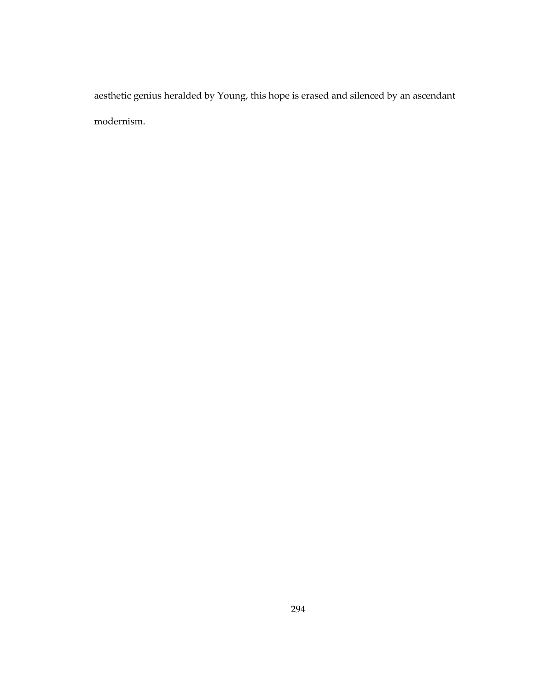aesthetic genius heralded by Young, this hope is erased and silenced by an ascendant modernism.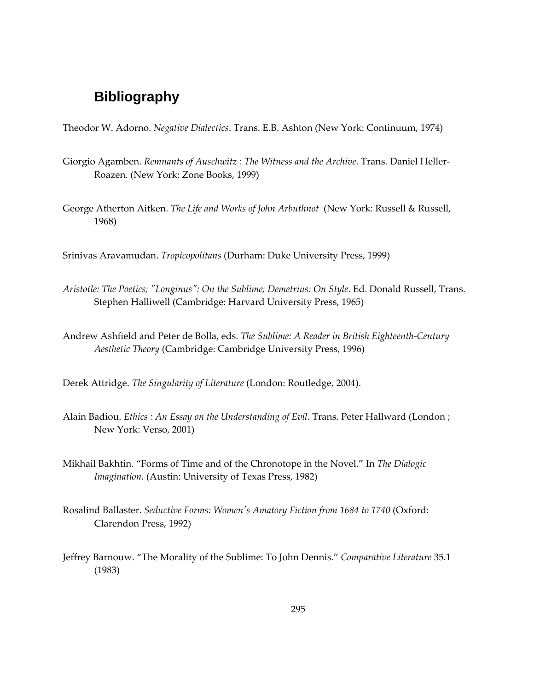## **Bibliography**

Theodor W. Adorno. *Negative Dialectics*. Trans. E.B. Ashton (New York: Continuum, 1974)

- Giorgio Agamben. *Remnants of Auschwitz : The Witness and the Archive*. Trans. Daniel Heller-Roazen*.* (New York: Zone Books, 1999)
- George Atherton Aitken. *The Life and Works of John Arbuthnot* (New York: Russell & Russell, 1968)

Srinivas Aravamudan. *Tropicopolitans* (Durham: Duke University Press, 1999)

- *Aristotle: The Poetics; "Longinus": On the Sublime; Demetrius: On Style*. Ed. Donald Russell, Trans. Stephen Halliwell (Cambridge: Harvard University Press, 1965)
- Andrew Ashfield and Peter de Bolla, eds. *The Sublime: A Reader in British Eighteenth-Century Aesthetic Theory* (Cambridge: Cambridge University Press, 1996)

Derek Attridge. *The Singularity of Literature* (London: Routledge, 2004).

- Alain Badiou. *Ethics : An Essay on the Understanding of Evil.* Trans. Peter Hallward (London ; New York: Verso, 2001)
- Mikhail Bakhtin. "Forms of Time and of the Chronotope in the Novel." In *The Dialogic Imagination.* (Austin: University of Texas Press, 1982)
- Rosalind Ballaster. *Seductive Forms: Women's Amatory Fiction from 1684 to 1740* (Oxford: Clarendon Press, 1992)
- Jeffrey Barnouw. "The Morality of the Sublime: To John Dennis." *Comparative Literature* 35.1 (1983)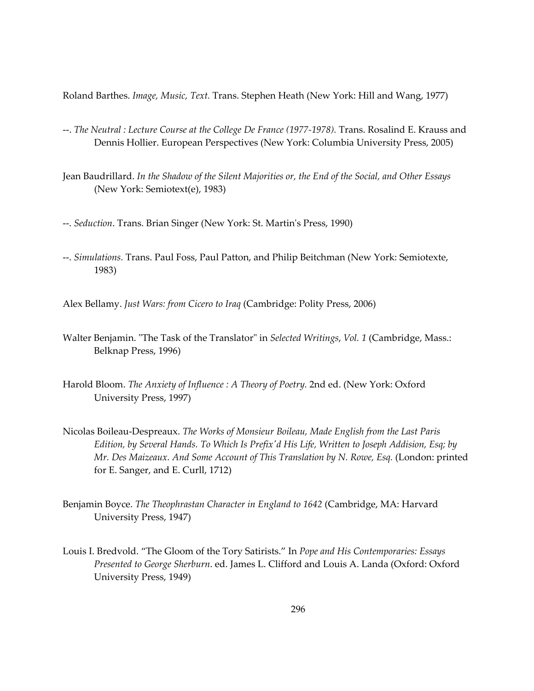Roland Barthes. *Image, Music, Text.* Trans. Stephen Heath (New York: Hill and Wang, 1977)

- --. *The Neutral : Lecture Course at the College De France (1977-1978).* Trans. Rosalind E. Krauss and Dennis Hollier. European Perspectives (New York: Columbia University Press, 2005)
- Jean Baudrillard. *In the Shadow of the Silent Majorities or, the End of the Social, and Other Essays* (New York: Semiotext(e), 1983)

--. *Seduction*. Trans. Brian Singer (New York: St. Martin's Press, 1990)

--. *Simulations.* Trans. Paul Foss, Paul Patton, and Philip Beitchman (New York: Semiotexte, 1983)

Alex Bellamy. *Just Wars: from Cicero to Iraq* (Cambridge: Polity Press, 2006)

- Walter Benjamin. "The Task of the Translator" in *Selected Writings*, *Vol. 1* (Cambridge, Mass.: Belknap Press, 1996)
- Harold Bloom. *The Anxiety of Influence : A Theory of Poetry.* 2nd ed. (New York: Oxford University Press, 1997)
- Nicolas Boileau-Despreaux. *The Works of Monsieur Boileau, Made English from the Last Paris Edition, by Several Hands. To Which Is Prefix'd His Life, Written to Joseph Addision, Esq; by Mr. Des Maizeaux. And Some Account of This Translation by N. Rowe, Esq.* (London: printed for E. Sanger, and E. Curll, 1712)
- Benjamin Boyce. *The Theophrastan Character in England to 1642* (Cambridge, MA: Harvard University Press, 1947)
- Louis I. Bredvold. "The Gloom of the Tory Satirists." In *Pope and His Contemporaries: Essays Presented to George Sherburn*. ed. James L. Clifford and Louis A. Landa (Oxford: Oxford University Press, 1949)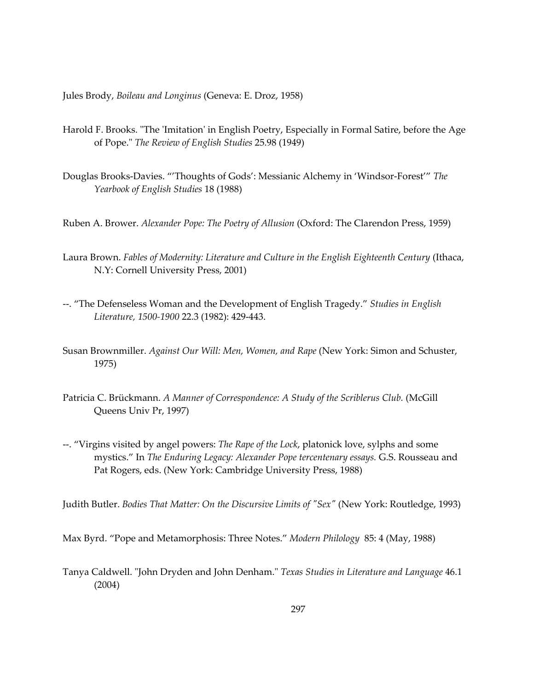Jules Brody, *Boileau and Longinus* (Geneva: E. Droz, 1958)

- Harold F. Brooks. "The 'Imitation' in English Poetry, Especially in Formal Satire, before the Age of Pope." *The Review of English Studies* 25.98 (1949)
- Douglas Brooks-Davies. "'Thoughts of Gods': Messianic Alchemy in 'Windsor-Forest'" *The Yearbook of English Studies* 18 (1988)
- Ruben A. Brower. *Alexander Pope: The Poetry of Allusion* (Oxford: The Clarendon Press, 1959)
- Laura Brown. *Fables of Modernity: Literature and Culture in the English Eighteenth Century* (Ithaca, N.Y: Cornell University Press, 2001)
- --. "The Defenseless Woman and the Development of English Tragedy." *Studies in English Literature, 1500-1900* 22.3 (1982): 429-443.
- Susan Brownmiller. *Against Our Will: Men, Women, and Rape* (New York: Simon and Schuster, 1975)
- Patricia C. Brückmann. *A Manner of Correspondence: A Study of the Scriblerus Club.* (McGill Queens Univ Pr, 1997)
- --. "Virgins visited by angel powers: *The Rape of the Lock*, platonick love, sylphs and some mystics." In *The Enduring Legacy: Alexander Pope tercentenary essays.* G.S. Rousseau and Pat Rogers, eds. (New York: Cambridge University Press, 1988)

Judith Butler. *Bodies That Matter: On the Discursive Limits of "Sex"* (New York: Routledge, 1993)

Max Byrd. "Pope and Metamorphosis: Three Notes." *Modern Philology* 85: 4 (May, 1988)

Tanya Caldwell. "John Dryden and John Denham." *Texas Studies in Literature and Language* 46.1 (2004)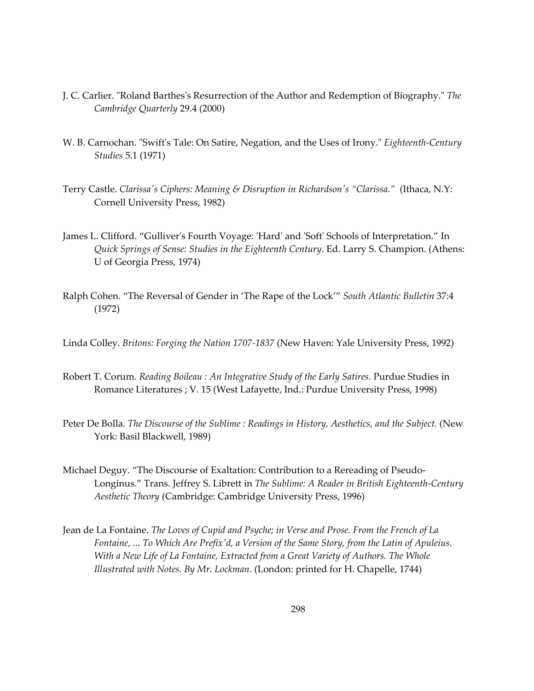- J. C. Carlier. "Roland Barthes's Resurrection of the Author and Redemption of Biography." *The Cambridge Quarterly* 29.4 (2000)
- W. B. Carnochan. "Swift's Tale: On Satire, Negation, and the Uses of Irony." *Eighteenth-Century Studies* 5.1 (1971)
- Terry Castle. *Clarissa's Ciphers: Meaning & Disruption in Richardson's "Clarissa*.*"* (Ithaca, N.Y: Cornell University Press, 1982)
- James L. Clifford. "Gulliver's Fourth Voyage: 'Hard' and 'Soft' Schools of Interpretation." In *Quick Springs of Sense: Studies in the Eighteenth Century*. Ed. Larry S. Champion. (Athens: U of Georgia Press, 1974)
- Ralph Cohen. "The Reversal of Gender in 'The Rape of the Lock'" *South Atlantic Bulletin* 37:4 (1972)
- Linda Colley. *Britons: Forging the Nation 1707-1837* (New Haven: Yale University Press, 1992)
- Robert T. Corum. *Reading Boileau : An Integrative Study of the Early Satires.* Purdue Studies in Romance Literatures ; V. 15 (West Lafayette, Ind.: Purdue University Press, 1998)
- Peter De Bolla. *The Discourse of the Sublime : Readings in History, Aesthetics, and the Subject.* (New York: Basil Blackwell, 1989)
- Michael Deguy. "The Discourse of Exaltation: Contribution to a Rereading of Pseudo-Longinus." Trans. Jeffrey S. Librett in *The Sublime: A Reader in British Eighteenth-Century Aesthetic Theory* (Cambridge: Cambridge University Press, 1996)
- Jean de La Fontaine. *The Loves of Cupid and Psyche; in Verse and Prose. From the French of La Fontaine, ... To Which Are Prefix'd, a Version of the Same Story, from the Latin of Apuleius. With a New Life of La Fontaine, Extracted from a Great Variety of Authors. The Whole Illustrated with Notes. By Mr. Lockman.* (London: printed for H. Chapelle, 1744)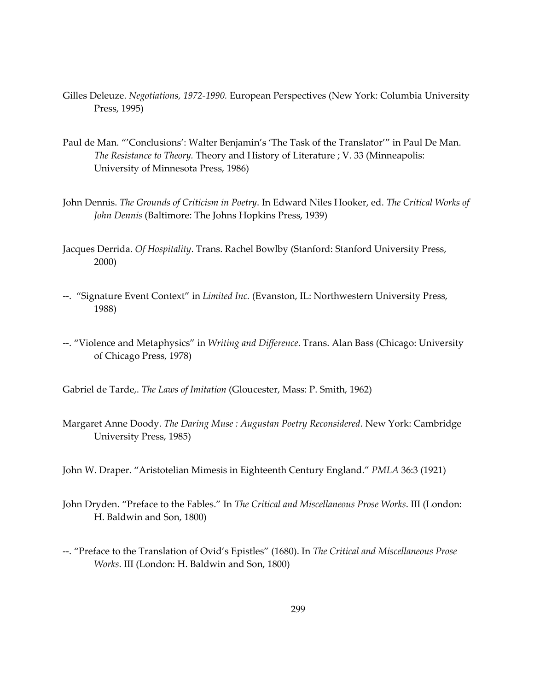- Gilles Deleuze. *Negotiations, 1972-1990.* European Perspectives (New York: Columbia University Press, 1995)
- Paul de Man. "'Conclusions': Walter Benjamin's 'The Task of the Translator'" in Paul De Man. *The Resistance to Theory.* Theory and History of Literature ; V. 33 (Minneapolis: University of Minnesota Press, 1986)
- John Dennis. *The Grounds of Criticism in Poetry*. In Edward Niles Hooker, ed. *The Critical Works of John Dennis* (Baltimore: The Johns Hopkins Press, 1939)
- Jacques Derrida. *Of Hospitality*. Trans. Rachel Bowlby (Stanford: Stanford University Press, 2000)
- --. "Signature Event Context" in *Limited Inc.* (Evanston, IL: Northwestern University Press, 1988)
- --. "Violence and Metaphysics" in *Writing and Difference*. Trans. Alan Bass (Chicago: University of Chicago Press, 1978)

Gabriel de Tarde,. *The Laws of Imitation* (Gloucester, Mass: P. Smith, 1962)

- Margaret Anne Doody. *The Daring Muse : Augustan Poetry Reconsidered*. New York: Cambridge University Press, 1985)
- John W. Draper. "Aristotelian Mimesis in Eighteenth Century England." *PMLA* 36:3 (1921)
- John Dryden. "Preface to the Fables." In *The Critical and Miscellaneous Prose Works*. III (London: H. Baldwin and Son, 1800)
- --. "Preface to the Translation of Ovid's Epistles" (1680). In *The Critical and Miscellaneous Prose Works*. III (London: H. Baldwin and Son, 1800)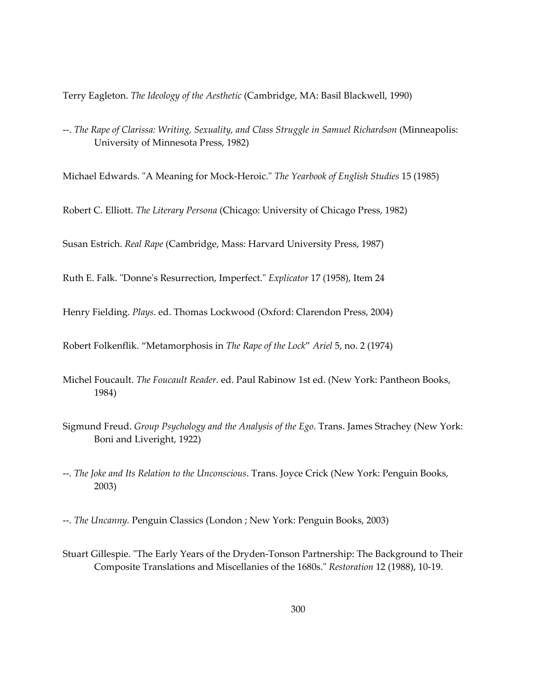Terry Eagleton. *The Ideology of the Aesthetic* (Cambridge, MA: Basil Blackwell, 1990)

--. *The Rape of Clarissa: Writing, Sexuality, and Class Struggle in Samuel Richardson* (Minneapolis: University of Minnesota Press, 1982)

Michael Edwards. "A Meaning for Mock-Heroic." *The Yearbook of English Studies* 15 (1985)

Robert C. Elliott. *The Literary Persona* (Chicago: University of Chicago Press, 1982)

Susan Estrich. *Real Rape* (Cambridge, Mass: Harvard University Press, 1987)

Ruth E. Falk. "Donne's Resurrection, Imperfect." *Explicator* 17 (1958), Item 24

Henry Fielding. *Plays*. ed. Thomas Lockwood (Oxford: Clarendon Press, 2004)

Robert Folkenflik. "Metamorphosis in *The Rape of the Lock*" *Ariel* 5, no. 2 (1974)

- Michel Foucault. *The Foucault Reader.* ed. Paul Rabinow 1st ed. (New York: Pantheon Books, 1984)
- Sigmund Freud. *Group Psychology and the Analysis of the Ego*. Trans. James Strachey (New York: Boni and Liveright, 1922)
- --. *The Joke and Its Relation to the Unconscious*. Trans. Joyce Crick (New York: Penguin Books, 2003)

--. *The Uncanny.* Penguin Classics (London ; New York: Penguin Books, 2003)

Stuart Gillespie. "The Early Years of the Dryden-Tonson Partnership: The Background to Their Composite Translations and Miscellanies of the 1680s." *Restoration* 12 (1988), 10-19.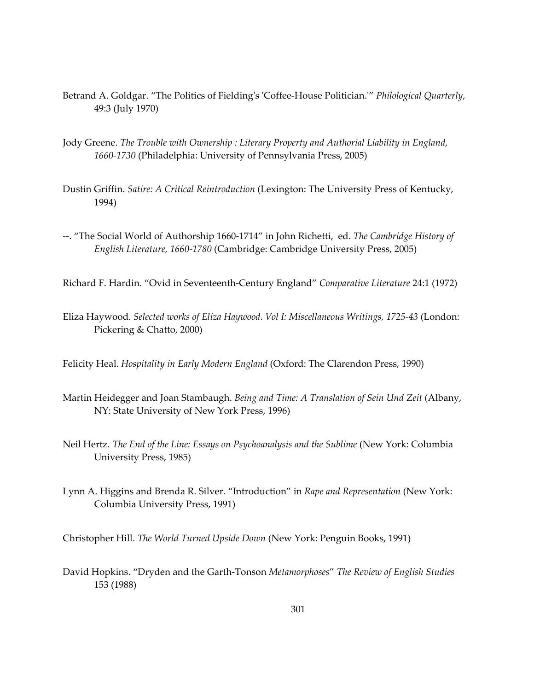- Betrand A. Goldgar. "The Politics of Fielding's 'Coffee-House Politician.'" *Philological Quarterly*, 49:3 (July 1970)
- Jody Greene. *The Trouble with Ownership : Literary Property and Authorial Liability in England, 1660-1730* (Philadelphia: University of Pennsylvania Press, 2005)
- Dustin Griffin. *Satire: A Critical Reintroduction* (Lexington: The University Press of Kentucky, 1994)
- --. "The Social World of Authorship 1660-1714" in John Richetti, ed. *The Cambridge History of English Literature, 1660-1780* (Cambridge: Cambridge University Press, 2005)

Richard F. Hardin. "Ovid in Seventeenth-Century England" *Comparative Literature* 24:1 (1972)

Eliza Haywood. *Selected works of Eliza Haywood. Vol I: Miscellaneous Writings, 1725-43* (London: Pickering & Chatto, 2000)

Felicity Heal. *Hospitality in Early Modern England* (Oxford: The Clarendon Press, 1990)

- Martin Heidegger and Joan Stambaugh. *Being and Time: A Translation of Sein Und Zeit* (Albany, NY: State University of New York Press, 1996)
- Neil Hertz. *The End of the Line: Essays on Psychoanalysis and the Sublime* (New York: Columbia University Press, 1985)
- Lynn A. Higgins and Brenda R. Silver. "Introduction" in *Rape and Representation* (New York: Columbia University Press, 1991)

Christopher Hill. *The World Turned Upside Down* (New York: Penguin Books, 1991)

David Hopkins. "Dryden and the Garth-Tonson *Metamorphoses*" *The Review of English Studies* 153 (1988)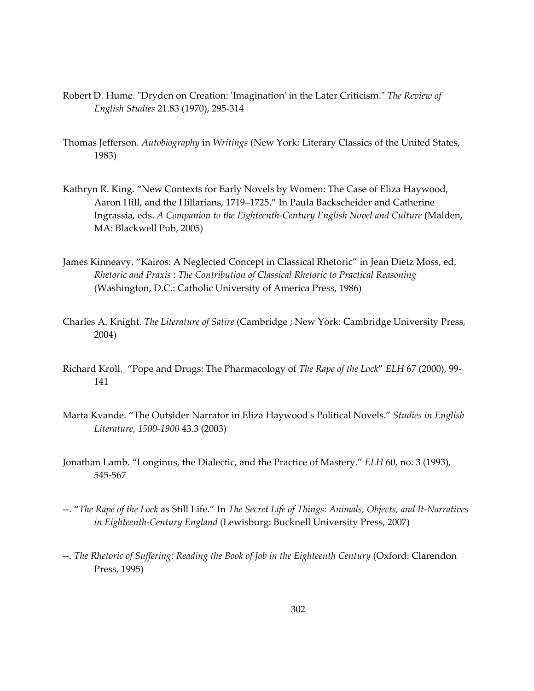- Robert D. Hume. "Dryden on Creation: 'Imagination' in the Later Criticism." *The Review of English Studies* 21.83 (1970), 295-314
- Thomas Jefferson. *Autobiography* in *Writings* (New York: Literary Classics of the United States, 1983)
- Kathryn R. King. "New Contexts for Early Novels by Women: The Case of Eliza Haywood, Aaron Hill, and the Hillarians, 1719–1725." In Paula Backscheider and Catherine Ingrassia, eds. *A Companion to the Eighteenth-Century English Novel and Culture* (Malden, MA: Blackwell Pub, 2005)
- James Kinneavy. "Kairos: A Neglected Concept in Classical Rhetoric" in Jean Dietz Moss, ed. *Rhetoric and Praxis : The Contribution of Classical Rhetoric to Practical Reasoning* (Washington, D.C.: Catholic University of America Press, 1986)
- Charles A. Knight. *The Literature of Satire* (Cambridge ; New York: Cambridge University Press, 2004)
- Richard Kroll. "Pope and Drugs: The Pharmacology of *The Rape of the Lock*" *ELH* 67 (2000), 99- 141
- Marta Kvande. "The Outsider Narrator in Eliza Haywood's Political Novels." *Studies in English Literature, 1500-1900* 43.3 (2003)
- Jonathan Lamb. "Longinus, the Dialectic, and the Practice of Mastery." *ELH* 60, no. 3 (1993), 545-567
- --. "*The Rape of the Lock* as Still Life." In *The Secret Life of Things: Animals, Objects, and It-Narratives in Eighteenth-Century England* (Lewisburg: Bucknell University Press, 2007)
- --. *The Rhetoric of Suffering: Reading the Book of Job in the Eighteenth Century* (Oxford: Clarendon Press, 1995)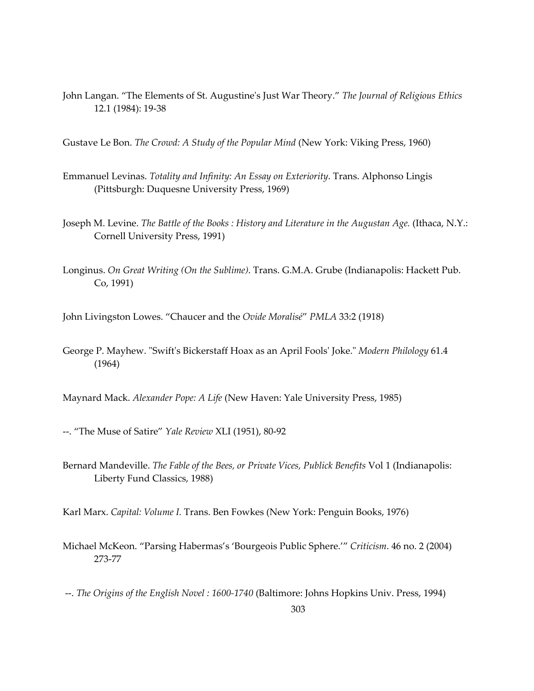John Langan. "The Elements of St. Augustine's Just War Theory." *The Journal of Religious Ethics* 12.1 (1984): 19-38

Gustave Le Bon. *The Crowd: A Study of the Popular Mind* (New York: Viking Press, 1960)

- Emmanuel Levinas. *Totality and Infinity: An Essay on Exteriority*. Trans. Alphonso Lingis (Pittsburgh: Duquesne University Press, 1969)
- Joseph M. Levine. *The Battle of the Books : History and Literature in the Augustan Age.* (Ithaca, N.Y.: Cornell University Press, 1991)
- Longinus. *On Great Writing (On the Sublime)*. Trans. G.M.A. Grube (Indianapolis: Hackett Pub. Co, 1991)

John Livingston Lowes. "Chaucer and the *Ovide Moralisé*" *PMLA* 33:2 (1918)

George P. Mayhew. "Swift's Bickerstaff Hoax as an April Fools' Joke." *Modern Philology* 61.4 (1964)

Maynard Mack. *Alexander Pope: A Life* (New Haven: Yale University Press, 1985)

- --. "The Muse of Satire" *Yale Review* XLI (1951), 80-92
- Bernard Mandeville. *The Fable of the Bees, or Private Vices, Publick Benefits* Vol 1 (Indianapolis: Liberty Fund Classics, 1988)

Karl Marx. *Capital: Volume I.* Trans. Ben Fowkes (New York: Penguin Books, 1976)

Michael McKeon. "Parsing Habermas's 'Bourgeois Public Sphere.'" *Criticism*. 46 no. 2 (2004) 273-77

--. *The Origins of the English Novel : 1600-1740* (Baltimore: Johns Hopkins Univ. Press, 1994)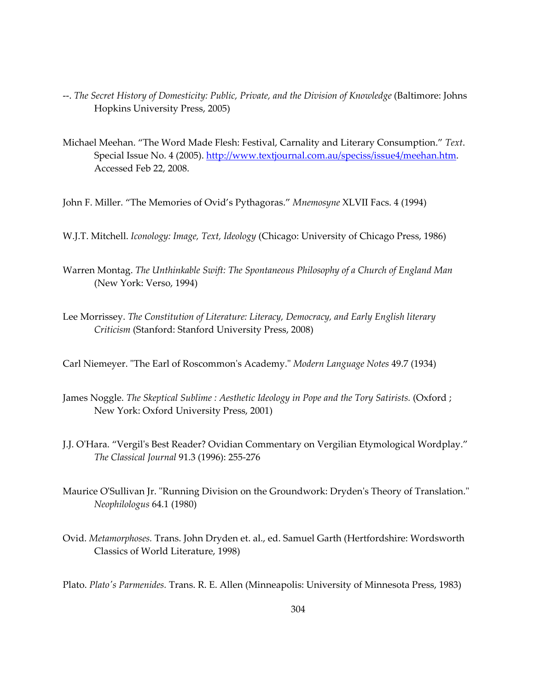- --. *The Secret History of Domesticity: Public, Private, and the Division of Knowledge* (Baltimore: Johns Hopkins University Press, 2005)
- Michael Meehan. "The Word Made Flesh: Festival, Carnality and Literary Consumption." *Text*. Special Issue No. 4 (2005). <http://www.textjournal.com.au/speciss/issue4/meehan.htm>. Accessed Feb 22, 2008.
- John F. Miller. "The Memories of Ovid's Pythagoras." *Mnemosyne* XLVII Facs. 4 (1994)
- W.J.T. Mitchell. *Iconology: Image, Text, Ideology* (Chicago: University of Chicago Press, 1986)
- Warren Montag. *The Unthinkable Swift: The Spontaneous Philosophy of a Church of England Man* (New York: Verso, 1994)
- Lee Morrissey. *The Constitution of Literature: Literacy, Democracy, and Early English literary Criticism* (Stanford: Stanford University Press, 2008)
- Carl Niemeyer. "The Earl of Roscommon's Academy." *Modern Language Notes* 49.7 (1934)
- James Noggle. *The Skeptical Sublime : Aesthetic Ideology in Pope and the Tory Satirists.* (Oxford ; New York: Oxford University Press, 2001)
- J.J. O'Hara. "Vergil's Best Reader? Ovidian Commentary on Vergilian Etymological Wordplay." *The Classical Journal* 91.3 (1996): 255-276
- Maurice O'Sullivan Jr. "Running Division on the Groundwork: Dryden's Theory of Translation." *Neophilologus* 64.1 (1980)
- Ovid. *Metamorphoses.* Trans. John Dryden et. al., ed. Samuel Garth (Hertfordshire: Wordsworth Classics of World Literature, 1998)
- Plato. *Plato's Parmenides.* Trans. R. E. Allen (Minneapolis: University of Minnesota Press, 1983)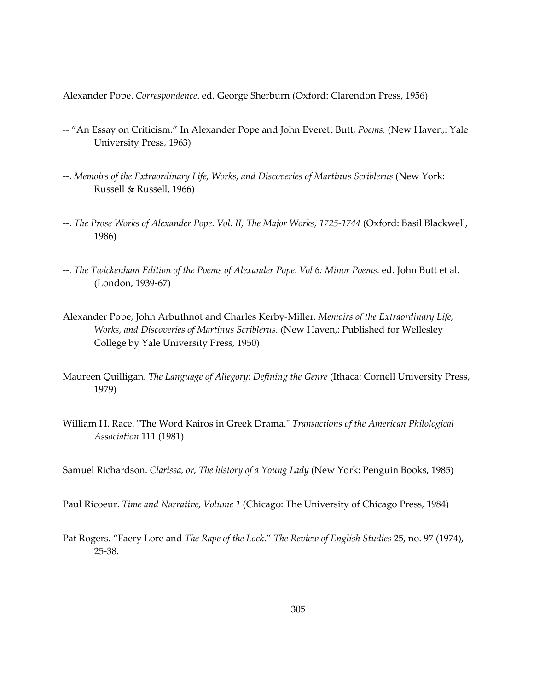Alexander Pope. *Correspondence*. ed. George Sherburn (Oxford: Clarendon Press, 1956)

- -- "An Essay on Criticism." In Alexander Pope and John Everett Butt, *Poems.* (New Haven,: Yale University Press, 1963)
- --. *Memoirs of the Extraordinary Life, Works, and Discoveries of Martinus Scriblerus* (New York: Russell & Russell, 1966)
- --. *The Prose Works of Alexander Pope. Vol. II, The Major Works, 1725-1744* (Oxford: Basil Blackwell, 1986)
- --. *The Twickenham Edition of the Poems of Alexander Pope*. *Vol 6: Minor Poems.* ed. John Butt et al. (London, 1939-67)
- Alexander Pope, John Arbuthnot and Charles Kerby-Miller. *Memoirs of the Extraordinary Life, Works, and Discoveries of Martinus Scriblerus.* (New Haven,: Published for Wellesley College by Yale University Press, 1950)
- Maureen Quilligan. *The Language of Allegory: Defining the Genre* (Ithaca: Cornell University Press, 1979)
- William H. Race. "The Word Kairos in Greek Drama." *Transactions of the American Philological Association* 111 (1981)

Samuel Richardson. *Clarissa, or, The history of a Young Lady* (New York: Penguin Books, 1985)

Paul Ricoeur. *Time and Narrative, Volume 1* (Chicago: The University of Chicago Press, 1984)

Pat Rogers. "Faery Lore and *The Rape of the Lock*." *The Review of English Studies* 25, no. 97 (1974), 25-38.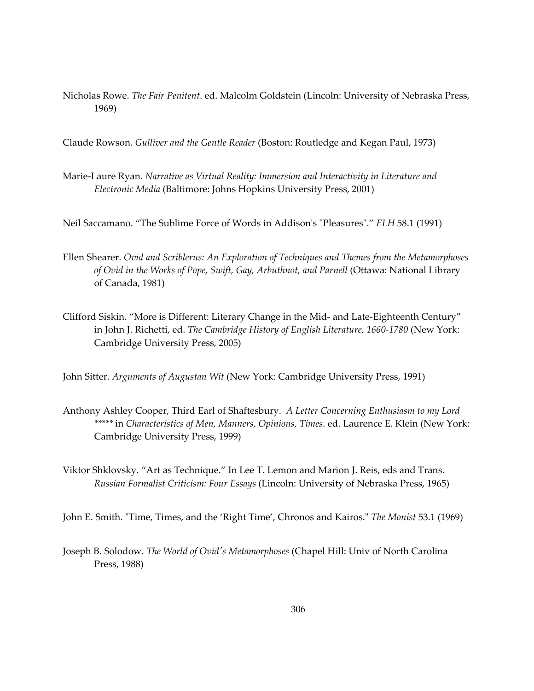Nicholas Rowe. *The Fair Penitent*. ed. Malcolm Goldstein (Lincoln: University of Nebraska Press, 1969)

Claude Rowson. *Gulliver and the Gentle Reader* (Boston: Routledge and Kegan Paul, 1973)

Marie-Laure Ryan. *Narrative as Virtual Reality: Immersion and Interactivity in Literature and Electronic Media* (Baltimore: Johns Hopkins University Press, 2001)

Neil Saccamano. "The Sublime Force of Words in Addison's "Pleasures"." *ELH* 58.1 (1991)

- Ellen Shearer. *Ovid and Scriblerus: An Exploration of Techniques and Themes from the Metamorphoses of Ovid in the Works of Pope, Swift, Gay, Arbuthnot, and Parnell* (Ottawa: National Library of Canada, 1981)
- Clifford Siskin. "More is Different: Literary Change in the Mid- and Late-Eighteenth Century" in John J. Richetti, ed. *The Cambridge History of English Literature, 1660-1780* (New York: Cambridge University Press, 2005)

John Sitter. *Arguments of Augustan Wit* (New York: Cambridge University Press, 1991)

- Anthony Ashley Cooper, Third Earl of Shaftesbury. *A Letter Concerning Enthusiasm to my Lord \*\*\*\*\** in *Characteristics of Men, Manners, Opinions, Times*. ed. Laurence E. Klein (New York: Cambridge University Press, 1999)
- Viktor Shklovsky. "Art as Technique." In Lee T. Lemon and Marion J. Reis, eds and Trans. *Russian Formalist Criticism: Four Essays* (Lincoln: University of Nebraska Press, 1965)

John E. Smith. "Time, Times, and the 'Right Time', Chronos and Kairos." *The Monist* 53.1 (1969)

Joseph B. Solodow. *The World of Ovid's Metamorphoses* (Chapel Hill: Univ of North Carolina Press, 1988)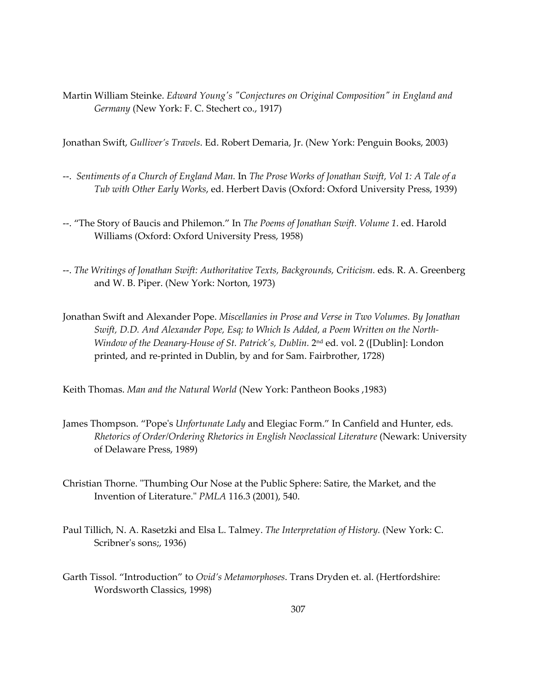Martin William Steinke. *Edward Young's "Conjectures on Original Composition" in England and Germany* (New York: F. C. Stechert co., 1917)

Jonathan Swift, *Gulliver's Travels*. Ed. Robert Demaria, Jr. (New York: Penguin Books, 2003)

- --. *Sentiments of a Church of England Man.* In *The Prose Works of Jonathan Swift, Vol 1: A Tale of a Tub with Other Early Works*, ed. Herbert Davis (Oxford: Oxford University Press, 1939)
- --. "The Story of Baucis and Philemon." In *The Poems of Jonathan Swift. Volume 1*. ed. Harold Williams (Oxford: Oxford University Press, 1958)
- --. *The Writings of Jonathan Swift: Authoritative Texts, Backgrounds, Criticism.* eds. R. A. Greenberg and W. B. Piper. (New York: Norton, 1973)
- Jonathan Swift and Alexander Pope. *Miscellanies in Prose and Verse in Two Volumes. By Jonathan Swift, D.D. And Alexander Pope, Esq; to Which Is Added, a Poem Written on the North-Window of the Deanary-House of St. Patrick's, Dublin.* 2<sup>nd</sup> ed. vol. 2 ([Dublin]: London printed, and re-printed in Dublin, by and for Sam. Fairbrother, 1728)

Keith Thomas. *Man and the Natural World* (New York: Pantheon Books ,1983)

- James Thompson. "Pope's *Unfortunate Lady* and Elegiac Form." In Canfield and Hunter, eds. *Rhetorics of Order/Ordering Rhetorics in English Neoclassical Literature* (Newark: University of Delaware Press, 1989)
- Christian Thorne. "Thumbing Our Nose at the Public Sphere: Satire, the Market, and the Invention of Literature." *PMLA* 116.3 (2001), 540.
- Paul Tillich, N. A. Rasetzki and Elsa L. Talmey. *The Interpretation of History.* (New York: C. Scribner's sons;, 1936)
- Garth Tissol. "Introduction" to *Ovid's Metamorphoses*. Trans Dryden et. al. (Hertfordshire: Wordsworth Classics, 1998)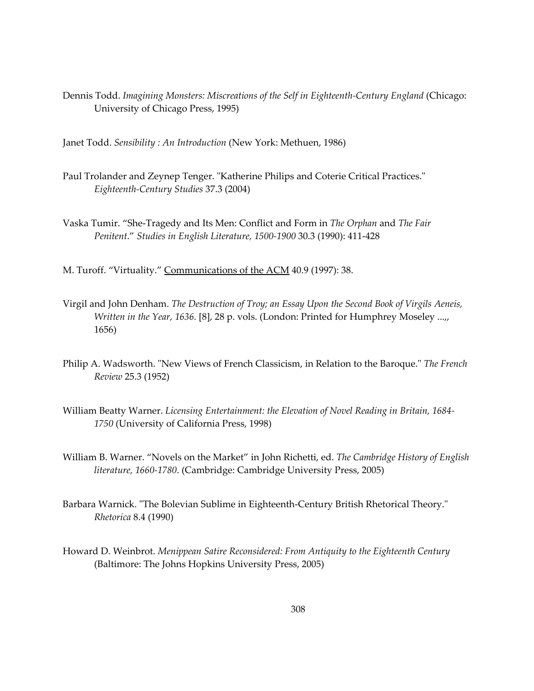Dennis Todd. *Imagining Monsters: Miscreations of the Self in Eighteenth-Century England* (Chicago: University of Chicago Press, 1995)

Janet Todd. *Sensibility : An Introduction* (New York: Methuen, 1986)

- Paul Trolander and Zeynep Tenger. "Katherine Philips and Coterie Critical Practices." *Eighteenth-Century Studies* 37.3 (2004)
- Vaska Tumir. "She-Tragedy and Its Men: Conflict and Form in *The Orphan* and *The Fair Penitent*." *Studies in English Literature, 1500-1900* 30.3 (1990): 411-428
- M. Turoff. "Virtuality." Communications of the ACM 40.9 (1997): 38.
- Virgil and John Denham. *The Destruction of Troy; an Essay Upon the Second Book of Virgils Aeneis, Written in the Year, 1636.* [8], 28 p. vols. (London: Printed for Humphrey Moseley ...,, 1656)
- Philip A. Wadsworth. "New Views of French Classicism, in Relation to the Baroque." *The French Review* 25.3 (1952)
- William Beatty Warner. *Licensing Entertainment: the Elevation of Novel Reading in Britain, 1684- 1750* (University of California Press, 1998)
- William B. Warner. "Novels on the Market" in John Richetti, ed. *The Cambridge History of English literature, 1660-1780*. (Cambridge: Cambridge University Press, 2005)
- Barbara Warnick. "The Bolevian Sublime in Eighteenth-Century British Rhetorical Theory." *Rhetorica* 8.4 (1990)
- Howard D. Weinbrot. *Menippean Satire Reconsidered: From Antiquity to the Eighteenth Century* (Baltimore: The Johns Hopkins University Press, 2005)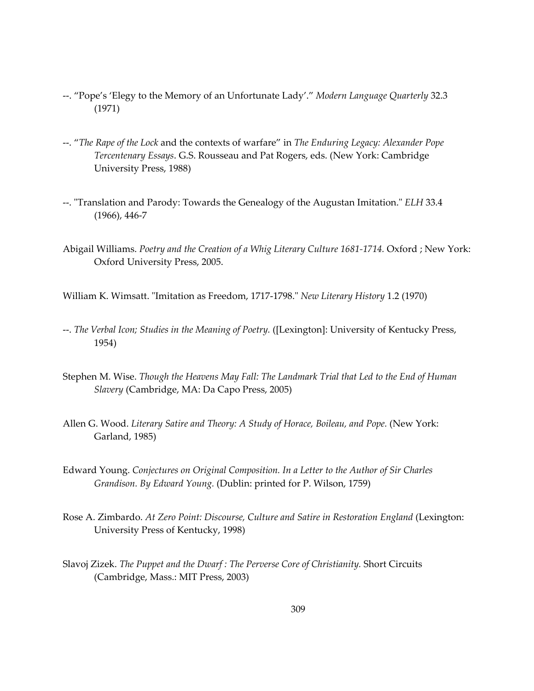- --. "Pope's 'Elegy to the Memory of an Unfortunate Lady'." *Modern Language Quarterly* 32.3 (1971)
- --. "*The Rape of the Lock* and the contexts of warfare" in *The Enduring Legacy: Alexander Pope Tercentenary Essays*. G.S. Rousseau and Pat Rogers, eds. (New York: Cambridge University Press, 1988)
- --. "Translation and Parody: Towards the Genealogy of the Augustan Imitation." *ELH* 33.4 (1966), 446-7
- Abigail Williams. *Poetry and the Creation of a Whig Literary Culture 1681-1714.* Oxford ; New York: Oxford University Press, 2005.
- William K. Wimsatt. "Imitation as Freedom, 1717-1798." *New Literary History* 1.2 (1970)
- --. *The Verbal Icon; Studies in the Meaning of Poetry.* ([Lexington]: University of Kentucky Press, 1954)
- Stephen M. Wise. *Though the Heavens May Fall: The Landmark Trial that Led to the End of Human Slavery* (Cambridge, MA: Da Capo Press, 2005)
- Allen G. Wood. *Literary Satire and Theory: A Study of Horace, Boileau, and Pope.* (New York: Garland, 1985)
- Edward Young. *Conjectures on Original Composition. In a Letter to the Author of Sir Charles Grandison. By Edward Young.* (Dublin: printed for P. Wilson, 1759)
- Rose A. Zimbardo. *At Zero Point: Discourse, Culture and Satire in Restoration England* (Lexington: University Press of Kentucky, 1998)
- Slavoj Zizek. *The Puppet and the Dwarf : The Perverse Core of Christianity.* Short Circuits (Cambridge, Mass.: MIT Press, 2003)